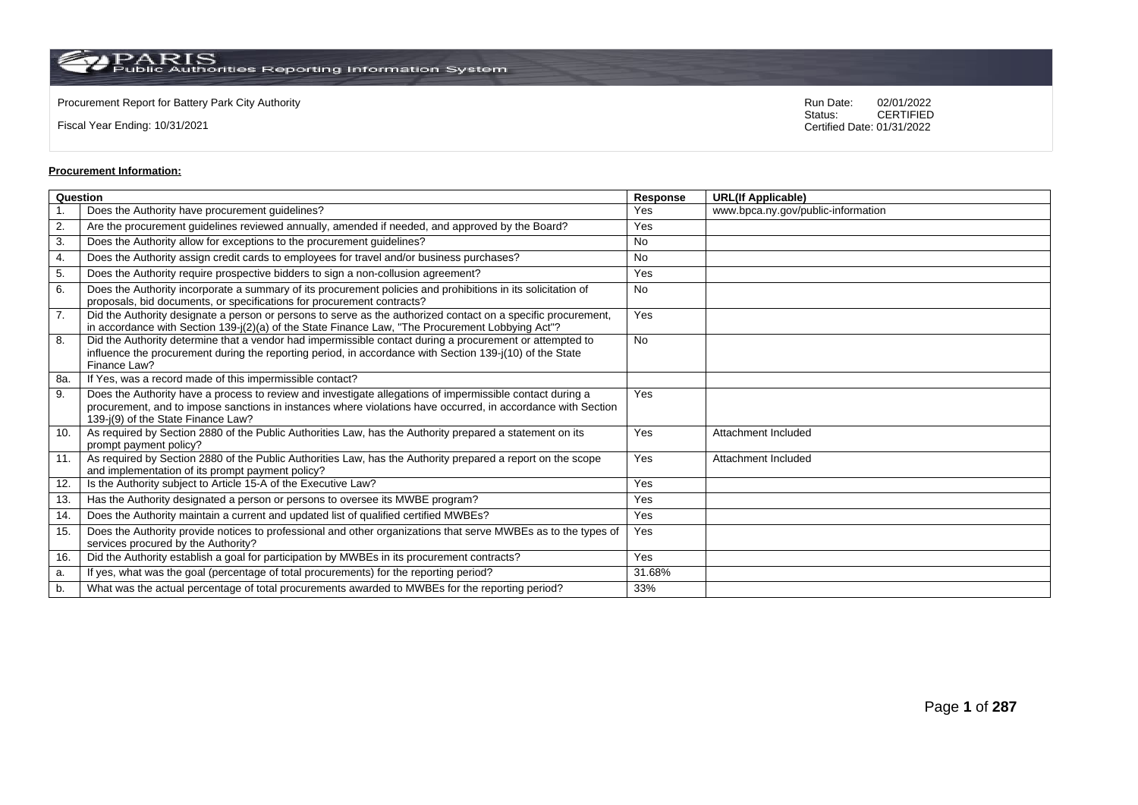Fiscal Year Ending: 10/31/2021

Procurement Report for Battery Park City Authority **National State Concrete Concrete Concrete Concrete Concrete Concrete Concrete Concrete Concrete Concrete Concrete Concrete Concrete Concrete Concrete Concrete Concrete Co** CERTIFIED Certified Date: 01/31/2022

# **Procurement Information:**

| Question         |                                                                                                                                                                                                                                                                 | Response  | <b>URL(If Applicable)</b>          |
|------------------|-----------------------------------------------------------------------------------------------------------------------------------------------------------------------------------------------------------------------------------------------------------------|-----------|------------------------------------|
|                  | Does the Authority have procurement guidelines?                                                                                                                                                                                                                 | Yes       | www.bpca.ny.gov/public-information |
| $\overline{2}$ . | Are the procurement guidelines reviewed annually, amended if needed, and approved by the Board?                                                                                                                                                                 | Yes       |                                    |
| 3.               | Does the Authority allow for exceptions to the procurement guidelines?                                                                                                                                                                                          | No        |                                    |
| 4.               | Does the Authority assign credit cards to employees for travel and/or business purchases?                                                                                                                                                                       | <b>No</b> |                                    |
| 5.               | Does the Authority require prospective bidders to sign a non-collusion agreement?                                                                                                                                                                               | Yes       |                                    |
| 6.               | Does the Authority incorporate a summary of its procurement policies and prohibitions in its solicitation of<br>proposals, bid documents, or specifications for procurement contracts?                                                                          | No        |                                    |
| $\overline{7}$ . | Did the Authority designate a person or persons to serve as the authorized contact on a specific procurement,<br>in accordance with Section 139-j(2)(a) of the State Finance Law, "The Procurement Lobbying Act"?                                               | Yes       |                                    |
| 8.               | Did the Authority determine that a vendor had impermissible contact during a procurement or attempted to<br>influence the procurement during the reporting period, in accordance with Section 139-j(10) of the State<br>Finance Law?                            | <b>No</b> |                                    |
| 8a.              | If Yes, was a record made of this impermissible contact?                                                                                                                                                                                                        |           |                                    |
| 9.               | Does the Authority have a process to review and investigate allegations of impermissible contact during a<br>procurement, and to impose sanctions in instances where violations have occurred, in accordance with Section<br>139-j(9) of the State Finance Law? | Yes       |                                    |
| 10.              | As required by Section 2880 of the Public Authorities Law, has the Authority prepared a statement on its<br>prompt payment policy?                                                                                                                              | Yes       | Attachment Included                |
| 11.              | As required by Section 2880 of the Public Authorities Law, has the Authority prepared a report on the scope<br>and implementation of its prompt payment policy?                                                                                                 | Yes       | Attachment Included                |
| 12.              | Is the Authority subject to Article 15-A of the Executive Law?                                                                                                                                                                                                  | Yes       |                                    |
| 13.              | Has the Authority designated a person or persons to oversee its MWBE program?                                                                                                                                                                                   | Yes       |                                    |
| 14.              | Does the Authority maintain a current and updated list of qualified certified MWBEs?                                                                                                                                                                            | Yes       |                                    |
| 15.              | Does the Authority provide notices to professional and other organizations that serve MWBEs as to the types of<br>services procured by the Authority?                                                                                                           | Yes       |                                    |
| 16.              | Did the Authority establish a goal for participation by MWBEs in its procurement contracts?                                                                                                                                                                     | Yes       |                                    |
| a.               | If yes, what was the goal (percentage of total procurements) for the reporting period?                                                                                                                                                                          | 31.68%    |                                    |
| b.               | What was the actual percentage of total procurements awarded to MWBEs for the reporting period?                                                                                                                                                                 | 33%       |                                    |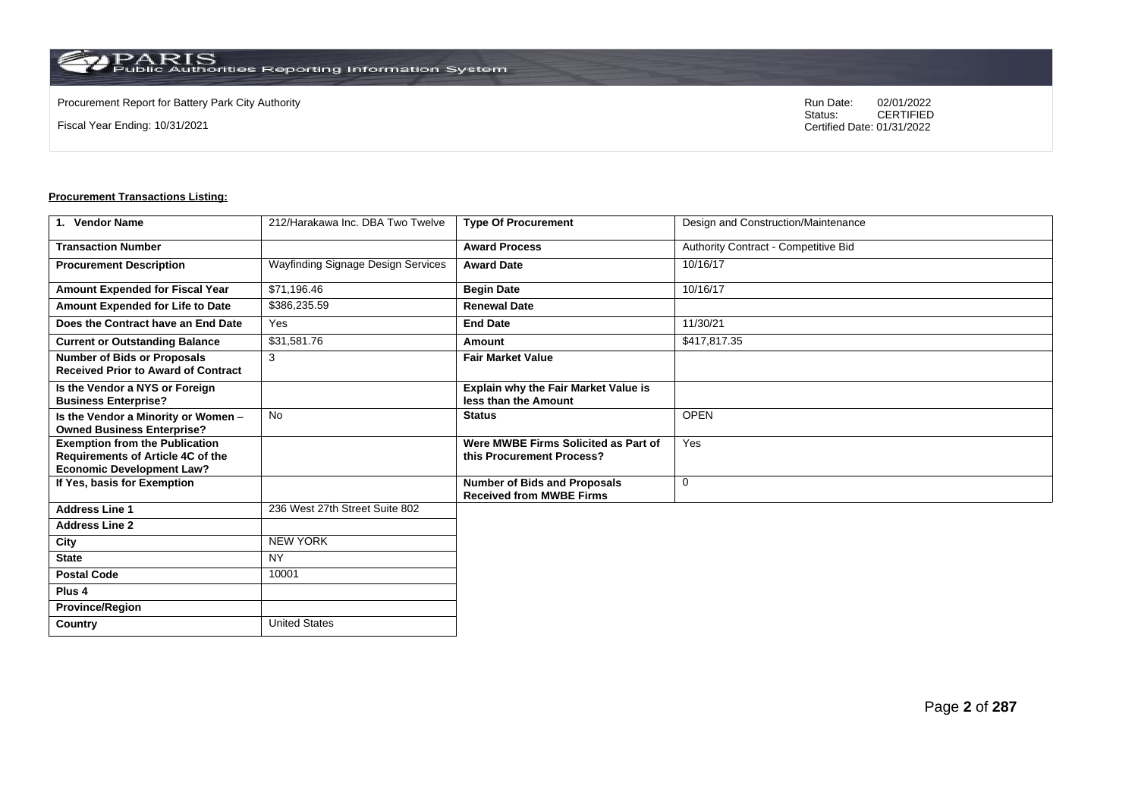Fiscal Year Ending: 10/31/2021

Procurement Report for Battery Park City Authority **National State Concrete Concrete Concrete Concrete Concrete Concrete Concrete Concrete Concrete Concrete Concrete Concrete Concrete Concrete Concrete Concrete Concrete Co** CERTIFIED Certified Date: 01/31/2022

| 1. Vendor Name                                                                                                        | 212/Harakawa Inc. DBA Two Twelve   | <b>Type Of Procurement</b>                                             | Design and Construction/Maintenance  |
|-----------------------------------------------------------------------------------------------------------------------|------------------------------------|------------------------------------------------------------------------|--------------------------------------|
| <b>Transaction Number</b>                                                                                             |                                    | <b>Award Process</b>                                                   | Authority Contract - Competitive Bid |
| <b>Procurement Description</b>                                                                                        | Wayfinding Signage Design Services | <b>Award Date</b>                                                      | 10/16/17                             |
| Amount Expended for Fiscal Year                                                                                       | \$71,196.46                        | <b>Begin Date</b>                                                      | 10/16/17                             |
| Amount Expended for Life to Date                                                                                      | \$386,235.59                       | <b>Renewal Date</b>                                                    |                                      |
| Does the Contract have an End Date                                                                                    | Yes                                | <b>End Date</b>                                                        | 11/30/21                             |
| <b>Current or Outstanding Balance</b>                                                                                 | \$31,581.76                        | Amount                                                                 | \$417,817.35                         |
| <b>Number of Bids or Proposals</b><br><b>Received Prior to Award of Contract</b>                                      | 3                                  | <b>Fair Market Value</b>                                               |                                      |
| Is the Vendor a NYS or Foreign<br><b>Business Enterprise?</b>                                                         |                                    | <b>Explain why the Fair Market Value is</b><br>less than the Amount    |                                      |
| Is the Vendor a Minority or Women -<br><b>Owned Business Enterprise?</b>                                              | <b>No</b>                          | <b>Status</b>                                                          | <b>OPEN</b>                          |
| <b>Exemption from the Publication</b><br><b>Requirements of Article 4C of the</b><br><b>Economic Development Law?</b> |                                    | Were MWBE Firms Solicited as Part of<br>this Procurement Process?      | Yes                                  |
| If Yes, basis for Exemption                                                                                           |                                    | <b>Number of Bids and Proposals</b><br><b>Received from MWBE Firms</b> | $\mathbf 0$                          |
| <b>Address Line 1</b>                                                                                                 | 236 West 27th Street Suite 802     |                                                                        |                                      |
| <b>Address Line 2</b>                                                                                                 |                                    |                                                                        |                                      |
| City                                                                                                                  | <b>NEW YORK</b>                    |                                                                        |                                      |
| <b>State</b>                                                                                                          | <b>NY</b>                          |                                                                        |                                      |
| <b>Postal Code</b>                                                                                                    | 10001                              |                                                                        |                                      |
| Plus <sub>4</sub>                                                                                                     |                                    |                                                                        |                                      |
| <b>Province/Region</b>                                                                                                |                                    |                                                                        |                                      |
| <b>Country</b>                                                                                                        | <b>United States</b>               |                                                                        |                                      |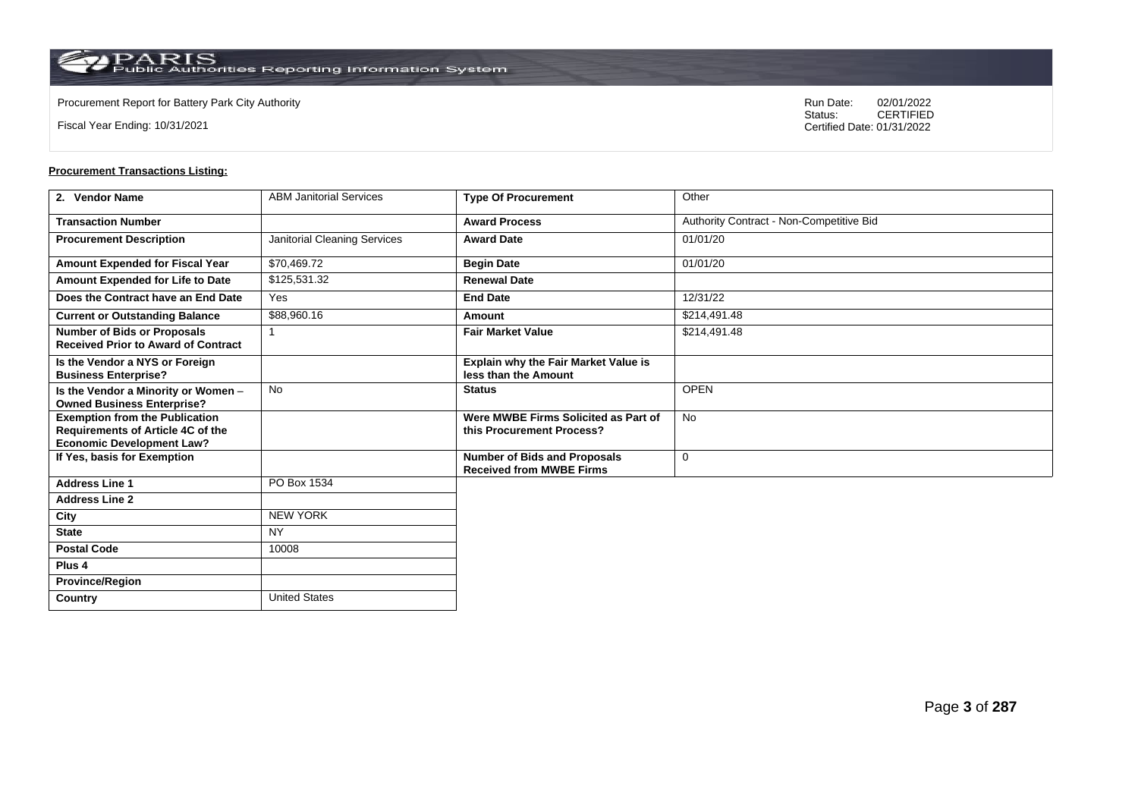**Country** United States

Fiscal Year Ending: 10/31/2021

Procurement Report for Battery Park City Authority **National State Concrete Concrete Concrete Concrete Concrete Concrete Concrete Concrete Concrete Concrete Concrete Concrete Concrete Concrete Concrete Concrete Concrete Co** CERTIFIED Certified Date: 01/31/2022

| 2. Vendor Name                                                                                                 | <b>ABM Janitorial Services</b> | <b>Type Of Procurement</b>                                             | Other                                    |
|----------------------------------------------------------------------------------------------------------------|--------------------------------|------------------------------------------------------------------------|------------------------------------------|
| <b>Transaction Number</b>                                                                                      |                                | <b>Award Process</b>                                                   | Authority Contract - Non-Competitive Bid |
| <b>Procurement Description</b>                                                                                 | Janitorial Cleaning Services   | <b>Award Date</b>                                                      | 01/01/20                                 |
| Amount Expended for Fiscal Year                                                                                | \$70,469.72                    | <b>Begin Date</b>                                                      | 01/01/20                                 |
| Amount Expended for Life to Date                                                                               | \$125,531.32                   | <b>Renewal Date</b>                                                    |                                          |
| Does the Contract have an End Date                                                                             | Yes                            | <b>End Date</b>                                                        | 12/31/22                                 |
| <b>Current or Outstanding Balance</b>                                                                          | \$88,960.16                    | Amount                                                                 | \$214,491.48                             |
| <b>Number of Bids or Proposals</b><br><b>Received Prior to Award of Contract</b>                               |                                | <b>Fair Market Value</b>                                               | \$214,491.48                             |
| Is the Vendor a NYS or Foreign<br><b>Business Enterprise?</b>                                                  |                                | Explain why the Fair Market Value is<br>less than the Amount           |                                          |
| Is the Vendor a Minority or Women -<br><b>Owned Business Enterprise?</b>                                       | No                             | <b>Status</b>                                                          | <b>OPEN</b>                              |
| <b>Exemption from the Publication</b><br>Requirements of Article 4C of the<br><b>Economic Development Law?</b> |                                | Were MWBE Firms Solicited as Part of<br>this Procurement Process?      | No                                       |
| If Yes, basis for Exemption                                                                                    |                                | <b>Number of Bids and Proposals</b><br><b>Received from MWBE Firms</b> | 0                                        |
| <b>Address Line 1</b>                                                                                          | PO Box 1534                    |                                                                        |                                          |
| <b>Address Line 2</b>                                                                                          |                                |                                                                        |                                          |
| City                                                                                                           | <b>NEW YORK</b>                |                                                                        |                                          |
| <b>State</b>                                                                                                   | <b>NY</b>                      |                                                                        |                                          |
| <b>Postal Code</b>                                                                                             | 10008                          |                                                                        |                                          |
| Plus <sub>4</sub>                                                                                              |                                |                                                                        |                                          |
| <b>Province/Region</b>                                                                                         |                                |                                                                        |                                          |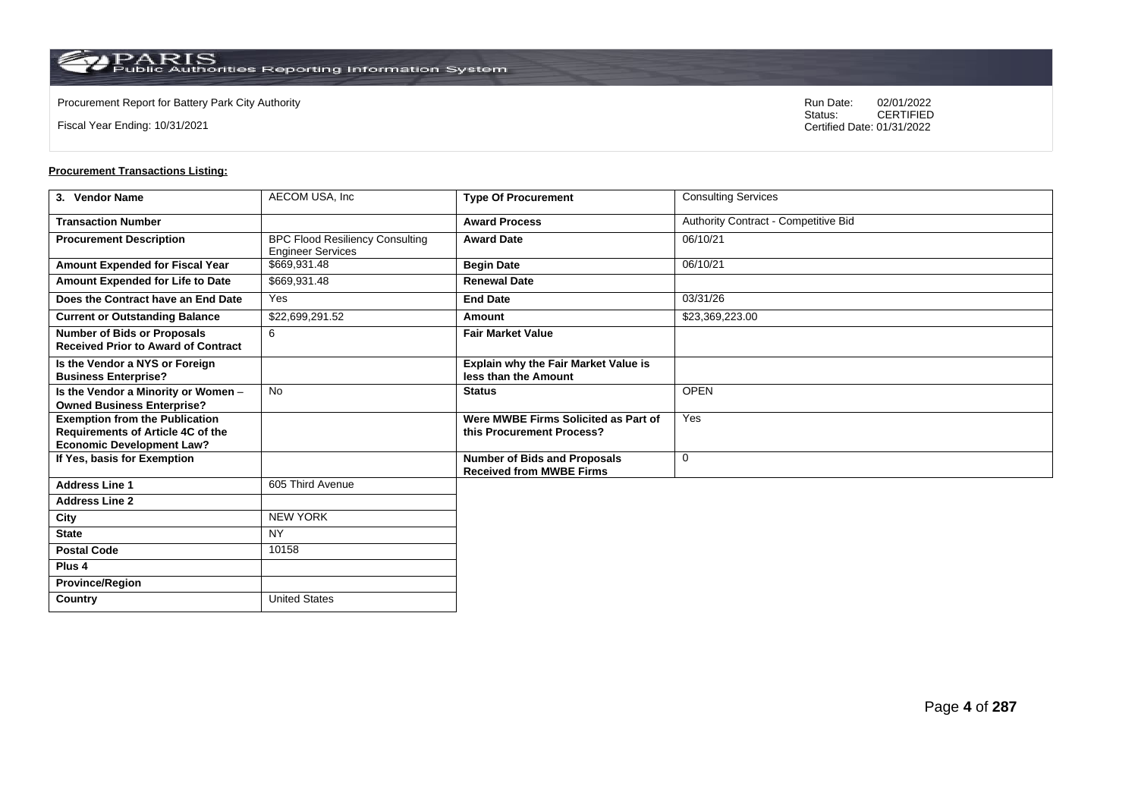**Country** United States

Fiscal Year Ending: 10/31/2021

Procurement Report for Battery Park City Authority **National State Concrete Concrete Concrete Concrete Concrete Concrete Concrete Concrete Concrete Concrete Concrete Concrete Concrete Concrete Concrete Concrete Concrete Co** CERTIFIED Certified Date: 01/31/2022

| 3. Vendor Name                                                                                                 | AECOM USA, Inc                                                     | <b>Type Of Procurement</b>                                             | <b>Consulting Services</b>           |
|----------------------------------------------------------------------------------------------------------------|--------------------------------------------------------------------|------------------------------------------------------------------------|--------------------------------------|
| <b>Transaction Number</b>                                                                                      |                                                                    | <b>Award Process</b>                                                   | Authority Contract - Competitive Bid |
| <b>Procurement Description</b>                                                                                 | <b>BPC Flood Resiliency Consulting</b><br><b>Engineer Services</b> | <b>Award Date</b>                                                      | 06/10/21                             |
| Amount Expended for Fiscal Year                                                                                | \$669,931.48                                                       | <b>Begin Date</b>                                                      | 06/10/21                             |
| Amount Expended for Life to Date                                                                               | \$669,931.48                                                       | <b>Renewal Date</b>                                                    |                                      |
| Does the Contract have an End Date                                                                             | Yes                                                                | <b>End Date</b>                                                        | 03/31/26                             |
| <b>Current or Outstanding Balance</b>                                                                          | \$22,699,291.52                                                    | <b>Amount</b>                                                          | \$23,369,223.00                      |
| <b>Number of Bids or Proposals</b><br><b>Received Prior to Award of Contract</b>                               | 6                                                                  | <b>Fair Market Value</b>                                               |                                      |
| Is the Vendor a NYS or Foreign<br><b>Business Enterprise?</b>                                                  |                                                                    | <b>Explain why the Fair Market Value is</b><br>less than the Amount    |                                      |
| Is the Vendor a Minority or Women -<br><b>Owned Business Enterprise?</b>                                       | <b>No</b>                                                          | <b>Status</b>                                                          | <b>OPEN</b>                          |
| <b>Exemption from the Publication</b><br>Requirements of Article 4C of the<br><b>Economic Development Law?</b> |                                                                    | Were MWBE Firms Solicited as Part of<br>this Procurement Process?      | Yes                                  |
| If Yes, basis for Exemption                                                                                    |                                                                    | <b>Number of Bids and Proposals</b><br><b>Received from MWBE Firms</b> | $\mathbf 0$                          |
| <b>Address Line 1</b>                                                                                          | 605 Third Avenue                                                   |                                                                        |                                      |
| <b>Address Line 2</b>                                                                                          |                                                                    |                                                                        |                                      |
| City                                                                                                           | <b>NEW YORK</b>                                                    |                                                                        |                                      |
| <b>State</b>                                                                                                   | <b>NY</b>                                                          |                                                                        |                                      |
| <b>Postal Code</b>                                                                                             | 10158                                                              |                                                                        |                                      |
| Plus <sub>4</sub>                                                                                              |                                                                    |                                                                        |                                      |
| <b>Province/Region</b>                                                                                         |                                                                    |                                                                        |                                      |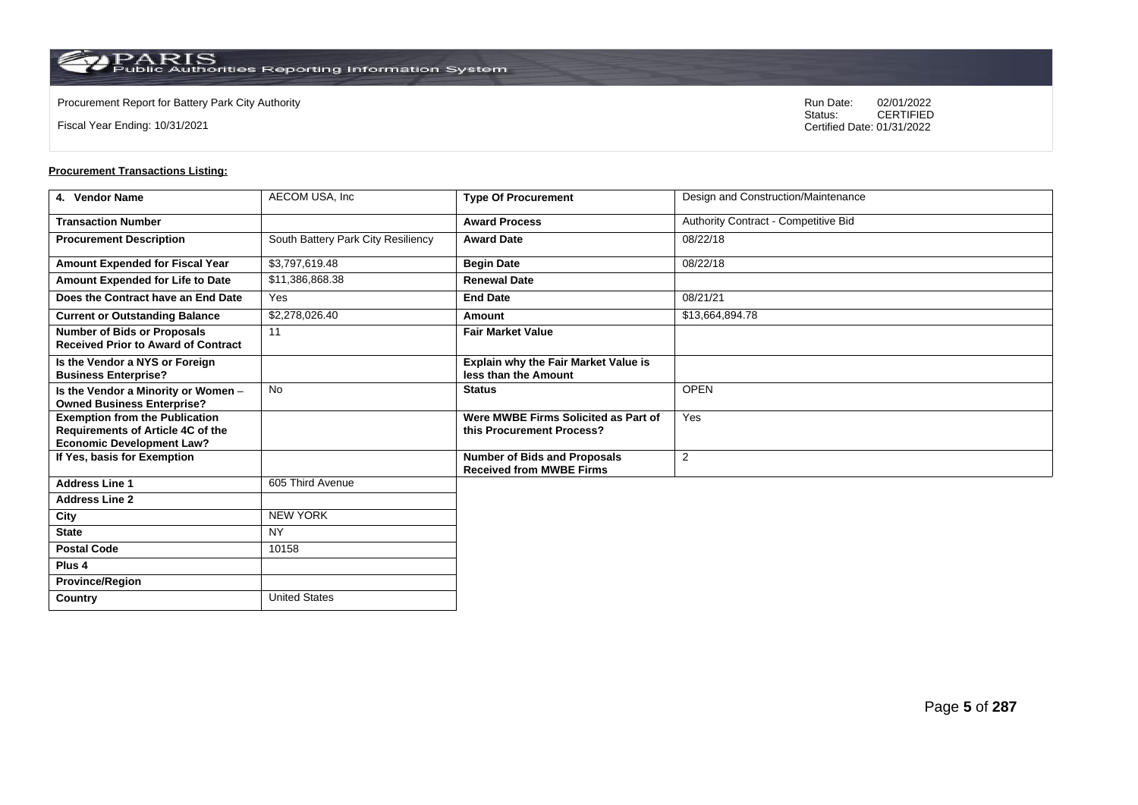**Country** United States

Fiscal Year Ending: 10/31/2021

Procurement Report for Battery Park City Authority **National State Concrete Concrete Concrete Concrete Concrete Concrete Concrete Concrete Concrete Concrete Concrete Concrete Concrete Concrete Concrete Concrete Concrete Co** CERTIFIED Certified Date: 01/31/2022

| 4. Vendor Name                                                                                                 | AECOM USA, Inc                     | <b>Type Of Procurement</b>                                             | Design and Construction/Maintenance  |
|----------------------------------------------------------------------------------------------------------------|------------------------------------|------------------------------------------------------------------------|--------------------------------------|
| <b>Transaction Number</b>                                                                                      |                                    | <b>Award Process</b>                                                   | Authority Contract - Competitive Bid |
| <b>Procurement Description</b>                                                                                 | South Battery Park City Resiliency | <b>Award Date</b>                                                      | 08/22/18                             |
| Amount Expended for Fiscal Year                                                                                | \$3,797,619.48                     | <b>Begin Date</b>                                                      | 08/22/18                             |
| Amount Expended for Life to Date                                                                               | \$11,386,868.38                    | <b>Renewal Date</b>                                                    |                                      |
| Does the Contract have an End Date                                                                             | Yes                                | <b>End Date</b>                                                        | 08/21/21                             |
| <b>Current or Outstanding Balance</b>                                                                          | \$2,278,026.40                     | Amount                                                                 | \$13,664,894.78                      |
| <b>Number of Bids or Proposals</b><br><b>Received Prior to Award of Contract</b>                               | 11                                 | <b>Fair Market Value</b>                                               |                                      |
| Is the Vendor a NYS or Foreign<br><b>Business Enterprise?</b>                                                  |                                    | <b>Explain why the Fair Market Value is</b><br>less than the Amount    |                                      |
| Is the Vendor a Minority or Women -<br><b>Owned Business Enterprise?</b>                                       | <b>No</b>                          | <b>Status</b>                                                          | <b>OPEN</b>                          |
| <b>Exemption from the Publication</b><br>Requirements of Article 4C of the<br><b>Economic Development Law?</b> |                                    | Were MWBE Firms Solicited as Part of<br>this Procurement Process?      | Yes                                  |
| If Yes, basis for Exemption                                                                                    |                                    | <b>Number of Bids and Proposals</b><br><b>Received from MWBE Firms</b> | 2                                    |
| <b>Address Line 1</b>                                                                                          | 605 Third Avenue                   |                                                                        |                                      |
| <b>Address Line 2</b>                                                                                          |                                    |                                                                        |                                      |
| City                                                                                                           | <b>NEW YORK</b>                    |                                                                        |                                      |
| <b>State</b>                                                                                                   | <b>NY</b>                          |                                                                        |                                      |
| <b>Postal Code</b>                                                                                             | 10158                              |                                                                        |                                      |
| Plus <sub>4</sub>                                                                                              |                                    |                                                                        |                                      |
| <b>Province/Region</b>                                                                                         |                                    |                                                                        |                                      |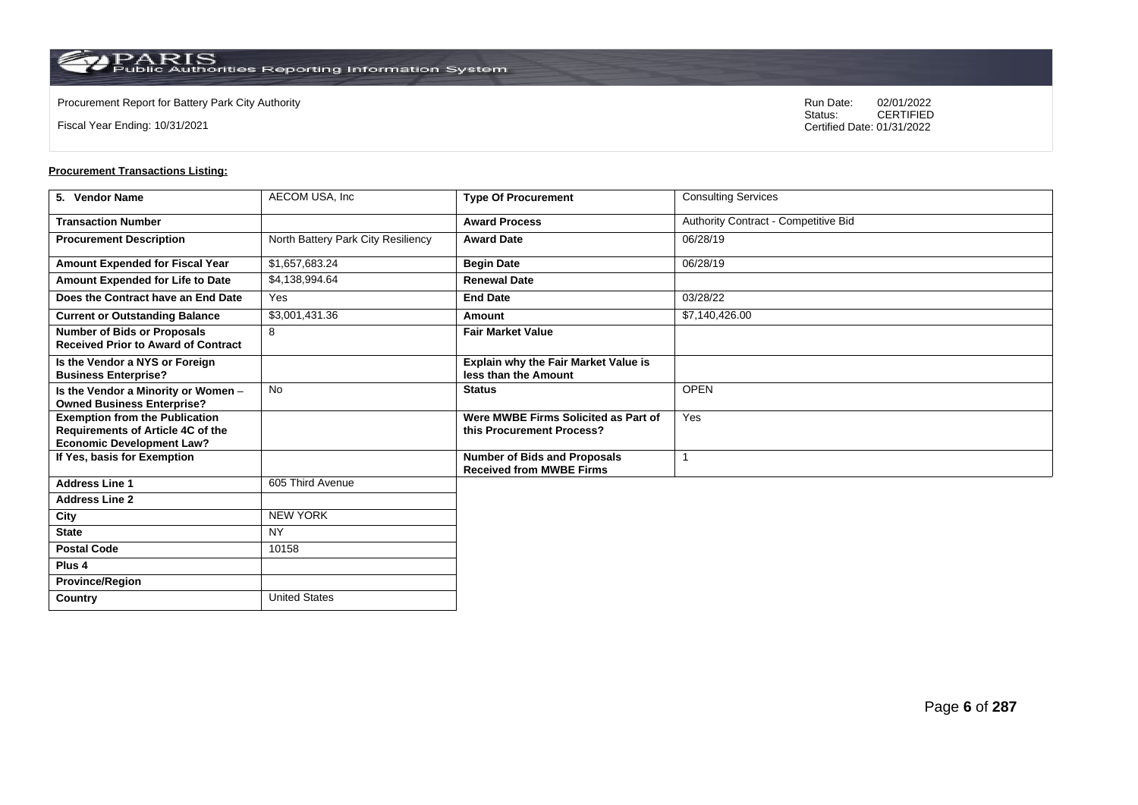**Country** United States

Fiscal Year Ending: 10/31/2021

Procurement Report for Battery Park City Authority **National State Concrete Concrete Concrete Concrete Concrete Concrete Concrete Concrete Concrete Concrete Concrete Concrete Concrete Concrete Concrete Concrete Concrete Co** CERTIFIED Certified Date: 01/31/2022

| 5. Vendor Name                                                                                                 | AECOM USA, Inc                     | <b>Type Of Procurement</b>                                             | <b>Consulting Services</b>           |
|----------------------------------------------------------------------------------------------------------------|------------------------------------|------------------------------------------------------------------------|--------------------------------------|
| <b>Transaction Number</b>                                                                                      |                                    | <b>Award Process</b>                                                   | Authority Contract - Competitive Bid |
| <b>Procurement Description</b>                                                                                 | North Battery Park City Resiliency | <b>Award Date</b>                                                      | 06/28/19                             |
| <b>Amount Expended for Fiscal Year</b>                                                                         | \$1,657,683.24                     | <b>Begin Date</b>                                                      | 06/28/19                             |
| Amount Expended for Life to Date                                                                               | \$4,138,994.64                     | <b>Renewal Date</b>                                                    |                                      |
| Does the Contract have an End Date                                                                             | Yes                                | <b>End Date</b>                                                        | 03/28/22                             |
| <b>Current or Outstanding Balance</b>                                                                          | \$3,001,431.36                     | Amount                                                                 | \$7,140,426.00                       |
| <b>Number of Bids or Proposals</b><br><b>Received Prior to Award of Contract</b>                               | 8                                  | <b>Fair Market Value</b>                                               |                                      |
| Is the Vendor a NYS or Foreign<br><b>Business Enterprise?</b>                                                  |                                    | Explain why the Fair Market Value is<br>less than the Amount           |                                      |
| Is the Vendor a Minority or Women -<br><b>Owned Business Enterprise?</b>                                       | <b>No</b>                          | <b>Status</b>                                                          | <b>OPEN</b>                          |
| <b>Exemption from the Publication</b><br>Requirements of Article 4C of the<br><b>Economic Development Law?</b> |                                    | Were MWBE Firms Solicited as Part of<br>this Procurement Process?      | Yes                                  |
| If Yes, basis for Exemption                                                                                    |                                    | <b>Number of Bids and Proposals</b><br><b>Received from MWBE Firms</b> |                                      |
| <b>Address Line 1</b>                                                                                          | 605 Third Avenue                   |                                                                        |                                      |
| <b>Address Line 2</b>                                                                                          |                                    |                                                                        |                                      |
| City                                                                                                           | <b>NEW YORK</b>                    |                                                                        |                                      |
| <b>State</b>                                                                                                   | <b>NY</b>                          |                                                                        |                                      |
| <b>Postal Code</b>                                                                                             | 10158                              |                                                                        |                                      |
| Plus <sub>4</sub>                                                                                              |                                    |                                                                        |                                      |
| <b>Province/Region</b>                                                                                         |                                    |                                                                        |                                      |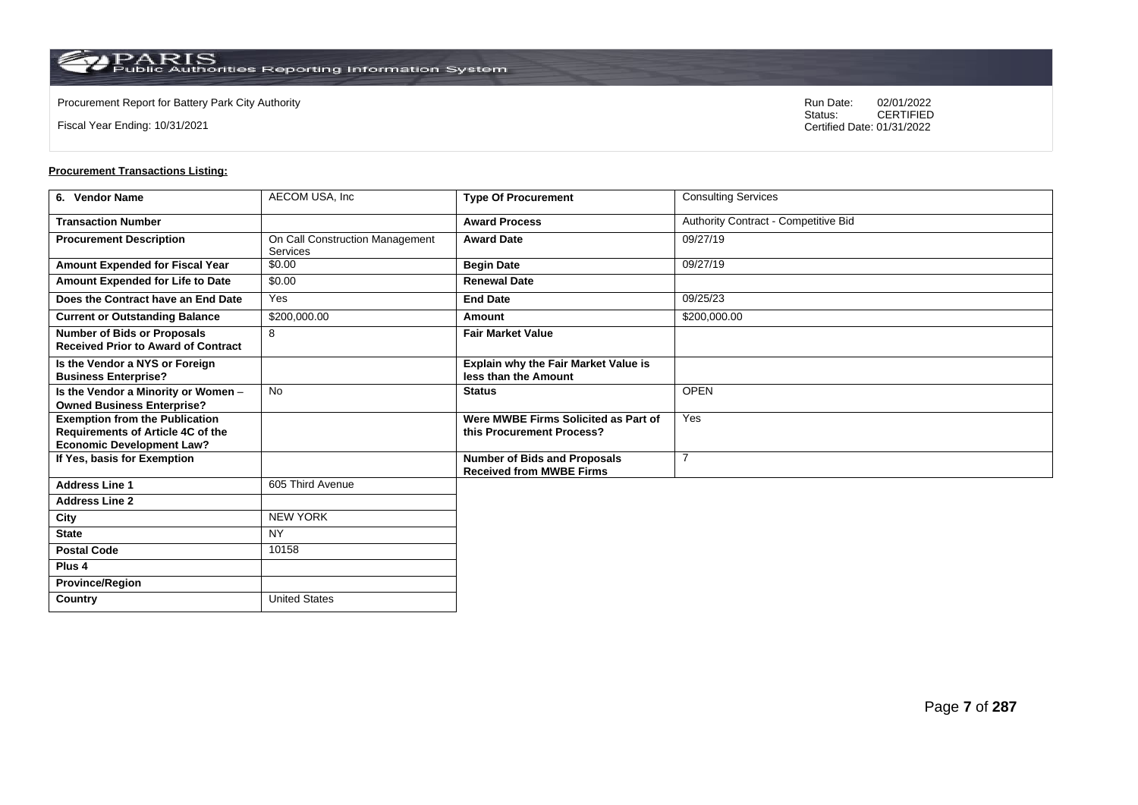**Country** United States

Fiscal Year Ending: 10/31/2021

Procurement Report for Battery Park City Authority **National State Concrete Concrete Concrete Concrete Concrete Concrete Concrete Concrete Concrete Concrete Concrete Concrete Concrete Concrete Concrete Concrete Concrete Co** CERTIFIED Certified Date: 01/31/2022

| 6. Vendor Name                                                                                                 | AECOM USA, Inc                                     | <b>Type Of Procurement</b>                                             | <b>Consulting Services</b>           |
|----------------------------------------------------------------------------------------------------------------|----------------------------------------------------|------------------------------------------------------------------------|--------------------------------------|
| <b>Transaction Number</b>                                                                                      |                                                    | <b>Award Process</b>                                                   | Authority Contract - Competitive Bid |
| <b>Procurement Description</b>                                                                                 | On Call Construction Management<br><b>Services</b> | <b>Award Date</b>                                                      | 09/27/19                             |
| Amount Expended for Fiscal Year                                                                                | \$0.00                                             | <b>Begin Date</b>                                                      | 09/27/19                             |
| Amount Expended for Life to Date                                                                               | \$0.00                                             | <b>Renewal Date</b>                                                    |                                      |
| Does the Contract have an End Date                                                                             | Yes                                                | <b>End Date</b>                                                        | 09/25/23                             |
| <b>Current or Outstanding Balance</b>                                                                          | \$200,000.00                                       | Amount                                                                 | \$200,000.00                         |
| <b>Number of Bids or Proposals</b><br><b>Received Prior to Award of Contract</b>                               | 8                                                  | <b>Fair Market Value</b>                                               |                                      |
| Is the Vendor a NYS or Foreign<br><b>Business Enterprise?</b>                                                  |                                                    | <b>Explain why the Fair Market Value is</b><br>less than the Amount    |                                      |
| Is the Vendor a Minority or Women -<br><b>Owned Business Enterprise?</b>                                       | <b>No</b>                                          | <b>Status</b>                                                          | <b>OPEN</b>                          |
| <b>Exemption from the Publication</b><br>Requirements of Article 4C of the<br><b>Economic Development Law?</b> |                                                    | Were MWBE Firms Solicited as Part of<br>this Procurement Process?      | Yes                                  |
| If Yes, basis for Exemption                                                                                    |                                                    | <b>Number of Bids and Proposals</b><br><b>Received from MWBE Firms</b> | $\overline{7}$                       |
| <b>Address Line 1</b>                                                                                          | 605 Third Avenue                                   |                                                                        |                                      |
| <b>Address Line 2</b>                                                                                          |                                                    |                                                                        |                                      |
| City                                                                                                           | <b>NEW YORK</b>                                    |                                                                        |                                      |
| <b>State</b>                                                                                                   | <b>NY</b>                                          |                                                                        |                                      |
| <b>Postal Code</b>                                                                                             | 10158                                              |                                                                        |                                      |
| Plus <sub>4</sub>                                                                                              |                                                    |                                                                        |                                      |
| <b>Province/Region</b>                                                                                         |                                                    |                                                                        |                                      |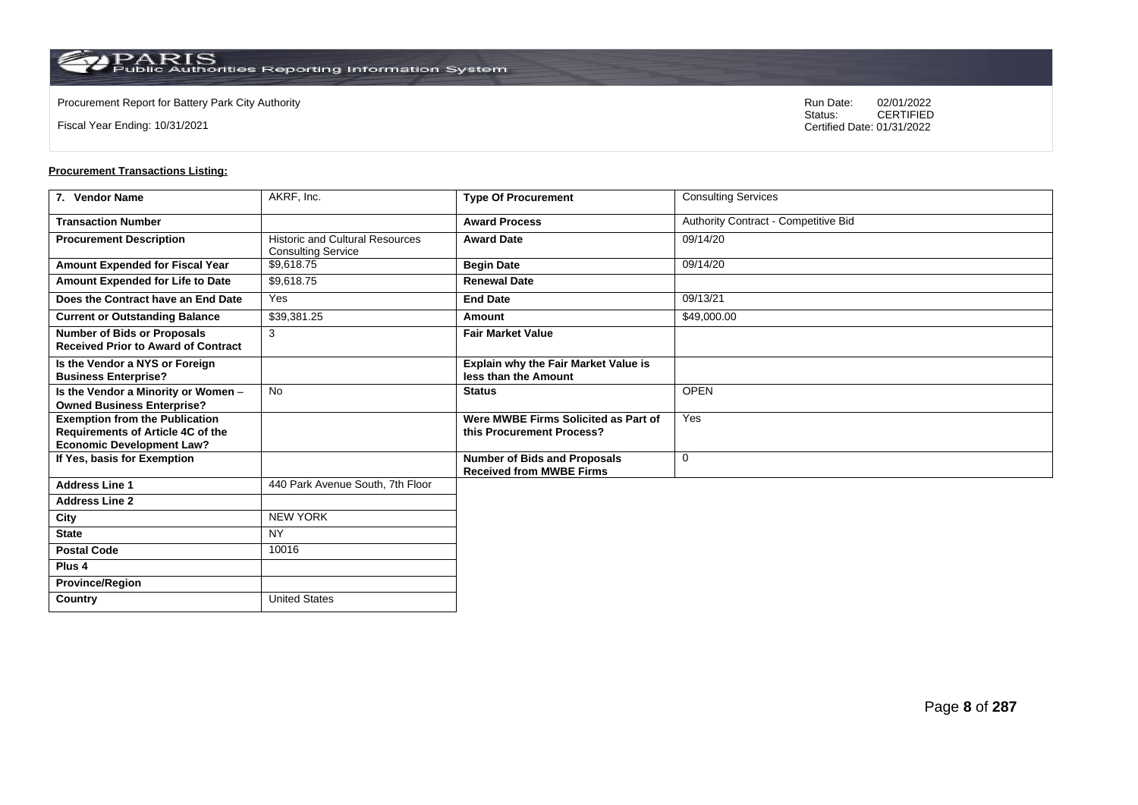**Country** United States

Fiscal Year Ending: 10/31/2021

Procurement Report for Battery Park City Authority **National State Concrete Concrete Concrete Concrete Concrete Concrete Concrete Concrete Concrete Concrete Concrete Concrete Concrete Concrete Concrete Concrete Concrete Co** CERTIFIED Certified Date: 01/31/2022

| 7. Vendor Name                                                                                                 | AKRF, Inc.                                                          | <b>Type Of Procurement</b>                                             | <b>Consulting Services</b>           |
|----------------------------------------------------------------------------------------------------------------|---------------------------------------------------------------------|------------------------------------------------------------------------|--------------------------------------|
| <b>Transaction Number</b>                                                                                      |                                                                     | <b>Award Process</b>                                                   | Authority Contract - Competitive Bid |
| <b>Procurement Description</b>                                                                                 | <b>Historic and Cultural Resources</b><br><b>Consulting Service</b> | <b>Award Date</b>                                                      | 09/14/20                             |
| Amount Expended for Fiscal Year                                                                                | \$9.618.75                                                          | <b>Begin Date</b>                                                      | 09/14/20                             |
| Amount Expended for Life to Date                                                                               | \$9,618.75                                                          | <b>Renewal Date</b>                                                    |                                      |
| Does the Contract have an End Date                                                                             | Yes                                                                 | <b>End Date</b>                                                        | 09/13/21                             |
| <b>Current or Outstanding Balance</b>                                                                          | \$39,381.25                                                         | Amount                                                                 | \$49,000.00                          |
| <b>Number of Bids or Proposals</b><br><b>Received Prior to Award of Contract</b>                               | 3                                                                   | <b>Fair Market Value</b>                                               |                                      |
| Is the Vendor a NYS or Foreign<br><b>Business Enterprise?</b>                                                  |                                                                     | <b>Explain why the Fair Market Value is</b><br>less than the Amount    |                                      |
| Is the Vendor a Minority or Women -<br><b>Owned Business Enterprise?</b>                                       | <b>No</b>                                                           | <b>Status</b>                                                          | <b>OPEN</b>                          |
| <b>Exemption from the Publication</b><br>Requirements of Article 4C of the<br><b>Economic Development Law?</b> |                                                                     | Were MWBE Firms Solicited as Part of<br>this Procurement Process?      | Yes                                  |
| If Yes, basis for Exemption                                                                                    |                                                                     | <b>Number of Bids and Proposals</b><br><b>Received from MWBE Firms</b> | $\mathbf 0$                          |
| <b>Address Line 1</b>                                                                                          | 440 Park Avenue South, 7th Floor                                    |                                                                        |                                      |
| <b>Address Line 2</b>                                                                                          |                                                                     |                                                                        |                                      |
| City                                                                                                           | <b>NEW YORK</b>                                                     |                                                                        |                                      |
| <b>State</b>                                                                                                   | <b>NY</b>                                                           |                                                                        |                                      |
| <b>Postal Code</b>                                                                                             | 10016                                                               |                                                                        |                                      |
| Plus <sub>4</sub>                                                                                              |                                                                     |                                                                        |                                      |
| <b>Province/Region</b>                                                                                         |                                                                     |                                                                        |                                      |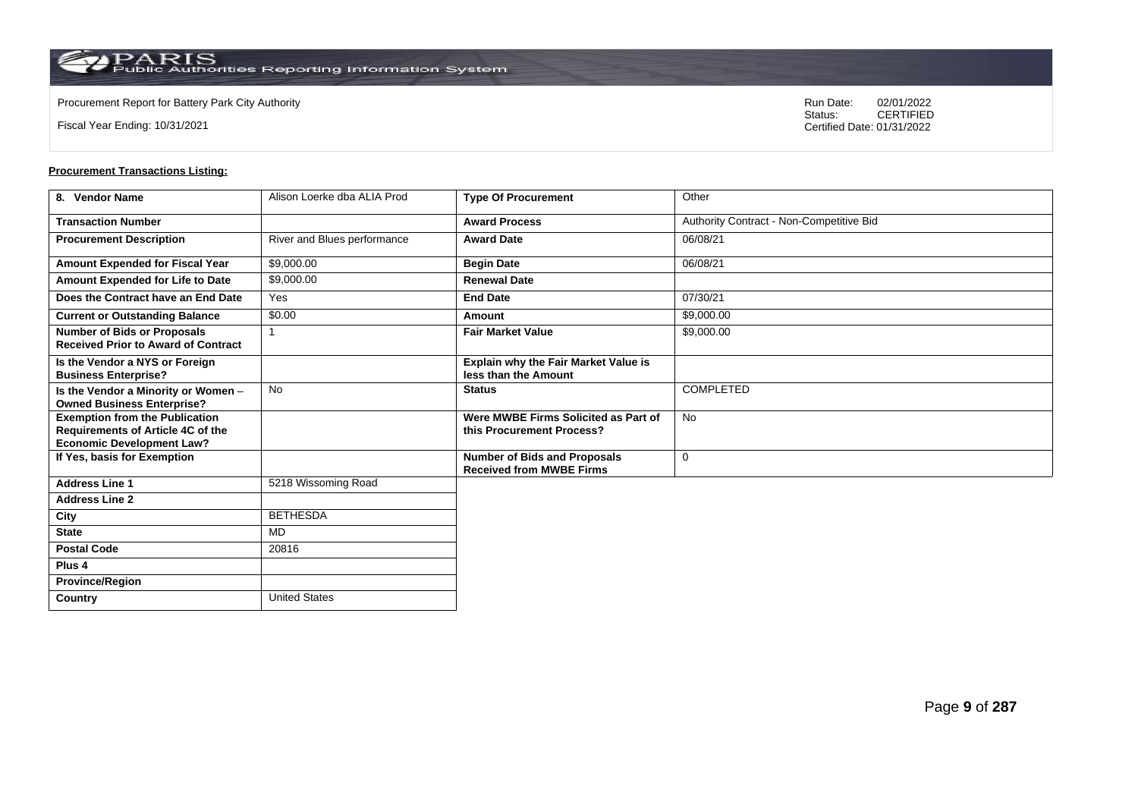**Country** United States

Fiscal Year Ending: 10/31/2021

Procurement Report for Battery Park City Authority **National State Concrete Concrete Concrete Concrete Concrete Concrete Concrete Concrete Concrete Concrete Concrete Concrete Concrete Concrete Concrete Concrete Concrete Co** CERTIFIED Certified Date: 01/31/2022

| 8. Vendor Name                                                                                                 | Alison Loerke dba ALIA Prod | <b>Type Of Procurement</b>                                             | Other                                    |
|----------------------------------------------------------------------------------------------------------------|-----------------------------|------------------------------------------------------------------------|------------------------------------------|
| <b>Transaction Number</b>                                                                                      |                             | <b>Award Process</b>                                                   | Authority Contract - Non-Competitive Bid |
| <b>Procurement Description</b>                                                                                 | River and Blues performance | <b>Award Date</b>                                                      | 06/08/21                                 |
| Amount Expended for Fiscal Year                                                                                | \$9,000.00                  | <b>Begin Date</b>                                                      | 06/08/21                                 |
| Amount Expended for Life to Date                                                                               | \$9,000.00                  | <b>Renewal Date</b>                                                    |                                          |
| Does the Contract have an End Date                                                                             | Yes                         | <b>End Date</b>                                                        | 07/30/21                                 |
| <b>Current or Outstanding Balance</b>                                                                          | \$0.00                      | Amount                                                                 | \$9,000.00                               |
| <b>Number of Bids or Proposals</b><br><b>Received Prior to Award of Contract</b>                               |                             | <b>Fair Market Value</b>                                               | \$9,000.00                               |
| Is the Vendor a NYS or Foreign<br><b>Business Enterprise?</b>                                                  |                             | Explain why the Fair Market Value is<br>less than the Amount           |                                          |
| Is the Vendor a Minority or Women -<br><b>Owned Business Enterprise?</b>                                       | No                          | <b>Status</b>                                                          | <b>COMPLETED</b>                         |
| <b>Exemption from the Publication</b><br>Requirements of Article 4C of the<br><b>Economic Development Law?</b> |                             | Were MWBE Firms Solicited as Part of<br>this Procurement Process?      | No                                       |
| If Yes, basis for Exemption                                                                                    |                             | <b>Number of Bids and Proposals</b><br><b>Received from MWBE Firms</b> | 0                                        |
| <b>Address Line 1</b>                                                                                          | 5218 Wissoming Road         |                                                                        |                                          |
| <b>Address Line 2</b>                                                                                          |                             |                                                                        |                                          |
| City                                                                                                           | <b>BETHESDA</b>             |                                                                        |                                          |
| <b>State</b>                                                                                                   | <b>MD</b>                   |                                                                        |                                          |
| <b>Postal Code</b>                                                                                             | 20816                       |                                                                        |                                          |
| Plus <sub>4</sub>                                                                                              |                             |                                                                        |                                          |
| <b>Province/Region</b>                                                                                         |                             |                                                                        |                                          |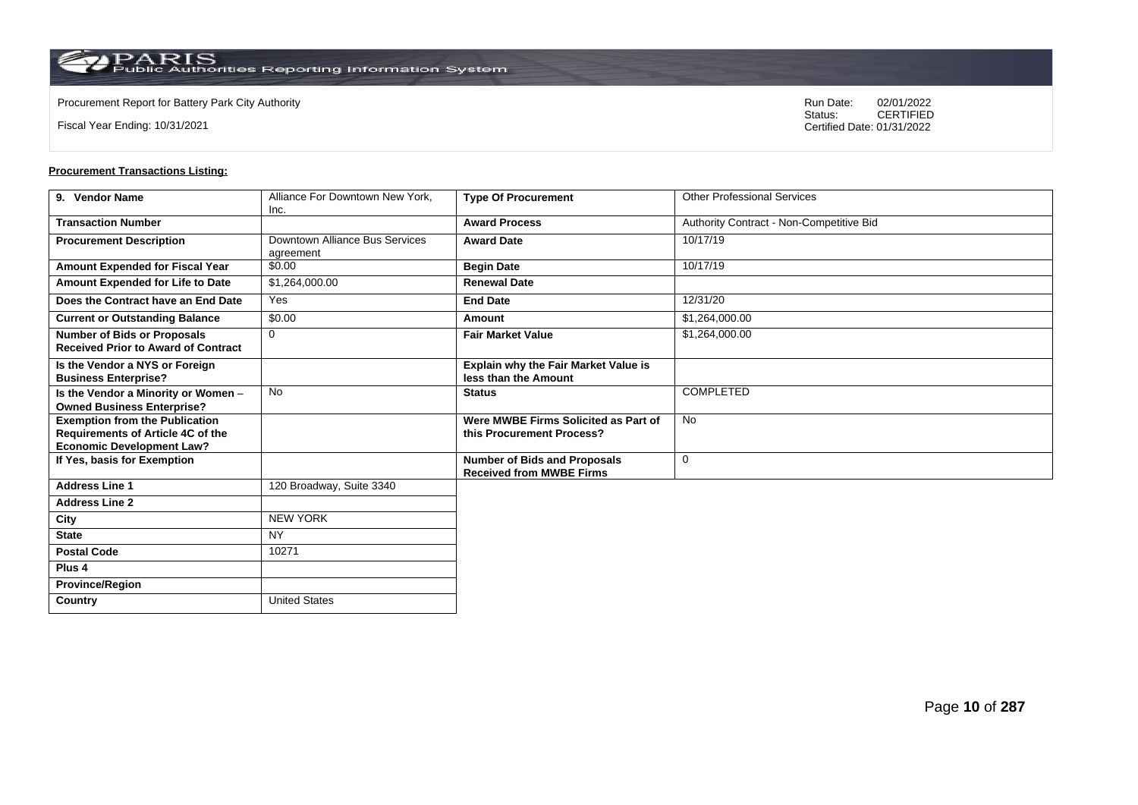Fiscal Year Ending: 10/31/2021

Procurement Report for Battery Park City Authority **National State Concrete Concrete Concrete Concrete Concrete Concrete Concrete Concrete Concrete Concrete Concrete Concrete Concrete Concrete Concrete Concrete Concrete Co** CERTIFIED Certified Date: 01/31/2022

| 9. Vendor Name                                                                                                 | Alliance For Downtown New York.<br>Inc.     | <b>Type Of Procurement</b>                                             | <b>Other Professional Services</b>       |
|----------------------------------------------------------------------------------------------------------------|---------------------------------------------|------------------------------------------------------------------------|------------------------------------------|
| <b>Transaction Number</b>                                                                                      |                                             | <b>Award Process</b>                                                   | Authority Contract - Non-Competitive Bid |
| <b>Procurement Description</b>                                                                                 | Downtown Alliance Bus Services<br>agreement | <b>Award Date</b>                                                      | 10/17/19                                 |
| Amount Expended for Fiscal Year                                                                                | \$0.00                                      | <b>Begin Date</b>                                                      | 10/17/19                                 |
| Amount Expended for Life to Date                                                                               | \$1,264,000.00                              | <b>Renewal Date</b>                                                    |                                          |
| Does the Contract have an End Date                                                                             | Yes                                         | <b>End Date</b>                                                        | 12/31/20                                 |
| <b>Current or Outstanding Balance</b>                                                                          | \$0.00                                      | Amount                                                                 | \$1,264,000.00                           |
| <b>Number of Bids or Proposals</b><br><b>Received Prior to Award of Contract</b>                               | $\mathbf 0$                                 | <b>Fair Market Value</b>                                               | \$1,264,000.00                           |
| Is the Vendor a NYS or Foreign<br><b>Business Enterprise?</b>                                                  |                                             | <b>Explain why the Fair Market Value is</b><br>less than the Amount    |                                          |
| Is the Vendor a Minority or Women -<br><b>Owned Business Enterprise?</b>                                       | <b>No</b>                                   | <b>Status</b>                                                          | <b>COMPLETED</b>                         |
| <b>Exemption from the Publication</b><br>Requirements of Article 4C of the<br><b>Economic Development Law?</b> |                                             | Were MWBE Firms Solicited as Part of<br>this Procurement Process?      | <b>No</b>                                |
| If Yes, basis for Exemption                                                                                    |                                             | <b>Number of Bids and Proposals</b><br><b>Received from MWBE Firms</b> | $\mathbf 0$                              |
| <b>Address Line 1</b>                                                                                          | 120 Broadway, Suite 3340                    |                                                                        |                                          |
| <b>Address Line 2</b>                                                                                          |                                             |                                                                        |                                          |
| City                                                                                                           | <b>NEW YORK</b>                             |                                                                        |                                          |
| <b>State</b>                                                                                                   | <b>NY</b>                                   |                                                                        |                                          |
| <b>Postal Code</b>                                                                                             | 10271                                       |                                                                        |                                          |
| Plus <sub>4</sub>                                                                                              |                                             |                                                                        |                                          |
| <b>Province/Region</b>                                                                                         |                                             |                                                                        |                                          |
| Country                                                                                                        | <b>United States</b>                        |                                                                        |                                          |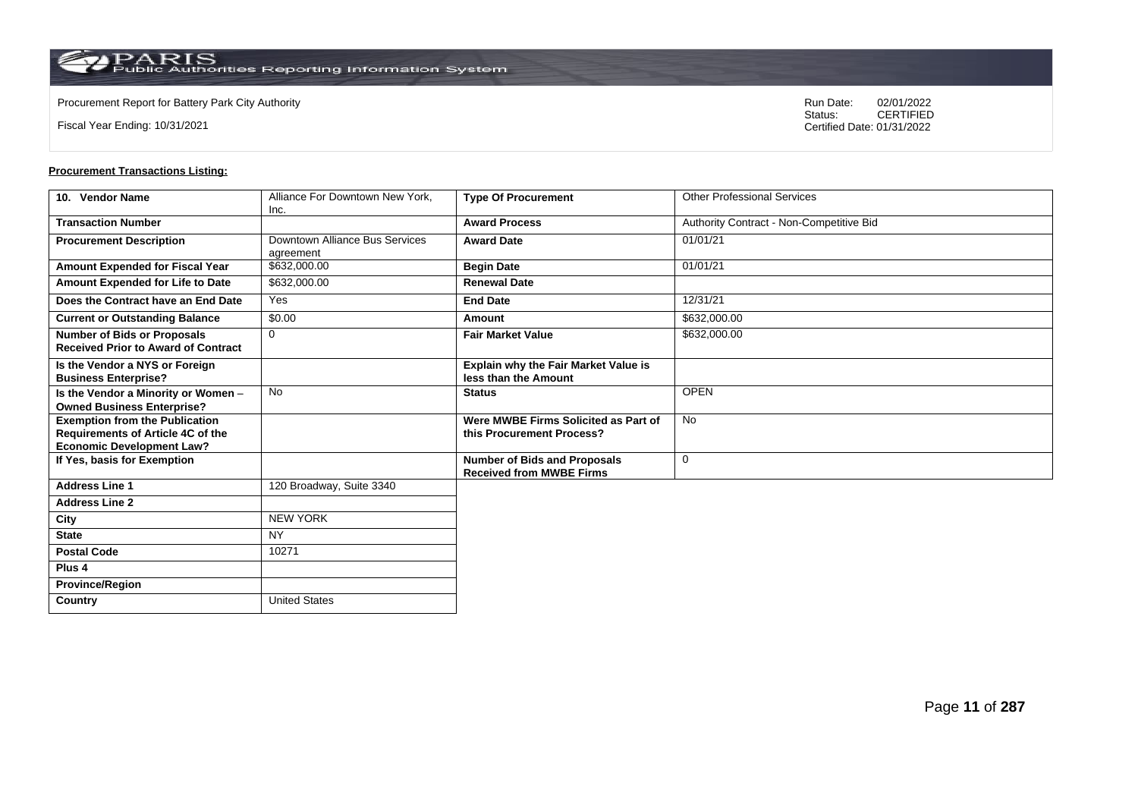Fiscal Year Ending: 10/31/2021

Procurement Report for Battery Park City Authority **National State Concrete Concrete Concrete Concrete Concrete Concrete Concrete Concrete Concrete Concrete Concrete Concrete Concrete Concrete Concrete Concrete Concrete Co** CERTIFIED Certified Date: 01/31/2022

| 10. Vendor Name                                                                                                | Alliance For Downtown New York,<br>Inc.     | <b>Type Of Procurement</b>                                             | <b>Other Professional Services</b>       |
|----------------------------------------------------------------------------------------------------------------|---------------------------------------------|------------------------------------------------------------------------|------------------------------------------|
| <b>Transaction Number</b>                                                                                      |                                             | <b>Award Process</b>                                                   | Authority Contract - Non-Competitive Bid |
| <b>Procurement Description</b>                                                                                 | Downtown Alliance Bus Services<br>agreement | <b>Award Date</b>                                                      | 01/01/21                                 |
| Amount Expended for Fiscal Year                                                                                | \$632,000.00                                | <b>Begin Date</b>                                                      | 01/01/21                                 |
| Amount Expended for Life to Date                                                                               | \$632,000.00                                | <b>Renewal Date</b>                                                    |                                          |
| Does the Contract have an End Date                                                                             | Yes                                         | <b>End Date</b>                                                        | 12/31/21                                 |
| <b>Current or Outstanding Balance</b>                                                                          | \$0.00                                      | Amount                                                                 | \$632,000.00                             |
| <b>Number of Bids or Proposals</b><br><b>Received Prior to Award of Contract</b>                               | $\mathbf 0$                                 | <b>Fair Market Value</b>                                               | \$632,000.00                             |
| Is the Vendor a NYS or Foreign<br><b>Business Enterprise?</b>                                                  |                                             | <b>Explain why the Fair Market Value is</b><br>less than the Amount    |                                          |
| Is the Vendor a Minority or Women -<br><b>Owned Business Enterprise?</b>                                       | No                                          | <b>Status</b>                                                          | <b>OPEN</b>                              |
| <b>Exemption from the Publication</b><br>Requirements of Article 4C of the<br><b>Economic Development Law?</b> |                                             | Were MWBE Firms Solicited as Part of<br>this Procurement Process?      | <b>No</b>                                |
| If Yes, basis for Exemption                                                                                    |                                             | <b>Number of Bids and Proposals</b><br><b>Received from MWBE Firms</b> | $\mathbf 0$                              |
| <b>Address Line 1</b>                                                                                          | 120 Broadway, Suite 3340                    |                                                                        |                                          |
| <b>Address Line 2</b>                                                                                          |                                             |                                                                        |                                          |
| City                                                                                                           | <b>NEW YORK</b>                             |                                                                        |                                          |
| <b>State</b>                                                                                                   | <b>NY</b>                                   |                                                                        |                                          |
| <b>Postal Code</b>                                                                                             | 10271                                       |                                                                        |                                          |
| Plus <sub>4</sub>                                                                                              |                                             |                                                                        |                                          |
| <b>Province/Region</b>                                                                                         |                                             |                                                                        |                                          |
| Country                                                                                                        | <b>United States</b>                        |                                                                        |                                          |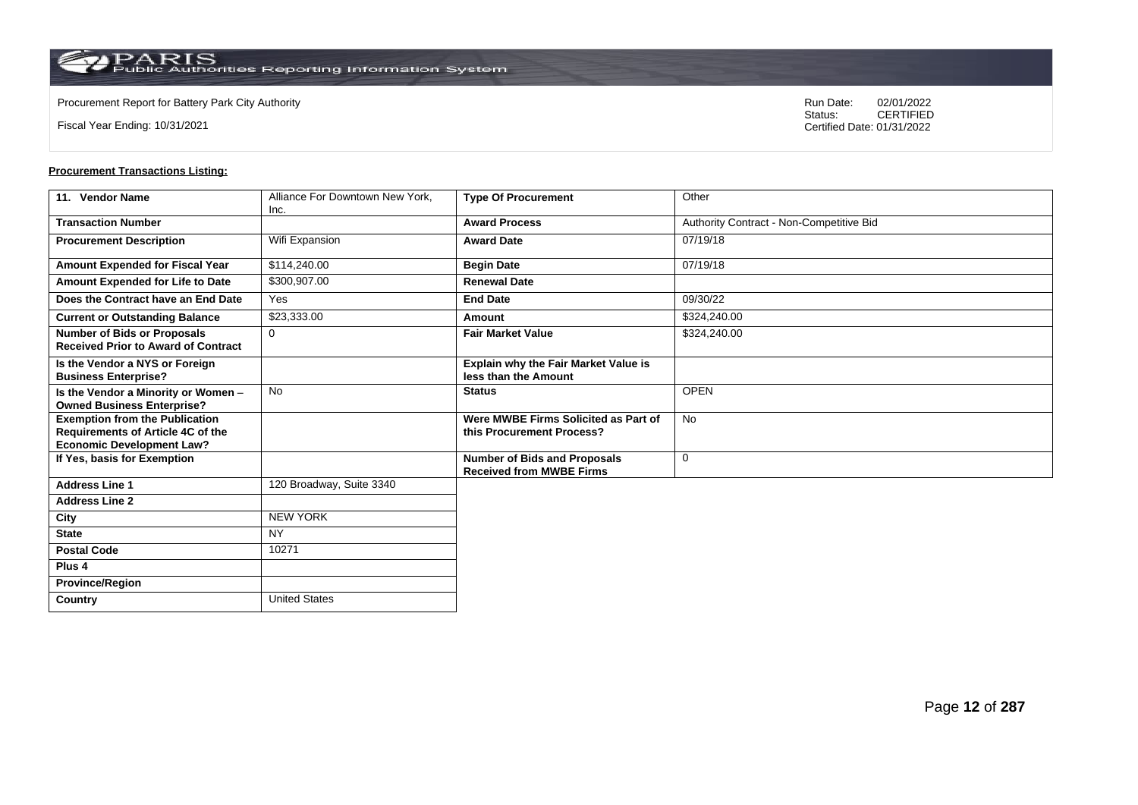**Country** United States

Fiscal Year Ending: 10/31/2021

Procurement Report for Battery Park City Authority **National State Concrete Concrete Concrete Concrete Concrete Concrete Concrete Concrete Concrete Concrete Concrete Concrete Concrete Concrete Concrete Concrete Concrete Co** CERTIFIED Certified Date: 01/31/2022

| 11. Vendor Name                                                                                                | Alliance For Downtown New York,<br>Inc. | <b>Type Of Procurement</b>                                             | Other                                    |
|----------------------------------------------------------------------------------------------------------------|-----------------------------------------|------------------------------------------------------------------------|------------------------------------------|
| <b>Transaction Number</b>                                                                                      |                                         | <b>Award Process</b>                                                   | Authority Contract - Non-Competitive Bid |
| <b>Procurement Description</b>                                                                                 | Wifi Expansion                          | <b>Award Date</b>                                                      | 07/19/18                                 |
| Amount Expended for Fiscal Year                                                                                | \$114,240.00                            | <b>Begin Date</b>                                                      | 07/19/18                                 |
| Amount Expended for Life to Date                                                                               | \$300,907.00                            | <b>Renewal Date</b>                                                    |                                          |
| Does the Contract have an End Date                                                                             | Yes                                     | <b>End Date</b>                                                        | 09/30/22                                 |
| <b>Current or Outstanding Balance</b>                                                                          | \$23,333.00                             | Amount                                                                 | \$324,240.00                             |
| <b>Number of Bids or Proposals</b><br><b>Received Prior to Award of Contract</b>                               | $\mathbf 0$                             | <b>Fair Market Value</b>                                               | \$324,240.00                             |
| Is the Vendor a NYS or Foreign<br><b>Business Enterprise?</b>                                                  |                                         | Explain why the Fair Market Value is<br>less than the Amount           |                                          |
| Is the Vendor a Minority or Women -<br><b>Owned Business Enterprise?</b>                                       | <b>No</b>                               | <b>Status</b>                                                          | <b>OPEN</b>                              |
| <b>Exemption from the Publication</b><br>Requirements of Article 4C of the<br><b>Economic Development Law?</b> |                                         | Were MWBE Firms Solicited as Part of<br>this Procurement Process?      | No                                       |
| If Yes, basis for Exemption                                                                                    |                                         | <b>Number of Bids and Proposals</b><br><b>Received from MWBE Firms</b> | $\mathbf 0$                              |
| <b>Address Line 1</b>                                                                                          | 120 Broadway, Suite 3340                |                                                                        |                                          |
| <b>Address Line 2</b>                                                                                          |                                         |                                                                        |                                          |
| City                                                                                                           | <b>NEW YORK</b>                         |                                                                        |                                          |
| <b>State</b>                                                                                                   | <b>NY</b>                               |                                                                        |                                          |
| <b>Postal Code</b>                                                                                             | 10271                                   |                                                                        |                                          |
| Plus <sub>4</sub>                                                                                              |                                         |                                                                        |                                          |
| <b>Province/Region</b>                                                                                         |                                         |                                                                        |                                          |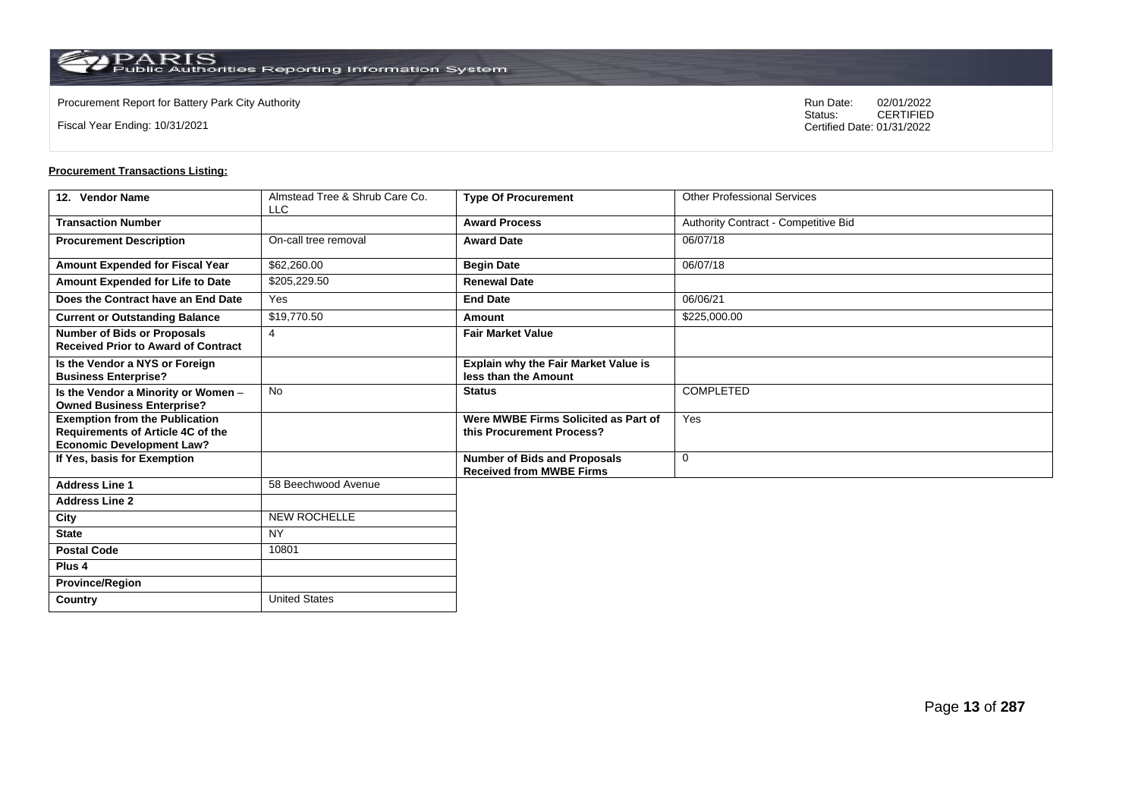**Country** United States

Fiscal Year Ending: 10/31/2021

Procurement Report for Battery Park City Authority **National State Concrete Concrete Concrete Concrete Concrete Concrete Concrete Concrete Concrete Concrete Concrete Concrete Concrete Concrete Concrete Concrete Concrete Co** CERTIFIED Certified Date: 01/31/2022

| 12. Vendor Name                                                                                                       | Almstead Tree & Shrub Care Co. | <b>Type Of Procurement</b>                                             | <b>Other Professional Services</b>   |
|-----------------------------------------------------------------------------------------------------------------------|--------------------------------|------------------------------------------------------------------------|--------------------------------------|
|                                                                                                                       | <b>LLC</b>                     |                                                                        |                                      |
| <b>Transaction Number</b>                                                                                             |                                | <b>Award Process</b>                                                   | Authority Contract - Competitive Bid |
| <b>Procurement Description</b>                                                                                        | On-call tree removal           | <b>Award Date</b>                                                      | 06/07/18                             |
| Amount Expended for Fiscal Year                                                                                       | \$62,260.00                    | <b>Begin Date</b>                                                      | 06/07/18                             |
| Amount Expended for Life to Date                                                                                      | \$205,229.50                   | <b>Renewal Date</b>                                                    |                                      |
| Does the Contract have an End Date                                                                                    | Yes                            | <b>End Date</b>                                                        | 06/06/21                             |
| <b>Current or Outstanding Balance</b>                                                                                 | \$19,770.50                    | Amount                                                                 | \$225,000.00                         |
| <b>Number of Bids or Proposals</b><br><b>Received Prior to Award of Contract</b>                                      | $\overline{4}$                 | <b>Fair Market Value</b>                                               |                                      |
| Is the Vendor a NYS or Foreign<br><b>Business Enterprise?</b>                                                         |                                | Explain why the Fair Market Value is<br>less than the Amount           |                                      |
| Is the Vendor a Minority or Women -<br><b>Owned Business Enterprise?</b>                                              | <b>No</b>                      | <b>Status</b>                                                          | <b>COMPLETED</b>                     |
| <b>Exemption from the Publication</b><br><b>Requirements of Article 4C of the</b><br><b>Economic Development Law?</b> |                                | Were MWBE Firms Solicited as Part of<br>this Procurement Process?      | Yes                                  |
| If Yes, basis for Exemption                                                                                           |                                | <b>Number of Bids and Proposals</b><br><b>Received from MWBE Firms</b> | 0                                    |
| <b>Address Line 1</b>                                                                                                 | 58 Beechwood Avenue            |                                                                        |                                      |
| <b>Address Line 2</b>                                                                                                 |                                |                                                                        |                                      |
| City                                                                                                                  | <b>NEW ROCHELLE</b>            |                                                                        |                                      |
| <b>State</b>                                                                                                          | <b>NY</b>                      |                                                                        |                                      |
| <b>Postal Code</b>                                                                                                    | 10801                          |                                                                        |                                      |
| Plus <sub>4</sub>                                                                                                     |                                |                                                                        |                                      |
| <b>Province/Region</b>                                                                                                |                                |                                                                        |                                      |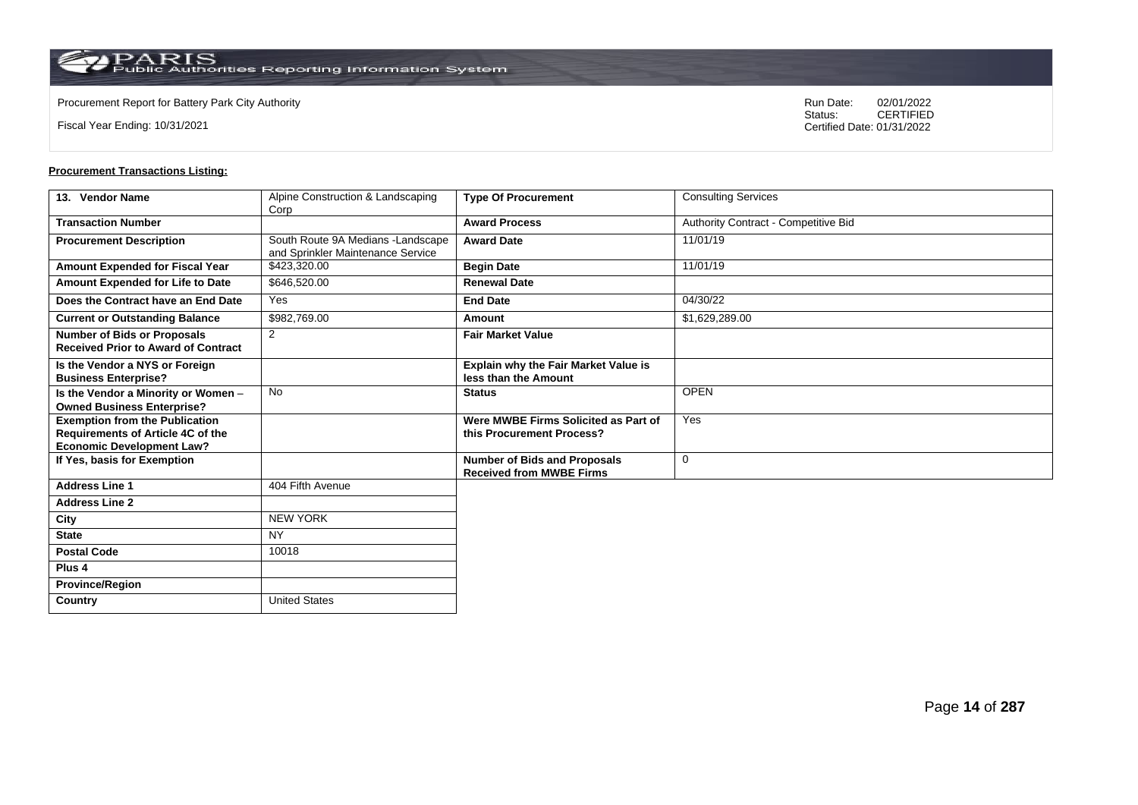Fiscal Year Ending: 10/31/2021

Procurement Report for Battery Park City Authority **National State Concrete Concrete Concrete Concrete Concrete Concrete Concrete Concrete Concrete Concrete Concrete Concrete Concrete Concrete Concrete Concrete Concrete Co** CERTIFIED Certified Date: 01/31/2022

| 13. Vendor Name                                                                                                | Alpine Construction & Landscaping<br>Corp                               | <b>Type Of Procurement</b>                                             | <b>Consulting Services</b>           |
|----------------------------------------------------------------------------------------------------------------|-------------------------------------------------------------------------|------------------------------------------------------------------------|--------------------------------------|
| <b>Transaction Number</b>                                                                                      |                                                                         | <b>Award Process</b>                                                   | Authority Contract - Competitive Bid |
| <b>Procurement Description</b>                                                                                 | South Route 9A Medians - Landscape<br>and Sprinkler Maintenance Service | <b>Award Date</b>                                                      | 11/01/19                             |
| Amount Expended for Fiscal Year                                                                                | \$423,320.00                                                            | <b>Begin Date</b>                                                      | 11/01/19                             |
| Amount Expended for Life to Date                                                                               | \$646,520.00                                                            | <b>Renewal Date</b>                                                    |                                      |
| Does the Contract have an End Date                                                                             | Yes                                                                     | <b>End Date</b>                                                        | 04/30/22                             |
| <b>Current or Outstanding Balance</b>                                                                          | \$982,769.00                                                            | Amount                                                                 | \$1,629,289.00                       |
| <b>Number of Bids or Proposals</b><br><b>Received Prior to Award of Contract</b>                               | $\overline{2}$                                                          | <b>Fair Market Value</b>                                               |                                      |
| Is the Vendor a NYS or Foreign<br><b>Business Enterprise?</b>                                                  |                                                                         | Explain why the Fair Market Value is<br>less than the Amount           |                                      |
| Is the Vendor a Minority or Women -<br><b>Owned Business Enterprise?</b>                                       | <b>No</b>                                                               | <b>Status</b>                                                          | <b>OPEN</b>                          |
| <b>Exemption from the Publication</b><br>Requirements of Article 4C of the<br><b>Economic Development Law?</b> |                                                                         | Were MWBE Firms Solicited as Part of<br>this Procurement Process?      | Yes                                  |
| If Yes, basis for Exemption                                                                                    |                                                                         | <b>Number of Bids and Proposals</b><br><b>Received from MWBE Firms</b> | $\mathbf 0$                          |
| <b>Address Line 1</b>                                                                                          | 404 Fifth Avenue                                                        |                                                                        |                                      |
| <b>Address Line 2</b>                                                                                          |                                                                         |                                                                        |                                      |
| City                                                                                                           | <b>NEW YORK</b>                                                         |                                                                        |                                      |
| <b>State</b>                                                                                                   | <b>NY</b>                                                               |                                                                        |                                      |
| <b>Postal Code</b>                                                                                             | 10018                                                                   |                                                                        |                                      |
| Plus <sub>4</sub>                                                                                              |                                                                         |                                                                        |                                      |
| <b>Province/Region</b>                                                                                         |                                                                         |                                                                        |                                      |
| Country                                                                                                        | United States                                                           |                                                                        |                                      |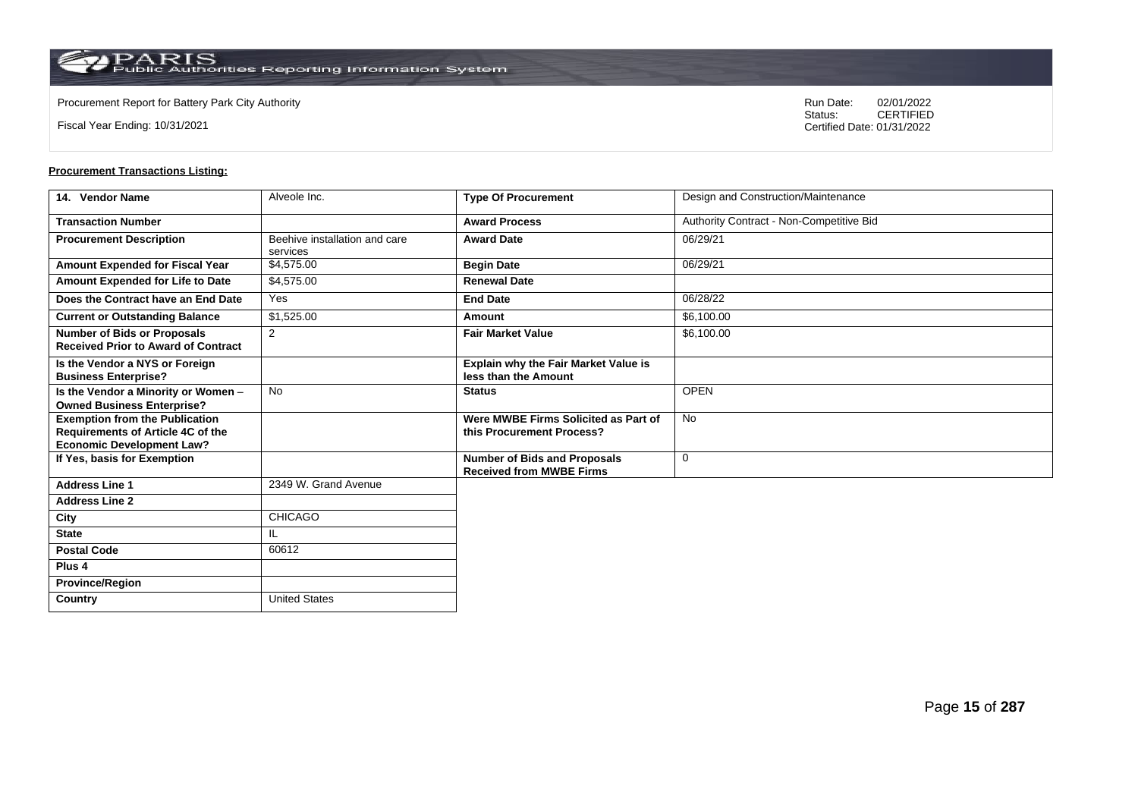**Country** United States

Fiscal Year Ending: 10/31/2021

Procurement Report for Battery Park City Authority **National State Concrete Concrete Concrete Concrete Concrete Concrete Concrete Concrete Concrete Concrete Concrete Concrete Concrete Concrete Concrete Concrete Concrete Co** CERTIFIED Certified Date: 01/31/2022

| 14. Vendor Name                                                                                                | Alveole Inc.                              | <b>Type Of Procurement</b>                                             | Design and Construction/Maintenance      |
|----------------------------------------------------------------------------------------------------------------|-------------------------------------------|------------------------------------------------------------------------|------------------------------------------|
| <b>Transaction Number</b>                                                                                      |                                           | <b>Award Process</b>                                                   | Authority Contract - Non-Competitive Bid |
| <b>Procurement Description</b>                                                                                 | Beehive installation and care<br>services | <b>Award Date</b>                                                      | 06/29/21                                 |
| Amount Expended for Fiscal Year                                                                                | \$4,575.00                                | <b>Begin Date</b>                                                      | 06/29/21                                 |
| Amount Expended for Life to Date                                                                               | \$4,575.00                                | <b>Renewal Date</b>                                                    |                                          |
| Does the Contract have an End Date                                                                             | Yes                                       | <b>End Date</b>                                                        | 06/28/22                                 |
| <b>Current or Outstanding Balance</b>                                                                          | \$1,525.00                                | <b>Amount</b>                                                          | \$6,100.00                               |
| <b>Number of Bids or Proposals</b><br><b>Received Prior to Award of Contract</b>                               | 2                                         | <b>Fair Market Value</b>                                               | \$6,100.00                               |
| Is the Vendor a NYS or Foreign<br><b>Business Enterprise?</b>                                                  |                                           | <b>Explain why the Fair Market Value is</b><br>less than the Amount    |                                          |
| Is the Vendor a Minority or Women -<br><b>Owned Business Enterprise?</b>                                       | <b>No</b>                                 | <b>Status</b>                                                          | <b>OPEN</b>                              |
| <b>Exemption from the Publication</b><br>Requirements of Article 4C of the<br><b>Economic Development Law?</b> |                                           | Were MWBE Firms Solicited as Part of<br>this Procurement Process?      | No                                       |
| If Yes, basis for Exemption                                                                                    |                                           | <b>Number of Bids and Proposals</b><br><b>Received from MWBE Firms</b> | $\mathbf 0$                              |
| <b>Address Line 1</b>                                                                                          | 2349 W. Grand Avenue                      |                                                                        |                                          |
| <b>Address Line 2</b>                                                                                          |                                           |                                                                        |                                          |
| City                                                                                                           | CHICAGO                                   |                                                                        |                                          |
| <b>State</b>                                                                                                   | IL.                                       |                                                                        |                                          |
| <b>Postal Code</b>                                                                                             | 60612                                     |                                                                        |                                          |
| Plus <sub>4</sub>                                                                                              |                                           |                                                                        |                                          |
| <b>Province/Region</b>                                                                                         |                                           |                                                                        |                                          |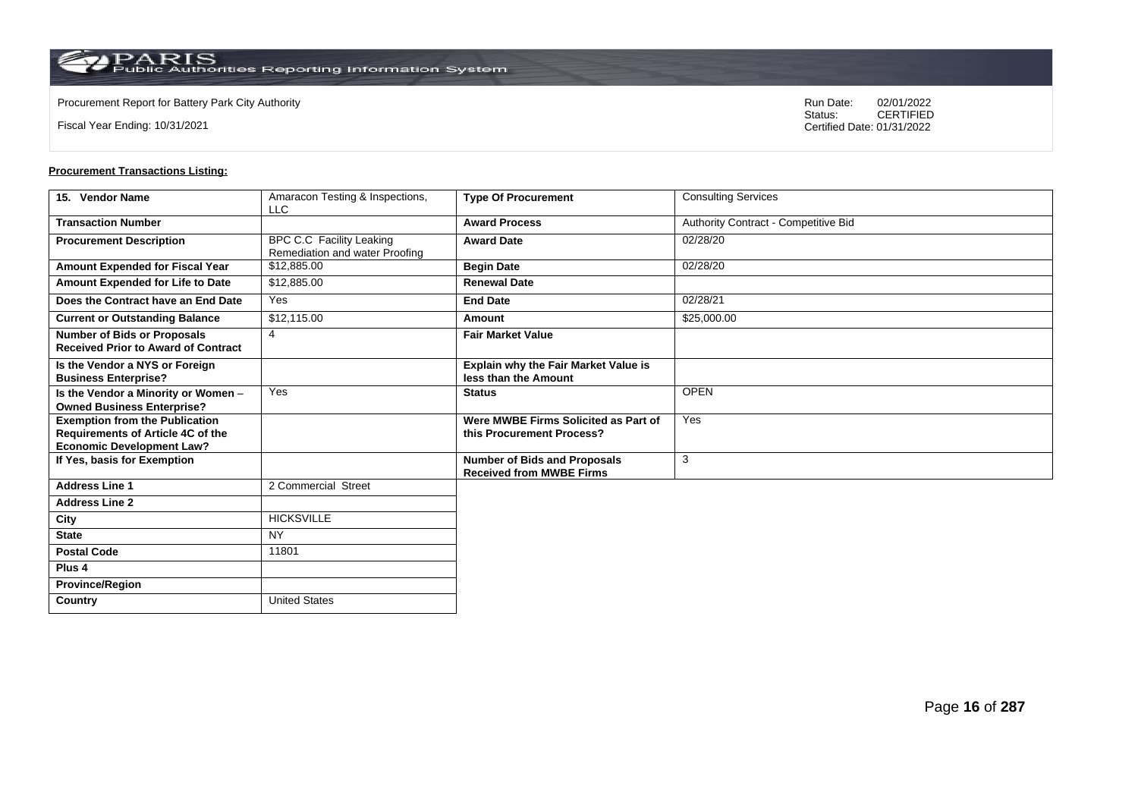Fiscal Year Ending: 10/31/2021

Procurement Report for Battery Park City Authority **National State Concrete Concrete Concrete Concrete Concrete Concrete Concrete Concrete Concrete Concrete Concrete Concrete Concrete Concrete Concrete Concrete Concrete Co** CERTIFIED Certified Date: 01/31/2022

| 15. Vendor Name                                                                                                       | Amaracon Testing & Inspections,<br><b>LLC</b>                     | <b>Type Of Procurement</b>                                             | <b>Consulting Services</b>           |
|-----------------------------------------------------------------------------------------------------------------------|-------------------------------------------------------------------|------------------------------------------------------------------------|--------------------------------------|
| <b>Transaction Number</b>                                                                                             |                                                                   | <b>Award Process</b>                                                   | Authority Contract - Competitive Bid |
| <b>Procurement Description</b>                                                                                        | <b>BPC C.C Facility Leaking</b><br>Remediation and water Proofing | <b>Award Date</b>                                                      | 02/28/20                             |
| Amount Expended for Fiscal Year                                                                                       | \$12,885.00                                                       | <b>Begin Date</b>                                                      | 02/28/20                             |
| Amount Expended for Life to Date                                                                                      | \$12,885.00                                                       | <b>Renewal Date</b>                                                    |                                      |
| Does the Contract have an End Date                                                                                    | Yes                                                               | <b>End Date</b>                                                        | 02/28/21                             |
| <b>Current or Outstanding Balance</b>                                                                                 | \$12,115.00                                                       | Amount                                                                 | \$25,000.00                          |
| <b>Number of Bids or Proposals</b><br><b>Received Prior to Award of Contract</b>                                      | $\overline{4}$                                                    | <b>Fair Market Value</b>                                               |                                      |
| Is the Vendor a NYS or Foreign<br><b>Business Enterprise?</b>                                                         |                                                                   | <b>Explain why the Fair Market Value is</b><br>less than the Amount    |                                      |
| Is the Vendor a Minority or Women -<br><b>Owned Business Enterprise?</b>                                              | Yes                                                               | <b>Status</b>                                                          | <b>OPEN</b>                          |
| <b>Exemption from the Publication</b><br><b>Requirements of Article 4C of the</b><br><b>Economic Development Law?</b> |                                                                   | Were MWBE Firms Solicited as Part of<br>this Procurement Process?      | Yes                                  |
| If Yes, basis for Exemption                                                                                           |                                                                   | <b>Number of Bids and Proposals</b><br><b>Received from MWBE Firms</b> | 3                                    |
| <b>Address Line 1</b>                                                                                                 | 2 Commercial Street                                               |                                                                        |                                      |
| <b>Address Line 2</b>                                                                                                 |                                                                   |                                                                        |                                      |
| City                                                                                                                  | <b>HICKSVILLE</b>                                                 |                                                                        |                                      |
| <b>State</b>                                                                                                          | <b>NY</b>                                                         |                                                                        |                                      |
| <b>Postal Code</b>                                                                                                    | 11801                                                             |                                                                        |                                      |
| Plus <sub>4</sub>                                                                                                     |                                                                   |                                                                        |                                      |
| <b>Province/Region</b>                                                                                                |                                                                   |                                                                        |                                      |
| Country                                                                                                               | <b>United States</b>                                              |                                                                        |                                      |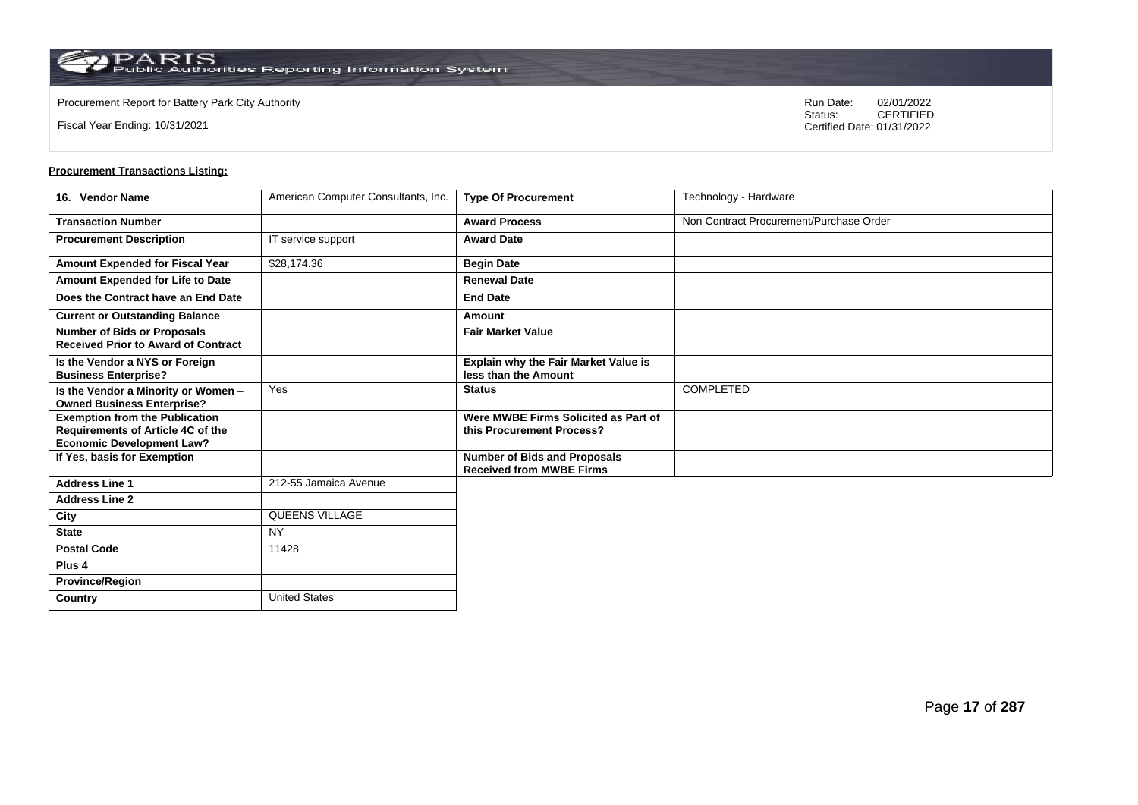Fiscal Year Ending: 10/31/2021

Procurement Report for Battery Park City Authority **National State Concrete Concrete Concrete Concrete Concrete Concrete Concrete Concrete Concrete Concrete Concrete Concrete Concrete Concrete Concrete Concrete Concrete Co** CERTIFIED Certified Date: 01/31/2022

| 16. Vendor Name                                                                   | American Computer Consultants, Inc. | <b>Type Of Procurement</b>                                             | Technology - Hardware                   |
|-----------------------------------------------------------------------------------|-------------------------------------|------------------------------------------------------------------------|-----------------------------------------|
| <b>Transaction Number</b>                                                         |                                     | <b>Award Process</b>                                                   | Non Contract Procurement/Purchase Order |
| <b>Procurement Description</b>                                                    | IT service support                  | <b>Award Date</b>                                                      |                                         |
| Amount Expended for Fiscal Year                                                   | \$28,174.36                         | <b>Begin Date</b>                                                      |                                         |
| Amount Expended for Life to Date                                                  |                                     | <b>Renewal Date</b>                                                    |                                         |
| Does the Contract have an End Date                                                |                                     | <b>End Date</b>                                                        |                                         |
| <b>Current or Outstanding Balance</b>                                             |                                     | Amount                                                                 |                                         |
| <b>Number of Bids or Proposals</b><br><b>Received Prior to Award of Contract</b>  |                                     | <b>Fair Market Value</b>                                               |                                         |
| Is the Vendor a NYS or Foreign<br><b>Business Enterprise?</b>                     |                                     | Explain why the Fair Market Value is<br>less than the Amount           |                                         |
| Is the Vendor a Minority or Women -<br><b>Owned Business Enterprise?</b>          | Yes                                 | <b>Status</b>                                                          | COMPLETED                               |
| <b>Exemption from the Publication</b><br><b>Requirements of Article 4C of the</b> |                                     | Were MWBE Firms Solicited as Part of<br>this Procurement Process?      |                                         |
| <b>Economic Development Law?</b>                                                  |                                     |                                                                        |                                         |
| If Yes, basis for Exemption                                                       |                                     | <b>Number of Bids and Proposals</b><br><b>Received from MWBE Firms</b> |                                         |
| <b>Address Line 1</b>                                                             | 212-55 Jamaica Avenue               |                                                                        |                                         |
| <b>Address Line 2</b>                                                             |                                     |                                                                        |                                         |
| City                                                                              | QUEENS VILLAGE                      |                                                                        |                                         |
| <b>State</b>                                                                      | <b>NY</b>                           |                                                                        |                                         |
| <b>Postal Code</b>                                                                | 11428                               |                                                                        |                                         |
| Plus 4                                                                            |                                     |                                                                        |                                         |
| <b>Province/Region</b>                                                            |                                     |                                                                        |                                         |
| Country                                                                           | <b>United States</b>                |                                                                        |                                         |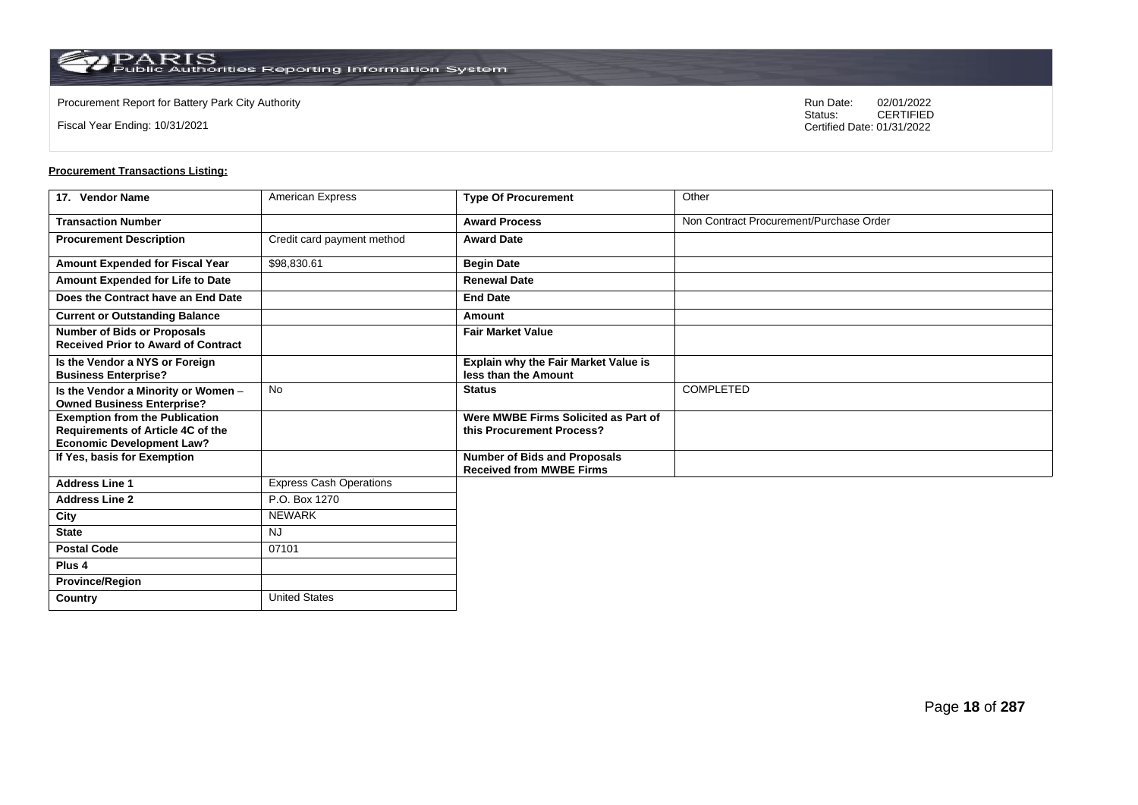Fiscal Year Ending: 10/31/2021

Procurement Report for Battery Park City Authority **National State Concrete Concrete Concrete Concrete Concrete Concrete Concrete Concrete Concrete Concrete Concrete Concrete Concrete Concrete Concrete Concrete Concrete Co** CERTIFIED Certified Date: 01/31/2022

| 17. Vendor Name                                                                  | <b>American Express</b>        | <b>Type Of Procurement</b>                                             | Other                                   |
|----------------------------------------------------------------------------------|--------------------------------|------------------------------------------------------------------------|-----------------------------------------|
| <b>Transaction Number</b>                                                        |                                | <b>Award Process</b>                                                   | Non Contract Procurement/Purchase Order |
| <b>Procurement Description</b>                                                   | Credit card payment method     | <b>Award Date</b>                                                      |                                         |
| Amount Expended for Fiscal Year                                                  | \$98,830.61                    | <b>Begin Date</b>                                                      |                                         |
| Amount Expended for Life to Date                                                 |                                | <b>Renewal Date</b>                                                    |                                         |
| Does the Contract have an End Date                                               |                                | <b>End Date</b>                                                        |                                         |
| <b>Current or Outstanding Balance</b>                                            |                                | Amount                                                                 |                                         |
| <b>Number of Bids or Proposals</b><br><b>Received Prior to Award of Contract</b> |                                | <b>Fair Market Value</b>                                               |                                         |
| Is the Vendor a NYS or Foreign<br><b>Business Enterprise?</b>                    |                                | Explain why the Fair Market Value is<br>less than the Amount           |                                         |
| Is the Vendor a Minority or Women -<br><b>Owned Business Enterprise?</b>         | No                             | <b>Status</b>                                                          | <b>COMPLETED</b>                        |
| <b>Exemption from the Publication</b><br>Requirements of Article 4C of the       |                                | Were MWBE Firms Solicited as Part of<br>this Procurement Process?      |                                         |
| <b>Economic Development Law?</b>                                                 |                                |                                                                        |                                         |
| If Yes, basis for Exemption                                                      |                                | <b>Number of Bids and Proposals</b><br><b>Received from MWBE Firms</b> |                                         |
| <b>Address Line 1</b>                                                            | <b>Express Cash Operations</b> |                                                                        |                                         |
| <b>Address Line 2</b>                                                            | P.O. Box 1270                  |                                                                        |                                         |
| City                                                                             | <b>NEWARK</b>                  |                                                                        |                                         |
| <b>State</b>                                                                     | <b>NJ</b>                      |                                                                        |                                         |
| <b>Postal Code</b>                                                               | 07101                          |                                                                        |                                         |
| Plus 4                                                                           |                                |                                                                        |                                         |
| <b>Province/Region</b>                                                           |                                |                                                                        |                                         |
| Country                                                                          | <b>United States</b>           |                                                                        |                                         |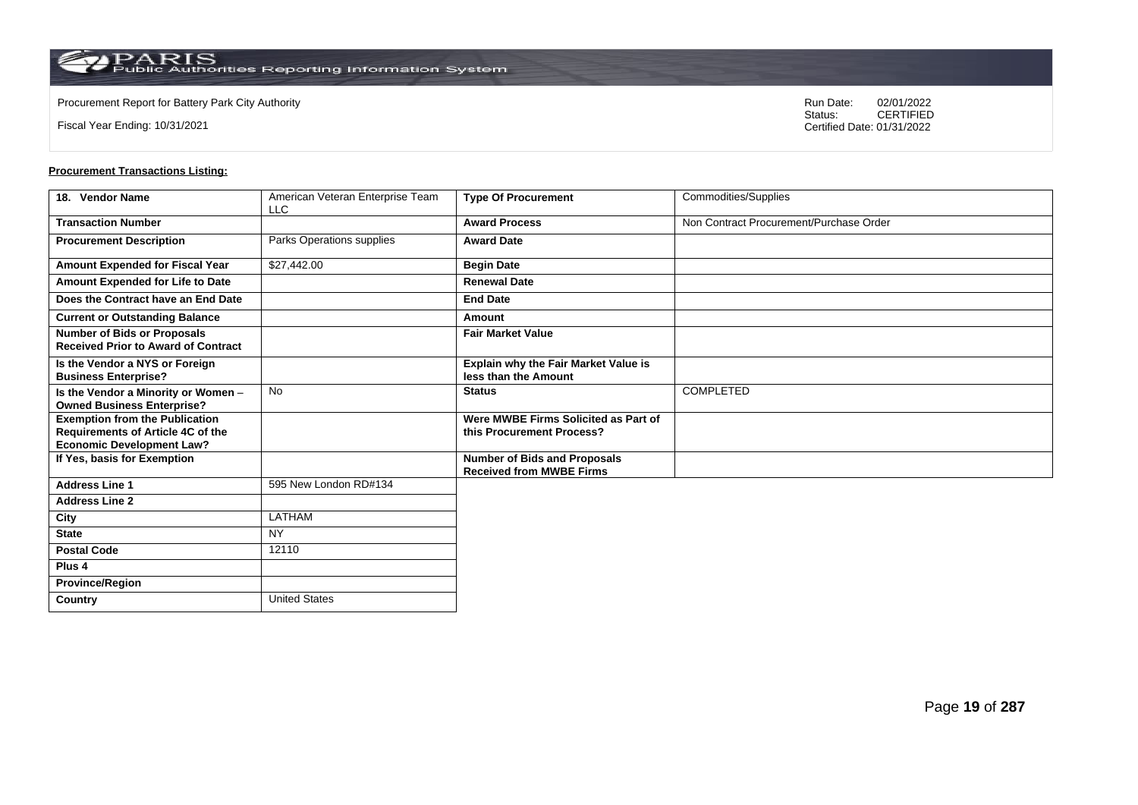Fiscal Year Ending: 10/31/2021

Procurement Report for Battery Park City Authority **National State Concrete Concrete Concrete Concrete Concrete Concrete Concrete Concrete Concrete Concrete Concrete Concrete Concrete Concrete Concrete Concrete Concrete Co** CERTIFIED Certified Date: 01/31/2022

| 18. Vendor Name                                                                                                | American Veteran Enterprise Team<br><b>LLC</b> | <b>Type Of Procurement</b>                                        | Commodities/Supplies                    |
|----------------------------------------------------------------------------------------------------------------|------------------------------------------------|-------------------------------------------------------------------|-----------------------------------------|
| <b>Transaction Number</b>                                                                                      |                                                | <b>Award Process</b>                                              | Non Contract Procurement/Purchase Order |
| <b>Procurement Description</b>                                                                                 | Parks Operations supplies                      | <b>Award Date</b>                                                 |                                         |
| Amount Expended for Fiscal Year                                                                                | \$27,442.00                                    | <b>Begin Date</b>                                                 |                                         |
| Amount Expended for Life to Date                                                                               |                                                | <b>Renewal Date</b>                                               |                                         |
| Does the Contract have an End Date                                                                             |                                                | <b>End Date</b>                                                   |                                         |
| <b>Current or Outstanding Balance</b>                                                                          |                                                | Amount                                                            |                                         |
| <b>Number of Bids or Proposals</b><br><b>Received Prior to Award of Contract</b>                               |                                                | <b>Fair Market Value</b>                                          |                                         |
| Is the Vendor a NYS or Foreign<br><b>Business Enterprise?</b>                                                  |                                                | Explain why the Fair Market Value is<br>less than the Amount      |                                         |
| Is the Vendor a Minority or Women -<br><b>Owned Business Enterprise?</b>                                       | <b>No</b>                                      | <b>Status</b>                                                     | <b>COMPLETED</b>                        |
| <b>Exemption from the Publication</b><br>Requirements of Article 4C of the<br><b>Economic Development Law?</b> |                                                | Were MWBE Firms Solicited as Part of<br>this Procurement Process? |                                         |
| If Yes, basis for Exemption                                                                                    |                                                | Number of Bids and Proposals<br><b>Received from MWBE Firms</b>   |                                         |
| <b>Address Line 1</b>                                                                                          | 595 New London RD#134                          |                                                                   |                                         |
| <b>Address Line 2</b>                                                                                          |                                                |                                                                   |                                         |
| City                                                                                                           | <b>LATHAM</b>                                  |                                                                   |                                         |
| <b>State</b>                                                                                                   | <b>NY</b>                                      |                                                                   |                                         |
| <b>Postal Code</b>                                                                                             | 12110                                          |                                                                   |                                         |
| Plus <sub>4</sub>                                                                                              |                                                |                                                                   |                                         |
| <b>Province/Region</b>                                                                                         |                                                |                                                                   |                                         |
| Country                                                                                                        | <b>United States</b>                           |                                                                   |                                         |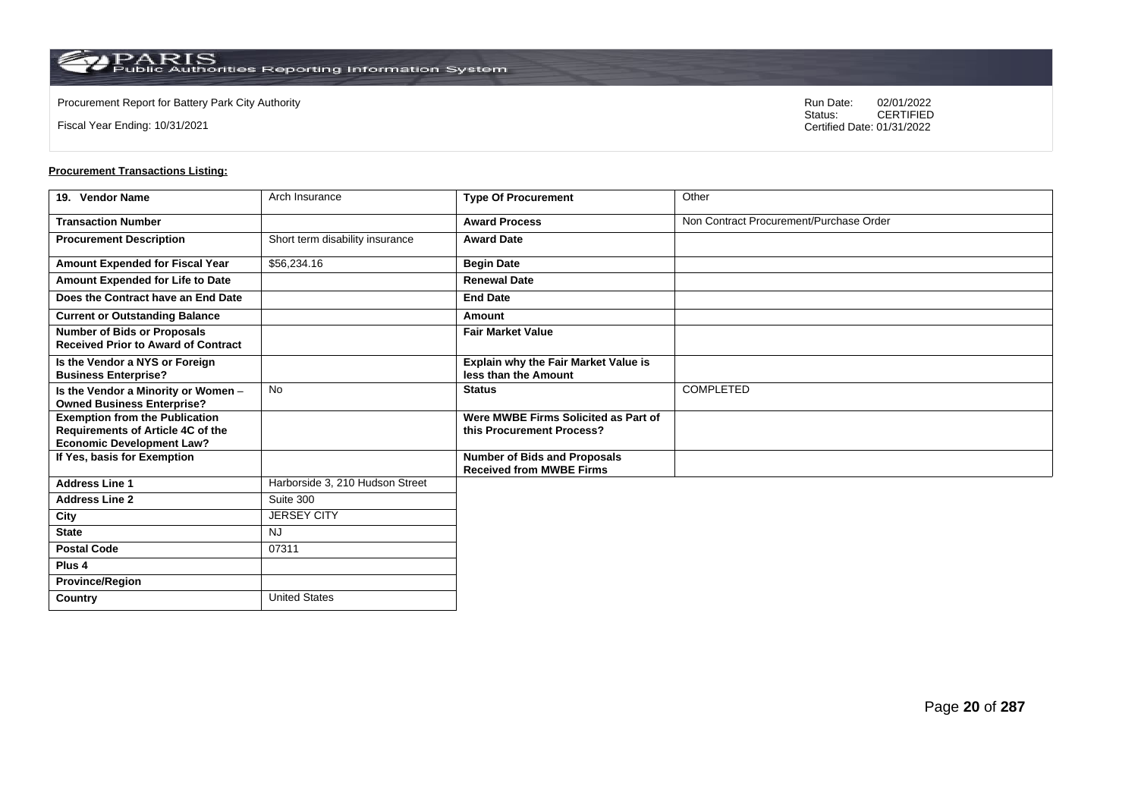Fiscal Year Ending: 10/31/2021

Procurement Report for Battery Park City Authority **National State Concrete Concrete Concrete Concrete Concrete Concrete Concrete Concrete Concrete Concrete Concrete Concrete Concrete Concrete Concrete Concrete Concrete Co** CERTIFIED Certified Date: 01/31/2022

| 19. Vendor Name                                                                                                | Arch Insurance                  | <b>Type Of Procurement</b>                                             | Other                                   |
|----------------------------------------------------------------------------------------------------------------|---------------------------------|------------------------------------------------------------------------|-----------------------------------------|
| <b>Transaction Number</b>                                                                                      |                                 | <b>Award Process</b>                                                   | Non Contract Procurement/Purchase Order |
| <b>Procurement Description</b>                                                                                 | Short term disability insurance | <b>Award Date</b>                                                      |                                         |
| Amount Expended for Fiscal Year                                                                                | \$56,234.16                     | <b>Begin Date</b>                                                      |                                         |
| Amount Expended for Life to Date                                                                               |                                 | <b>Renewal Date</b>                                                    |                                         |
| Does the Contract have an End Date                                                                             |                                 | <b>End Date</b>                                                        |                                         |
| <b>Current or Outstanding Balance</b>                                                                          |                                 | Amount                                                                 |                                         |
| <b>Number of Bids or Proposals</b><br><b>Received Prior to Award of Contract</b>                               |                                 | <b>Fair Market Value</b>                                               |                                         |
| Is the Vendor a NYS or Foreign<br><b>Business Enterprise?</b>                                                  |                                 | Explain why the Fair Market Value is<br>less than the Amount           |                                         |
| Is the Vendor a Minority or Women -<br><b>Owned Business Enterprise?</b>                                       | No                              | <b>Status</b>                                                          | COMPLETED                               |
| <b>Exemption from the Publication</b><br>Requirements of Article 4C of the<br><b>Economic Development Law?</b> |                                 | Were MWBE Firms Solicited as Part of<br>this Procurement Process?      |                                         |
| If Yes, basis for Exemption                                                                                    |                                 | <b>Number of Bids and Proposals</b><br><b>Received from MWBE Firms</b> |                                         |
| <b>Address Line 1</b>                                                                                          | Harborside 3, 210 Hudson Street |                                                                        |                                         |
| <b>Address Line 2</b>                                                                                          | Suite 300                       |                                                                        |                                         |
| City                                                                                                           | <b>JERSEY CITY</b>              |                                                                        |                                         |
| <b>State</b>                                                                                                   | <b>NJ</b>                       |                                                                        |                                         |
| <b>Postal Code</b>                                                                                             | 07311                           |                                                                        |                                         |
| Plus 4                                                                                                         |                                 |                                                                        |                                         |
| <b>Province/Region</b>                                                                                         |                                 |                                                                        |                                         |
| Country                                                                                                        | <b>United States</b>            |                                                                        |                                         |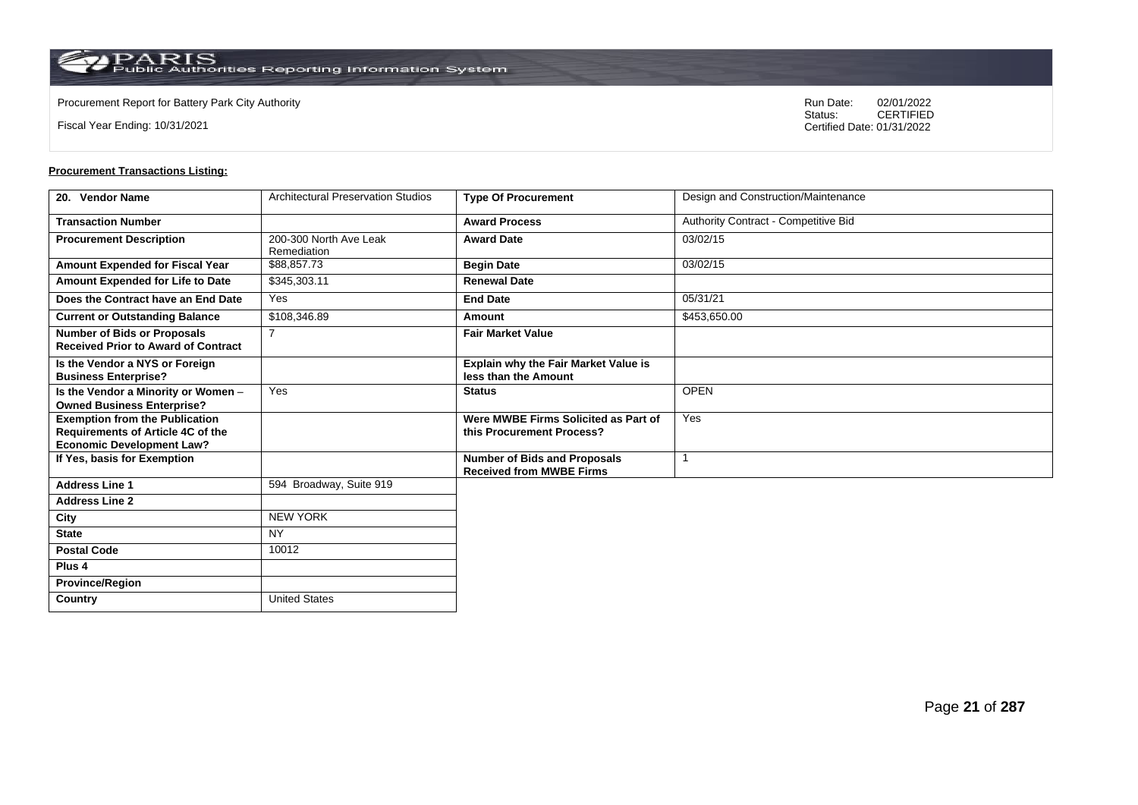**Country** United States

Fiscal Year Ending: 10/31/2021

Procurement Report for Battery Park City Authority **National State Concrete Concrete Concrete Concrete Concrete Concrete Concrete Concrete Concrete Concrete Concrete Concrete Concrete Concrete Concrete Concrete Concrete Co** CERTIFIED Certified Date: 01/31/2022

| 20. Vendor Name                                                                                                       | <b>Architectural Preservation Studios</b> | <b>Type Of Procurement</b>                                             | Design and Construction/Maintenance  |
|-----------------------------------------------------------------------------------------------------------------------|-------------------------------------------|------------------------------------------------------------------------|--------------------------------------|
| <b>Transaction Number</b>                                                                                             |                                           | <b>Award Process</b>                                                   | Authority Contract - Competitive Bid |
| <b>Procurement Description</b>                                                                                        | 200-300 North Ave Leak<br>Remediation     | <b>Award Date</b>                                                      | 03/02/15                             |
| Amount Expended for Fiscal Year                                                                                       | \$88,857.73                               | <b>Begin Date</b>                                                      | 03/02/15                             |
| Amount Expended for Life to Date                                                                                      | \$345,303.11                              | <b>Renewal Date</b>                                                    |                                      |
| Does the Contract have an End Date                                                                                    | Yes                                       | <b>End Date</b>                                                        | 05/31/21                             |
| <b>Current or Outstanding Balance</b>                                                                                 | \$108,346.89                              | Amount                                                                 | \$453,650.00                         |
| <b>Number of Bids or Proposals</b><br><b>Received Prior to Award of Contract</b>                                      | 7                                         | <b>Fair Market Value</b>                                               |                                      |
| Is the Vendor a NYS or Foreign<br><b>Business Enterprise?</b>                                                         |                                           | Explain why the Fair Market Value is<br>less than the Amount           |                                      |
| Is the Vendor a Minority or Women -<br><b>Owned Business Enterprise?</b>                                              | Yes                                       | <b>Status</b>                                                          | <b>OPEN</b>                          |
| <b>Exemption from the Publication</b><br><b>Requirements of Article 4C of the</b><br><b>Economic Development Law?</b> |                                           | Were MWBE Firms Solicited as Part of<br>this Procurement Process?      | Yes                                  |
| If Yes, basis for Exemption                                                                                           |                                           | <b>Number of Bids and Proposals</b><br><b>Received from MWBE Firms</b> |                                      |
| <b>Address Line 1</b>                                                                                                 | 594 Broadway, Suite 919                   |                                                                        |                                      |
| <b>Address Line 2</b>                                                                                                 |                                           |                                                                        |                                      |
| City                                                                                                                  | <b>NEW YORK</b>                           |                                                                        |                                      |
| <b>State</b>                                                                                                          | <b>NY</b>                                 |                                                                        |                                      |
| <b>Postal Code</b>                                                                                                    | 10012                                     |                                                                        |                                      |
| Plus <sub>4</sub>                                                                                                     |                                           |                                                                        |                                      |
| <b>Province/Region</b>                                                                                                |                                           |                                                                        |                                      |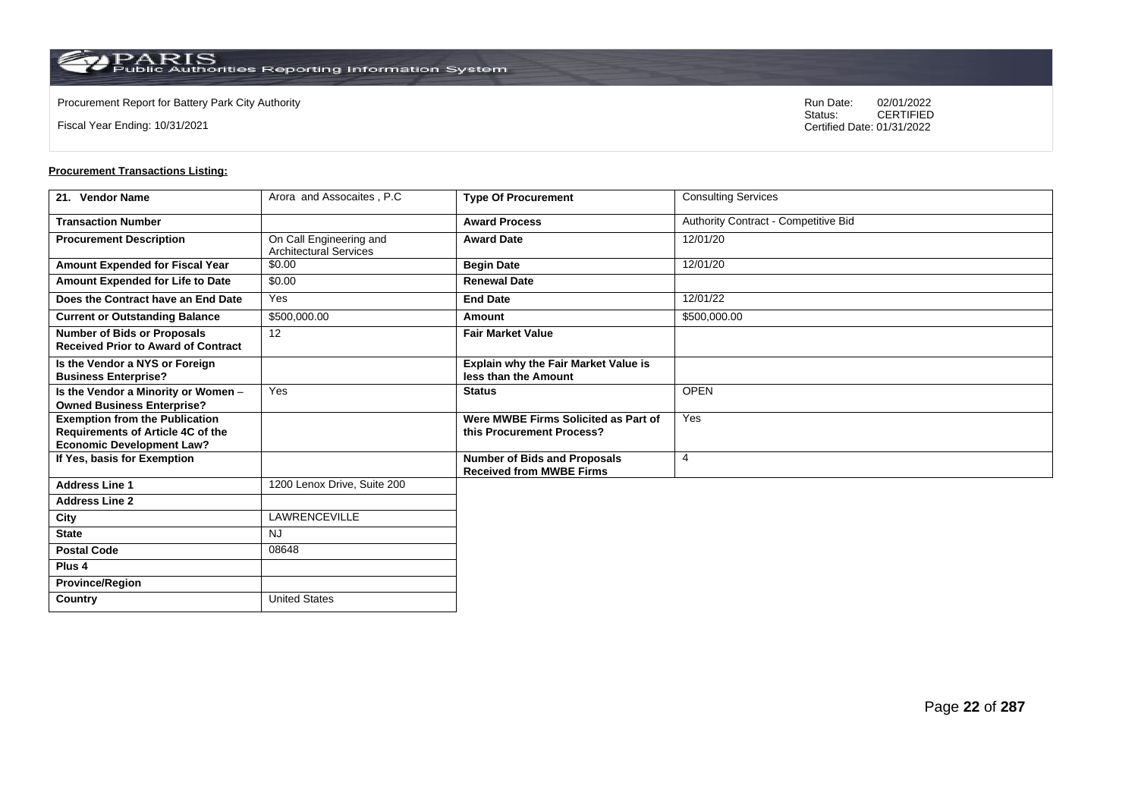**Country** United States

Fiscal Year Ending: 10/31/2021

Procurement Report for Battery Park City Authority **National State Concrete Concrete Concrete Concrete Concrete Concrete Concrete Concrete Concrete Concrete Concrete Concrete Concrete Concrete Concrete Concrete Concrete Co** CERTIFIED Certified Date: 01/31/2022

| 21. Vendor Name                                                                                                | Arora and Assocaites, P.C.                               | <b>Type Of Procurement</b>                                             | <b>Consulting Services</b>           |
|----------------------------------------------------------------------------------------------------------------|----------------------------------------------------------|------------------------------------------------------------------------|--------------------------------------|
| <b>Transaction Number</b>                                                                                      |                                                          | <b>Award Process</b>                                                   | Authority Contract - Competitive Bid |
| <b>Procurement Description</b>                                                                                 | On Call Engineering and<br><b>Architectural Services</b> | <b>Award Date</b>                                                      | 12/01/20                             |
| Amount Expended for Fiscal Year                                                                                | \$0.00                                                   | <b>Begin Date</b>                                                      | 12/01/20                             |
| Amount Expended for Life to Date                                                                               | \$0.00                                                   | <b>Renewal Date</b>                                                    |                                      |
| Does the Contract have an End Date                                                                             | Yes                                                      | <b>End Date</b>                                                        | 12/01/22                             |
| <b>Current or Outstanding Balance</b>                                                                          | \$500,000.00                                             | Amount                                                                 | \$500,000.00                         |
| <b>Number of Bids or Proposals</b><br><b>Received Prior to Award of Contract</b>                               | 12                                                       | <b>Fair Market Value</b>                                               |                                      |
| Is the Vendor a NYS or Foreign<br><b>Business Enterprise?</b>                                                  |                                                          | Explain why the Fair Market Value is<br>less than the Amount           |                                      |
| Is the Vendor a Minority or Women -<br><b>Owned Business Enterprise?</b>                                       | Yes                                                      | <b>Status</b>                                                          | <b>OPEN</b>                          |
| <b>Exemption from the Publication</b><br>Requirements of Article 4C of the<br><b>Economic Development Law?</b> |                                                          | Were MWBE Firms Solicited as Part of<br>this Procurement Process?      | Yes                                  |
| If Yes, basis for Exemption                                                                                    |                                                          | <b>Number of Bids and Proposals</b><br><b>Received from MWBE Firms</b> | $\overline{4}$                       |
| <b>Address Line 1</b>                                                                                          | 1200 Lenox Drive, Suite 200                              |                                                                        |                                      |
| <b>Address Line 2</b>                                                                                          |                                                          |                                                                        |                                      |
| City                                                                                                           | LAWRENCEVILLE                                            |                                                                        |                                      |
| <b>State</b>                                                                                                   | <b>NJ</b>                                                |                                                                        |                                      |
| <b>Postal Code</b>                                                                                             | 08648                                                    |                                                                        |                                      |
| Plus <sub>4</sub>                                                                                              |                                                          |                                                                        |                                      |
| <b>Province/Region</b>                                                                                         |                                                          |                                                                        |                                      |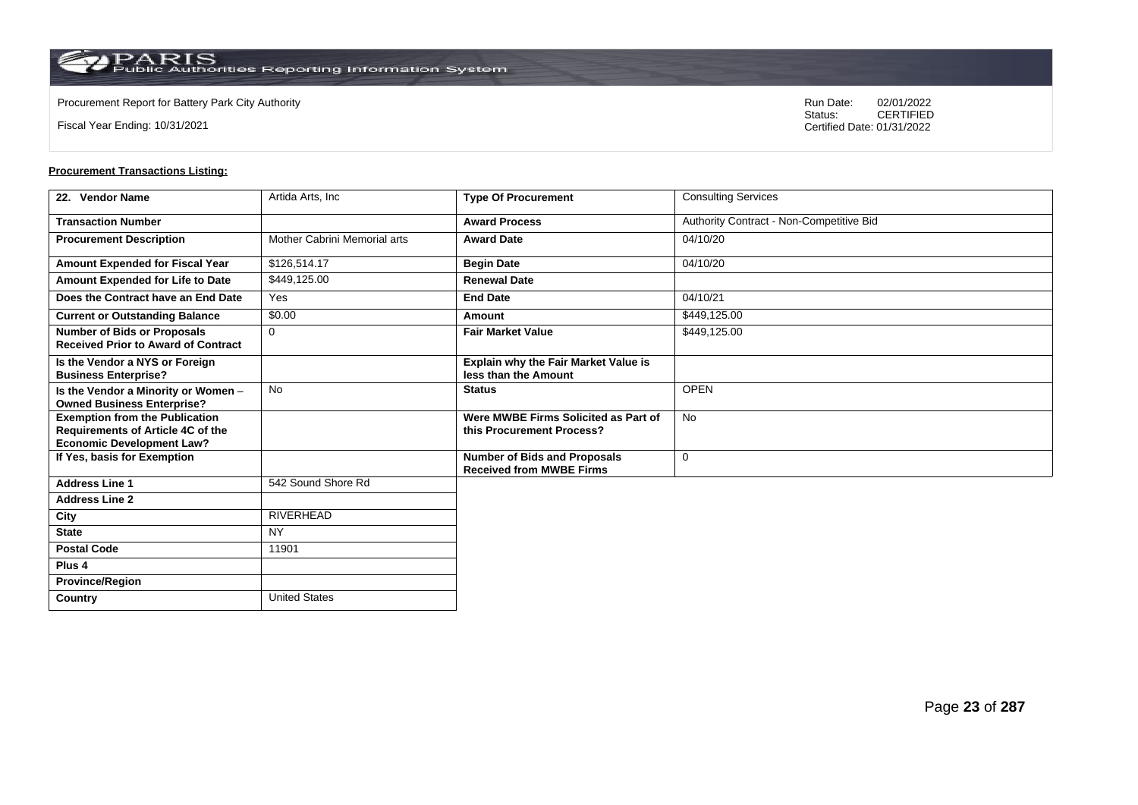**Country** United States

Fiscal Year Ending: 10/31/2021

Procurement Report for Battery Park City Authority **National State Concrete Concrete Concrete Concrete Concrete Concrete Concrete Concrete Concrete Concrete Concrete Concrete Concrete Concrete Concrete Concrete Concrete Co** CERTIFIED Certified Date: 01/31/2022

| 22. Vendor Name                                                                                                | Artida Arts, Inc.            | <b>Type Of Procurement</b>                                             | <b>Consulting Services</b>               |
|----------------------------------------------------------------------------------------------------------------|------------------------------|------------------------------------------------------------------------|------------------------------------------|
| <b>Transaction Number</b>                                                                                      |                              | <b>Award Process</b>                                                   | Authority Contract - Non-Competitive Bid |
| <b>Procurement Description</b>                                                                                 | Mother Cabrini Memorial arts | <b>Award Date</b>                                                      | 04/10/20                                 |
| Amount Expended for Fiscal Year                                                                                | \$126,514.17                 | <b>Begin Date</b>                                                      | 04/10/20                                 |
| Amount Expended for Life to Date                                                                               | \$449,125.00                 | <b>Renewal Date</b>                                                    |                                          |
| Does the Contract have an End Date                                                                             | Yes                          | <b>End Date</b>                                                        | 04/10/21                                 |
| <b>Current or Outstanding Balance</b>                                                                          | \$0.00                       | Amount                                                                 | \$449,125.00                             |
| <b>Number of Bids or Proposals</b><br><b>Received Prior to Award of Contract</b>                               | $\mathbf 0$                  | <b>Fair Market Value</b>                                               | \$449,125.00                             |
| Is the Vendor a NYS or Foreign<br><b>Business Enterprise?</b>                                                  |                              | Explain why the Fair Market Value is<br>less than the Amount           |                                          |
| Is the Vendor a Minority or Women -<br><b>Owned Business Enterprise?</b>                                       | <b>No</b>                    | <b>Status</b>                                                          | <b>OPEN</b>                              |
| <b>Exemption from the Publication</b><br>Requirements of Article 4C of the<br><b>Economic Development Law?</b> |                              | Were MWBE Firms Solicited as Part of<br>this Procurement Process?      | <b>No</b>                                |
| If Yes, basis for Exemption                                                                                    |                              | <b>Number of Bids and Proposals</b><br><b>Received from MWBE Firms</b> | $\mathbf 0$                              |
| <b>Address Line 1</b>                                                                                          | 542 Sound Shore Rd           |                                                                        |                                          |
| <b>Address Line 2</b>                                                                                          |                              |                                                                        |                                          |
| City                                                                                                           | <b>RIVERHEAD</b>             |                                                                        |                                          |
| <b>State</b>                                                                                                   | <b>NY</b>                    |                                                                        |                                          |
| <b>Postal Code</b>                                                                                             | 11901                        |                                                                        |                                          |
| Plus <sub>4</sub>                                                                                              |                              |                                                                        |                                          |
| <b>Province/Region</b>                                                                                         |                              |                                                                        |                                          |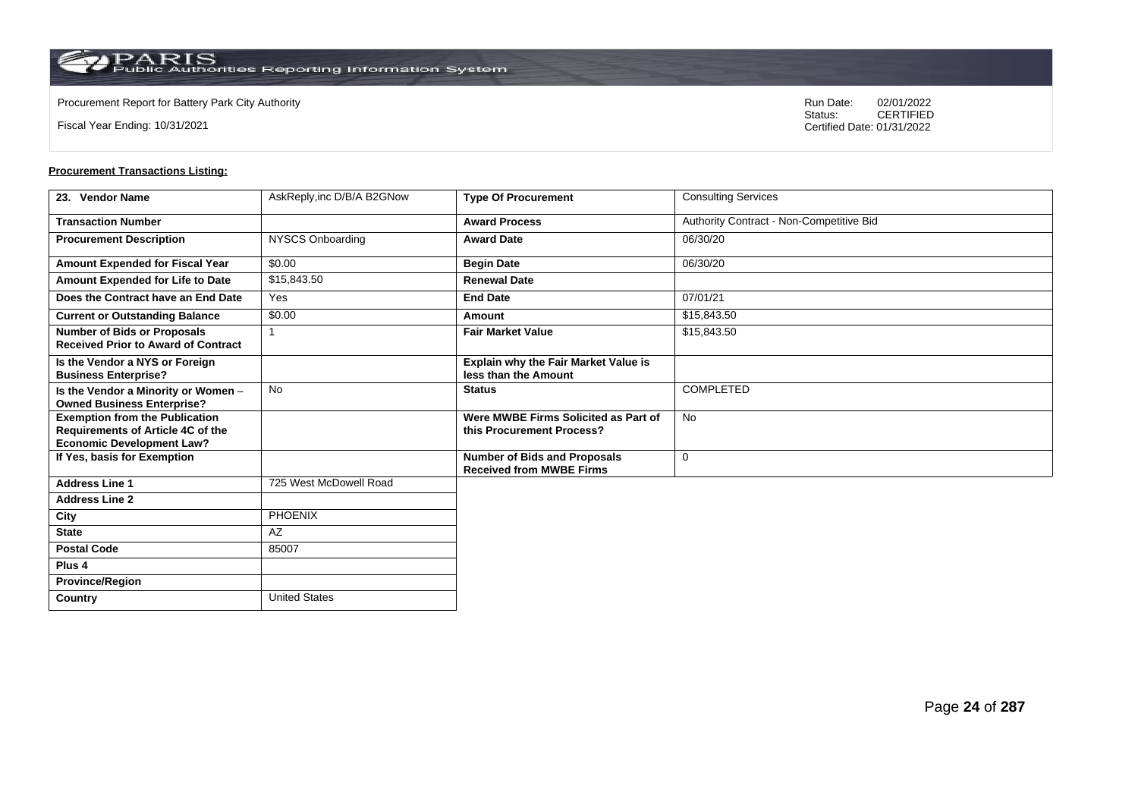**Country** United States

Fiscal Year Ending: 10/31/2021

Procurement Report for Battery Park City Authority **National State Concrete Concrete Concrete Concrete Concrete Concrete Concrete Concrete Concrete Concrete Concrete Concrete Concrete Concrete Concrete Concrete Concrete Co** CERTIFIED Certified Date: 01/31/2022

| 23. Vendor Name                                                                                                | AskReply, inc D/B/A B2GNow | <b>Type Of Procurement</b>                                             | <b>Consulting Services</b>               |
|----------------------------------------------------------------------------------------------------------------|----------------------------|------------------------------------------------------------------------|------------------------------------------|
| <b>Transaction Number</b>                                                                                      |                            | <b>Award Process</b>                                                   | Authority Contract - Non-Competitive Bid |
| <b>Procurement Description</b>                                                                                 | NYSCS Onboarding           | <b>Award Date</b>                                                      | 06/30/20                                 |
| Amount Expended for Fiscal Year                                                                                | \$0.00                     | <b>Begin Date</b>                                                      | 06/30/20                                 |
| Amount Expended for Life to Date                                                                               | \$15,843.50                | <b>Renewal Date</b>                                                    |                                          |
| Does the Contract have an End Date                                                                             | Yes                        | <b>End Date</b>                                                        | 07/01/21                                 |
| <b>Current or Outstanding Balance</b>                                                                          | \$0.00                     | Amount                                                                 | \$15,843.50                              |
| <b>Number of Bids or Proposals</b><br><b>Received Prior to Award of Contract</b>                               | 1                          | <b>Fair Market Value</b>                                               | \$15,843.50                              |
| Is the Vendor a NYS or Foreign<br><b>Business Enterprise?</b>                                                  |                            | Explain why the Fair Market Value is<br>less than the Amount           |                                          |
| Is the Vendor a Minority or Women -<br><b>Owned Business Enterprise?</b>                                       | <b>No</b>                  | <b>Status</b>                                                          | <b>COMPLETED</b>                         |
| <b>Exemption from the Publication</b><br>Requirements of Article 4C of the<br><b>Economic Development Law?</b> |                            | Were MWBE Firms Solicited as Part of<br>this Procurement Process?      | <b>No</b>                                |
| If Yes, basis for Exemption                                                                                    |                            | <b>Number of Bids and Proposals</b><br><b>Received from MWBE Firms</b> | 0                                        |
| <b>Address Line 1</b>                                                                                          | 725 West McDowell Road     |                                                                        |                                          |
| <b>Address Line 2</b>                                                                                          |                            |                                                                        |                                          |
| City                                                                                                           | <b>PHOENIX</b>             |                                                                        |                                          |
| <b>State</b>                                                                                                   | AZ                         |                                                                        |                                          |
| <b>Postal Code</b>                                                                                             | 85007                      |                                                                        |                                          |
| Plus <sub>4</sub>                                                                                              |                            |                                                                        |                                          |
| <b>Province/Region</b>                                                                                         |                            |                                                                        |                                          |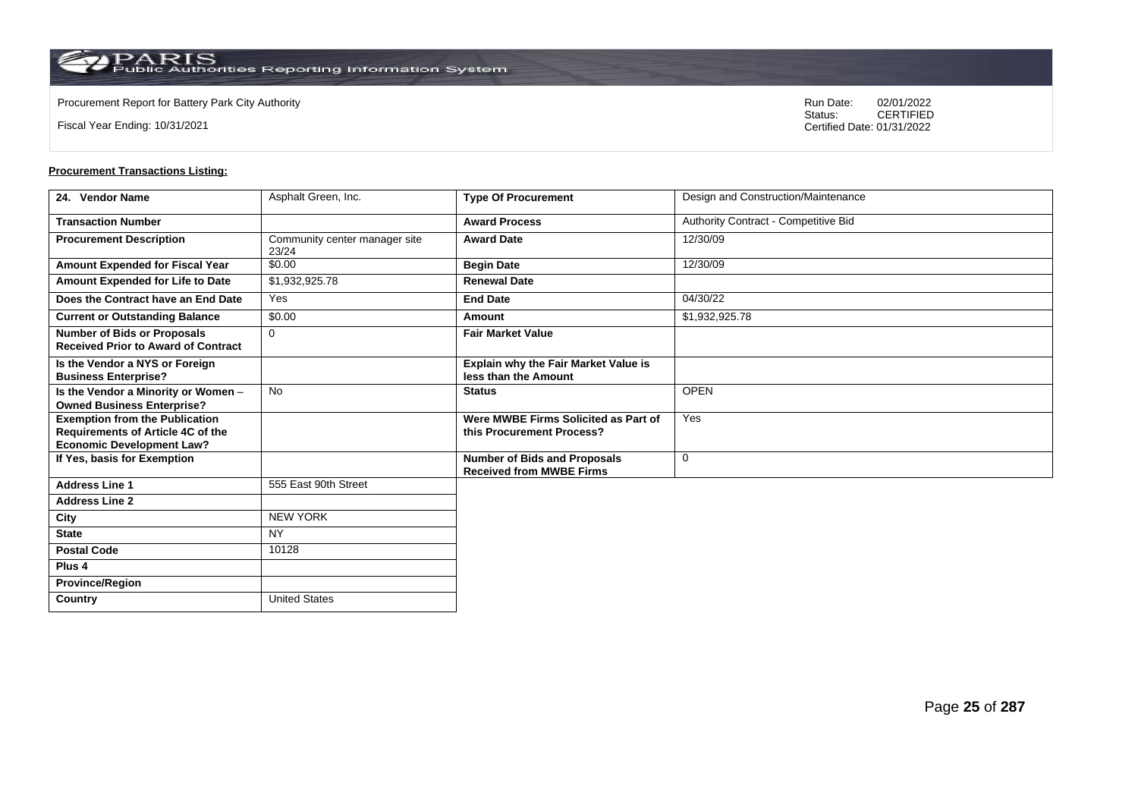**Country** United States

Fiscal Year Ending: 10/31/2021

Procurement Report for Battery Park City Authority **National State Concrete Concrete Concrete Concrete Concrete Concrete Concrete Concrete Concrete Concrete Concrete Concrete Concrete Concrete Concrete Concrete Concrete Co** CERTIFIED Certified Date: 01/31/2022

| 24. Vendor Name                                                                                                | Asphalt Green, Inc.                    | <b>Type Of Procurement</b>                                             | Design and Construction/Maintenance  |
|----------------------------------------------------------------------------------------------------------------|----------------------------------------|------------------------------------------------------------------------|--------------------------------------|
| <b>Transaction Number</b>                                                                                      |                                        | <b>Award Process</b>                                                   | Authority Contract - Competitive Bid |
| <b>Procurement Description</b>                                                                                 | Community center manager site<br>23/24 | <b>Award Date</b>                                                      | 12/30/09                             |
| Amount Expended for Fiscal Year                                                                                | \$0.00                                 | <b>Begin Date</b>                                                      | 12/30/09                             |
| Amount Expended for Life to Date                                                                               | \$1,932,925.78                         | <b>Renewal Date</b>                                                    |                                      |
| Does the Contract have an End Date                                                                             | Yes                                    | <b>End Date</b>                                                        | 04/30/22                             |
| <b>Current or Outstanding Balance</b>                                                                          | \$0.00                                 | Amount                                                                 | \$1,932,925.78                       |
| <b>Number of Bids or Proposals</b><br><b>Received Prior to Award of Contract</b>                               | 0                                      | <b>Fair Market Value</b>                                               |                                      |
| Is the Vendor a NYS or Foreign<br><b>Business Enterprise?</b>                                                  |                                        | Explain why the Fair Market Value is<br>less than the Amount           |                                      |
| Is the Vendor a Minority or Women -<br><b>Owned Business Enterprise?</b>                                       | <b>No</b>                              | <b>Status</b>                                                          | <b>OPEN</b>                          |
| <b>Exemption from the Publication</b><br>Requirements of Article 4C of the<br><b>Economic Development Law?</b> |                                        | Were MWBE Firms Solicited as Part of<br>this Procurement Process?      | Yes                                  |
| If Yes, basis for Exemption                                                                                    |                                        | <b>Number of Bids and Proposals</b><br><b>Received from MWBE Firms</b> | $\mathbf 0$                          |
| <b>Address Line 1</b>                                                                                          | 555 East 90th Street                   |                                                                        |                                      |
| <b>Address Line 2</b>                                                                                          |                                        |                                                                        |                                      |
| City                                                                                                           | <b>NEW YORK</b>                        |                                                                        |                                      |
| <b>State</b>                                                                                                   | <b>NY</b>                              |                                                                        |                                      |
| <b>Postal Code</b>                                                                                             | 10128                                  |                                                                        |                                      |
| Plus <sub>4</sub>                                                                                              |                                        |                                                                        |                                      |
| <b>Province/Region</b>                                                                                         |                                        |                                                                        |                                      |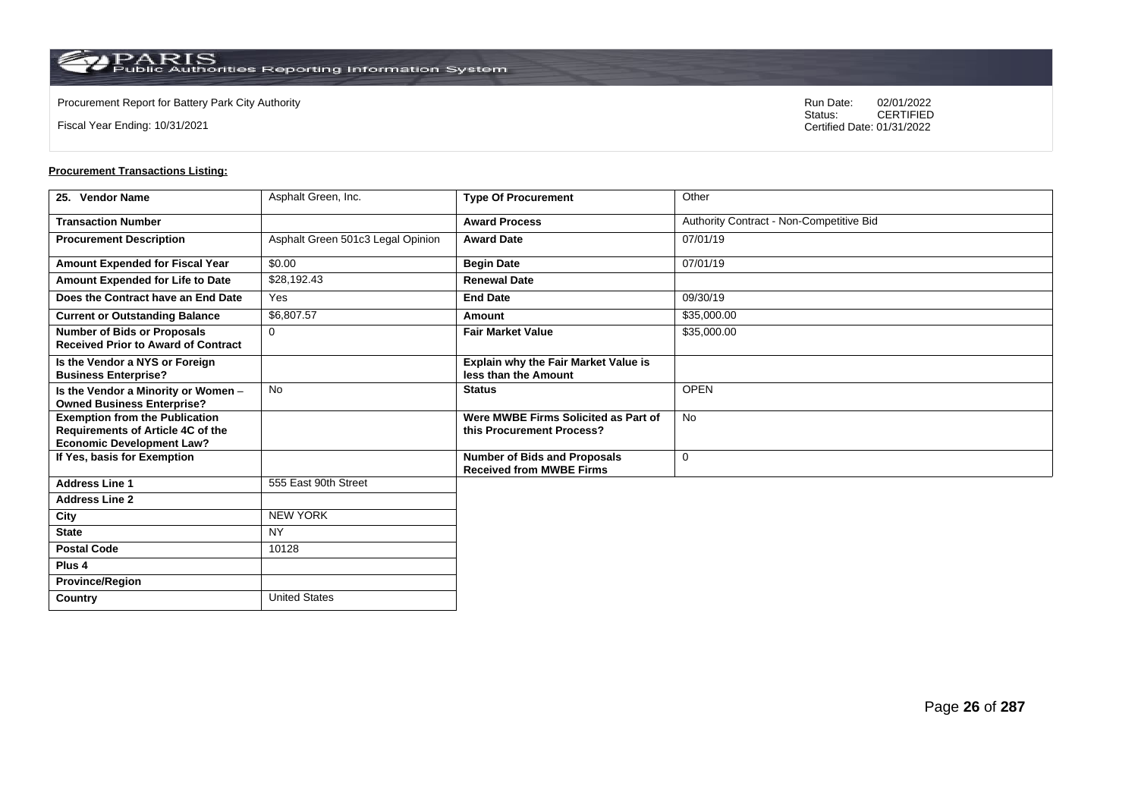**Country** United States

Fiscal Year Ending: 10/31/2021

Procurement Report for Battery Park City Authority **National State Concrete Concrete Concrete Concrete Concrete Concrete Concrete Concrete Concrete Concrete Concrete Concrete Concrete Concrete Concrete Concrete Concrete Co** CERTIFIED Certified Date: 01/31/2022

| 25. Vendor Name                                                                                                | Asphalt Green, Inc.               | <b>Type Of Procurement</b>                                             | Other                                    |
|----------------------------------------------------------------------------------------------------------------|-----------------------------------|------------------------------------------------------------------------|------------------------------------------|
| <b>Transaction Number</b>                                                                                      |                                   | <b>Award Process</b>                                                   | Authority Contract - Non-Competitive Bid |
| <b>Procurement Description</b>                                                                                 | Asphalt Green 501c3 Legal Opinion | <b>Award Date</b>                                                      | 07/01/19                                 |
| Amount Expended for Fiscal Year                                                                                | \$0.00                            | <b>Begin Date</b>                                                      | 07/01/19                                 |
| Amount Expended for Life to Date                                                                               | \$28,192.43                       | <b>Renewal Date</b>                                                    |                                          |
| Does the Contract have an End Date                                                                             | Yes                               | <b>End Date</b>                                                        | 09/30/19                                 |
| <b>Current or Outstanding Balance</b>                                                                          | \$6,807.57                        | Amount                                                                 | \$35,000.00                              |
| <b>Number of Bids or Proposals</b><br><b>Received Prior to Award of Contract</b>                               | $\Omega$                          | <b>Fair Market Value</b>                                               | \$35,000.00                              |
| Is the Vendor a NYS or Foreign<br><b>Business Enterprise?</b>                                                  |                                   | Explain why the Fair Market Value is<br>less than the Amount           |                                          |
| Is the Vendor a Minority or Women -<br><b>Owned Business Enterprise?</b>                                       | No                                | <b>Status</b>                                                          | <b>OPEN</b>                              |
| <b>Exemption from the Publication</b><br>Requirements of Article 4C of the<br><b>Economic Development Law?</b> |                                   | Were MWBE Firms Solicited as Part of<br>this Procurement Process?      | No                                       |
| If Yes, basis for Exemption                                                                                    |                                   | <b>Number of Bids and Proposals</b><br><b>Received from MWBE Firms</b> | 0                                        |
| <b>Address Line 1</b>                                                                                          | 555 East 90th Street              |                                                                        |                                          |
| <b>Address Line 2</b>                                                                                          |                                   |                                                                        |                                          |
| City                                                                                                           | <b>NEW YORK</b>                   |                                                                        |                                          |
| <b>State</b>                                                                                                   | <b>NY</b>                         |                                                                        |                                          |
| <b>Postal Code</b>                                                                                             | 10128                             |                                                                        |                                          |
| Plus <sub>4</sub>                                                                                              |                                   |                                                                        |                                          |
| <b>Province/Region</b>                                                                                         |                                   |                                                                        |                                          |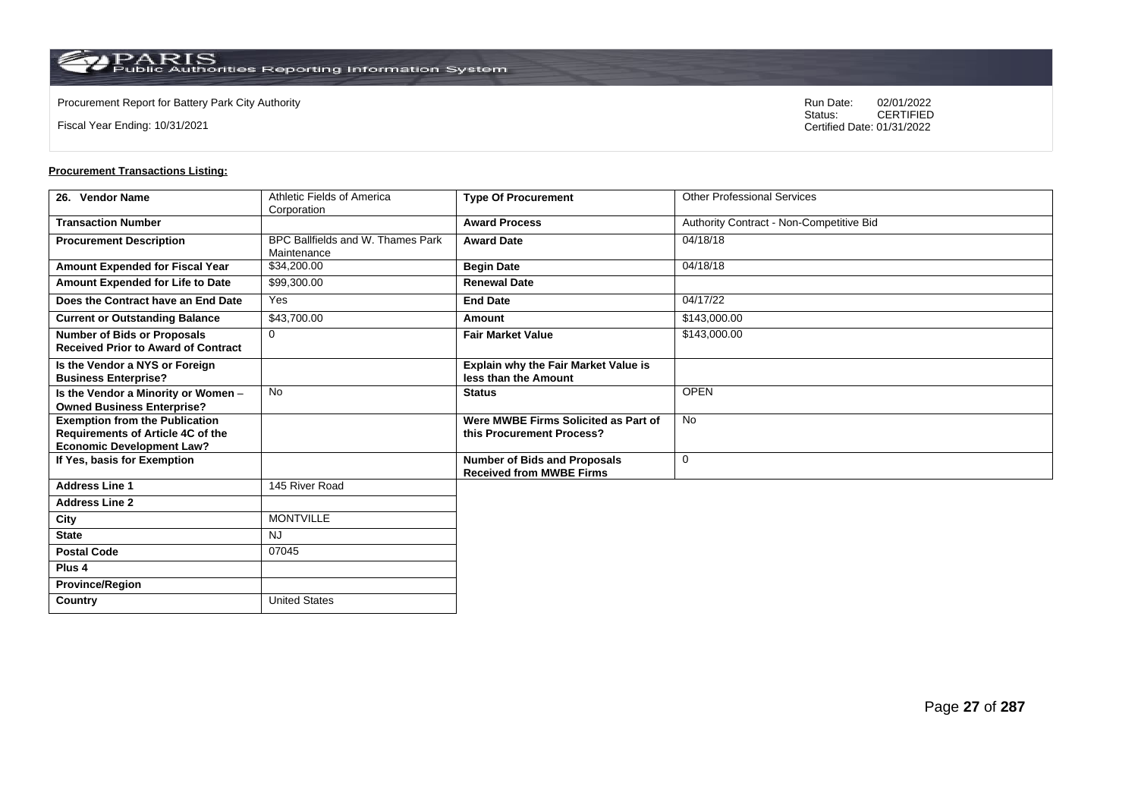Fiscal Year Ending: 10/31/2021

Procurement Report for Battery Park City Authority **National State Concrete Concrete Concrete Concrete Concrete Concrete Concrete Concrete Concrete Concrete Concrete Concrete Concrete Concrete Concrete Concrete Concrete Co** CERTIFIED Certified Date: 01/31/2022

| 26. Vendor Name                                                                                                | Athletic Fields of America<br>Corporation        | <b>Type Of Procurement</b>                                             | <b>Other Professional Services</b>       |
|----------------------------------------------------------------------------------------------------------------|--------------------------------------------------|------------------------------------------------------------------------|------------------------------------------|
| <b>Transaction Number</b>                                                                                      |                                                  | <b>Award Process</b>                                                   | Authority Contract - Non-Competitive Bid |
| <b>Procurement Description</b>                                                                                 | BPC Ballfields and W. Thames Park<br>Maintenance | <b>Award Date</b>                                                      | 04/18/18                                 |
| Amount Expended for Fiscal Year                                                                                | \$34,200.00                                      | <b>Begin Date</b>                                                      | 04/18/18                                 |
| Amount Expended for Life to Date                                                                               | \$99,300.00                                      | <b>Renewal Date</b>                                                    |                                          |
| Does the Contract have an End Date                                                                             | Yes                                              | <b>End Date</b>                                                        | 04/17/22                                 |
| <b>Current or Outstanding Balance</b>                                                                          | \$43,700.00                                      | Amount                                                                 | \$143,000.00                             |
| <b>Number of Bids or Proposals</b><br><b>Received Prior to Award of Contract</b>                               | $\mathbf 0$                                      | <b>Fair Market Value</b>                                               | \$143,000.00                             |
| Is the Vendor a NYS or Foreign<br><b>Business Enterprise?</b>                                                  |                                                  | Explain why the Fair Market Value is<br>less than the Amount           |                                          |
| Is the Vendor a Minority or Women -<br><b>Owned Business Enterprise?</b>                                       | No                                               | <b>Status</b>                                                          | <b>OPEN</b>                              |
| <b>Exemption from the Publication</b><br>Requirements of Article 4C of the<br><b>Economic Development Law?</b> |                                                  | Were MWBE Firms Solicited as Part of<br>this Procurement Process?      | <b>No</b>                                |
| If Yes, basis for Exemption                                                                                    |                                                  | <b>Number of Bids and Proposals</b><br><b>Received from MWBE Firms</b> | $\mathbf 0$                              |
| <b>Address Line 1</b>                                                                                          | 145 River Road                                   |                                                                        |                                          |
| <b>Address Line 2</b>                                                                                          |                                                  |                                                                        |                                          |
| City                                                                                                           | <b>MONTVILLE</b>                                 |                                                                        |                                          |
| <b>State</b>                                                                                                   | <b>NJ</b>                                        |                                                                        |                                          |
| <b>Postal Code</b>                                                                                             | 07045                                            |                                                                        |                                          |
| Plus <sub>4</sub>                                                                                              |                                                  |                                                                        |                                          |
| <b>Province/Region</b>                                                                                         |                                                  |                                                                        |                                          |
| Country                                                                                                        | <b>United States</b>                             |                                                                        |                                          |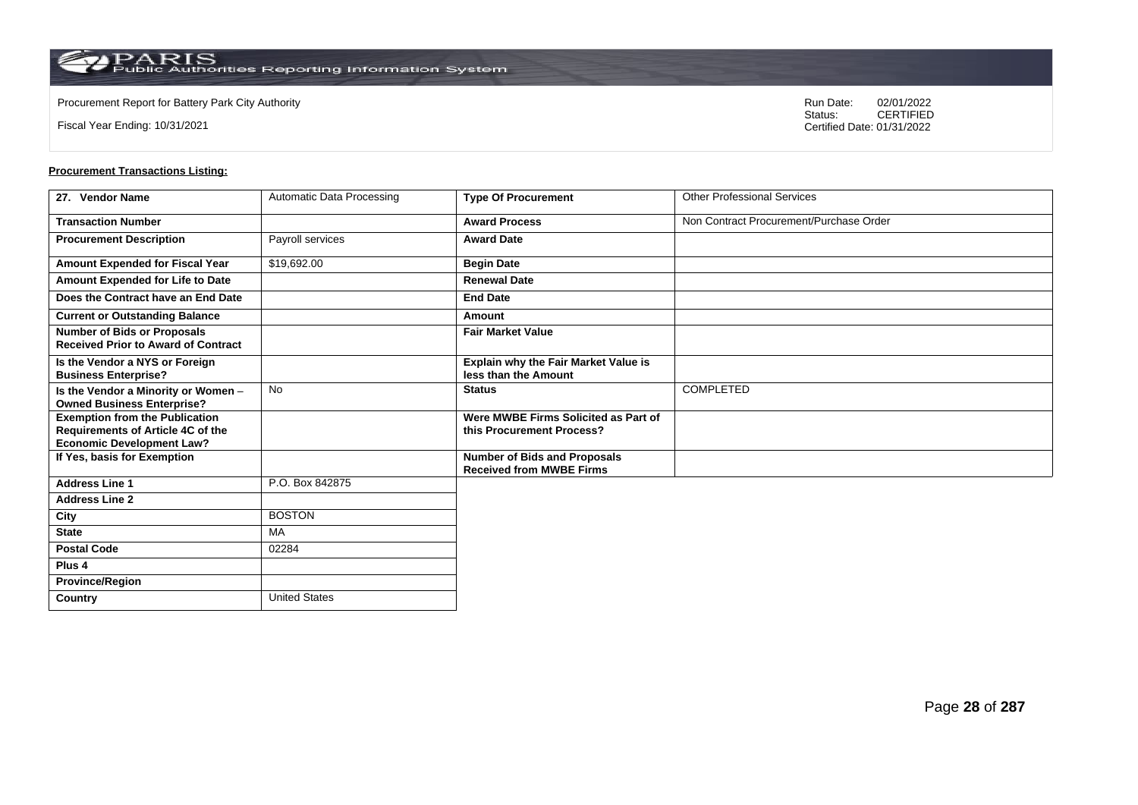**Country** United States

Fiscal Year Ending: 10/31/2021

Procurement Report for Battery Park City Authority **National State Concrete Concrete Concrete Concrete Concrete Concrete Concrete Concrete Concrete Concrete Concrete Concrete Concrete Concrete Concrete Concrete Concrete Co** CERTIFIED Certified Date: 01/31/2022

| 27. Vendor Name                                                                                                       | Automatic Data Processing | <b>Type Of Procurement</b>                                             | <b>Other Professional Services</b>      |
|-----------------------------------------------------------------------------------------------------------------------|---------------------------|------------------------------------------------------------------------|-----------------------------------------|
| <b>Transaction Number</b>                                                                                             |                           | <b>Award Process</b>                                                   | Non Contract Procurement/Purchase Order |
| <b>Procurement Description</b>                                                                                        | Payroll services          | <b>Award Date</b>                                                      |                                         |
| <b>Amount Expended for Fiscal Year</b>                                                                                | \$19,692.00               | <b>Begin Date</b>                                                      |                                         |
| Amount Expended for Life to Date                                                                                      |                           | <b>Renewal Date</b>                                                    |                                         |
| Does the Contract have an End Date                                                                                    |                           | <b>End Date</b>                                                        |                                         |
| <b>Current or Outstanding Balance</b>                                                                                 |                           | Amount                                                                 |                                         |
| <b>Number of Bids or Proposals</b><br><b>Received Prior to Award of Contract</b>                                      |                           | <b>Fair Market Value</b>                                               |                                         |
| Is the Vendor a NYS or Foreign<br><b>Business Enterprise?</b>                                                         |                           | Explain why the Fair Market Value is<br>less than the Amount           |                                         |
| Is the Vendor a Minority or Women -<br><b>Owned Business Enterprise?</b>                                              | <b>No</b>                 | <b>Status</b>                                                          | COMPLETED                               |
| <b>Exemption from the Publication</b><br><b>Requirements of Article 4C of the</b><br><b>Economic Development Law?</b> |                           | Were MWBE Firms Solicited as Part of<br>this Procurement Process?      |                                         |
| If Yes, basis for Exemption                                                                                           |                           | <b>Number of Bids and Proposals</b><br><b>Received from MWBE Firms</b> |                                         |
| <b>Address Line 1</b>                                                                                                 | P.O. Box 842875           |                                                                        |                                         |
| <b>Address Line 2</b>                                                                                                 |                           |                                                                        |                                         |
| City                                                                                                                  | <b>BOSTON</b>             |                                                                        |                                         |
| <b>State</b>                                                                                                          | MA                        |                                                                        |                                         |
| <b>Postal Code</b>                                                                                                    | 02284                     |                                                                        |                                         |
| Plus <sub>4</sub>                                                                                                     |                           |                                                                        |                                         |
| <b>Province/Region</b>                                                                                                |                           |                                                                        |                                         |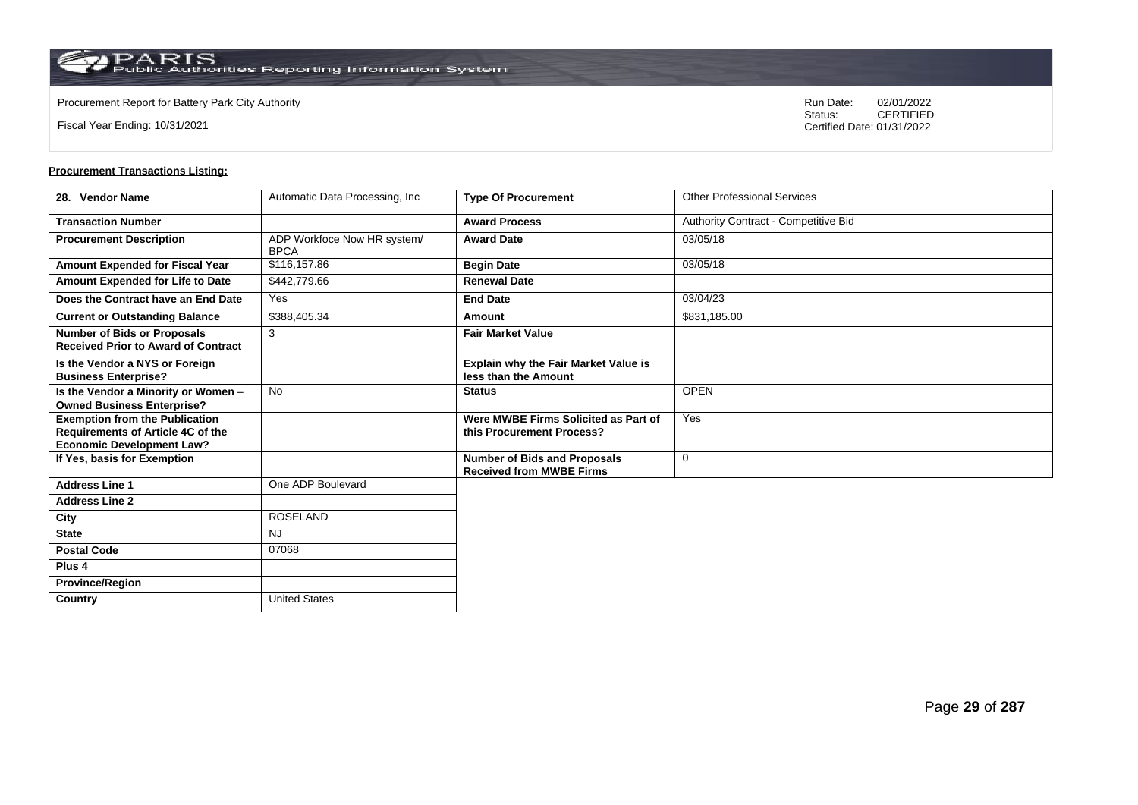**Country** United States

Fiscal Year Ending: 10/31/2021

Procurement Report for Battery Park City Authority **National State Concrete Concrete Concrete Concrete Concrete Concrete Concrete Concrete Concrete Concrete Concrete Concrete Concrete Concrete Concrete Concrete Concrete Co** CERTIFIED Certified Date: 01/31/2022

| 28. Vendor Name                                                                                                       | Automatic Data Processing, Inc.            | <b>Type Of Procurement</b>                                             | <b>Other Professional Services</b>   |
|-----------------------------------------------------------------------------------------------------------------------|--------------------------------------------|------------------------------------------------------------------------|--------------------------------------|
| <b>Transaction Number</b>                                                                                             |                                            | <b>Award Process</b>                                                   | Authority Contract - Competitive Bid |
| <b>Procurement Description</b>                                                                                        | ADP Workfoce Now HR system/<br><b>BPCA</b> | <b>Award Date</b>                                                      | 03/05/18                             |
| Amount Expended for Fiscal Year                                                                                       | \$116,157.86                               | <b>Begin Date</b>                                                      | 03/05/18                             |
| Amount Expended for Life to Date                                                                                      | \$442,779.66                               | <b>Renewal Date</b>                                                    |                                      |
| Does the Contract have an End Date                                                                                    | Yes                                        | <b>End Date</b>                                                        | 03/04/23                             |
| <b>Current or Outstanding Balance</b>                                                                                 | \$388,405.34                               | Amount                                                                 | \$831,185.00                         |
| <b>Number of Bids or Proposals</b><br><b>Received Prior to Award of Contract</b>                                      | 3                                          | <b>Fair Market Value</b>                                               |                                      |
| Is the Vendor a NYS or Foreign<br><b>Business Enterprise?</b>                                                         |                                            | <b>Explain why the Fair Market Value is</b><br>less than the Amount    |                                      |
| Is the Vendor a Minority or Women -<br><b>Owned Business Enterprise?</b>                                              | <b>No</b>                                  | <b>Status</b>                                                          | <b>OPEN</b>                          |
| <b>Exemption from the Publication</b><br><b>Requirements of Article 4C of the</b><br><b>Economic Development Law?</b> |                                            | Were MWBE Firms Solicited as Part of<br>this Procurement Process?      | Yes                                  |
| If Yes, basis for Exemption                                                                                           |                                            | <b>Number of Bids and Proposals</b><br><b>Received from MWBE Firms</b> | $\mathbf 0$                          |
| <b>Address Line 1</b>                                                                                                 | One ADP Boulevard                          |                                                                        |                                      |
| <b>Address Line 2</b>                                                                                                 |                                            |                                                                        |                                      |
| City                                                                                                                  | <b>ROSELAND</b>                            |                                                                        |                                      |
| <b>State</b>                                                                                                          | <b>NJ</b>                                  |                                                                        |                                      |
| <b>Postal Code</b>                                                                                                    | 07068                                      |                                                                        |                                      |
| Plus <sub>4</sub>                                                                                                     |                                            |                                                                        |                                      |
| <b>Province/Region</b>                                                                                                |                                            |                                                                        |                                      |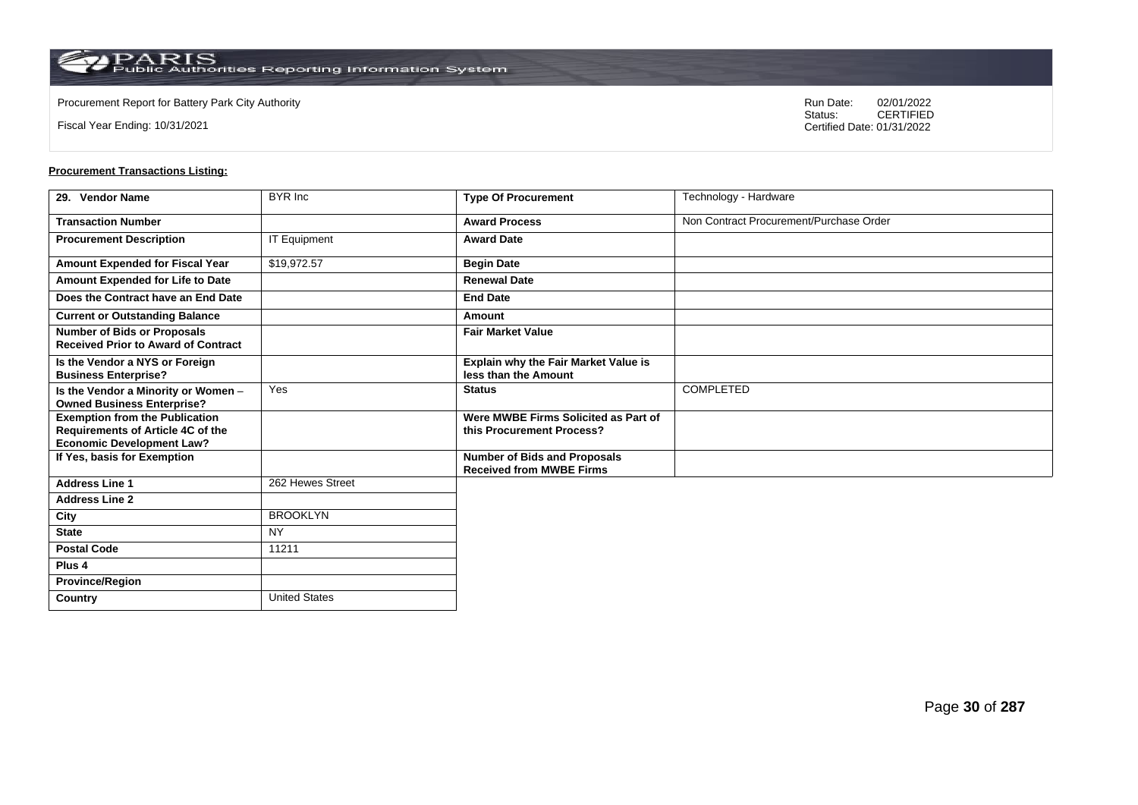Fiscal Year Ending: 10/31/2021

Procurement Report for Battery Park City Authority **National State Concrete Concrete Concrete Concrete Concrete Concrete Concrete Concrete Concrete Concrete Concrete Concrete Concrete Concrete Concrete Concrete Concrete Co** CERTIFIED Certified Date: 01/31/2022

| 29. Vendor Name                                                                  | BYR Inc              | <b>Type Of Procurement</b>                                             | Technology - Hardware                   |
|----------------------------------------------------------------------------------|----------------------|------------------------------------------------------------------------|-----------------------------------------|
| <b>Transaction Number</b>                                                        |                      | <b>Award Process</b>                                                   | Non Contract Procurement/Purchase Order |
| <b>Procurement Description</b>                                                   | <b>IT Equipment</b>  | <b>Award Date</b>                                                      |                                         |
| Amount Expended for Fiscal Year                                                  | \$19,972.57          | <b>Begin Date</b>                                                      |                                         |
| Amount Expended for Life to Date                                                 |                      | <b>Renewal Date</b>                                                    |                                         |
| Does the Contract have an End Date                                               |                      | <b>End Date</b>                                                        |                                         |
| <b>Current or Outstanding Balance</b>                                            |                      | Amount                                                                 |                                         |
| <b>Number of Bids or Proposals</b><br><b>Received Prior to Award of Contract</b> |                      | <b>Fair Market Value</b>                                               |                                         |
| Is the Vendor a NYS or Foreign<br><b>Business Enterprise?</b>                    |                      | Explain why the Fair Market Value is<br>less than the Amount           |                                         |
| Is the Vendor a Minority or Women -<br><b>Owned Business Enterprise?</b>         | Yes                  | <b>Status</b>                                                          | <b>COMPLETED</b>                        |
| <b>Exemption from the Publication</b><br>Requirements of Article 4C of the       |                      | Were MWBE Firms Solicited as Part of<br>this Procurement Process?      |                                         |
| <b>Economic Development Law?</b>                                                 |                      |                                                                        |                                         |
| If Yes, basis for Exemption                                                      |                      | <b>Number of Bids and Proposals</b><br><b>Received from MWBE Firms</b> |                                         |
| <b>Address Line 1</b>                                                            | 262 Hewes Street     |                                                                        |                                         |
| <b>Address Line 2</b>                                                            |                      |                                                                        |                                         |
| City                                                                             | <b>BROOKLYN</b>      |                                                                        |                                         |
| <b>State</b>                                                                     | <b>NY</b>            |                                                                        |                                         |
| <b>Postal Code</b>                                                               | 11211                |                                                                        |                                         |
| Plus 4                                                                           |                      |                                                                        |                                         |
| <b>Province/Region</b>                                                           |                      |                                                                        |                                         |
| Country                                                                          | <b>United States</b> |                                                                        |                                         |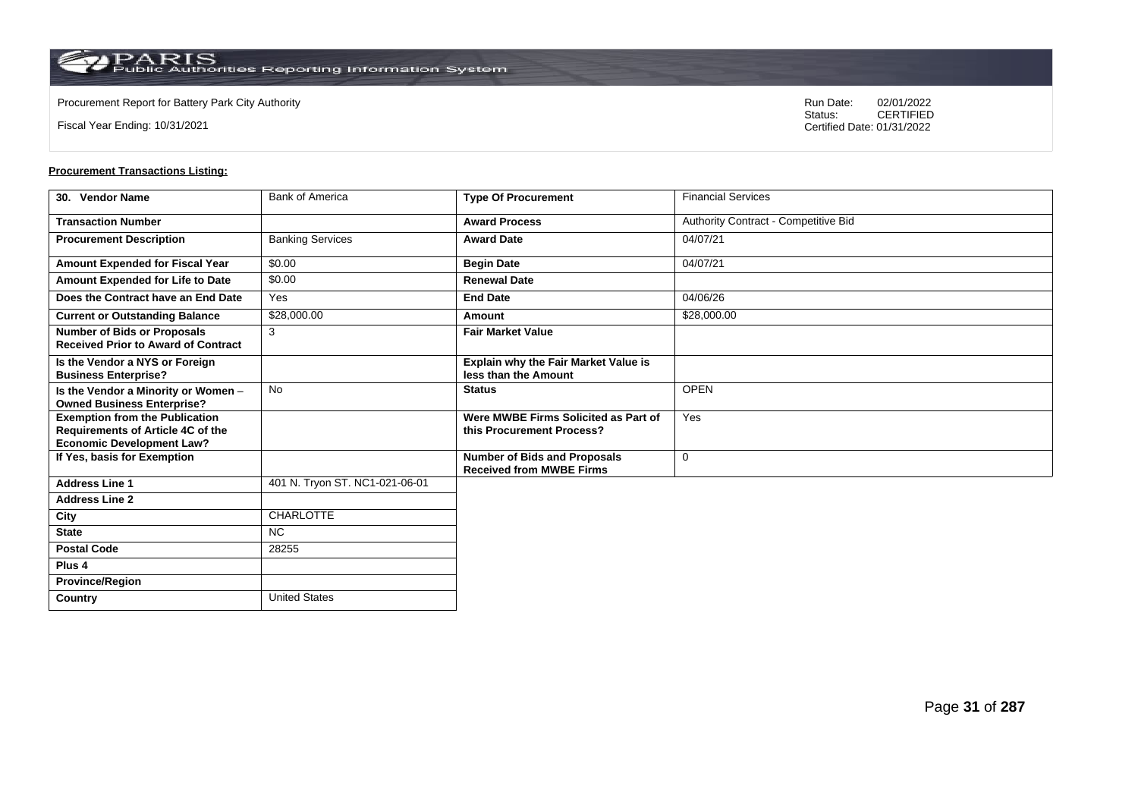**Country** United States

Fiscal Year Ending: 10/31/2021

Procurement Report for Battery Park City Authority **National State Concrete Concrete Concrete Concrete Concrete Concrete Concrete Concrete Concrete Concrete Concrete Concrete Concrete Concrete Concrete Concrete Concrete Co** CERTIFIED Certified Date: 01/31/2022

| 30. Vendor Name                                                                                                | <b>Bank of America</b>         | <b>Type Of Procurement</b>                                             | <b>Financial Services</b>            |
|----------------------------------------------------------------------------------------------------------------|--------------------------------|------------------------------------------------------------------------|--------------------------------------|
| <b>Transaction Number</b>                                                                                      |                                | <b>Award Process</b>                                                   | Authority Contract - Competitive Bid |
| <b>Procurement Description</b>                                                                                 | <b>Banking Services</b>        | <b>Award Date</b>                                                      | 04/07/21                             |
| Amount Expended for Fiscal Year                                                                                | \$0.00                         | <b>Begin Date</b>                                                      | 04/07/21                             |
| Amount Expended for Life to Date                                                                               | \$0.00                         | <b>Renewal Date</b>                                                    |                                      |
| Does the Contract have an End Date                                                                             | Yes                            | <b>End Date</b>                                                        | 04/06/26                             |
| <b>Current or Outstanding Balance</b>                                                                          | \$28,000.00                    | Amount                                                                 | \$28,000.00                          |
| <b>Number of Bids or Proposals</b><br><b>Received Prior to Award of Contract</b>                               | 3                              | <b>Fair Market Value</b>                                               |                                      |
| Is the Vendor a NYS or Foreign<br><b>Business Enterprise?</b>                                                  |                                | Explain why the Fair Market Value is<br>less than the Amount           |                                      |
| Is the Vendor a Minority or Women -<br><b>Owned Business Enterprise?</b>                                       | <b>No</b>                      | <b>Status</b>                                                          | <b>OPEN</b>                          |
| <b>Exemption from the Publication</b><br>Requirements of Article 4C of the<br><b>Economic Development Law?</b> |                                | Were MWBE Firms Solicited as Part of<br>this Procurement Process?      | Yes                                  |
| If Yes, basis for Exemption                                                                                    |                                | <b>Number of Bids and Proposals</b><br><b>Received from MWBE Firms</b> | 0                                    |
| <b>Address Line 1</b>                                                                                          | 401 N. Tryon ST. NC1-021-06-01 |                                                                        |                                      |
| <b>Address Line 2</b>                                                                                          |                                |                                                                        |                                      |
| City                                                                                                           | <b>CHARLOTTE</b>               |                                                                        |                                      |
| <b>State</b>                                                                                                   | NC.                            |                                                                        |                                      |
| <b>Postal Code</b>                                                                                             | 28255                          |                                                                        |                                      |
| Plus <sub>4</sub>                                                                                              |                                |                                                                        |                                      |
| <b>Province/Region</b>                                                                                         |                                |                                                                        |                                      |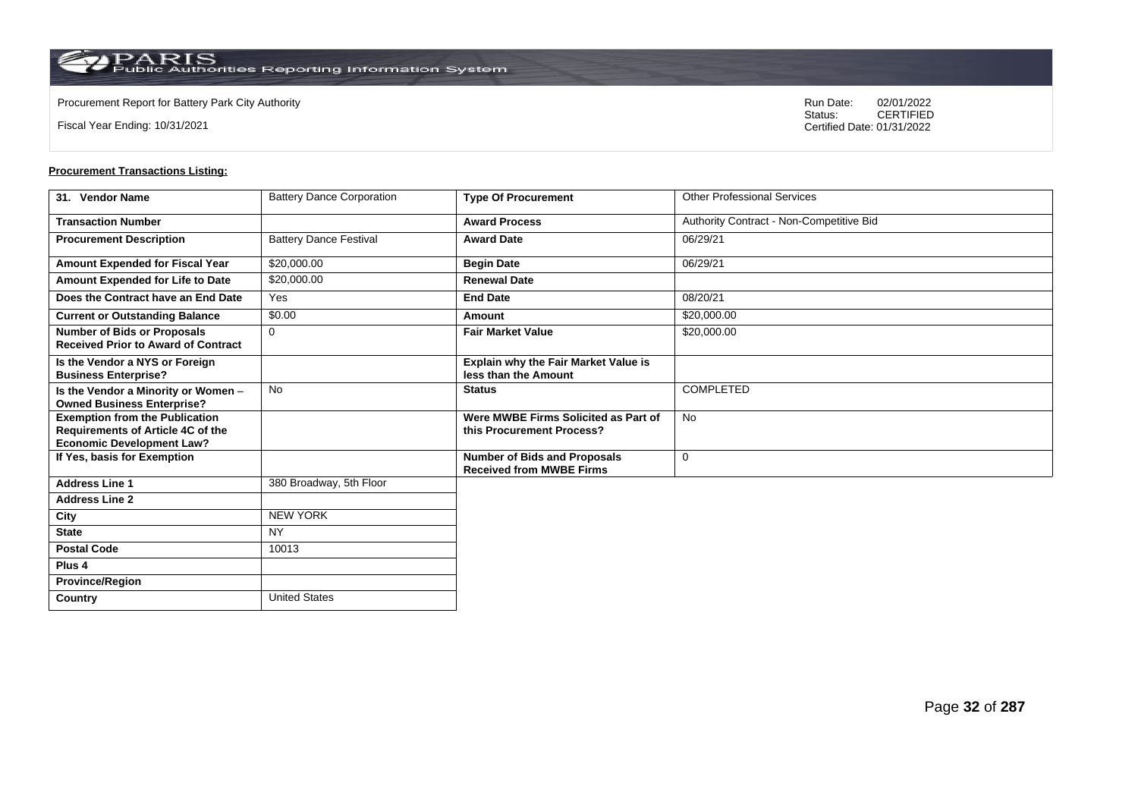**Country** United States

Fiscal Year Ending: 10/31/2021

Procurement Report for Battery Park City Authority **National State Concrete Concrete Concrete Concrete Concrete Concrete Concrete Concrete Concrete Concrete Concrete Concrete Concrete Concrete Concrete Concrete Concrete Co** CERTIFIED Certified Date: 01/31/2022

| 31. Vendor Name                                                                                                | <b>Battery Dance Corporation</b> | <b>Type Of Procurement</b>                                             | <b>Other Professional Services</b>       |
|----------------------------------------------------------------------------------------------------------------|----------------------------------|------------------------------------------------------------------------|------------------------------------------|
| <b>Transaction Number</b>                                                                                      |                                  | <b>Award Process</b>                                                   | Authority Contract - Non-Competitive Bid |
| <b>Procurement Description</b>                                                                                 | <b>Battery Dance Festival</b>    | <b>Award Date</b>                                                      | 06/29/21                                 |
| Amount Expended for Fiscal Year                                                                                | \$20,000.00                      | <b>Begin Date</b>                                                      | 06/29/21                                 |
| Amount Expended for Life to Date                                                                               | \$20,000.00                      | <b>Renewal Date</b>                                                    |                                          |
| Does the Contract have an End Date                                                                             | Yes                              | <b>End Date</b>                                                        | 08/20/21                                 |
| <b>Current or Outstanding Balance</b>                                                                          | \$0.00                           | Amount                                                                 | \$20,000.00                              |
| <b>Number of Bids or Proposals</b><br><b>Received Prior to Award of Contract</b>                               | $\mathbf 0$                      | <b>Fair Market Value</b>                                               | \$20,000.00                              |
| Is the Vendor a NYS or Foreign<br><b>Business Enterprise?</b>                                                  |                                  | Explain why the Fair Market Value is<br>less than the Amount           |                                          |
| Is the Vendor a Minority or Women -<br><b>Owned Business Enterprise?</b>                                       | <b>No</b>                        | <b>Status</b>                                                          | <b>COMPLETED</b>                         |
| <b>Exemption from the Publication</b><br>Requirements of Article 4C of the<br><b>Economic Development Law?</b> |                                  | Were MWBE Firms Solicited as Part of<br>this Procurement Process?      | <b>No</b>                                |
| If Yes, basis for Exemption                                                                                    |                                  | <b>Number of Bids and Proposals</b><br><b>Received from MWBE Firms</b> | 0                                        |
| <b>Address Line 1</b>                                                                                          | 380 Broadway, 5th Floor          |                                                                        |                                          |
| <b>Address Line 2</b>                                                                                          |                                  |                                                                        |                                          |
| City                                                                                                           | <b>NEW YORK</b>                  |                                                                        |                                          |
| <b>State</b>                                                                                                   | <b>NY</b>                        |                                                                        |                                          |
| <b>Postal Code</b>                                                                                             | 10013                            |                                                                        |                                          |
| Plus <sub>4</sub>                                                                                              |                                  |                                                                        |                                          |
| <b>Province/Region</b>                                                                                         |                                  |                                                                        |                                          |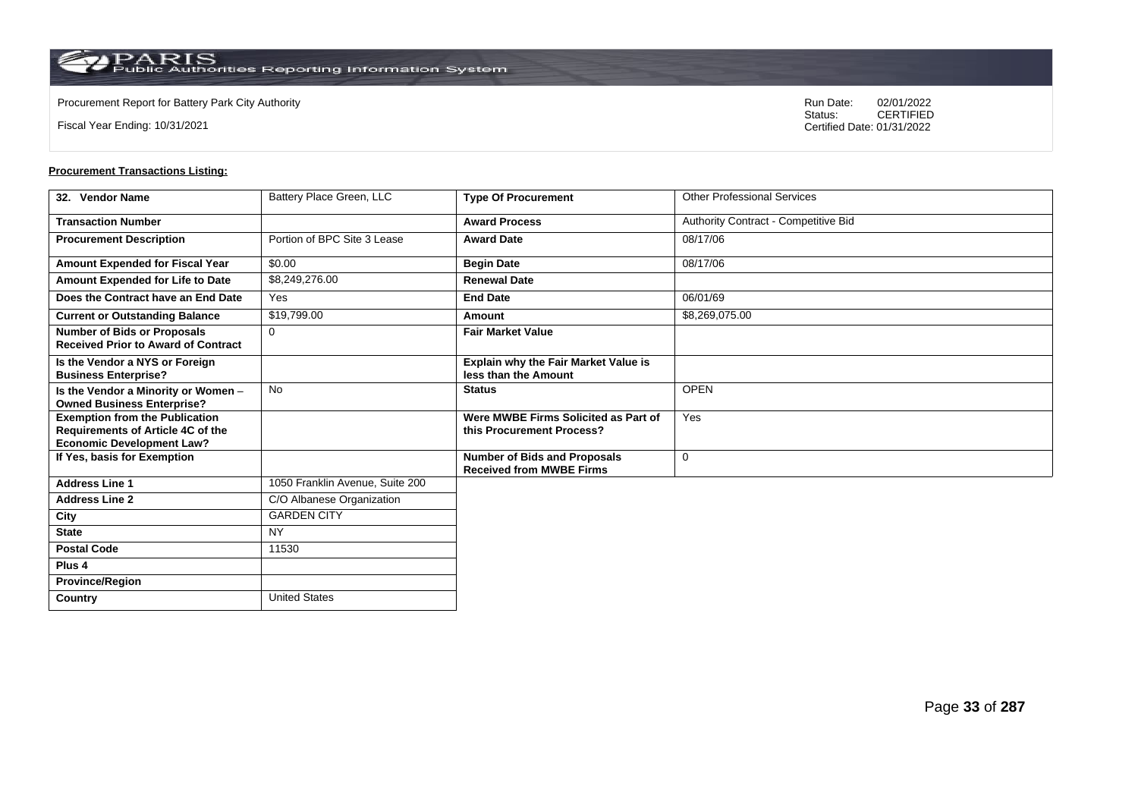**Country** United States

Fiscal Year Ending: 10/31/2021

Procurement Report for Battery Park City Authority **National State Concrete Concrete Concrete Concrete Concrete Concrete Concrete Concrete Concrete Concrete Concrete Concrete Concrete Concrete Concrete Concrete Concrete Co** CERTIFIED Certified Date: 01/31/2022

| 32. Vendor Name                                                                                                       | Battery Place Green, LLC        | <b>Type Of Procurement</b>                                             | <b>Other Professional Services</b>   |
|-----------------------------------------------------------------------------------------------------------------------|---------------------------------|------------------------------------------------------------------------|--------------------------------------|
| <b>Transaction Number</b>                                                                                             |                                 | <b>Award Process</b>                                                   | Authority Contract - Competitive Bid |
| <b>Procurement Description</b>                                                                                        | Portion of BPC Site 3 Lease     | <b>Award Date</b>                                                      | 08/17/06                             |
| Amount Expended for Fiscal Year                                                                                       | \$0.00                          | <b>Begin Date</b>                                                      | 08/17/06                             |
| Amount Expended for Life to Date                                                                                      | \$8,249,276.00                  | <b>Renewal Date</b>                                                    |                                      |
| Does the Contract have an End Date                                                                                    | Yes                             | <b>End Date</b>                                                        | 06/01/69                             |
| <b>Current or Outstanding Balance</b>                                                                                 | \$19,799.00                     | Amount                                                                 | \$8,269,075.00                       |
| <b>Number of Bids or Proposals</b><br><b>Received Prior to Award of Contract</b>                                      | $\Omega$                        | <b>Fair Market Value</b>                                               |                                      |
| Is the Vendor a NYS or Foreign<br><b>Business Enterprise?</b>                                                         |                                 | <b>Explain why the Fair Market Value is</b><br>less than the Amount    |                                      |
| Is the Vendor a Minority or Women -<br><b>Owned Business Enterprise?</b>                                              | <b>No</b>                       | <b>Status</b>                                                          | <b>OPEN</b>                          |
| <b>Exemption from the Publication</b><br><b>Requirements of Article 4C of the</b><br><b>Economic Development Law?</b> |                                 | Were MWBE Firms Solicited as Part of<br>this Procurement Process?      | Yes                                  |
| If Yes, basis for Exemption                                                                                           |                                 | <b>Number of Bids and Proposals</b><br><b>Received from MWBE Firms</b> | $\mathbf 0$                          |
| <b>Address Line 1</b>                                                                                                 | 1050 Franklin Avenue, Suite 200 |                                                                        |                                      |
| <b>Address Line 2</b>                                                                                                 | C/O Albanese Organization       |                                                                        |                                      |
| City                                                                                                                  | <b>GARDEN CITY</b>              |                                                                        |                                      |
| <b>State</b>                                                                                                          | <b>NY</b>                       |                                                                        |                                      |
| <b>Postal Code</b>                                                                                                    | 11530                           |                                                                        |                                      |
| Plus <sub>4</sub>                                                                                                     |                                 |                                                                        |                                      |
| <b>Province/Region</b>                                                                                                |                                 |                                                                        |                                      |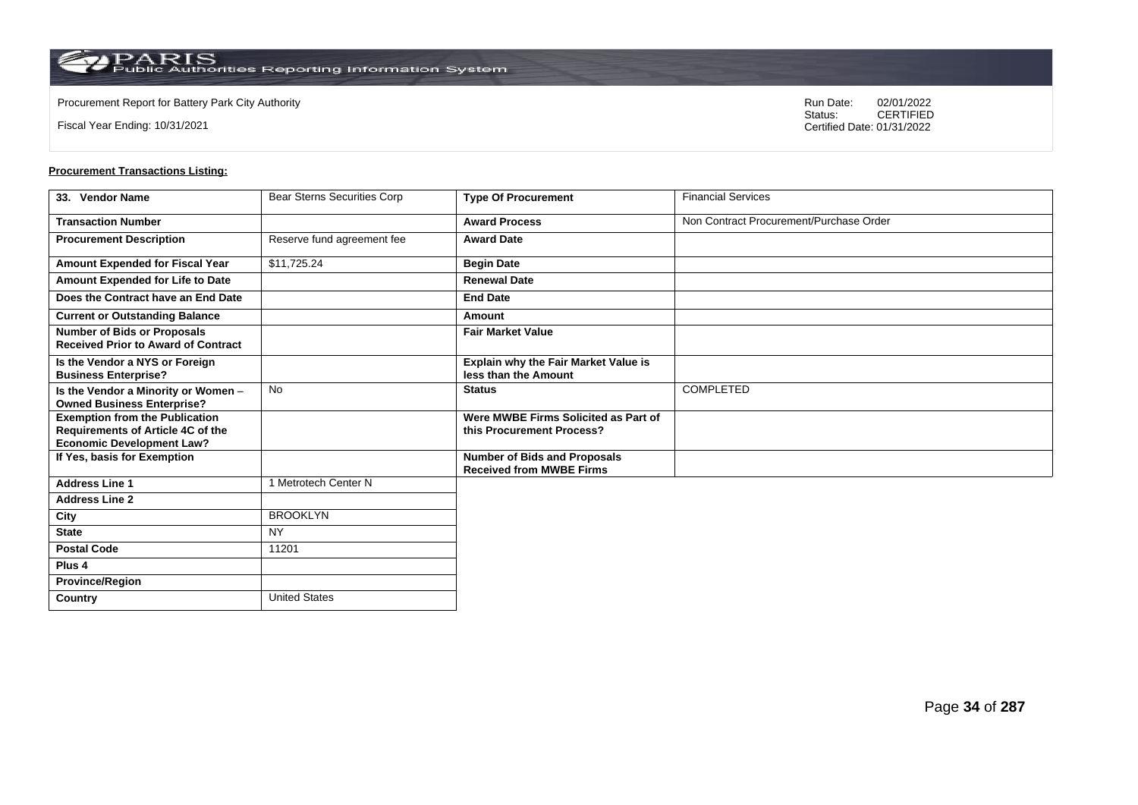**Country** United States

Fiscal Year Ending: 10/31/2021

Procurement Report for Battery Park City Authority **National State Concrete Concrete Concrete Concrete Concrete Concrete Concrete Concrete Concrete Concrete Concrete Concrete Concrete Concrete Concrete Concrete Concrete Co** CERTIFIED Certified Date: 01/31/2022

| 33. Vendor Name                                                                                                       | Bear Sterns Securities Corp | <b>Type Of Procurement</b>                                             | <b>Financial Services</b>               |
|-----------------------------------------------------------------------------------------------------------------------|-----------------------------|------------------------------------------------------------------------|-----------------------------------------|
| <b>Transaction Number</b>                                                                                             |                             | <b>Award Process</b>                                                   | Non Contract Procurement/Purchase Order |
| <b>Procurement Description</b>                                                                                        | Reserve fund agreement fee  | <b>Award Date</b>                                                      |                                         |
| Amount Expended for Fiscal Year                                                                                       | \$11,725.24                 | <b>Begin Date</b>                                                      |                                         |
| Amount Expended for Life to Date                                                                                      |                             | <b>Renewal Date</b>                                                    |                                         |
| Does the Contract have an End Date                                                                                    |                             | <b>End Date</b>                                                        |                                         |
| <b>Current or Outstanding Balance</b>                                                                                 |                             | Amount                                                                 |                                         |
| <b>Number of Bids or Proposals</b><br><b>Received Prior to Award of Contract</b>                                      |                             | <b>Fair Market Value</b>                                               |                                         |
| Is the Vendor a NYS or Foreign<br><b>Business Enterprise?</b>                                                         |                             | Explain why the Fair Market Value is<br>less than the Amount           |                                         |
| Is the Vendor a Minority or Women -<br><b>Owned Business Enterprise?</b>                                              | <b>No</b>                   | <b>Status</b>                                                          | COMPLETED                               |
| <b>Exemption from the Publication</b><br><b>Requirements of Article 4C of the</b><br><b>Economic Development Law?</b> |                             | Were MWBE Firms Solicited as Part of<br>this Procurement Process?      |                                         |
| If Yes, basis for Exemption                                                                                           |                             | <b>Number of Bids and Proposals</b><br><b>Received from MWBE Firms</b> |                                         |
| <b>Address Line 1</b>                                                                                                 | 1 Metrotech Center N        |                                                                        |                                         |
| <b>Address Line 2</b>                                                                                                 |                             |                                                                        |                                         |
| City                                                                                                                  | <b>BROOKLYN</b>             |                                                                        |                                         |
| <b>State</b>                                                                                                          | <b>NY</b>                   |                                                                        |                                         |
| <b>Postal Code</b>                                                                                                    | 11201                       |                                                                        |                                         |
| Plus <sub>4</sub>                                                                                                     |                             |                                                                        |                                         |
| <b>Province/Region</b>                                                                                                |                             |                                                                        |                                         |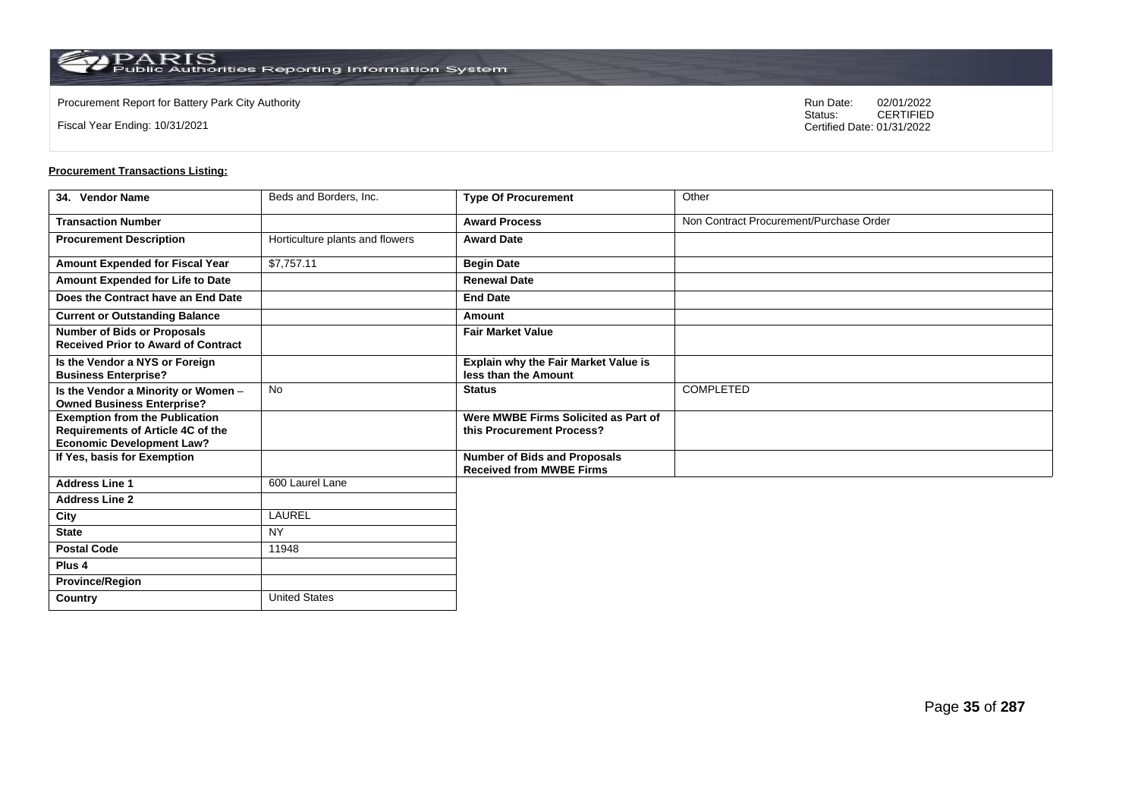**Country** United States

Fiscal Year Ending: 10/31/2021

Procurement Report for Battery Park City Authority **National State Concrete Concrete Concrete Concrete Concrete Concrete Concrete Concrete Concrete Concrete Concrete Concrete Concrete Concrete Concrete Concrete Concrete Co** CERTIFIED Certified Date: 01/31/2022

| 34. Vendor Name                                                                                                       | Beds and Borders, Inc.          | <b>Type Of Procurement</b>                                             | Other                                   |
|-----------------------------------------------------------------------------------------------------------------------|---------------------------------|------------------------------------------------------------------------|-----------------------------------------|
| <b>Transaction Number</b>                                                                                             |                                 | <b>Award Process</b>                                                   | Non Contract Procurement/Purchase Order |
| <b>Procurement Description</b>                                                                                        | Horticulture plants and flowers | <b>Award Date</b>                                                      |                                         |
| Amount Expended for Fiscal Year                                                                                       | \$7,757.11                      | <b>Begin Date</b>                                                      |                                         |
| Amount Expended for Life to Date                                                                                      |                                 | <b>Renewal Date</b>                                                    |                                         |
| Does the Contract have an End Date                                                                                    |                                 | <b>End Date</b>                                                        |                                         |
| <b>Current or Outstanding Balance</b>                                                                                 |                                 | Amount                                                                 |                                         |
| <b>Number of Bids or Proposals</b><br><b>Received Prior to Award of Contract</b>                                      |                                 | <b>Fair Market Value</b>                                               |                                         |
| Is the Vendor a NYS or Foreign<br><b>Business Enterprise?</b>                                                         |                                 | <b>Explain why the Fair Market Value is</b><br>less than the Amount    |                                         |
| Is the Vendor a Minority or Women -<br><b>Owned Business Enterprise?</b>                                              | <b>No</b>                       | <b>Status</b>                                                          | COMPLETED                               |
| <b>Exemption from the Publication</b><br><b>Requirements of Article 4C of the</b><br><b>Economic Development Law?</b> |                                 | Were MWBE Firms Solicited as Part of<br>this Procurement Process?      |                                         |
| If Yes, basis for Exemption                                                                                           |                                 | <b>Number of Bids and Proposals</b><br><b>Received from MWBE Firms</b> |                                         |
| <b>Address Line 1</b>                                                                                                 | 600 Laurel Lane                 |                                                                        |                                         |
| <b>Address Line 2</b>                                                                                                 |                                 |                                                                        |                                         |
| City                                                                                                                  | LAUREL                          |                                                                        |                                         |
| <b>State</b>                                                                                                          | <b>NY</b>                       |                                                                        |                                         |
| <b>Postal Code</b>                                                                                                    | 11948                           |                                                                        |                                         |
| Plus <sub>4</sub>                                                                                                     |                                 |                                                                        |                                         |
| <b>Province/Region</b>                                                                                                |                                 |                                                                        |                                         |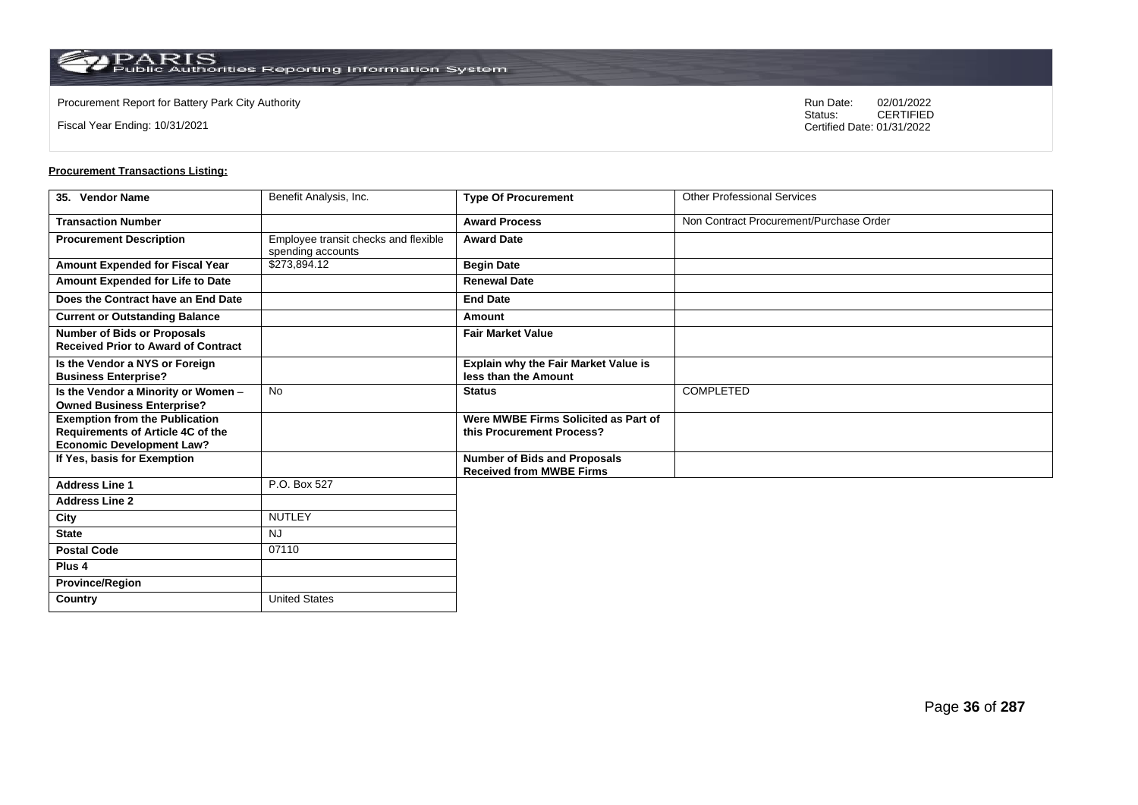$\operatorname{PARIS}_{\text{Public Authorities Reporting Information System}}$ 

**Country** United States

Fiscal Year Ending: 10/31/2021

Procurement Report for Battery Park City Authority **National State Concrete Concrete Concrete Concrete Concrete Concrete Concrete Concrete Concrete Concrete Concrete Concrete Concrete Concrete Concrete Concrete Concrete Co** CERTIFIED Certified Date: 01/31/2022

| 35. Vendor Name                                                                                                | Benefit Analysis, Inc.                                    | <b>Type Of Procurement</b>                                             | <b>Other Professional Services</b>      |
|----------------------------------------------------------------------------------------------------------------|-----------------------------------------------------------|------------------------------------------------------------------------|-----------------------------------------|
| <b>Transaction Number</b>                                                                                      |                                                           | <b>Award Process</b>                                                   | Non Contract Procurement/Purchase Order |
| <b>Procurement Description</b>                                                                                 | Employee transit checks and flexible<br>spending accounts | <b>Award Date</b>                                                      |                                         |
| Amount Expended for Fiscal Year                                                                                | \$273,894.12                                              | <b>Begin Date</b>                                                      |                                         |
| Amount Expended for Life to Date                                                                               |                                                           | <b>Renewal Date</b>                                                    |                                         |
| Does the Contract have an End Date                                                                             |                                                           | <b>End Date</b>                                                        |                                         |
| <b>Current or Outstanding Balance</b>                                                                          |                                                           | Amount                                                                 |                                         |
| <b>Number of Bids or Proposals</b><br><b>Received Prior to Award of Contract</b>                               |                                                           | <b>Fair Market Value</b>                                               |                                         |
| Is the Vendor a NYS or Foreign<br><b>Business Enterprise?</b>                                                  |                                                           | Explain why the Fair Market Value is<br>less than the Amount           |                                         |
| Is the Vendor a Minority or Women -<br><b>Owned Business Enterprise?</b>                                       | <b>No</b>                                                 | <b>Status</b>                                                          | COMPLETED                               |
| <b>Exemption from the Publication</b><br>Requirements of Article 4C of the<br><b>Economic Development Law?</b> |                                                           | Were MWBE Firms Solicited as Part of<br>this Procurement Process?      |                                         |
| If Yes, basis for Exemption                                                                                    |                                                           | <b>Number of Bids and Proposals</b><br><b>Received from MWBE Firms</b> |                                         |
| <b>Address Line 1</b>                                                                                          | P.O. Box 527                                              |                                                                        |                                         |
| <b>Address Line 2</b>                                                                                          |                                                           |                                                                        |                                         |
| City                                                                                                           | <b>NUTLEY</b>                                             |                                                                        |                                         |
| <b>State</b>                                                                                                   | <b>NJ</b>                                                 |                                                                        |                                         |
| <b>Postal Code</b>                                                                                             | 07110                                                     |                                                                        |                                         |
| Plus <sub>4</sub>                                                                                              |                                                           |                                                                        |                                         |
| <b>Province/Region</b>                                                                                         |                                                           |                                                                        |                                         |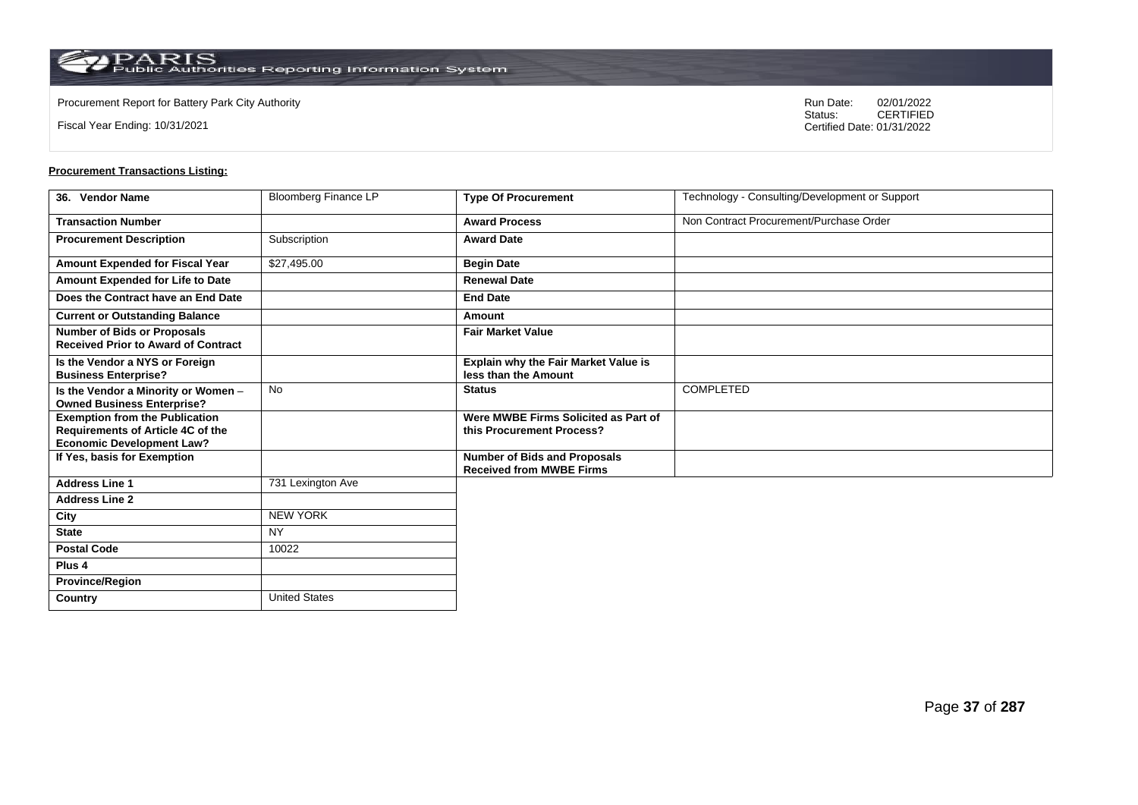$\operatorname{PARIS}_{\text{Public Authorities}\,\text{Reporting}\,\text{Information System}}$ 

**Country** United States

Fiscal Year Ending: 10/31/2021

Procurement Report for Battery Park City Authority **National State Concrete Concrete Concrete Concrete Concrete Concrete Concrete Concrete Concrete Concrete Concrete Concrete Concrete Concrete Concrete Concrete Concrete Co** CERTIFIED Certified Date: 01/31/2022

| 36. Vendor Name                                                                                                | <b>Bloomberg Finance LP</b> | <b>Type Of Procurement</b>                                             | Technology - Consulting/Development or Support |
|----------------------------------------------------------------------------------------------------------------|-----------------------------|------------------------------------------------------------------------|------------------------------------------------|
| <b>Transaction Number</b>                                                                                      |                             | <b>Award Process</b>                                                   | Non Contract Procurement/Purchase Order        |
| <b>Procurement Description</b>                                                                                 | Subscription                | <b>Award Date</b>                                                      |                                                |
| Amount Expended for Fiscal Year                                                                                | \$27,495.00                 | <b>Begin Date</b>                                                      |                                                |
| Amount Expended for Life to Date                                                                               |                             | <b>Renewal Date</b>                                                    |                                                |
| Does the Contract have an End Date                                                                             |                             | <b>End Date</b>                                                        |                                                |
| <b>Current or Outstanding Balance</b>                                                                          |                             | Amount                                                                 |                                                |
| <b>Number of Bids or Proposals</b><br><b>Received Prior to Award of Contract</b>                               |                             | <b>Fair Market Value</b>                                               |                                                |
| Is the Vendor a NYS or Foreign<br><b>Business Enterprise?</b>                                                  |                             | Explain why the Fair Market Value is<br>less than the Amount           |                                                |
| Is the Vendor a Minority or Women -<br><b>Owned Business Enterprise?</b>                                       | <b>No</b>                   | <b>Status</b>                                                          | COMPLETED                                      |
| <b>Exemption from the Publication</b><br>Requirements of Article 4C of the<br><b>Economic Development Law?</b> |                             | Were MWBE Firms Solicited as Part of<br>this Procurement Process?      |                                                |
| If Yes, basis for Exemption                                                                                    |                             | <b>Number of Bids and Proposals</b><br><b>Received from MWBE Firms</b> |                                                |
| <b>Address Line 1</b>                                                                                          | 731 Lexington Ave           |                                                                        |                                                |
| <b>Address Line 2</b>                                                                                          |                             |                                                                        |                                                |
| City                                                                                                           | <b>NEW YORK</b>             |                                                                        |                                                |
| <b>State</b>                                                                                                   | <b>NY</b>                   |                                                                        |                                                |
| <b>Postal Code</b>                                                                                             | 10022                       |                                                                        |                                                |
| Plus <sub>4</sub>                                                                                              |                             |                                                                        |                                                |
| <b>Province/Region</b>                                                                                         |                             |                                                                        |                                                |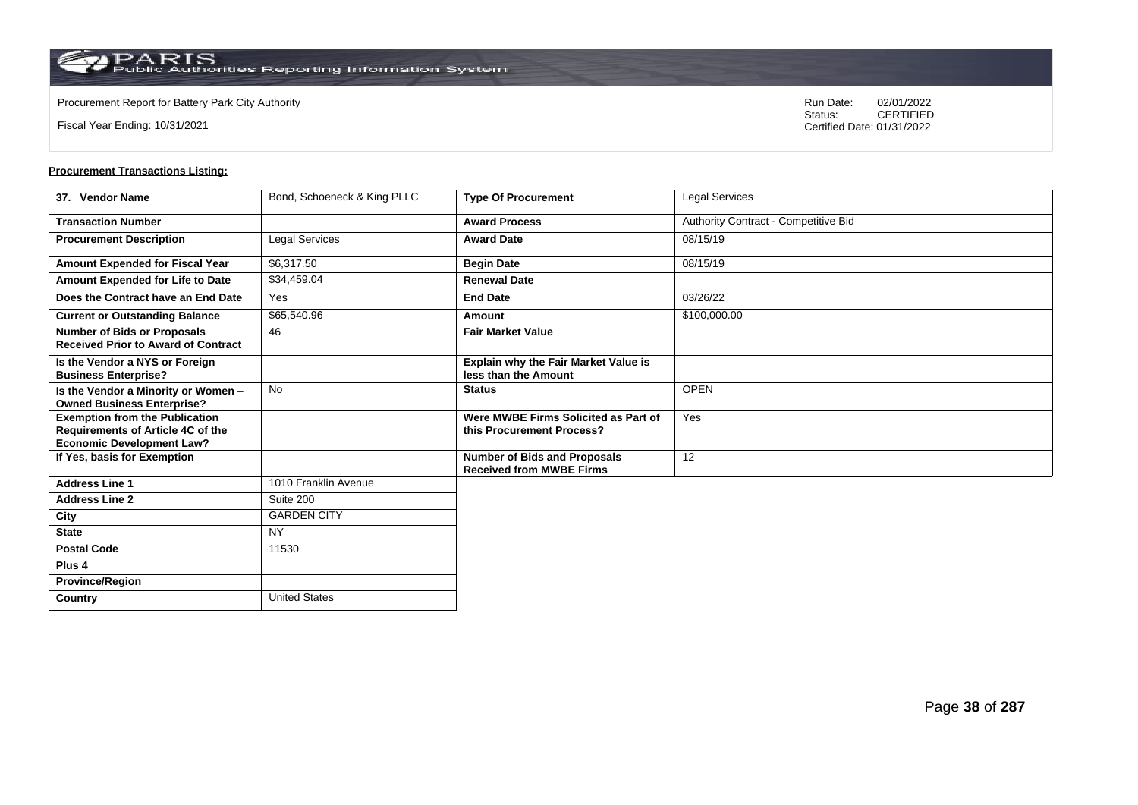**Country** United States

Fiscal Year Ending: 10/31/2021

Procurement Report for Battery Park City Authority **National State Concrete Concrete Concrete Concrete Concrete Concrete Concrete Concrete Concrete Concrete Concrete Concrete Concrete Concrete Concrete Concrete Concrete Co** CERTIFIED Certified Date: 01/31/2022

| 37. Vendor Name                                                                                                | Bond, Schoeneck & King PLLC | <b>Type Of Procurement</b>                                        | Legal Services                       |
|----------------------------------------------------------------------------------------------------------------|-----------------------------|-------------------------------------------------------------------|--------------------------------------|
| <b>Transaction Number</b>                                                                                      |                             | <b>Award Process</b>                                              | Authority Contract - Competitive Bid |
| <b>Procurement Description</b>                                                                                 | Legal Services              | <b>Award Date</b>                                                 | 08/15/19                             |
| Amount Expended for Fiscal Year                                                                                | \$6,317.50                  | <b>Begin Date</b>                                                 | 08/15/19                             |
| Amount Expended for Life to Date                                                                               | \$34,459.04                 | <b>Renewal Date</b>                                               |                                      |
| Does the Contract have an End Date                                                                             | Yes                         | <b>End Date</b>                                                   | 03/26/22                             |
| <b>Current or Outstanding Balance</b>                                                                          | \$65,540.96                 | Amount                                                            | \$100,000.00                         |
| <b>Number of Bids or Proposals</b><br><b>Received Prior to Award of Contract</b>                               | 46                          | <b>Fair Market Value</b>                                          |                                      |
| Is the Vendor a NYS or Foreign<br><b>Business Enterprise?</b>                                                  |                             | Explain why the Fair Market Value is<br>less than the Amount      |                                      |
| Is the Vendor a Minority or Women -<br><b>Owned Business Enterprise?</b>                                       | <b>No</b>                   | <b>Status</b>                                                     | <b>OPEN</b>                          |
| <b>Exemption from the Publication</b><br>Requirements of Article 4C of the<br><b>Economic Development Law?</b> |                             | Were MWBE Firms Solicited as Part of<br>this Procurement Process? | Yes                                  |
| If Yes, basis for Exemption                                                                                    |                             | Number of Bids and Proposals<br><b>Received from MWBE Firms</b>   | 12                                   |
| <b>Address Line 1</b>                                                                                          | 1010 Franklin Avenue        |                                                                   |                                      |
| <b>Address Line 2</b>                                                                                          | Suite 200                   |                                                                   |                                      |
| City                                                                                                           | <b>GARDEN CITY</b>          |                                                                   |                                      |
| <b>State</b>                                                                                                   | <b>NY</b>                   |                                                                   |                                      |
| <b>Postal Code</b>                                                                                             | 11530                       |                                                                   |                                      |
| Plus <sub>4</sub>                                                                                              |                             |                                                                   |                                      |
| <b>Province/Region</b>                                                                                         |                             |                                                                   |                                      |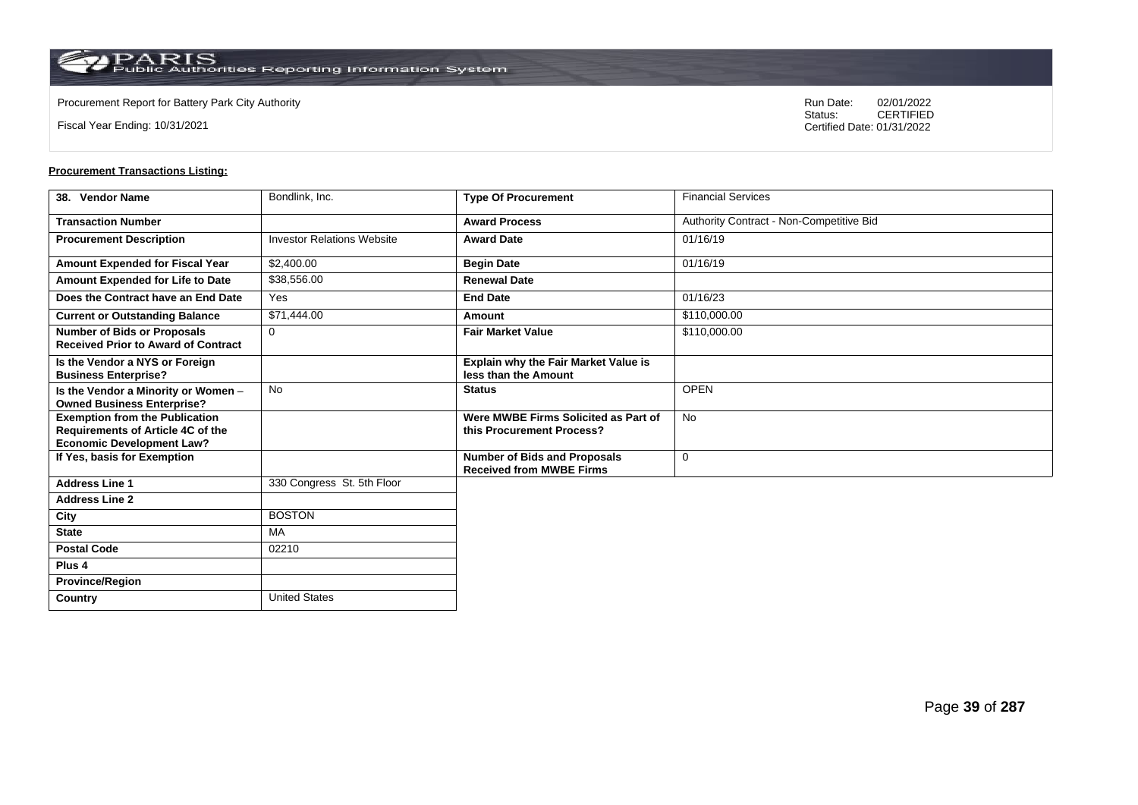**Country** United States

Fiscal Year Ending: 10/31/2021

Procurement Report for Battery Park City Authority **National State Concrete Concrete Concrete Concrete Concrete Concrete Concrete Concrete Concrete Concrete Concrete Concrete Concrete Concrete Concrete Concrete Concrete Co** CERTIFIED Certified Date: 01/31/2022

| 38. Vendor Name                                                                                                | Bondlink, Inc.                    | <b>Type Of Procurement</b>                                        | <b>Financial Services</b>                |
|----------------------------------------------------------------------------------------------------------------|-----------------------------------|-------------------------------------------------------------------|------------------------------------------|
| <b>Transaction Number</b>                                                                                      |                                   | <b>Award Process</b>                                              | Authority Contract - Non-Competitive Bid |
| <b>Procurement Description</b>                                                                                 | <b>Investor Relations Website</b> | <b>Award Date</b>                                                 | 01/16/19                                 |
| Amount Expended for Fiscal Year                                                                                | \$2,400.00                        | <b>Begin Date</b>                                                 | 01/16/19                                 |
| Amount Expended for Life to Date                                                                               | \$38,556.00                       | <b>Renewal Date</b>                                               |                                          |
| Does the Contract have an End Date                                                                             | Yes                               | <b>End Date</b>                                                   | 01/16/23                                 |
| <b>Current or Outstanding Balance</b>                                                                          | \$71,444.00                       | Amount                                                            | \$110,000.00                             |
| <b>Number of Bids or Proposals</b><br><b>Received Prior to Award of Contract</b>                               | $\Omega$                          | <b>Fair Market Value</b>                                          | \$110,000.00                             |
| Is the Vendor a NYS or Foreign<br><b>Business Enterprise?</b>                                                  |                                   | Explain why the Fair Market Value is<br>less than the Amount      |                                          |
| Is the Vendor a Minority or Women -<br><b>Owned Business Enterprise?</b>                                       | <b>No</b>                         | <b>Status</b>                                                     | <b>OPEN</b>                              |
| <b>Exemption from the Publication</b><br>Requirements of Article 4C of the<br><b>Economic Development Law?</b> |                                   | Were MWBE Firms Solicited as Part of<br>this Procurement Process? | <b>No</b>                                |
| If Yes, basis for Exemption                                                                                    |                                   | Number of Bids and Proposals<br><b>Received from MWBE Firms</b>   | 0                                        |
| <b>Address Line 1</b>                                                                                          | 330 Congress St. 5th Floor        |                                                                   |                                          |
| <b>Address Line 2</b>                                                                                          |                                   |                                                                   |                                          |
| City                                                                                                           | <b>BOSTON</b>                     |                                                                   |                                          |
| <b>State</b>                                                                                                   | MA                                |                                                                   |                                          |
| <b>Postal Code</b>                                                                                             | 02210                             |                                                                   |                                          |
| Plus <sub>4</sub>                                                                                              |                                   |                                                                   |                                          |
| <b>Province/Region</b>                                                                                         |                                   |                                                                   |                                          |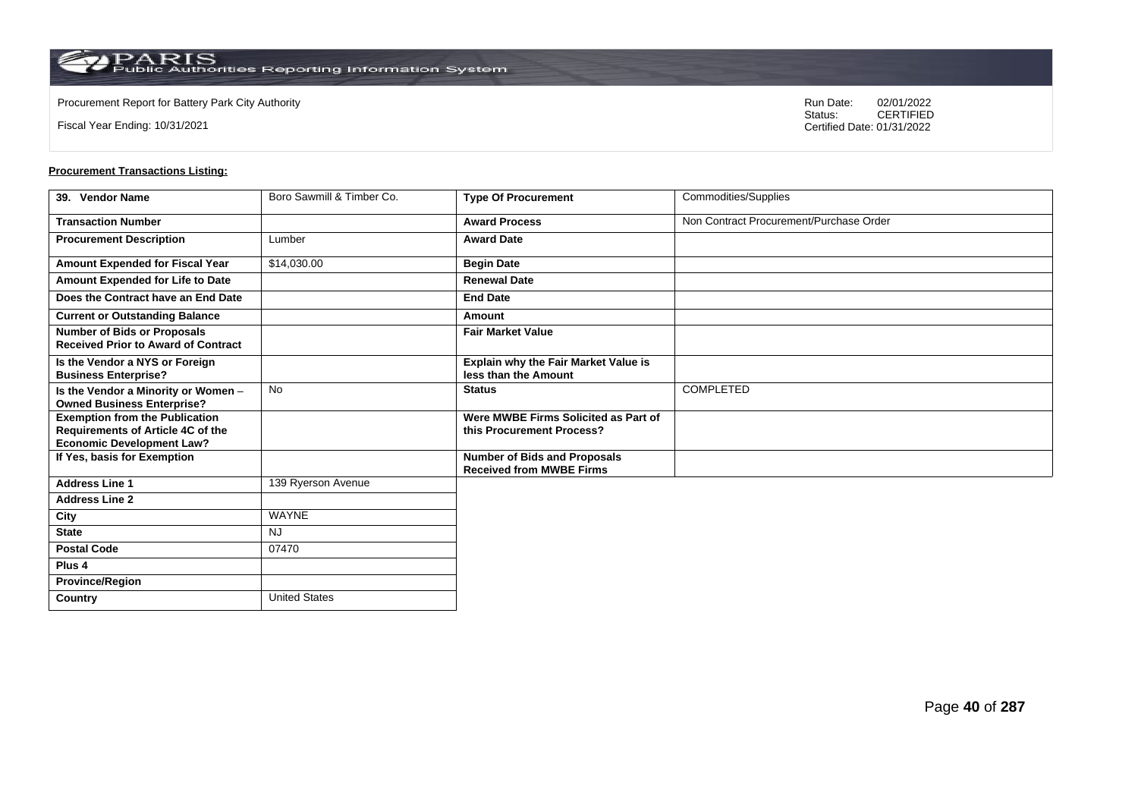Fiscal Year Ending: 10/31/2021

Procurement Report for Battery Park City Authority **National State Concrete Concrete Concrete Concrete Concrete Concrete Concrete Concrete Concrete Concrete Concrete Concrete Concrete Concrete Concrete Concrete Concrete Co** CERTIFIED Certified Date: 01/31/2022

| 39. Vendor Name                                                                                                       | Boro Sawmill & Timber Co. | <b>Type Of Procurement</b>                                             | Commodities/Supplies                    |
|-----------------------------------------------------------------------------------------------------------------------|---------------------------|------------------------------------------------------------------------|-----------------------------------------|
| <b>Transaction Number</b>                                                                                             |                           | <b>Award Process</b>                                                   | Non Contract Procurement/Purchase Order |
| <b>Procurement Description</b>                                                                                        | Lumber                    | <b>Award Date</b>                                                      |                                         |
| Amount Expended for Fiscal Year                                                                                       | \$14,030.00               | <b>Begin Date</b>                                                      |                                         |
| Amount Expended for Life to Date                                                                                      |                           | <b>Renewal Date</b>                                                    |                                         |
| Does the Contract have an End Date                                                                                    |                           | <b>End Date</b>                                                        |                                         |
| <b>Current or Outstanding Balance</b>                                                                                 |                           | Amount                                                                 |                                         |
| <b>Number of Bids or Proposals</b><br><b>Received Prior to Award of Contract</b>                                      |                           | <b>Fair Market Value</b>                                               |                                         |
| Is the Vendor a NYS or Foreign<br><b>Business Enterprise?</b>                                                         |                           | <b>Explain why the Fair Market Value is</b><br>less than the Amount    |                                         |
| Is the Vendor a Minority or Women -<br><b>Owned Business Enterprise?</b>                                              | <b>No</b>                 | <b>Status</b>                                                          | <b>COMPLETED</b>                        |
| <b>Exemption from the Publication</b><br><b>Requirements of Article 4C of the</b><br><b>Economic Development Law?</b> |                           | Were MWBE Firms Solicited as Part of<br>this Procurement Process?      |                                         |
| If Yes, basis for Exemption                                                                                           |                           | <b>Number of Bids and Proposals</b><br><b>Received from MWBE Firms</b> |                                         |
| <b>Address Line 1</b>                                                                                                 | 139 Ryerson Avenue        |                                                                        |                                         |
| <b>Address Line 2</b>                                                                                                 |                           |                                                                        |                                         |
| City                                                                                                                  | <b>WAYNE</b>              |                                                                        |                                         |
| <b>State</b>                                                                                                          | <b>NJ</b>                 |                                                                        |                                         |
| <b>Postal Code</b>                                                                                                    | 07470                     |                                                                        |                                         |
| Plus <sub>4</sub>                                                                                                     |                           |                                                                        |                                         |
| <b>Province/Region</b>                                                                                                |                           |                                                                        |                                         |
| Country                                                                                                               | <b>United States</b>      |                                                                        |                                         |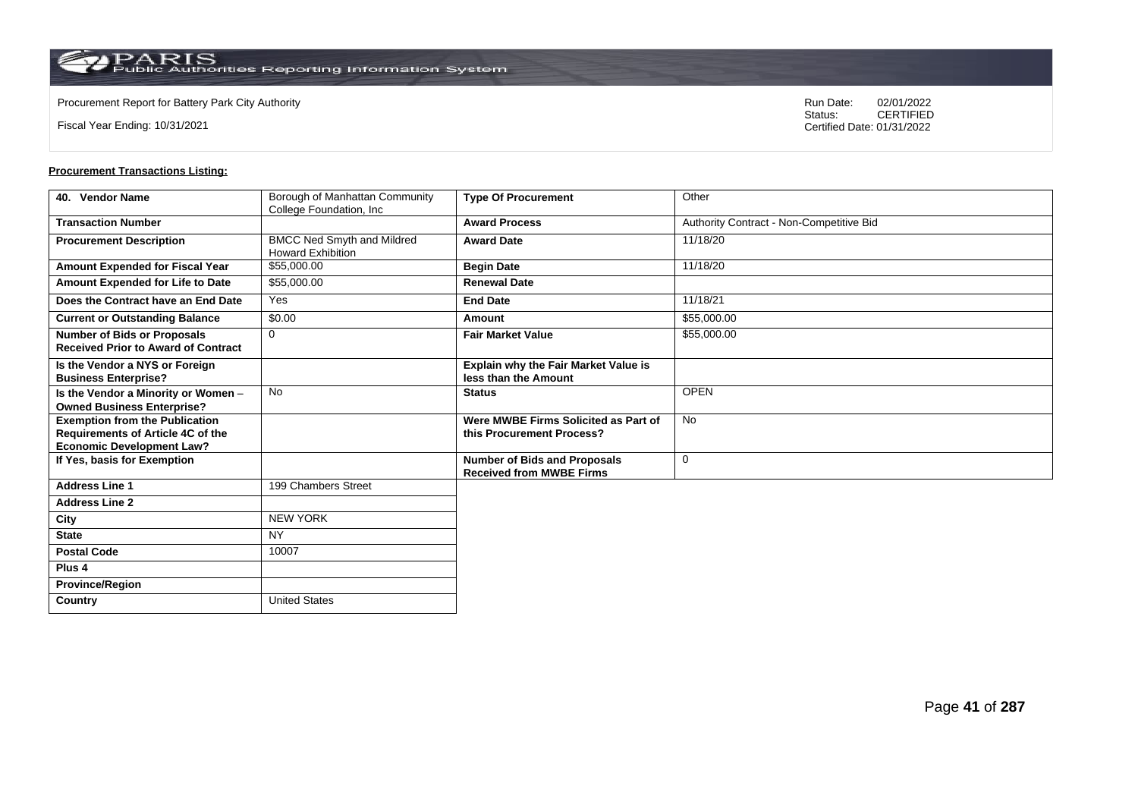Fiscal Year Ending: 10/31/2021

Procurement Report for Battery Park City Authority **National State Concrete Concrete Concrete Concrete Concrete Concrete Concrete Concrete Concrete Concrete Concrete Concrete Concrete Concrete Concrete Concrete Concrete Co** CERTIFIED Certified Date: 01/31/2022

| 40. Vendor Name                            | Borough of Manhattan Community                                | <b>Type Of Procurement</b>                                             | Other                                    |
|--------------------------------------------|---------------------------------------------------------------|------------------------------------------------------------------------|------------------------------------------|
| <b>Transaction Number</b>                  | College Foundation, Inc                                       | <b>Award Process</b>                                                   | Authority Contract - Non-Competitive Bid |
|                                            |                                                               |                                                                        |                                          |
| <b>Procurement Description</b>             | <b>BMCC Ned Smyth and Mildred</b><br><b>Howard Exhibition</b> | <b>Award Date</b>                                                      | 11/18/20                                 |
| Amount Expended for Fiscal Year            | \$55,000.00                                                   | <b>Begin Date</b>                                                      | 11/18/20                                 |
| Amount Expended for Life to Date           | \$55,000.00                                                   | <b>Renewal Date</b>                                                    |                                          |
| Does the Contract have an End Date         | Yes                                                           | <b>End Date</b>                                                        | 11/18/21                                 |
| <b>Current or Outstanding Balance</b>      | \$0.00                                                        | Amount                                                                 | \$55,000.00                              |
| <b>Number of Bids or Proposals</b>         | $\mathbf 0$                                                   | <b>Fair Market Value</b>                                               | \$55,000.00                              |
| <b>Received Prior to Award of Contract</b> |                                                               |                                                                        |                                          |
| Is the Vendor a NYS or Foreign             |                                                               | <b>Explain why the Fair Market Value is</b>                            |                                          |
| <b>Business Enterprise?</b>                |                                                               | less than the Amount                                                   |                                          |
| Is the Vendor a Minority or Women -        | <b>No</b>                                                     | <b>Status</b>                                                          | <b>OPEN</b>                              |
| <b>Owned Business Enterprise?</b>          |                                                               |                                                                        |                                          |
| <b>Exemption from the Publication</b>      |                                                               | Were MWBE Firms Solicited as Part of                                   | <b>No</b>                                |
| <b>Requirements of Article 4C of the</b>   |                                                               | this Procurement Process?                                              |                                          |
| <b>Economic Development Law?</b>           |                                                               |                                                                        |                                          |
| If Yes, basis for Exemption                |                                                               | <b>Number of Bids and Proposals</b><br><b>Received from MWBE Firms</b> | $\mathbf 0$                              |
| <b>Address Line 1</b>                      | 199 Chambers Street                                           |                                                                        |                                          |
| <b>Address Line 2</b>                      |                                                               |                                                                        |                                          |
|                                            |                                                               |                                                                        |                                          |
| City                                       | <b>NEW YORK</b>                                               |                                                                        |                                          |
| <b>State</b>                               | <b>NY</b>                                                     |                                                                        |                                          |
| <b>Postal Code</b>                         | 10007                                                         |                                                                        |                                          |
| Plus <sub>4</sub>                          |                                                               |                                                                        |                                          |
| <b>Province/Region</b>                     |                                                               |                                                                        |                                          |
| Country                                    | <b>United States</b>                                          |                                                                        |                                          |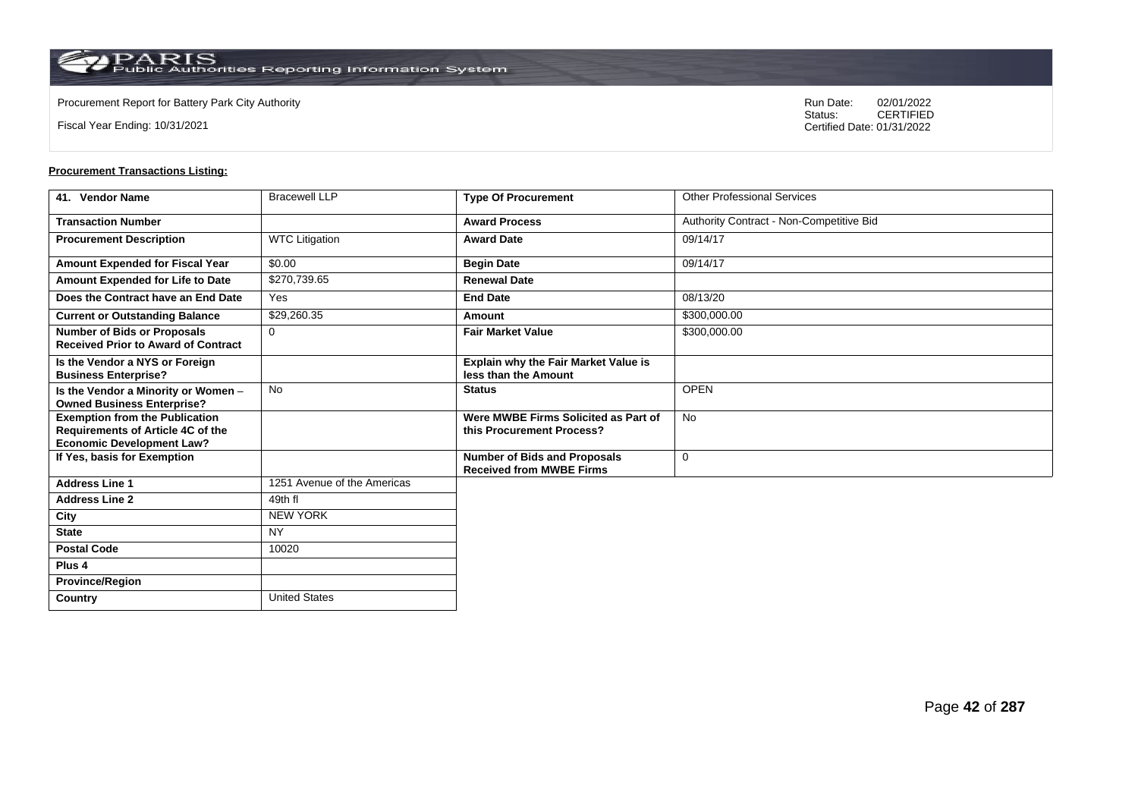$\operatorname{PARIS}_{\text{Public Authorities}\,\text{Reporting}\,\text{Information System}}$ 

**Country** United States

Fiscal Year Ending: 10/31/2021

Procurement Report for Battery Park City Authority **National State Concrete Concrete Concrete Concrete Concrete Concrete Concrete Concrete Concrete Concrete Concrete Concrete Concrete Concrete Concrete Concrete Concrete Co** CERTIFIED Certified Date: 01/31/2022

| 41. Vendor Name                                                                                                | <b>Bracewell LLP</b>        | <b>Type Of Procurement</b>                                             | <b>Other Professional Services</b>       |
|----------------------------------------------------------------------------------------------------------------|-----------------------------|------------------------------------------------------------------------|------------------------------------------|
| <b>Transaction Number</b>                                                                                      |                             | <b>Award Process</b>                                                   | Authority Contract - Non-Competitive Bid |
| <b>Procurement Description</b>                                                                                 | <b>WTC Litigation</b>       | <b>Award Date</b>                                                      | 09/14/17                                 |
| Amount Expended for Fiscal Year                                                                                | \$0.00                      | <b>Begin Date</b>                                                      | 09/14/17                                 |
| Amount Expended for Life to Date                                                                               | \$270,739.65                | <b>Renewal Date</b>                                                    |                                          |
| Does the Contract have an End Date                                                                             | Yes                         | <b>End Date</b>                                                        | 08/13/20                                 |
| <b>Current or Outstanding Balance</b>                                                                          | \$29,260.35                 | Amount                                                                 | \$300,000.00                             |
| <b>Number of Bids or Proposals</b><br><b>Received Prior to Award of Contract</b>                               | $\Omega$                    | <b>Fair Market Value</b>                                               | \$300,000.00                             |
| Is the Vendor a NYS or Foreign<br><b>Business Enterprise?</b>                                                  |                             | Explain why the Fair Market Value is<br>less than the Amount           |                                          |
| Is the Vendor a Minority or Women -<br><b>Owned Business Enterprise?</b>                                       | <b>No</b>                   | <b>Status</b>                                                          | <b>OPEN</b>                              |
| <b>Exemption from the Publication</b><br>Requirements of Article 4C of the<br><b>Economic Development Law?</b> |                             | Were MWBE Firms Solicited as Part of<br>this Procurement Process?      | <b>No</b>                                |
| If Yes, basis for Exemption                                                                                    |                             | <b>Number of Bids and Proposals</b><br><b>Received from MWBE Firms</b> | 0                                        |
| <b>Address Line 1</b>                                                                                          | 1251 Avenue of the Americas |                                                                        |                                          |
| <b>Address Line 2</b>                                                                                          | 49th fl                     |                                                                        |                                          |
| City                                                                                                           | <b>NEW YORK</b>             |                                                                        |                                          |
| <b>State</b>                                                                                                   | <b>NY</b>                   |                                                                        |                                          |
| <b>Postal Code</b>                                                                                             | 10020                       |                                                                        |                                          |
| Plus <sub>4</sub>                                                                                              |                             |                                                                        |                                          |
| <b>Province/Region</b>                                                                                         |                             |                                                                        |                                          |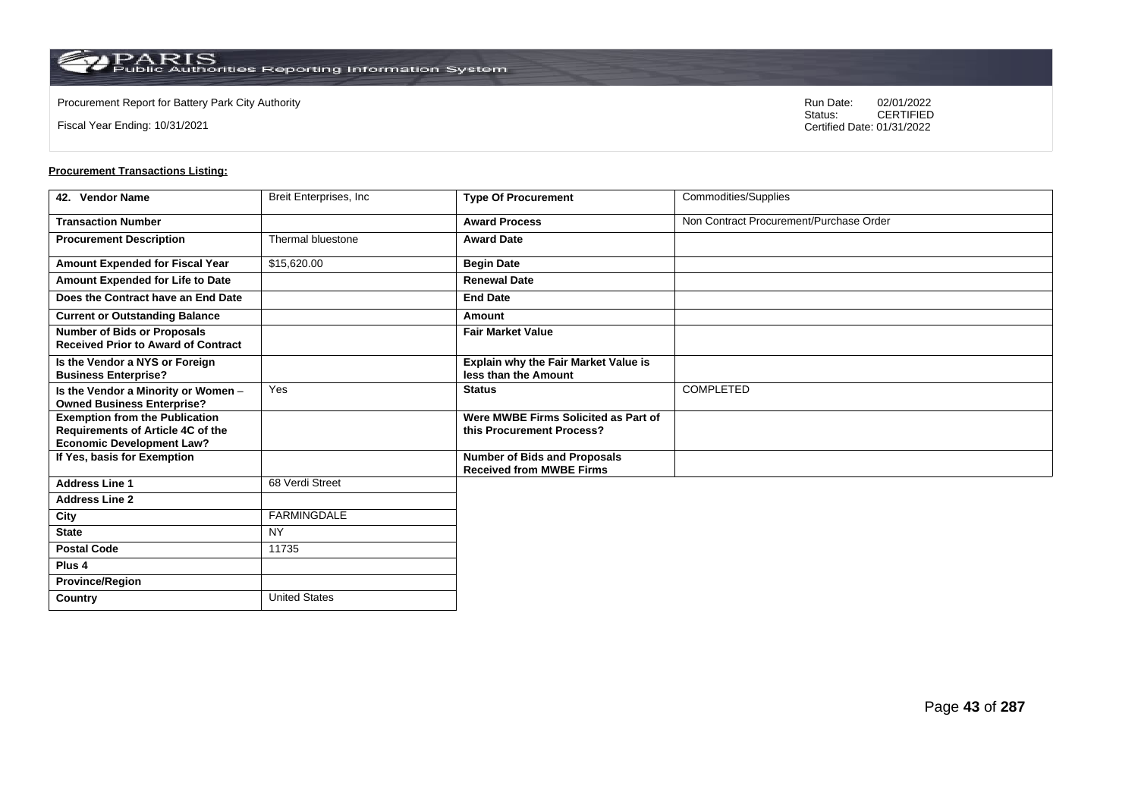Fiscal Year Ending: 10/31/2021

Procurement Report for Battery Park City Authority **National State Concrete Concrete Concrete Concrete Concrete Concrete Concrete Concrete Concrete Concrete Concrete Concrete Concrete Concrete Concrete Concrete Concrete Co** CERTIFIED Certified Date: 01/31/2022

| 42. Vendor Name                                                                                                | Breit Enterprises, Inc. | <b>Type Of Procurement</b>                                             | Commodities/Supplies                    |
|----------------------------------------------------------------------------------------------------------------|-------------------------|------------------------------------------------------------------------|-----------------------------------------|
| <b>Transaction Number</b>                                                                                      |                         | <b>Award Process</b>                                                   | Non Contract Procurement/Purchase Order |
| <b>Procurement Description</b>                                                                                 | Thermal bluestone       | <b>Award Date</b>                                                      |                                         |
| Amount Expended for Fiscal Year                                                                                | \$15,620.00             | <b>Begin Date</b>                                                      |                                         |
| Amount Expended for Life to Date                                                                               |                         | <b>Renewal Date</b>                                                    |                                         |
| Does the Contract have an End Date                                                                             |                         | <b>End Date</b>                                                        |                                         |
| <b>Current or Outstanding Balance</b>                                                                          |                         | Amount                                                                 |                                         |
| <b>Number of Bids or Proposals</b><br><b>Received Prior to Award of Contract</b>                               |                         | <b>Fair Market Value</b>                                               |                                         |
| Is the Vendor a NYS or Foreign<br><b>Business Enterprise?</b>                                                  |                         | Explain why the Fair Market Value is<br>less than the Amount           |                                         |
| Is the Vendor a Minority or Women -<br><b>Owned Business Enterprise?</b>                                       | Yes                     | <b>Status</b>                                                          | <b>COMPLETED</b>                        |
| <b>Exemption from the Publication</b><br>Requirements of Article 4C of the<br><b>Economic Development Law?</b> |                         | Were MWBE Firms Solicited as Part of<br>this Procurement Process?      |                                         |
| If Yes, basis for Exemption                                                                                    |                         | <b>Number of Bids and Proposals</b><br><b>Received from MWBE Firms</b> |                                         |
| <b>Address Line 1</b>                                                                                          | 68 Verdi Street         |                                                                        |                                         |
| <b>Address Line 2</b>                                                                                          |                         |                                                                        |                                         |
| City                                                                                                           | FARMINGDALE             |                                                                        |                                         |
| <b>State</b>                                                                                                   | <b>NY</b>               |                                                                        |                                         |
| <b>Postal Code</b>                                                                                             | 11735                   |                                                                        |                                         |
| Plus 4                                                                                                         |                         |                                                                        |                                         |
| <b>Province/Region</b>                                                                                         |                         |                                                                        |                                         |
| Country                                                                                                        | <b>United States</b>    |                                                                        |                                         |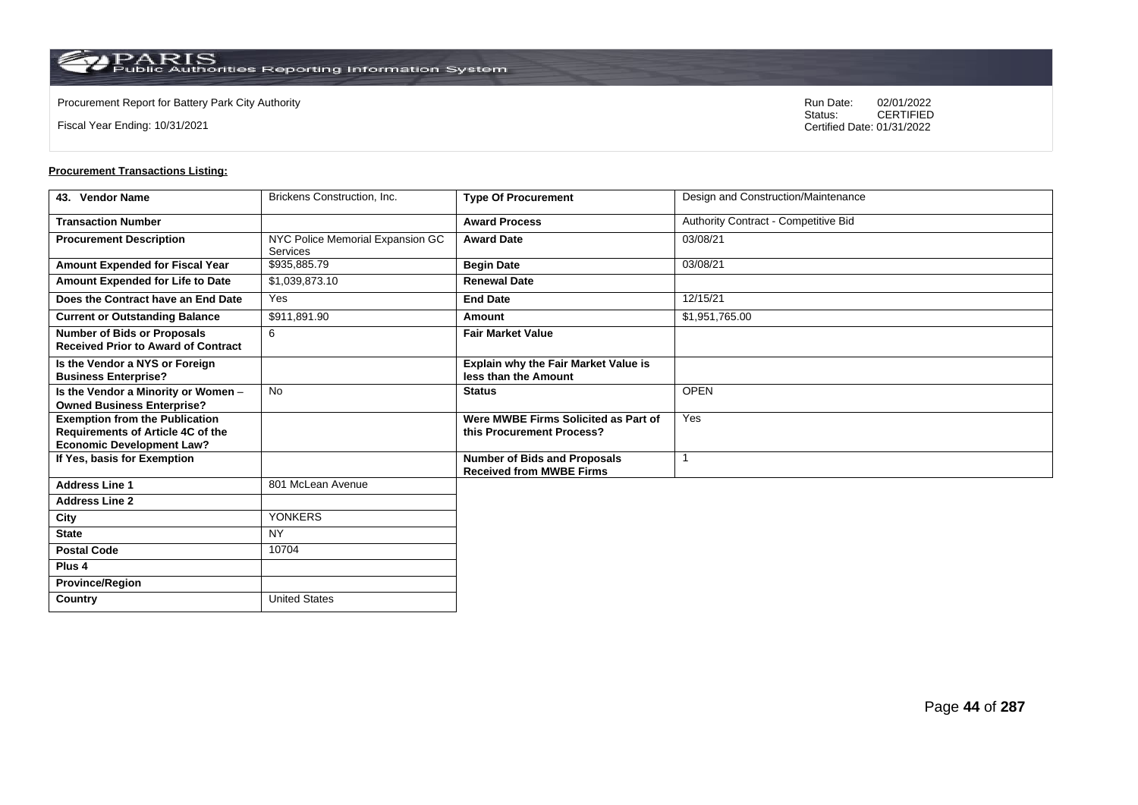$\operatorname{PARIS}_{\text{Public Authorities}\,\text{Reporting}\,\text{Information System}}$ 

**Country** United States

Fiscal Year Ending: 10/31/2021

Procurement Report for Battery Park City Authority **National State Concrete Concrete Concrete Concrete Concrete Concrete Concrete Concrete Concrete Concrete Concrete Concrete Concrete Concrete Concrete Concrete Concrete Co** CERTIFIED Certified Date: 01/31/2022

| 43. Vendor Name                                                                                                       | Brickens Construction, Inc.                         | <b>Type Of Procurement</b>                                             | Design and Construction/Maintenance  |
|-----------------------------------------------------------------------------------------------------------------------|-----------------------------------------------------|------------------------------------------------------------------------|--------------------------------------|
| <b>Transaction Number</b>                                                                                             |                                                     | <b>Award Process</b>                                                   | Authority Contract - Competitive Bid |
| <b>Procurement Description</b>                                                                                        | NYC Police Memorial Expansion GC<br><b>Services</b> | <b>Award Date</b>                                                      | 03/08/21                             |
| Amount Expended for Fiscal Year                                                                                       | \$935,885.79                                        | <b>Begin Date</b>                                                      | 03/08/21                             |
| Amount Expended for Life to Date                                                                                      | \$1,039,873.10                                      | <b>Renewal Date</b>                                                    |                                      |
| Does the Contract have an End Date                                                                                    | Yes                                                 | <b>End Date</b>                                                        | 12/15/21                             |
| <b>Current or Outstanding Balance</b>                                                                                 | \$911,891.90                                        | Amount                                                                 | \$1,951,765.00                       |
| <b>Number of Bids or Proposals</b><br><b>Received Prior to Award of Contract</b>                                      | 6                                                   | <b>Fair Market Value</b>                                               |                                      |
| Is the Vendor a NYS or Foreign<br><b>Business Enterprise?</b>                                                         |                                                     | Explain why the Fair Market Value is<br>less than the Amount           |                                      |
| Is the Vendor a Minority or Women -<br><b>Owned Business Enterprise?</b>                                              | <b>No</b>                                           | <b>Status</b>                                                          | <b>OPEN</b>                          |
| <b>Exemption from the Publication</b><br><b>Requirements of Article 4C of the</b><br><b>Economic Development Law?</b> |                                                     | Were MWBE Firms Solicited as Part of<br>this Procurement Process?      | Yes                                  |
| If Yes, basis for Exemption                                                                                           |                                                     | <b>Number of Bids and Proposals</b><br><b>Received from MWBE Firms</b> |                                      |
| <b>Address Line 1</b>                                                                                                 | 801 McLean Avenue                                   |                                                                        |                                      |
| <b>Address Line 2</b>                                                                                                 |                                                     |                                                                        |                                      |
| City                                                                                                                  | <b>YONKERS</b>                                      |                                                                        |                                      |
| <b>State</b>                                                                                                          | <b>NY</b>                                           |                                                                        |                                      |
| <b>Postal Code</b>                                                                                                    | 10704                                               |                                                                        |                                      |
| Plus <sub>4</sub>                                                                                                     |                                                     |                                                                        |                                      |
| <b>Province/Region</b>                                                                                                |                                                     |                                                                        |                                      |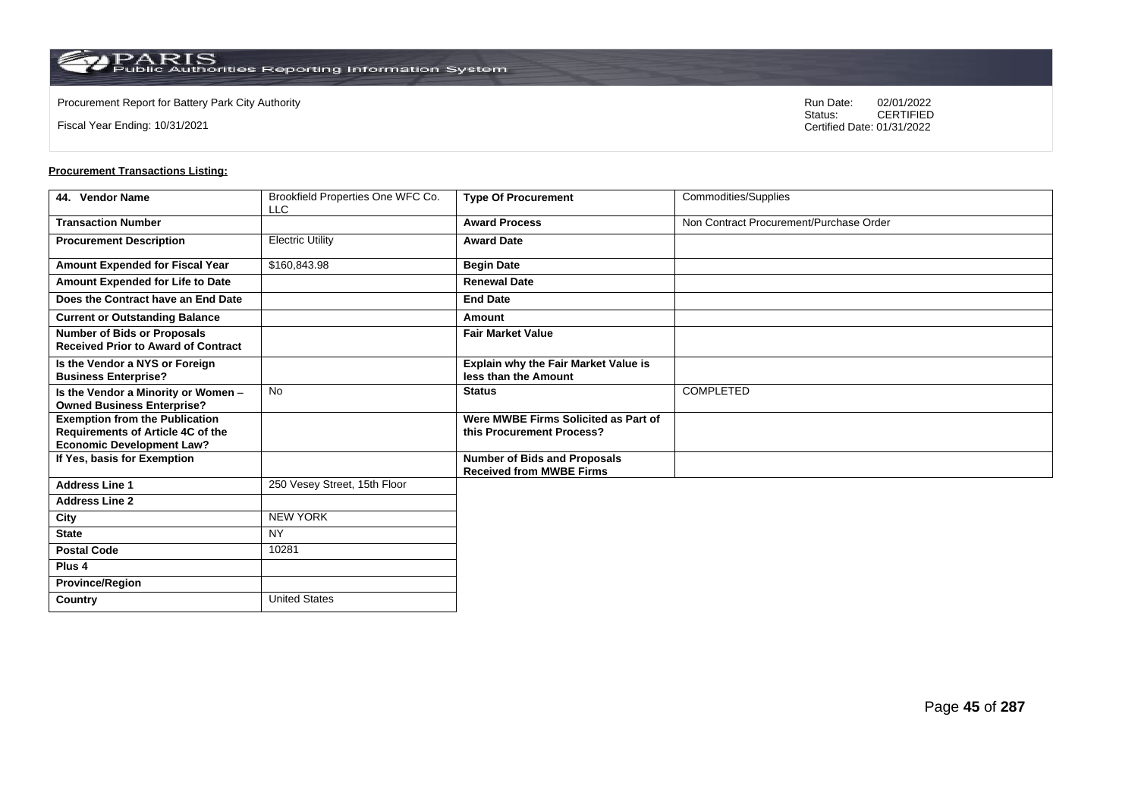$\operatorname{PARIS}_{\text{Public Authorities}\,\text{Reporting}\,\text{Information System}}$ 

Fiscal Year Ending: 10/31/2021

Procurement Report for Battery Park City Authority **National State Concrete Concrete Concrete Concrete Concrete Concrete Concrete Concrete Concrete Concrete Concrete Concrete Concrete Concrete Concrete Concrete Concrete Co** CERTIFIED Certified Date: 01/31/2022

| 44. Vendor Name                                                                                                | Brookfield Properties One WFC Co.<br><b>LLC</b> | <b>Type Of Procurement</b>                                             | Commodities/Supplies                    |
|----------------------------------------------------------------------------------------------------------------|-------------------------------------------------|------------------------------------------------------------------------|-----------------------------------------|
| <b>Transaction Number</b>                                                                                      |                                                 | <b>Award Process</b>                                                   | Non Contract Procurement/Purchase Order |
| <b>Procurement Description</b>                                                                                 | <b>Electric Utility</b>                         | <b>Award Date</b>                                                      |                                         |
| <b>Amount Expended for Fiscal Year</b>                                                                         | \$160,843.98                                    | <b>Begin Date</b>                                                      |                                         |
| Amount Expended for Life to Date                                                                               |                                                 | <b>Renewal Date</b>                                                    |                                         |
| Does the Contract have an End Date                                                                             |                                                 | <b>End Date</b>                                                        |                                         |
| <b>Current or Outstanding Balance</b>                                                                          |                                                 | Amount                                                                 |                                         |
| <b>Number of Bids or Proposals</b><br><b>Received Prior to Award of Contract</b>                               |                                                 | <b>Fair Market Value</b>                                               |                                         |
| Is the Vendor a NYS or Foreign<br><b>Business Enterprise?</b>                                                  |                                                 | Explain why the Fair Market Value is<br>less than the Amount           |                                         |
| Is the Vendor a Minority or Women -<br><b>Owned Business Enterprise?</b>                                       | <b>No</b>                                       | <b>Status</b>                                                          | <b>COMPLETED</b>                        |
| <b>Exemption from the Publication</b><br>Requirements of Article 4C of the<br><b>Economic Development Law?</b> |                                                 | Were MWBE Firms Solicited as Part of<br>this Procurement Process?      |                                         |
| If Yes, basis for Exemption                                                                                    |                                                 | <b>Number of Bids and Proposals</b><br><b>Received from MWBE Firms</b> |                                         |
| <b>Address Line 1</b>                                                                                          | 250 Vesey Street, 15th Floor                    |                                                                        |                                         |
| <b>Address Line 2</b>                                                                                          |                                                 |                                                                        |                                         |
| City                                                                                                           | <b>NEW YORK</b>                                 |                                                                        |                                         |
| <b>State</b>                                                                                                   | <b>NY</b>                                       |                                                                        |                                         |
| <b>Postal Code</b>                                                                                             | 10281                                           |                                                                        |                                         |
| Plus <sub>4</sub>                                                                                              |                                                 |                                                                        |                                         |
| <b>Province/Region</b>                                                                                         |                                                 |                                                                        |                                         |
| Country                                                                                                        | <b>United States</b>                            |                                                                        |                                         |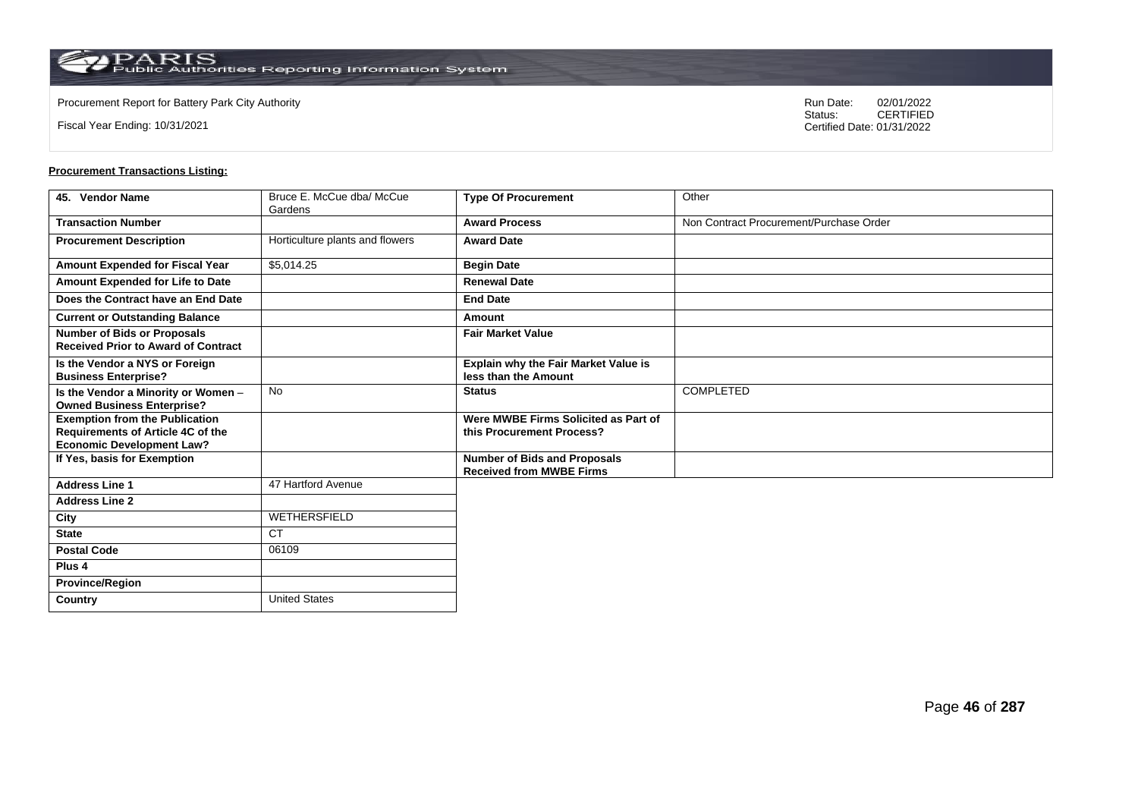**Country** United States

Fiscal Year Ending: 10/31/2021

Procurement Report for Battery Park City Authority **National State Concrete Concrete Concrete Concrete Concrete Concrete Concrete Concrete Concrete Concrete Concrete Concrete Concrete Concrete Concrete Concrete Concrete Co** CERTIFIED Certified Date: 01/31/2022

| 45. Vendor Name                                                                                                | Bruce E. McCue dba/ McCue<br>Gardens | <b>Type Of Procurement</b>                                             | Other                                   |
|----------------------------------------------------------------------------------------------------------------|--------------------------------------|------------------------------------------------------------------------|-----------------------------------------|
| <b>Transaction Number</b>                                                                                      |                                      | <b>Award Process</b>                                                   | Non Contract Procurement/Purchase Order |
| <b>Procurement Description</b>                                                                                 | Horticulture plants and flowers      | <b>Award Date</b>                                                      |                                         |
| <b>Amount Expended for Fiscal Year</b>                                                                         | \$5,014.25                           | <b>Begin Date</b>                                                      |                                         |
| Amount Expended for Life to Date                                                                               |                                      | <b>Renewal Date</b>                                                    |                                         |
| Does the Contract have an End Date                                                                             |                                      | <b>End Date</b>                                                        |                                         |
| <b>Current or Outstanding Balance</b>                                                                          |                                      | Amount                                                                 |                                         |
| <b>Number of Bids or Proposals</b><br><b>Received Prior to Award of Contract</b>                               |                                      | <b>Fair Market Value</b>                                               |                                         |
| Is the Vendor a NYS or Foreign<br><b>Business Enterprise?</b>                                                  |                                      | <b>Explain why the Fair Market Value is</b><br>less than the Amount    |                                         |
| Is the Vendor a Minority or Women -<br><b>Owned Business Enterprise?</b>                                       | <b>No</b>                            | <b>Status</b>                                                          | <b>COMPLETED</b>                        |
| <b>Exemption from the Publication</b><br>Requirements of Article 4C of the<br><b>Economic Development Law?</b> |                                      | Were MWBE Firms Solicited as Part of<br>this Procurement Process?      |                                         |
| If Yes, basis for Exemption                                                                                    |                                      | <b>Number of Bids and Proposals</b><br><b>Received from MWBE Firms</b> |                                         |
| <b>Address Line 1</b>                                                                                          | 47 Hartford Avenue                   |                                                                        |                                         |
| <b>Address Line 2</b>                                                                                          |                                      |                                                                        |                                         |
| City                                                                                                           | WETHERSFIELD                         |                                                                        |                                         |
| <b>State</b>                                                                                                   | <b>CT</b>                            |                                                                        |                                         |
| <b>Postal Code</b>                                                                                             | 06109                                |                                                                        |                                         |
| Plus <sub>4</sub>                                                                                              |                                      |                                                                        |                                         |
| <b>Province/Region</b>                                                                                         |                                      |                                                                        |                                         |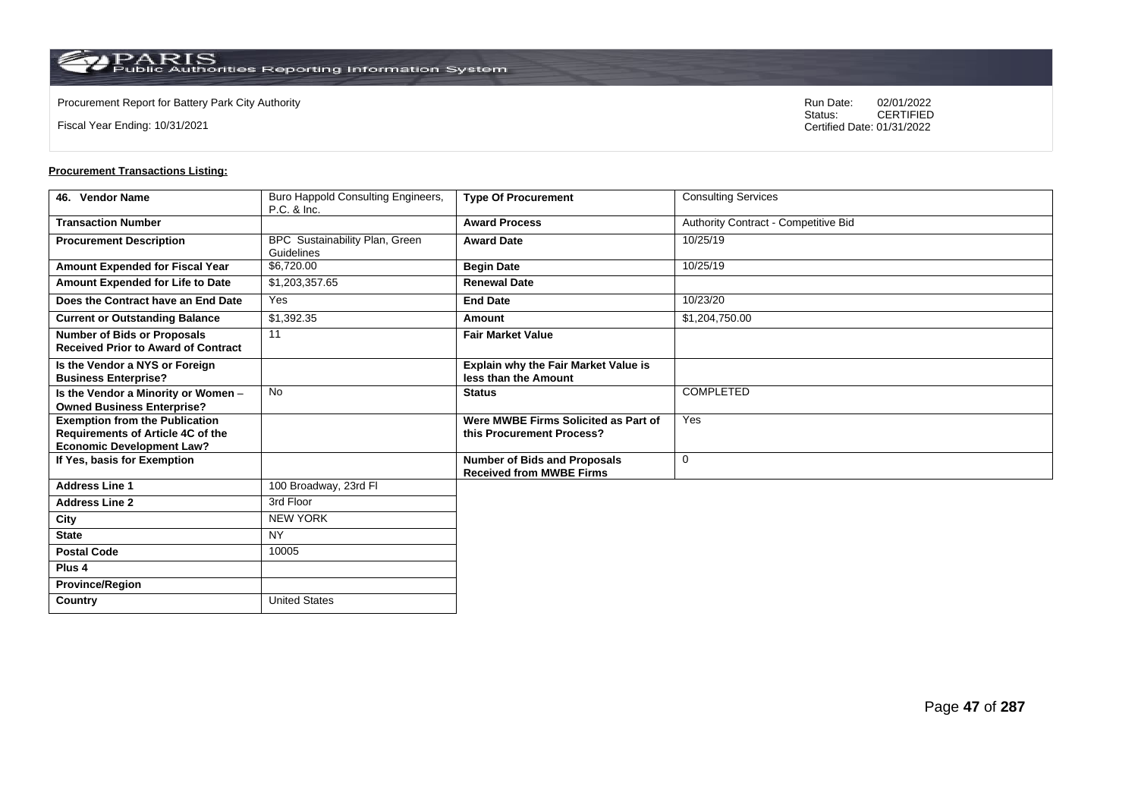Fiscal Year Ending: 10/31/2021

Procurement Report for Battery Park City Authority **National State Concrete Concrete Concrete Concrete Concrete Concrete Concrete Concrete Concrete Concrete Concrete Concrete Concrete Concrete Concrete Concrete Concrete Co** CERTIFIED Certified Date: 01/31/2022

| 46. Vendor Name                                                                                                       | Buro Happold Consulting Engineers,<br>P.C. & Inc. | <b>Type Of Procurement</b>                                             | <b>Consulting Services</b>           |
|-----------------------------------------------------------------------------------------------------------------------|---------------------------------------------------|------------------------------------------------------------------------|--------------------------------------|
| <b>Transaction Number</b>                                                                                             |                                                   | <b>Award Process</b>                                                   | Authority Contract - Competitive Bid |
| <b>Procurement Description</b>                                                                                        | BPC Sustainability Plan, Green<br>Guidelines      | <b>Award Date</b>                                                      | 10/25/19                             |
| Amount Expended for Fiscal Year                                                                                       | \$6,720.00                                        | <b>Begin Date</b>                                                      | 10/25/19                             |
| Amount Expended for Life to Date                                                                                      | \$1,203,357.65                                    | <b>Renewal Date</b>                                                    |                                      |
| Does the Contract have an End Date                                                                                    | Yes                                               | <b>End Date</b>                                                        | 10/23/20                             |
| <b>Current or Outstanding Balance</b>                                                                                 | $\overline{$1,392.35}$                            | Amount                                                                 | \$1,204,750.00                       |
| <b>Number of Bids or Proposals</b><br><b>Received Prior to Award of Contract</b>                                      | 11                                                | <b>Fair Market Value</b>                                               |                                      |
| Is the Vendor a NYS or Foreign<br><b>Business Enterprise?</b>                                                         |                                                   | <b>Explain why the Fair Market Value is</b><br>less than the Amount    |                                      |
| Is the Vendor a Minority or Women -<br><b>Owned Business Enterprise?</b>                                              | <b>No</b>                                         | <b>Status</b>                                                          | <b>COMPLETED</b>                     |
| <b>Exemption from the Publication</b><br><b>Requirements of Article 4C of the</b><br><b>Economic Development Law?</b> |                                                   | Were MWBE Firms Solicited as Part of<br>this Procurement Process?      | Yes                                  |
| If Yes, basis for Exemption                                                                                           |                                                   | <b>Number of Bids and Proposals</b><br><b>Received from MWBE Firms</b> | $\mathbf 0$                          |
| <b>Address Line 1</b>                                                                                                 | 100 Broadway, 23rd Fl                             |                                                                        |                                      |
| <b>Address Line 2</b>                                                                                                 | 3rd Floor                                         |                                                                        |                                      |
| City                                                                                                                  | <b>NEW YORK</b>                                   |                                                                        |                                      |
| <b>State</b>                                                                                                          | <b>NY</b>                                         |                                                                        |                                      |
| <b>Postal Code</b>                                                                                                    | 10005                                             |                                                                        |                                      |
| Plus <sub>4</sub>                                                                                                     |                                                   |                                                                        |                                      |
| <b>Province/Region</b>                                                                                                |                                                   |                                                                        |                                      |
| Country                                                                                                               | <b>United States</b>                              |                                                                        |                                      |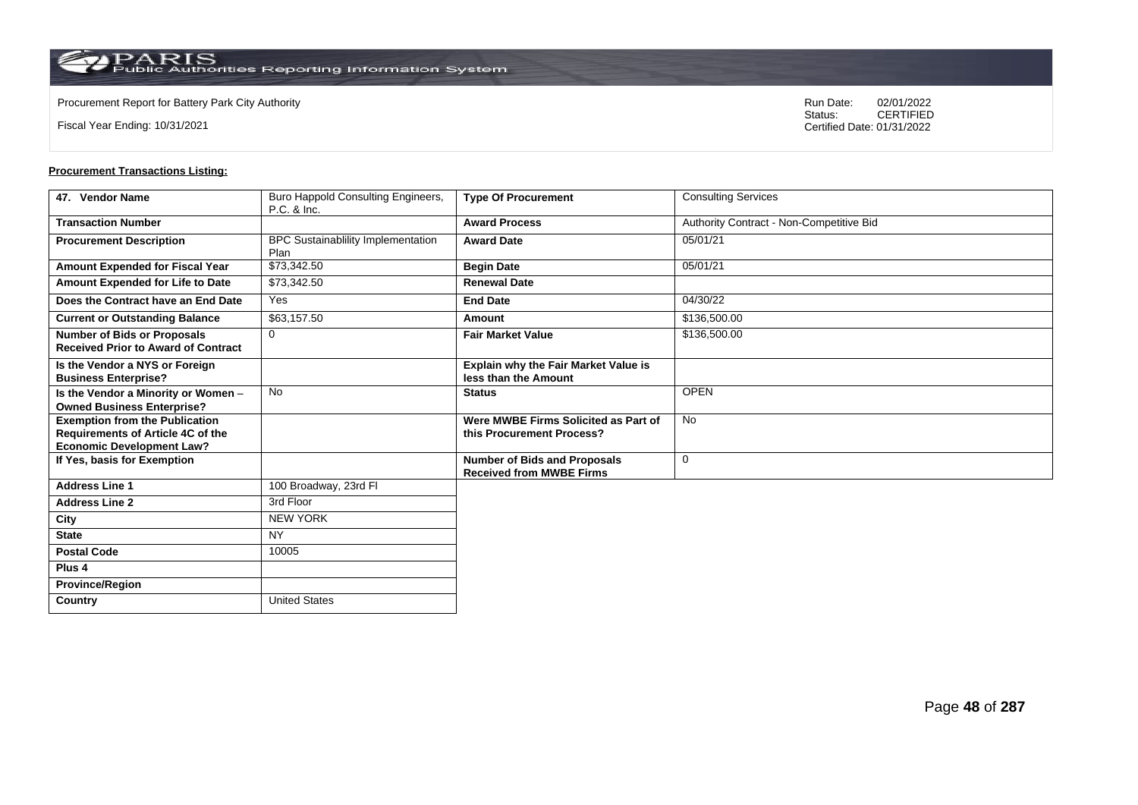Fiscal Year Ending: 10/31/2021

Procurement Report for Battery Park City Authority **National State Concrete Concrete Concrete Concrete Concrete Concrete Concrete Concrete Concrete Concrete Concrete Concrete Concrete Concrete Concrete Concrete Concrete Co** CERTIFIED Certified Date: 01/31/2022

| 47. Vendor Name                                                                                                       | Buro Happold Consulting Engineers,<br>P.C. & Inc. | <b>Type Of Procurement</b>                                             | <b>Consulting Services</b>               |
|-----------------------------------------------------------------------------------------------------------------------|---------------------------------------------------|------------------------------------------------------------------------|------------------------------------------|
| <b>Transaction Number</b>                                                                                             |                                                   | <b>Award Process</b>                                                   | Authority Contract - Non-Competitive Bid |
| <b>Procurement Description</b>                                                                                        | BPC Sustainablility Implementation<br>Plan        | <b>Award Date</b>                                                      | 05/01/21                                 |
| Amount Expended for Fiscal Year                                                                                       | \$73,342.50                                       | <b>Begin Date</b>                                                      | 05/01/21                                 |
| Amount Expended for Life to Date                                                                                      | \$73,342.50                                       | <b>Renewal Date</b>                                                    |                                          |
| Does the Contract have an End Date                                                                                    | Yes                                               | <b>End Date</b>                                                        | 04/30/22                                 |
| <b>Current or Outstanding Balance</b>                                                                                 | \$63,157.50                                       | Amount                                                                 | \$136,500.00                             |
| <b>Number of Bids or Proposals</b><br><b>Received Prior to Award of Contract</b>                                      | $\mathbf 0$                                       | <b>Fair Market Value</b>                                               | \$136,500.00                             |
| Is the Vendor a NYS or Foreign<br><b>Business Enterprise?</b>                                                         |                                                   | <b>Explain why the Fair Market Value is</b><br>less than the Amount    |                                          |
| Is the Vendor a Minority or Women -<br><b>Owned Business Enterprise?</b>                                              | <b>No</b>                                         | <b>Status</b>                                                          | <b>OPEN</b>                              |
| <b>Exemption from the Publication</b><br><b>Requirements of Article 4C of the</b><br><b>Economic Development Law?</b> |                                                   | Were MWBE Firms Solicited as Part of<br>this Procurement Process?      | <b>No</b>                                |
| If Yes, basis for Exemption                                                                                           |                                                   | <b>Number of Bids and Proposals</b><br><b>Received from MWBE Firms</b> | $\mathbf 0$                              |
| <b>Address Line 1</b>                                                                                                 | 100 Broadway, 23rd Fl                             |                                                                        |                                          |
| <b>Address Line 2</b>                                                                                                 | 3rd Floor                                         |                                                                        |                                          |
| City                                                                                                                  | <b>NEW YORK</b>                                   |                                                                        |                                          |
| <b>State</b>                                                                                                          | <b>NY</b>                                         |                                                                        |                                          |
| <b>Postal Code</b>                                                                                                    | 10005                                             |                                                                        |                                          |
| Plus <sub>4</sub>                                                                                                     |                                                   |                                                                        |                                          |
| <b>Province/Region</b>                                                                                                |                                                   |                                                                        |                                          |
| Country                                                                                                               | <b>United States</b>                              |                                                                        |                                          |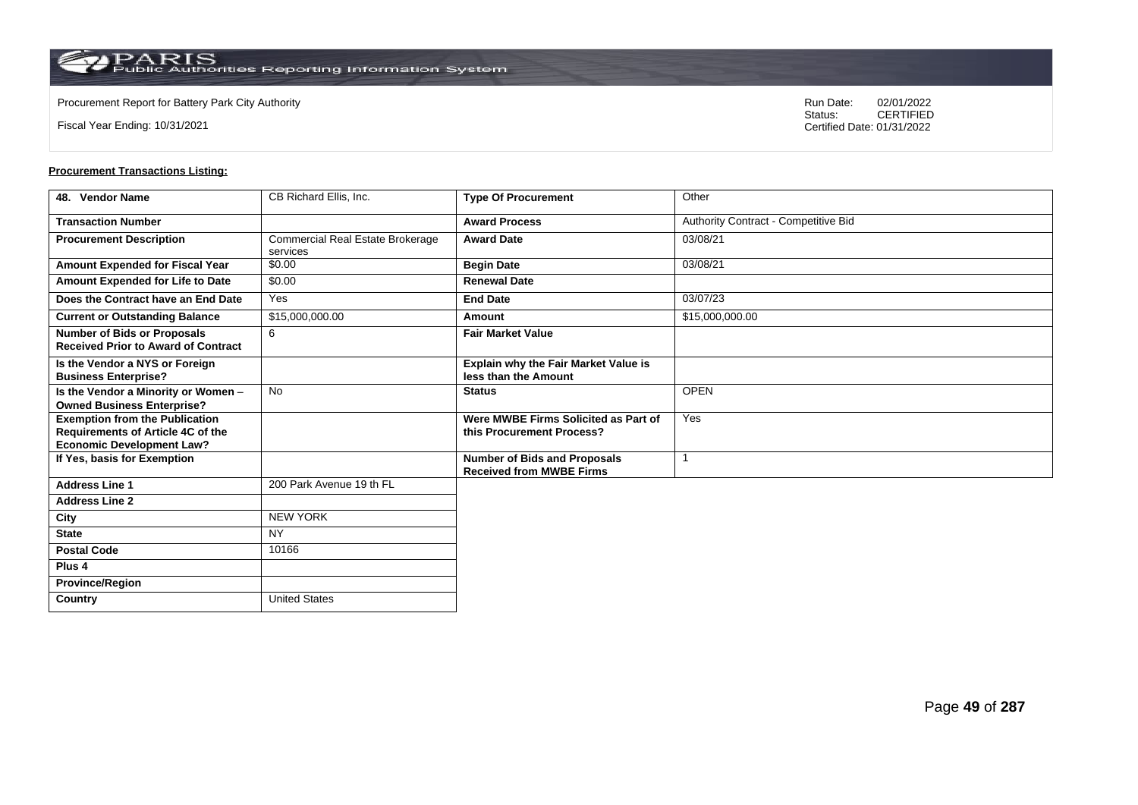**Country** United States

Fiscal Year Ending: 10/31/2021

Procurement Report for Battery Park City Authority **National State Concrete Concrete Concrete Concrete Concrete Concrete Concrete Concrete Concrete Concrete Concrete Concrete Concrete Concrete Concrete Concrete Concrete Co** CERTIFIED Certified Date: 01/31/2022

| 48. Vendor Name                                                                                                | CB Richard Ellis, Inc.                              | <b>Type Of Procurement</b>                                             | Other                                |
|----------------------------------------------------------------------------------------------------------------|-----------------------------------------------------|------------------------------------------------------------------------|--------------------------------------|
| <b>Transaction Number</b>                                                                                      |                                                     | <b>Award Process</b>                                                   | Authority Contract - Competitive Bid |
| <b>Procurement Description</b>                                                                                 | <b>Commercial Real Estate Brokerage</b><br>services | <b>Award Date</b>                                                      | 03/08/21                             |
| Amount Expended for Fiscal Year                                                                                | \$0.00                                              | <b>Begin Date</b>                                                      | 03/08/21                             |
| Amount Expended for Life to Date                                                                               | \$0.00                                              | <b>Renewal Date</b>                                                    |                                      |
| Does the Contract have an End Date                                                                             | Yes                                                 | <b>End Date</b>                                                        | 03/07/23                             |
| <b>Current or Outstanding Balance</b>                                                                          | \$15,000,000.00                                     | Amount                                                                 | \$15,000,000.00                      |
| <b>Number of Bids or Proposals</b><br><b>Received Prior to Award of Contract</b>                               | 6                                                   | <b>Fair Market Value</b>                                               |                                      |
| Is the Vendor a NYS or Foreign<br><b>Business Enterprise?</b>                                                  |                                                     | Explain why the Fair Market Value is<br>less than the Amount           |                                      |
| Is the Vendor a Minority or Women -<br><b>Owned Business Enterprise?</b>                                       | <b>No</b>                                           | <b>Status</b>                                                          | <b>OPEN</b>                          |
| <b>Exemption from the Publication</b><br>Requirements of Article 4C of the<br><b>Economic Development Law?</b> |                                                     | Were MWBE Firms Solicited as Part of<br>this Procurement Process?      | Yes                                  |
| If Yes, basis for Exemption                                                                                    |                                                     | <b>Number of Bids and Proposals</b><br><b>Received from MWBE Firms</b> |                                      |
| <b>Address Line 1</b>                                                                                          | 200 Park Avenue 19 th FL                            |                                                                        |                                      |
| <b>Address Line 2</b>                                                                                          |                                                     |                                                                        |                                      |
| City                                                                                                           | <b>NEW YORK</b>                                     |                                                                        |                                      |
| <b>State</b>                                                                                                   | <b>NY</b>                                           |                                                                        |                                      |
| <b>Postal Code</b>                                                                                             | 10166                                               |                                                                        |                                      |
| Plus <sub>4</sub>                                                                                              |                                                     |                                                                        |                                      |
| <b>Province/Region</b>                                                                                         |                                                     |                                                                        |                                      |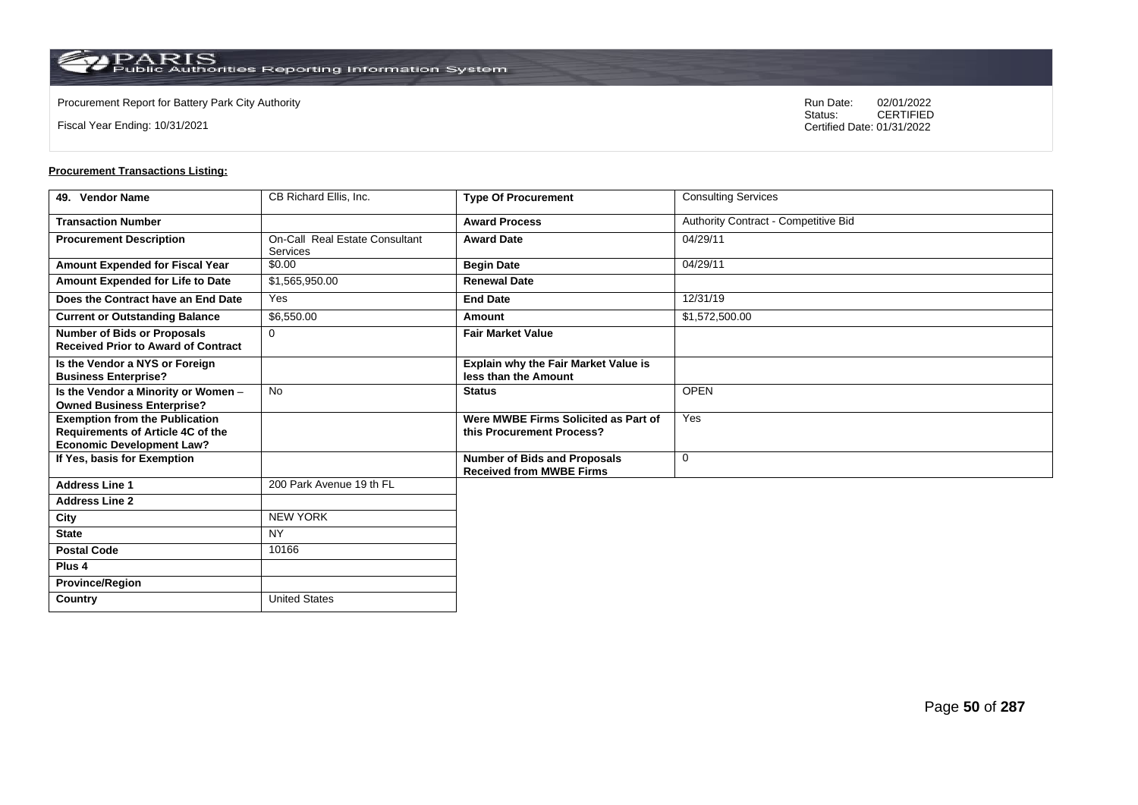$\operatorname{PARIS}_{\text{Public Authorities Reporting Information System}}$ 

**Country** United States

Fiscal Year Ending: 10/31/2021

Procurement Report for Battery Park City Authority **National State Concrete Concrete Concrete Concrete Concrete Concrete Concrete Concrete Concrete Concrete Concrete Concrete Concrete Concrete Concrete Concrete Concrete Co** CERTIFIED Certified Date: 01/31/2022

| 49. Vendor Name                                                                                                | CB Richard Ellis, Inc.                            | <b>Type Of Procurement</b>                                             | <b>Consulting Services</b>           |
|----------------------------------------------------------------------------------------------------------------|---------------------------------------------------|------------------------------------------------------------------------|--------------------------------------|
| <b>Transaction Number</b>                                                                                      |                                                   | <b>Award Process</b>                                                   | Authority Contract - Competitive Bid |
| <b>Procurement Description</b>                                                                                 | On-Call Real Estate Consultant<br><b>Services</b> | <b>Award Date</b>                                                      | 04/29/11                             |
| Amount Expended for Fiscal Year                                                                                | \$0.00                                            | <b>Begin Date</b>                                                      | 04/29/11                             |
| Amount Expended for Life to Date                                                                               | \$1,565,950.00                                    | <b>Renewal Date</b>                                                    |                                      |
| Does the Contract have an End Date                                                                             | Yes                                               | <b>End Date</b>                                                        | 12/31/19                             |
| <b>Current or Outstanding Balance</b>                                                                          | \$6,550.00                                        | Amount                                                                 | $\overline{$1,572,500.00}$           |
| <b>Number of Bids or Proposals</b><br><b>Received Prior to Award of Contract</b>                               | $\Omega$                                          | <b>Fair Market Value</b>                                               |                                      |
| Is the Vendor a NYS or Foreign<br><b>Business Enterprise?</b>                                                  |                                                   | Explain why the Fair Market Value is<br>less than the Amount           |                                      |
| Is the Vendor a Minority or Women -<br><b>Owned Business Enterprise?</b>                                       | <b>No</b>                                         | <b>Status</b>                                                          | <b>OPEN</b>                          |
| <b>Exemption from the Publication</b><br>Requirements of Article 4C of the<br><b>Economic Development Law?</b> |                                                   | Were MWBE Firms Solicited as Part of<br>this Procurement Process?      | Yes                                  |
| If Yes, basis for Exemption                                                                                    |                                                   | <b>Number of Bids and Proposals</b><br><b>Received from MWBE Firms</b> | $\mathbf 0$                          |
| <b>Address Line 1</b>                                                                                          | 200 Park Avenue 19 th FL                          |                                                                        |                                      |
| <b>Address Line 2</b>                                                                                          |                                                   |                                                                        |                                      |
| City                                                                                                           | <b>NEW YORK</b>                                   |                                                                        |                                      |
| <b>State</b>                                                                                                   | <b>NY</b>                                         |                                                                        |                                      |
| <b>Postal Code</b>                                                                                             | 10166                                             |                                                                        |                                      |
| Plus <sub>4</sub>                                                                                              |                                                   |                                                                        |                                      |
| <b>Province/Region</b>                                                                                         |                                                   |                                                                        |                                      |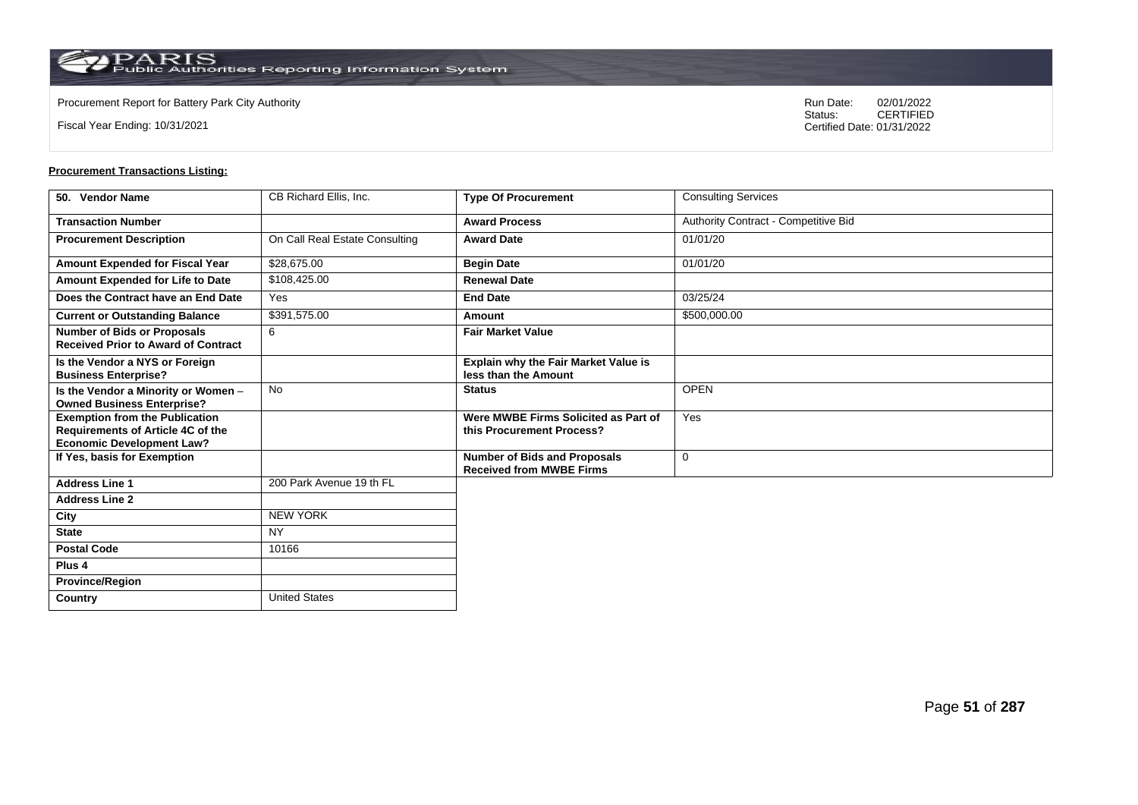**Country** United States

Fiscal Year Ending: 10/31/2021

Procurement Report for Battery Park City Authority **National State Concrete Concrete Concrete Concrete Concrete Concrete Concrete Concrete Concrete Concrete Concrete Concrete Concrete Concrete Concrete Concrete Concrete Co** CERTIFIED Certified Date: 01/31/2022

| 50. Vendor Name                                                                                                | CB Richard Ellis, Inc.         | <b>Type Of Procurement</b>                                             | <b>Consulting Services</b>           |
|----------------------------------------------------------------------------------------------------------------|--------------------------------|------------------------------------------------------------------------|--------------------------------------|
| <b>Transaction Number</b>                                                                                      |                                | <b>Award Process</b>                                                   | Authority Contract - Competitive Bid |
| <b>Procurement Description</b>                                                                                 | On Call Real Estate Consulting | <b>Award Date</b>                                                      | 01/01/20                             |
| Amount Expended for Fiscal Year                                                                                | \$28,675.00                    | <b>Begin Date</b>                                                      | 01/01/20                             |
| Amount Expended for Life to Date                                                                               | \$108,425.00                   | <b>Renewal Date</b>                                                    |                                      |
| Does the Contract have an End Date                                                                             | Yes                            | <b>End Date</b>                                                        | 03/25/24                             |
| <b>Current or Outstanding Balance</b>                                                                          | \$391,575.00                   | Amount                                                                 | \$500,000.00                         |
| <b>Number of Bids or Proposals</b><br><b>Received Prior to Award of Contract</b>                               | 6                              | <b>Fair Market Value</b>                                               |                                      |
| Is the Vendor a NYS or Foreign<br><b>Business Enterprise?</b>                                                  |                                | Explain why the Fair Market Value is<br>less than the Amount           |                                      |
| Is the Vendor a Minority or Women -<br><b>Owned Business Enterprise?</b>                                       | <b>No</b>                      | <b>Status</b>                                                          | <b>OPEN</b>                          |
| <b>Exemption from the Publication</b><br>Requirements of Article 4C of the<br><b>Economic Development Law?</b> |                                | Were MWBE Firms Solicited as Part of<br>this Procurement Process?      | Yes                                  |
| If Yes, basis for Exemption                                                                                    |                                | <b>Number of Bids and Proposals</b><br><b>Received from MWBE Firms</b> | 0                                    |
| <b>Address Line 1</b>                                                                                          | 200 Park Avenue 19 th FL       |                                                                        |                                      |
| <b>Address Line 2</b>                                                                                          |                                |                                                                        |                                      |
| City                                                                                                           | <b>NEW YORK</b>                |                                                                        |                                      |
| <b>State</b>                                                                                                   | <b>NY</b>                      |                                                                        |                                      |
| <b>Postal Code</b>                                                                                             | 10166                          |                                                                        |                                      |
| Plus <sub>4</sub>                                                                                              |                                |                                                                        |                                      |
| <b>Province/Region</b>                                                                                         |                                |                                                                        |                                      |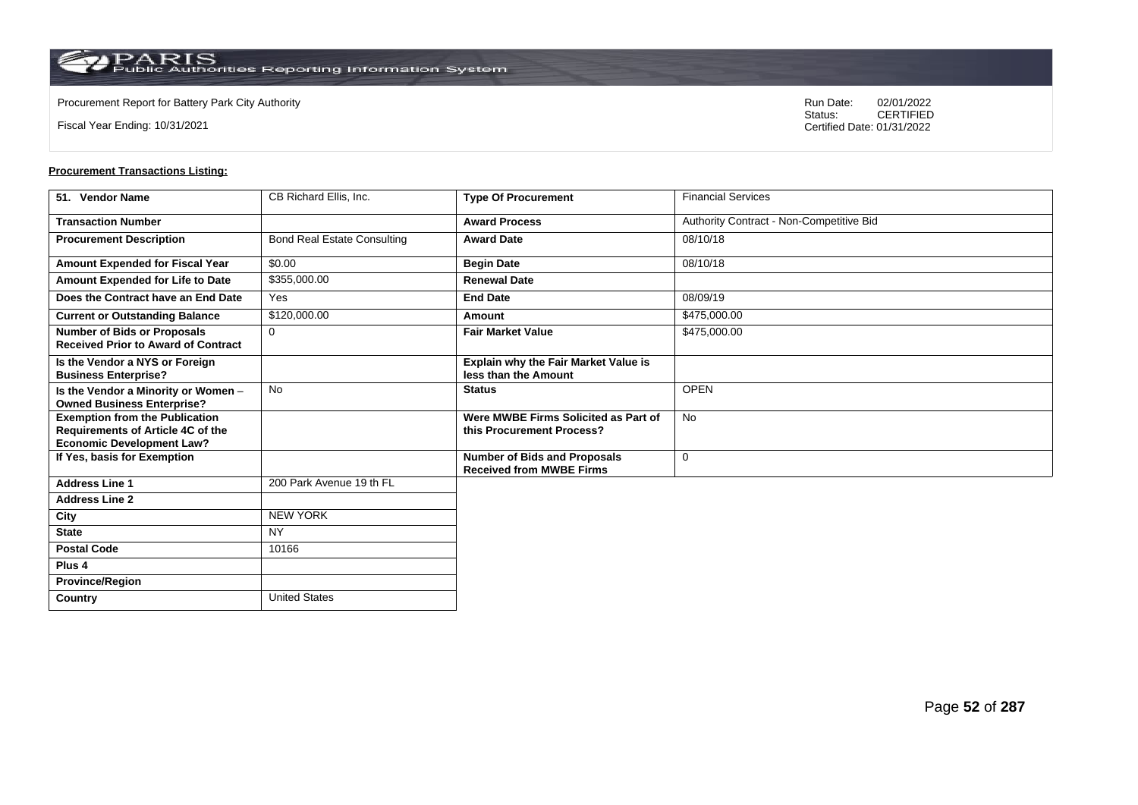**Country** United States

Fiscal Year Ending: 10/31/2021

Procurement Report for Battery Park City Authority **National State Concrete Concrete Concrete Concrete Concrete Concrete Concrete Concrete Concrete Concrete Concrete Concrete Concrete Concrete Concrete Concrete Concrete Co** CERTIFIED Certified Date: 01/31/2022

| 51. Vendor Name                                                                                                | CB Richard Ellis, Inc.             | <b>Type Of Procurement</b>                                             | <b>Financial Services</b>                |
|----------------------------------------------------------------------------------------------------------------|------------------------------------|------------------------------------------------------------------------|------------------------------------------|
| <b>Transaction Number</b>                                                                                      |                                    | <b>Award Process</b>                                                   | Authority Contract - Non-Competitive Bid |
| <b>Procurement Description</b>                                                                                 | <b>Bond Real Estate Consulting</b> | <b>Award Date</b>                                                      | 08/10/18                                 |
| Amount Expended for Fiscal Year                                                                                | \$0.00                             | <b>Begin Date</b>                                                      | 08/10/18                                 |
| Amount Expended for Life to Date                                                                               | \$355,000.00                       | <b>Renewal Date</b>                                                    |                                          |
| Does the Contract have an End Date                                                                             | Yes                                | <b>End Date</b>                                                        | 08/09/19                                 |
| <b>Current or Outstanding Balance</b>                                                                          | \$120,000.00                       | Amount                                                                 | \$475,000.00                             |
| <b>Number of Bids or Proposals</b><br><b>Received Prior to Award of Contract</b>                               | $\Omega$                           | <b>Fair Market Value</b>                                               | \$475,000.00                             |
| Is the Vendor a NYS or Foreign<br><b>Business Enterprise?</b>                                                  |                                    | Explain why the Fair Market Value is<br>less than the Amount           |                                          |
| Is the Vendor a Minority or Women -<br><b>Owned Business Enterprise?</b>                                       | <b>No</b>                          | <b>Status</b>                                                          | <b>OPEN</b>                              |
| <b>Exemption from the Publication</b><br>Requirements of Article 4C of the<br><b>Economic Development Law?</b> |                                    | Were MWBE Firms Solicited as Part of<br>this Procurement Process?      | <b>No</b>                                |
| If Yes, basis for Exemption                                                                                    |                                    | <b>Number of Bids and Proposals</b><br><b>Received from MWBE Firms</b> | 0                                        |
| <b>Address Line 1</b>                                                                                          | 200 Park Avenue 19 th FL           |                                                                        |                                          |
| <b>Address Line 2</b>                                                                                          |                                    |                                                                        |                                          |
| City                                                                                                           | <b>NEW YORK</b>                    |                                                                        |                                          |
| <b>State</b>                                                                                                   | <b>NY</b>                          |                                                                        |                                          |
| <b>Postal Code</b>                                                                                             | 10166                              |                                                                        |                                          |
| Plus <sub>4</sub>                                                                                              |                                    |                                                                        |                                          |
| <b>Province/Region</b>                                                                                         |                                    |                                                                        |                                          |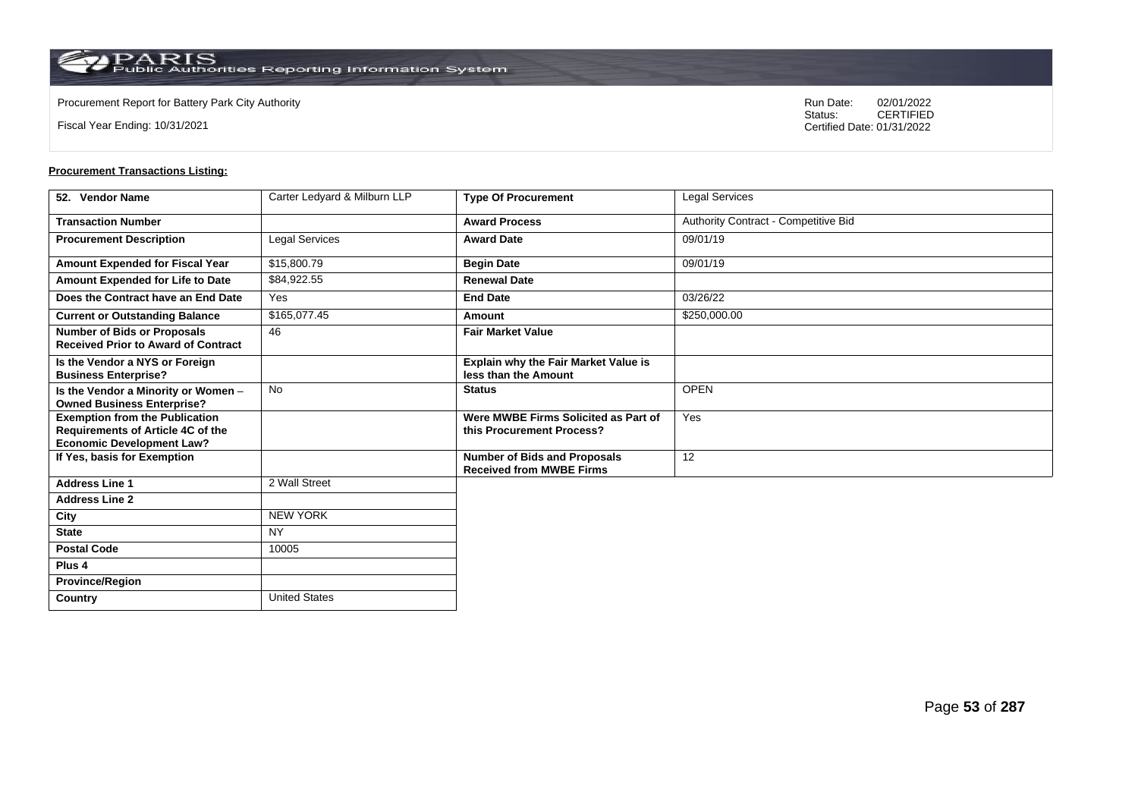**Country** United States

Fiscal Year Ending: 10/31/2021

Procurement Report for Battery Park City Authority **National State Concrete Concrete Concrete Concrete Concrete Concrete Concrete Concrete Concrete Concrete Concrete Concrete Concrete Concrete Concrete Concrete Concrete Co** CERTIFIED Certified Date: 01/31/2022

| 52. Vendor Name                                                                                                | Carter Ledyard & Milburn LLP | <b>Type Of Procurement</b>                                             | Legal Services                       |
|----------------------------------------------------------------------------------------------------------------|------------------------------|------------------------------------------------------------------------|--------------------------------------|
| <b>Transaction Number</b>                                                                                      |                              | <b>Award Process</b>                                                   | Authority Contract - Competitive Bid |
| <b>Procurement Description</b>                                                                                 | Legal Services               | <b>Award Date</b>                                                      | 09/01/19                             |
| Amount Expended for Fiscal Year                                                                                | \$15,800.79                  | <b>Begin Date</b>                                                      | 09/01/19                             |
| Amount Expended for Life to Date                                                                               | \$84,922.55                  | <b>Renewal Date</b>                                                    |                                      |
| Does the Contract have an End Date                                                                             | Yes                          | <b>End Date</b>                                                        | 03/26/22                             |
| <b>Current or Outstanding Balance</b>                                                                          | \$165,077.45                 | Amount                                                                 | \$250,000.00                         |
| <b>Number of Bids or Proposals</b><br><b>Received Prior to Award of Contract</b>                               | 46                           | <b>Fair Market Value</b>                                               |                                      |
| Is the Vendor a NYS or Foreign<br><b>Business Enterprise?</b>                                                  |                              | Explain why the Fair Market Value is<br>less than the Amount           |                                      |
| Is the Vendor a Minority or Women -<br><b>Owned Business Enterprise?</b>                                       | <b>No</b>                    | <b>Status</b>                                                          | <b>OPEN</b>                          |
| <b>Exemption from the Publication</b><br>Requirements of Article 4C of the<br><b>Economic Development Law?</b> |                              | Were MWBE Firms Solicited as Part of<br>this Procurement Process?      | Yes                                  |
| If Yes, basis for Exemption                                                                                    |                              | <b>Number of Bids and Proposals</b><br><b>Received from MWBE Firms</b> | 12                                   |
| <b>Address Line 1</b>                                                                                          | 2 Wall Street                |                                                                        |                                      |
| <b>Address Line 2</b>                                                                                          |                              |                                                                        |                                      |
| City                                                                                                           | <b>NEW YORK</b>              |                                                                        |                                      |
| <b>State</b>                                                                                                   | <b>NY</b>                    |                                                                        |                                      |
| <b>Postal Code</b>                                                                                             | 10005                        |                                                                        |                                      |
| Plus <sub>4</sub>                                                                                              |                              |                                                                        |                                      |
| <b>Province/Region</b>                                                                                         |                              |                                                                        |                                      |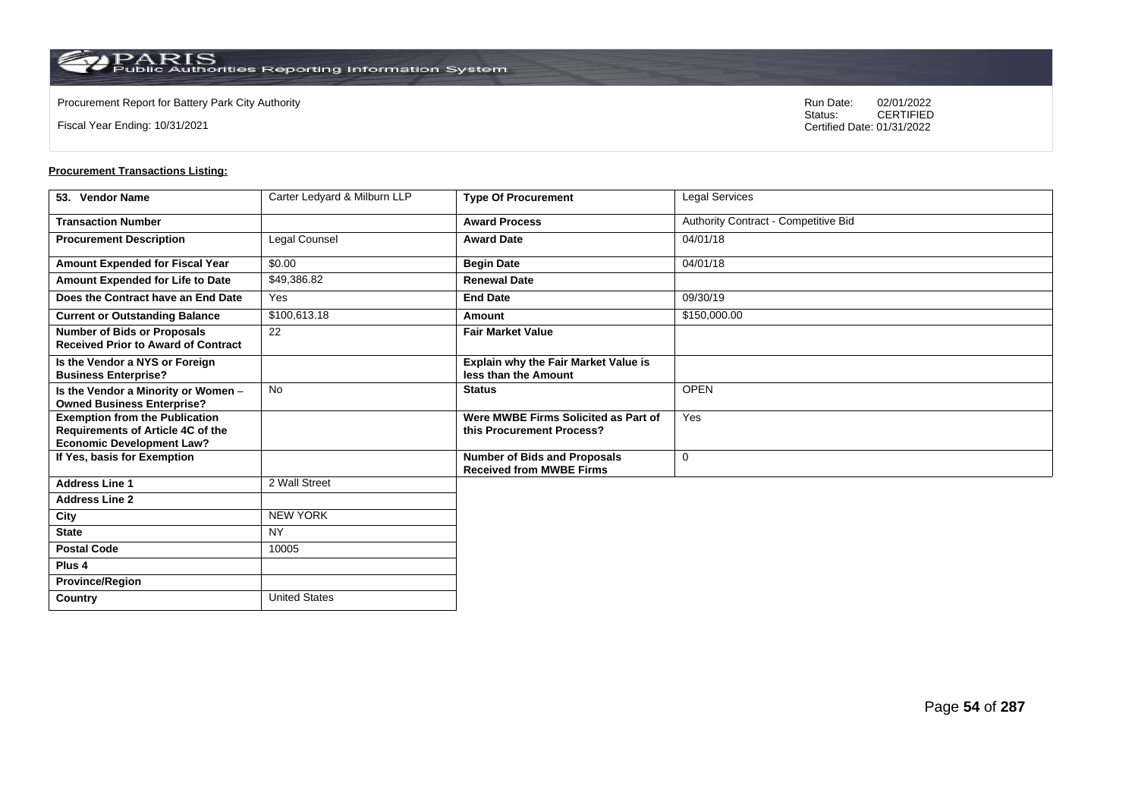**Country** United States

Fiscal Year Ending: 10/31/2021

Procurement Report for Battery Park City Authority **National State Concrete Concrete Concrete Concrete Concrete Concrete Concrete Concrete Concrete Concrete Concrete Concrete Concrete Concrete Concrete Concrete Concrete Co** CERTIFIED Certified Date: 01/31/2022

| 53. Vendor Name                                                                                                | Carter Ledyard & Milburn LLP | <b>Type Of Procurement</b>                                             | Legal Services                       |
|----------------------------------------------------------------------------------------------------------------|------------------------------|------------------------------------------------------------------------|--------------------------------------|
| <b>Transaction Number</b>                                                                                      |                              | <b>Award Process</b>                                                   | Authority Contract - Competitive Bid |
| <b>Procurement Description</b>                                                                                 | Legal Counsel                | <b>Award Date</b>                                                      | 04/01/18                             |
| Amount Expended for Fiscal Year                                                                                | \$0.00                       | <b>Begin Date</b>                                                      | 04/01/18                             |
| Amount Expended for Life to Date                                                                               | \$49,386.82                  | <b>Renewal Date</b>                                                    |                                      |
| Does the Contract have an End Date                                                                             | Yes                          | <b>End Date</b>                                                        | 09/30/19                             |
| <b>Current or Outstanding Balance</b>                                                                          | \$100,613.18                 | Amount                                                                 | \$150,000.00                         |
| <b>Number of Bids or Proposals</b><br><b>Received Prior to Award of Contract</b>                               | 22                           | <b>Fair Market Value</b>                                               |                                      |
| Is the Vendor a NYS or Foreign<br><b>Business Enterprise?</b>                                                  |                              | <b>Explain why the Fair Market Value is</b><br>less than the Amount    |                                      |
| Is the Vendor a Minority or Women -<br><b>Owned Business Enterprise?</b>                                       | No                           | <b>Status</b>                                                          | <b>OPEN</b>                          |
| <b>Exemption from the Publication</b><br>Requirements of Article 4C of the<br><b>Economic Development Law?</b> |                              | Were MWBE Firms Solicited as Part of<br>this Procurement Process?      | Yes                                  |
| If Yes, basis for Exemption                                                                                    |                              | <b>Number of Bids and Proposals</b><br><b>Received from MWBE Firms</b> | $\mathbf 0$                          |
| <b>Address Line 1</b>                                                                                          | 2 Wall Street                |                                                                        |                                      |
| <b>Address Line 2</b>                                                                                          |                              |                                                                        |                                      |
| City                                                                                                           | <b>NEW YORK</b>              |                                                                        |                                      |
| <b>State</b>                                                                                                   | <b>NY</b>                    |                                                                        |                                      |
| <b>Postal Code</b>                                                                                             | 10005                        |                                                                        |                                      |
| Plus <sub>4</sub>                                                                                              |                              |                                                                        |                                      |
| <b>Province/Region</b>                                                                                         |                              |                                                                        |                                      |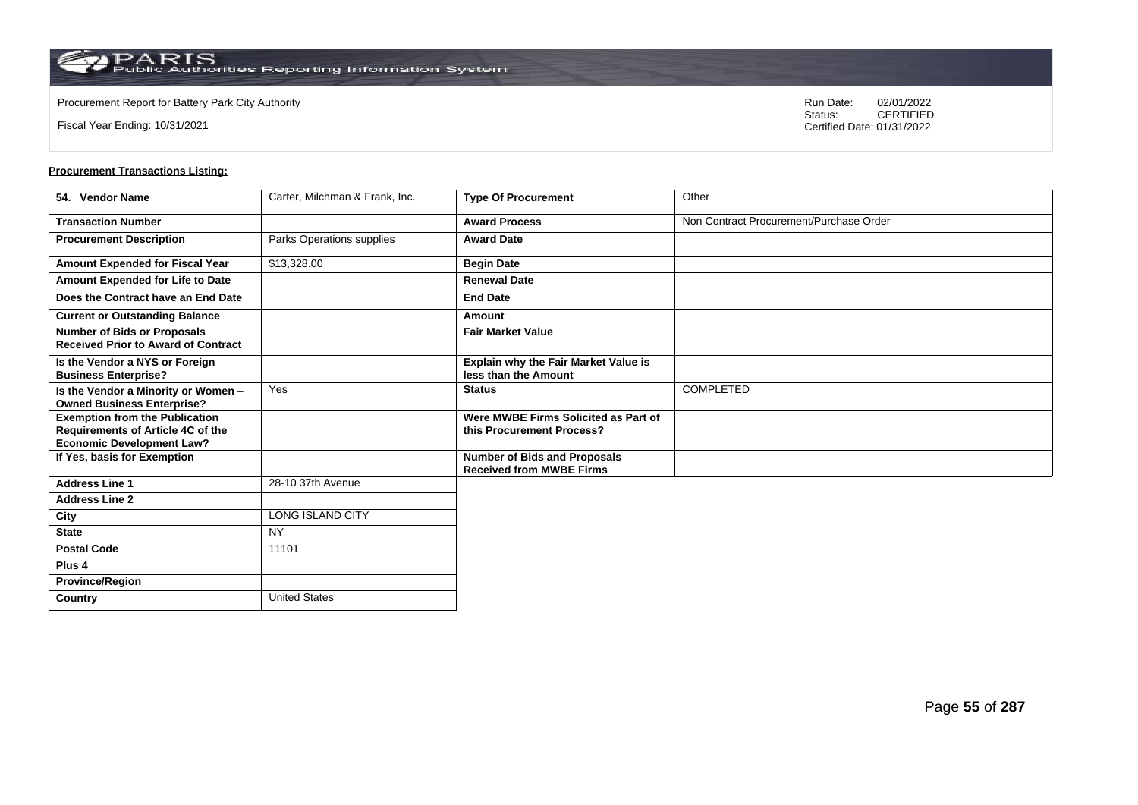Fiscal Year Ending: 10/31/2021

Procurement Report for Battery Park City Authority **National State Concrete Concrete Concrete Concrete Concrete Concrete Concrete Concrete Concrete Concrete Concrete Concrete Concrete Concrete Concrete Concrete Concrete Co** CERTIFIED Certified Date: 01/31/2022

| 54. Vendor Name                                                                                                | Carter, Milchman & Frank, Inc. | <b>Type Of Procurement</b>                                             | Other                                   |
|----------------------------------------------------------------------------------------------------------------|--------------------------------|------------------------------------------------------------------------|-----------------------------------------|
| <b>Transaction Number</b>                                                                                      |                                | <b>Award Process</b>                                                   | Non Contract Procurement/Purchase Order |
| <b>Procurement Description</b>                                                                                 | Parks Operations supplies      | <b>Award Date</b>                                                      |                                         |
| Amount Expended for Fiscal Year                                                                                | \$13,328.00                    | <b>Begin Date</b>                                                      |                                         |
| Amount Expended for Life to Date                                                                               |                                | <b>Renewal Date</b>                                                    |                                         |
| Does the Contract have an End Date                                                                             |                                | <b>End Date</b>                                                        |                                         |
| <b>Current or Outstanding Balance</b>                                                                          |                                | <b>Amount</b>                                                          |                                         |
| <b>Number of Bids or Proposals</b><br><b>Received Prior to Award of Contract</b>                               |                                | <b>Fair Market Value</b>                                               |                                         |
| Is the Vendor a NYS or Foreign<br><b>Business Enterprise?</b>                                                  |                                | Explain why the Fair Market Value is<br>less than the Amount           |                                         |
| Is the Vendor a Minority or Women -<br><b>Owned Business Enterprise?</b>                                       | Yes                            | <b>Status</b>                                                          | <b>COMPLETED</b>                        |
| <b>Exemption from the Publication</b><br>Requirements of Article 4C of the<br><b>Economic Development Law?</b> |                                | Were MWBE Firms Solicited as Part of<br>this Procurement Process?      |                                         |
| If Yes, basis for Exemption                                                                                    |                                | <b>Number of Bids and Proposals</b><br><b>Received from MWBE Firms</b> |                                         |
| <b>Address Line 1</b>                                                                                          | 28-10 37th Avenue              |                                                                        |                                         |
| <b>Address Line 2</b>                                                                                          |                                |                                                                        |                                         |
| City                                                                                                           | LONG ISLAND CITY               |                                                                        |                                         |
| <b>State</b>                                                                                                   | <b>NY</b>                      |                                                                        |                                         |
| <b>Postal Code</b>                                                                                             | 11101                          |                                                                        |                                         |
| Plus 4                                                                                                         |                                |                                                                        |                                         |
| <b>Province/Region</b>                                                                                         |                                |                                                                        |                                         |
| Country                                                                                                        | <b>United States</b>           |                                                                        |                                         |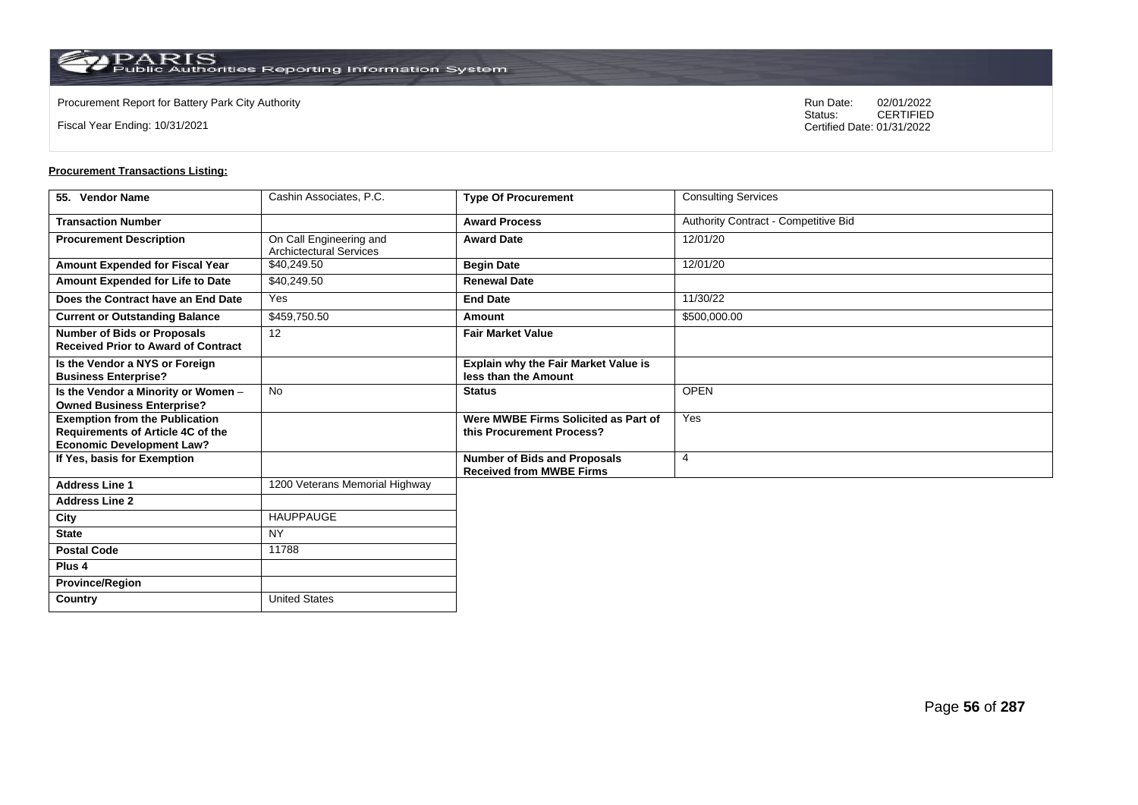**Country** United States

Fiscal Year Ending: 10/31/2021

Procurement Report for Battery Park City Authority **National State Concrete Concrete Concrete Concrete Concrete Concrete Concrete Concrete Concrete Concrete Concrete Concrete Concrete Concrete Concrete Concrete Concrete Co** CERTIFIED Certified Date: 01/31/2022

| 55. Vendor Name                                                                                                | Cashin Associates, P.C.                                   | <b>Type Of Procurement</b>                                             | <b>Consulting Services</b>           |
|----------------------------------------------------------------------------------------------------------------|-----------------------------------------------------------|------------------------------------------------------------------------|--------------------------------------|
| <b>Transaction Number</b>                                                                                      |                                                           | <b>Award Process</b>                                                   | Authority Contract - Competitive Bid |
| <b>Procurement Description</b>                                                                                 | On Call Engineering and<br><b>Archictectural Services</b> | <b>Award Date</b>                                                      | 12/01/20                             |
| Amount Expended for Fiscal Year                                                                                | \$40,249.50                                               | <b>Begin Date</b>                                                      | 12/01/20                             |
| Amount Expended for Life to Date                                                                               | \$40,249.50                                               | <b>Renewal Date</b>                                                    |                                      |
| Does the Contract have an End Date                                                                             | Yes                                                       | <b>End Date</b>                                                        | 11/30/22                             |
| <b>Current or Outstanding Balance</b>                                                                          | \$459,750.50                                              | <b>Amount</b>                                                          | \$500,000.00                         |
| <b>Number of Bids or Proposals</b><br><b>Received Prior to Award of Contract</b>                               | 12                                                        | <b>Fair Market Value</b>                                               |                                      |
| Is the Vendor a NYS or Foreign<br><b>Business Enterprise?</b>                                                  |                                                           | Explain why the Fair Market Value is<br>less than the Amount           |                                      |
| Is the Vendor a Minority or Women -<br><b>Owned Business Enterprise?</b>                                       | <b>No</b>                                                 | <b>Status</b>                                                          | <b>OPEN</b>                          |
| <b>Exemption from the Publication</b><br>Requirements of Article 4C of the<br><b>Economic Development Law?</b> |                                                           | Were MWBE Firms Solicited as Part of<br>this Procurement Process?      | Yes                                  |
| If Yes, basis for Exemption                                                                                    |                                                           | <b>Number of Bids and Proposals</b><br><b>Received from MWBE Firms</b> | $\overline{4}$                       |
| <b>Address Line 1</b>                                                                                          | 1200 Veterans Memorial Highway                            |                                                                        |                                      |
| <b>Address Line 2</b>                                                                                          |                                                           |                                                                        |                                      |
| City                                                                                                           | <b>HAUPPAUGE</b>                                          |                                                                        |                                      |
| <b>State</b>                                                                                                   | <b>NY</b>                                                 |                                                                        |                                      |
| <b>Postal Code</b>                                                                                             | 11788                                                     |                                                                        |                                      |
| Plus <sub>4</sub>                                                                                              |                                                           |                                                                        |                                      |
| <b>Province/Region</b>                                                                                         |                                                           |                                                                        |                                      |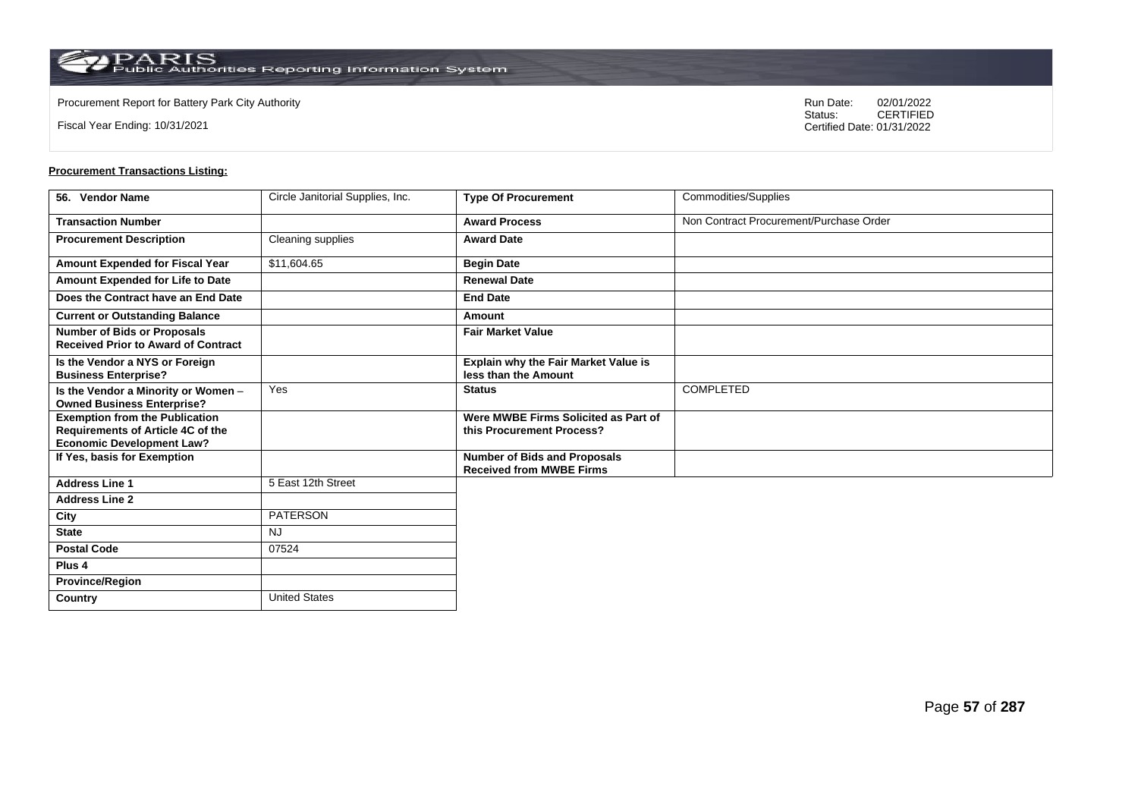$\operatorname{PARIS}_{\text{Public Authorities}\,\text{Reporting}\,\text{Information System}}$ 

Fiscal Year Ending: 10/31/2021

Procurement Report for Battery Park City Authority **National State Concrete Concrete Concrete Concrete Concrete Concrete Concrete Concrete Concrete Concrete Concrete Concrete Concrete Concrete Concrete Concrete Concrete Co** CERTIFIED Certified Date: 01/31/2022

| 56. Vendor Name                                                                                                | Circle Janitorial Supplies, Inc. | <b>Type Of Procurement</b>                                             | Commodities/Supplies                    |
|----------------------------------------------------------------------------------------------------------------|----------------------------------|------------------------------------------------------------------------|-----------------------------------------|
| <b>Transaction Number</b>                                                                                      |                                  | <b>Award Process</b>                                                   | Non Contract Procurement/Purchase Order |
| <b>Procurement Description</b>                                                                                 | Cleaning supplies                | <b>Award Date</b>                                                      |                                         |
| Amount Expended for Fiscal Year                                                                                | \$11,604.65                      | <b>Begin Date</b>                                                      |                                         |
| Amount Expended for Life to Date                                                                               |                                  | <b>Renewal Date</b>                                                    |                                         |
| Does the Contract have an End Date                                                                             |                                  | <b>End Date</b>                                                        |                                         |
| <b>Current or Outstanding Balance</b>                                                                          |                                  | Amount                                                                 |                                         |
| <b>Number of Bids or Proposals</b><br><b>Received Prior to Award of Contract</b>                               |                                  | <b>Fair Market Value</b>                                               |                                         |
| Is the Vendor a NYS or Foreign<br><b>Business Enterprise?</b>                                                  |                                  | <b>Explain why the Fair Market Value is</b><br>less than the Amount    |                                         |
| Is the Vendor a Minority or Women -<br><b>Owned Business Enterprise?</b>                                       | Yes                              | <b>Status</b>                                                          | <b>COMPLETED</b>                        |
| <b>Exemption from the Publication</b><br>Requirements of Article 4C of the<br><b>Economic Development Law?</b> |                                  | Were MWBE Firms Solicited as Part of<br>this Procurement Process?      |                                         |
| If Yes, basis for Exemption                                                                                    |                                  | <b>Number of Bids and Proposals</b><br><b>Received from MWBE Firms</b> |                                         |
| <b>Address Line 1</b>                                                                                          | 5 East 12th Street               |                                                                        |                                         |
| <b>Address Line 2</b>                                                                                          |                                  |                                                                        |                                         |
| City                                                                                                           | <b>PATERSON</b>                  |                                                                        |                                         |
| <b>State</b>                                                                                                   | <b>NJ</b>                        |                                                                        |                                         |
| <b>Postal Code</b>                                                                                             | 07524                            |                                                                        |                                         |
| Plus <sub>4</sub>                                                                                              |                                  |                                                                        |                                         |
| <b>Province/Region</b>                                                                                         |                                  |                                                                        |                                         |
| Country                                                                                                        | <b>United States</b>             |                                                                        |                                         |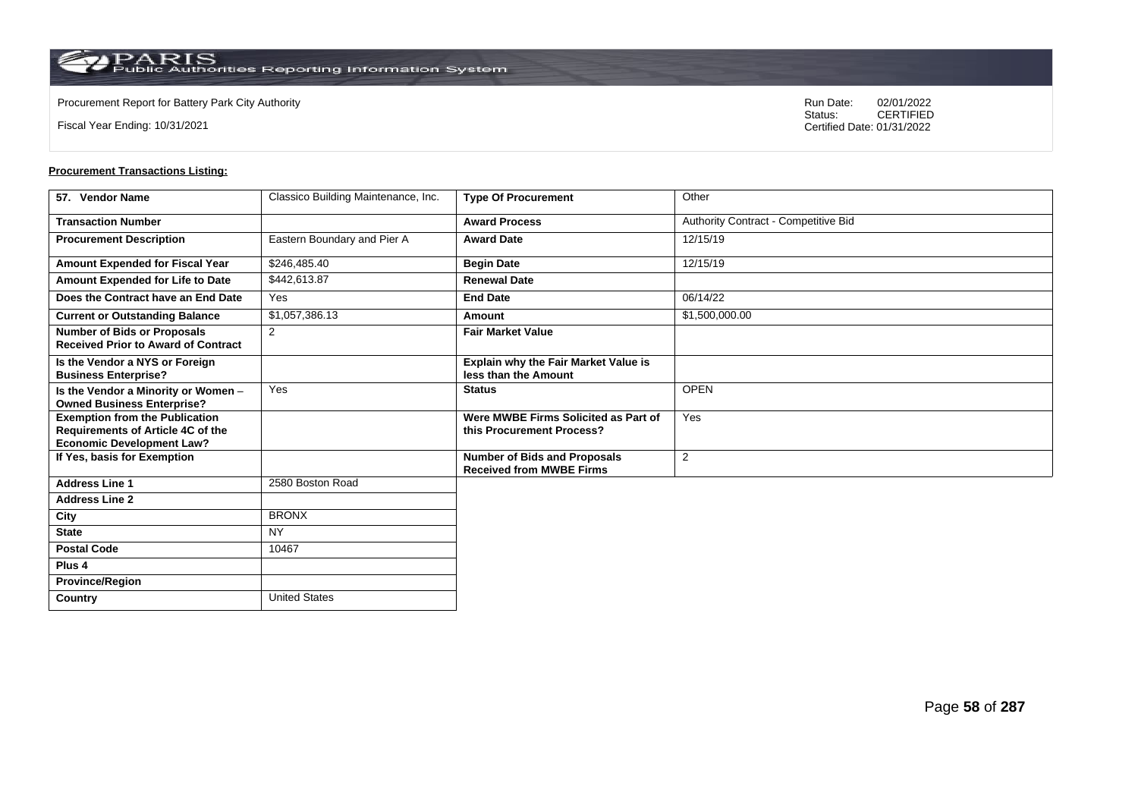**Country** United States

Fiscal Year Ending: 10/31/2021

Procurement Report for Battery Park City Authority **National State Concrete Concrete Concrete Concrete Concrete Concrete Concrete Concrete Concrete Concrete Concrete Concrete Concrete Concrete Concrete Concrete Concrete Co** CERTIFIED Certified Date: 01/31/2022

| 57. Vendor Name                                                                                                | Classico Building Maintenance, Inc. | <b>Type Of Procurement</b>                                             | Other                                |
|----------------------------------------------------------------------------------------------------------------|-------------------------------------|------------------------------------------------------------------------|--------------------------------------|
| <b>Transaction Number</b>                                                                                      |                                     | <b>Award Process</b>                                                   | Authority Contract - Competitive Bid |
| <b>Procurement Description</b>                                                                                 | Eastern Boundary and Pier A         | <b>Award Date</b>                                                      | 12/15/19                             |
| Amount Expended for Fiscal Year                                                                                | \$246,485.40                        | <b>Begin Date</b>                                                      | 12/15/19                             |
| Amount Expended for Life to Date                                                                               | \$442,613.87                        | <b>Renewal Date</b>                                                    |                                      |
| Does the Contract have an End Date                                                                             | Yes                                 | <b>End Date</b>                                                        | 06/14/22                             |
| <b>Current or Outstanding Balance</b>                                                                          | \$1,057,386.13                      | Amount                                                                 | \$1,500,000.00                       |
| <b>Number of Bids or Proposals</b><br><b>Received Prior to Award of Contract</b>                               | 2                                   | <b>Fair Market Value</b>                                               |                                      |
| Is the Vendor a NYS or Foreign<br><b>Business Enterprise?</b>                                                  |                                     | Explain why the Fair Market Value is<br>less than the Amount           |                                      |
| Is the Vendor a Minority or Women -<br><b>Owned Business Enterprise?</b>                                       | Yes                                 | <b>Status</b>                                                          | <b>OPEN</b>                          |
| <b>Exemption from the Publication</b><br>Requirements of Article 4C of the<br><b>Economic Development Law?</b> |                                     | Were MWBE Firms Solicited as Part of<br>this Procurement Process?      | Yes                                  |
| If Yes, basis for Exemption                                                                                    |                                     | <b>Number of Bids and Proposals</b><br><b>Received from MWBE Firms</b> | $\overline{2}$                       |
| <b>Address Line 1</b>                                                                                          | 2580 Boston Road                    |                                                                        |                                      |
| <b>Address Line 2</b>                                                                                          |                                     |                                                                        |                                      |
| City                                                                                                           | <b>BRONX</b>                        |                                                                        |                                      |
| <b>State</b>                                                                                                   | <b>NY</b>                           |                                                                        |                                      |
| <b>Postal Code</b>                                                                                             | 10467                               |                                                                        |                                      |
| Plus <sub>4</sub>                                                                                              |                                     |                                                                        |                                      |
| <b>Province/Region</b>                                                                                         |                                     |                                                                        |                                      |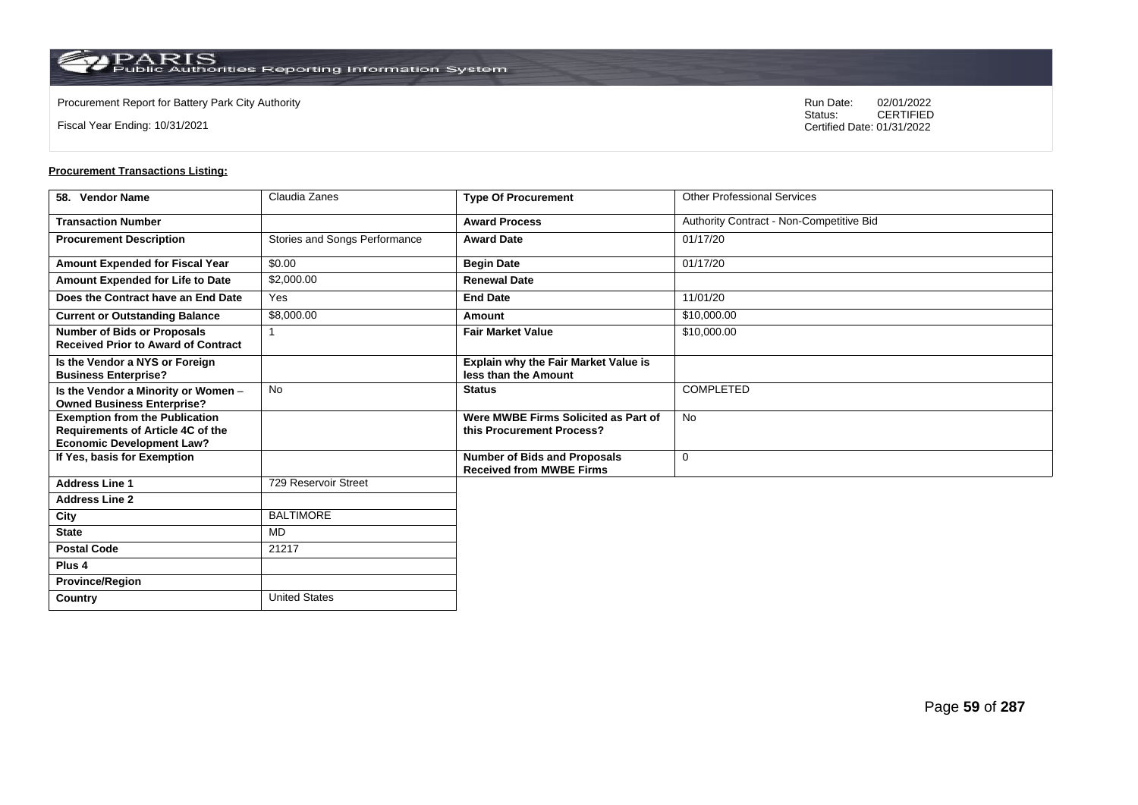**Country** United States

Fiscal Year Ending: 10/31/2021

Procurement Report for Battery Park City Authority **National State Concrete Concrete Concrete Concrete Concrete Concrete Concrete Concrete Concrete Concrete Concrete Concrete Concrete Concrete Concrete Concrete Concrete Co** CERTIFIED Certified Date: 01/31/2022

| 58. Vendor Name                                                                                                | Claudia Zanes                 | <b>Type Of Procurement</b>                                             | <b>Other Professional Services</b>       |
|----------------------------------------------------------------------------------------------------------------|-------------------------------|------------------------------------------------------------------------|------------------------------------------|
| <b>Transaction Number</b>                                                                                      |                               | <b>Award Process</b>                                                   | Authority Contract - Non-Competitive Bid |
| <b>Procurement Description</b>                                                                                 | Stories and Songs Performance | <b>Award Date</b>                                                      | 01/17/20                                 |
| Amount Expended for Fiscal Year                                                                                | \$0.00                        | <b>Begin Date</b>                                                      | 01/17/20                                 |
| Amount Expended for Life to Date                                                                               | \$2,000.00                    | <b>Renewal Date</b>                                                    |                                          |
| Does the Contract have an End Date                                                                             | Yes                           | <b>End Date</b>                                                        | 11/01/20                                 |
| <b>Current or Outstanding Balance</b>                                                                          | \$8,000.00                    | Amount                                                                 | \$10,000.00                              |
| <b>Number of Bids or Proposals</b><br><b>Received Prior to Award of Contract</b>                               |                               | <b>Fair Market Value</b>                                               | \$10,000.00                              |
| Is the Vendor a NYS or Foreign<br><b>Business Enterprise?</b>                                                  |                               | Explain why the Fair Market Value is<br>less than the Amount           |                                          |
| Is the Vendor a Minority or Women -<br><b>Owned Business Enterprise?</b>                                       | <b>No</b>                     | <b>Status</b>                                                          | <b>COMPLETED</b>                         |
| <b>Exemption from the Publication</b><br>Requirements of Article 4C of the<br><b>Economic Development Law?</b> |                               | Were MWBE Firms Solicited as Part of<br>this Procurement Process?      | <b>No</b>                                |
| If Yes, basis for Exemption                                                                                    |                               | <b>Number of Bids and Proposals</b><br><b>Received from MWBE Firms</b> | $\mathbf 0$                              |
| <b>Address Line 1</b>                                                                                          | 729 Reservoir Street          |                                                                        |                                          |
| <b>Address Line 2</b>                                                                                          |                               |                                                                        |                                          |
| City                                                                                                           | <b>BALTIMORE</b>              |                                                                        |                                          |
| <b>State</b>                                                                                                   | MD                            |                                                                        |                                          |
| <b>Postal Code</b>                                                                                             | 21217                         |                                                                        |                                          |
| Plus <sub>4</sub>                                                                                              |                               |                                                                        |                                          |
| <b>Province/Region</b>                                                                                         |                               |                                                                        |                                          |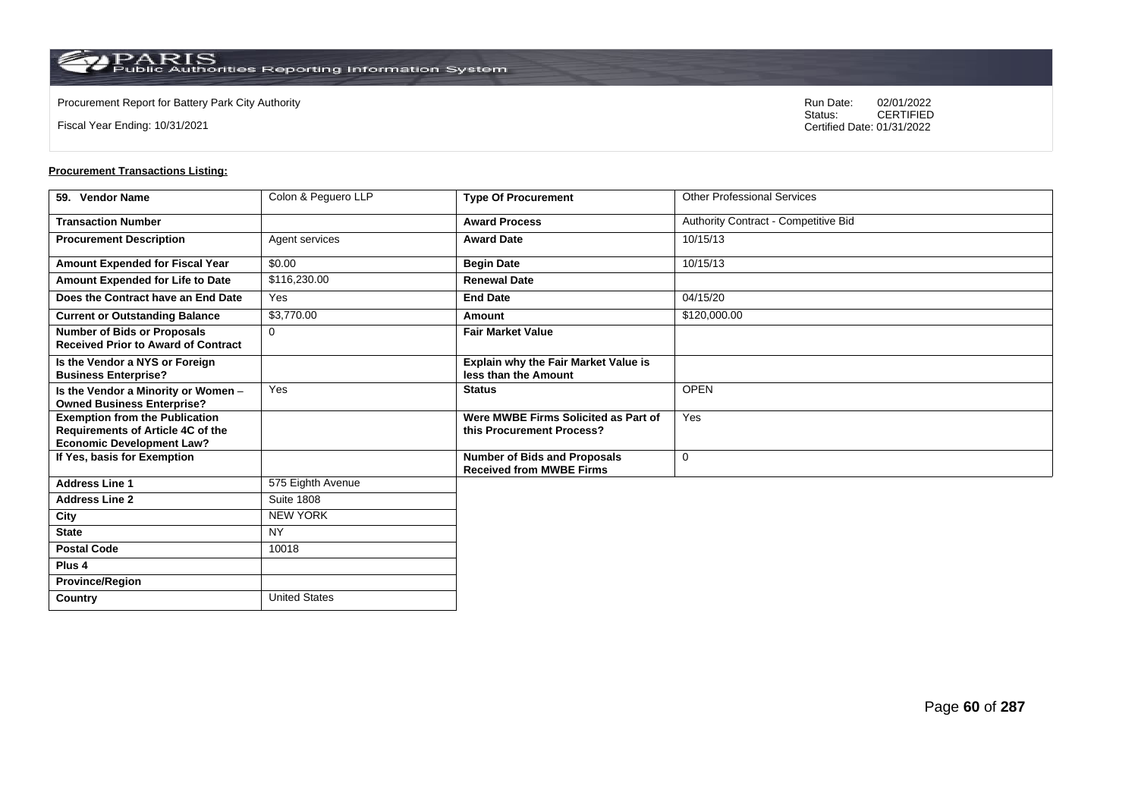**Country** United States

Fiscal Year Ending: 10/31/2021

Procurement Report for Battery Park City Authority **National State Concrete Concrete Concrete Concrete Concrete Concrete Concrete Concrete Concrete Concrete Concrete Concrete Concrete Concrete Concrete Concrete Concrete Co** CERTIFIED Certified Date: 01/31/2022

| 59. Vendor Name                                                                                                | Colon & Peguero LLP | <b>Type Of Procurement</b>                                             | <b>Other Professional Services</b>   |
|----------------------------------------------------------------------------------------------------------------|---------------------|------------------------------------------------------------------------|--------------------------------------|
| <b>Transaction Number</b>                                                                                      |                     | <b>Award Process</b>                                                   | Authority Contract - Competitive Bid |
| <b>Procurement Description</b>                                                                                 | Agent services      | <b>Award Date</b>                                                      | 10/15/13                             |
| Amount Expended for Fiscal Year                                                                                | \$0.00              | <b>Begin Date</b>                                                      | 10/15/13                             |
| Amount Expended for Life to Date                                                                               | \$116,230.00        | <b>Renewal Date</b>                                                    |                                      |
| Does the Contract have an End Date                                                                             | Yes                 | <b>End Date</b>                                                        | 04/15/20                             |
| <b>Current or Outstanding Balance</b>                                                                          | \$3,770.00          | Amount                                                                 | \$120,000.00                         |
| <b>Number of Bids or Proposals</b><br><b>Received Prior to Award of Contract</b>                               | $\Omega$            | <b>Fair Market Value</b>                                               |                                      |
| Is the Vendor a NYS or Foreign<br><b>Business Enterprise?</b>                                                  |                     | Explain why the Fair Market Value is<br>less than the Amount           |                                      |
| Is the Vendor a Minority or Women -<br><b>Owned Business Enterprise?</b>                                       | Yes                 | <b>Status</b>                                                          | <b>OPEN</b>                          |
| <b>Exemption from the Publication</b><br>Requirements of Article 4C of the<br><b>Economic Development Law?</b> |                     | Were MWBE Firms Solicited as Part of<br>this Procurement Process?      | Yes                                  |
| If Yes, basis for Exemption                                                                                    |                     | <b>Number of Bids and Proposals</b><br><b>Received from MWBE Firms</b> | $\mathbf 0$                          |
| <b>Address Line 1</b>                                                                                          | 575 Eighth Avenue   |                                                                        |                                      |
| <b>Address Line 2</b>                                                                                          | <b>Suite 1808</b>   |                                                                        |                                      |
| City                                                                                                           | <b>NEW YORK</b>     |                                                                        |                                      |
| <b>State</b>                                                                                                   | <b>NY</b>           |                                                                        |                                      |
| <b>Postal Code</b>                                                                                             | 10018               |                                                                        |                                      |
| Plus <sub>4</sub>                                                                                              |                     |                                                                        |                                      |
| <b>Province/Region</b>                                                                                         |                     |                                                                        |                                      |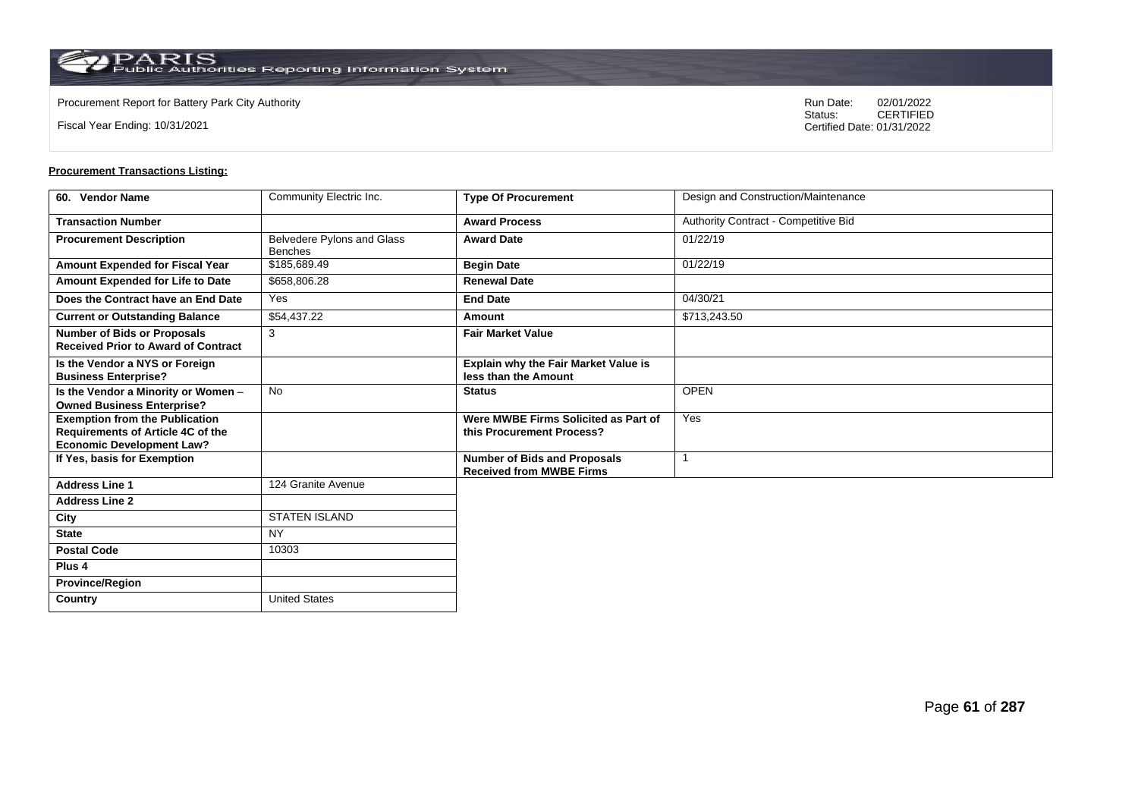$\operatorname{PARIS}_{\text{Public Authorities}\,\text{Reporting}\,\text{Information System}}$ 

**Country** United States

Fiscal Year Ending: 10/31/2021

Procurement Report for Battery Park City Authority **National State Concrete Concrete Concrete Concrete Concrete Concrete Concrete Concrete Concrete Concrete Concrete Concrete Concrete Concrete Concrete Concrete Concrete Co** CERTIFIED Certified Date: 01/31/2022

| 60. Vendor Name                                                                                                       | Community Electric Inc.                      | <b>Type Of Procurement</b>                                             | Design and Construction/Maintenance  |
|-----------------------------------------------------------------------------------------------------------------------|----------------------------------------------|------------------------------------------------------------------------|--------------------------------------|
| <b>Transaction Number</b>                                                                                             |                                              | <b>Award Process</b>                                                   | Authority Contract - Competitive Bid |
| <b>Procurement Description</b>                                                                                        | Belvedere Pylons and Glass<br><b>Benches</b> | <b>Award Date</b>                                                      | 01/22/19                             |
| Amount Expended for Fiscal Year                                                                                       | \$185,689.49                                 | <b>Begin Date</b>                                                      | 01/22/19                             |
| Amount Expended for Life to Date                                                                                      | \$658,806.28                                 | <b>Renewal Date</b>                                                    |                                      |
| Does the Contract have an End Date                                                                                    | Yes                                          | <b>End Date</b>                                                        | 04/30/21                             |
| <b>Current or Outstanding Balance</b>                                                                                 | \$54,437.22                                  | Amount                                                                 | \$713,243.50                         |
| <b>Number of Bids or Proposals</b><br><b>Received Prior to Award of Contract</b>                                      | 3                                            | <b>Fair Market Value</b>                                               |                                      |
| Is the Vendor a NYS or Foreign<br><b>Business Enterprise?</b>                                                         |                                              | Explain why the Fair Market Value is<br>less than the Amount           |                                      |
| Is the Vendor a Minority or Women -<br><b>Owned Business Enterprise?</b>                                              | <b>No</b>                                    | <b>Status</b>                                                          | <b>OPEN</b>                          |
| <b>Exemption from the Publication</b><br><b>Requirements of Article 4C of the</b><br><b>Economic Development Law?</b> |                                              | Were MWBE Firms Solicited as Part of<br>this Procurement Process?      | Yes                                  |
| If Yes, basis for Exemption                                                                                           |                                              | <b>Number of Bids and Proposals</b><br><b>Received from MWBE Firms</b> |                                      |
| <b>Address Line 1</b>                                                                                                 | 124 Granite Avenue                           |                                                                        |                                      |
| <b>Address Line 2</b>                                                                                                 |                                              |                                                                        |                                      |
| City                                                                                                                  | <b>STATEN ISLAND</b>                         |                                                                        |                                      |
| <b>State</b>                                                                                                          | <b>NY</b>                                    |                                                                        |                                      |
| <b>Postal Code</b>                                                                                                    | 10303                                        |                                                                        |                                      |
| Plus <sub>4</sub>                                                                                                     |                                              |                                                                        |                                      |
| <b>Province/Region</b>                                                                                                |                                              |                                                                        |                                      |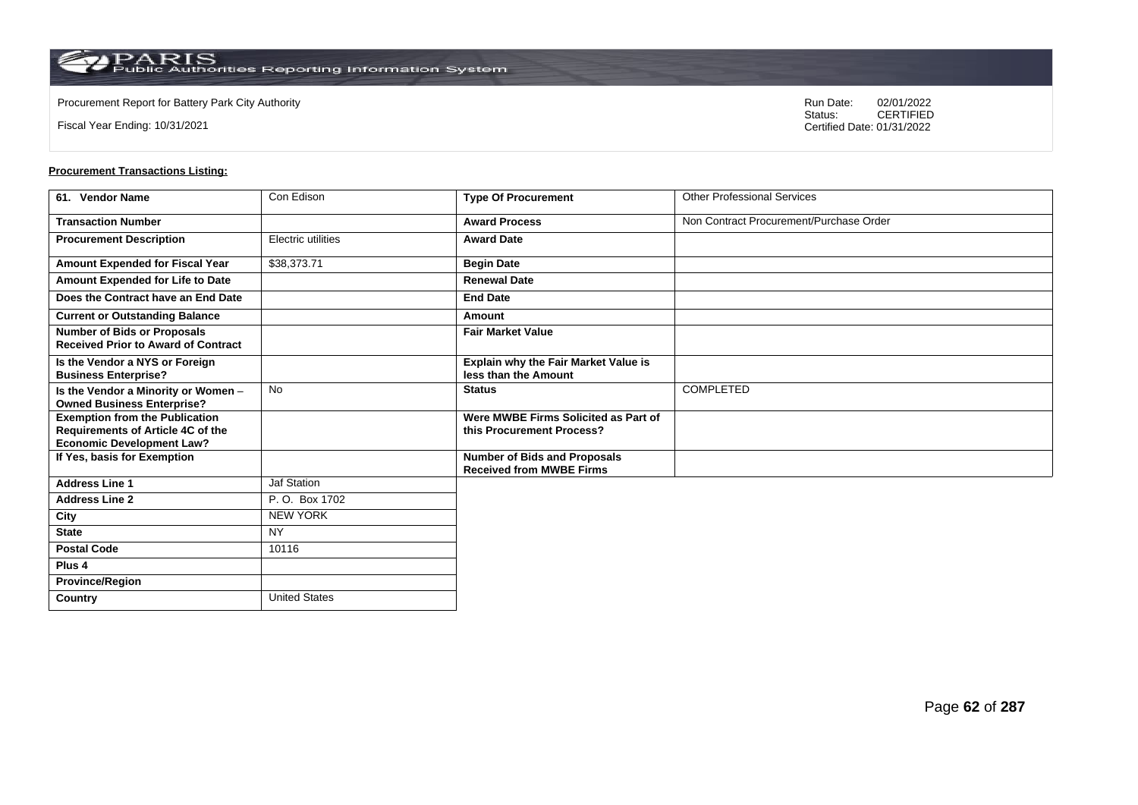Fiscal Year Ending: 10/31/2021

Procurement Report for Battery Park City Authority **National State Concrete Concrete Concrete Concrete Concrete Concrete Concrete Concrete Concrete Concrete Concrete Concrete Concrete Concrete Concrete Concrete Concrete Co** CERTIFIED Certified Date: 01/31/2022

| 61. Vendor Name                                                                   | Con Edison           | <b>Type Of Procurement</b>                                             | <b>Other Professional Services</b>      |
|-----------------------------------------------------------------------------------|----------------------|------------------------------------------------------------------------|-----------------------------------------|
| <b>Transaction Number</b>                                                         |                      | <b>Award Process</b>                                                   | Non Contract Procurement/Purchase Order |
| <b>Procurement Description</b>                                                    | Electric utilities   | <b>Award Date</b>                                                      |                                         |
| Amount Expended for Fiscal Year                                                   | \$38,373.71          | <b>Begin Date</b>                                                      |                                         |
| Amount Expended for Life to Date                                                  |                      | <b>Renewal Date</b>                                                    |                                         |
| Does the Contract have an End Date                                                |                      | <b>End Date</b>                                                        |                                         |
| <b>Current or Outstanding Balance</b>                                             |                      | <b>Amount</b>                                                          |                                         |
| <b>Number of Bids or Proposals</b><br><b>Received Prior to Award of Contract</b>  |                      | <b>Fair Market Value</b>                                               |                                         |
| Is the Vendor a NYS or Foreign<br><b>Business Enterprise?</b>                     |                      | Explain why the Fair Market Value is<br>less than the Amount           |                                         |
| Is the Vendor a Minority or Women -<br><b>Owned Business Enterprise?</b>          | <b>No</b>            | <b>Status</b>                                                          | <b>COMPLETED</b>                        |
| <b>Exemption from the Publication</b><br><b>Requirements of Article 4C of the</b> |                      | Were MWBE Firms Solicited as Part of<br>this Procurement Process?      |                                         |
| <b>Economic Development Law?</b>                                                  |                      |                                                                        |                                         |
| If Yes, basis for Exemption                                                       |                      | <b>Number of Bids and Proposals</b><br><b>Received from MWBE Firms</b> |                                         |
| <b>Address Line 1</b>                                                             | Jaf Station          |                                                                        |                                         |
| <b>Address Line 2</b>                                                             | P.O. Box 1702        |                                                                        |                                         |
| City                                                                              | <b>NEW YORK</b>      |                                                                        |                                         |
| <b>State</b>                                                                      | <b>NY</b>            |                                                                        |                                         |
| <b>Postal Code</b>                                                                | 10116                |                                                                        |                                         |
| Plus 4                                                                            |                      |                                                                        |                                         |
| <b>Province/Region</b>                                                            |                      |                                                                        |                                         |
| Country                                                                           | <b>United States</b> |                                                                        |                                         |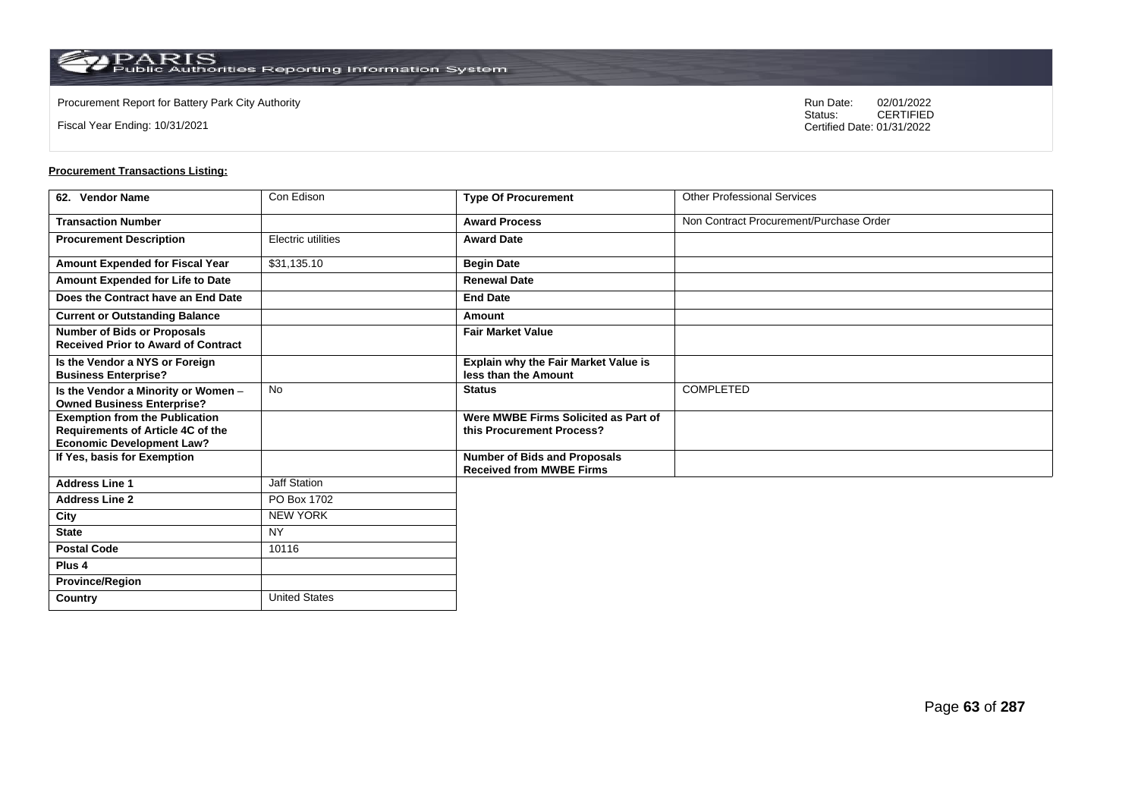Fiscal Year Ending: 10/31/2021

Procurement Report for Battery Park City Authority **National State Concrete Concrete Concrete Concrete Concrete Concrete Concrete Concrete Concrete Concrete Concrete Concrete Concrete Concrete Concrete Concrete Concrete Co** CERTIFIED Certified Date: 01/31/2022

| 62. Vendor Name                                                                  | Con Edison           | <b>Type Of Procurement</b>                                             | <b>Other Professional Services</b>      |
|----------------------------------------------------------------------------------|----------------------|------------------------------------------------------------------------|-----------------------------------------|
| <b>Transaction Number</b>                                                        |                      | <b>Award Process</b>                                                   | Non Contract Procurement/Purchase Order |
| <b>Procurement Description</b>                                                   | Electric utilities   | <b>Award Date</b>                                                      |                                         |
| Amount Expended for Fiscal Year                                                  | \$31,135.10          | <b>Begin Date</b>                                                      |                                         |
| Amount Expended for Life to Date                                                 |                      | <b>Renewal Date</b>                                                    |                                         |
| Does the Contract have an End Date                                               |                      | <b>End Date</b>                                                        |                                         |
| <b>Current or Outstanding Balance</b>                                            |                      | Amount                                                                 |                                         |
| <b>Number of Bids or Proposals</b><br><b>Received Prior to Award of Contract</b> |                      | <b>Fair Market Value</b>                                               |                                         |
| Is the Vendor a NYS or Foreign<br><b>Business Enterprise?</b>                    |                      | Explain why the Fair Market Value is<br>less than the Amount           |                                         |
| Is the Vendor a Minority or Women -<br><b>Owned Business Enterprise?</b>         | <b>No</b>            | <b>Status</b>                                                          | <b>COMPLETED</b>                        |
| <b>Exemption from the Publication</b><br>Requirements of Article 4C of the       |                      | Were MWBE Firms Solicited as Part of<br>this Procurement Process?      |                                         |
| <b>Economic Development Law?</b>                                                 |                      |                                                                        |                                         |
| If Yes, basis for Exemption                                                      |                      | <b>Number of Bids and Proposals</b><br><b>Received from MWBE Firms</b> |                                         |
| <b>Address Line 1</b>                                                            | Jaff Station         |                                                                        |                                         |
| <b>Address Line 2</b>                                                            | PO Box 1702          |                                                                        |                                         |
| City                                                                             | <b>NEW YORK</b>      |                                                                        |                                         |
| <b>State</b>                                                                     | <b>NY</b>            |                                                                        |                                         |
| <b>Postal Code</b>                                                               | 10116                |                                                                        |                                         |
| Plus 4                                                                           |                      |                                                                        |                                         |
| <b>Province/Region</b>                                                           |                      |                                                                        |                                         |
| Country                                                                          | <b>United States</b> |                                                                        |                                         |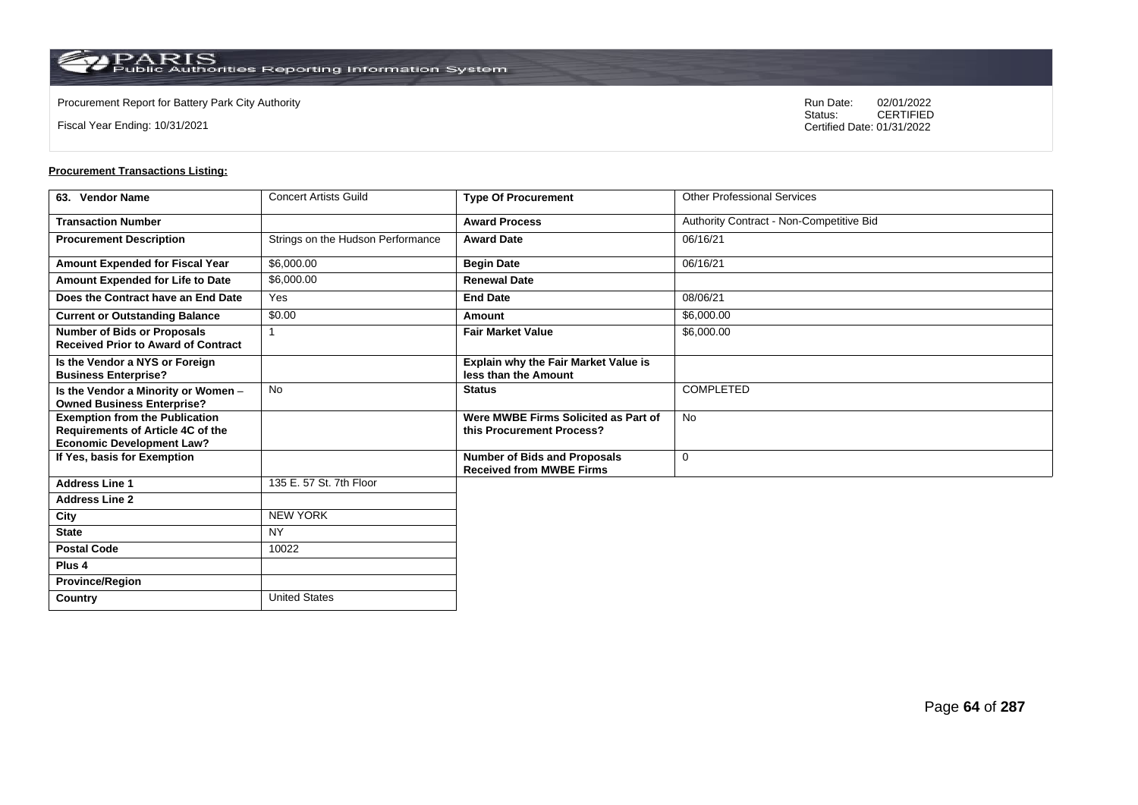**Country** United States

Fiscal Year Ending: 10/31/2021

Procurement Report for Battery Park City Authority **National State Concrete Concrete Concrete Concrete Concrete Concrete Concrete Concrete Concrete Concrete Concrete Concrete Concrete Concrete Concrete Concrete Concrete Co** CERTIFIED Certified Date: 01/31/2022

| 63. Vendor Name                                                                                                | <b>Concert Artists Guild</b>      | <b>Type Of Procurement</b>                                             | <b>Other Professional Services</b>       |
|----------------------------------------------------------------------------------------------------------------|-----------------------------------|------------------------------------------------------------------------|------------------------------------------|
| <b>Transaction Number</b>                                                                                      |                                   | <b>Award Process</b>                                                   | Authority Contract - Non-Competitive Bid |
| <b>Procurement Description</b>                                                                                 | Strings on the Hudson Performance | <b>Award Date</b>                                                      | 06/16/21                                 |
| Amount Expended for Fiscal Year                                                                                | \$6,000.00                        | <b>Begin Date</b>                                                      | 06/16/21                                 |
| Amount Expended for Life to Date                                                                               | \$6,000.00                        | <b>Renewal Date</b>                                                    |                                          |
| Does the Contract have an End Date                                                                             | Yes                               | <b>End Date</b>                                                        | 08/06/21                                 |
| <b>Current or Outstanding Balance</b>                                                                          | \$0.00                            | Amount                                                                 | \$6,000.00                               |
| <b>Number of Bids or Proposals</b><br><b>Received Prior to Award of Contract</b>                               | 1                                 | <b>Fair Market Value</b>                                               | \$6,000.00                               |
| Is the Vendor a NYS or Foreign<br><b>Business Enterprise?</b>                                                  |                                   | Explain why the Fair Market Value is<br>less than the Amount           |                                          |
| Is the Vendor a Minority or Women -<br><b>Owned Business Enterprise?</b>                                       | <b>No</b>                         | <b>Status</b>                                                          | <b>COMPLETED</b>                         |
| <b>Exemption from the Publication</b><br>Requirements of Article 4C of the<br><b>Economic Development Law?</b> |                                   | Were MWBE Firms Solicited as Part of<br>this Procurement Process?      | <b>No</b>                                |
| If Yes, basis for Exemption                                                                                    |                                   | <b>Number of Bids and Proposals</b><br><b>Received from MWBE Firms</b> | 0                                        |
| <b>Address Line 1</b>                                                                                          | 135 E. 57 St. 7th Floor           |                                                                        |                                          |
| <b>Address Line 2</b>                                                                                          |                                   |                                                                        |                                          |
| City                                                                                                           | <b>NEW YORK</b>                   |                                                                        |                                          |
| <b>State</b>                                                                                                   | <b>NY</b>                         |                                                                        |                                          |
| <b>Postal Code</b>                                                                                             | 10022                             |                                                                        |                                          |
| Plus <sub>4</sub>                                                                                              |                                   |                                                                        |                                          |
| <b>Province/Region</b>                                                                                         |                                   |                                                                        |                                          |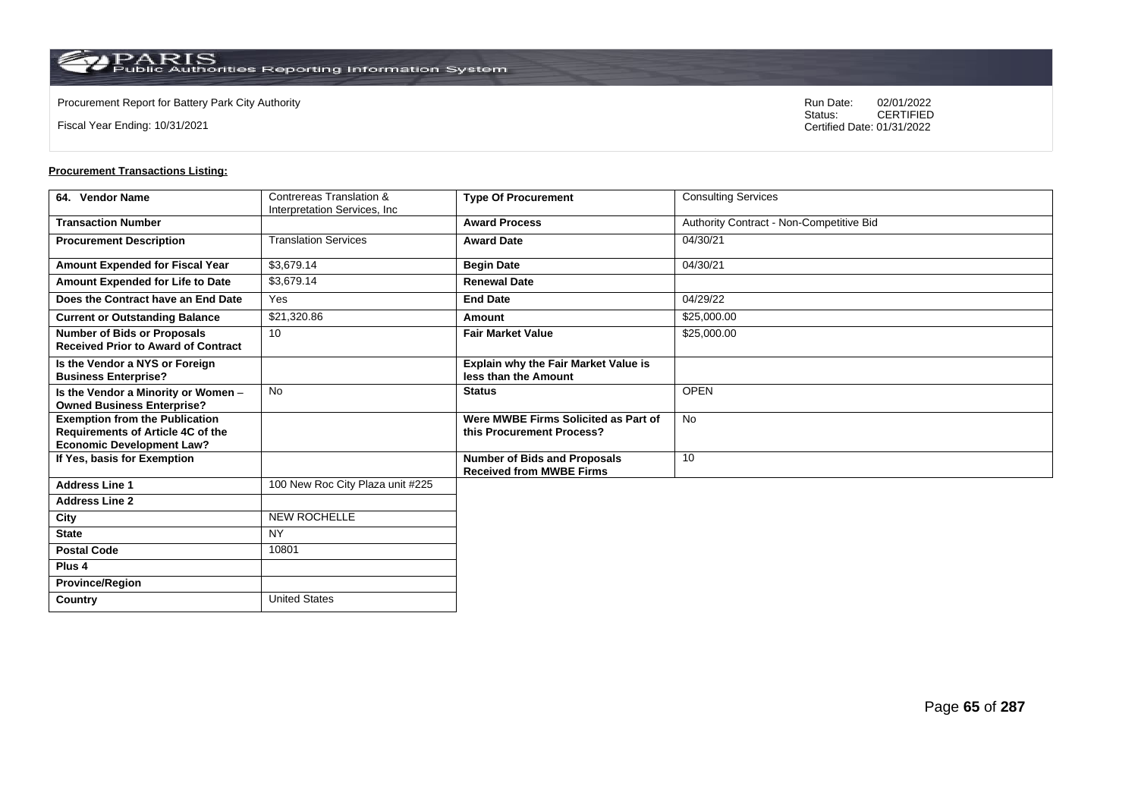**Country** United States

Fiscal Year Ending: 10/31/2021

Procurement Report for Battery Park City Authority **National State Concrete Concrete Concrete Concrete Concrete Concrete Concrete Concrete Concrete Concrete Concrete Concrete Concrete Concrete Concrete Concrete Concrete Co** CERTIFIED Certified Date: 01/31/2022

| 64. Vendor Name                                                                                                | Contrereas Translation &         | <b>Type Of Procurement</b>                                             | <b>Consulting Services</b>               |
|----------------------------------------------------------------------------------------------------------------|----------------------------------|------------------------------------------------------------------------|------------------------------------------|
|                                                                                                                | Interpretation Services, Inc.    |                                                                        |                                          |
| <b>Transaction Number</b>                                                                                      |                                  | <b>Award Process</b>                                                   | Authority Contract - Non-Competitive Bid |
| <b>Procurement Description</b>                                                                                 | <b>Translation Services</b>      | <b>Award Date</b>                                                      | 04/30/21                                 |
| Amount Expended for Fiscal Year                                                                                | \$3,679.14                       | <b>Begin Date</b>                                                      | 04/30/21                                 |
| Amount Expended for Life to Date                                                                               | \$3,679.14                       | <b>Renewal Date</b>                                                    |                                          |
| Does the Contract have an End Date                                                                             | Yes                              | <b>End Date</b>                                                        | 04/29/22                                 |
| <b>Current or Outstanding Balance</b>                                                                          | \$21,320.86                      | Amount                                                                 | \$25,000.00                              |
| <b>Number of Bids or Proposals</b><br><b>Received Prior to Award of Contract</b>                               | 10                               | <b>Fair Market Value</b>                                               | \$25,000.00                              |
| Is the Vendor a NYS or Foreign<br><b>Business Enterprise?</b>                                                  |                                  | Explain why the Fair Market Value is<br>less than the Amount           |                                          |
| Is the Vendor a Minority or Women -<br><b>Owned Business Enterprise?</b>                                       | <b>No</b>                        | <b>Status</b>                                                          | <b>OPEN</b>                              |
| <b>Exemption from the Publication</b><br>Requirements of Article 4C of the<br><b>Economic Development Law?</b> |                                  | Were MWBE Firms Solicited as Part of<br>this Procurement Process?      | No                                       |
| If Yes, basis for Exemption                                                                                    |                                  | <b>Number of Bids and Proposals</b><br><b>Received from MWBE Firms</b> | 10                                       |
| <b>Address Line 1</b>                                                                                          | 100 New Roc City Plaza unit #225 |                                                                        |                                          |
| <b>Address Line 2</b>                                                                                          |                                  |                                                                        |                                          |
| City                                                                                                           | <b>NEW ROCHELLE</b>              |                                                                        |                                          |
| <b>State</b>                                                                                                   | <b>NY</b>                        |                                                                        |                                          |
| <b>Postal Code</b>                                                                                             | 10801                            |                                                                        |                                          |
| Plus <sub>4</sub>                                                                                              |                                  |                                                                        |                                          |
| <b>Province/Region</b>                                                                                         |                                  |                                                                        |                                          |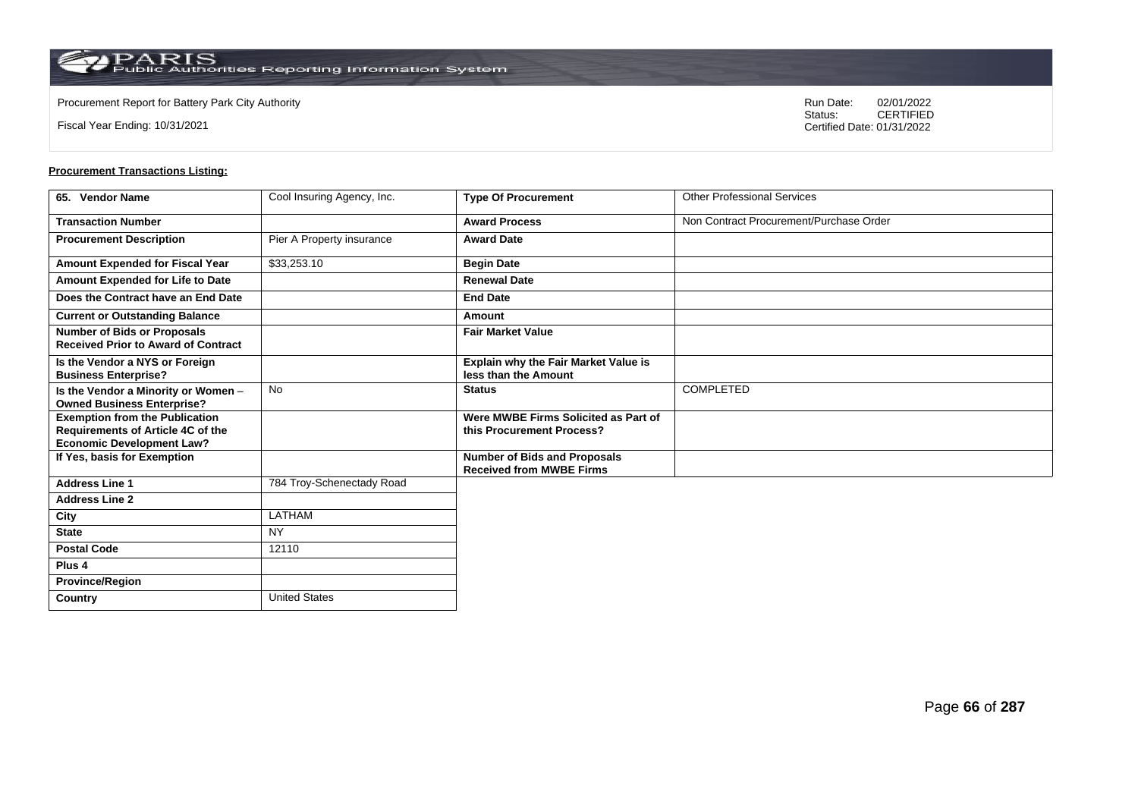$\operatorname{PARIS}_{\text{Public Authorities}\,\text{Reporting}\,\text{Information System}}$ 

**Country** United States

Fiscal Year Ending: 10/31/2021

Procurement Report for Battery Park City Authority **National State Concrete Concrete Concrete Concrete Concrete Concrete Concrete Concrete Concrete Concrete Concrete Concrete Concrete Concrete Concrete Concrete Concrete Co** CERTIFIED Certified Date: 01/31/2022

| 65. Vendor Name                                                                                                | Cool Insuring Agency, Inc. | <b>Type Of Procurement</b>                                             | <b>Other Professional Services</b>      |
|----------------------------------------------------------------------------------------------------------------|----------------------------|------------------------------------------------------------------------|-----------------------------------------|
| <b>Transaction Number</b>                                                                                      |                            | <b>Award Process</b>                                                   | Non Contract Procurement/Purchase Order |
| <b>Procurement Description</b>                                                                                 | Pier A Property insurance  | <b>Award Date</b>                                                      |                                         |
| Amount Expended for Fiscal Year                                                                                | \$33,253.10                | <b>Begin Date</b>                                                      |                                         |
| Amount Expended for Life to Date                                                                               |                            | <b>Renewal Date</b>                                                    |                                         |
| Does the Contract have an End Date                                                                             |                            | <b>End Date</b>                                                        |                                         |
| <b>Current or Outstanding Balance</b>                                                                          |                            | Amount                                                                 |                                         |
| <b>Number of Bids or Proposals</b><br><b>Received Prior to Award of Contract</b>                               |                            | <b>Fair Market Value</b>                                               |                                         |
| Is the Vendor a NYS or Foreign<br><b>Business Enterprise?</b>                                                  |                            | Explain why the Fair Market Value is<br>less than the Amount           |                                         |
| Is the Vendor a Minority or Women -<br><b>Owned Business Enterprise?</b>                                       | No                         | <b>Status</b>                                                          | <b>COMPLETED</b>                        |
| <b>Exemption from the Publication</b><br>Requirements of Article 4C of the<br><b>Economic Development Law?</b> |                            | Were MWBE Firms Solicited as Part of<br>this Procurement Process?      |                                         |
| If Yes, basis for Exemption                                                                                    |                            | <b>Number of Bids and Proposals</b><br><b>Received from MWBE Firms</b> |                                         |
| <b>Address Line 1</b>                                                                                          | 784 Troy-Schenectady Road  |                                                                        |                                         |
| <b>Address Line 2</b>                                                                                          |                            |                                                                        |                                         |
| City                                                                                                           | LATHAM                     |                                                                        |                                         |
| <b>State</b>                                                                                                   | <b>NY</b>                  |                                                                        |                                         |
| <b>Postal Code</b>                                                                                             | 12110                      |                                                                        |                                         |
| Plus <sub>4</sub>                                                                                              |                            |                                                                        |                                         |
| <b>Province/Region</b>                                                                                         |                            |                                                                        |                                         |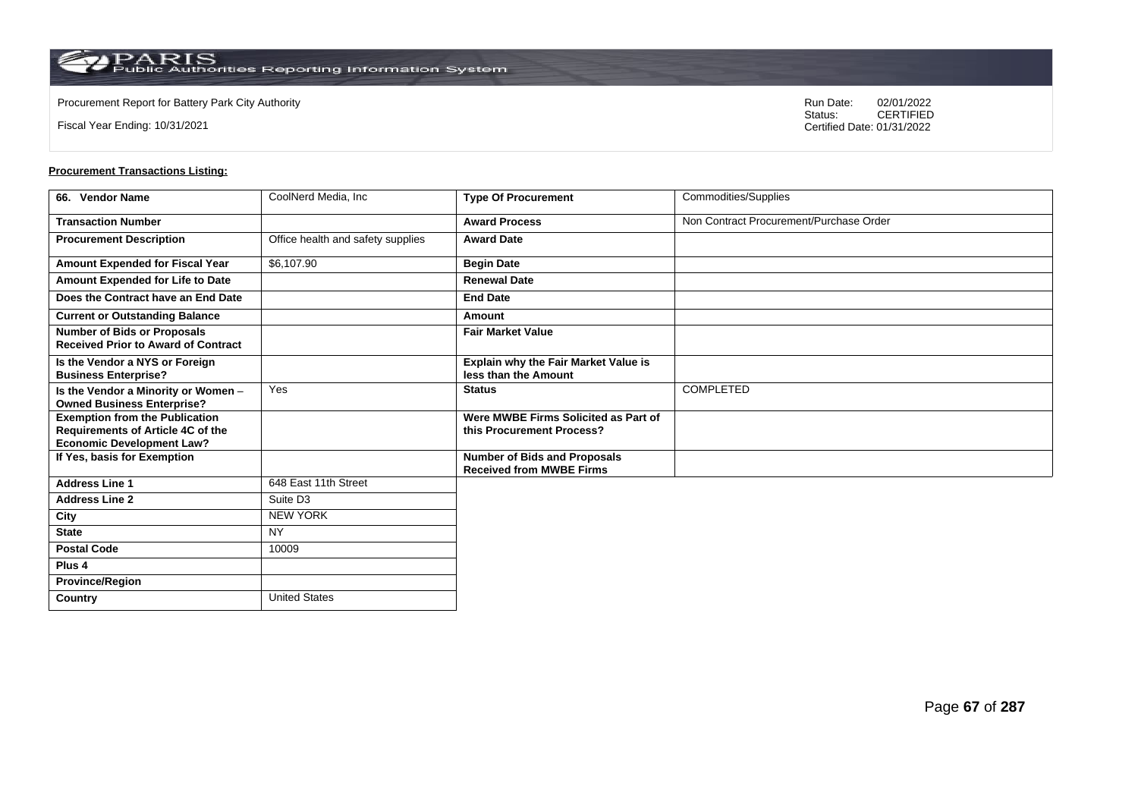Fiscal Year Ending: 10/31/2021

Procurement Report for Battery Park City Authority **National State Concrete Concrete Concrete Concrete Concrete Concrete Concrete Concrete Concrete Concrete Concrete Concrete Concrete Concrete Concrete Concrete Concrete Co** CERTIFIED Certified Date: 01/31/2022

| 66. Vendor Name                                                                   | CoolNerd Media, Inc.              | <b>Type Of Procurement</b>                                             | Commodities/Supplies                    |
|-----------------------------------------------------------------------------------|-----------------------------------|------------------------------------------------------------------------|-----------------------------------------|
| <b>Transaction Number</b>                                                         |                                   | <b>Award Process</b>                                                   | Non Contract Procurement/Purchase Order |
| <b>Procurement Description</b>                                                    | Office health and safety supplies | <b>Award Date</b>                                                      |                                         |
| Amount Expended for Fiscal Year                                                   | \$6,107.90                        | <b>Begin Date</b>                                                      |                                         |
| Amount Expended for Life to Date                                                  |                                   | <b>Renewal Date</b>                                                    |                                         |
| Does the Contract have an End Date                                                |                                   | <b>End Date</b>                                                        |                                         |
| <b>Current or Outstanding Balance</b>                                             |                                   | Amount                                                                 |                                         |
| <b>Number of Bids or Proposals</b><br><b>Received Prior to Award of Contract</b>  |                                   | <b>Fair Market Value</b>                                               |                                         |
| Is the Vendor a NYS or Foreign<br><b>Business Enterprise?</b>                     |                                   | Explain why the Fair Market Value is<br>less than the Amount           |                                         |
| Is the Vendor a Minority or Women -<br><b>Owned Business Enterprise?</b>          | Yes                               | <b>Status</b>                                                          | COMPLETED                               |
| <b>Exemption from the Publication</b><br><b>Requirements of Article 4C of the</b> |                                   | Were MWBE Firms Solicited as Part of<br>this Procurement Process?      |                                         |
| <b>Economic Development Law?</b>                                                  |                                   |                                                                        |                                         |
| If Yes, basis for Exemption                                                       |                                   | <b>Number of Bids and Proposals</b><br><b>Received from MWBE Firms</b> |                                         |
| <b>Address Line 1</b>                                                             | 648 East 11th Street              |                                                                        |                                         |
| <b>Address Line 2</b>                                                             | Suite D <sub>3</sub>              |                                                                        |                                         |
| City                                                                              | <b>NEW YORK</b>                   |                                                                        |                                         |
| <b>State</b>                                                                      | <b>NY</b>                         |                                                                        |                                         |
| <b>Postal Code</b>                                                                | 10009                             |                                                                        |                                         |
| Plus 4                                                                            |                                   |                                                                        |                                         |
| <b>Province/Region</b>                                                            |                                   |                                                                        |                                         |
| Country                                                                           | <b>United States</b>              |                                                                        |                                         |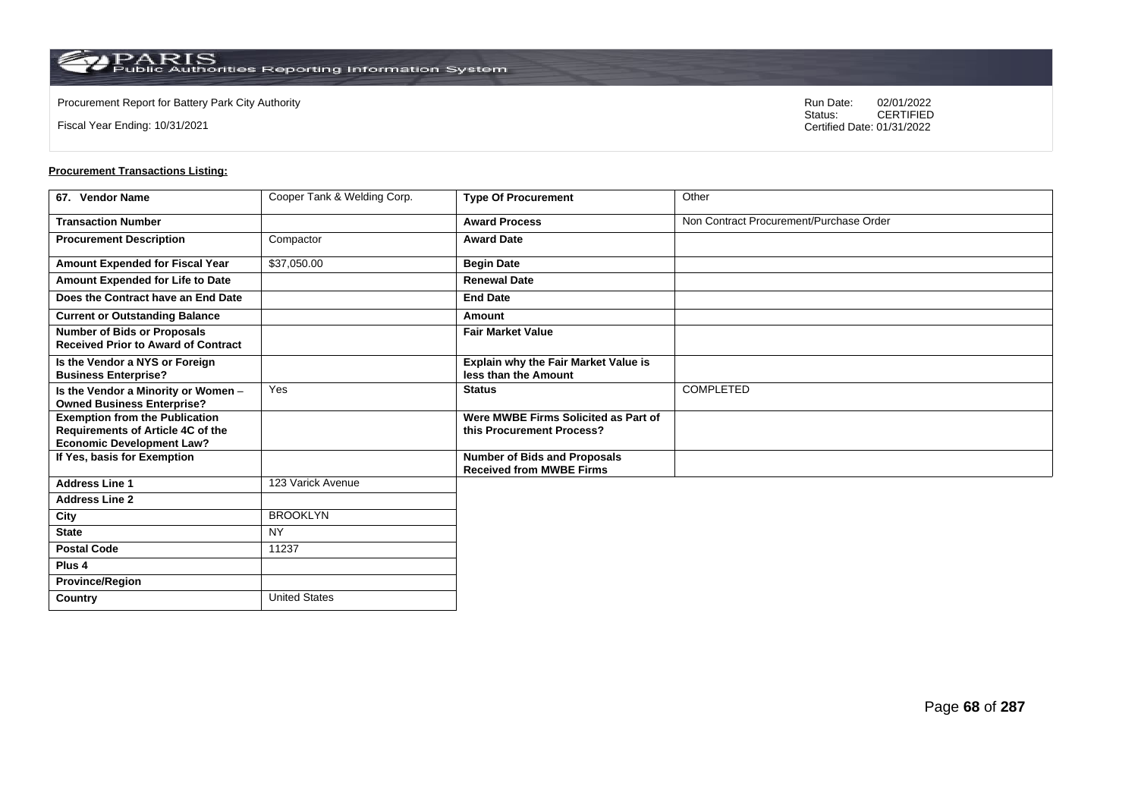**Country** United States

Fiscal Year Ending: 10/31/2021

Procurement Report for Battery Park City Authority **National State Concrete Concrete Concrete Concrete Concrete Concrete Concrete Concrete Concrete Concrete Concrete Concrete Concrete Concrete Concrete Concrete Concrete Co** CERTIFIED Certified Date: 01/31/2022

| 67. Vendor Name                                                                                                       | Cooper Tank & Welding Corp. | <b>Type Of Procurement</b>                                             | Other                                   |
|-----------------------------------------------------------------------------------------------------------------------|-----------------------------|------------------------------------------------------------------------|-----------------------------------------|
| <b>Transaction Number</b>                                                                                             |                             | <b>Award Process</b>                                                   | Non Contract Procurement/Purchase Order |
| <b>Procurement Description</b>                                                                                        | Compactor                   | <b>Award Date</b>                                                      |                                         |
| Amount Expended for Fiscal Year                                                                                       | \$37,050.00                 | <b>Begin Date</b>                                                      |                                         |
| Amount Expended for Life to Date                                                                                      |                             | <b>Renewal Date</b>                                                    |                                         |
| Does the Contract have an End Date                                                                                    |                             | <b>End Date</b>                                                        |                                         |
| <b>Current or Outstanding Balance</b>                                                                                 |                             | Amount                                                                 |                                         |
| <b>Number of Bids or Proposals</b><br><b>Received Prior to Award of Contract</b>                                      |                             | <b>Fair Market Value</b>                                               |                                         |
| Is the Vendor a NYS or Foreign<br><b>Business Enterprise?</b>                                                         |                             | Explain why the Fair Market Value is<br>less than the Amount           |                                         |
| Is the Vendor a Minority or Women -<br><b>Owned Business Enterprise?</b>                                              | Yes                         | <b>Status</b>                                                          | COMPLETED                               |
| <b>Exemption from the Publication</b><br><b>Requirements of Article 4C of the</b><br><b>Economic Development Law?</b> |                             | Were MWBE Firms Solicited as Part of<br>this Procurement Process?      |                                         |
| If Yes, basis for Exemption                                                                                           |                             | <b>Number of Bids and Proposals</b><br><b>Received from MWBE Firms</b> |                                         |
| <b>Address Line 1</b>                                                                                                 | 123 Varick Avenue           |                                                                        |                                         |
| <b>Address Line 2</b>                                                                                                 |                             |                                                                        |                                         |
| City                                                                                                                  | <b>BROOKLYN</b>             |                                                                        |                                         |
| <b>State</b>                                                                                                          | <b>NY</b>                   |                                                                        |                                         |
| <b>Postal Code</b>                                                                                                    | 11237                       |                                                                        |                                         |
| Plus <sub>4</sub>                                                                                                     |                             |                                                                        |                                         |
| <b>Province/Region</b>                                                                                                |                             |                                                                        |                                         |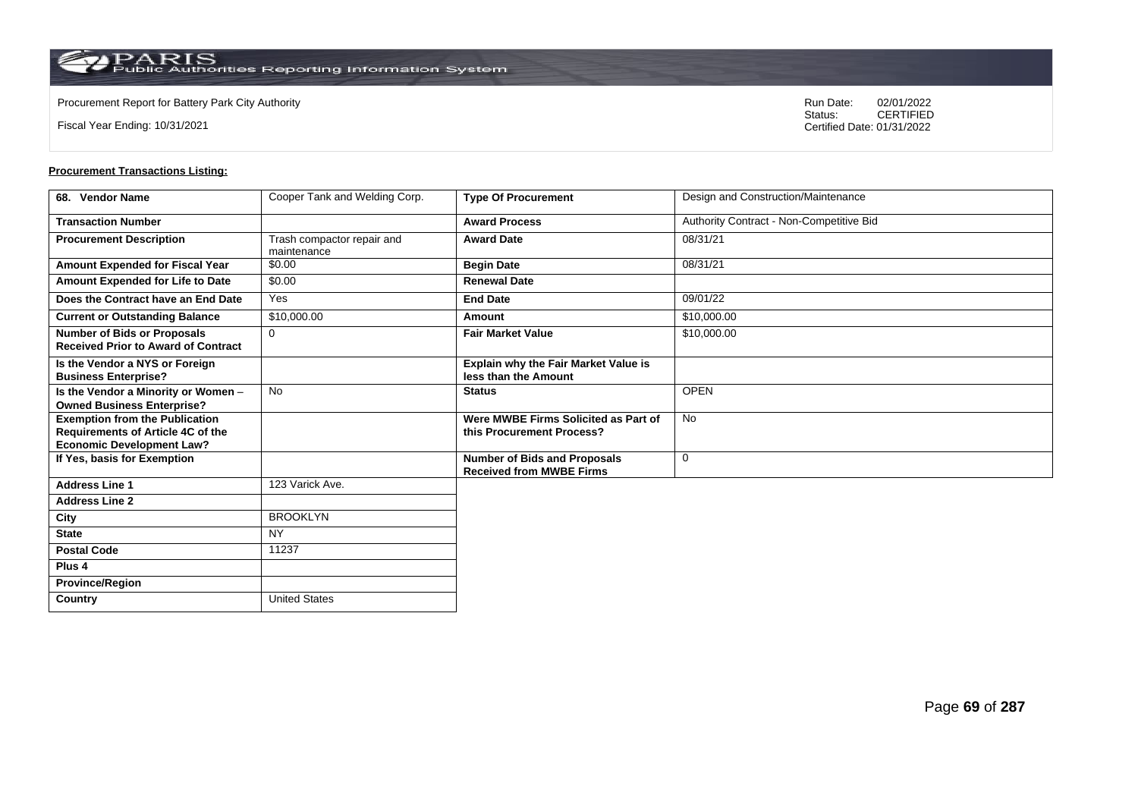$\operatorname{PARIS}_{\text{Public Authorities Reporting Information System}}$ 

**Country** United States

Fiscal Year Ending: 10/31/2021

Procurement Report for Battery Park City Authority **National State Concrete Concrete Concrete Concrete Concrete Concrete Concrete Concrete Concrete Concrete Concrete Concrete Concrete Concrete Concrete Concrete Concrete Co** CERTIFIED Certified Date: 01/31/2022

| 68. Vendor Name                                                                                                       | Cooper Tank and Welding Corp.             | <b>Type Of Procurement</b>                                             | Design and Construction/Maintenance      |
|-----------------------------------------------------------------------------------------------------------------------|-------------------------------------------|------------------------------------------------------------------------|------------------------------------------|
| <b>Transaction Number</b>                                                                                             |                                           | <b>Award Process</b>                                                   | Authority Contract - Non-Competitive Bid |
| <b>Procurement Description</b>                                                                                        | Trash compactor repair and<br>maintenance | <b>Award Date</b>                                                      | 08/31/21                                 |
| Amount Expended for Fiscal Year                                                                                       | \$0.00                                    | <b>Begin Date</b>                                                      | 08/31/21                                 |
| Amount Expended for Life to Date                                                                                      | \$0.00                                    | <b>Renewal Date</b>                                                    |                                          |
| Does the Contract have an End Date                                                                                    | Yes                                       | <b>End Date</b>                                                        | 09/01/22                                 |
| <b>Current or Outstanding Balance</b>                                                                                 | \$10,000.00                               | Amount                                                                 | \$10,000.00                              |
| <b>Number of Bids or Proposals</b><br><b>Received Prior to Award of Contract</b>                                      | $\mathbf 0$                               | <b>Fair Market Value</b>                                               | \$10,000.00                              |
| Is the Vendor a NYS or Foreign<br><b>Business Enterprise?</b>                                                         |                                           | Explain why the Fair Market Value is<br>less than the Amount           |                                          |
| Is the Vendor a Minority or Women -<br><b>Owned Business Enterprise?</b>                                              | <b>No</b>                                 | <b>Status</b>                                                          | <b>OPEN</b>                              |
| <b>Exemption from the Publication</b><br><b>Requirements of Article 4C of the</b><br><b>Economic Development Law?</b> |                                           | Were MWBE Firms Solicited as Part of<br>this Procurement Process?      | <b>No</b>                                |
| If Yes, basis for Exemption                                                                                           |                                           | <b>Number of Bids and Proposals</b><br><b>Received from MWBE Firms</b> | $\mathbf 0$                              |
| <b>Address Line 1</b>                                                                                                 | 123 Varick Ave.                           |                                                                        |                                          |
| <b>Address Line 2</b>                                                                                                 |                                           |                                                                        |                                          |
| City                                                                                                                  | <b>BROOKLYN</b>                           |                                                                        |                                          |
| <b>State</b>                                                                                                          | <b>NY</b>                                 |                                                                        |                                          |
| <b>Postal Code</b>                                                                                                    | 11237                                     |                                                                        |                                          |
| Plus <sub>4</sub>                                                                                                     |                                           |                                                                        |                                          |
| <b>Province/Region</b>                                                                                                |                                           |                                                                        |                                          |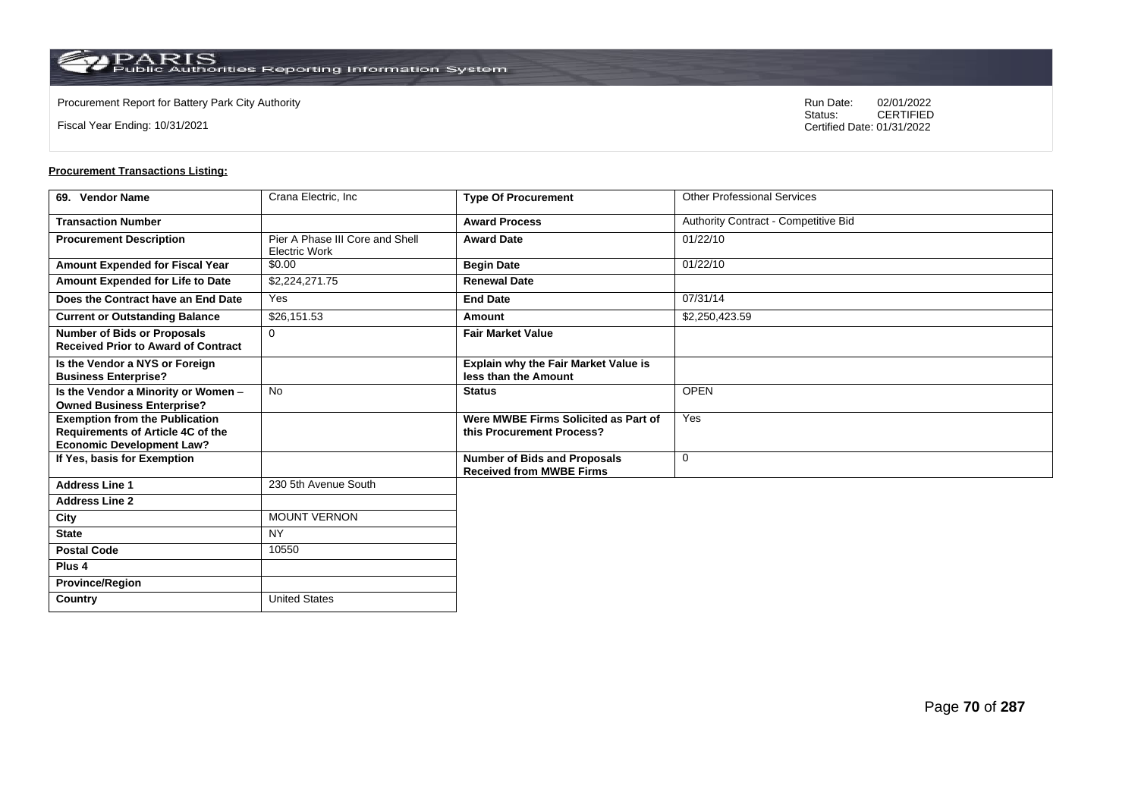$\operatorname{PARIS}_{\text{Public Authorities Reporting Information System}}$ 

**Country** United States

Fiscal Year Ending: 10/31/2021

Procurement Report for Battery Park City Authority **National State Concrete Concrete Concrete Concrete Concrete Concrete Concrete Concrete Concrete Concrete Concrete Concrete Concrete Concrete Concrete Concrete Concrete Co** CERTIFIED Certified Date: 01/31/2022

| 69. Vendor Name                                                                                                | Crana Electric, Inc.                                    | <b>Type Of Procurement</b>                                             | <b>Other Professional Services</b>   |
|----------------------------------------------------------------------------------------------------------------|---------------------------------------------------------|------------------------------------------------------------------------|--------------------------------------|
| <b>Transaction Number</b>                                                                                      |                                                         | <b>Award Process</b>                                                   | Authority Contract - Competitive Bid |
| <b>Procurement Description</b>                                                                                 | Pier A Phase III Core and Shell<br><b>Electric Work</b> | <b>Award Date</b>                                                      | 01/22/10                             |
| <b>Amount Expended for Fiscal Year</b>                                                                         | \$0.00                                                  | <b>Begin Date</b>                                                      | 01/22/10                             |
| Amount Expended for Life to Date                                                                               | \$2,224,271.75                                          | <b>Renewal Date</b>                                                    |                                      |
| Does the Contract have an End Date                                                                             | Yes                                                     | <b>End Date</b>                                                        | 07/31/14                             |
| <b>Current or Outstanding Balance</b>                                                                          | \$26,151.53                                             | Amount                                                                 | \$2,250,423.59                       |
| <b>Number of Bids or Proposals</b><br><b>Received Prior to Award of Contract</b>                               | $\Omega$                                                | <b>Fair Market Value</b>                                               |                                      |
| Is the Vendor a NYS or Foreign<br><b>Business Enterprise?</b>                                                  |                                                         | <b>Explain why the Fair Market Value is</b><br>less than the Amount    |                                      |
| Is the Vendor a Minority or Women -<br><b>Owned Business Enterprise?</b>                                       | <b>No</b>                                               | <b>Status</b>                                                          | <b>OPEN</b>                          |
| <b>Exemption from the Publication</b><br>Requirements of Article 4C of the<br><b>Economic Development Law?</b> |                                                         | Were MWBE Firms Solicited as Part of<br>this Procurement Process?      | Yes                                  |
| If Yes, basis for Exemption                                                                                    |                                                         | <b>Number of Bids and Proposals</b><br><b>Received from MWBE Firms</b> | $\mathbf 0$                          |
| <b>Address Line 1</b>                                                                                          | 230 5th Avenue South                                    |                                                                        |                                      |
| <b>Address Line 2</b>                                                                                          |                                                         |                                                                        |                                      |
| City                                                                                                           | <b>MOUNT VERNON</b>                                     |                                                                        |                                      |
| <b>State</b>                                                                                                   | <b>NY</b>                                               |                                                                        |                                      |
| <b>Postal Code</b>                                                                                             | 10550                                                   |                                                                        |                                      |
| Plus <sub>4</sub>                                                                                              |                                                         |                                                                        |                                      |
| <b>Province/Region</b>                                                                                         |                                                         |                                                                        |                                      |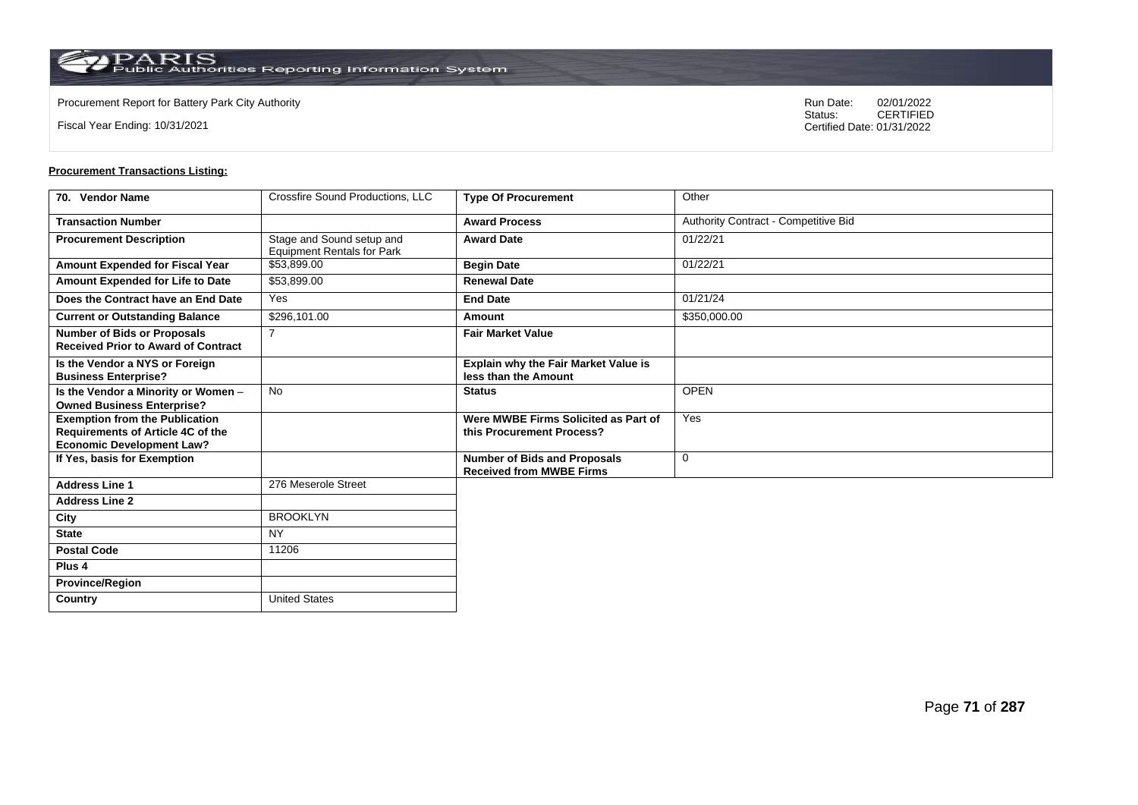Fiscal Year Ending: 10/31/2021

Procurement Report for Battery Park City Authority **National State Concrete Concrete Concrete Concrete Concrete Concrete Concrete Concrete Concrete Concrete Concrete Concrete Concrete Concrete Concrete Concrete Concrete Co** CERTIFIED Certified Date: 01/31/2022

| 70. Vendor Name                                                                                                | Crossfire Sound Productions, LLC                               | <b>Type Of Procurement</b>                                             | Other                                |
|----------------------------------------------------------------------------------------------------------------|----------------------------------------------------------------|------------------------------------------------------------------------|--------------------------------------|
| <b>Transaction Number</b>                                                                                      |                                                                | <b>Award Process</b>                                                   | Authority Contract - Competitive Bid |
| <b>Procurement Description</b>                                                                                 | Stage and Sound setup and<br><b>Equipment Rentals for Park</b> | <b>Award Date</b>                                                      | 01/22/21                             |
| Amount Expended for Fiscal Year                                                                                | \$53,899.00                                                    | <b>Begin Date</b>                                                      | 01/22/21                             |
| Amount Expended for Life to Date                                                                               | \$53,899.00                                                    | <b>Renewal Date</b>                                                    |                                      |
| Does the Contract have an End Date                                                                             | Yes                                                            | <b>End Date</b>                                                        | 01/21/24                             |
| <b>Current or Outstanding Balance</b>                                                                          | \$296,101.00                                                   | Amount                                                                 | \$350,000.00                         |
| <b>Number of Bids or Proposals</b><br><b>Received Prior to Award of Contract</b>                               | $\overline{7}$                                                 | <b>Fair Market Value</b>                                               |                                      |
| Is the Vendor a NYS or Foreign<br><b>Business Enterprise?</b>                                                  |                                                                | <b>Explain why the Fair Market Value is</b><br>less than the Amount    |                                      |
| Is the Vendor a Minority or Women -<br><b>Owned Business Enterprise?</b>                                       | <b>No</b>                                                      | <b>Status</b>                                                          | <b>OPEN</b>                          |
| <b>Exemption from the Publication</b><br>Requirements of Article 4C of the<br><b>Economic Development Law?</b> |                                                                | Were MWBE Firms Solicited as Part of<br>this Procurement Process?      | Yes                                  |
| If Yes, basis for Exemption                                                                                    |                                                                | <b>Number of Bids and Proposals</b><br><b>Received from MWBE Firms</b> | 0                                    |
| <b>Address Line 1</b>                                                                                          | 276 Meserole Street                                            |                                                                        |                                      |
| <b>Address Line 2</b>                                                                                          |                                                                |                                                                        |                                      |
| City                                                                                                           | <b>BROOKLYN</b>                                                |                                                                        |                                      |
| <b>State</b>                                                                                                   | <b>NY</b>                                                      |                                                                        |                                      |
| <b>Postal Code</b>                                                                                             | 11206                                                          |                                                                        |                                      |
| Plus <sub>4</sub>                                                                                              |                                                                |                                                                        |                                      |
| <b>Province/Region</b>                                                                                         |                                                                |                                                                        |                                      |
| Country                                                                                                        | <b>United States</b>                                           |                                                                        |                                      |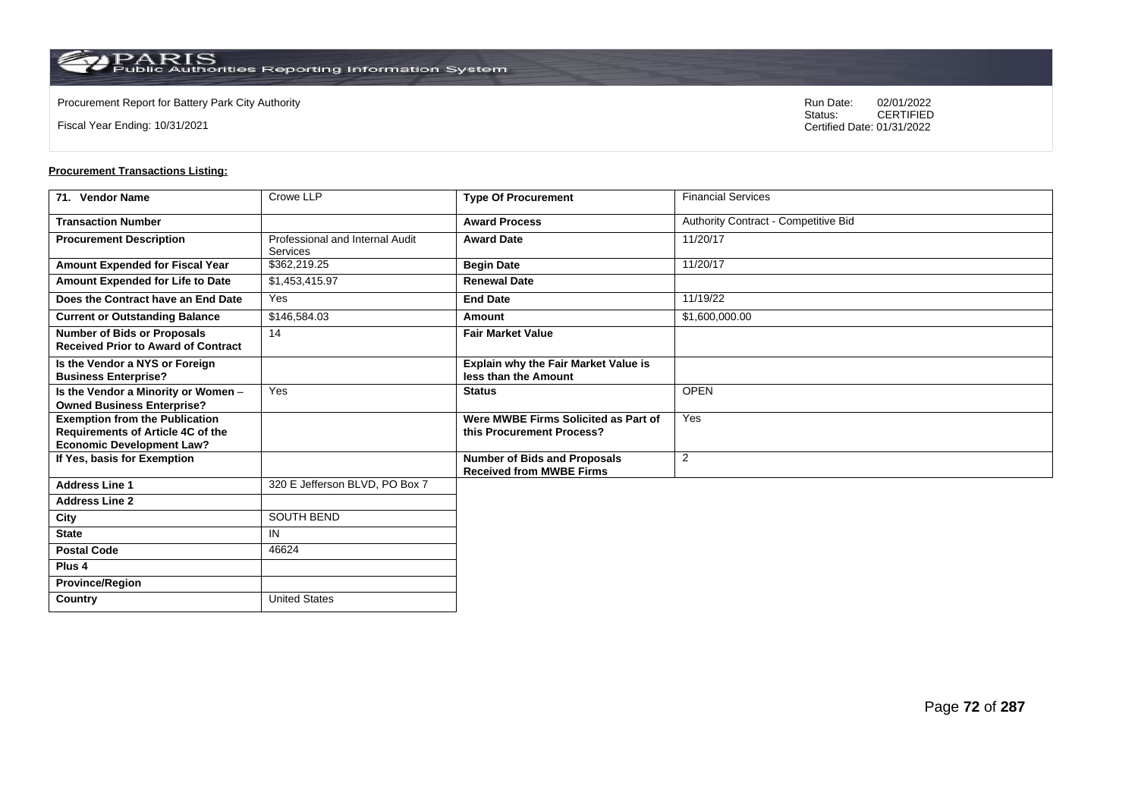$\operatorname{PARIS}_{\text{Public Authorities Reporting Information System}}$ 

**Country** United States

Fiscal Year Ending: 10/31/2021

Procurement Report for Battery Park City Authority **National State Concrete Concrete Concrete Concrete Concrete Concrete Concrete Concrete Concrete Concrete Concrete Concrete Concrete Concrete Concrete Concrete Concrete Co** CERTIFIED Certified Date: 01/31/2022

| 71. Vendor Name                                                                                                | Crowe LLP                                   | <b>Type Of Procurement</b>                                             | <b>Financial Services</b>            |
|----------------------------------------------------------------------------------------------------------------|---------------------------------------------|------------------------------------------------------------------------|--------------------------------------|
| <b>Transaction Number</b>                                                                                      |                                             | <b>Award Process</b>                                                   | Authority Contract - Competitive Bid |
| <b>Procurement Description</b>                                                                                 | Professional and Internal Audit<br>Services | <b>Award Date</b>                                                      | 11/20/17                             |
| Amount Expended for Fiscal Year                                                                                | \$362,219.25                                | <b>Begin Date</b>                                                      | 11/20/17                             |
| Amount Expended for Life to Date                                                                               | \$1,453,415.97                              | <b>Renewal Date</b>                                                    |                                      |
| Does the Contract have an End Date                                                                             | Yes                                         | <b>End Date</b>                                                        | 11/19/22                             |
| <b>Current or Outstanding Balance</b>                                                                          | \$146,584.03                                | Amount                                                                 | \$1,600,000.00                       |
| <b>Number of Bids or Proposals</b><br><b>Received Prior to Award of Contract</b>                               | 14                                          | <b>Fair Market Value</b>                                               |                                      |
| Is the Vendor a NYS or Foreign<br><b>Business Enterprise?</b>                                                  |                                             | Explain why the Fair Market Value is<br>less than the Amount           |                                      |
| Is the Vendor a Minority or Women -<br><b>Owned Business Enterprise?</b>                                       | Yes                                         | <b>Status</b>                                                          | <b>OPEN</b>                          |
| <b>Exemption from the Publication</b><br>Requirements of Article 4C of the<br><b>Economic Development Law?</b> |                                             | Were MWBE Firms Solicited as Part of<br>this Procurement Process?      | Yes                                  |
| If Yes, basis for Exemption                                                                                    |                                             | <b>Number of Bids and Proposals</b><br><b>Received from MWBE Firms</b> | 2                                    |
| <b>Address Line 1</b>                                                                                          | 320 E Jefferson BLVD, PO Box 7              |                                                                        |                                      |
| <b>Address Line 2</b>                                                                                          |                                             |                                                                        |                                      |
| City                                                                                                           | SOUTH BEND                                  |                                                                        |                                      |
| <b>State</b>                                                                                                   | IN                                          |                                                                        |                                      |
| <b>Postal Code</b>                                                                                             | 46624                                       |                                                                        |                                      |
| Plus <sub>4</sub>                                                                                              |                                             |                                                                        |                                      |
| <b>Province/Region</b>                                                                                         |                                             |                                                                        |                                      |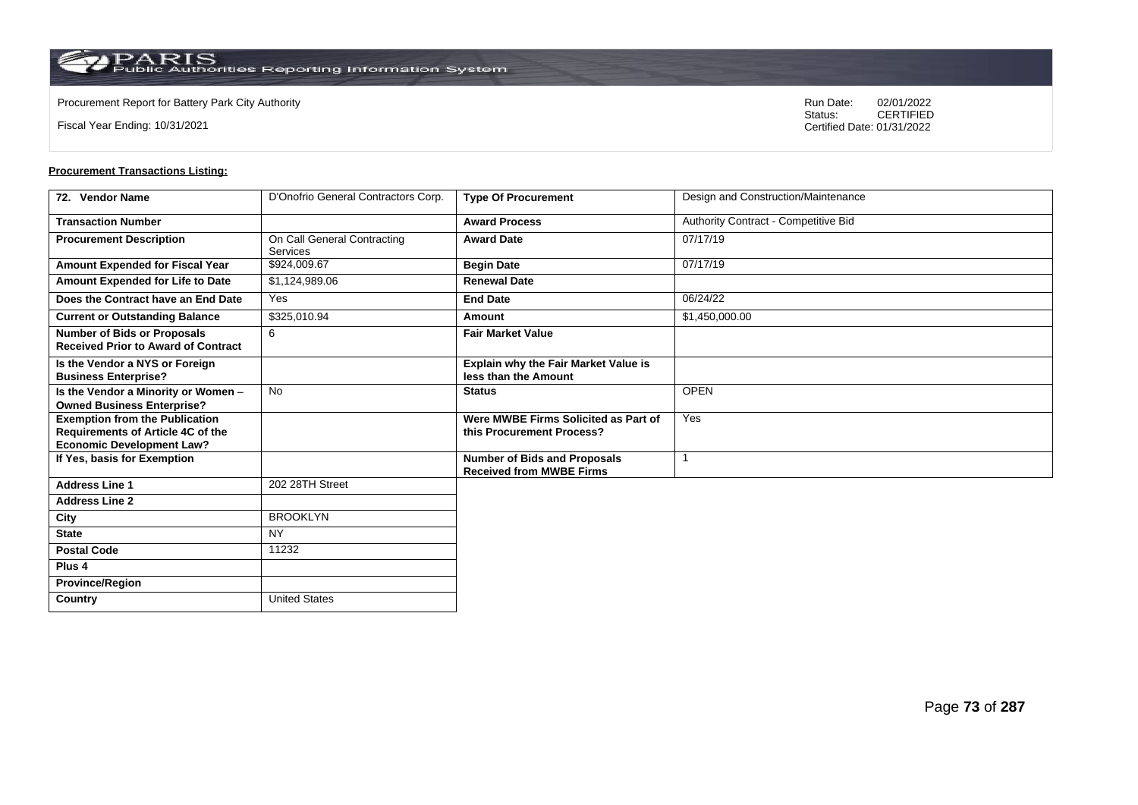$\operatorname{PARIS}_{\text{Public Authorities Reporting Information System}}$ 

**Country** United States

Fiscal Year Ending: 10/31/2021

Procurement Report for Battery Park City Authority **National State Concrete Concrete Concrete Concrete Concrete Concrete Concrete Concrete Concrete Concrete Concrete Concrete Concrete Concrete Concrete Concrete Concrete Co** CERTIFIED Certified Date: 01/31/2022

| 72. Vendor Name                                                                                                | D'Onofrio General Contractors Corp.     | <b>Type Of Procurement</b>                                             | Design and Construction/Maintenance  |
|----------------------------------------------------------------------------------------------------------------|-----------------------------------------|------------------------------------------------------------------------|--------------------------------------|
| <b>Transaction Number</b>                                                                                      |                                         | <b>Award Process</b>                                                   | Authority Contract - Competitive Bid |
| <b>Procurement Description</b>                                                                                 | On Call General Contracting<br>Services | <b>Award Date</b>                                                      | 07/17/19                             |
| Amount Expended for Fiscal Year                                                                                | \$924,009.67                            | <b>Begin Date</b>                                                      | 07/17/19                             |
| Amount Expended for Life to Date                                                                               | \$1,124,989.06                          | <b>Renewal Date</b>                                                    |                                      |
| Does the Contract have an End Date                                                                             | Yes                                     | <b>End Date</b>                                                        | 06/24/22                             |
| <b>Current or Outstanding Balance</b>                                                                          | \$325,010.94                            | Amount                                                                 | \$1,450,000.00                       |
| <b>Number of Bids or Proposals</b><br><b>Received Prior to Award of Contract</b>                               | 6                                       | <b>Fair Market Value</b>                                               |                                      |
| Is the Vendor a NYS or Foreign<br><b>Business Enterprise?</b>                                                  |                                         | Explain why the Fair Market Value is<br>less than the Amount           |                                      |
| Is the Vendor a Minority or Women -<br><b>Owned Business Enterprise?</b>                                       | <b>No</b>                               | <b>Status</b>                                                          | <b>OPEN</b>                          |
| <b>Exemption from the Publication</b><br>Requirements of Article 4C of the<br><b>Economic Development Law?</b> |                                         | Were MWBE Firms Solicited as Part of<br>this Procurement Process?      | Yes                                  |
| If Yes, basis for Exemption                                                                                    |                                         | <b>Number of Bids and Proposals</b><br><b>Received from MWBE Firms</b> |                                      |
| <b>Address Line 1</b>                                                                                          | 202 28TH Street                         |                                                                        |                                      |
| <b>Address Line 2</b>                                                                                          |                                         |                                                                        |                                      |
| City                                                                                                           | <b>BROOKLYN</b>                         |                                                                        |                                      |
| <b>State</b>                                                                                                   | <b>NY</b>                               |                                                                        |                                      |
| <b>Postal Code</b>                                                                                             | 11232                                   |                                                                        |                                      |
| Plus <sub>4</sub>                                                                                              |                                         |                                                                        |                                      |
| <b>Province/Region</b>                                                                                         |                                         |                                                                        |                                      |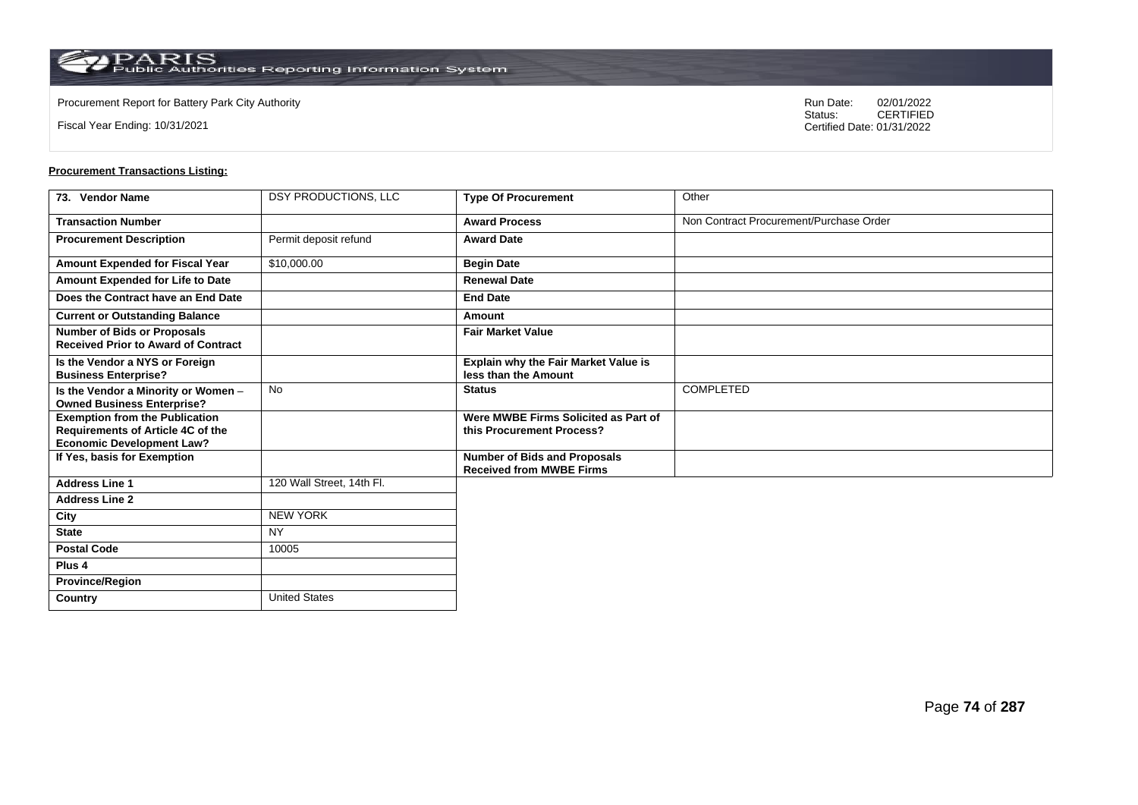**Country** United States

Fiscal Year Ending: 10/31/2021

Procurement Report for Battery Park City Authority **National State Concrete Concrete Concrete Concrete Concrete Concrete Concrete Concrete Concrete Concrete Concrete Concrete Concrete Concrete Concrete Concrete Concrete Co** CERTIFIED Certified Date: 01/31/2022

| 73. Vendor Name                                                                                                       | DSY PRODUCTIONS, LLC      | <b>Type Of Procurement</b>                                             | Other                                   |
|-----------------------------------------------------------------------------------------------------------------------|---------------------------|------------------------------------------------------------------------|-----------------------------------------|
| <b>Transaction Number</b>                                                                                             |                           | <b>Award Process</b>                                                   | Non Contract Procurement/Purchase Order |
| <b>Procurement Description</b>                                                                                        | Permit deposit refund     | <b>Award Date</b>                                                      |                                         |
| Amount Expended for Fiscal Year                                                                                       | \$10,000.00               | <b>Begin Date</b>                                                      |                                         |
| Amount Expended for Life to Date                                                                                      |                           | <b>Renewal Date</b>                                                    |                                         |
| Does the Contract have an End Date                                                                                    |                           | <b>End Date</b>                                                        |                                         |
| <b>Current or Outstanding Balance</b>                                                                                 |                           | Amount                                                                 |                                         |
| <b>Number of Bids or Proposals</b><br><b>Received Prior to Award of Contract</b>                                      |                           | <b>Fair Market Value</b>                                               |                                         |
| Is the Vendor a NYS or Foreign<br><b>Business Enterprise?</b>                                                         |                           | <b>Explain why the Fair Market Value is</b><br>less than the Amount    |                                         |
| Is the Vendor a Minority or Women -<br><b>Owned Business Enterprise?</b>                                              | <b>No</b>                 | <b>Status</b>                                                          | COMPLETED                               |
| <b>Exemption from the Publication</b><br><b>Requirements of Article 4C of the</b><br><b>Economic Development Law?</b> |                           | Were MWBE Firms Solicited as Part of<br>this Procurement Process?      |                                         |
| If Yes, basis for Exemption                                                                                           |                           | <b>Number of Bids and Proposals</b><br><b>Received from MWBE Firms</b> |                                         |
| <b>Address Line 1</b>                                                                                                 | 120 Wall Street, 14th Fl. |                                                                        |                                         |
| <b>Address Line 2</b>                                                                                                 |                           |                                                                        |                                         |
| City                                                                                                                  | <b>NEW YORK</b>           |                                                                        |                                         |
| <b>State</b>                                                                                                          | <b>NY</b>                 |                                                                        |                                         |
| <b>Postal Code</b>                                                                                                    | 10005                     |                                                                        |                                         |
| Plus <sub>4</sub>                                                                                                     |                           |                                                                        |                                         |
| <b>Province/Region</b>                                                                                                |                           |                                                                        |                                         |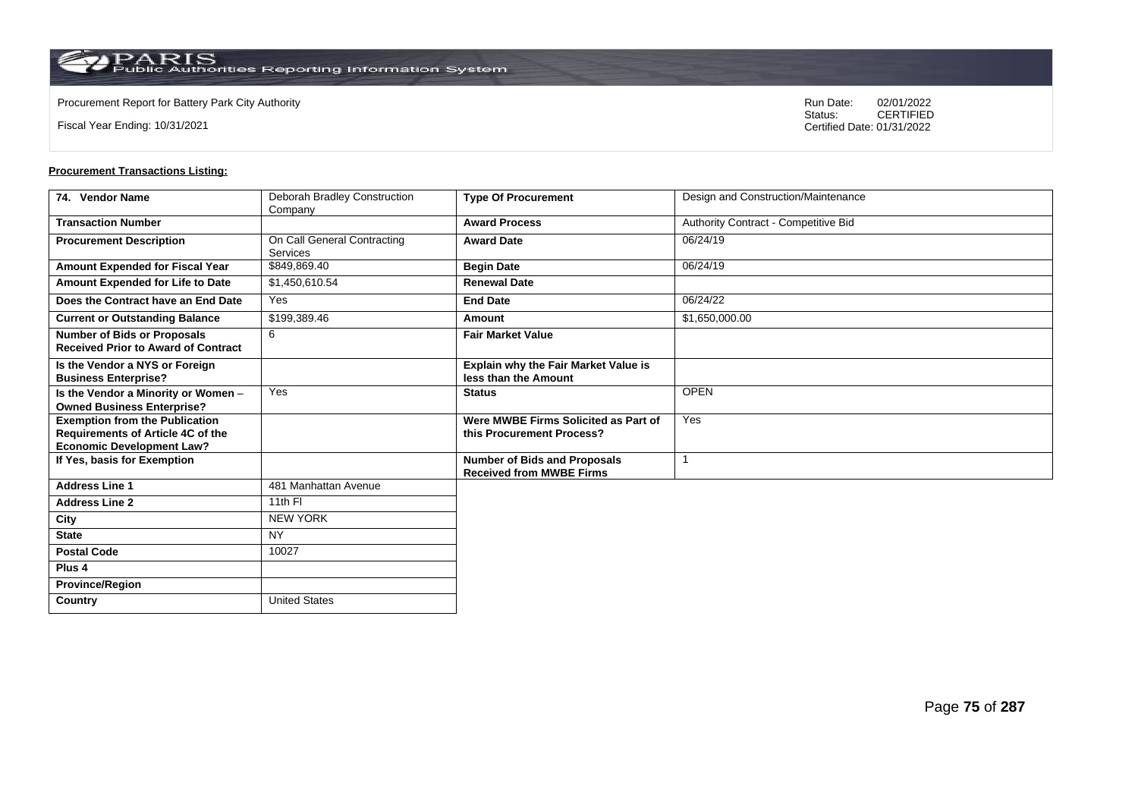Fiscal Year Ending: 10/31/2021

Procurement Report for Battery Park City Authority **National State Concrete Concrete Concrete Concrete Concrete Concrete Concrete Concrete Concrete Concrete Concrete Concrete Concrete Concrete Concrete Concrete Concrete Co** CERTIFIED Certified Date: 01/31/2022

| 74. Vendor Name                            | Deborah Bradley Construction            | <b>Type Of Procurement</b>                                             | Design and Construction/Maintenance  |
|--------------------------------------------|-----------------------------------------|------------------------------------------------------------------------|--------------------------------------|
| <b>Transaction Number</b>                  | Company                                 | <b>Award Process</b>                                                   | Authority Contract - Competitive Bid |
|                                            |                                         |                                                                        |                                      |
| <b>Procurement Description</b>             | On Call General Contracting<br>Services | <b>Award Date</b>                                                      | 06/24/19                             |
| Amount Expended for Fiscal Year            | \$849,869.40                            | <b>Begin Date</b>                                                      | 06/24/19                             |
| Amount Expended for Life to Date           | \$1,450,610.54                          | <b>Renewal Date</b>                                                    |                                      |
| Does the Contract have an End Date         | Yes                                     | <b>End Date</b>                                                        | 06/24/22                             |
| <b>Current or Outstanding Balance</b>      | \$199,389.46                            | Amount                                                                 | \$1,650,000.00                       |
| <b>Number of Bids or Proposals</b>         | 6                                       | <b>Fair Market Value</b>                                               |                                      |
| <b>Received Prior to Award of Contract</b> |                                         |                                                                        |                                      |
| Is the Vendor a NYS or Foreign             |                                         | <b>Explain why the Fair Market Value is</b>                            |                                      |
| <b>Business Enterprise?</b>                |                                         | less than the Amount                                                   |                                      |
| Is the Vendor a Minority or Women -        | Yes                                     | <b>Status</b>                                                          | <b>OPEN</b>                          |
| <b>Owned Business Enterprise?</b>          |                                         |                                                                        |                                      |
| <b>Exemption from the Publication</b>      |                                         | Were MWBE Firms Solicited as Part of                                   | Yes                                  |
| Requirements of Article 4C of the          |                                         | this Procurement Process?                                              |                                      |
| <b>Economic Development Law?</b>           |                                         |                                                                        |                                      |
| If Yes, basis for Exemption                |                                         | <b>Number of Bids and Proposals</b><br><b>Received from MWBE Firms</b> |                                      |
| <b>Address Line 1</b>                      | 481 Manhattan Avenue                    |                                                                        |                                      |
| <b>Address Line 2</b>                      | 11th FI                                 |                                                                        |                                      |
|                                            |                                         |                                                                        |                                      |
| City                                       | <b>NEW YORK</b>                         |                                                                        |                                      |
| <b>State</b>                               | <b>NY</b>                               |                                                                        |                                      |
| <b>Postal Code</b>                         | 10027                                   |                                                                        |                                      |
| Plus <sub>4</sub>                          |                                         |                                                                        |                                      |
| <b>Province/Region</b>                     |                                         |                                                                        |                                      |
| Country                                    | <b>United States</b>                    |                                                                        |                                      |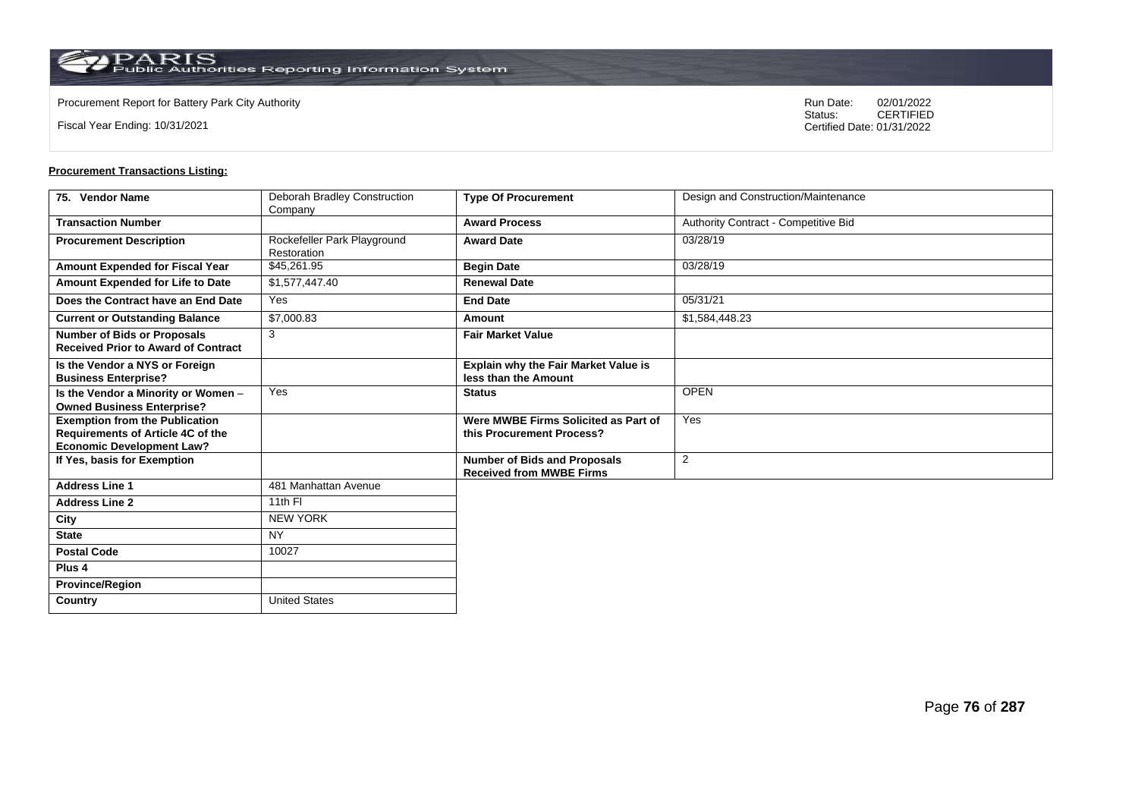$\operatorname{PARIS}_{\text{Public Authorities Reporting Information System}}$ 

Fiscal Year Ending: 10/31/2021

Procurement Report for Battery Park City Authority **National State Concrete Concrete Concrete Concrete Concrete Concrete Concrete Concrete Concrete Concrete Concrete Concrete Concrete Concrete Concrete Concrete Concrete Co** CERTIFIED Certified Date: 01/31/2022

| 75. Vendor Name                                                                                                | Deborah Bradley Construction<br>Company    | <b>Type Of Procurement</b>                                             | Design and Construction/Maintenance  |
|----------------------------------------------------------------------------------------------------------------|--------------------------------------------|------------------------------------------------------------------------|--------------------------------------|
| <b>Transaction Number</b>                                                                                      |                                            | <b>Award Process</b>                                                   | Authority Contract - Competitive Bid |
| <b>Procurement Description</b>                                                                                 | Rockefeller Park Playground<br>Restoration | <b>Award Date</b>                                                      | 03/28/19                             |
| Amount Expended for Fiscal Year                                                                                | \$45,261.95                                | <b>Begin Date</b>                                                      | 03/28/19                             |
| Amount Expended for Life to Date                                                                               | \$1,577,447.40                             | <b>Renewal Date</b>                                                    |                                      |
| Does the Contract have an End Date                                                                             | Yes                                        | <b>End Date</b>                                                        | 05/31/21                             |
| <b>Current or Outstanding Balance</b>                                                                          | \$7,000.83                                 | Amount                                                                 | \$1,584,448.23                       |
| <b>Number of Bids or Proposals</b><br><b>Received Prior to Award of Contract</b>                               | 3                                          | <b>Fair Market Value</b>                                               |                                      |
| Is the Vendor a NYS or Foreign<br><b>Business Enterprise?</b>                                                  |                                            | Explain why the Fair Market Value is<br>less than the Amount           |                                      |
| Is the Vendor a Minority or Women -<br><b>Owned Business Enterprise?</b>                                       | Yes                                        | <b>Status</b>                                                          | <b>OPEN</b>                          |
| <b>Exemption from the Publication</b><br>Requirements of Article 4C of the<br><b>Economic Development Law?</b> |                                            | Were MWBE Firms Solicited as Part of<br>this Procurement Process?      | Yes                                  |
| If Yes, basis for Exemption                                                                                    |                                            | <b>Number of Bids and Proposals</b><br><b>Received from MWBE Firms</b> | 2                                    |
| <b>Address Line 1</b>                                                                                          | 481 Manhattan Avenue                       |                                                                        |                                      |
| <b>Address Line 2</b>                                                                                          | 11th FI                                    |                                                                        |                                      |
| City                                                                                                           | <b>NEW YORK</b>                            |                                                                        |                                      |
| <b>State</b>                                                                                                   | <b>NY</b>                                  |                                                                        |                                      |
| <b>Postal Code</b>                                                                                             | 10027                                      |                                                                        |                                      |
| Plus <sub>4</sub>                                                                                              |                                            |                                                                        |                                      |
| <b>Province/Region</b>                                                                                         |                                            |                                                                        |                                      |
| Country                                                                                                        | <b>United States</b>                       |                                                                        |                                      |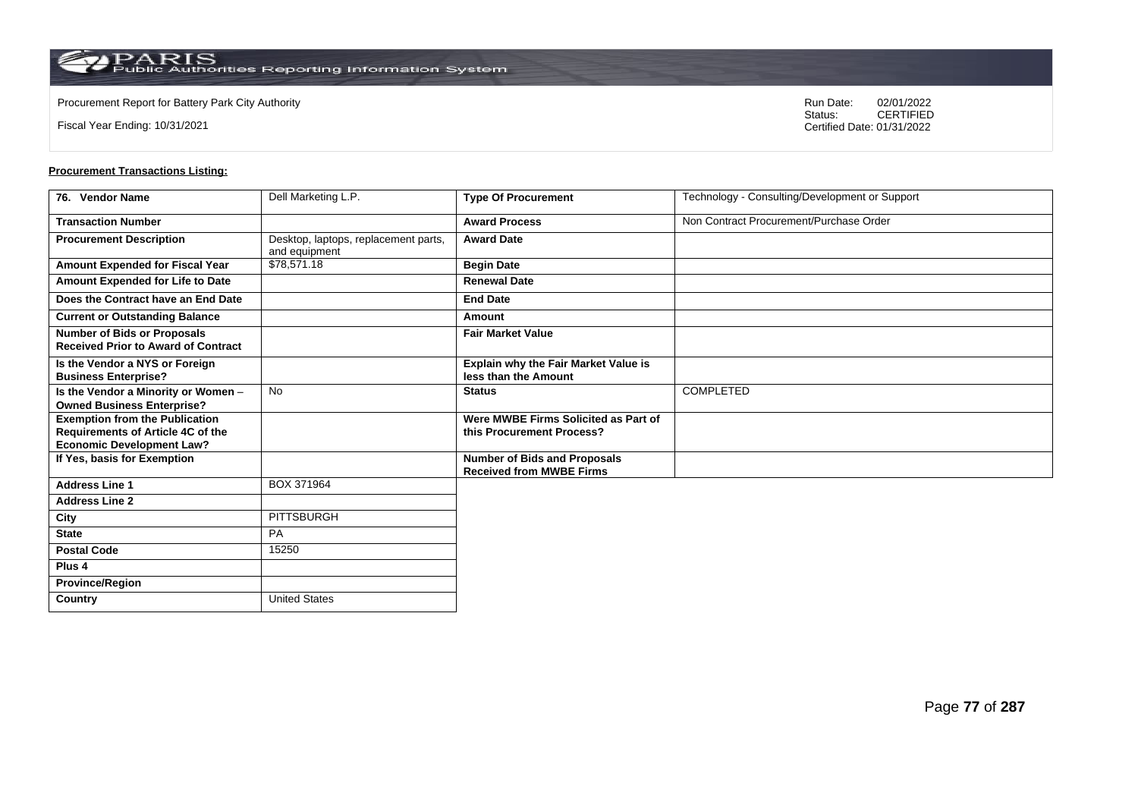$\operatorname{PARIS}_{\text{Public Authorities Reporting Information System}}$ 

Fiscal Year Ending: 10/31/2021

Procurement Report for Battery Park City Authority **National State Concrete Concrete Concrete Concrete Concrete Concrete Concrete Concrete Concrete Concrete Concrete Concrete Concrete Concrete Concrete Concrete Concrete Co** CERTIFIED Certified Date: 01/31/2022

| 76. Vendor Name                                                                                                | Dell Marketing L.P.                                   | <b>Type Of Procurement</b>                                             | Technology - Consulting/Development or Support |
|----------------------------------------------------------------------------------------------------------------|-------------------------------------------------------|------------------------------------------------------------------------|------------------------------------------------|
| <b>Transaction Number</b>                                                                                      |                                                       | <b>Award Process</b>                                                   | Non Contract Procurement/Purchase Order        |
| <b>Procurement Description</b>                                                                                 | Desktop, laptops, replacement parts,<br>and equipment | <b>Award Date</b>                                                      |                                                |
| Amount Expended for Fiscal Year                                                                                | \$78,571.18                                           | <b>Begin Date</b>                                                      |                                                |
| Amount Expended for Life to Date                                                                               |                                                       | <b>Renewal Date</b>                                                    |                                                |
| Does the Contract have an End Date                                                                             |                                                       | <b>End Date</b>                                                        |                                                |
| <b>Current or Outstanding Balance</b>                                                                          |                                                       | Amount                                                                 |                                                |
| <b>Number of Bids or Proposals</b><br><b>Received Prior to Award of Contract</b>                               |                                                       | <b>Fair Market Value</b>                                               |                                                |
| Is the Vendor a NYS or Foreign<br><b>Business Enterprise?</b>                                                  |                                                       | Explain why the Fair Market Value is<br>less than the Amount           |                                                |
| Is the Vendor a Minority or Women -<br><b>Owned Business Enterprise?</b>                                       | <b>No</b>                                             | <b>Status</b>                                                          | COMPLETED                                      |
| <b>Exemption from the Publication</b><br>Requirements of Article 4C of the<br><b>Economic Development Law?</b> |                                                       | Were MWBE Firms Solicited as Part of<br>this Procurement Process?      |                                                |
| If Yes, basis for Exemption                                                                                    |                                                       | <b>Number of Bids and Proposals</b><br><b>Received from MWBE Firms</b> |                                                |
| <b>Address Line 1</b>                                                                                          | BOX 371964                                            |                                                                        |                                                |
| <b>Address Line 2</b>                                                                                          |                                                       |                                                                        |                                                |
| City                                                                                                           | PITTSBURGH                                            |                                                                        |                                                |
| <b>State</b>                                                                                                   | PA                                                    |                                                                        |                                                |
| <b>Postal Code</b>                                                                                             | 15250                                                 |                                                                        |                                                |
| Plus <sub>4</sub>                                                                                              |                                                       |                                                                        |                                                |
| <b>Province/Region</b>                                                                                         |                                                       |                                                                        |                                                |
| <b>Country</b>                                                                                                 | <b>United States</b>                                  |                                                                        |                                                |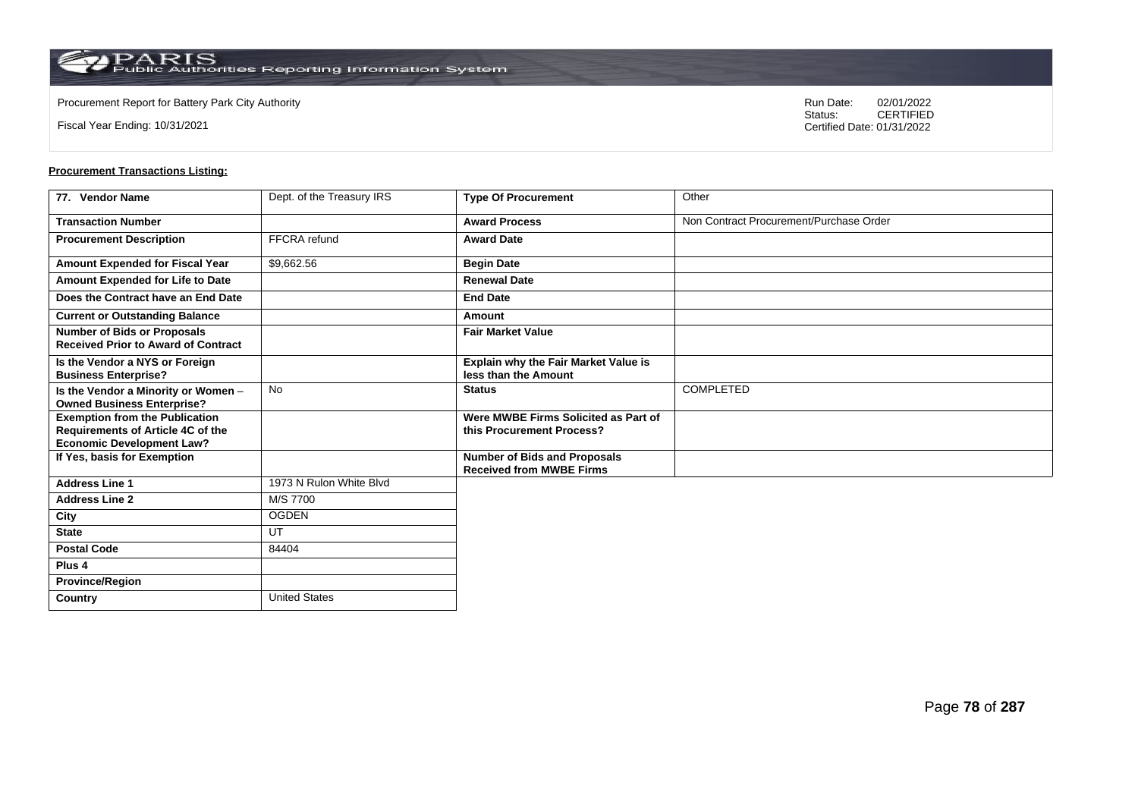Fiscal Year Ending: 10/31/2021

Procurement Report for Battery Park City Authority **National State Concrete Concrete Concrete Concrete Concrete Concrete Concrete Concrete Concrete Concrete Concrete Concrete Concrete Concrete Concrete Concrete Concrete Co** CERTIFIED Certified Date: 01/31/2022

| 77. Vendor Name                                                                  | Dept. of the Treasury IRS | <b>Type Of Procurement</b>                                             | Other                                   |
|----------------------------------------------------------------------------------|---------------------------|------------------------------------------------------------------------|-----------------------------------------|
| <b>Transaction Number</b>                                                        |                           | <b>Award Process</b>                                                   | Non Contract Procurement/Purchase Order |
| <b>Procurement Description</b>                                                   | FFCRA refund              | <b>Award Date</b>                                                      |                                         |
| Amount Expended for Fiscal Year                                                  | \$9,662.56                | <b>Begin Date</b>                                                      |                                         |
| Amount Expended for Life to Date                                                 |                           | <b>Renewal Date</b>                                                    |                                         |
| Does the Contract have an End Date                                               |                           | <b>End Date</b>                                                        |                                         |
| <b>Current or Outstanding Balance</b>                                            |                           | Amount                                                                 |                                         |
| <b>Number of Bids or Proposals</b><br><b>Received Prior to Award of Contract</b> |                           | <b>Fair Market Value</b>                                               |                                         |
| Is the Vendor a NYS or Foreign<br><b>Business Enterprise?</b>                    |                           | Explain why the Fair Market Value is<br>less than the Amount           |                                         |
| Is the Vendor a Minority or Women -<br><b>Owned Business Enterprise?</b>         | No                        | <b>Status</b>                                                          | <b>COMPLETED</b>                        |
| <b>Exemption from the Publication</b><br>Requirements of Article 4C of the       |                           | Were MWBE Firms Solicited as Part of<br>this Procurement Process?      |                                         |
| <b>Economic Development Law?</b>                                                 |                           |                                                                        |                                         |
| If Yes, basis for Exemption                                                      |                           | <b>Number of Bids and Proposals</b><br><b>Received from MWBE Firms</b> |                                         |
| <b>Address Line 1</b>                                                            | 1973 N Rulon White Blvd   |                                                                        |                                         |
| <b>Address Line 2</b>                                                            | M/S 7700                  |                                                                        |                                         |
| City                                                                             | <b>OGDEN</b>              |                                                                        |                                         |
| <b>State</b>                                                                     | UT                        |                                                                        |                                         |
| <b>Postal Code</b>                                                               | 84404                     |                                                                        |                                         |
| Plus 4                                                                           |                           |                                                                        |                                         |
| <b>Province/Region</b>                                                           |                           |                                                                        |                                         |
| Country                                                                          | <b>United States</b>      |                                                                        |                                         |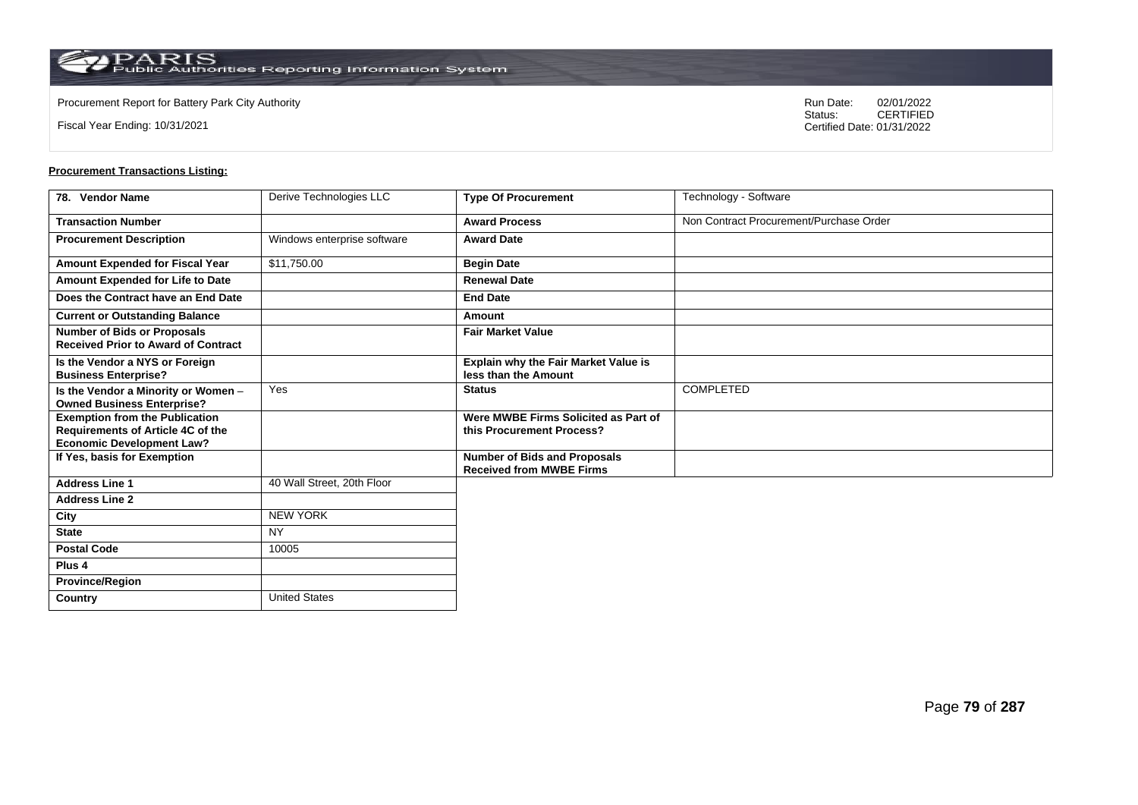**Country** United States

Fiscal Year Ending: 10/31/2021

Procurement Report for Battery Park City Authority **National State Concrete Concrete Concrete Concrete Concrete Concrete Concrete Concrete Concrete Concrete Concrete Concrete Concrete Concrete Concrete Concrete Concrete Co** CERTIFIED Certified Date: 01/31/2022

| 78. Vendor Name                                                                                                | Derive Technologies LLC     | <b>Type Of Procurement</b>                                             | Technology - Software                   |
|----------------------------------------------------------------------------------------------------------------|-----------------------------|------------------------------------------------------------------------|-----------------------------------------|
| <b>Transaction Number</b>                                                                                      |                             | <b>Award Process</b>                                                   | Non Contract Procurement/Purchase Order |
| <b>Procurement Description</b>                                                                                 | Windows enterprise software | <b>Award Date</b>                                                      |                                         |
| Amount Expended for Fiscal Year                                                                                | \$11,750.00                 | <b>Begin Date</b>                                                      |                                         |
| Amount Expended for Life to Date                                                                               |                             | <b>Renewal Date</b>                                                    |                                         |
| Does the Contract have an End Date                                                                             |                             | <b>End Date</b>                                                        |                                         |
| <b>Current or Outstanding Balance</b>                                                                          |                             | Amount                                                                 |                                         |
| <b>Number of Bids or Proposals</b><br><b>Received Prior to Award of Contract</b>                               |                             | <b>Fair Market Value</b>                                               |                                         |
| Is the Vendor a NYS or Foreign<br><b>Business Enterprise?</b>                                                  |                             | <b>Explain why the Fair Market Value is</b><br>less than the Amount    |                                         |
| Is the Vendor a Minority or Women -<br><b>Owned Business Enterprise?</b>                                       | Yes                         | <b>Status</b>                                                          | COMPLETED                               |
| <b>Exemption from the Publication</b><br>Requirements of Article 4C of the<br><b>Economic Development Law?</b> |                             | Were MWBE Firms Solicited as Part of<br>this Procurement Process?      |                                         |
| If Yes, basis for Exemption                                                                                    |                             | <b>Number of Bids and Proposals</b><br><b>Received from MWBE Firms</b> |                                         |
| <b>Address Line 1</b>                                                                                          | 40 Wall Street, 20th Floor  |                                                                        |                                         |
| <b>Address Line 2</b>                                                                                          |                             |                                                                        |                                         |
| City                                                                                                           | <b>NEW YORK</b>             |                                                                        |                                         |
| <b>State</b>                                                                                                   | <b>NY</b>                   |                                                                        |                                         |
| <b>Postal Code</b>                                                                                             | 10005                       |                                                                        |                                         |
| Plus <sub>4</sub>                                                                                              |                             |                                                                        |                                         |
| <b>Province/Region</b>                                                                                         |                             |                                                                        |                                         |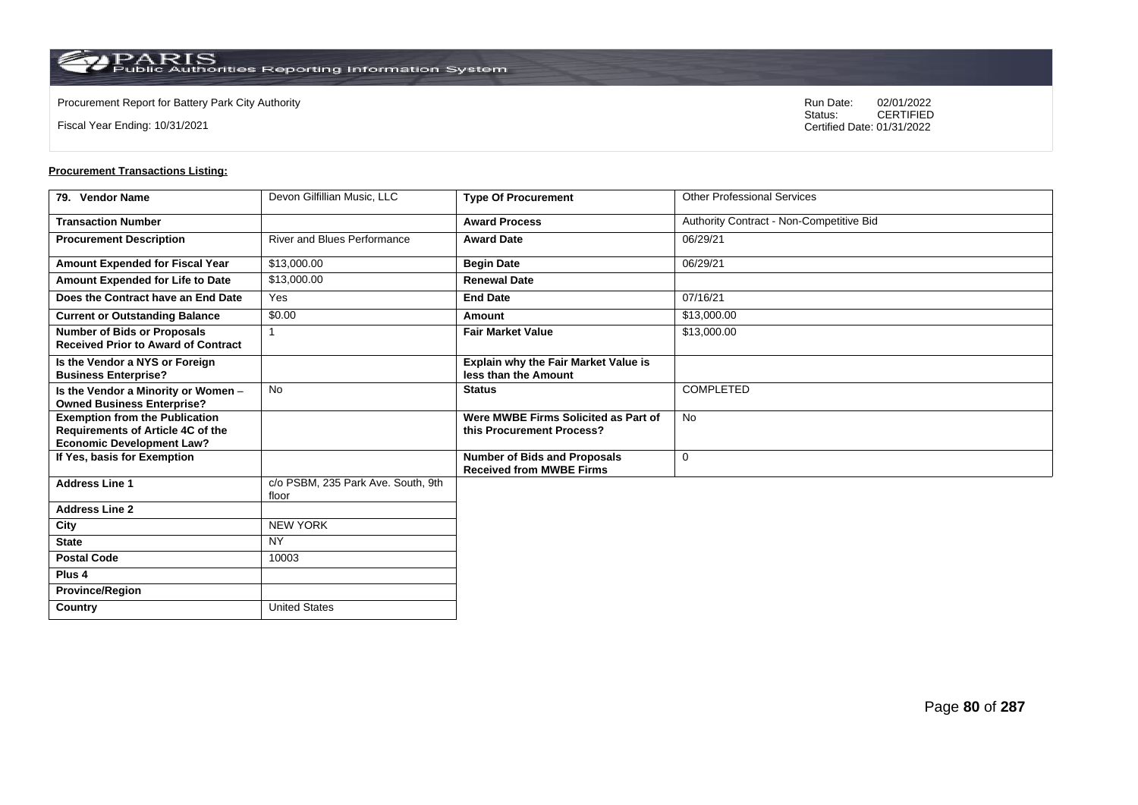Fiscal Year Ending: 10/31/2021

Procurement Report for Battery Park City Authority **National State Concrete Concrete Concrete Concrete Concrete Concrete Concrete Concrete Concrete Concrete Concrete Concrete Concrete Concrete Concrete Concrete Concrete Co** CERTIFIED Certified Date: 01/31/2022

| 79. Vendor Name                                                                                                | Devon Gilfillian Music, LLC                 | <b>Type Of Procurement</b>                                             | <b>Other Professional Services</b>       |
|----------------------------------------------------------------------------------------------------------------|---------------------------------------------|------------------------------------------------------------------------|------------------------------------------|
| <b>Transaction Number</b>                                                                                      |                                             | <b>Award Process</b>                                                   | Authority Contract - Non-Competitive Bid |
| <b>Procurement Description</b>                                                                                 | <b>River and Blues Performance</b>          | <b>Award Date</b>                                                      | 06/29/21                                 |
| Amount Expended for Fiscal Year                                                                                | \$13,000.00                                 | <b>Begin Date</b>                                                      | 06/29/21                                 |
| Amount Expended for Life to Date                                                                               | \$13,000.00                                 | <b>Renewal Date</b>                                                    |                                          |
| Does the Contract have an End Date                                                                             | Yes                                         | <b>End Date</b>                                                        | 07/16/21                                 |
| <b>Current or Outstanding Balance</b>                                                                          | \$0.00                                      | Amount                                                                 | \$13,000.00                              |
| <b>Number of Bids or Proposals</b><br><b>Received Prior to Award of Contract</b>                               |                                             | <b>Fair Market Value</b>                                               | \$13,000.00                              |
| Is the Vendor a NYS or Foreign<br><b>Business Enterprise?</b>                                                  |                                             | <b>Explain why the Fair Market Value is</b><br>less than the Amount    |                                          |
| Is the Vendor a Minority or Women -<br><b>Owned Business Enterprise?</b>                                       | <b>No</b>                                   | <b>Status</b>                                                          | <b>COMPLETED</b>                         |
| <b>Exemption from the Publication</b><br>Requirements of Article 4C of the<br><b>Economic Development Law?</b> |                                             | Were MWBE Firms Solicited as Part of<br>this Procurement Process?      | No                                       |
| If Yes, basis for Exemption                                                                                    |                                             | <b>Number of Bids and Proposals</b><br><b>Received from MWBE Firms</b> | $\mathbf 0$                              |
| <b>Address Line 1</b>                                                                                          | c/o PSBM, 235 Park Ave. South, 9th<br>floor |                                                                        |                                          |
| <b>Address Line 2</b>                                                                                          |                                             |                                                                        |                                          |
| City                                                                                                           | <b>NEW YORK</b>                             |                                                                        |                                          |
| <b>State</b>                                                                                                   | <b>NY</b>                                   |                                                                        |                                          |
| <b>Postal Code</b>                                                                                             | 10003                                       |                                                                        |                                          |
| Plus <sub>4</sub>                                                                                              |                                             |                                                                        |                                          |
| <b>Province/Region</b>                                                                                         |                                             |                                                                        |                                          |
| Country                                                                                                        | <b>United States</b>                        |                                                                        |                                          |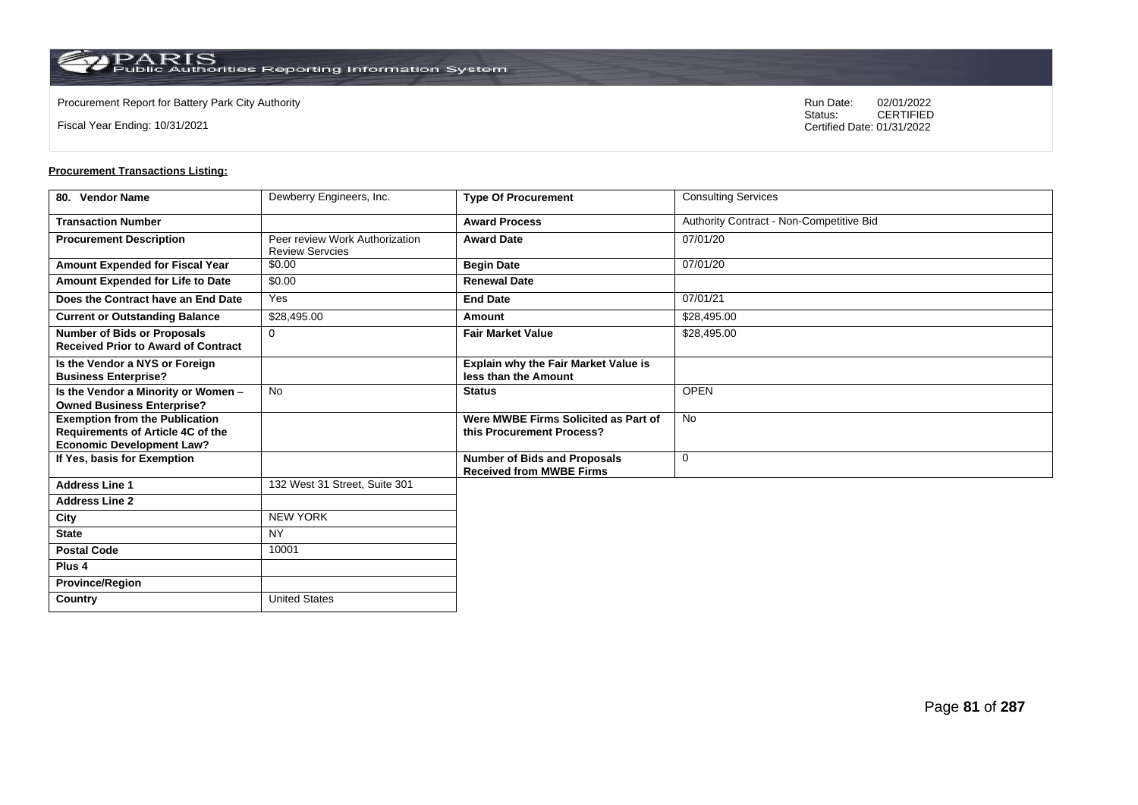**Country** United States

Fiscal Year Ending: 10/31/2021

Procurement Report for Battery Park City Authority **National State Concrete Concrete Concrete Concrete Concrete Concrete Concrete Concrete Concrete Concrete Concrete Concrete Concrete Concrete Concrete Concrete Concrete Co** CERTIFIED Certified Date: 01/31/2022

| 80. Vendor Name                                                                                                | Dewberry Engineers, Inc.                                 | <b>Type Of Procurement</b>                                             | <b>Consulting Services</b>               |
|----------------------------------------------------------------------------------------------------------------|----------------------------------------------------------|------------------------------------------------------------------------|------------------------------------------|
| <b>Transaction Number</b>                                                                                      |                                                          | <b>Award Process</b>                                                   | Authority Contract - Non-Competitive Bid |
| <b>Procurement Description</b>                                                                                 | Peer review Work Authorization<br><b>Review Servcies</b> | <b>Award Date</b>                                                      | 07/01/20                                 |
| Amount Expended for Fiscal Year                                                                                | \$0.00                                                   | <b>Begin Date</b>                                                      | 07/01/20                                 |
| Amount Expended for Life to Date                                                                               | \$0.00                                                   | <b>Renewal Date</b>                                                    |                                          |
| Does the Contract have an End Date                                                                             | Yes                                                      | <b>End Date</b>                                                        | 07/01/21                                 |
| <b>Current or Outstanding Balance</b>                                                                          | \$28,495.00                                              | <b>Amount</b>                                                          | \$28,495.00                              |
| <b>Number of Bids or Proposals</b><br><b>Received Prior to Award of Contract</b>                               | $\mathbf 0$                                              | <b>Fair Market Value</b>                                               | \$28,495.00                              |
| Is the Vendor a NYS or Foreign<br><b>Business Enterprise?</b>                                                  |                                                          | Explain why the Fair Market Value is<br>less than the Amount           |                                          |
| Is the Vendor a Minority or Women -<br><b>Owned Business Enterprise?</b>                                       | <b>No</b>                                                | <b>Status</b>                                                          | <b>OPEN</b>                              |
| <b>Exemption from the Publication</b><br>Requirements of Article 4C of the<br><b>Economic Development Law?</b> |                                                          | Were MWBE Firms Solicited as Part of<br>this Procurement Process?      | <b>No</b>                                |
| If Yes, basis for Exemption                                                                                    |                                                          | <b>Number of Bids and Proposals</b><br><b>Received from MWBE Firms</b> | $\mathbf 0$                              |
| <b>Address Line 1</b>                                                                                          | 132 West 31 Street, Suite 301                            |                                                                        |                                          |
| <b>Address Line 2</b>                                                                                          |                                                          |                                                                        |                                          |
| City                                                                                                           | <b>NEW YORK</b>                                          |                                                                        |                                          |
| <b>State</b>                                                                                                   | <b>NY</b>                                                |                                                                        |                                          |
| <b>Postal Code</b>                                                                                             | 10001                                                    |                                                                        |                                          |
| Plus <sub>4</sub>                                                                                              |                                                          |                                                                        |                                          |
| <b>Province/Region</b>                                                                                         |                                                          |                                                                        |                                          |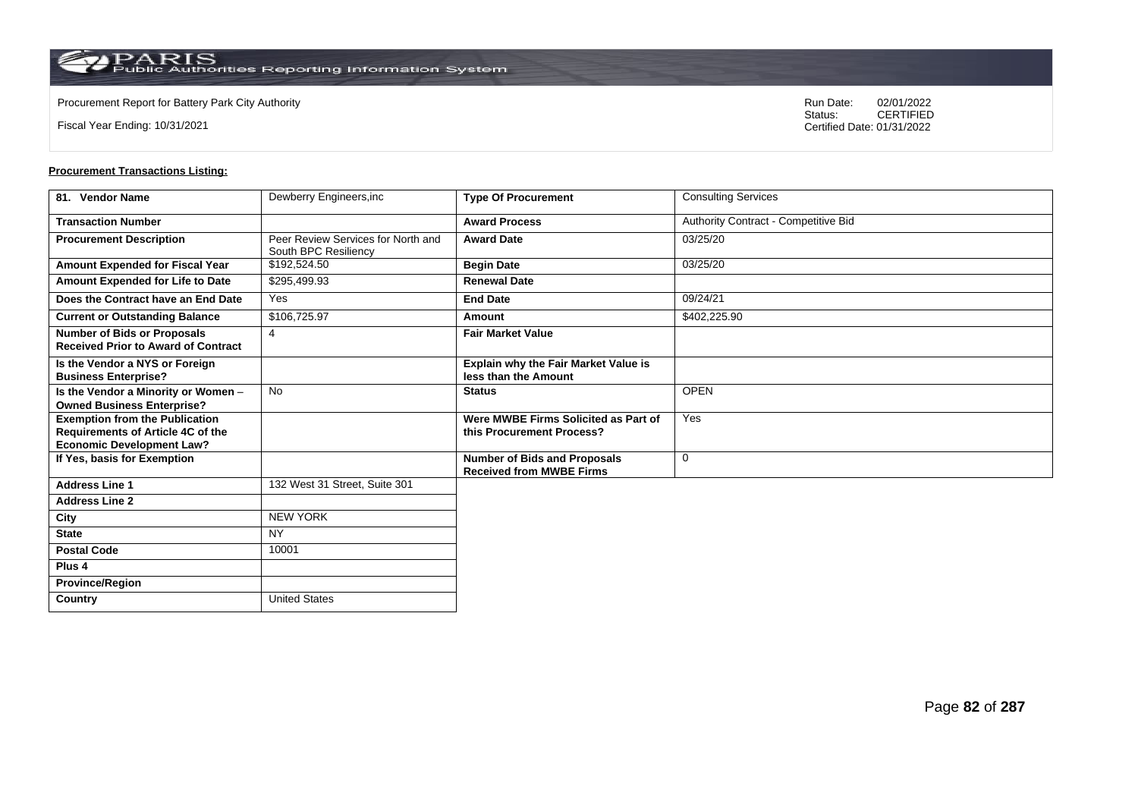**Country** United States

Fiscal Year Ending: 10/31/2021

Procurement Report for Battery Park City Authority **National State Concrete Concrete Concrete Concrete Concrete Concrete Concrete Concrete Concrete Concrete Concrete Concrete Concrete Concrete Concrete Concrete Concrete Co** CERTIFIED Certified Date: 01/31/2022

| 81. Vendor Name                                                                                                       | Dewberry Engineers, inc.                                   | <b>Type Of Procurement</b>                                             | <b>Consulting Services</b>           |
|-----------------------------------------------------------------------------------------------------------------------|------------------------------------------------------------|------------------------------------------------------------------------|--------------------------------------|
| <b>Transaction Number</b>                                                                                             |                                                            | <b>Award Process</b>                                                   | Authority Contract - Competitive Bid |
| <b>Procurement Description</b>                                                                                        | Peer Review Services for North and<br>South BPC Resiliency | <b>Award Date</b>                                                      | 03/25/20                             |
| <b>Amount Expended for Fiscal Year</b>                                                                                | \$192,524.50                                               | <b>Begin Date</b>                                                      | 03/25/20                             |
| Amount Expended for Life to Date                                                                                      | \$295,499.93                                               | <b>Renewal Date</b>                                                    |                                      |
| Does the Contract have an End Date                                                                                    | Yes                                                        | <b>End Date</b>                                                        | 09/24/21                             |
| <b>Current or Outstanding Balance</b>                                                                                 | \$106,725.97                                               | Amount                                                                 | \$402,225.90                         |
| <b>Number of Bids or Proposals</b><br><b>Received Prior to Award of Contract</b>                                      | $\overline{4}$                                             | <b>Fair Market Value</b>                                               |                                      |
| Is the Vendor a NYS or Foreign<br><b>Business Enterprise?</b>                                                         |                                                            | <b>Explain why the Fair Market Value is</b><br>less than the Amount    |                                      |
| Is the Vendor a Minority or Women -<br><b>Owned Business Enterprise?</b>                                              | <b>No</b>                                                  | <b>Status</b>                                                          | <b>OPEN</b>                          |
| <b>Exemption from the Publication</b><br><b>Requirements of Article 4C of the</b><br><b>Economic Development Law?</b> |                                                            | Were MWBE Firms Solicited as Part of<br>this Procurement Process?      | Yes                                  |
| If Yes, basis for Exemption                                                                                           |                                                            | <b>Number of Bids and Proposals</b><br><b>Received from MWBE Firms</b> | $\mathbf 0$                          |
| <b>Address Line 1</b>                                                                                                 | 132 West 31 Street, Suite 301                              |                                                                        |                                      |
| <b>Address Line 2</b>                                                                                                 |                                                            |                                                                        |                                      |
| City                                                                                                                  | <b>NEW YORK</b>                                            |                                                                        |                                      |
| <b>State</b>                                                                                                          | <b>NY</b>                                                  |                                                                        |                                      |
| <b>Postal Code</b>                                                                                                    | 10001                                                      |                                                                        |                                      |
| Plus <sub>4</sub>                                                                                                     |                                                            |                                                                        |                                      |
| <b>Province/Region</b>                                                                                                |                                                            |                                                                        |                                      |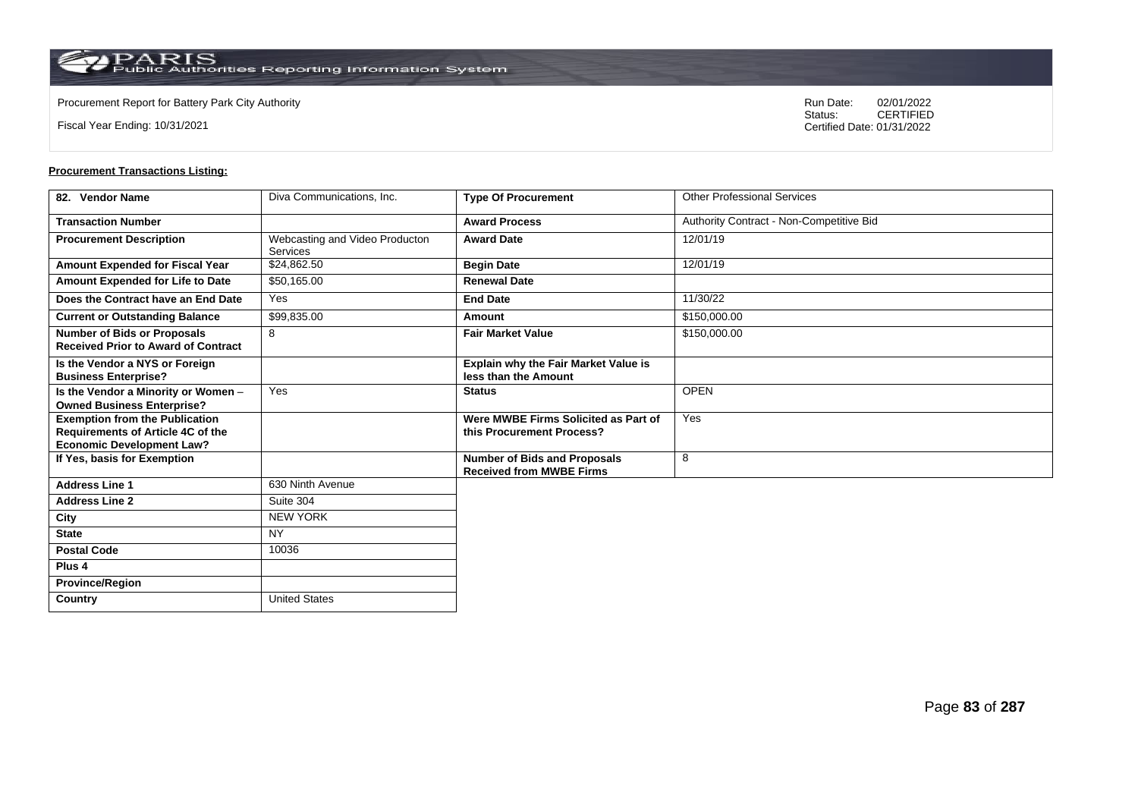Fiscal Year Ending: 10/31/2021

Procurement Report for Battery Park City Authority **National State Concrete Concrete Concrete Concrete Concrete Concrete Concrete Concrete Concrete Concrete Concrete Concrete Concrete Concrete Concrete Concrete Concrete Co** CERTIFIED Certified Date: 01/31/2022

| 82. Vendor Name                                                                                                       | Diva Communications, Inc.                         | <b>Type Of Procurement</b>                                             | <b>Other Professional Services</b>       |
|-----------------------------------------------------------------------------------------------------------------------|---------------------------------------------------|------------------------------------------------------------------------|------------------------------------------|
| <b>Transaction Number</b>                                                                                             |                                                   | <b>Award Process</b>                                                   | Authority Contract - Non-Competitive Bid |
| <b>Procurement Description</b>                                                                                        | Webcasting and Video Producton<br><b>Services</b> | <b>Award Date</b>                                                      | 12/01/19                                 |
| Amount Expended for Fiscal Year                                                                                       | \$24,862.50                                       | <b>Begin Date</b>                                                      | 12/01/19                                 |
| Amount Expended for Life to Date                                                                                      | \$50,165.00                                       | <b>Renewal Date</b>                                                    |                                          |
| Does the Contract have an End Date                                                                                    | Yes                                               | <b>End Date</b>                                                        | 11/30/22                                 |
| <b>Current or Outstanding Balance</b>                                                                                 | \$99,835.00                                       | Amount                                                                 | \$150,000.00                             |
| <b>Number of Bids or Proposals</b><br><b>Received Prior to Award of Contract</b>                                      | 8                                                 | <b>Fair Market Value</b>                                               | \$150,000.00                             |
| Is the Vendor a NYS or Foreign<br><b>Business Enterprise?</b>                                                         |                                                   | <b>Explain why the Fair Market Value is</b><br>less than the Amount    |                                          |
| Is the Vendor a Minority or Women -<br><b>Owned Business Enterprise?</b>                                              | Yes                                               | <b>Status</b>                                                          | <b>OPEN</b>                              |
| <b>Exemption from the Publication</b><br><b>Requirements of Article 4C of the</b><br><b>Economic Development Law?</b> |                                                   | Were MWBE Firms Solicited as Part of<br>this Procurement Process?      | Yes                                      |
| If Yes, basis for Exemption                                                                                           |                                                   | <b>Number of Bids and Proposals</b><br><b>Received from MWBE Firms</b> | 8                                        |
| <b>Address Line 1</b>                                                                                                 | 630 Ninth Avenue                                  |                                                                        |                                          |
| <b>Address Line 2</b>                                                                                                 | Suite 304                                         |                                                                        |                                          |
| City                                                                                                                  | <b>NEW YORK</b>                                   |                                                                        |                                          |
| <b>State</b>                                                                                                          | <b>NY</b>                                         |                                                                        |                                          |
| <b>Postal Code</b>                                                                                                    | 10036                                             |                                                                        |                                          |
| Plus <sub>4</sub>                                                                                                     |                                                   |                                                                        |                                          |
| <b>Province/Region</b>                                                                                                |                                                   |                                                                        |                                          |
| Country                                                                                                               | <b>United States</b>                              |                                                                        |                                          |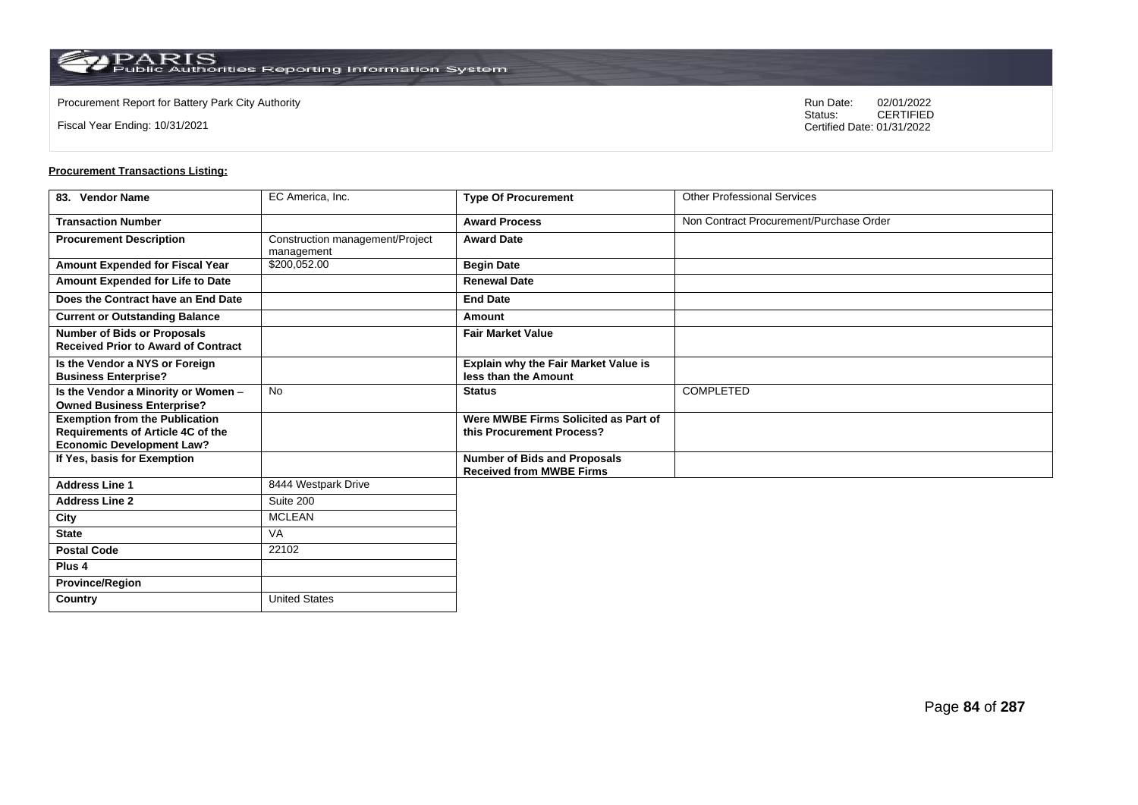Fiscal Year Ending: 10/31/2021

Procurement Report for Battery Park City Authority **National State Concrete Concrete Concrete Concrete Concrete Concrete Concrete Concrete Concrete Concrete Concrete Concrete Concrete Concrete Concrete Concrete Concrete Co** CERTIFIED Certified Date: 01/31/2022

| 83. Vendor Name                                                                                                       | EC America, Inc.                              | <b>Type Of Procurement</b>                                             | <b>Other Professional Services</b>      |
|-----------------------------------------------------------------------------------------------------------------------|-----------------------------------------------|------------------------------------------------------------------------|-----------------------------------------|
| <b>Transaction Number</b>                                                                                             |                                               | <b>Award Process</b>                                                   | Non Contract Procurement/Purchase Order |
| <b>Procurement Description</b>                                                                                        | Construction management/Project<br>management | <b>Award Date</b>                                                      |                                         |
| <b>Amount Expended for Fiscal Year</b>                                                                                | \$200,052.00                                  | <b>Begin Date</b>                                                      |                                         |
| Amount Expended for Life to Date                                                                                      |                                               | <b>Renewal Date</b>                                                    |                                         |
| Does the Contract have an End Date                                                                                    |                                               | <b>End Date</b>                                                        |                                         |
| <b>Current or Outstanding Balance</b>                                                                                 |                                               | Amount                                                                 |                                         |
| <b>Number of Bids or Proposals</b><br><b>Received Prior to Award of Contract</b>                                      |                                               | <b>Fair Market Value</b>                                               |                                         |
| Is the Vendor a NYS or Foreign<br><b>Business Enterprise?</b>                                                         |                                               | Explain why the Fair Market Value is<br>less than the Amount           |                                         |
| Is the Vendor a Minority or Women -<br><b>Owned Business Enterprise?</b>                                              | <b>No</b>                                     | <b>Status</b>                                                          | <b>COMPLETED</b>                        |
| <b>Exemption from the Publication</b><br><b>Requirements of Article 4C of the</b><br><b>Economic Development Law?</b> |                                               | Were MWBE Firms Solicited as Part of<br>this Procurement Process?      |                                         |
| If Yes, basis for Exemption                                                                                           |                                               | <b>Number of Bids and Proposals</b><br><b>Received from MWBE Firms</b> |                                         |
| <b>Address Line 1</b>                                                                                                 | 8444 Westpark Drive                           |                                                                        |                                         |
| <b>Address Line 2</b>                                                                                                 | Suite 200                                     |                                                                        |                                         |
| City                                                                                                                  | <b>MCLEAN</b>                                 |                                                                        |                                         |
| <b>State</b>                                                                                                          | VA                                            |                                                                        |                                         |
| <b>Postal Code</b>                                                                                                    | 22102                                         |                                                                        |                                         |
| Plus <sub>4</sub>                                                                                                     |                                               |                                                                        |                                         |
| <b>Province/Region</b>                                                                                                |                                               |                                                                        |                                         |
| Country                                                                                                               | <b>United States</b>                          |                                                                        |                                         |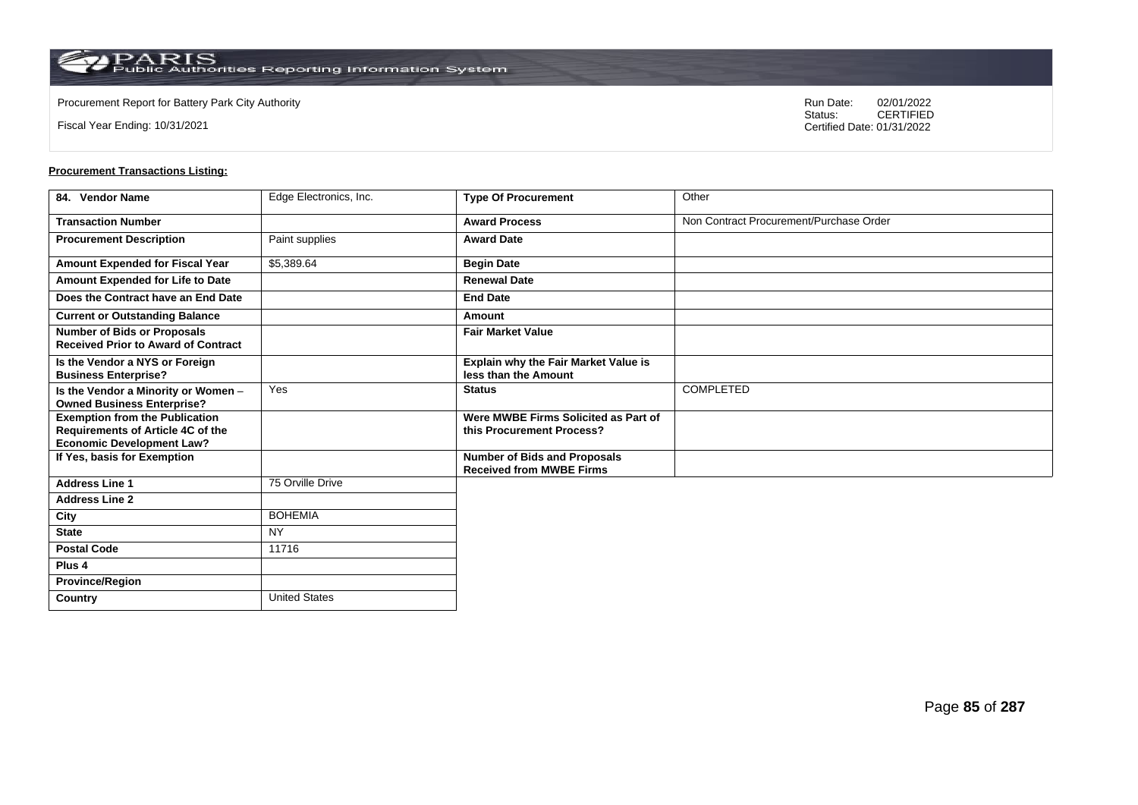Fiscal Year Ending: 10/31/2021

Procurement Report for Battery Park City Authority **National State Concrete Concrete Concrete Concrete Concrete Concrete Concrete Concrete Concrete Concrete Concrete Concrete Concrete Concrete Concrete Concrete Concrete Co** CERTIFIED Certified Date: 01/31/2022

| 84. Vendor Name                                                                                                | Edge Electronics, Inc. | <b>Type Of Procurement</b>                                             | Other                                   |
|----------------------------------------------------------------------------------------------------------------|------------------------|------------------------------------------------------------------------|-----------------------------------------|
| <b>Transaction Number</b>                                                                                      |                        | <b>Award Process</b>                                                   | Non Contract Procurement/Purchase Order |
| <b>Procurement Description</b>                                                                                 | Paint supplies         | <b>Award Date</b>                                                      |                                         |
| Amount Expended for Fiscal Year                                                                                | \$5,389.64             | <b>Begin Date</b>                                                      |                                         |
| Amount Expended for Life to Date                                                                               |                        | <b>Renewal Date</b>                                                    |                                         |
| Does the Contract have an End Date                                                                             |                        | <b>End Date</b>                                                        |                                         |
| <b>Current or Outstanding Balance</b>                                                                          |                        | Amount                                                                 |                                         |
| <b>Number of Bids or Proposals</b><br><b>Received Prior to Award of Contract</b>                               |                        | <b>Fair Market Value</b>                                               |                                         |
| Is the Vendor a NYS or Foreign<br><b>Business Enterprise?</b>                                                  |                        | Explain why the Fair Market Value is<br>less than the Amount           |                                         |
| Is the Vendor a Minority or Women -<br><b>Owned Business Enterprise?</b>                                       | Yes                    | <b>Status</b>                                                          | <b>COMPLETED</b>                        |
| <b>Exemption from the Publication</b><br>Requirements of Article 4C of the<br><b>Economic Development Law?</b> |                        | Were MWBE Firms Solicited as Part of<br>this Procurement Process?      |                                         |
| If Yes, basis for Exemption                                                                                    |                        | <b>Number of Bids and Proposals</b><br><b>Received from MWBE Firms</b> |                                         |
| <b>Address Line 1</b>                                                                                          | 75 Orville Drive       |                                                                        |                                         |
| <b>Address Line 2</b>                                                                                          |                        |                                                                        |                                         |
| City                                                                                                           | <b>BOHEMIA</b>         |                                                                        |                                         |
| <b>State</b>                                                                                                   | <b>NY</b>              |                                                                        |                                         |
| <b>Postal Code</b>                                                                                             | 11716                  |                                                                        |                                         |
| Plus 4                                                                                                         |                        |                                                                        |                                         |
| <b>Province/Region</b>                                                                                         |                        |                                                                        |                                         |
| Country                                                                                                        | <b>United States</b>   |                                                                        |                                         |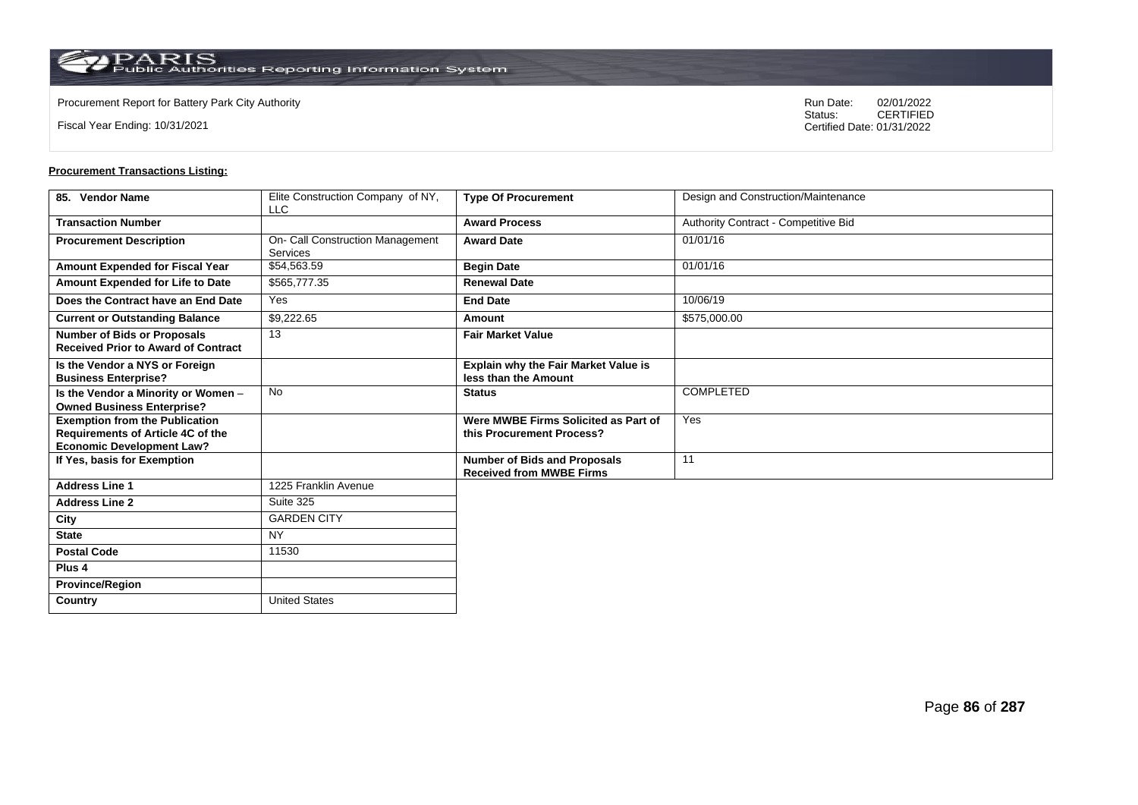Fiscal Year Ending: 10/31/2021

Procurement Report for Battery Park City Authority **National State Concrete Concrete Concrete Concrete Concrete Concrete Concrete Concrete Concrete Concrete Concrete Concrete Concrete Concrete Concrete Concrete Concrete Co** CERTIFIED Certified Date: 01/31/2022

| 85. Vendor Name                                                                                                       | Elite Construction Company of NY,<br><b>LLC</b> | <b>Type Of Procurement</b>                                             | Design and Construction/Maintenance  |
|-----------------------------------------------------------------------------------------------------------------------|-------------------------------------------------|------------------------------------------------------------------------|--------------------------------------|
| <b>Transaction Number</b>                                                                                             |                                                 | <b>Award Process</b>                                                   | Authority Contract - Competitive Bid |
| <b>Procurement Description</b>                                                                                        | On- Call Construction Management<br>Services    | <b>Award Date</b>                                                      | 01/01/16                             |
| Amount Expended for Fiscal Year                                                                                       | \$54,563.59                                     | <b>Begin Date</b>                                                      | 01/01/16                             |
| Amount Expended for Life to Date                                                                                      | \$565,777.35                                    | <b>Renewal Date</b>                                                    |                                      |
| Does the Contract have an End Date                                                                                    | Yes                                             | <b>End Date</b>                                                        | 10/06/19                             |
| <b>Current or Outstanding Balance</b>                                                                                 | \$9,222.65                                      | Amount                                                                 | \$575,000.00                         |
| <b>Number of Bids or Proposals</b><br><b>Received Prior to Award of Contract</b>                                      | 13                                              | <b>Fair Market Value</b>                                               |                                      |
| Is the Vendor a NYS or Foreign<br><b>Business Enterprise?</b>                                                         |                                                 | <b>Explain why the Fair Market Value is</b><br>less than the Amount    |                                      |
| Is the Vendor a Minority or Women -<br><b>Owned Business Enterprise?</b>                                              | <b>No</b>                                       | <b>Status</b>                                                          | <b>COMPLETED</b>                     |
| <b>Exemption from the Publication</b><br><b>Requirements of Article 4C of the</b><br><b>Economic Development Law?</b> |                                                 | Were MWBE Firms Solicited as Part of<br>this Procurement Process?      | Yes                                  |
| If Yes, basis for Exemption                                                                                           |                                                 | <b>Number of Bids and Proposals</b><br><b>Received from MWBE Firms</b> | $\overline{11}$                      |
| <b>Address Line 1</b>                                                                                                 | 1225 Franklin Avenue                            |                                                                        |                                      |
| <b>Address Line 2</b>                                                                                                 | Suite 325                                       |                                                                        |                                      |
| City                                                                                                                  | <b>GARDEN CITY</b>                              |                                                                        |                                      |
| <b>State</b>                                                                                                          | <b>NY</b>                                       |                                                                        |                                      |
| <b>Postal Code</b>                                                                                                    | 11530                                           |                                                                        |                                      |
| Plus <sub>4</sub>                                                                                                     |                                                 |                                                                        |                                      |
| <b>Province/Region</b>                                                                                                |                                                 |                                                                        |                                      |
| Country                                                                                                               | <b>United States</b>                            |                                                                        |                                      |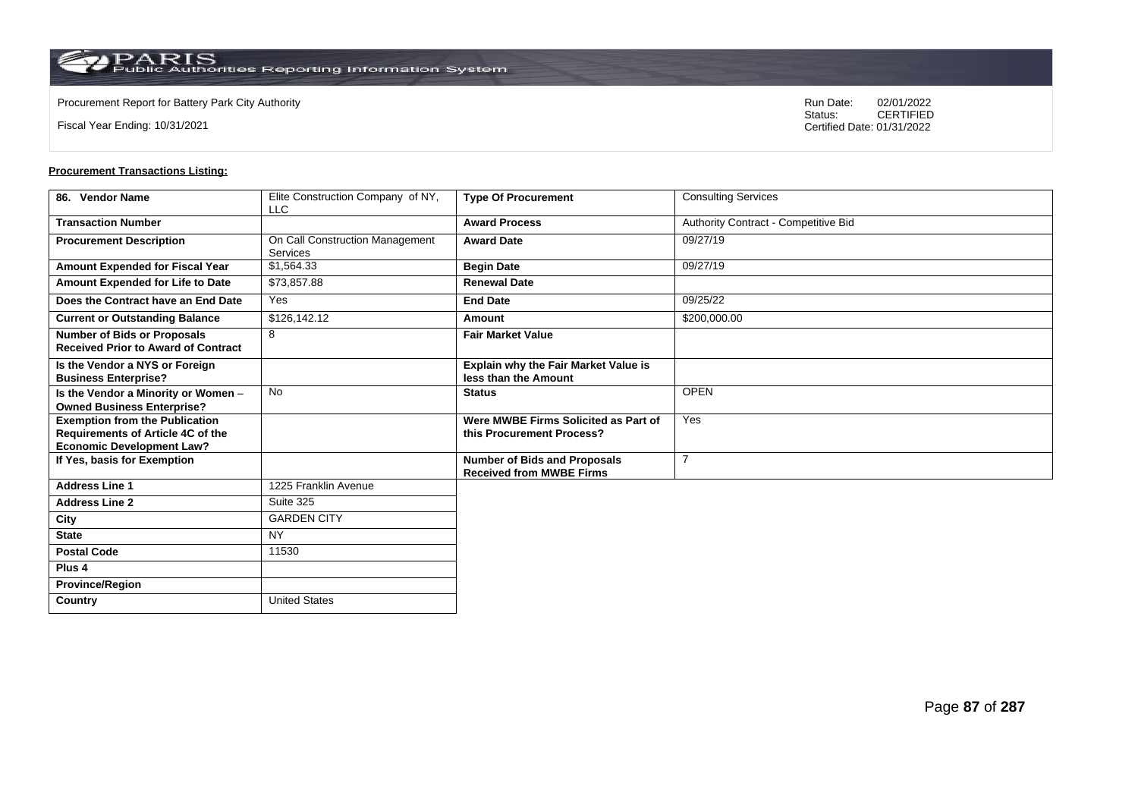Fiscal Year Ending: 10/31/2021

Procurement Report for Battery Park City Authority **National State Concrete Concrete Concrete Concrete Concrete Concrete Concrete Concrete Concrete Concrete Concrete Concrete Concrete Concrete Concrete Concrete Concrete Co** CERTIFIED Certified Date: 01/31/2022

| 86. Vendor Name                                                                                                       | Elite Construction Company of NY,<br><b>LLC</b> | <b>Type Of Procurement</b>                                             | <b>Consulting Services</b>           |
|-----------------------------------------------------------------------------------------------------------------------|-------------------------------------------------|------------------------------------------------------------------------|--------------------------------------|
| <b>Transaction Number</b>                                                                                             |                                                 | <b>Award Process</b>                                                   | Authority Contract - Competitive Bid |
| <b>Procurement Description</b>                                                                                        | On Call Construction Management<br>Services     | <b>Award Date</b>                                                      | 09/27/19                             |
| Amount Expended for Fiscal Year                                                                                       | \$1,564.33                                      | <b>Begin Date</b>                                                      | 09/27/19                             |
| Amount Expended for Life to Date                                                                                      | \$73,857.88                                     | <b>Renewal Date</b>                                                    |                                      |
| Does the Contract have an End Date                                                                                    | Yes                                             | <b>End Date</b>                                                        | 09/25/22                             |
| <b>Current or Outstanding Balance</b>                                                                                 | \$126,142.12                                    | Amount                                                                 | \$200,000.00                         |
| <b>Number of Bids or Proposals</b><br><b>Received Prior to Award of Contract</b>                                      | 8                                               | <b>Fair Market Value</b>                                               |                                      |
| Is the Vendor a NYS or Foreign<br><b>Business Enterprise?</b>                                                         |                                                 | Explain why the Fair Market Value is<br>less than the Amount           |                                      |
| Is the Vendor a Minority or Women -<br><b>Owned Business Enterprise?</b>                                              | <b>No</b>                                       | <b>Status</b>                                                          | <b>OPEN</b>                          |
| <b>Exemption from the Publication</b><br><b>Requirements of Article 4C of the</b><br><b>Economic Development Law?</b> |                                                 | Were MWBE Firms Solicited as Part of<br>this Procurement Process?      | Yes                                  |
| If Yes, basis for Exemption                                                                                           |                                                 | <b>Number of Bids and Proposals</b><br><b>Received from MWBE Firms</b> | $\overline{7}$                       |
| <b>Address Line 1</b>                                                                                                 | 1225 Franklin Avenue                            |                                                                        |                                      |
| <b>Address Line 2</b>                                                                                                 | Suite 325                                       |                                                                        |                                      |
| City                                                                                                                  | <b>GARDEN CITY</b>                              |                                                                        |                                      |
| <b>State</b>                                                                                                          | <b>NY</b>                                       |                                                                        |                                      |
| <b>Postal Code</b>                                                                                                    | 11530                                           |                                                                        |                                      |
| Plus <sub>4</sub>                                                                                                     |                                                 |                                                                        |                                      |
| <b>Province/Region</b>                                                                                                |                                                 |                                                                        |                                      |
| Country                                                                                                               | <b>United States</b>                            |                                                                        |                                      |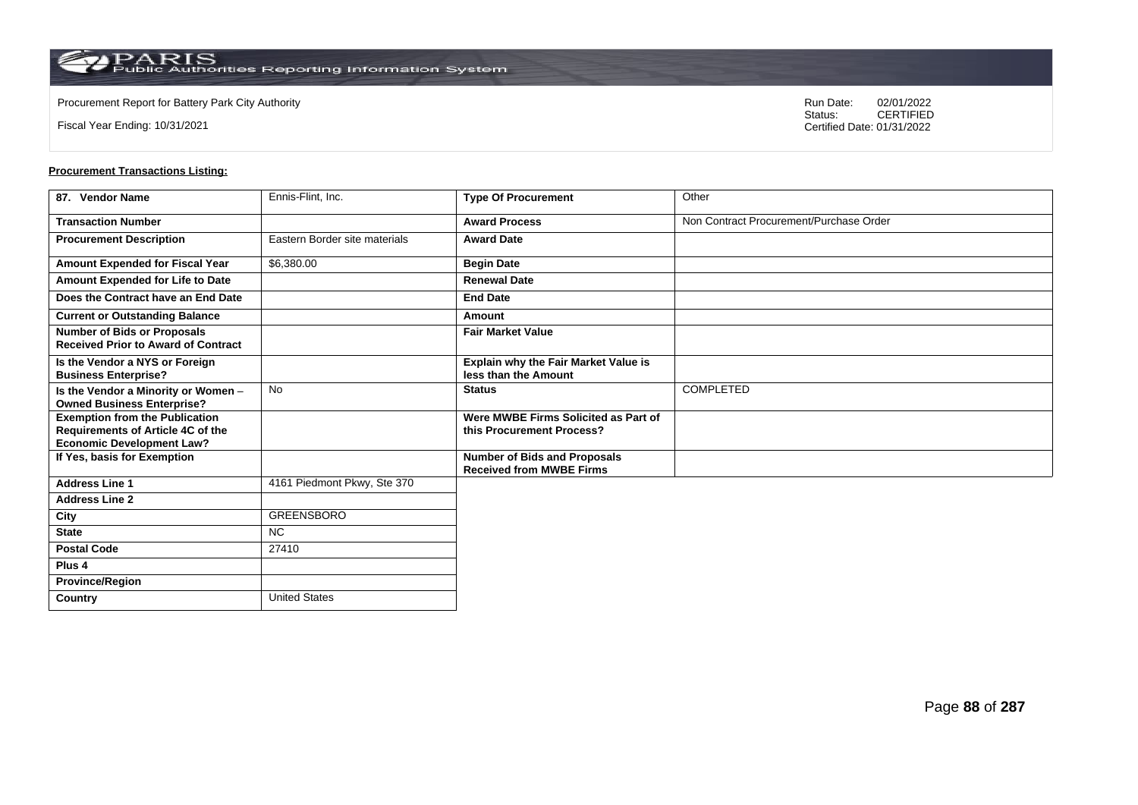**Country** United States

Fiscal Year Ending: 10/31/2021

Procurement Report for Battery Park City Authority **National State Concrete Concrete Concrete Concrete Concrete Concrete Concrete Concrete Concrete Concrete Concrete Concrete Concrete Concrete Concrete Concrete Concrete Co** CERTIFIED Certified Date: 01/31/2022

| 87. Vendor Name                                                                                                | Ennis-Flint, Inc.             | <b>Type Of Procurement</b>                                             | Other                                   |
|----------------------------------------------------------------------------------------------------------------|-------------------------------|------------------------------------------------------------------------|-----------------------------------------|
| <b>Transaction Number</b>                                                                                      |                               | <b>Award Process</b>                                                   | Non Contract Procurement/Purchase Order |
| <b>Procurement Description</b>                                                                                 | Eastern Border site materials | <b>Award Date</b>                                                      |                                         |
| Amount Expended for Fiscal Year                                                                                | \$6,380.00                    | <b>Begin Date</b>                                                      |                                         |
| Amount Expended for Life to Date                                                                               |                               | <b>Renewal Date</b>                                                    |                                         |
| Does the Contract have an End Date                                                                             |                               | <b>End Date</b>                                                        |                                         |
| <b>Current or Outstanding Balance</b>                                                                          |                               | Amount                                                                 |                                         |
| <b>Number of Bids or Proposals</b><br><b>Received Prior to Award of Contract</b>                               |                               | <b>Fair Market Value</b>                                               |                                         |
| Is the Vendor a NYS or Foreign<br><b>Business Enterprise?</b>                                                  |                               | Explain why the Fair Market Value is<br>less than the Amount           |                                         |
| Is the Vendor a Minority or Women -<br><b>Owned Business Enterprise?</b>                                       | No                            | <b>Status</b>                                                          | <b>COMPLETED</b>                        |
| <b>Exemption from the Publication</b><br>Requirements of Article 4C of the<br><b>Economic Development Law?</b> |                               | Were MWBE Firms Solicited as Part of<br>this Procurement Process?      |                                         |
| If Yes, basis for Exemption                                                                                    |                               | <b>Number of Bids and Proposals</b><br><b>Received from MWBE Firms</b> |                                         |
| <b>Address Line 1</b>                                                                                          | 4161 Piedmont Pkwy, Ste 370   |                                                                        |                                         |
| <b>Address Line 2</b>                                                                                          |                               |                                                                        |                                         |
| City                                                                                                           | GREENSBORO                    |                                                                        |                                         |
| <b>State</b>                                                                                                   | NC.                           |                                                                        |                                         |
| <b>Postal Code</b>                                                                                             | 27410                         |                                                                        |                                         |
| Plus <sub>4</sub>                                                                                              |                               |                                                                        |                                         |
| <b>Province/Region</b>                                                                                         |                               |                                                                        |                                         |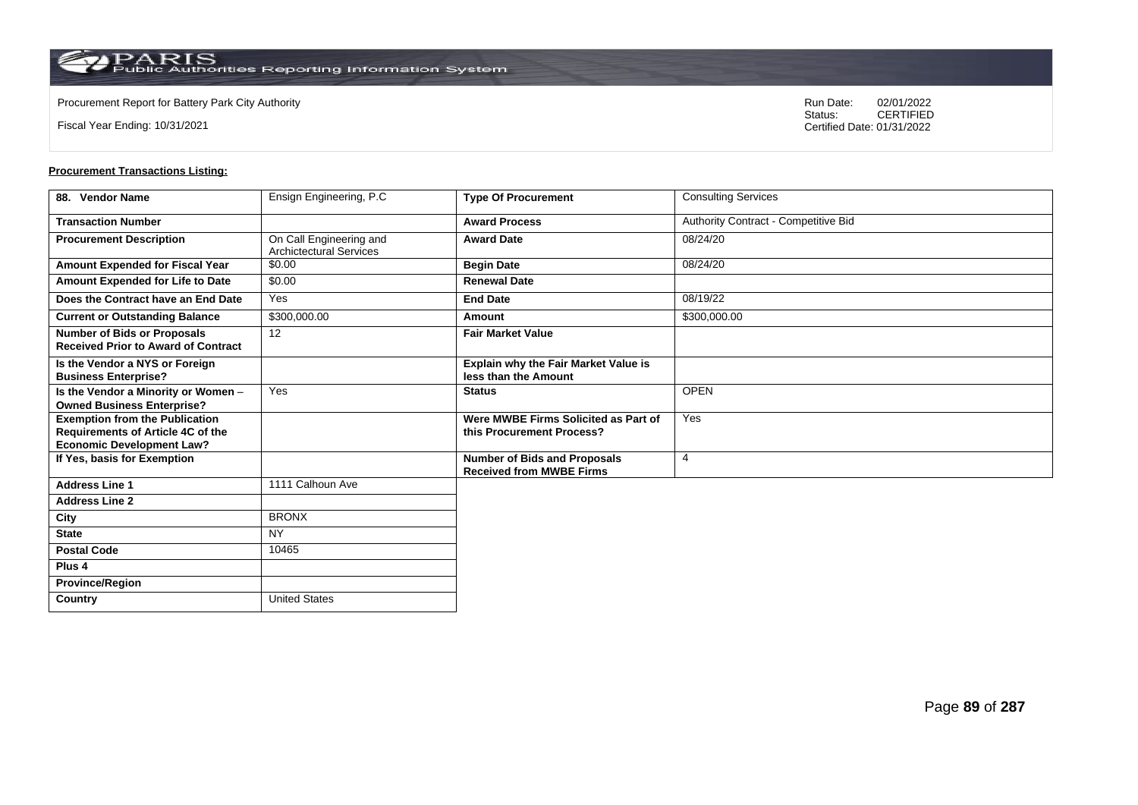**Country** United States

Fiscal Year Ending: 10/31/2021

Procurement Report for Battery Park City Authority **National State Concrete Concrete Concrete Concrete Concrete Concrete Concrete Concrete Concrete Concrete Concrete Concrete Concrete Concrete Concrete Concrete Concrete Co** CERTIFIED Certified Date: 01/31/2022

| 88. Vendor Name                                                                                                | Ensign Engineering, P.C                                   | <b>Type Of Procurement</b>                                             | <b>Consulting Services</b>           |
|----------------------------------------------------------------------------------------------------------------|-----------------------------------------------------------|------------------------------------------------------------------------|--------------------------------------|
| <b>Transaction Number</b>                                                                                      |                                                           | <b>Award Process</b>                                                   | Authority Contract - Competitive Bid |
| <b>Procurement Description</b>                                                                                 | On Call Engineering and<br><b>Archictectural Services</b> | <b>Award Date</b>                                                      | 08/24/20                             |
| Amount Expended for Fiscal Year                                                                                | \$0.00                                                    | <b>Begin Date</b>                                                      | 08/24/20                             |
| Amount Expended for Life to Date                                                                               | \$0.00                                                    | <b>Renewal Date</b>                                                    |                                      |
| Does the Contract have an End Date                                                                             | Yes                                                       | <b>End Date</b>                                                        | 08/19/22                             |
| <b>Current or Outstanding Balance</b>                                                                          | \$300,000.00                                              | Amount                                                                 | \$300,000.00                         |
| <b>Number of Bids or Proposals</b><br><b>Received Prior to Award of Contract</b>                               | 12                                                        | <b>Fair Market Value</b>                                               |                                      |
| Is the Vendor a NYS or Foreign<br><b>Business Enterprise?</b>                                                  |                                                           | Explain why the Fair Market Value is<br>less than the Amount           |                                      |
| Is the Vendor a Minority or Women -<br><b>Owned Business Enterprise?</b>                                       | Yes                                                       | <b>Status</b>                                                          | <b>OPEN</b>                          |
| <b>Exemption from the Publication</b><br>Requirements of Article 4C of the<br><b>Economic Development Law?</b> |                                                           | Were MWBE Firms Solicited as Part of<br>this Procurement Process?      | Yes                                  |
| If Yes, basis for Exemption                                                                                    |                                                           | <b>Number of Bids and Proposals</b><br><b>Received from MWBE Firms</b> | $\overline{4}$                       |
| <b>Address Line 1</b>                                                                                          | 1111 Calhoun Ave                                          |                                                                        |                                      |
| <b>Address Line 2</b>                                                                                          |                                                           |                                                                        |                                      |
| City                                                                                                           | <b>BRONX</b>                                              |                                                                        |                                      |
| <b>State</b>                                                                                                   | <b>NY</b>                                                 |                                                                        |                                      |
| <b>Postal Code</b>                                                                                             | 10465                                                     |                                                                        |                                      |
| Plus <sub>4</sub>                                                                                              |                                                           |                                                                        |                                      |
| <b>Province/Region</b>                                                                                         |                                                           |                                                                        |                                      |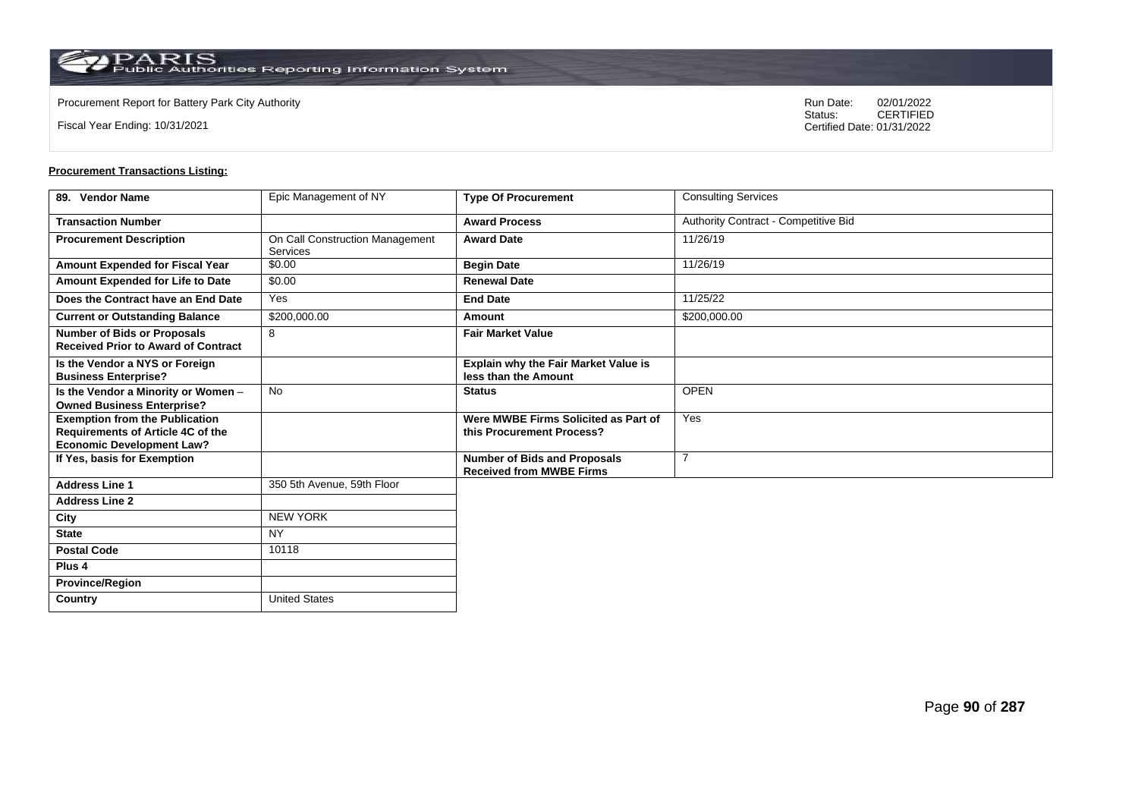**Country** United States

Fiscal Year Ending: 10/31/2021

Procurement Report for Battery Park City Authority **National State Concrete Concrete Concrete Concrete Concrete Concrete Concrete Concrete Concrete Concrete Concrete Concrete Concrete Concrete Concrete Concrete Concrete Co** CERTIFIED Certified Date: 01/31/2022

| 89. Vendor Name                                                                                                       | Epic Management of NY                              | <b>Type Of Procurement</b>                                             | <b>Consulting Services</b>           |
|-----------------------------------------------------------------------------------------------------------------------|----------------------------------------------------|------------------------------------------------------------------------|--------------------------------------|
| <b>Transaction Number</b>                                                                                             |                                                    | <b>Award Process</b>                                                   | Authority Contract - Competitive Bid |
| <b>Procurement Description</b>                                                                                        | On Call Construction Management<br><b>Services</b> | <b>Award Date</b>                                                      | 11/26/19                             |
| Amount Expended for Fiscal Year                                                                                       | \$0.00                                             | <b>Begin Date</b>                                                      | 11/26/19                             |
| Amount Expended for Life to Date                                                                                      | \$0.00                                             | <b>Renewal Date</b>                                                    |                                      |
| Does the Contract have an End Date                                                                                    | Yes                                                | <b>End Date</b>                                                        | 11/25/22                             |
| <b>Current or Outstanding Balance</b>                                                                                 | \$200,000.00                                       | Amount                                                                 | \$200,000.00                         |
| <b>Number of Bids or Proposals</b><br><b>Received Prior to Award of Contract</b>                                      | 8                                                  | <b>Fair Market Value</b>                                               |                                      |
| Is the Vendor a NYS or Foreign<br><b>Business Enterprise?</b>                                                         |                                                    | Explain why the Fair Market Value is<br>less than the Amount           |                                      |
| Is the Vendor a Minority or Women -<br><b>Owned Business Enterprise?</b>                                              | <b>No</b>                                          | <b>Status</b>                                                          | <b>OPEN</b>                          |
| <b>Exemption from the Publication</b><br><b>Requirements of Article 4C of the</b><br><b>Economic Development Law?</b> |                                                    | Were MWBE Firms Solicited as Part of<br>this Procurement Process?      | Yes                                  |
| If Yes, basis for Exemption                                                                                           |                                                    | <b>Number of Bids and Proposals</b><br><b>Received from MWBE Firms</b> | 7                                    |
| <b>Address Line 1</b>                                                                                                 | 350 5th Avenue, 59th Floor                         |                                                                        |                                      |
| <b>Address Line 2</b>                                                                                                 |                                                    |                                                                        |                                      |
| City                                                                                                                  | <b>NEW YORK</b>                                    |                                                                        |                                      |
| <b>State</b>                                                                                                          | <b>NY</b>                                          |                                                                        |                                      |
| <b>Postal Code</b>                                                                                                    | 10118                                              |                                                                        |                                      |
| Plus <sub>4</sub>                                                                                                     |                                                    |                                                                        |                                      |
| <b>Province/Region</b>                                                                                                |                                                    |                                                                        |                                      |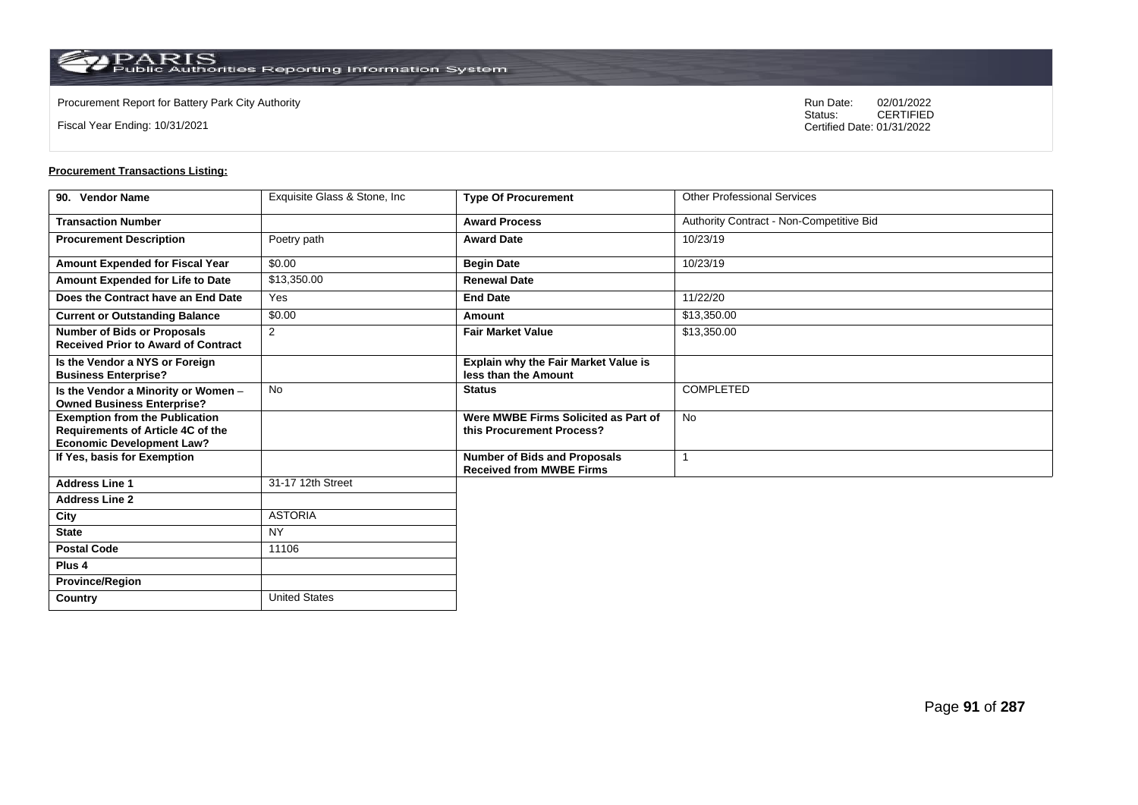**Country** United States

Fiscal Year Ending: 10/31/2021

Procurement Report for Battery Park City Authority **National State Concrete Concrete Concrete Concrete Concrete Concrete Concrete Concrete Concrete Concrete Concrete Concrete Concrete Concrete Concrete Concrete Concrete Co** CERTIFIED Certified Date: 01/31/2022

| 90. Vendor Name                                                                                                | Exquisite Glass & Stone, Inc. | <b>Type Of Procurement</b>                                             | <b>Other Professional Services</b>       |
|----------------------------------------------------------------------------------------------------------------|-------------------------------|------------------------------------------------------------------------|------------------------------------------|
| <b>Transaction Number</b>                                                                                      |                               | <b>Award Process</b>                                                   | Authority Contract - Non-Competitive Bid |
| <b>Procurement Description</b>                                                                                 | Poetry path                   | <b>Award Date</b>                                                      | 10/23/19                                 |
| Amount Expended for Fiscal Year                                                                                | \$0.00                        | <b>Begin Date</b>                                                      | 10/23/19                                 |
| Amount Expended for Life to Date                                                                               | \$13,350.00                   | <b>Renewal Date</b>                                                    |                                          |
| Does the Contract have an End Date                                                                             | Yes                           | <b>End Date</b>                                                        | 11/22/20                                 |
| <b>Current or Outstanding Balance</b>                                                                          | \$0.00                        | Amount                                                                 | \$13,350.00                              |
| <b>Number of Bids or Proposals</b><br><b>Received Prior to Award of Contract</b>                               | 2                             | <b>Fair Market Value</b>                                               | \$13,350.00                              |
| Is the Vendor a NYS or Foreign<br><b>Business Enterprise?</b>                                                  |                               | Explain why the Fair Market Value is<br>less than the Amount           |                                          |
| Is the Vendor a Minority or Women -<br><b>Owned Business Enterprise?</b>                                       | <b>No</b>                     | <b>Status</b>                                                          | <b>COMPLETED</b>                         |
| <b>Exemption from the Publication</b><br>Requirements of Article 4C of the<br><b>Economic Development Law?</b> |                               | Were MWBE Firms Solicited as Part of<br>this Procurement Process?      | <b>No</b>                                |
| If Yes, basis for Exemption                                                                                    |                               | <b>Number of Bids and Proposals</b><br><b>Received from MWBE Firms</b> |                                          |
| <b>Address Line 1</b>                                                                                          | 31-17 12th Street             |                                                                        |                                          |
| <b>Address Line 2</b>                                                                                          |                               |                                                                        |                                          |
| City                                                                                                           | <b>ASTORIA</b>                |                                                                        |                                          |
| <b>State</b>                                                                                                   | <b>NY</b>                     |                                                                        |                                          |
| <b>Postal Code</b>                                                                                             | 11106                         |                                                                        |                                          |
| Plus <sub>4</sub>                                                                                              |                               |                                                                        |                                          |
| <b>Province/Region</b>                                                                                         |                               |                                                                        |                                          |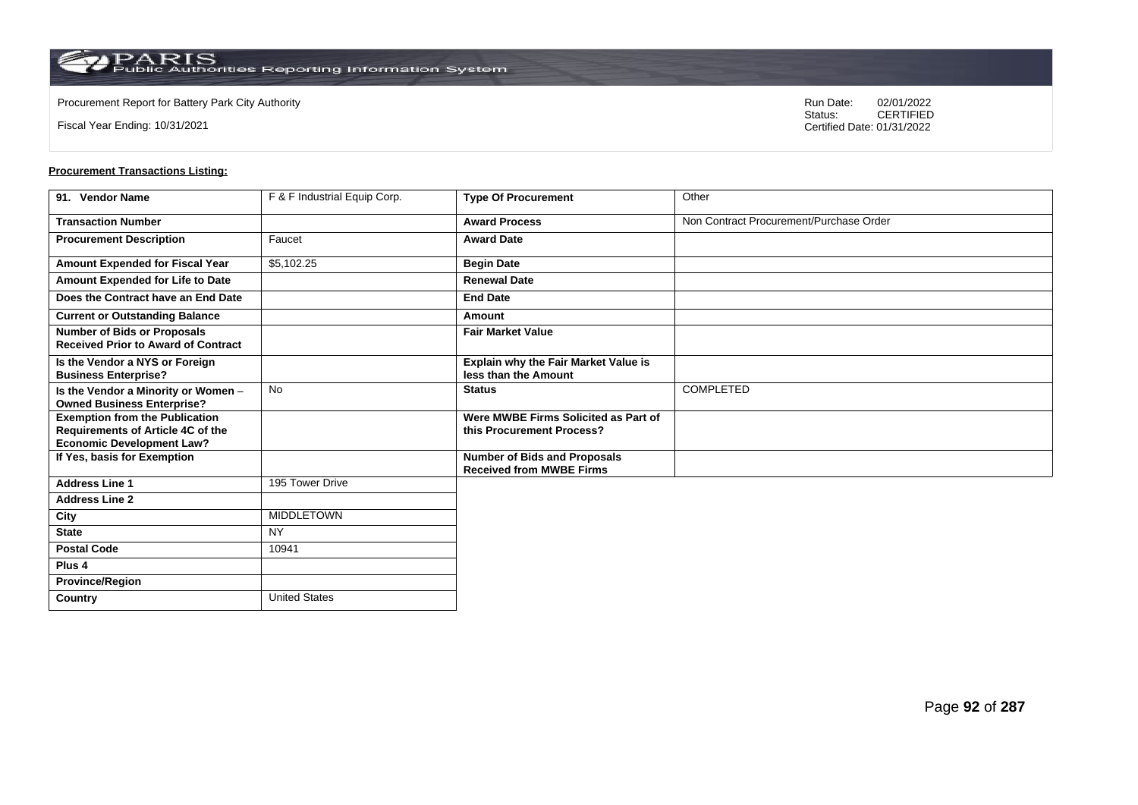Fiscal Year Ending: 10/31/2021

Procurement Report for Battery Park City Authority **National State Concrete Concrete Concrete Concrete Concrete Concrete Concrete Concrete Concrete Concrete Concrete Concrete Concrete Concrete Concrete Concrete Concrete Co** CERTIFIED Certified Date: 01/31/2022

| 91. Vendor Name                                                                                                | F & F Industrial Equip Corp. | <b>Type Of Procurement</b>                                             | Other                                   |
|----------------------------------------------------------------------------------------------------------------|------------------------------|------------------------------------------------------------------------|-----------------------------------------|
| <b>Transaction Number</b>                                                                                      |                              | <b>Award Process</b>                                                   | Non Contract Procurement/Purchase Order |
| <b>Procurement Description</b>                                                                                 | Faucet                       | <b>Award Date</b>                                                      |                                         |
| <b>Amount Expended for Fiscal Year</b>                                                                         | \$5,102.25                   | <b>Begin Date</b>                                                      |                                         |
| Amount Expended for Life to Date                                                                               |                              | <b>Renewal Date</b>                                                    |                                         |
| Does the Contract have an End Date                                                                             |                              | <b>End Date</b>                                                        |                                         |
| <b>Current or Outstanding Balance</b>                                                                          |                              | Amount                                                                 |                                         |
| <b>Number of Bids or Proposals</b><br><b>Received Prior to Award of Contract</b>                               |                              | <b>Fair Market Value</b>                                               |                                         |
| Is the Vendor a NYS or Foreign<br><b>Business Enterprise?</b>                                                  |                              | Explain why the Fair Market Value is<br>less than the Amount           |                                         |
| Is the Vendor a Minority or Women -<br><b>Owned Business Enterprise?</b>                                       | <b>No</b>                    | <b>Status</b>                                                          | <b>COMPLETED</b>                        |
| <b>Exemption from the Publication</b><br>Requirements of Article 4C of the<br><b>Economic Development Law?</b> |                              | Were MWBE Firms Solicited as Part of<br>this Procurement Process?      |                                         |
| If Yes, basis for Exemption                                                                                    |                              | <b>Number of Bids and Proposals</b><br><b>Received from MWBE Firms</b> |                                         |
| <b>Address Line 1</b>                                                                                          | 195 Tower Drive              |                                                                        |                                         |
| <b>Address Line 2</b>                                                                                          |                              |                                                                        |                                         |
| City                                                                                                           | <b>MIDDLETOWN</b>            |                                                                        |                                         |
| <b>State</b>                                                                                                   | <b>NY</b>                    |                                                                        |                                         |
| <b>Postal Code</b>                                                                                             | 10941                        |                                                                        |                                         |
| Plus <sub>4</sub>                                                                                              |                              |                                                                        |                                         |
| <b>Province/Region</b>                                                                                         |                              |                                                                        |                                         |
| Country                                                                                                        | <b>United States</b>         |                                                                        |                                         |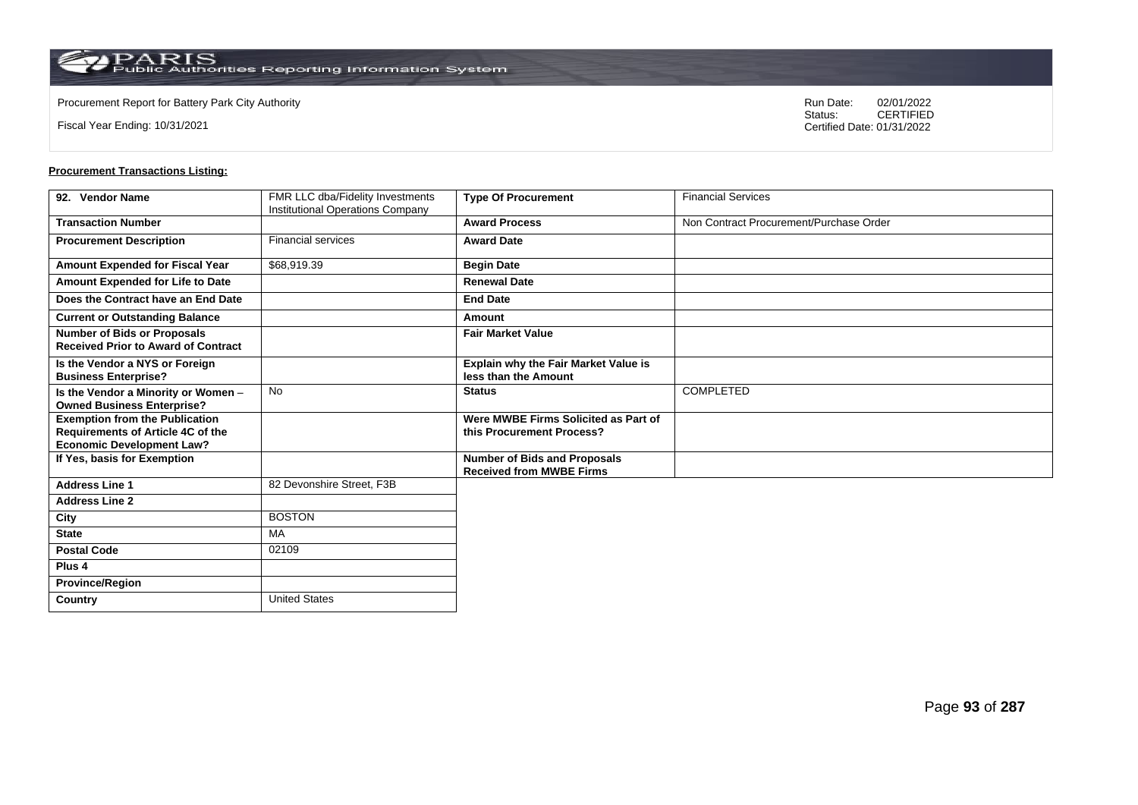Fiscal Year Ending: 10/31/2021

Procurement Report for Battery Park City Authority **National State Concrete Concrete Concrete Concrete Concrete Concrete Concrete Concrete Concrete Concrete Concrete Concrete Concrete Concrete Concrete Concrete Concrete Co** CERTIFIED Certified Date: 01/31/2022

| 92. Vendor Name                                                                                                | FMR LLC dba/Fidelity Investments<br>Institutional Operations Company | <b>Type Of Procurement</b>                                             | <b>Financial Services</b>               |
|----------------------------------------------------------------------------------------------------------------|----------------------------------------------------------------------|------------------------------------------------------------------------|-----------------------------------------|
| <b>Transaction Number</b>                                                                                      |                                                                      | <b>Award Process</b>                                                   | Non Contract Procurement/Purchase Order |
| <b>Procurement Description</b>                                                                                 | <b>Financial services</b>                                            | <b>Award Date</b>                                                      |                                         |
| Amount Expended for Fiscal Year                                                                                | \$68,919.39                                                          | <b>Begin Date</b>                                                      |                                         |
| Amount Expended for Life to Date                                                                               |                                                                      | <b>Renewal Date</b>                                                    |                                         |
| Does the Contract have an End Date                                                                             |                                                                      | <b>End Date</b>                                                        |                                         |
| <b>Current or Outstanding Balance</b>                                                                          |                                                                      | Amount                                                                 |                                         |
| <b>Number of Bids or Proposals</b><br><b>Received Prior to Award of Contract</b>                               |                                                                      | <b>Fair Market Value</b>                                               |                                         |
| Is the Vendor a NYS or Foreign<br><b>Business Enterprise?</b>                                                  |                                                                      | Explain why the Fair Market Value is<br>less than the Amount           |                                         |
| Is the Vendor a Minority or Women -<br><b>Owned Business Enterprise?</b>                                       | <b>No</b>                                                            | <b>Status</b>                                                          | <b>COMPLETED</b>                        |
| <b>Exemption from the Publication</b><br>Requirements of Article 4C of the<br><b>Economic Development Law?</b> |                                                                      | Were MWBE Firms Solicited as Part of<br>this Procurement Process?      |                                         |
| If Yes, basis for Exemption                                                                                    |                                                                      | <b>Number of Bids and Proposals</b><br><b>Received from MWBE Firms</b> |                                         |
| <b>Address Line 1</b>                                                                                          | 82 Devonshire Street, F3B                                            |                                                                        |                                         |
| <b>Address Line 2</b>                                                                                          |                                                                      |                                                                        |                                         |
| City                                                                                                           | <b>BOSTON</b>                                                        |                                                                        |                                         |
| <b>State</b>                                                                                                   | MA                                                                   |                                                                        |                                         |
| <b>Postal Code</b>                                                                                             | 02109                                                                |                                                                        |                                         |
| Plus <sub>4</sub>                                                                                              |                                                                      |                                                                        |                                         |
| <b>Province/Region</b>                                                                                         |                                                                      |                                                                        |                                         |
| Country                                                                                                        | <b>United States</b>                                                 |                                                                        |                                         |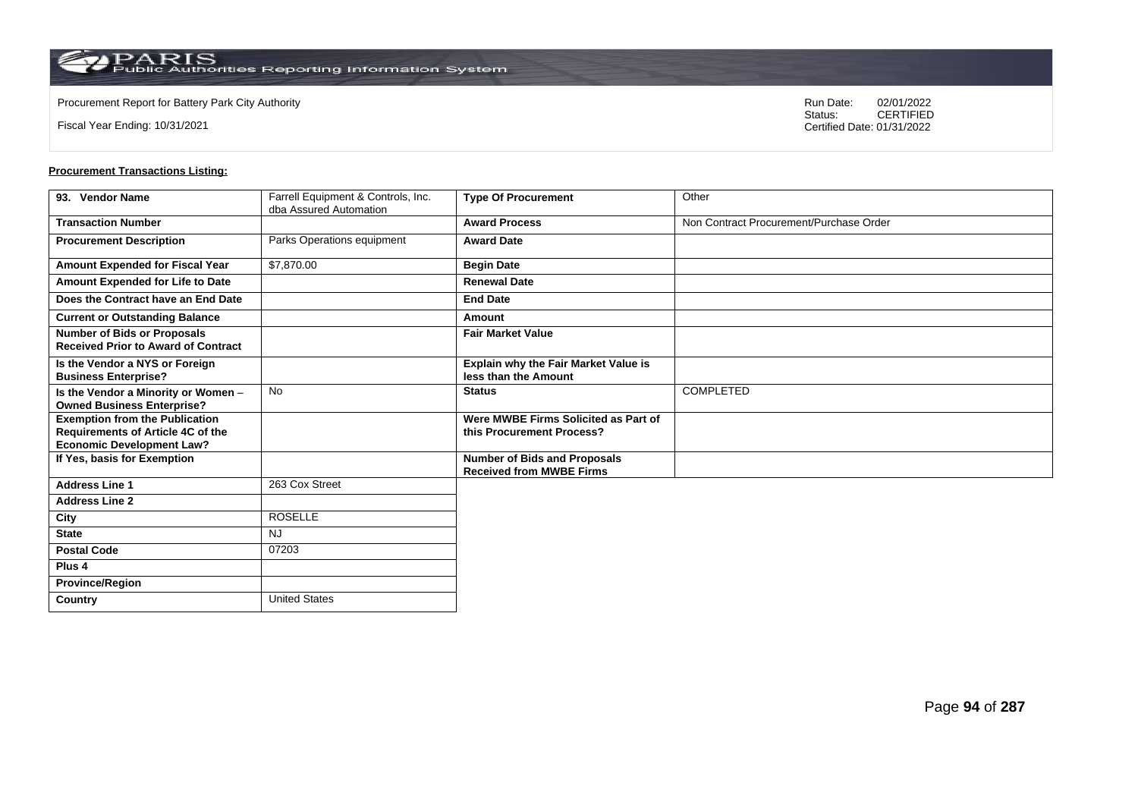**Country** United States

Fiscal Year Ending: 10/31/2021

Procurement Report for Battery Park City Authority **National State Concrete Concrete Concrete Concrete Concrete Concrete Concrete Concrete Concrete Concrete Concrete Concrete Concrete Concrete Concrete Concrete Concrete Co** CERTIFIED Certified Date: 01/31/2022

| 93. Vendor Name                                                                                                | Farrell Equipment & Controls, Inc. | <b>Type Of Procurement</b>                                             | Other                                   |
|----------------------------------------------------------------------------------------------------------------|------------------------------------|------------------------------------------------------------------------|-----------------------------------------|
|                                                                                                                | dba Assured Automation             |                                                                        |                                         |
| <b>Transaction Number</b>                                                                                      |                                    | <b>Award Process</b>                                                   | Non Contract Procurement/Purchase Order |
| <b>Procurement Description</b>                                                                                 | Parks Operations equipment         | <b>Award Date</b>                                                      |                                         |
| Amount Expended for Fiscal Year                                                                                | \$7,870.00                         | <b>Begin Date</b>                                                      |                                         |
| Amount Expended for Life to Date                                                                               |                                    | <b>Renewal Date</b>                                                    |                                         |
| Does the Contract have an End Date                                                                             |                                    | <b>End Date</b>                                                        |                                         |
| <b>Current or Outstanding Balance</b>                                                                          |                                    | Amount                                                                 |                                         |
| <b>Number of Bids or Proposals</b><br><b>Received Prior to Award of Contract</b>                               |                                    | <b>Fair Market Value</b>                                               |                                         |
| Is the Vendor a NYS or Foreign<br><b>Business Enterprise?</b>                                                  |                                    | Explain why the Fair Market Value is<br>less than the Amount           |                                         |
| Is the Vendor a Minority or Women -<br><b>Owned Business Enterprise?</b>                                       | <b>No</b>                          | <b>Status</b>                                                          | <b>COMPLETED</b>                        |
| <b>Exemption from the Publication</b><br>Requirements of Article 4C of the<br><b>Economic Development Law?</b> |                                    | Were MWBE Firms Solicited as Part of<br>this Procurement Process?      |                                         |
| If Yes, basis for Exemption                                                                                    |                                    | <b>Number of Bids and Proposals</b><br><b>Received from MWBE Firms</b> |                                         |
| <b>Address Line 1</b>                                                                                          | 263 Cox Street                     |                                                                        |                                         |
| <b>Address Line 2</b>                                                                                          |                                    |                                                                        |                                         |
| City                                                                                                           | <b>ROSELLE</b>                     |                                                                        |                                         |
| <b>State</b>                                                                                                   | <b>NJ</b>                          |                                                                        |                                         |
| <b>Postal Code</b>                                                                                             | 07203                              |                                                                        |                                         |
| Plus <sub>4</sub>                                                                                              |                                    |                                                                        |                                         |
| <b>Province/Region</b>                                                                                         |                                    |                                                                        |                                         |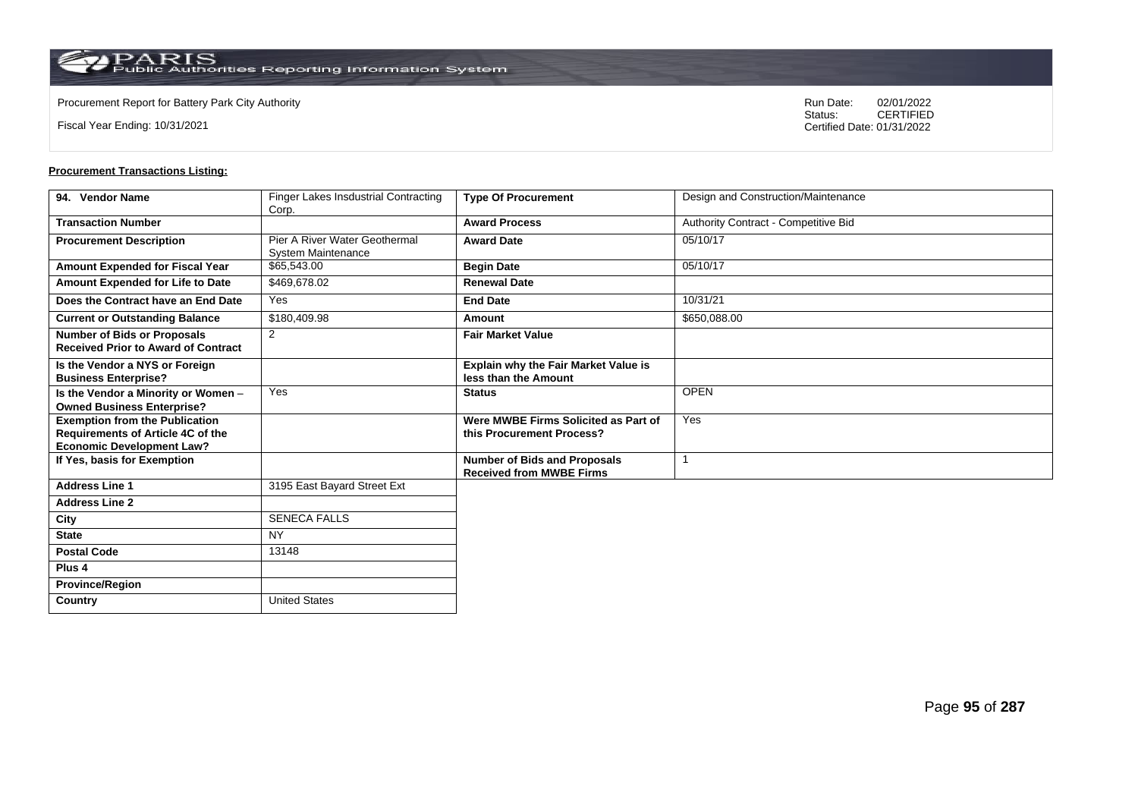Fiscal Year Ending: 10/31/2021

Procurement Report for Battery Park City Authority **National State Concrete Concrete Concrete Concrete Concrete Concrete Concrete Concrete Concrete Concrete Concrete Concrete Concrete Concrete Concrete Concrete Concrete Co** CERTIFIED Certified Date: 01/31/2022

| 94. Vendor Name                            | <b>Finger Lakes Insdustrial Contracting</b> | <b>Type Of Procurement</b>                  | Design and Construction/Maintenance  |
|--------------------------------------------|---------------------------------------------|---------------------------------------------|--------------------------------------|
|                                            | Corp.                                       |                                             |                                      |
| <b>Transaction Number</b>                  |                                             | <b>Award Process</b>                        | Authority Contract - Competitive Bid |
| <b>Procurement Description</b>             | Pier A River Water Geothermal               | <b>Award Date</b>                           | 05/10/17                             |
|                                            | <b>System Maintenance</b>                   |                                             |                                      |
| Amount Expended for Fiscal Year            | \$65,543.00                                 | <b>Begin Date</b>                           | 05/10/17                             |
| Amount Expended for Life to Date           | \$469,678.02                                | <b>Renewal Date</b>                         |                                      |
| Does the Contract have an End Date         | <b>Yes</b>                                  | <b>End Date</b>                             | 10/31/21                             |
| <b>Current or Outstanding Balance</b>      | \$180,409.98                                | Amount                                      | \$650,088.00                         |
| <b>Number of Bids or Proposals</b>         | $\overline{2}$                              | <b>Fair Market Value</b>                    |                                      |
| <b>Received Prior to Award of Contract</b> |                                             |                                             |                                      |
| Is the Vendor a NYS or Foreign             |                                             | <b>Explain why the Fair Market Value is</b> |                                      |
| <b>Business Enterprise?</b>                |                                             | less than the Amount                        |                                      |
| Is the Vendor a Minority or Women -        | Yes                                         | <b>Status</b>                               | <b>OPEN</b>                          |
| <b>Owned Business Enterprise?</b>          |                                             |                                             |                                      |
| <b>Exemption from the Publication</b>      |                                             | Were MWBE Firms Solicited as Part of        | Yes                                  |
| Requirements of Article 4C of the          |                                             | this Procurement Process?                   |                                      |
| <b>Economic Development Law?</b>           |                                             |                                             |                                      |
| If Yes, basis for Exemption                |                                             | <b>Number of Bids and Proposals</b>         | -1                                   |
|                                            |                                             | <b>Received from MWBE Firms</b>             |                                      |
| <b>Address Line 1</b>                      | 3195 East Bayard Street Ext                 |                                             |                                      |
| <b>Address Line 2</b>                      |                                             |                                             |                                      |
| City                                       | <b>SENECA FALLS</b>                         |                                             |                                      |
| <b>State</b>                               | <b>NY</b>                                   |                                             |                                      |
| <b>Postal Code</b>                         | 13148                                       |                                             |                                      |
| Plus <sub>4</sub>                          |                                             |                                             |                                      |
| <b>Province/Region</b>                     |                                             |                                             |                                      |
| Country                                    | <b>United States</b>                        |                                             |                                      |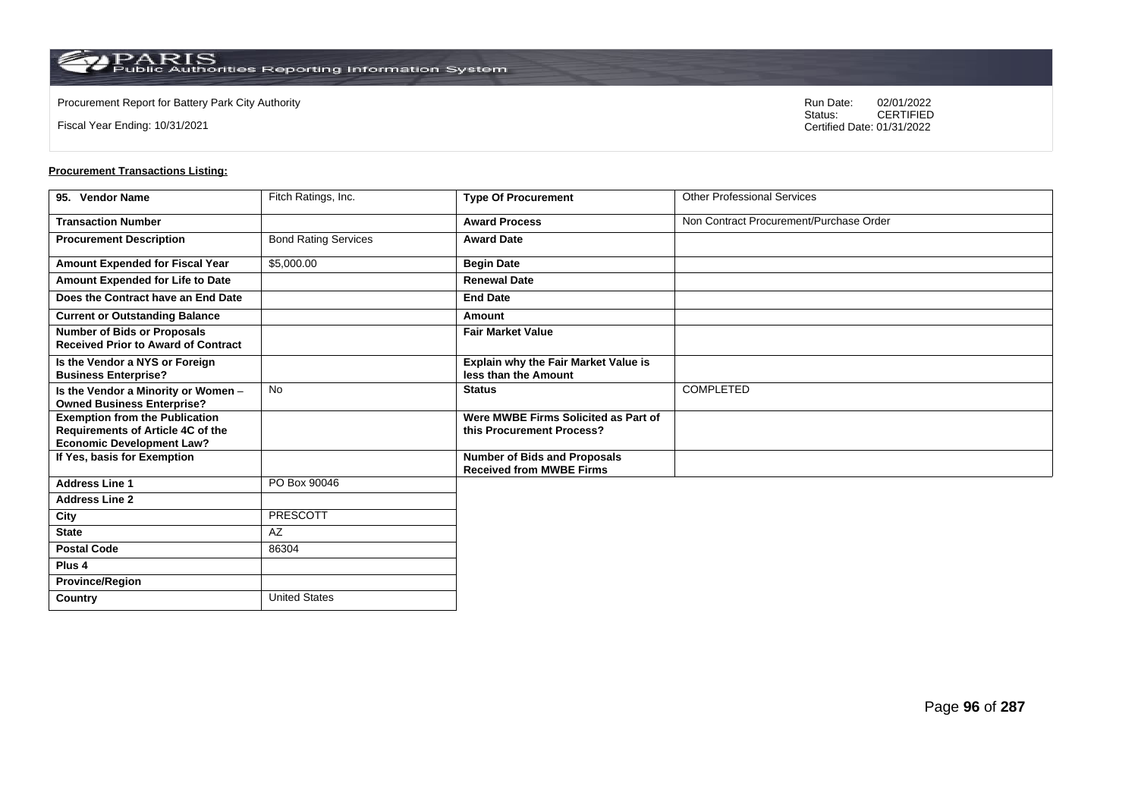**Country** United States

Fiscal Year Ending: 10/31/2021

Procurement Report for Battery Park City Authority **National State Concrete Concrete Concrete Concrete Concrete Concrete Concrete Concrete Concrete Concrete Concrete Concrete Concrete Concrete Concrete Concrete Concrete Co** CERTIFIED Certified Date: 01/31/2022

| 95. Vendor Name                                                                                                       | Fitch Ratings, Inc.         | <b>Type Of Procurement</b>                                             | <b>Other Professional Services</b>      |
|-----------------------------------------------------------------------------------------------------------------------|-----------------------------|------------------------------------------------------------------------|-----------------------------------------|
| <b>Transaction Number</b>                                                                                             |                             | <b>Award Process</b>                                                   | Non Contract Procurement/Purchase Order |
| <b>Procurement Description</b>                                                                                        | <b>Bond Rating Services</b> | <b>Award Date</b>                                                      |                                         |
| Amount Expended for Fiscal Year                                                                                       | \$5,000.00                  | <b>Begin Date</b>                                                      |                                         |
| Amount Expended for Life to Date                                                                                      |                             | <b>Renewal Date</b>                                                    |                                         |
| Does the Contract have an End Date                                                                                    |                             | <b>End Date</b>                                                        |                                         |
| <b>Current or Outstanding Balance</b>                                                                                 |                             | Amount                                                                 |                                         |
| <b>Number of Bids or Proposals</b><br><b>Received Prior to Award of Contract</b>                                      |                             | <b>Fair Market Value</b>                                               |                                         |
| Is the Vendor a NYS or Foreign<br><b>Business Enterprise?</b>                                                         |                             | Explain why the Fair Market Value is<br>less than the Amount           |                                         |
| Is the Vendor a Minority or Women -<br><b>Owned Business Enterprise?</b>                                              | <b>No</b>                   | <b>Status</b>                                                          | COMPLETED                               |
| <b>Exemption from the Publication</b><br><b>Requirements of Article 4C of the</b><br><b>Economic Development Law?</b> |                             | Were MWBE Firms Solicited as Part of<br>this Procurement Process?      |                                         |
| If Yes, basis for Exemption                                                                                           |                             | <b>Number of Bids and Proposals</b><br><b>Received from MWBE Firms</b> |                                         |
| <b>Address Line 1</b>                                                                                                 | PO Box 90046                |                                                                        |                                         |
| <b>Address Line 2</b>                                                                                                 |                             |                                                                        |                                         |
| City                                                                                                                  | <b>PRESCOTT</b>             |                                                                        |                                         |
| <b>State</b>                                                                                                          | <b>AZ</b>                   |                                                                        |                                         |
| <b>Postal Code</b>                                                                                                    | 86304                       |                                                                        |                                         |
| Plus <sub>4</sub>                                                                                                     |                             |                                                                        |                                         |
| <b>Province/Region</b>                                                                                                |                             |                                                                        |                                         |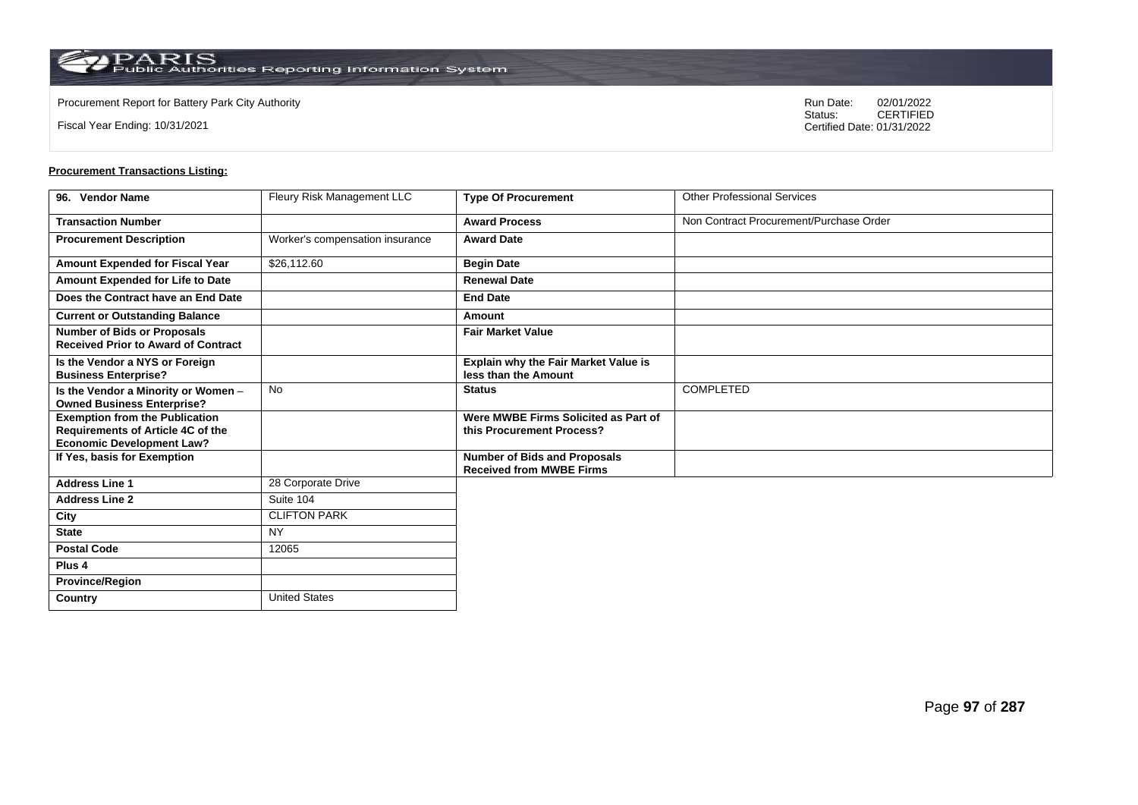Fiscal Year Ending: 10/31/2021

Procurement Report for Battery Park City Authority **National State Concrete Concrete Concrete Concrete Concrete Concrete Concrete Concrete Concrete Concrete Concrete Concrete Concrete Concrete Concrete Concrete Concrete Co** CERTIFIED Certified Date: 01/31/2022

| 96. Vendor Name                                                                   | Fleury Risk Management LLC      | <b>Type Of Procurement</b>                                             | <b>Other Professional Services</b>      |
|-----------------------------------------------------------------------------------|---------------------------------|------------------------------------------------------------------------|-----------------------------------------|
| <b>Transaction Number</b>                                                         |                                 | <b>Award Process</b>                                                   | Non Contract Procurement/Purchase Order |
| <b>Procurement Description</b>                                                    | Worker's compensation insurance | <b>Award Date</b>                                                      |                                         |
| Amount Expended for Fiscal Year                                                   | \$26,112.60                     | <b>Begin Date</b>                                                      |                                         |
| Amount Expended for Life to Date                                                  |                                 | <b>Renewal Date</b>                                                    |                                         |
| Does the Contract have an End Date                                                |                                 | <b>End Date</b>                                                        |                                         |
| <b>Current or Outstanding Balance</b>                                             |                                 | Amount                                                                 |                                         |
| <b>Number of Bids or Proposals</b><br><b>Received Prior to Award of Contract</b>  |                                 | <b>Fair Market Value</b>                                               |                                         |
| Is the Vendor a NYS or Foreign<br><b>Business Enterprise?</b>                     |                                 | Explain why the Fair Market Value is<br>less than the Amount           |                                         |
| Is the Vendor a Minority or Women -<br><b>Owned Business Enterprise?</b>          | <b>No</b>                       | <b>Status</b>                                                          | COMPLETED                               |
| <b>Exemption from the Publication</b><br><b>Requirements of Article 4C of the</b> |                                 | Were MWBE Firms Solicited as Part of<br>this Procurement Process?      |                                         |
| <b>Economic Development Law?</b>                                                  |                                 |                                                                        |                                         |
| If Yes, basis for Exemption                                                       |                                 | <b>Number of Bids and Proposals</b><br><b>Received from MWBE Firms</b> |                                         |
| <b>Address Line 1</b>                                                             | 28 Corporate Drive              |                                                                        |                                         |
| <b>Address Line 2</b>                                                             | Suite 104                       |                                                                        |                                         |
| City                                                                              | <b>CLIFTON PARK</b>             |                                                                        |                                         |
| <b>State</b>                                                                      | <b>NY</b>                       |                                                                        |                                         |
| <b>Postal Code</b>                                                                | 12065                           |                                                                        |                                         |
| Plus 4                                                                            |                                 |                                                                        |                                         |
| <b>Province/Region</b>                                                            |                                 |                                                                        |                                         |
| Country                                                                           | <b>United States</b>            |                                                                        |                                         |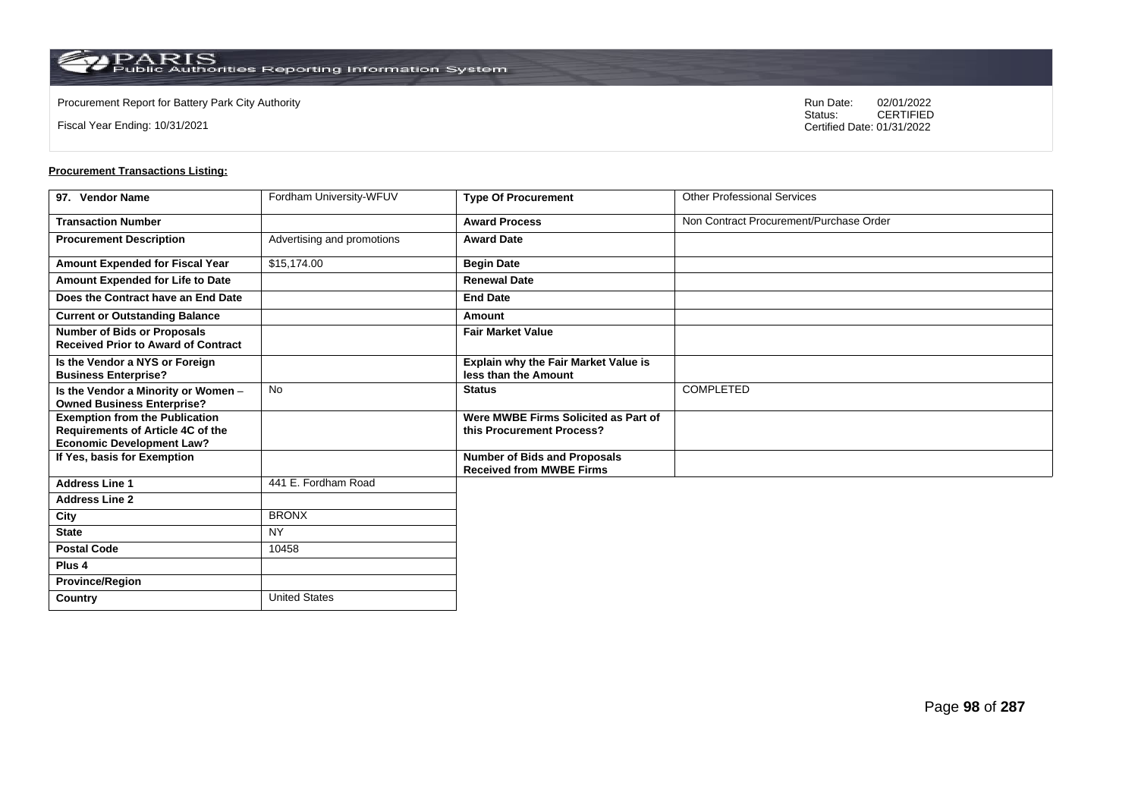**Country** United States

Fiscal Year Ending: 10/31/2021

Procurement Report for Battery Park City Authority **National State Concrete Concrete Concrete Concrete Concrete Concrete Concrete Concrete Concrete Concrete Concrete Concrete Concrete Concrete Concrete Concrete Concrete Co** CERTIFIED Certified Date: 01/31/2022

| 97. Vendor Name                                                                                                | Fordham University-WFUV    | <b>Type Of Procurement</b>                                             | <b>Other Professional Services</b>      |
|----------------------------------------------------------------------------------------------------------------|----------------------------|------------------------------------------------------------------------|-----------------------------------------|
| <b>Transaction Number</b>                                                                                      |                            | <b>Award Process</b>                                                   | Non Contract Procurement/Purchase Order |
| <b>Procurement Description</b>                                                                                 | Advertising and promotions | <b>Award Date</b>                                                      |                                         |
| Amount Expended for Fiscal Year                                                                                | \$15,174.00                | <b>Begin Date</b>                                                      |                                         |
| Amount Expended for Life to Date                                                                               |                            | <b>Renewal Date</b>                                                    |                                         |
| Does the Contract have an End Date                                                                             |                            | <b>End Date</b>                                                        |                                         |
| <b>Current or Outstanding Balance</b>                                                                          |                            | Amount                                                                 |                                         |
| <b>Number of Bids or Proposals</b><br><b>Received Prior to Award of Contract</b>                               |                            | <b>Fair Market Value</b>                                               |                                         |
| Is the Vendor a NYS or Foreign<br><b>Business Enterprise?</b>                                                  |                            | Explain why the Fair Market Value is<br>less than the Amount           |                                         |
| Is the Vendor a Minority or Women -<br><b>Owned Business Enterprise?</b>                                       | <b>No</b>                  | <b>Status</b>                                                          | <b>COMPLETED</b>                        |
| <b>Exemption from the Publication</b><br>Requirements of Article 4C of the<br><b>Economic Development Law?</b> |                            | Were MWBE Firms Solicited as Part of<br>this Procurement Process?      |                                         |
| If Yes, basis for Exemption                                                                                    |                            | <b>Number of Bids and Proposals</b><br><b>Received from MWBE Firms</b> |                                         |
| <b>Address Line 1</b>                                                                                          | 441 E. Fordham Road        |                                                                        |                                         |
| <b>Address Line 2</b>                                                                                          |                            |                                                                        |                                         |
| City                                                                                                           | <b>BRONX</b>               |                                                                        |                                         |
| <b>State</b>                                                                                                   | <b>NY</b>                  |                                                                        |                                         |
| <b>Postal Code</b>                                                                                             | 10458                      |                                                                        |                                         |
| Plus <sub>4</sub>                                                                                              |                            |                                                                        |                                         |
| <b>Province/Region</b>                                                                                         |                            |                                                                        |                                         |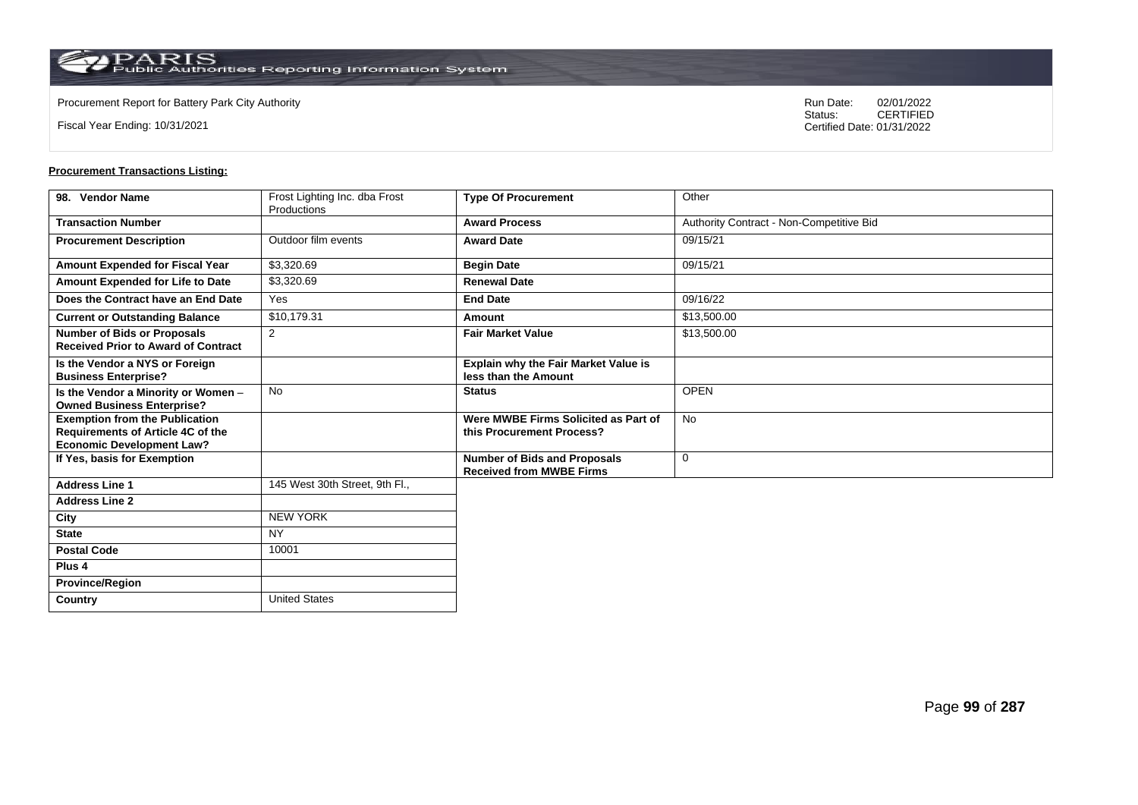**Country** United States

Fiscal Year Ending: 10/31/2021

Procurement Report for Battery Park City Authority **National State Concrete Concrete Concrete Concrete Concrete Concrete Concrete Concrete Concrete Concrete Concrete Concrete Concrete Concrete Concrete Concrete Concrete Co** CERTIFIED Certified Date: 01/31/2022

| 98. Vendor Name                                                                                                | Frost Lighting Inc. dba Frost | <b>Type Of Procurement</b>                                             | Other                                    |
|----------------------------------------------------------------------------------------------------------------|-------------------------------|------------------------------------------------------------------------|------------------------------------------|
|                                                                                                                | Productions                   |                                                                        |                                          |
| <b>Transaction Number</b>                                                                                      |                               | <b>Award Process</b>                                                   | Authority Contract - Non-Competitive Bid |
| <b>Procurement Description</b>                                                                                 | Outdoor film events           | <b>Award Date</b>                                                      | 09/15/21                                 |
| <b>Amount Expended for Fiscal Year</b>                                                                         | \$3,320.69                    | <b>Begin Date</b>                                                      | 09/15/21                                 |
| Amount Expended for Life to Date                                                                               | \$3,320.69                    | <b>Renewal Date</b>                                                    |                                          |
| Does the Contract have an End Date                                                                             | Yes                           | <b>End Date</b>                                                        | 09/16/22                                 |
| <b>Current or Outstanding Balance</b>                                                                          | \$10,179.31                   | Amount                                                                 | \$13,500.00                              |
| <b>Number of Bids or Proposals</b><br><b>Received Prior to Award of Contract</b>                               | 2                             | <b>Fair Market Value</b>                                               | \$13,500.00                              |
| Is the Vendor a NYS or Foreign<br><b>Business Enterprise?</b>                                                  |                               | <b>Explain why the Fair Market Value is</b><br>less than the Amount    |                                          |
| Is the Vendor a Minority or Women -<br><b>Owned Business Enterprise?</b>                                       | <b>No</b>                     | <b>Status</b>                                                          | <b>OPEN</b>                              |
| <b>Exemption from the Publication</b><br>Requirements of Article 4C of the<br><b>Economic Development Law?</b> |                               | Were MWBE Firms Solicited as Part of<br>this Procurement Process?      | <b>No</b>                                |
| If Yes, basis for Exemption                                                                                    |                               | <b>Number of Bids and Proposals</b><br><b>Received from MWBE Firms</b> | 0                                        |
| <b>Address Line 1</b>                                                                                          | 145 West 30th Street. 9th Fl  |                                                                        |                                          |
| <b>Address Line 2</b>                                                                                          |                               |                                                                        |                                          |
| City                                                                                                           | <b>NEW YORK</b>               |                                                                        |                                          |
| <b>State</b>                                                                                                   | <b>NY</b>                     |                                                                        |                                          |
| <b>Postal Code</b>                                                                                             | 10001                         |                                                                        |                                          |
| Plus <sub>4</sub>                                                                                              |                               |                                                                        |                                          |
| <b>Province/Region</b>                                                                                         |                               |                                                                        |                                          |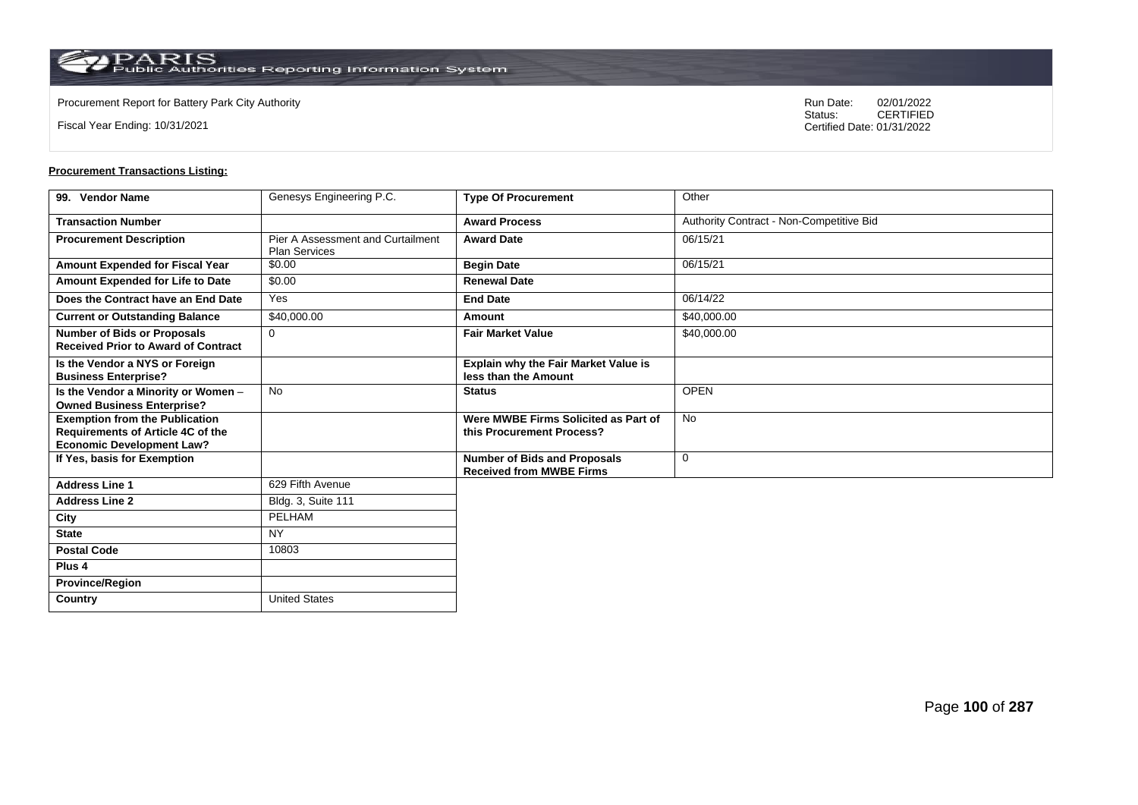Fiscal Year Ending: 10/31/2021

Procurement Report for Battery Park City Authority **National State Concrete Concrete Concrete Concrete Concrete Concrete Concrete Concrete Concrete Concrete Concrete Concrete Concrete Concrete Concrete Concrete Concrete Co** CERTIFIED Certified Date: 01/31/2022

| 99. Vendor Name                                                                                                       | Genesys Engineering P.C.                                         | <b>Type Of Procurement</b>                                             | Other                                    |
|-----------------------------------------------------------------------------------------------------------------------|------------------------------------------------------------------|------------------------------------------------------------------------|------------------------------------------|
| <b>Transaction Number</b>                                                                                             |                                                                  | <b>Award Process</b>                                                   | Authority Contract - Non-Competitive Bid |
| <b>Procurement Description</b>                                                                                        | <b>Pier A Assessment and Curtailment</b><br><b>Plan Services</b> | <b>Award Date</b>                                                      | 06/15/21                                 |
| Amount Expended for Fiscal Year                                                                                       | \$0.00                                                           | <b>Begin Date</b>                                                      | 06/15/21                                 |
| Amount Expended for Life to Date                                                                                      | \$0.00                                                           | <b>Renewal Date</b>                                                    |                                          |
| Does the Contract have an End Date                                                                                    | Yes                                                              | <b>End Date</b>                                                        | 06/14/22                                 |
| <b>Current or Outstanding Balance</b>                                                                                 | \$40,000.00                                                      | Amount                                                                 | \$40,000.00                              |
| <b>Number of Bids or Proposals</b><br><b>Received Prior to Award of Contract</b>                                      | $\Omega$                                                         | <b>Fair Market Value</b>                                               | \$40,000.00                              |
| Is the Vendor a NYS or Foreign<br><b>Business Enterprise?</b>                                                         |                                                                  | <b>Explain why the Fair Market Value is</b><br>less than the Amount    |                                          |
| Is the Vendor a Minority or Women -<br><b>Owned Business Enterprise?</b>                                              | <b>No</b>                                                        | <b>Status</b>                                                          | <b>OPEN</b>                              |
| <b>Exemption from the Publication</b><br><b>Requirements of Article 4C of the</b><br><b>Economic Development Law?</b> |                                                                  | Were MWBE Firms Solicited as Part of<br>this Procurement Process?      | <b>No</b>                                |
| If Yes, basis for Exemption                                                                                           |                                                                  | <b>Number of Bids and Proposals</b><br><b>Received from MWBE Firms</b> | 0                                        |
| <b>Address Line 1</b>                                                                                                 | 629 Fifth Avenue                                                 |                                                                        |                                          |
| <b>Address Line 2</b>                                                                                                 | Bldg. 3, Suite 111                                               |                                                                        |                                          |
| City                                                                                                                  | PELHAM                                                           |                                                                        |                                          |
| <b>State</b>                                                                                                          | <b>NY</b>                                                        |                                                                        |                                          |
| <b>Postal Code</b>                                                                                                    | 10803                                                            |                                                                        |                                          |
| Plus <sub>4</sub>                                                                                                     |                                                                  |                                                                        |                                          |
| <b>Province/Region</b>                                                                                                |                                                                  |                                                                        |                                          |
| Country                                                                                                               | <b>United States</b>                                             |                                                                        |                                          |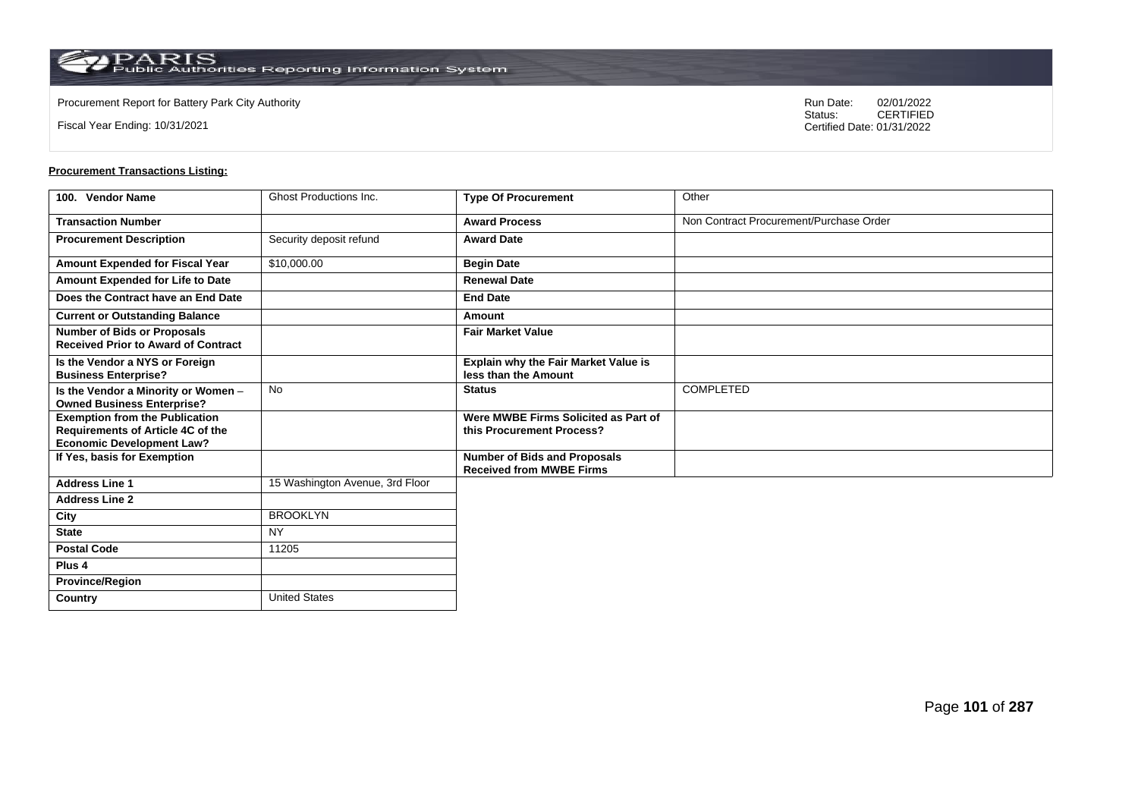**Country** United States

Fiscal Year Ending: 10/31/2021

Procurement Report for Battery Park City Authority **National State Concrete Concrete Concrete Concrete Concrete Concrete Concrete Concrete Concrete Concrete Concrete Concrete Concrete Concrete Concrete Concrete Concrete Co** CERTIFIED Certified Date: 01/31/2022

| 100. Vendor Name                                                                                               | <b>Ghost Productions Inc.</b>   | <b>Type Of Procurement</b>                                             | Other                                   |
|----------------------------------------------------------------------------------------------------------------|---------------------------------|------------------------------------------------------------------------|-----------------------------------------|
| <b>Transaction Number</b>                                                                                      |                                 | <b>Award Process</b>                                                   | Non Contract Procurement/Purchase Order |
| <b>Procurement Description</b>                                                                                 | Security deposit refund         | <b>Award Date</b>                                                      |                                         |
| <b>Amount Expended for Fiscal Year</b>                                                                         | \$10,000.00                     | <b>Begin Date</b>                                                      |                                         |
| Amount Expended for Life to Date                                                                               |                                 | <b>Renewal Date</b>                                                    |                                         |
| Does the Contract have an End Date                                                                             |                                 | <b>End Date</b>                                                        |                                         |
| <b>Current or Outstanding Balance</b>                                                                          |                                 | Amount                                                                 |                                         |
| <b>Number of Bids or Proposals</b><br><b>Received Prior to Award of Contract</b>                               |                                 | <b>Fair Market Value</b>                                               |                                         |
| Is the Vendor a NYS or Foreign<br><b>Business Enterprise?</b>                                                  |                                 | Explain why the Fair Market Value is<br>less than the Amount           |                                         |
| Is the Vendor a Minority or Women -<br><b>Owned Business Enterprise?</b>                                       | No                              | <b>Status</b>                                                          | <b>COMPLETED</b>                        |
| <b>Exemption from the Publication</b><br>Requirements of Article 4C of the<br><b>Economic Development Law?</b> |                                 | Were MWBE Firms Solicited as Part of<br>this Procurement Process?      |                                         |
| If Yes, basis for Exemption                                                                                    |                                 | <b>Number of Bids and Proposals</b><br><b>Received from MWBE Firms</b> |                                         |
| <b>Address Line 1</b>                                                                                          | 15 Washington Avenue, 3rd Floor |                                                                        |                                         |
| <b>Address Line 2</b>                                                                                          |                                 |                                                                        |                                         |
| City                                                                                                           | <b>BROOKLYN</b>                 |                                                                        |                                         |
| <b>State</b>                                                                                                   | <b>NY</b>                       |                                                                        |                                         |
| <b>Postal Code</b>                                                                                             | 11205                           |                                                                        |                                         |
| Plus <sub>4</sub>                                                                                              |                                 |                                                                        |                                         |
| <b>Province/Region</b>                                                                                         |                                 |                                                                        |                                         |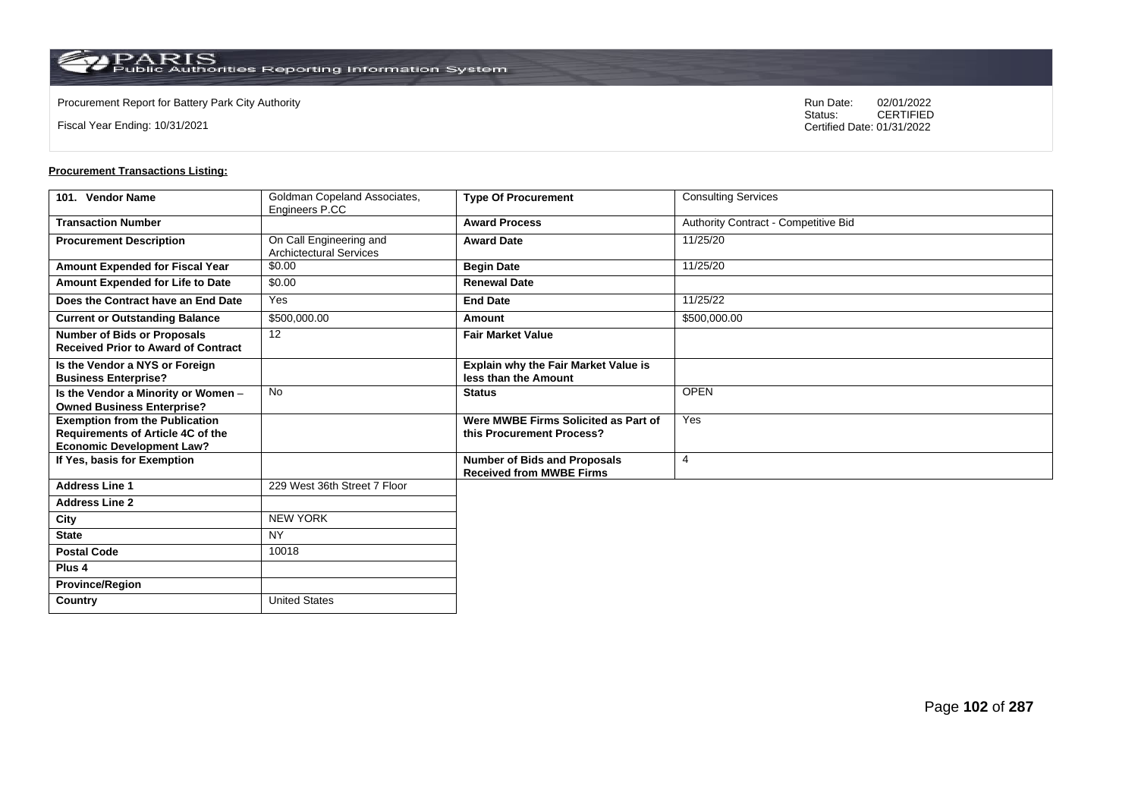Fiscal Year Ending: 10/31/2021

Procurement Report for Battery Park City Authority **National State Concrete Concrete Concrete Concrete Concrete Concrete Concrete Concrete Concrete Concrete Concrete Concrete Concrete Concrete Concrete Concrete Concrete Co** CERTIFIED Certified Date: 01/31/2022

| 101. Vendor Name                                                                                               | Goldman Copeland Associates,<br>Engineers P.CC            | <b>Type Of Procurement</b>                                             | <b>Consulting Services</b>           |
|----------------------------------------------------------------------------------------------------------------|-----------------------------------------------------------|------------------------------------------------------------------------|--------------------------------------|
| <b>Transaction Number</b>                                                                                      |                                                           | <b>Award Process</b>                                                   | Authority Contract - Competitive Bid |
| <b>Procurement Description</b>                                                                                 | On Call Engineering and<br><b>Archictectural Services</b> | <b>Award Date</b>                                                      | 11/25/20                             |
| <b>Amount Expended for Fiscal Year</b>                                                                         | \$0.00                                                    | <b>Begin Date</b>                                                      | 11/25/20                             |
| Amount Expended for Life to Date                                                                               | \$0.00                                                    | <b>Renewal Date</b>                                                    |                                      |
| Does the Contract have an End Date                                                                             | Yes                                                       | <b>End Date</b>                                                        | 11/25/22                             |
| <b>Current or Outstanding Balance</b>                                                                          | \$500,000.00                                              | Amount                                                                 | \$500,000.00                         |
| <b>Number of Bids or Proposals</b><br><b>Received Prior to Award of Contract</b>                               | 12                                                        | <b>Fair Market Value</b>                                               |                                      |
| Is the Vendor a NYS or Foreign<br><b>Business Enterprise?</b>                                                  |                                                           | Explain why the Fair Market Value is<br>less than the Amount           |                                      |
| Is the Vendor a Minority or Women -<br><b>Owned Business Enterprise?</b>                                       | <b>No</b>                                                 | <b>Status</b>                                                          | <b>OPEN</b>                          |
| <b>Exemption from the Publication</b><br>Requirements of Article 4C of the<br><b>Economic Development Law?</b> |                                                           | Were MWBE Firms Solicited as Part of<br>this Procurement Process?      | Yes                                  |
| If Yes, basis for Exemption                                                                                    |                                                           | <b>Number of Bids and Proposals</b><br><b>Received from MWBE Firms</b> | $\overline{4}$                       |
| <b>Address Line 1</b>                                                                                          | 229 West 36th Street 7 Floor                              |                                                                        |                                      |
| <b>Address Line 2</b>                                                                                          |                                                           |                                                                        |                                      |
| City                                                                                                           | <b>NEW YORK</b>                                           |                                                                        |                                      |
| <b>State</b>                                                                                                   | <b>NY</b>                                                 |                                                                        |                                      |
| <b>Postal Code</b>                                                                                             | 10018                                                     |                                                                        |                                      |
| Plus <sub>4</sub>                                                                                              |                                                           |                                                                        |                                      |
| <b>Province/Region</b>                                                                                         |                                                           |                                                                        |                                      |
| Country                                                                                                        | <b>United States</b>                                      |                                                                        |                                      |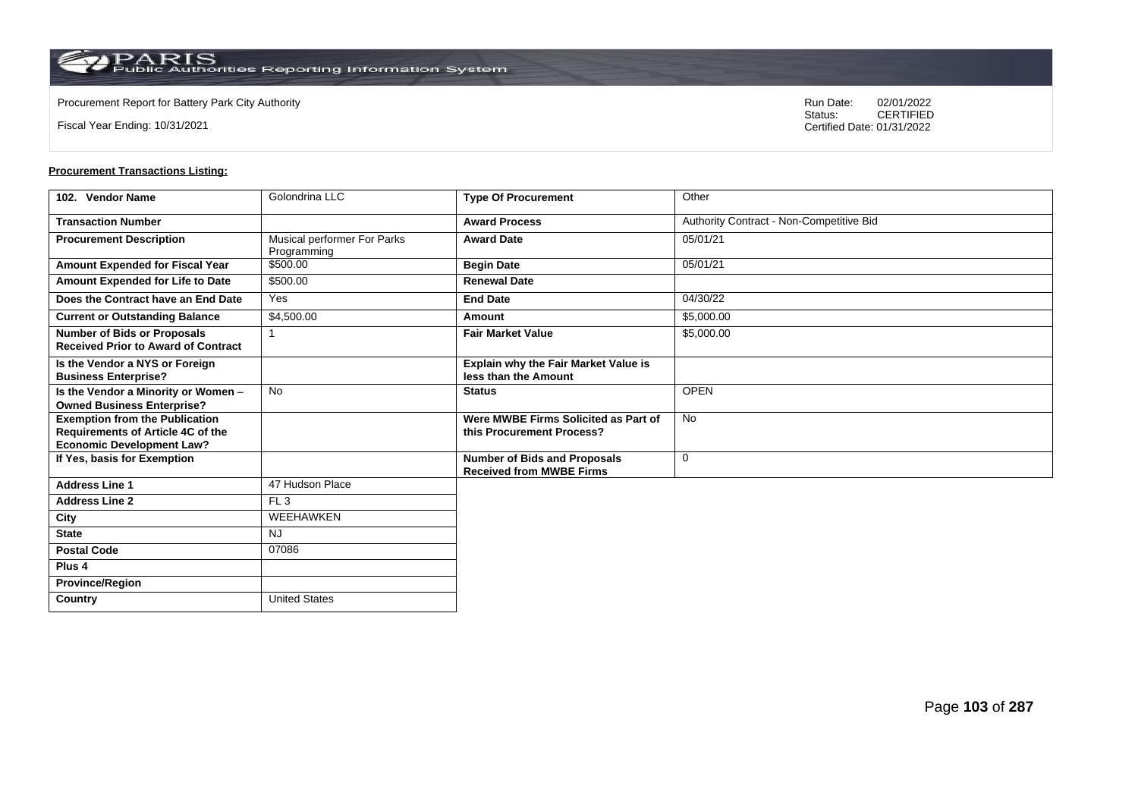**Country** United States

Fiscal Year Ending: 10/31/2021

Procurement Report for Battery Park City Authority **National State Concrete Concrete Concrete Concrete Concrete Concrete Concrete Concrete Concrete Concrete Concrete Concrete Concrete Concrete Concrete Concrete Concrete Co** CERTIFIED Certified Date: 01/31/2022

| 102. Vendor Name                                                                                               | Golondrina LLC                             | <b>Type Of Procurement</b>                                             | Other                                    |
|----------------------------------------------------------------------------------------------------------------|--------------------------------------------|------------------------------------------------------------------------|------------------------------------------|
| <b>Transaction Number</b>                                                                                      |                                            | <b>Award Process</b>                                                   | Authority Contract - Non-Competitive Bid |
| <b>Procurement Description</b>                                                                                 | Musical performer For Parks<br>Programming | <b>Award Date</b>                                                      | 05/01/21                                 |
| Amount Expended for Fiscal Year                                                                                | \$500.00                                   | <b>Begin Date</b>                                                      | 05/01/21                                 |
| Amount Expended for Life to Date                                                                               | \$500.00                                   | <b>Renewal Date</b>                                                    |                                          |
| Does the Contract have an End Date                                                                             | Yes                                        | <b>End Date</b>                                                        | 04/30/22                                 |
| <b>Current or Outstanding Balance</b>                                                                          | \$4,500.00                                 | Amount                                                                 | \$5,000.00                               |
| <b>Number of Bids or Proposals</b><br><b>Received Prior to Award of Contract</b>                               |                                            | <b>Fair Market Value</b>                                               | \$5,000.00                               |
| Is the Vendor a NYS or Foreign<br><b>Business Enterprise?</b>                                                  |                                            | Explain why the Fair Market Value is<br>less than the Amount           |                                          |
| Is the Vendor a Minority or Women -<br><b>Owned Business Enterprise?</b>                                       | <b>No</b>                                  | <b>Status</b>                                                          | <b>OPEN</b>                              |
| <b>Exemption from the Publication</b><br>Requirements of Article 4C of the<br><b>Economic Development Law?</b> |                                            | Were MWBE Firms Solicited as Part of<br>this Procurement Process?      | <b>No</b>                                |
| If Yes, basis for Exemption                                                                                    |                                            | <b>Number of Bids and Proposals</b><br><b>Received from MWBE Firms</b> | $\mathbf 0$                              |
| <b>Address Line 1</b>                                                                                          | 47 Hudson Place                            |                                                                        |                                          |
| <b>Address Line 2</b>                                                                                          | FL <sub>3</sub>                            |                                                                        |                                          |
| City                                                                                                           | WEEHAWKEN                                  |                                                                        |                                          |
| <b>State</b>                                                                                                   | <b>NJ</b>                                  |                                                                        |                                          |
| <b>Postal Code</b>                                                                                             | 07086                                      |                                                                        |                                          |
| Plus <sub>4</sub>                                                                                              |                                            |                                                                        |                                          |
| <b>Province/Region</b>                                                                                         |                                            |                                                                        |                                          |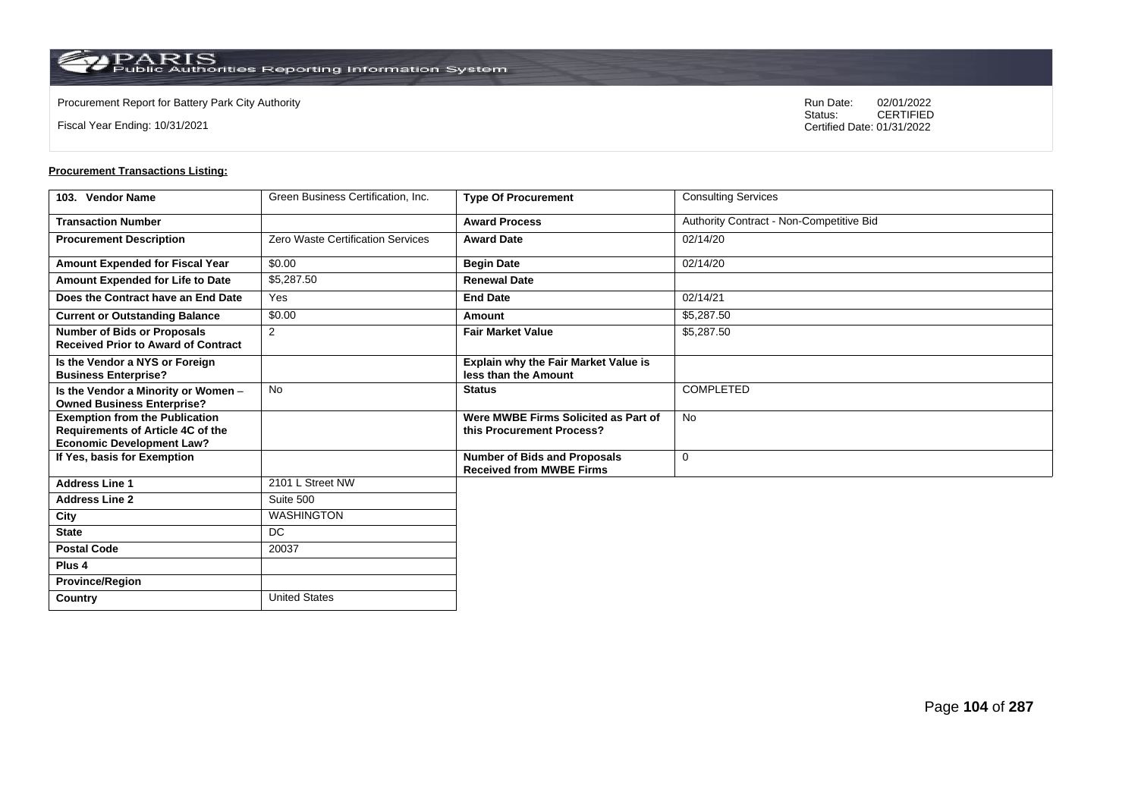**Country** United States

Fiscal Year Ending: 10/31/2021

Procurement Report for Battery Park City Authority **National State Concrete Concrete Concrete Concrete Concrete Concrete Concrete Concrete Concrete Concrete Concrete Concrete Concrete Concrete Concrete Concrete Concrete Co** CERTIFIED Certified Date: 01/31/2022

| 103. Vendor Name                                                                                               | Green Business Certification, Inc.       | <b>Type Of Procurement</b>                                             | <b>Consulting Services</b>               |
|----------------------------------------------------------------------------------------------------------------|------------------------------------------|------------------------------------------------------------------------|------------------------------------------|
| <b>Transaction Number</b>                                                                                      |                                          | <b>Award Process</b>                                                   | Authority Contract - Non-Competitive Bid |
| <b>Procurement Description</b>                                                                                 | <b>Zero Waste Certification Services</b> | <b>Award Date</b>                                                      | 02/14/20                                 |
| Amount Expended for Fiscal Year                                                                                | \$0.00                                   | <b>Begin Date</b>                                                      | 02/14/20                                 |
| Amount Expended for Life to Date                                                                               | \$5,287.50                               | <b>Renewal Date</b>                                                    |                                          |
| Does the Contract have an End Date                                                                             | Yes                                      | <b>End Date</b>                                                        | 02/14/21                                 |
| <b>Current or Outstanding Balance</b>                                                                          | \$0.00                                   | Amount                                                                 | \$5,287.50                               |
| <b>Number of Bids or Proposals</b><br><b>Received Prior to Award of Contract</b>                               | 2                                        | <b>Fair Market Value</b>                                               | \$5,287.50                               |
| Is the Vendor a NYS or Foreign<br><b>Business Enterprise?</b>                                                  |                                          | <b>Explain why the Fair Market Value is</b><br>less than the Amount    |                                          |
| Is the Vendor a Minority or Women -<br><b>Owned Business Enterprise?</b>                                       | No                                       | <b>Status</b>                                                          | <b>COMPLETED</b>                         |
| <b>Exemption from the Publication</b><br>Requirements of Article 4C of the<br><b>Economic Development Law?</b> |                                          | Were MWBE Firms Solicited as Part of<br>this Procurement Process?      | <b>No</b>                                |
| If Yes, basis for Exemption                                                                                    |                                          | <b>Number of Bids and Proposals</b><br><b>Received from MWBE Firms</b> | $\mathbf 0$                              |
| <b>Address Line 1</b>                                                                                          | 2101 L Street NW                         |                                                                        |                                          |
| <b>Address Line 2</b>                                                                                          | Suite 500                                |                                                                        |                                          |
| City                                                                                                           | <b>WASHINGTON</b>                        |                                                                        |                                          |
| <b>State</b>                                                                                                   | <b>DC</b>                                |                                                                        |                                          |
| <b>Postal Code</b>                                                                                             | 20037                                    |                                                                        |                                          |
| Plus <sub>4</sub>                                                                                              |                                          |                                                                        |                                          |
| <b>Province/Region</b>                                                                                         |                                          |                                                                        |                                          |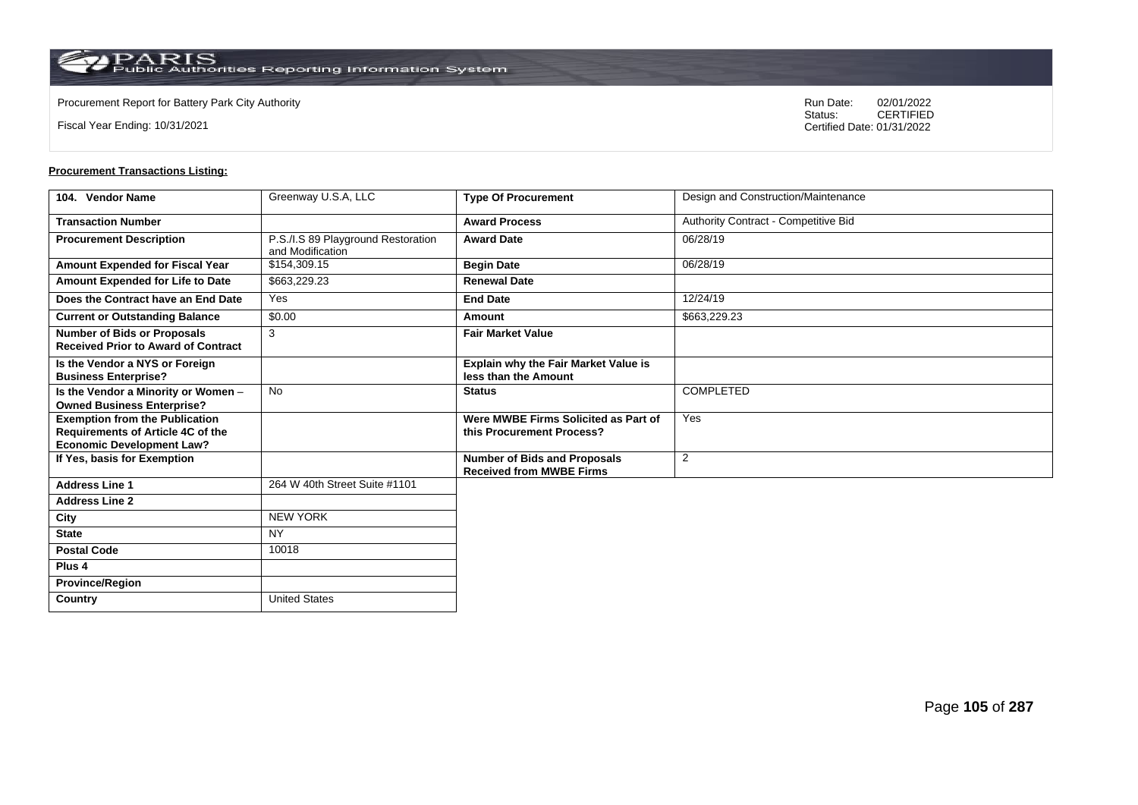**Country** United States

Fiscal Year Ending: 10/31/2021

Procurement Report for Battery Park City Authority **National State Concrete Concrete Concrete Concrete Concrete Concrete Concrete Concrete Concrete Concrete Concrete Concrete Concrete Concrete Concrete Concrete Concrete Co** CERTIFIED Certified Date: 01/31/2022

| 104. Vendor Name                                                                                                      | Greenway U.S.A, LLC                                    | <b>Type Of Procurement</b>                                             | Design and Construction/Maintenance  |
|-----------------------------------------------------------------------------------------------------------------------|--------------------------------------------------------|------------------------------------------------------------------------|--------------------------------------|
| <b>Transaction Number</b>                                                                                             |                                                        | <b>Award Process</b>                                                   | Authority Contract - Competitive Bid |
| <b>Procurement Description</b>                                                                                        | P.S./I.S 89 Playground Restoration<br>and Modification | <b>Award Date</b>                                                      | 06/28/19                             |
| Amount Expended for Fiscal Year                                                                                       | \$154,309.15                                           | <b>Begin Date</b>                                                      | 06/28/19                             |
| Amount Expended for Life to Date                                                                                      | \$663,229.23                                           | <b>Renewal Date</b>                                                    |                                      |
| Does the Contract have an End Date                                                                                    | Yes                                                    | <b>End Date</b>                                                        | 12/24/19                             |
| <b>Current or Outstanding Balance</b>                                                                                 | \$0.00                                                 | Amount                                                                 | \$663,229.23                         |
| <b>Number of Bids or Proposals</b><br><b>Received Prior to Award of Contract</b>                                      | 3                                                      | <b>Fair Market Value</b>                                               |                                      |
| Is the Vendor a NYS or Foreign<br><b>Business Enterprise?</b>                                                         |                                                        | Explain why the Fair Market Value is<br>less than the Amount           |                                      |
| Is the Vendor a Minority or Women -<br><b>Owned Business Enterprise?</b>                                              | <b>No</b>                                              | <b>Status</b>                                                          | <b>COMPLETED</b>                     |
| <b>Exemption from the Publication</b><br><b>Requirements of Article 4C of the</b><br><b>Economic Development Law?</b> |                                                        | Were MWBE Firms Solicited as Part of<br>this Procurement Process?      | Yes                                  |
| If Yes, basis for Exemption                                                                                           |                                                        | <b>Number of Bids and Proposals</b><br><b>Received from MWBE Firms</b> | 2                                    |
| <b>Address Line 1</b>                                                                                                 | 264 W 40th Street Suite #1101                          |                                                                        |                                      |
| <b>Address Line 2</b>                                                                                                 |                                                        |                                                                        |                                      |
| City                                                                                                                  | <b>NEW YORK</b>                                        |                                                                        |                                      |
| <b>State</b>                                                                                                          | <b>NY</b>                                              |                                                                        |                                      |
| <b>Postal Code</b>                                                                                                    | 10018                                                  |                                                                        |                                      |
| Plus <sub>4</sub>                                                                                                     |                                                        |                                                                        |                                      |
| <b>Province/Region</b>                                                                                                |                                                        |                                                                        |                                      |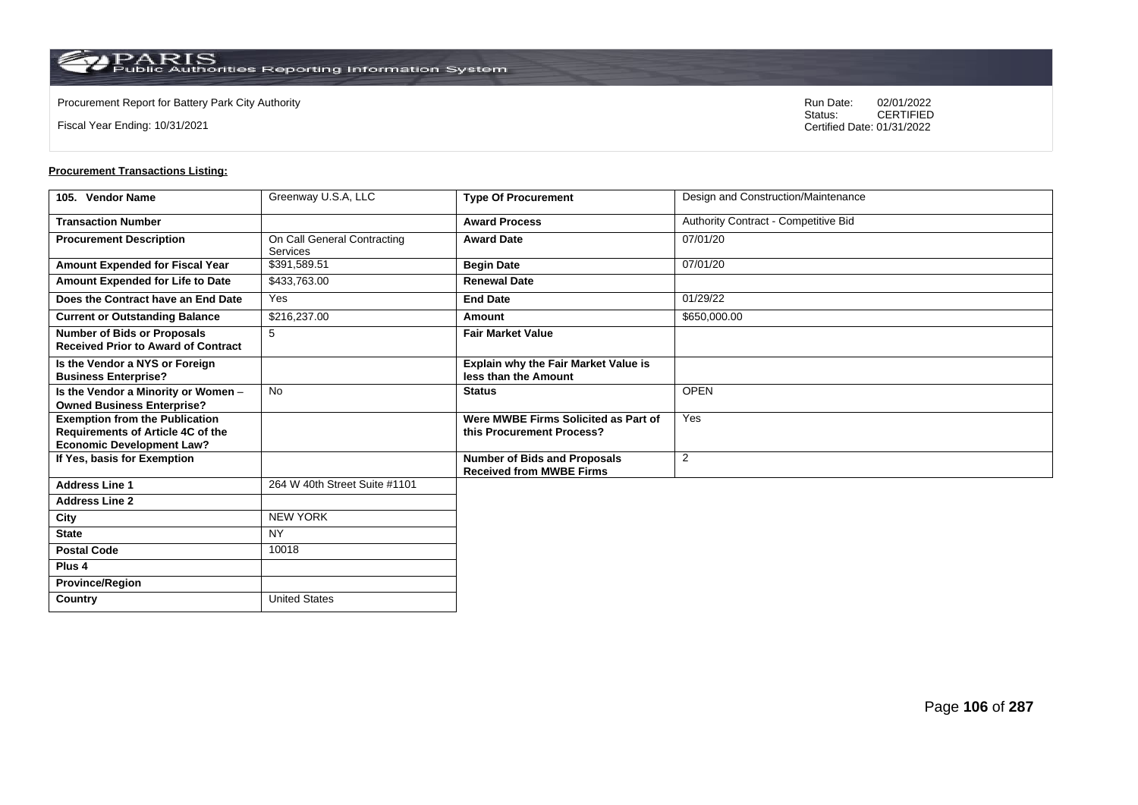**Country** United States

Fiscal Year Ending: 10/31/2021

Procurement Report for Battery Park City Authority **National State Concrete Concrete Concrete Concrete Concrete Concrete Concrete Concrete Concrete Concrete Concrete Concrete Concrete Concrete Concrete Concrete Concrete Co** CERTIFIED Certified Date: 01/31/2022

| 105. Vendor Name                                                                                                      | Greenway U.S.A, LLC                            | <b>Type Of Procurement</b>                                             | Design and Construction/Maintenance  |
|-----------------------------------------------------------------------------------------------------------------------|------------------------------------------------|------------------------------------------------------------------------|--------------------------------------|
| <b>Transaction Number</b>                                                                                             |                                                | <b>Award Process</b>                                                   | Authority Contract - Competitive Bid |
| <b>Procurement Description</b>                                                                                        | On Call General Contracting<br><b>Services</b> | <b>Award Date</b>                                                      | 07/01/20                             |
| Amount Expended for Fiscal Year                                                                                       | \$391,589.51                                   | <b>Begin Date</b>                                                      | 07/01/20                             |
| <b>Amount Expended for Life to Date</b>                                                                               | \$433,763.00                                   | <b>Renewal Date</b>                                                    |                                      |
| Does the Contract have an End Date                                                                                    | Yes                                            | <b>End Date</b>                                                        | 01/29/22                             |
| <b>Current or Outstanding Balance</b>                                                                                 | \$216,237.00                                   | Amount                                                                 | \$650,000.00                         |
| <b>Number of Bids or Proposals</b><br><b>Received Prior to Award of Contract</b>                                      | 5                                              | <b>Fair Market Value</b>                                               |                                      |
| Is the Vendor a NYS or Foreign<br><b>Business Enterprise?</b>                                                         |                                                | Explain why the Fair Market Value is<br>less than the Amount           |                                      |
| Is the Vendor a Minority or Women -<br><b>Owned Business Enterprise?</b>                                              | <b>No</b>                                      | <b>Status</b>                                                          | <b>OPEN</b>                          |
| <b>Exemption from the Publication</b><br><b>Requirements of Article 4C of the</b><br><b>Economic Development Law?</b> |                                                | Were MWBE Firms Solicited as Part of<br>this Procurement Process?      | Yes                                  |
| If Yes, basis for Exemption                                                                                           |                                                | <b>Number of Bids and Proposals</b><br><b>Received from MWBE Firms</b> | 2                                    |
| <b>Address Line 1</b>                                                                                                 | 264 W 40th Street Suite #1101                  |                                                                        |                                      |
| <b>Address Line 2</b>                                                                                                 |                                                |                                                                        |                                      |
| City                                                                                                                  | <b>NEW YORK</b>                                |                                                                        |                                      |
| <b>State</b>                                                                                                          | <b>NY</b>                                      |                                                                        |                                      |
| <b>Postal Code</b>                                                                                                    | 10018                                          |                                                                        |                                      |
| Plus <sub>4</sub>                                                                                                     |                                                |                                                                        |                                      |
| <b>Province/Region</b>                                                                                                |                                                |                                                                        |                                      |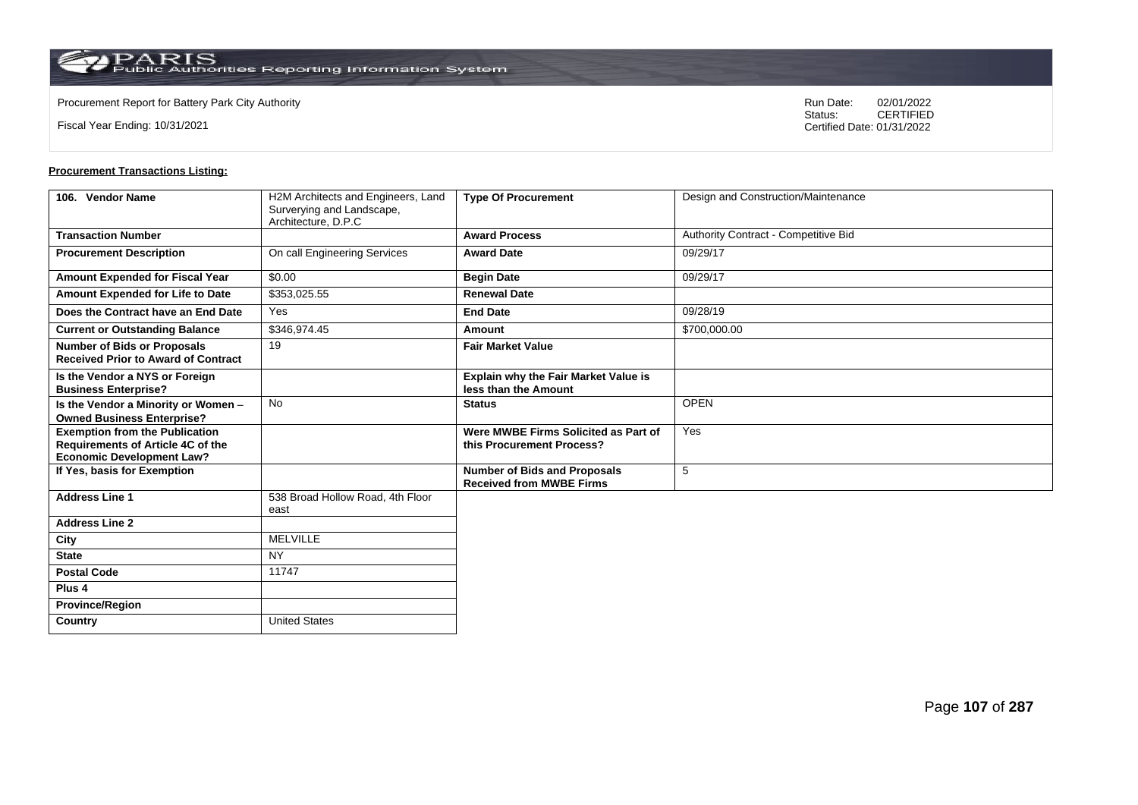$\operatorname{PARIS}_{\text{Public Authorities Reporting Information System}}$ 

Fiscal Year Ending: 10/31/2021

Procurement Report for Battery Park City Authority **National State Concrete Concrete Concrete Concrete Concrete Concrete Concrete Concrete Concrete Concrete Concrete Concrete Concrete Concrete Concrete Concrete Concrete Co** CERTIFIED Certified Date: 01/31/2022

| 106. Vendor Name                                                                                                      | H2M Architects and Engineers, Land<br>Surverying and Landscape,<br>Architecture, D.P.C | <b>Type Of Procurement</b>                                             | Design and Construction/Maintenance  |
|-----------------------------------------------------------------------------------------------------------------------|----------------------------------------------------------------------------------------|------------------------------------------------------------------------|--------------------------------------|
| <b>Transaction Number</b>                                                                                             |                                                                                        | <b>Award Process</b>                                                   | Authority Contract - Competitive Bid |
| <b>Procurement Description</b>                                                                                        | On call Engineering Services                                                           | <b>Award Date</b>                                                      | 09/29/17                             |
| Amount Expended for Fiscal Year                                                                                       | \$0.00                                                                                 | <b>Begin Date</b>                                                      | 09/29/17                             |
| Amount Expended for Life to Date                                                                                      | \$353,025.55                                                                           | <b>Renewal Date</b>                                                    |                                      |
| Does the Contract have an End Date                                                                                    | Yes                                                                                    | <b>End Date</b>                                                        | 09/28/19                             |
| <b>Current or Outstanding Balance</b>                                                                                 | \$346,974.45                                                                           | Amount                                                                 | \$700,000.00                         |
| <b>Number of Bids or Proposals</b><br><b>Received Prior to Award of Contract</b>                                      | 19                                                                                     | <b>Fair Market Value</b>                                               |                                      |
| Is the Vendor a NYS or Foreign<br><b>Business Enterprise?</b>                                                         |                                                                                        | <b>Explain why the Fair Market Value is</b><br>less than the Amount    |                                      |
| Is the Vendor a Minority or Women -<br><b>Owned Business Enterprise?</b>                                              | <b>No</b>                                                                              | <b>Status</b>                                                          | <b>OPEN</b>                          |
| <b>Exemption from the Publication</b><br><b>Requirements of Article 4C of the</b><br><b>Economic Development Law?</b> |                                                                                        | Were MWBE Firms Solicited as Part of<br>this Procurement Process?      | Yes                                  |
| If Yes, basis for Exemption                                                                                           |                                                                                        | <b>Number of Bids and Proposals</b><br><b>Received from MWBE Firms</b> | 5                                    |
| <b>Address Line 1</b>                                                                                                 | 538 Broad Hollow Road, 4th Floor<br>east                                               |                                                                        |                                      |
| <b>Address Line 2</b>                                                                                                 |                                                                                        |                                                                        |                                      |
| City                                                                                                                  | <b>MELVILLE</b>                                                                        |                                                                        |                                      |
| <b>State</b>                                                                                                          | NY.                                                                                    |                                                                        |                                      |
| <b>Postal Code</b>                                                                                                    | 11747                                                                                  |                                                                        |                                      |
| Plus <sub>4</sub>                                                                                                     |                                                                                        |                                                                        |                                      |
| <b>Province/Region</b>                                                                                                |                                                                                        |                                                                        |                                      |
| Country                                                                                                               | <b>United States</b>                                                                   |                                                                        |                                      |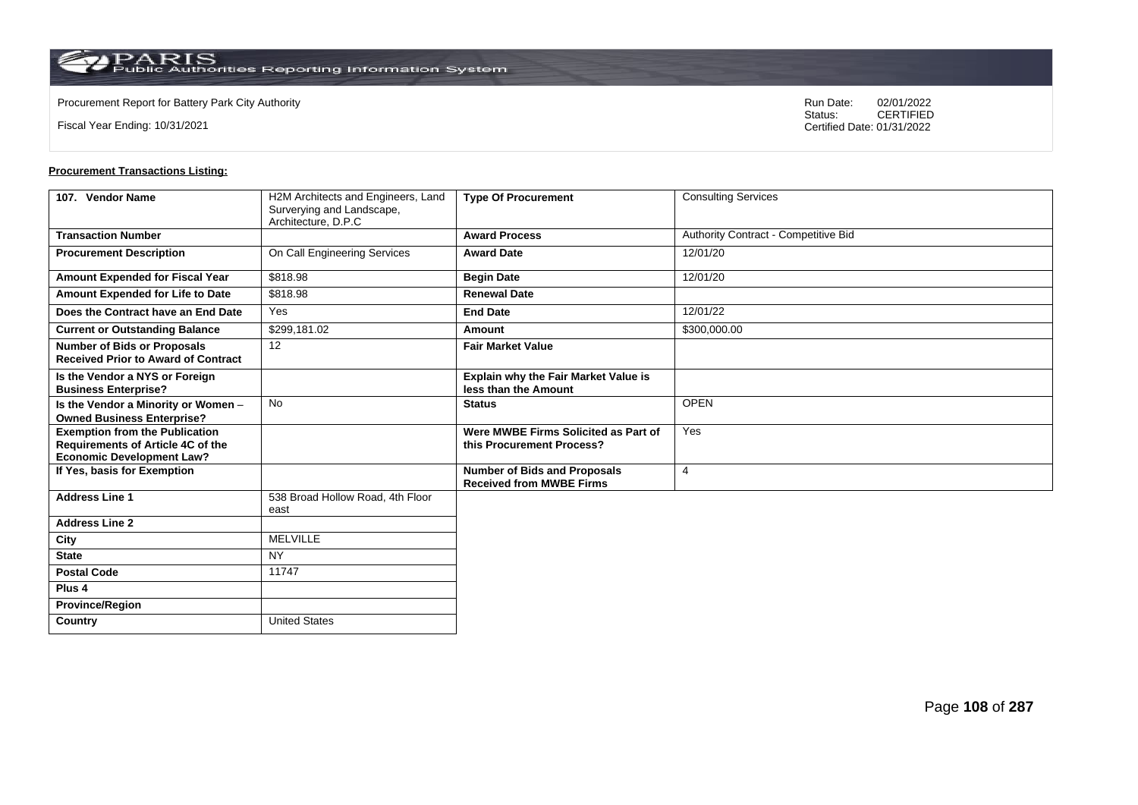Fiscal Year Ending: 10/31/2021

Procurement Report for Battery Park City Authority **National State Concrete Concrete Concrete Concrete Concrete Concrete Concrete Concrete Concrete Concrete Concrete Concrete Concrete Concrete Concrete Concrete Concrete Co** CERTIFIED Certified Date: 01/31/2022

| 107. Vendor Name                                                                                                      | H2M Architects and Engineers, Land<br>Surverying and Landscape, | <b>Type Of Procurement</b>                                             | <b>Consulting Services</b>           |
|-----------------------------------------------------------------------------------------------------------------------|-----------------------------------------------------------------|------------------------------------------------------------------------|--------------------------------------|
|                                                                                                                       | Architecture, D.P.C                                             |                                                                        |                                      |
| <b>Transaction Number</b>                                                                                             |                                                                 | <b>Award Process</b>                                                   | Authority Contract - Competitive Bid |
| <b>Procurement Description</b>                                                                                        | On Call Engineering Services                                    | <b>Award Date</b>                                                      | 12/01/20                             |
| <b>Amount Expended for Fiscal Year</b>                                                                                | \$818.98                                                        | <b>Begin Date</b>                                                      | 12/01/20                             |
| Amount Expended for Life to Date                                                                                      | \$818.98                                                        | <b>Renewal Date</b>                                                    |                                      |
| Does the Contract have an End Date                                                                                    | Yes                                                             | <b>End Date</b>                                                        | 12/01/22                             |
| <b>Current or Outstanding Balance</b>                                                                                 | \$299,181.02                                                    | Amount                                                                 | \$300,000.00                         |
| <b>Number of Bids or Proposals</b><br><b>Received Prior to Award of Contract</b>                                      | 12                                                              | <b>Fair Market Value</b>                                               |                                      |
| Is the Vendor a NYS or Foreign<br><b>Business Enterprise?</b>                                                         |                                                                 | <b>Explain why the Fair Market Value is</b><br>less than the Amount    |                                      |
| Is the Vendor a Minority or Women -<br><b>Owned Business Enterprise?</b>                                              | <b>No</b>                                                       | <b>Status</b>                                                          | <b>OPEN</b>                          |
| <b>Exemption from the Publication</b><br><b>Requirements of Article 4C of the</b><br><b>Economic Development Law?</b> |                                                                 | Were MWBE Firms Solicited as Part of<br>this Procurement Process?      | Yes                                  |
| If Yes, basis for Exemption                                                                                           |                                                                 | <b>Number of Bids and Proposals</b><br><b>Received from MWBE Firms</b> | $\overline{4}$                       |
| <b>Address Line 1</b>                                                                                                 | 538 Broad Hollow Road, 4th Floor<br>east                        |                                                                        |                                      |
| <b>Address Line 2</b>                                                                                                 |                                                                 |                                                                        |                                      |
| City                                                                                                                  | <b>MELVILLE</b>                                                 |                                                                        |                                      |
| <b>State</b>                                                                                                          | <b>NY</b>                                                       |                                                                        |                                      |
| <b>Postal Code</b>                                                                                                    | 11747                                                           |                                                                        |                                      |
| Plus <sub>4</sub>                                                                                                     |                                                                 |                                                                        |                                      |
| <b>Province/Region</b>                                                                                                |                                                                 |                                                                        |                                      |
| Country                                                                                                               | <b>United States</b>                                            |                                                                        |                                      |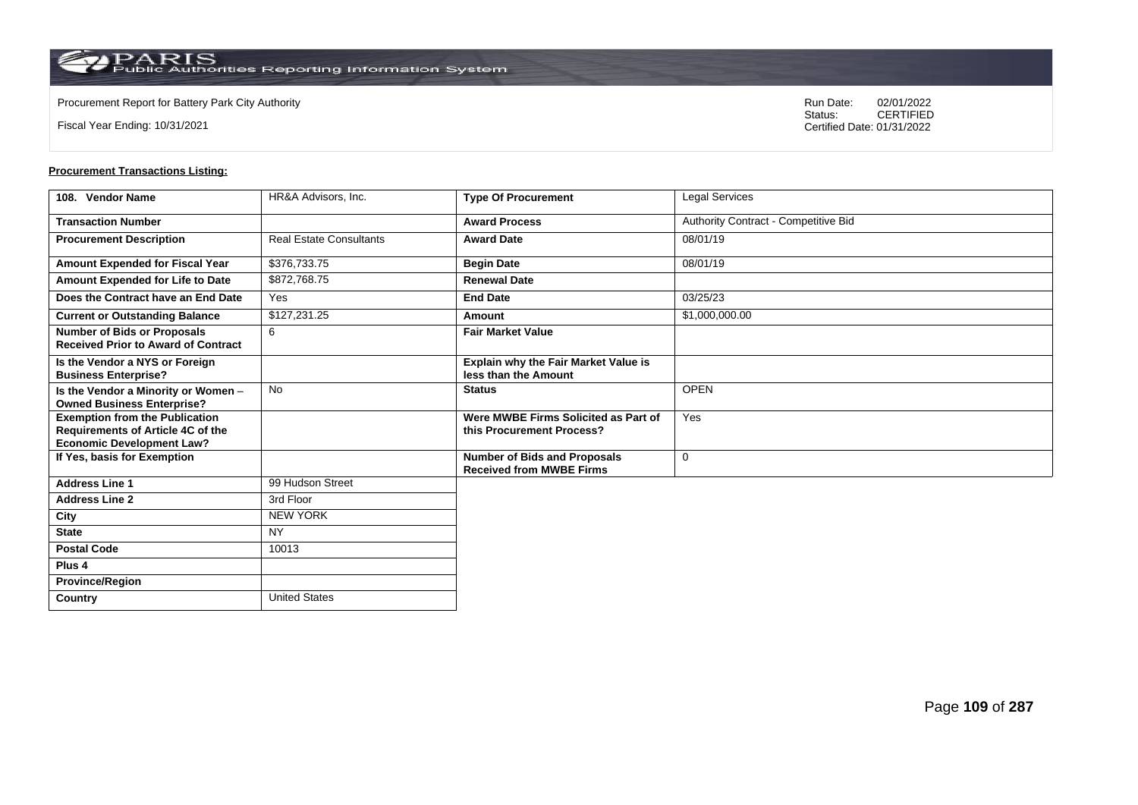**Country** United States

Fiscal Year Ending: 10/31/2021

Procurement Report for Battery Park City Authority **National State Concrete Concrete Concrete Concrete Concrete Concrete Concrete Concrete Concrete Concrete Concrete Concrete Concrete Concrete Concrete Concrete Concrete Co** CERTIFIED Certified Date: 01/31/2022

| 108. Vendor Name                                                                                               | HR&A Advisors. Inc.            | <b>Type Of Procurement</b>                                             | Legal Services                       |
|----------------------------------------------------------------------------------------------------------------|--------------------------------|------------------------------------------------------------------------|--------------------------------------|
| <b>Transaction Number</b>                                                                                      |                                | <b>Award Process</b>                                                   | Authority Contract - Competitive Bid |
| <b>Procurement Description</b>                                                                                 | <b>Real Estate Consultants</b> | <b>Award Date</b>                                                      | 08/01/19                             |
| Amount Expended for Fiscal Year                                                                                | \$376,733.75                   | <b>Begin Date</b>                                                      | 08/01/19                             |
| Amount Expended for Life to Date                                                                               | \$872,768.75                   | <b>Renewal Date</b>                                                    |                                      |
| Does the Contract have an End Date                                                                             | Yes                            | <b>End Date</b>                                                        | 03/25/23                             |
| <b>Current or Outstanding Balance</b>                                                                          | \$127,231.25                   | Amount                                                                 | \$1,000,000.00                       |
| <b>Number of Bids or Proposals</b><br><b>Received Prior to Award of Contract</b>                               | 6                              | <b>Fair Market Value</b>                                               |                                      |
| Is the Vendor a NYS or Foreign<br><b>Business Enterprise?</b>                                                  |                                | Explain why the Fair Market Value is<br>less than the Amount           |                                      |
| Is the Vendor a Minority or Women -<br><b>Owned Business Enterprise?</b>                                       | No                             | <b>Status</b>                                                          | <b>OPEN</b>                          |
| <b>Exemption from the Publication</b><br>Requirements of Article 4C of the<br><b>Economic Development Law?</b> |                                | Were MWBE Firms Solicited as Part of<br>this Procurement Process?      | Yes                                  |
| If Yes, basis for Exemption                                                                                    |                                | <b>Number of Bids and Proposals</b><br><b>Received from MWBE Firms</b> | 0                                    |
| <b>Address Line 1</b>                                                                                          | 99 Hudson Street               |                                                                        |                                      |
| <b>Address Line 2</b>                                                                                          | 3rd Floor                      |                                                                        |                                      |
| City                                                                                                           | <b>NEW YORK</b>                |                                                                        |                                      |
| <b>State</b>                                                                                                   | <b>NY</b>                      |                                                                        |                                      |
| <b>Postal Code</b>                                                                                             | 10013                          |                                                                        |                                      |
| Plus <sub>4</sub>                                                                                              |                                |                                                                        |                                      |
| <b>Province/Region</b>                                                                                         |                                |                                                                        |                                      |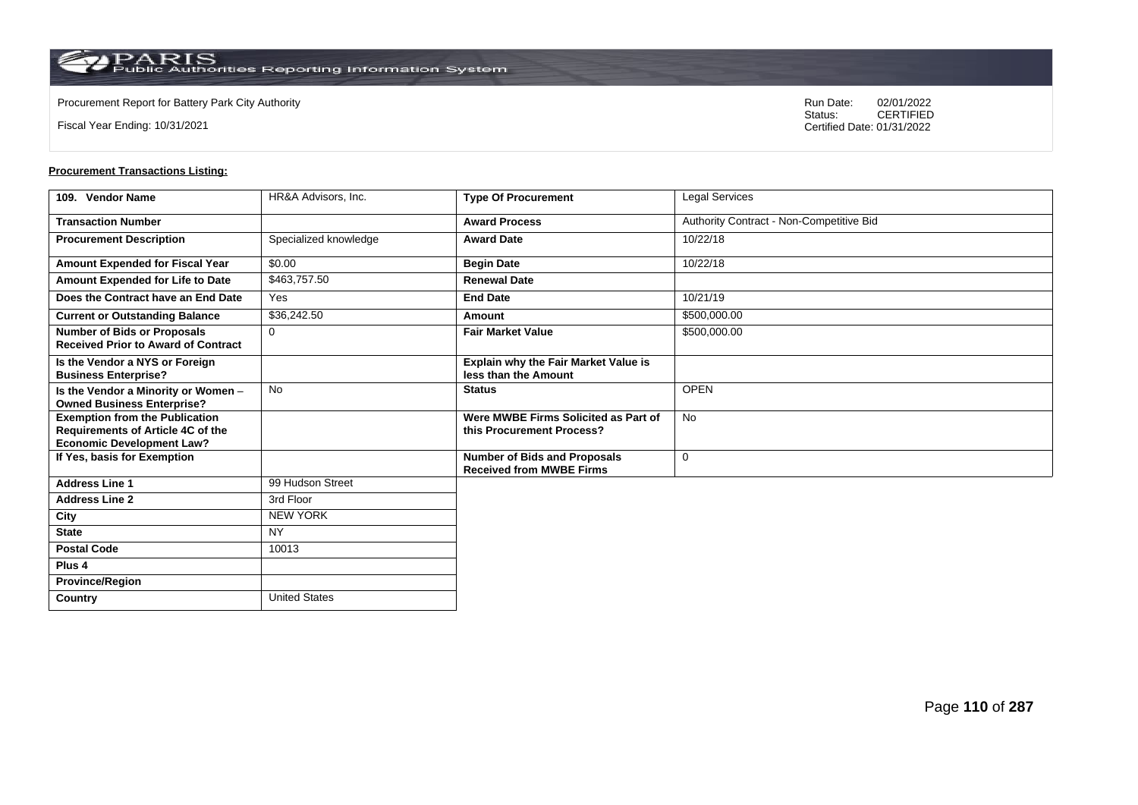**Country** United States

Fiscal Year Ending: 10/31/2021

Procurement Report for Battery Park City Authority **National State Concrete Concrete Concrete Concrete Concrete Concrete Concrete Concrete Concrete Concrete Concrete Concrete Concrete Concrete Concrete Concrete Concrete Co** CERTIFIED Certified Date: 01/31/2022

| 109. Vendor Name                                                                                               | HR&A Advisors, Inc.   | <b>Type Of Procurement</b>                                             | Legal Services                           |
|----------------------------------------------------------------------------------------------------------------|-----------------------|------------------------------------------------------------------------|------------------------------------------|
| <b>Transaction Number</b>                                                                                      |                       | <b>Award Process</b>                                                   | Authority Contract - Non-Competitive Bid |
| <b>Procurement Description</b>                                                                                 | Specialized knowledge | <b>Award Date</b>                                                      | 10/22/18                                 |
| Amount Expended for Fiscal Year                                                                                | \$0.00                | <b>Begin Date</b>                                                      | 10/22/18                                 |
| Amount Expended for Life to Date                                                                               | \$463,757.50          | <b>Renewal Date</b>                                                    |                                          |
| Does the Contract have an End Date                                                                             | Yes                   | <b>End Date</b>                                                        | 10/21/19                                 |
| <b>Current or Outstanding Balance</b>                                                                          | \$36,242.50           | Amount                                                                 | \$500,000.00                             |
| <b>Number of Bids or Proposals</b><br><b>Received Prior to Award of Contract</b>                               | $\Omega$              | <b>Fair Market Value</b>                                               | \$500,000.00                             |
| Is the Vendor a NYS or Foreign<br><b>Business Enterprise?</b>                                                  |                       | Explain why the Fair Market Value is<br>less than the Amount           |                                          |
| Is the Vendor a Minority or Women -<br><b>Owned Business Enterprise?</b>                                       | <b>No</b>             | <b>Status</b>                                                          | <b>OPEN</b>                              |
| <b>Exemption from the Publication</b><br>Requirements of Article 4C of the<br><b>Economic Development Law?</b> |                       | Were MWBE Firms Solicited as Part of<br>this Procurement Process?      | <b>No</b>                                |
| If Yes, basis for Exemption                                                                                    |                       | <b>Number of Bids and Proposals</b><br><b>Received from MWBE Firms</b> | 0                                        |
| <b>Address Line 1</b>                                                                                          | 99 Hudson Street      |                                                                        |                                          |
| <b>Address Line 2</b>                                                                                          | 3rd Floor             |                                                                        |                                          |
| City                                                                                                           | <b>NEW YORK</b>       |                                                                        |                                          |
| <b>State</b>                                                                                                   | <b>NY</b>             |                                                                        |                                          |
| <b>Postal Code</b>                                                                                             | 10013                 |                                                                        |                                          |
| Plus <sub>4</sub>                                                                                              |                       |                                                                        |                                          |
| <b>Province/Region</b>                                                                                         |                       |                                                                        |                                          |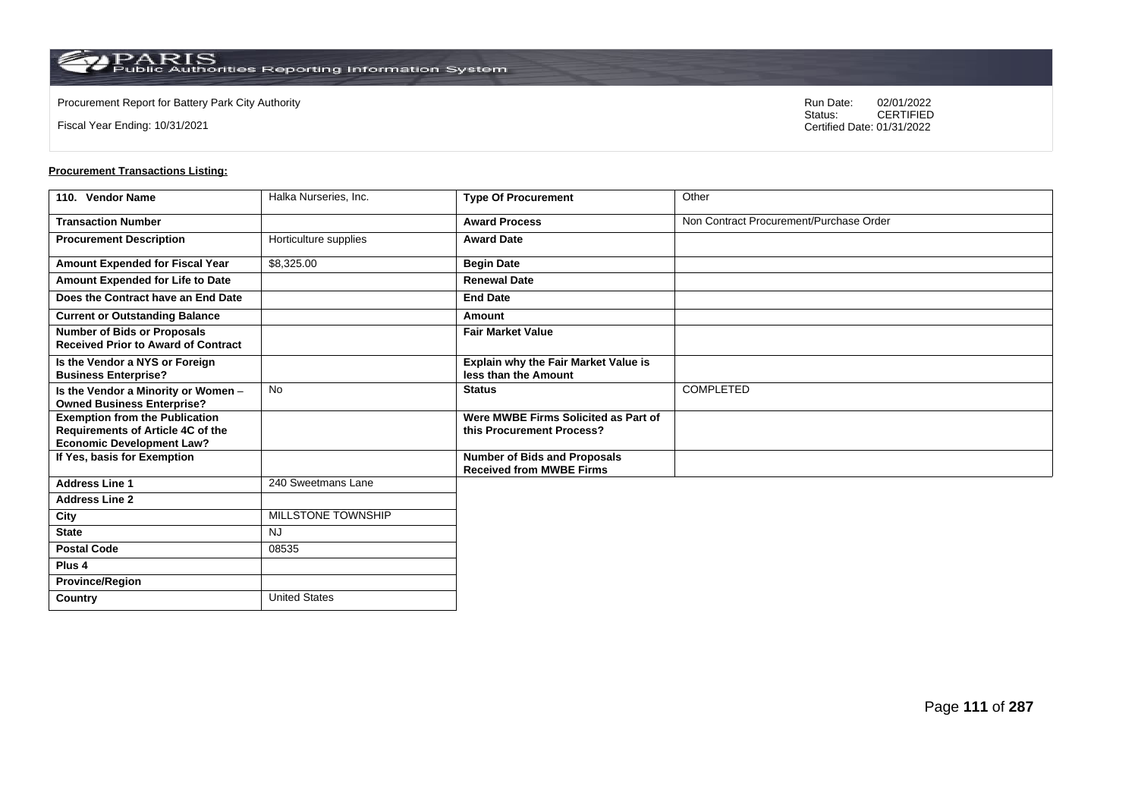**Country** United States

Fiscal Year Ending: 10/31/2021

Procurement Report for Battery Park City Authority **National State Concrete Concrete Concrete Concrete Concrete Concrete Concrete Concrete Concrete Concrete Concrete Concrete Concrete Concrete Concrete Concrete Concrete Co** CERTIFIED Certified Date: 01/31/2022

| 110. Vendor Name                                                                                                      | Halka Nurseries, Inc. | <b>Type Of Procurement</b>                                             | Other                                   |
|-----------------------------------------------------------------------------------------------------------------------|-----------------------|------------------------------------------------------------------------|-----------------------------------------|
| <b>Transaction Number</b>                                                                                             |                       | <b>Award Process</b>                                                   | Non Contract Procurement/Purchase Order |
| <b>Procurement Description</b>                                                                                        | Horticulture supplies | <b>Award Date</b>                                                      |                                         |
| Amount Expended for Fiscal Year                                                                                       | \$8,325.00            | <b>Begin Date</b>                                                      |                                         |
| Amount Expended for Life to Date                                                                                      |                       | <b>Renewal Date</b>                                                    |                                         |
| Does the Contract have an End Date                                                                                    |                       | <b>End Date</b>                                                        |                                         |
| <b>Current or Outstanding Balance</b>                                                                                 |                       | Amount                                                                 |                                         |
| <b>Number of Bids or Proposals</b><br><b>Received Prior to Award of Contract</b>                                      |                       | <b>Fair Market Value</b>                                               |                                         |
| Is the Vendor a NYS or Foreign<br><b>Business Enterprise?</b>                                                         |                       | <b>Explain why the Fair Market Value is</b><br>less than the Amount    |                                         |
| Is the Vendor a Minority or Women -<br><b>Owned Business Enterprise?</b>                                              | <b>No</b>             | <b>Status</b>                                                          | COMPLETED                               |
| <b>Exemption from the Publication</b><br><b>Requirements of Article 4C of the</b><br><b>Economic Development Law?</b> |                       | Were MWBE Firms Solicited as Part of<br>this Procurement Process?      |                                         |
| If Yes, basis for Exemption                                                                                           |                       | <b>Number of Bids and Proposals</b><br><b>Received from MWBE Firms</b> |                                         |
| <b>Address Line 1</b>                                                                                                 | 240 Sweetmans Lane    |                                                                        |                                         |
| <b>Address Line 2</b>                                                                                                 |                       |                                                                        |                                         |
| City                                                                                                                  | MILLSTONE TOWNSHIP    |                                                                        |                                         |
| <b>State</b>                                                                                                          | <b>NJ</b>             |                                                                        |                                         |
| <b>Postal Code</b>                                                                                                    | 08535                 |                                                                        |                                         |
| Plus <sub>4</sub>                                                                                                     |                       |                                                                        |                                         |
| <b>Province/Region</b>                                                                                                |                       |                                                                        |                                         |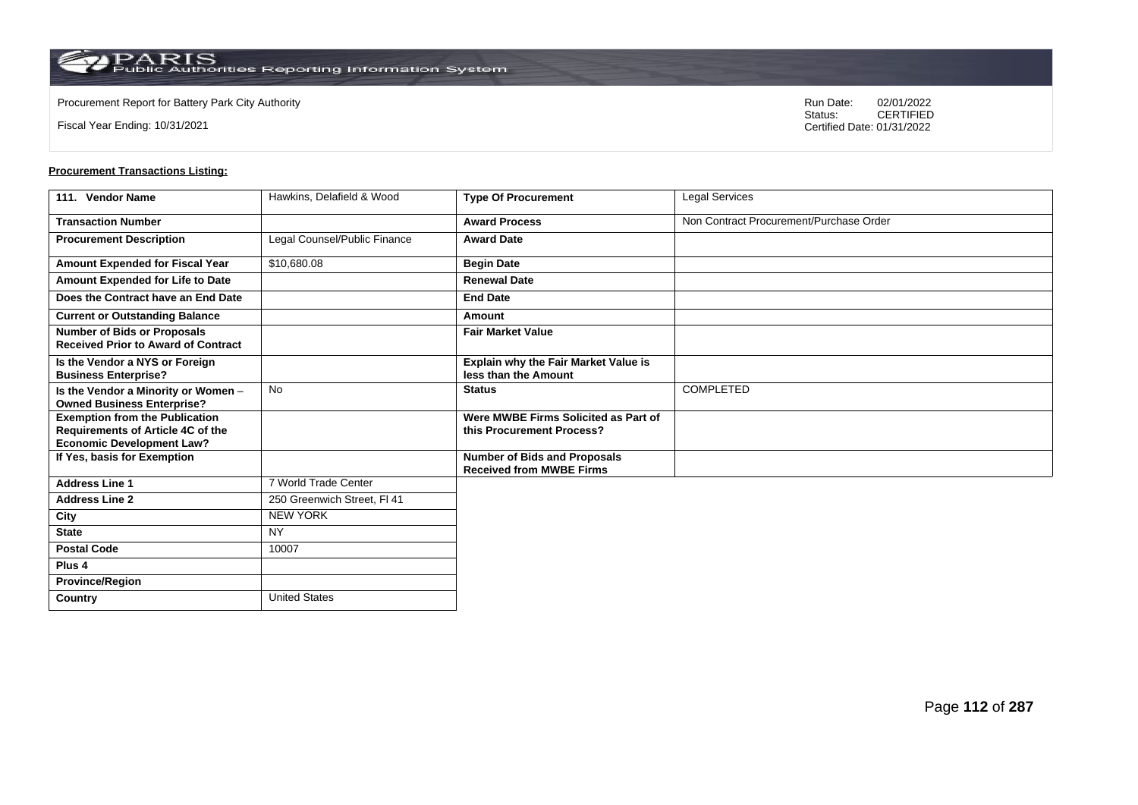Fiscal Year Ending: 10/31/2021

Procurement Report for Battery Park City Authority **National State Concrete Concrete Concrete Concrete Concrete Concrete Concrete Concrete Concrete Concrete Concrete Concrete Concrete Concrete Concrete Concrete Concrete Co** CERTIFIED Certified Date: 01/31/2022

| 111. Vendor Name                                                                 | Hawkins, Delafield & Wood    | <b>Type Of Procurement</b>                                             | <b>Legal Services</b>                   |
|----------------------------------------------------------------------------------|------------------------------|------------------------------------------------------------------------|-----------------------------------------|
| <b>Transaction Number</b>                                                        |                              | <b>Award Process</b>                                                   | Non Contract Procurement/Purchase Order |
| <b>Procurement Description</b>                                                   | Legal Counsel/Public Finance | <b>Award Date</b>                                                      |                                         |
| Amount Expended for Fiscal Year                                                  | \$10,680.08                  | <b>Begin Date</b>                                                      |                                         |
| Amount Expended for Life to Date                                                 |                              | <b>Renewal Date</b>                                                    |                                         |
| Does the Contract have an End Date                                               |                              | <b>End Date</b>                                                        |                                         |
| <b>Current or Outstanding Balance</b>                                            |                              | Amount                                                                 |                                         |
| <b>Number of Bids or Proposals</b><br><b>Received Prior to Award of Contract</b> |                              | <b>Fair Market Value</b>                                               |                                         |
| Is the Vendor a NYS or Foreign<br><b>Business Enterprise?</b>                    |                              | Explain why the Fair Market Value is<br>less than the Amount           |                                         |
| Is the Vendor a Minority or Women -<br><b>Owned Business Enterprise?</b>         | No                           | <b>Status</b>                                                          | COMPLETED                               |
| <b>Exemption from the Publication</b><br>Requirements of Article 4C of the       |                              | Were MWBE Firms Solicited as Part of<br>this Procurement Process?      |                                         |
| <b>Economic Development Law?</b><br>If Yes, basis for Exemption                  |                              | <b>Number of Bids and Proposals</b><br><b>Received from MWBE Firms</b> |                                         |
| <b>Address Line 1</b>                                                            | 7 World Trade Center         |                                                                        |                                         |
| <b>Address Line 2</b>                                                            | 250 Greenwich Street, FI 41  |                                                                        |                                         |
| City                                                                             | <b>NEW YORK</b>              |                                                                        |                                         |
| <b>State</b>                                                                     | <b>NY</b>                    |                                                                        |                                         |
| <b>Postal Code</b>                                                               | 10007                        |                                                                        |                                         |
| Plus 4                                                                           |                              |                                                                        |                                         |
| <b>Province/Region</b>                                                           |                              |                                                                        |                                         |
| Country                                                                          | <b>United States</b>         |                                                                        |                                         |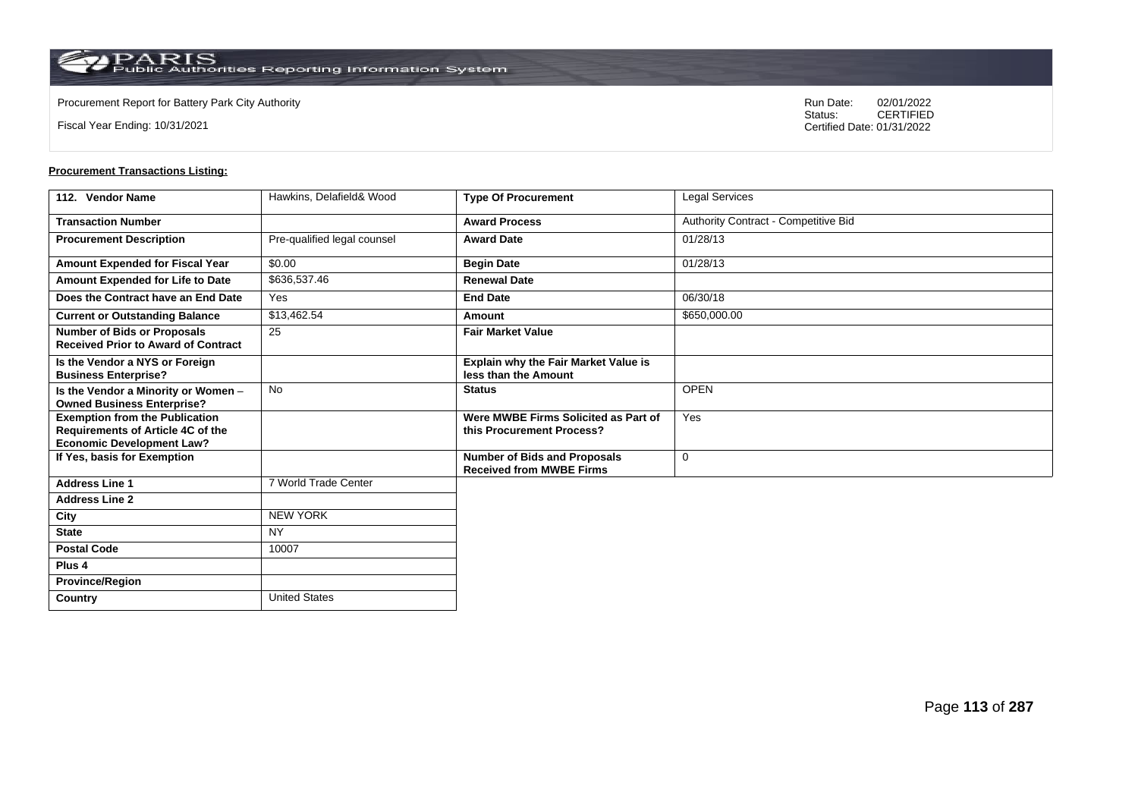**Country** United States

Fiscal Year Ending: 10/31/2021

Procurement Report for Battery Park City Authority **National State Concrete Concrete Concrete Concrete Concrete Concrete Concrete Concrete Concrete Concrete Concrete Concrete Concrete Concrete Concrete Concrete Concrete Co** CERTIFIED Certified Date: 01/31/2022

| 112. Vendor Name                                                                                               | Hawkins, Delafield& Wood    | <b>Type Of Procurement</b>                                             | Legal Services                       |
|----------------------------------------------------------------------------------------------------------------|-----------------------------|------------------------------------------------------------------------|--------------------------------------|
| <b>Transaction Number</b>                                                                                      |                             | <b>Award Process</b>                                                   | Authority Contract - Competitive Bid |
| <b>Procurement Description</b>                                                                                 | Pre-qualified legal counsel | <b>Award Date</b>                                                      | 01/28/13                             |
| Amount Expended for Fiscal Year                                                                                | \$0.00                      | <b>Begin Date</b>                                                      | 01/28/13                             |
| Amount Expended for Life to Date                                                                               | \$636,537.46                | <b>Renewal Date</b>                                                    |                                      |
| Does the Contract have an End Date                                                                             | Yes                         | <b>End Date</b>                                                        | 06/30/18                             |
| <b>Current or Outstanding Balance</b>                                                                          | \$13,462.54                 | Amount                                                                 | \$650,000.00                         |
| <b>Number of Bids or Proposals</b><br><b>Received Prior to Award of Contract</b>                               | 25                          | <b>Fair Market Value</b>                                               |                                      |
| Is the Vendor a NYS or Foreign<br><b>Business Enterprise?</b>                                                  |                             | Explain why the Fair Market Value is<br>less than the Amount           |                                      |
| Is the Vendor a Minority or Women -<br><b>Owned Business Enterprise?</b>                                       | <b>No</b>                   | <b>Status</b>                                                          | <b>OPEN</b>                          |
| <b>Exemption from the Publication</b><br>Requirements of Article 4C of the<br><b>Economic Development Law?</b> |                             | Were MWBE Firms Solicited as Part of<br>this Procurement Process?      | Yes                                  |
| If Yes, basis for Exemption                                                                                    |                             | <b>Number of Bids and Proposals</b><br><b>Received from MWBE Firms</b> | $\mathbf 0$                          |
| <b>Address Line 1</b>                                                                                          | 7 World Trade Center        |                                                                        |                                      |
| <b>Address Line 2</b>                                                                                          |                             |                                                                        |                                      |
| City                                                                                                           | NEW YORK                    |                                                                        |                                      |
| <b>State</b>                                                                                                   | <b>NY</b>                   |                                                                        |                                      |
| <b>Postal Code</b>                                                                                             | 10007                       |                                                                        |                                      |
| Plus <sub>4</sub>                                                                                              |                             |                                                                        |                                      |
| <b>Province/Region</b>                                                                                         |                             |                                                                        |                                      |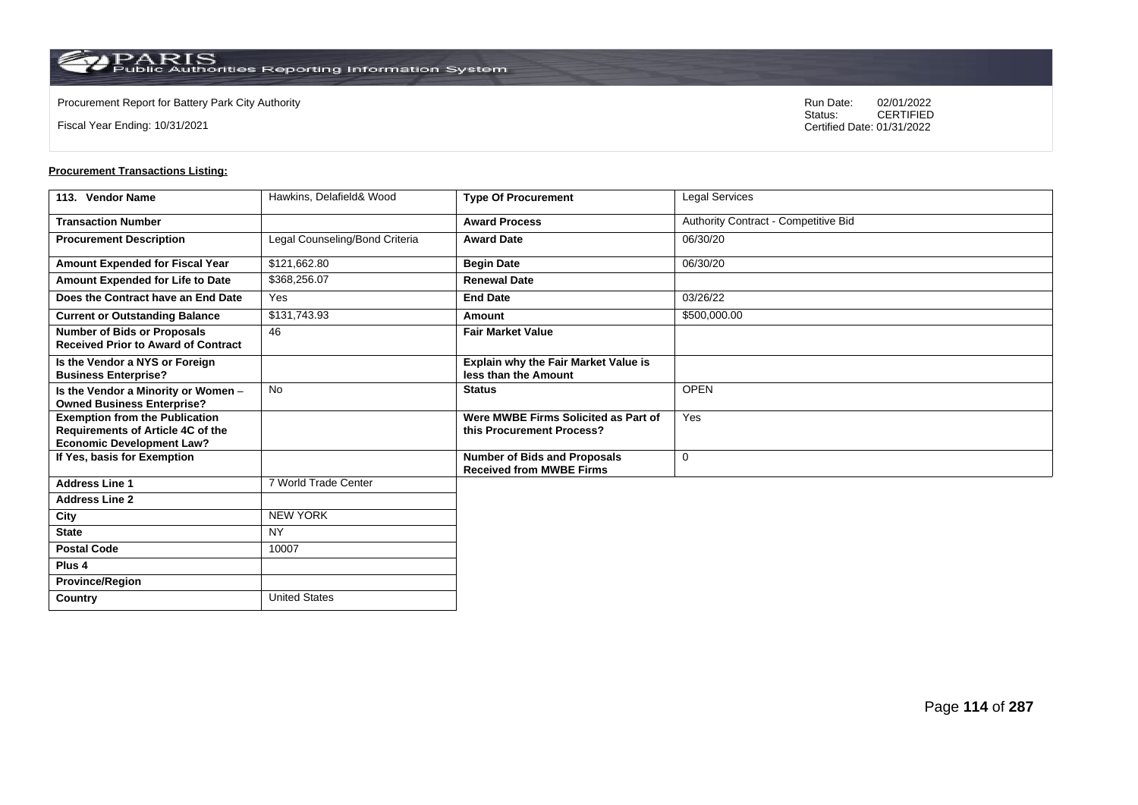**Country** United States

Fiscal Year Ending: 10/31/2021

Procurement Report for Battery Park City Authority **National State Concrete Concrete Concrete Concrete Concrete Concrete Concrete Concrete Concrete Concrete Concrete Concrete Concrete Concrete Concrete Concrete Concrete Co** CERTIFIED Certified Date: 01/31/2022

| 113. Vendor Name                                                                                               | Hawkins, Delafield& Wood       | <b>Type Of Procurement</b>                                             | Legal Services                       |
|----------------------------------------------------------------------------------------------------------------|--------------------------------|------------------------------------------------------------------------|--------------------------------------|
| <b>Transaction Number</b>                                                                                      |                                | <b>Award Process</b>                                                   | Authority Contract - Competitive Bid |
| <b>Procurement Description</b>                                                                                 | Legal Counseling/Bond Criteria | <b>Award Date</b>                                                      | 06/30/20                             |
| Amount Expended for Fiscal Year                                                                                | \$121,662.80                   | <b>Begin Date</b>                                                      | 06/30/20                             |
| Amount Expended for Life to Date                                                                               | \$368,256.07                   | <b>Renewal Date</b>                                                    |                                      |
| Does the Contract have an End Date                                                                             | Yes                            | <b>End Date</b>                                                        | 03/26/22                             |
| <b>Current or Outstanding Balance</b>                                                                          | \$131,743.93                   | Amount                                                                 | \$500,000.00                         |
| <b>Number of Bids or Proposals</b><br><b>Received Prior to Award of Contract</b>                               | 46                             | <b>Fair Market Value</b>                                               |                                      |
| Is the Vendor a NYS or Foreign<br><b>Business Enterprise?</b>                                                  |                                | Explain why the Fair Market Value is<br>less than the Amount           |                                      |
| Is the Vendor a Minority or Women -<br><b>Owned Business Enterprise?</b>                                       | <b>No</b>                      | <b>Status</b>                                                          | <b>OPEN</b>                          |
| <b>Exemption from the Publication</b><br>Requirements of Article 4C of the<br><b>Economic Development Law?</b> |                                | Were MWBE Firms Solicited as Part of<br>this Procurement Process?      | Yes                                  |
| If Yes, basis for Exemption                                                                                    |                                | <b>Number of Bids and Proposals</b><br><b>Received from MWBE Firms</b> | $\mathbf 0$                          |
| <b>Address Line 1</b>                                                                                          | 7 World Trade Center           |                                                                        |                                      |
| <b>Address Line 2</b>                                                                                          |                                |                                                                        |                                      |
| City                                                                                                           | <b>NEW YORK</b>                |                                                                        |                                      |
| <b>State</b>                                                                                                   | <b>NY</b>                      |                                                                        |                                      |
| <b>Postal Code</b>                                                                                             | 10007                          |                                                                        |                                      |
| Plus <sub>4</sub>                                                                                              |                                |                                                                        |                                      |
| <b>Province/Region</b>                                                                                         |                                |                                                                        |                                      |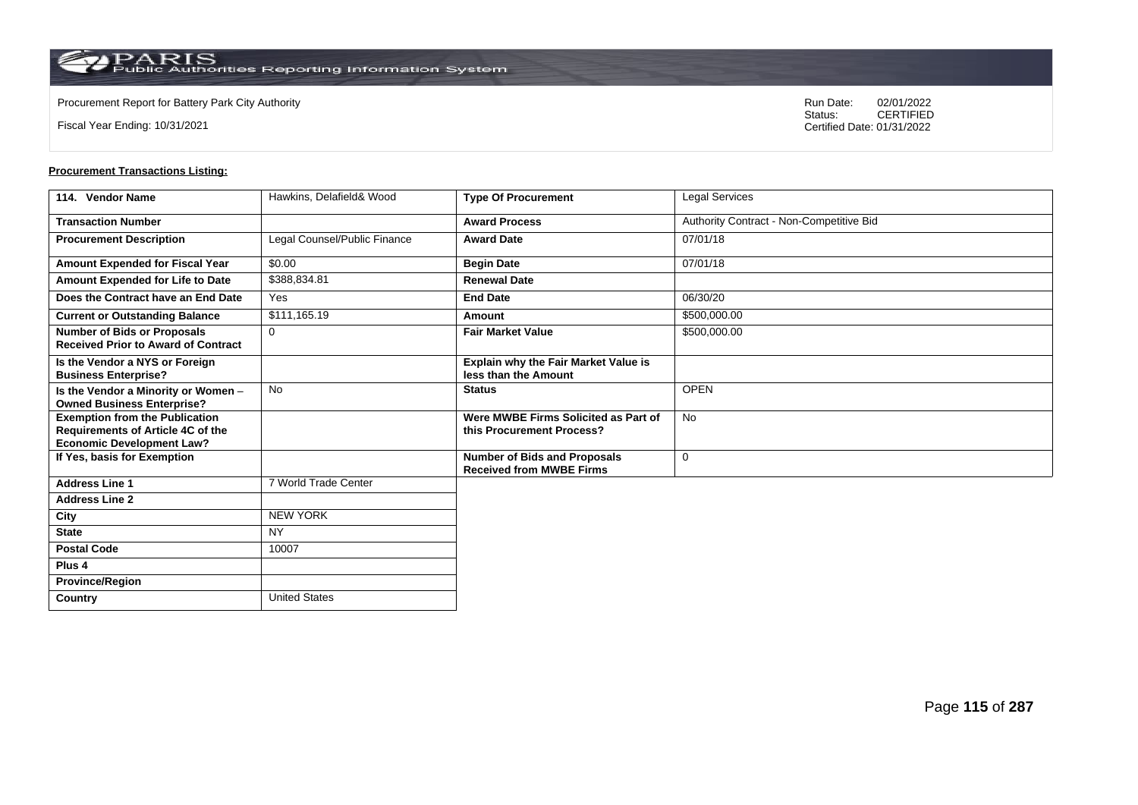**Country** United States

Fiscal Year Ending: 10/31/2021

Procurement Report for Battery Park City Authority **National State Concrete Concrete Concrete Concrete Concrete Concrete Concrete Concrete Concrete Concrete Concrete Concrete Concrete Concrete Concrete Concrete Concrete Co** CERTIFIED Certified Date: 01/31/2022

| 114. Vendor Name                                                                                               | Hawkins, Delafield& Wood     | <b>Type Of Procurement</b>                                             | Legal Services                           |
|----------------------------------------------------------------------------------------------------------------|------------------------------|------------------------------------------------------------------------|------------------------------------------|
| <b>Transaction Number</b>                                                                                      |                              | <b>Award Process</b>                                                   | Authority Contract - Non-Competitive Bid |
| <b>Procurement Description</b>                                                                                 | Legal Counsel/Public Finance | <b>Award Date</b>                                                      | 07/01/18                                 |
| Amount Expended for Fiscal Year                                                                                | \$0.00                       | <b>Begin Date</b>                                                      | 07/01/18                                 |
| Amount Expended for Life to Date                                                                               | \$388,834.81                 | <b>Renewal Date</b>                                                    |                                          |
| Does the Contract have an End Date                                                                             | Yes                          | <b>End Date</b>                                                        | 06/30/20                                 |
| <b>Current or Outstanding Balance</b>                                                                          | \$111,165.19                 | Amount                                                                 | \$500,000.00                             |
| <b>Number of Bids or Proposals</b><br><b>Received Prior to Award of Contract</b>                               | $\mathbf 0$                  | <b>Fair Market Value</b>                                               | \$500,000.00                             |
| Is the Vendor a NYS or Foreign<br><b>Business Enterprise?</b>                                                  |                              | Explain why the Fair Market Value is<br>less than the Amount           |                                          |
| Is the Vendor a Minority or Women -<br><b>Owned Business Enterprise?</b>                                       | <b>No</b>                    | <b>Status</b>                                                          | <b>OPEN</b>                              |
| <b>Exemption from the Publication</b><br>Requirements of Article 4C of the<br><b>Economic Development Law?</b> |                              | Were MWBE Firms Solicited as Part of<br>this Procurement Process?      | <b>No</b>                                |
| If Yes, basis for Exemption                                                                                    |                              | <b>Number of Bids and Proposals</b><br><b>Received from MWBE Firms</b> | $\mathbf 0$                              |
| <b>Address Line 1</b>                                                                                          | 7 World Trade Center         |                                                                        |                                          |
| <b>Address Line 2</b>                                                                                          |                              |                                                                        |                                          |
| City                                                                                                           | NEW YORK                     |                                                                        |                                          |
| <b>State</b>                                                                                                   | <b>NY</b>                    |                                                                        |                                          |
| <b>Postal Code</b>                                                                                             | 10007                        |                                                                        |                                          |
| Plus <sub>4</sub>                                                                                              |                              |                                                                        |                                          |
| <b>Province/Region</b>                                                                                         |                              |                                                                        |                                          |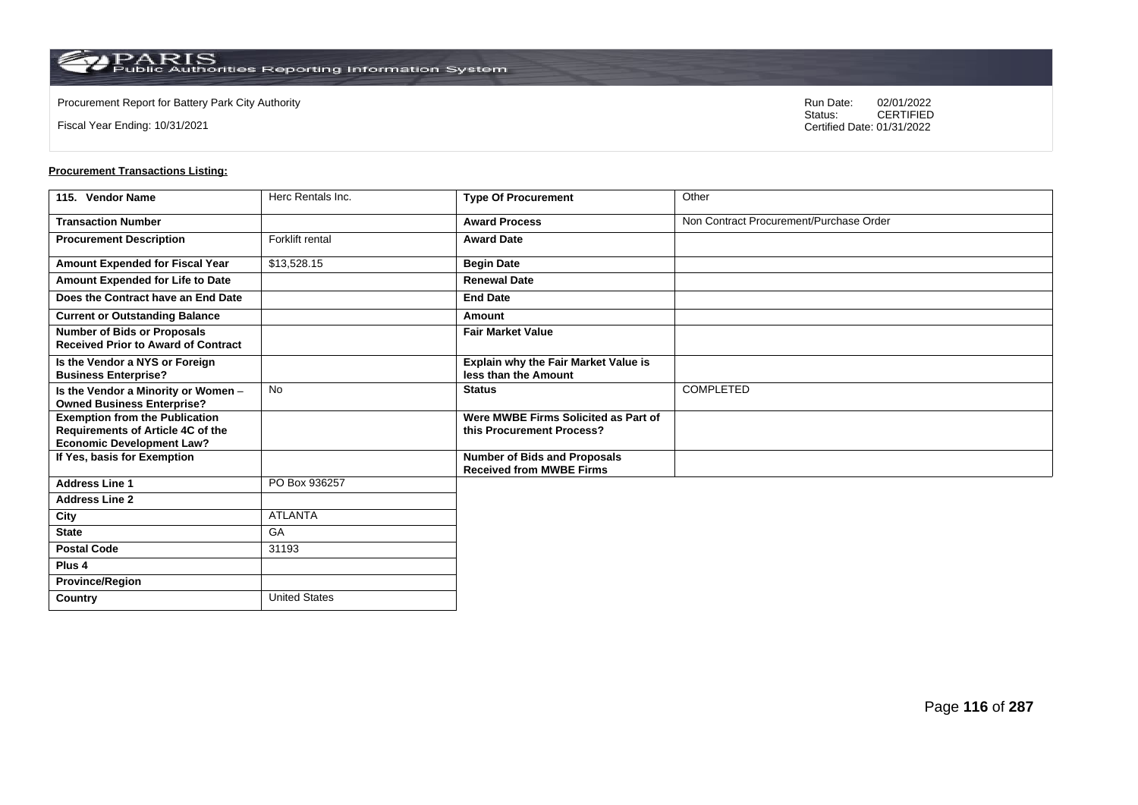**Country** United States

Fiscal Year Ending: 10/31/2021

Procurement Report for Battery Park City Authority **National State Concrete Concrete Concrete Concrete Concrete Concrete Concrete Concrete Concrete Concrete Concrete Concrete Concrete Concrete Concrete Concrete Concrete Co** CERTIFIED Certified Date: 01/31/2022

| 115. Vendor Name                                                                                                      | Herc Rentals Inc. | <b>Type Of Procurement</b>                                             | Other                                   |
|-----------------------------------------------------------------------------------------------------------------------|-------------------|------------------------------------------------------------------------|-----------------------------------------|
| <b>Transaction Number</b>                                                                                             |                   | <b>Award Process</b>                                                   | Non Contract Procurement/Purchase Order |
| <b>Procurement Description</b>                                                                                        | Forklift rental   | <b>Award Date</b>                                                      |                                         |
| <b>Amount Expended for Fiscal Year</b>                                                                                | \$13,528.15       | <b>Begin Date</b>                                                      |                                         |
| Amount Expended for Life to Date                                                                                      |                   | <b>Renewal Date</b>                                                    |                                         |
| Does the Contract have an End Date                                                                                    |                   | <b>End Date</b>                                                        |                                         |
| <b>Current or Outstanding Balance</b>                                                                                 |                   | Amount                                                                 |                                         |
| <b>Number of Bids or Proposals</b><br><b>Received Prior to Award of Contract</b>                                      |                   | <b>Fair Market Value</b>                                               |                                         |
| Is the Vendor a NYS or Foreign<br><b>Business Enterprise?</b>                                                         |                   | Explain why the Fair Market Value is<br>less than the Amount           |                                         |
| Is the Vendor a Minority or Women -<br><b>Owned Business Enterprise?</b>                                              | <b>No</b>         | <b>Status</b>                                                          | COMPLETED                               |
| <b>Exemption from the Publication</b><br><b>Requirements of Article 4C of the</b><br><b>Economic Development Law?</b> |                   | Were MWBE Firms Solicited as Part of<br>this Procurement Process?      |                                         |
| If Yes, basis for Exemption                                                                                           |                   | <b>Number of Bids and Proposals</b><br><b>Received from MWBE Firms</b> |                                         |
| <b>Address Line 1</b>                                                                                                 | PO Box 936257     |                                                                        |                                         |
| <b>Address Line 2</b>                                                                                                 |                   |                                                                        |                                         |
| City                                                                                                                  | <b>ATLANTA</b>    |                                                                        |                                         |
| <b>State</b>                                                                                                          | GA                |                                                                        |                                         |
| <b>Postal Code</b>                                                                                                    | 31193             |                                                                        |                                         |
| Plus <sub>4</sub>                                                                                                     |                   |                                                                        |                                         |
| <b>Province/Region</b>                                                                                                |                   |                                                                        |                                         |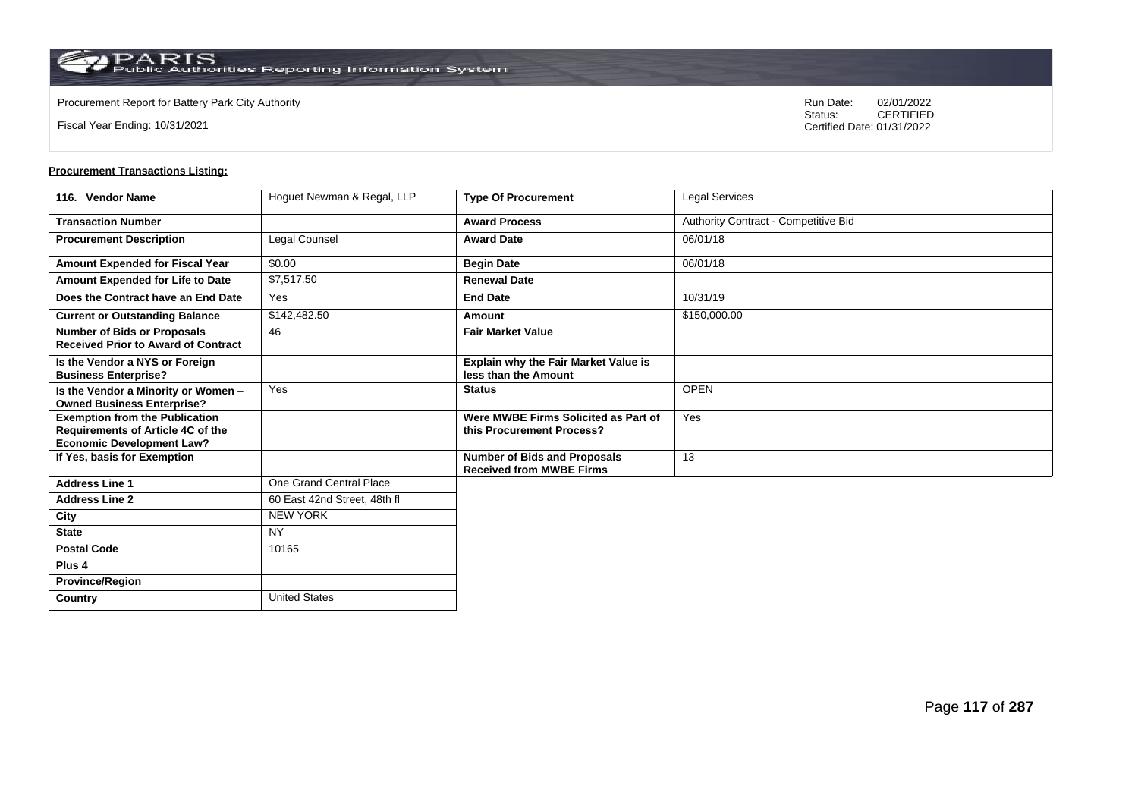**Country** United States

Fiscal Year Ending: 10/31/2021

Procurement Report for Battery Park City Authority **National State Concrete Concrete Concrete Concrete Concrete Concrete Concrete Concrete Concrete Concrete Concrete Concrete Concrete Concrete Concrete Concrete Concrete Co** CERTIFIED Certified Date: 01/31/2022

| 116. Vendor Name                                                                                               | Hoguet Newman & Regal, LLP   | <b>Type Of Procurement</b>                                             | Legal Services                       |
|----------------------------------------------------------------------------------------------------------------|------------------------------|------------------------------------------------------------------------|--------------------------------------|
| <b>Transaction Number</b>                                                                                      |                              | <b>Award Process</b>                                                   | Authority Contract - Competitive Bid |
| <b>Procurement Description</b>                                                                                 | Legal Counsel                | <b>Award Date</b>                                                      | 06/01/18                             |
| Amount Expended for Fiscal Year                                                                                | \$0.00                       | <b>Begin Date</b>                                                      | 06/01/18                             |
| Amount Expended for Life to Date                                                                               | \$7,517.50                   | <b>Renewal Date</b>                                                    |                                      |
| Does the Contract have an End Date                                                                             | Yes                          | <b>End Date</b>                                                        | 10/31/19                             |
| <b>Current or Outstanding Balance</b>                                                                          | \$142,482.50                 | Amount                                                                 | \$150,000.00                         |
| <b>Number of Bids or Proposals</b><br><b>Received Prior to Award of Contract</b>                               | 46                           | <b>Fair Market Value</b>                                               |                                      |
| Is the Vendor a NYS or Foreign<br><b>Business Enterprise?</b>                                                  |                              | Explain why the Fair Market Value is<br>less than the Amount           |                                      |
| Is the Vendor a Minority or Women -<br><b>Owned Business Enterprise?</b>                                       | Yes                          | <b>Status</b>                                                          | <b>OPEN</b>                          |
| <b>Exemption from the Publication</b><br>Requirements of Article 4C of the<br><b>Economic Development Law?</b> |                              | Were MWBE Firms Solicited as Part of<br>this Procurement Process?      | Yes                                  |
| If Yes, basis for Exemption                                                                                    |                              | <b>Number of Bids and Proposals</b><br><b>Received from MWBE Firms</b> | 13                                   |
| <b>Address Line 1</b>                                                                                          | One Grand Central Place      |                                                                        |                                      |
| <b>Address Line 2</b>                                                                                          | 60 East 42nd Street, 48th fl |                                                                        |                                      |
| City                                                                                                           | <b>NEW YORK</b>              |                                                                        |                                      |
| <b>State</b>                                                                                                   | <b>NY</b>                    |                                                                        |                                      |
| <b>Postal Code</b>                                                                                             | 10165                        |                                                                        |                                      |
| Plus <sub>4</sub>                                                                                              |                              |                                                                        |                                      |
| <b>Province/Region</b>                                                                                         |                              |                                                                        |                                      |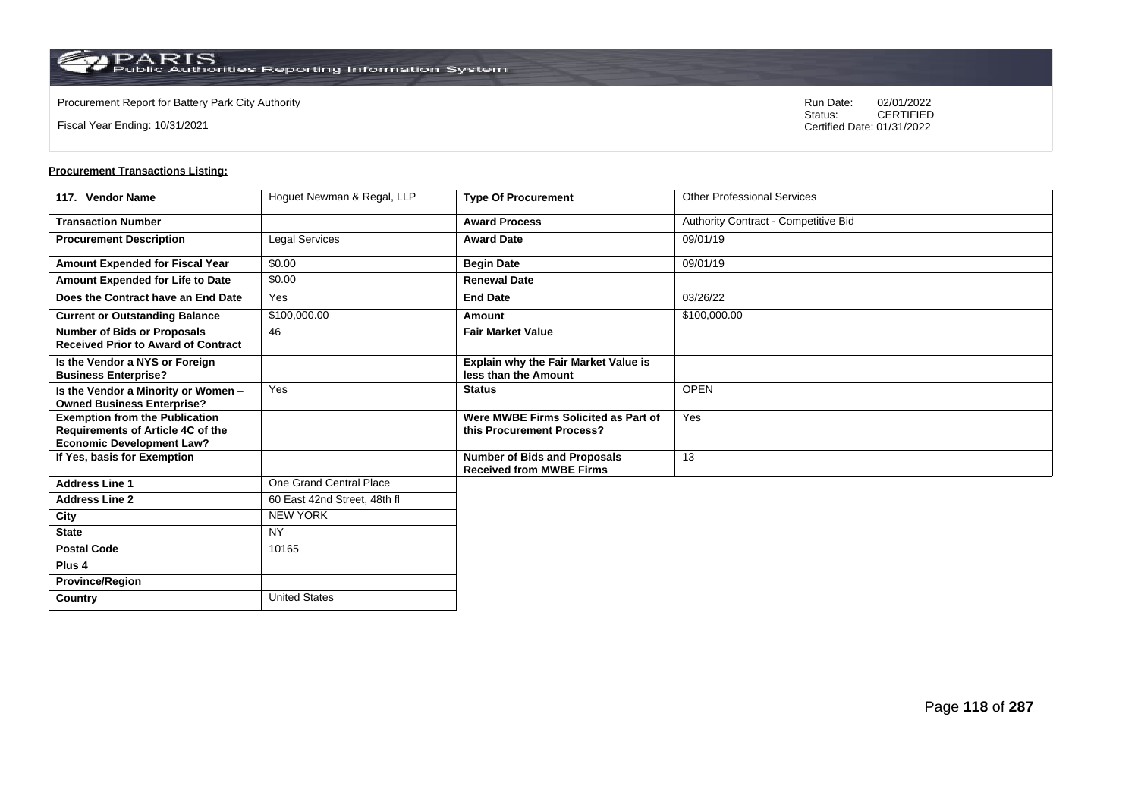**Country** United States

Fiscal Year Ending: 10/31/2021

Procurement Report for Battery Park City Authority **National State Concrete Concrete Concrete Concrete Concrete Concrete Concrete Concrete Concrete Concrete Concrete Concrete Concrete Concrete Concrete Concrete Concrete Co** CERTIFIED Certified Date: 01/31/2022

| 117. Vendor Name                                                                                                      | Hoguet Newman & Regal, LLP   | <b>Type Of Procurement</b>                                             | <b>Other Professional Services</b>   |
|-----------------------------------------------------------------------------------------------------------------------|------------------------------|------------------------------------------------------------------------|--------------------------------------|
| <b>Transaction Number</b>                                                                                             |                              | <b>Award Process</b>                                                   | Authority Contract - Competitive Bid |
| <b>Procurement Description</b>                                                                                        | <b>Legal Services</b>        | <b>Award Date</b>                                                      | 09/01/19                             |
| Amount Expended for Fiscal Year                                                                                       | \$0.00                       | <b>Begin Date</b>                                                      | 09/01/19                             |
| Amount Expended for Life to Date                                                                                      | \$0.00                       | <b>Renewal Date</b>                                                    |                                      |
| Does the Contract have an End Date                                                                                    | Yes                          | <b>End Date</b>                                                        | 03/26/22                             |
| <b>Current or Outstanding Balance</b>                                                                                 | \$100,000.00                 | Amount                                                                 | \$100,000.00                         |
| <b>Number of Bids or Proposals</b><br><b>Received Prior to Award of Contract</b>                                      | 46                           | <b>Fair Market Value</b>                                               |                                      |
| Is the Vendor a NYS or Foreign<br><b>Business Enterprise?</b>                                                         |                              | Explain why the Fair Market Value is<br>less than the Amount           |                                      |
| Is the Vendor a Minority or Women -<br><b>Owned Business Enterprise?</b>                                              | Yes                          | <b>Status</b>                                                          | <b>OPEN</b>                          |
| <b>Exemption from the Publication</b><br><b>Requirements of Article 4C of the</b><br><b>Economic Development Law?</b> |                              | Were MWBE Firms Solicited as Part of<br>this Procurement Process?      | Yes                                  |
| If Yes, basis for Exemption                                                                                           |                              | <b>Number of Bids and Proposals</b><br><b>Received from MWBE Firms</b> | 13                                   |
| <b>Address Line 1</b>                                                                                                 | One Grand Central Place      |                                                                        |                                      |
| <b>Address Line 2</b>                                                                                                 | 60 East 42nd Street, 48th fl |                                                                        |                                      |
| City                                                                                                                  | <b>NEW YORK</b>              |                                                                        |                                      |
| <b>State</b>                                                                                                          | <b>NY</b>                    |                                                                        |                                      |
| <b>Postal Code</b>                                                                                                    | 10165                        |                                                                        |                                      |
| Plus <sub>4</sub>                                                                                                     |                              |                                                                        |                                      |
| <b>Province/Region</b>                                                                                                |                              |                                                                        |                                      |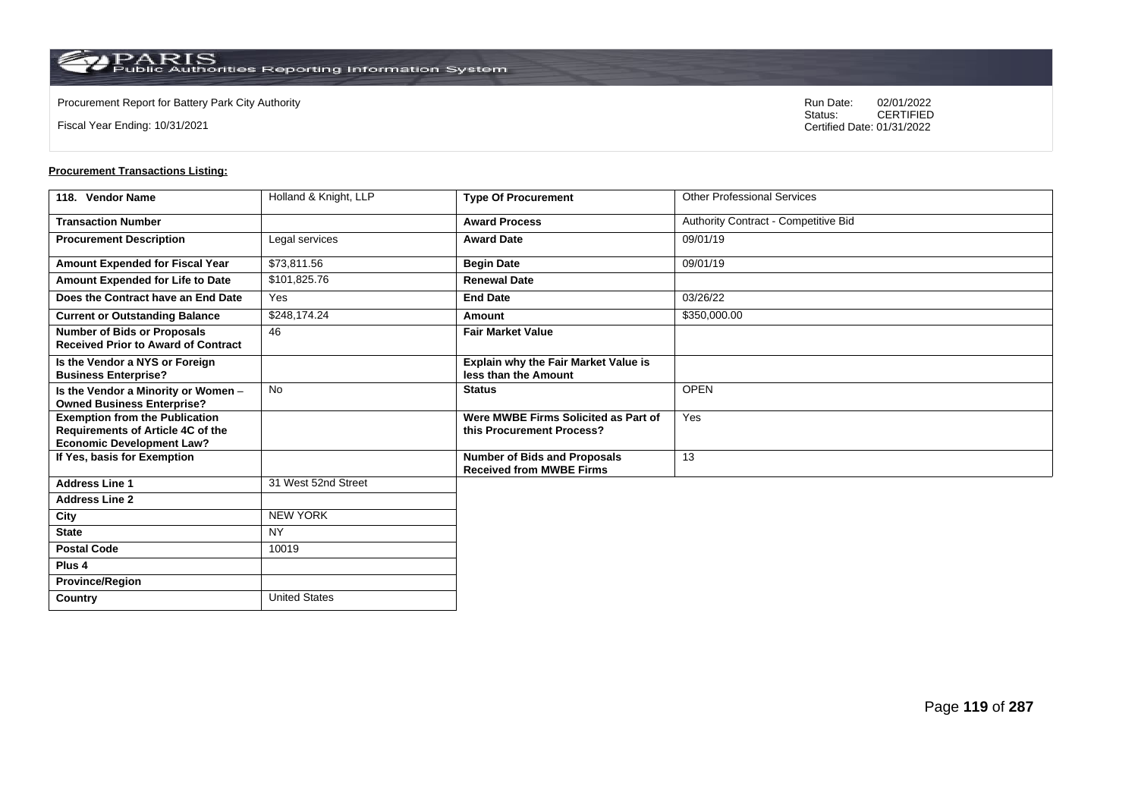**Country** United States

Fiscal Year Ending: 10/31/2021

Procurement Report for Battery Park City Authority **National State Concrete Concrete Concrete Concrete Concrete Concrete Concrete Concrete Concrete Concrete Concrete Concrete Concrete Concrete Concrete Concrete Concrete Co** CERTIFIED Certified Date: 01/31/2022

| 118. Vendor Name                                                                                               | Holland & Knight, LLP | <b>Type Of Procurement</b>                                             | <b>Other Professional Services</b>   |
|----------------------------------------------------------------------------------------------------------------|-----------------------|------------------------------------------------------------------------|--------------------------------------|
| <b>Transaction Number</b>                                                                                      |                       | <b>Award Process</b>                                                   | Authority Contract - Competitive Bid |
| <b>Procurement Description</b>                                                                                 | Legal services        | <b>Award Date</b>                                                      | 09/01/19                             |
| Amount Expended for Fiscal Year                                                                                | \$73,811.56           | <b>Begin Date</b>                                                      | 09/01/19                             |
| Amount Expended for Life to Date                                                                               | \$101,825.76          | <b>Renewal Date</b>                                                    |                                      |
| Does the Contract have an End Date                                                                             | Yes                   | <b>End Date</b>                                                        | 03/26/22                             |
| <b>Current or Outstanding Balance</b>                                                                          | \$248,174.24          | Amount                                                                 | \$350,000.00                         |
| <b>Number of Bids or Proposals</b><br><b>Received Prior to Award of Contract</b>                               | 46                    | <b>Fair Market Value</b>                                               |                                      |
| Is the Vendor a NYS or Foreign<br><b>Business Enterprise?</b>                                                  |                       | Explain why the Fair Market Value is<br>less than the Amount           |                                      |
| Is the Vendor a Minority or Women -<br><b>Owned Business Enterprise?</b>                                       | <b>No</b>             | <b>Status</b>                                                          | <b>OPEN</b>                          |
| <b>Exemption from the Publication</b><br>Requirements of Article 4C of the<br><b>Economic Development Law?</b> |                       | Were MWBE Firms Solicited as Part of<br>this Procurement Process?      | Yes                                  |
| If Yes, basis for Exemption                                                                                    |                       | <b>Number of Bids and Proposals</b><br><b>Received from MWBE Firms</b> | 13                                   |
| <b>Address Line 1</b>                                                                                          | 31 West 52nd Street   |                                                                        |                                      |
| <b>Address Line 2</b>                                                                                          |                       |                                                                        |                                      |
| City                                                                                                           | <b>NEW YORK</b>       |                                                                        |                                      |
| <b>State</b>                                                                                                   | <b>NY</b>             |                                                                        |                                      |
| <b>Postal Code</b>                                                                                             | 10019                 |                                                                        |                                      |
| Plus <sub>4</sub>                                                                                              |                       |                                                                        |                                      |
| <b>Province/Region</b>                                                                                         |                       |                                                                        |                                      |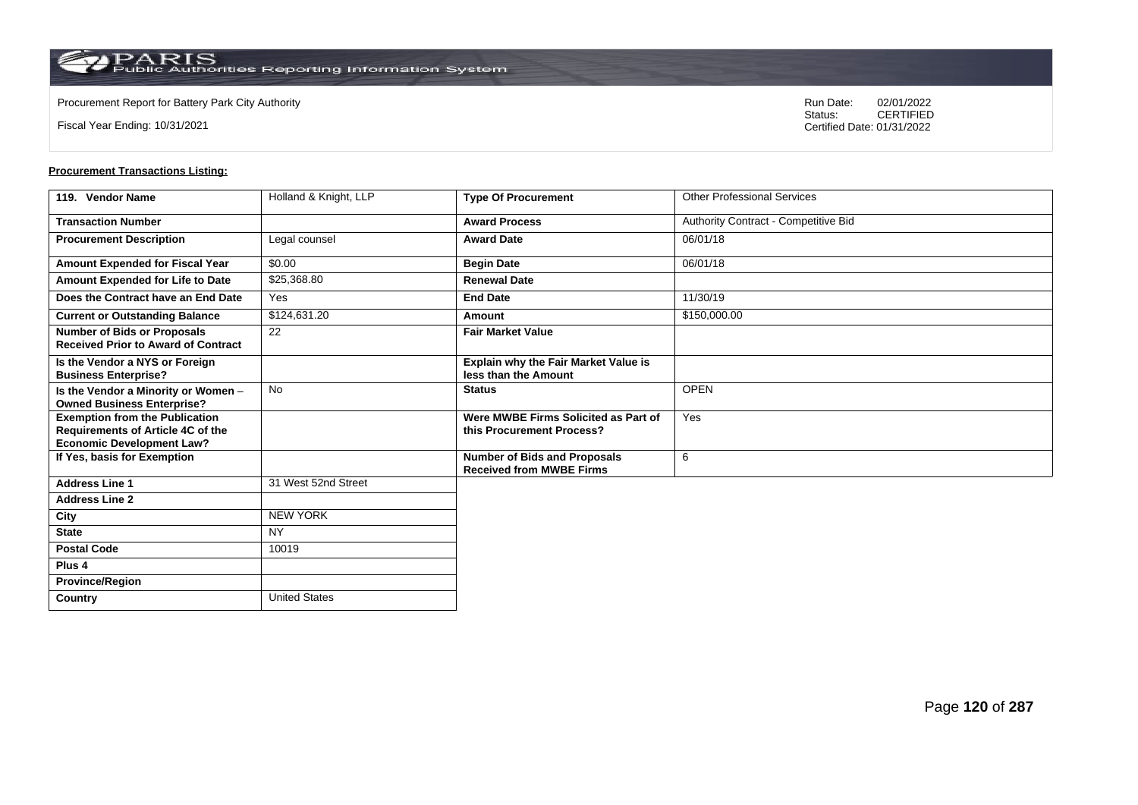**Country** United States

Fiscal Year Ending: 10/31/2021

Procurement Report for Battery Park City Authority **National State Concrete Concrete Concrete Concrete Concrete Concrete Concrete Concrete Concrete Concrete Concrete Concrete Concrete Concrete Concrete Concrete Concrete Co** CERTIFIED Certified Date: 01/31/2022

| 119. Vendor Name                                                                                               | Holland & Knight, LLP | <b>Type Of Procurement</b>                                             | <b>Other Professional Services</b>   |
|----------------------------------------------------------------------------------------------------------------|-----------------------|------------------------------------------------------------------------|--------------------------------------|
| <b>Transaction Number</b>                                                                                      |                       | <b>Award Process</b>                                                   | Authority Contract - Competitive Bid |
| <b>Procurement Description</b>                                                                                 | Legal counsel         | <b>Award Date</b>                                                      | 06/01/18                             |
| Amount Expended for Fiscal Year                                                                                | \$0.00                | <b>Begin Date</b>                                                      | 06/01/18                             |
| Amount Expended for Life to Date                                                                               | \$25,368.80           | <b>Renewal Date</b>                                                    |                                      |
| Does the Contract have an End Date                                                                             | Yes                   | <b>End Date</b>                                                        | 11/30/19                             |
| <b>Current or Outstanding Balance</b>                                                                          | \$124,631.20          | Amount                                                                 | \$150,000.00                         |
| <b>Number of Bids or Proposals</b><br><b>Received Prior to Award of Contract</b>                               | 22                    | <b>Fair Market Value</b>                                               |                                      |
| Is the Vendor a NYS or Foreign<br><b>Business Enterprise?</b>                                                  |                       | Explain why the Fair Market Value is<br>less than the Amount           |                                      |
| Is the Vendor a Minority or Women -<br><b>Owned Business Enterprise?</b>                                       | <b>No</b>             | <b>Status</b>                                                          | <b>OPEN</b>                          |
| <b>Exemption from the Publication</b><br>Requirements of Article 4C of the<br><b>Economic Development Law?</b> |                       | Were MWBE Firms Solicited as Part of<br>this Procurement Process?      | Yes                                  |
| If Yes, basis for Exemption                                                                                    |                       | <b>Number of Bids and Proposals</b><br><b>Received from MWBE Firms</b> | 6                                    |
| <b>Address Line 1</b>                                                                                          | 31 West 52nd Street   |                                                                        |                                      |
| <b>Address Line 2</b>                                                                                          |                       |                                                                        |                                      |
| City                                                                                                           | <b>NEW YORK</b>       |                                                                        |                                      |
| <b>State</b>                                                                                                   | <b>NY</b>             |                                                                        |                                      |
| <b>Postal Code</b>                                                                                             | 10019                 |                                                                        |                                      |
| Plus <sub>4</sub>                                                                                              |                       |                                                                        |                                      |
| <b>Province/Region</b>                                                                                         |                       |                                                                        |                                      |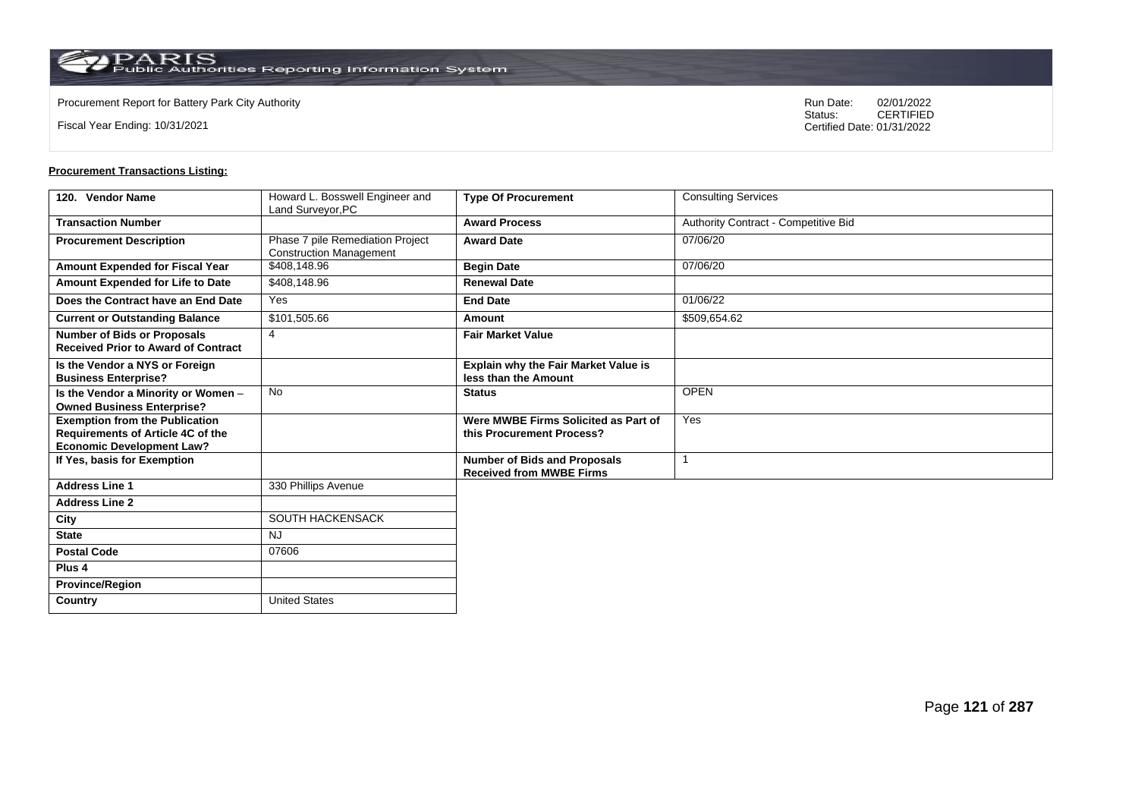Fiscal Year Ending: 10/31/2021

Procurement Report for Battery Park City Authority **National State Concrete Concrete Concrete Concrete Concrete Concrete Concrete Concrete Concrete Concrete Concrete Concrete Concrete Concrete Concrete Concrete Concrete Co** CERTIFIED Certified Date: 01/31/2022

| 120. Vendor Name                                                                                                      | Howard L. Bosswell Engineer and<br>Land Surveyor, PC               | <b>Type Of Procurement</b>                                             | <b>Consulting Services</b>           |
|-----------------------------------------------------------------------------------------------------------------------|--------------------------------------------------------------------|------------------------------------------------------------------------|--------------------------------------|
| <b>Transaction Number</b>                                                                                             |                                                                    | <b>Award Process</b>                                                   | Authority Contract - Competitive Bid |
| <b>Procurement Description</b>                                                                                        | Phase 7 pile Remediation Project<br><b>Construction Management</b> | <b>Award Date</b>                                                      | 07/06/20                             |
| Amount Expended for Fiscal Year                                                                                       | \$408,148.96                                                       | <b>Begin Date</b>                                                      | 07/06/20                             |
| Amount Expended for Life to Date                                                                                      | \$408,148.96                                                       | <b>Renewal Date</b>                                                    |                                      |
| Does the Contract have an End Date                                                                                    | Yes                                                                | <b>End Date</b>                                                        | 01/06/22                             |
| <b>Current or Outstanding Balance</b>                                                                                 | \$101,505.66                                                       | Amount                                                                 | \$509,654.62                         |
| <b>Number of Bids or Proposals</b><br><b>Received Prior to Award of Contract</b>                                      | $\overline{4}$                                                     | <b>Fair Market Value</b>                                               |                                      |
| Is the Vendor a NYS or Foreign<br><b>Business Enterprise?</b>                                                         |                                                                    | <b>Explain why the Fair Market Value is</b><br>less than the Amount    |                                      |
| Is the Vendor a Minority or Women -<br><b>Owned Business Enterprise?</b>                                              | <b>No</b>                                                          | <b>Status</b>                                                          | <b>OPEN</b>                          |
| <b>Exemption from the Publication</b><br><b>Requirements of Article 4C of the</b><br><b>Economic Development Law?</b> |                                                                    | Were MWBE Firms Solicited as Part of<br>this Procurement Process?      | Yes                                  |
| If Yes, basis for Exemption                                                                                           |                                                                    | <b>Number of Bids and Proposals</b><br><b>Received from MWBE Firms</b> |                                      |
| <b>Address Line 1</b>                                                                                                 | 330 Phillips Avenue                                                |                                                                        |                                      |
| <b>Address Line 2</b>                                                                                                 |                                                                    |                                                                        |                                      |
| City                                                                                                                  | SOUTH HACKENSACK                                                   |                                                                        |                                      |
| <b>State</b>                                                                                                          | <b>NJ</b>                                                          |                                                                        |                                      |
| <b>Postal Code</b>                                                                                                    | 07606                                                              |                                                                        |                                      |
| Plus <sub>4</sub>                                                                                                     |                                                                    |                                                                        |                                      |
| <b>Province/Region</b>                                                                                                |                                                                    |                                                                        |                                      |
| Country                                                                                                               | <b>United States</b>                                               |                                                                        |                                      |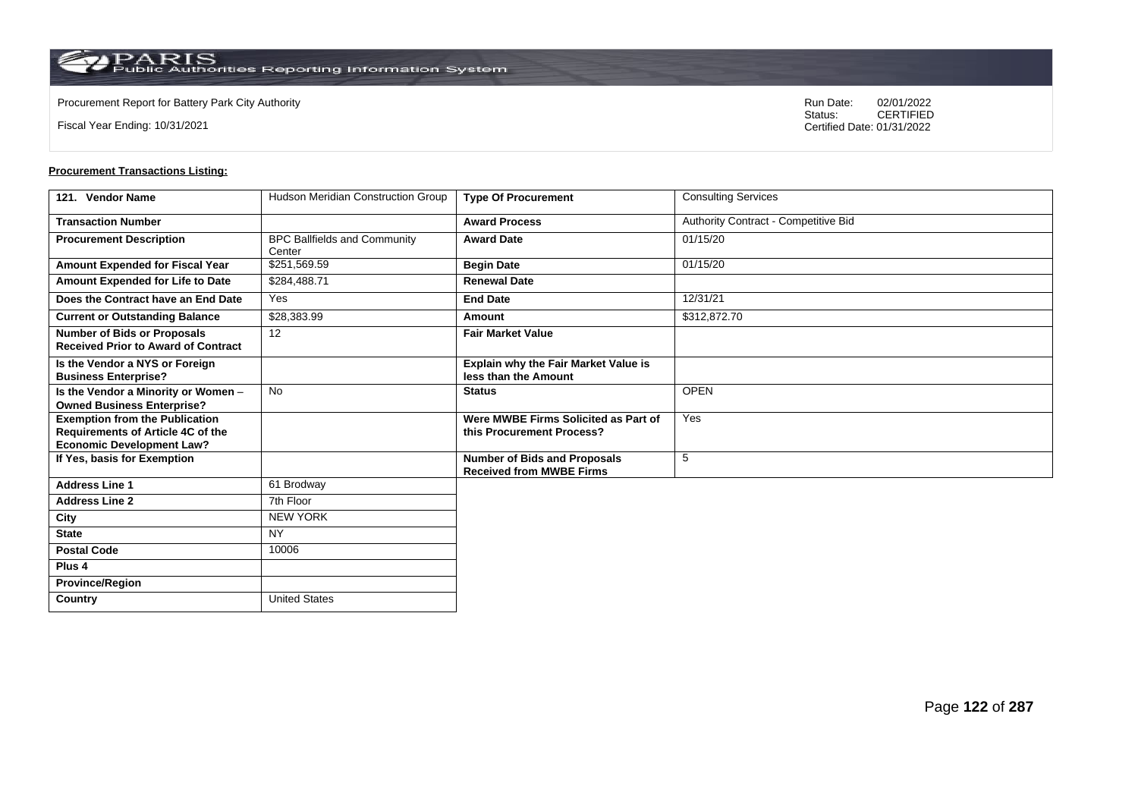**Country** United States

Fiscal Year Ending: 10/31/2021

Procurement Report for Battery Park City Authority **National State Concrete Concrete Concrete Concrete Concrete Concrete Concrete Concrete Concrete Concrete Concrete Concrete Concrete Concrete Concrete Concrete Concrete Co** CERTIFIED Certified Date: 01/31/2022

| 121. Vendor Name                                                                                               | Hudson Meridian Construction Group            | <b>Type Of Procurement</b>                                             | <b>Consulting Services</b>           |
|----------------------------------------------------------------------------------------------------------------|-----------------------------------------------|------------------------------------------------------------------------|--------------------------------------|
| <b>Transaction Number</b>                                                                                      |                                               | <b>Award Process</b>                                                   | Authority Contract - Competitive Bid |
| <b>Procurement Description</b>                                                                                 | <b>BPC Ballfields and Community</b><br>Center | <b>Award Date</b>                                                      | 01/15/20                             |
| Amount Expended for Fiscal Year                                                                                | \$251,569.59                                  | <b>Begin Date</b>                                                      | 01/15/20                             |
| Amount Expended for Life to Date                                                                               | \$284,488.71                                  | <b>Renewal Date</b>                                                    |                                      |
| Does the Contract have an End Date                                                                             | Yes                                           | <b>End Date</b>                                                        | 12/31/21                             |
| <b>Current or Outstanding Balance</b>                                                                          | \$28,383.99                                   | Amount                                                                 | \$312,872.70                         |
| <b>Number of Bids or Proposals</b><br><b>Received Prior to Award of Contract</b>                               | 12                                            | <b>Fair Market Value</b>                                               |                                      |
| Is the Vendor a NYS or Foreign<br><b>Business Enterprise?</b>                                                  |                                               | <b>Explain why the Fair Market Value is</b><br>less than the Amount    |                                      |
| Is the Vendor a Minority or Women -<br><b>Owned Business Enterprise?</b>                                       | <b>No</b>                                     | <b>Status</b>                                                          | <b>OPEN</b>                          |
| <b>Exemption from the Publication</b><br>Requirements of Article 4C of the<br><b>Economic Development Law?</b> |                                               | Were MWBE Firms Solicited as Part of<br>this Procurement Process?      | Yes                                  |
| If Yes, basis for Exemption                                                                                    |                                               | <b>Number of Bids and Proposals</b><br><b>Received from MWBE Firms</b> | 5                                    |
| <b>Address Line 1</b>                                                                                          | 61 Brodway                                    |                                                                        |                                      |
| <b>Address Line 2</b>                                                                                          | 7th Floor                                     |                                                                        |                                      |
| City                                                                                                           | <b>NEW YORK</b>                               |                                                                        |                                      |
| <b>State</b>                                                                                                   | NY                                            |                                                                        |                                      |
| <b>Postal Code</b>                                                                                             | 10006                                         |                                                                        |                                      |
| Plus <sub>4</sub>                                                                                              |                                               |                                                                        |                                      |
| <b>Province/Region</b>                                                                                         |                                               |                                                                        |                                      |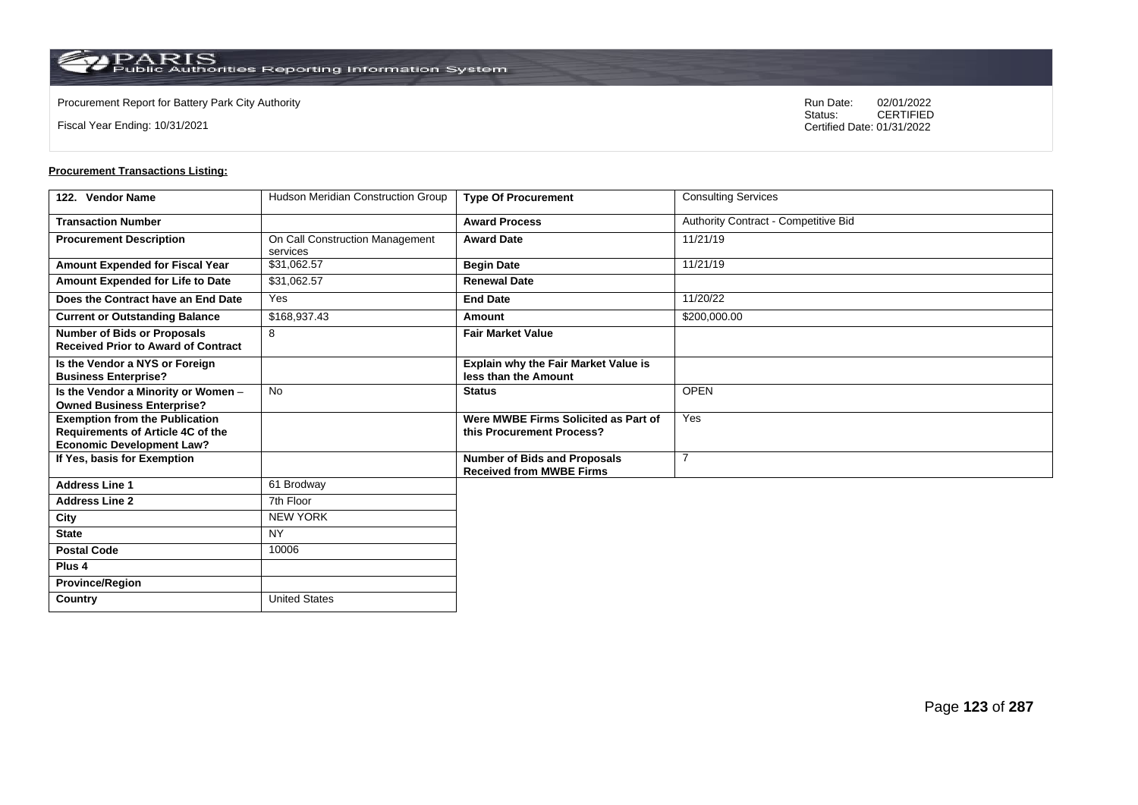$\operatorname{PARIS}_{\text{Public Authorities}\,\text{Reporting}\,\text{Information System}}$ 

Fiscal Year Ending: 10/31/2021

Procurement Report for Battery Park City Authority **National State Concrete Concrete Concrete Concrete Concrete Concrete Concrete Concrete Concrete Concrete Concrete Concrete Concrete Concrete Concrete Concrete Concrete Co** CERTIFIED Certified Date: 01/31/2022

| 122. Vendor Name                                                                                                      | Hudson Meridian Construction Group          | <b>Type Of Procurement</b>                                             | <b>Consulting Services</b>           |
|-----------------------------------------------------------------------------------------------------------------------|---------------------------------------------|------------------------------------------------------------------------|--------------------------------------|
| <b>Transaction Number</b>                                                                                             |                                             | <b>Award Process</b>                                                   | Authority Contract - Competitive Bid |
| <b>Procurement Description</b>                                                                                        | On Call Construction Management<br>services | <b>Award Date</b>                                                      | 11/21/19                             |
| Amount Expended for Fiscal Year                                                                                       | \$31,062.57                                 | <b>Begin Date</b>                                                      | 11/21/19                             |
| Amount Expended for Life to Date                                                                                      | \$31.062.57                                 | <b>Renewal Date</b>                                                    |                                      |
| Does the Contract have an End Date                                                                                    | Yes                                         | <b>End Date</b>                                                        | 11/20/22                             |
| <b>Current or Outstanding Balance</b>                                                                                 | \$168,937.43                                | Amount                                                                 | \$200,000.00                         |
| <b>Number of Bids or Proposals</b><br><b>Received Prior to Award of Contract</b>                                      | 8                                           | <b>Fair Market Value</b>                                               |                                      |
| Is the Vendor a NYS or Foreign<br><b>Business Enterprise?</b>                                                         |                                             | <b>Explain why the Fair Market Value is</b><br>less than the Amount    |                                      |
| Is the Vendor a Minority or Women -<br><b>Owned Business Enterprise?</b>                                              | <b>No</b>                                   | <b>Status</b>                                                          | <b>OPEN</b>                          |
| <b>Exemption from the Publication</b><br><b>Requirements of Article 4C of the</b><br><b>Economic Development Law?</b> |                                             | Were MWBE Firms Solicited as Part of<br>this Procurement Process?      | Yes                                  |
| If Yes, basis for Exemption                                                                                           |                                             | <b>Number of Bids and Proposals</b><br><b>Received from MWBE Firms</b> | 7                                    |
| <b>Address Line 1</b>                                                                                                 | 61 Brodway                                  |                                                                        |                                      |
| <b>Address Line 2</b>                                                                                                 | 7th Floor                                   |                                                                        |                                      |
| City                                                                                                                  | <b>NEW YORK</b>                             |                                                                        |                                      |
| <b>State</b>                                                                                                          | NY                                          |                                                                        |                                      |
| <b>Postal Code</b>                                                                                                    | 10006                                       |                                                                        |                                      |
| Plus <sub>4</sub>                                                                                                     |                                             |                                                                        |                                      |
| <b>Province/Region</b>                                                                                                |                                             |                                                                        |                                      |
| <b>Country</b>                                                                                                        | <b>United States</b>                        |                                                                        |                                      |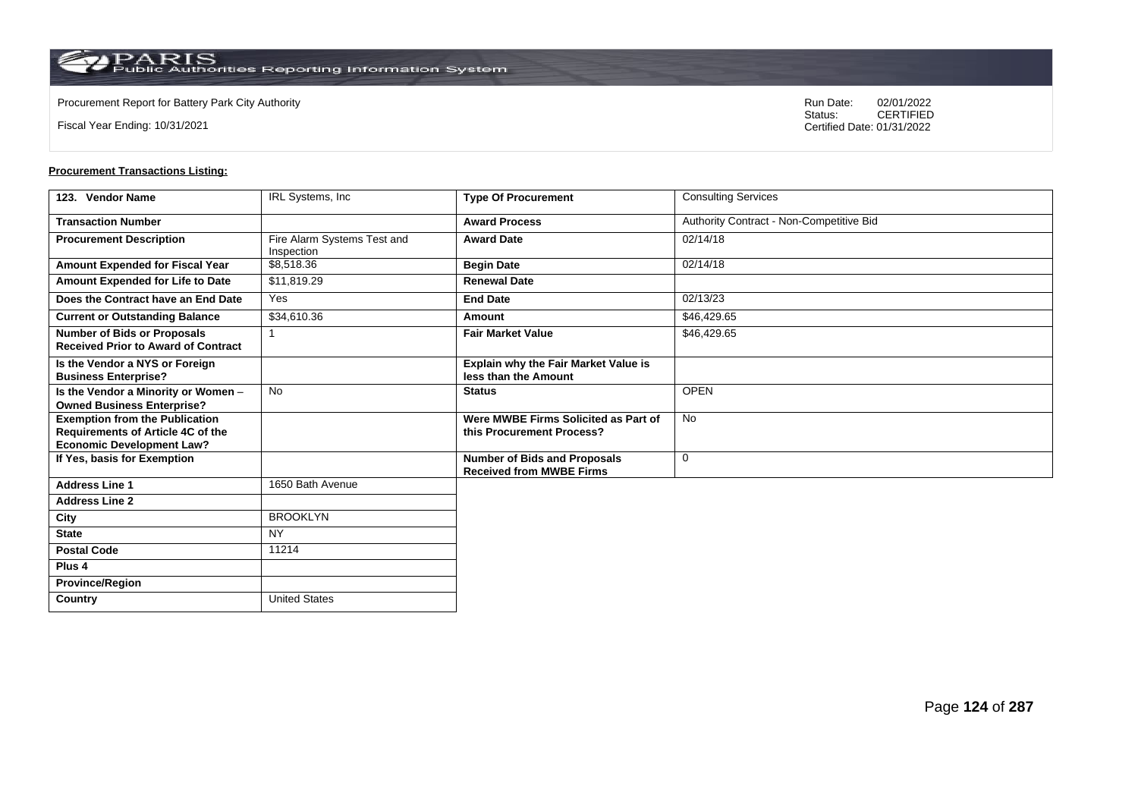$\operatorname{PARIS}_{\text{Public Authorities}\,\text{Reporting}\,\text{Information System}}$ 

**Country** United States

Fiscal Year Ending: 10/31/2021

Procurement Report for Battery Park City Authority **National State Concrete Concrete Concrete Concrete Concrete Concrete Concrete Concrete Concrete Concrete Concrete Concrete Concrete Concrete Concrete Concrete Concrete Co** CERTIFIED Certified Date: 01/31/2022

| 123. Vendor Name                                                                                                      | IRL Systems, Inc.                         | <b>Type Of Procurement</b>                                             | <b>Consulting Services</b>               |
|-----------------------------------------------------------------------------------------------------------------------|-------------------------------------------|------------------------------------------------------------------------|------------------------------------------|
| <b>Transaction Number</b>                                                                                             |                                           | <b>Award Process</b>                                                   | Authority Contract - Non-Competitive Bid |
| <b>Procurement Description</b>                                                                                        | Fire Alarm Systems Test and<br>Inspection | <b>Award Date</b>                                                      | 02/14/18                                 |
| <b>Amount Expended for Fiscal Year</b>                                                                                | \$8,518.36                                | <b>Begin Date</b>                                                      | 02/14/18                                 |
| Amount Expended for Life to Date                                                                                      | \$11,819.29                               | <b>Renewal Date</b>                                                    |                                          |
| Does the Contract have an End Date                                                                                    | Yes                                       | <b>End Date</b>                                                        | 02/13/23                                 |
| <b>Current or Outstanding Balance</b>                                                                                 | \$34,610.36                               | Amount                                                                 | \$46,429.65                              |
| <b>Number of Bids or Proposals</b><br><b>Received Prior to Award of Contract</b>                                      |                                           | <b>Fair Market Value</b>                                               | \$46,429.65                              |
| Is the Vendor a NYS or Foreign<br><b>Business Enterprise?</b>                                                         |                                           | <b>Explain why the Fair Market Value is</b><br>less than the Amount    |                                          |
| Is the Vendor a Minority or Women -<br><b>Owned Business Enterprise?</b>                                              | <b>No</b>                                 | <b>Status</b>                                                          | <b>OPEN</b>                              |
| <b>Exemption from the Publication</b><br><b>Requirements of Article 4C of the</b><br><b>Economic Development Law?</b> |                                           | Were MWBE Firms Solicited as Part of<br>this Procurement Process?      | <b>No</b>                                |
| If Yes, basis for Exemption                                                                                           |                                           | <b>Number of Bids and Proposals</b><br><b>Received from MWBE Firms</b> | $\mathbf 0$                              |
| <b>Address Line 1</b>                                                                                                 | 1650 Bath Avenue                          |                                                                        |                                          |
| <b>Address Line 2</b>                                                                                                 |                                           |                                                                        |                                          |
| City                                                                                                                  | <b>BROOKLYN</b>                           |                                                                        |                                          |
| <b>State</b>                                                                                                          | <b>NY</b>                                 |                                                                        |                                          |
| <b>Postal Code</b>                                                                                                    | 11214                                     |                                                                        |                                          |
| Plus <sub>4</sub>                                                                                                     |                                           |                                                                        |                                          |
| <b>Province/Region</b>                                                                                                |                                           |                                                                        |                                          |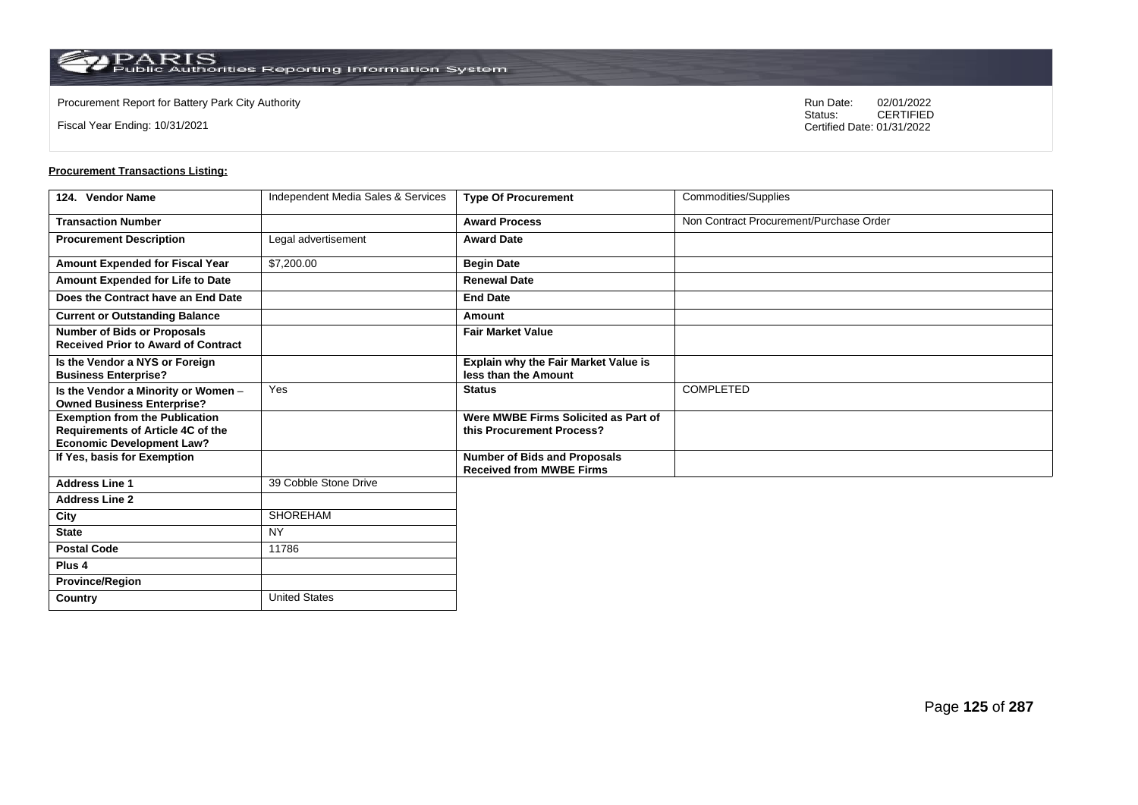Fiscal Year Ending: 10/31/2021

Procurement Report for Battery Park City Authority **National State Concrete Concrete Concrete Concrete Concrete Concrete Concrete Concrete Concrete Concrete Concrete Concrete Concrete Concrete Concrete Concrete Concrete Co** CERTIFIED Certified Date: 01/31/2022

| 124. Vendor Name                                                                                               | Independent Media Sales & Services | <b>Type Of Procurement</b>                                             | Commodities/Supplies                    |
|----------------------------------------------------------------------------------------------------------------|------------------------------------|------------------------------------------------------------------------|-----------------------------------------|
| <b>Transaction Number</b>                                                                                      |                                    | <b>Award Process</b>                                                   | Non Contract Procurement/Purchase Order |
| <b>Procurement Description</b>                                                                                 | Legal advertisement                | <b>Award Date</b>                                                      |                                         |
| <b>Amount Expended for Fiscal Year</b>                                                                         | \$7,200.00                         | <b>Begin Date</b>                                                      |                                         |
| <b>Amount Expended for Life to Date</b>                                                                        |                                    | <b>Renewal Date</b>                                                    |                                         |
| Does the Contract have an End Date                                                                             |                                    | <b>End Date</b>                                                        |                                         |
| <b>Current or Outstanding Balance</b>                                                                          |                                    | Amount                                                                 |                                         |
| <b>Number of Bids or Proposals</b><br><b>Received Prior to Award of Contract</b>                               |                                    | <b>Fair Market Value</b>                                               |                                         |
| Is the Vendor a NYS or Foreign<br><b>Business Enterprise?</b>                                                  |                                    | <b>Explain why the Fair Market Value is</b><br>less than the Amount    |                                         |
| Is the Vendor a Minority or Women -<br><b>Owned Business Enterprise?</b>                                       | Yes                                | <b>Status</b>                                                          | <b>COMPLETED</b>                        |
| <b>Exemption from the Publication</b><br>Requirements of Article 4C of the<br><b>Economic Development Law?</b> |                                    | Were MWBE Firms Solicited as Part of<br>this Procurement Process?      |                                         |
| If Yes, basis for Exemption                                                                                    |                                    | <b>Number of Bids and Proposals</b><br><b>Received from MWBE Firms</b> |                                         |
| <b>Address Line 1</b>                                                                                          | 39 Cobble Stone Drive              |                                                                        |                                         |
| <b>Address Line 2</b>                                                                                          |                                    |                                                                        |                                         |
| City                                                                                                           | <b>SHOREHAM</b>                    |                                                                        |                                         |
| <b>State</b>                                                                                                   | <b>NY</b>                          |                                                                        |                                         |
| <b>Postal Code</b>                                                                                             | 11786                              |                                                                        |                                         |
| Plus <sub>4</sub>                                                                                              |                                    |                                                                        |                                         |
| <b>Province/Region</b>                                                                                         |                                    |                                                                        |                                         |
| Country                                                                                                        | <b>United States</b>               |                                                                        |                                         |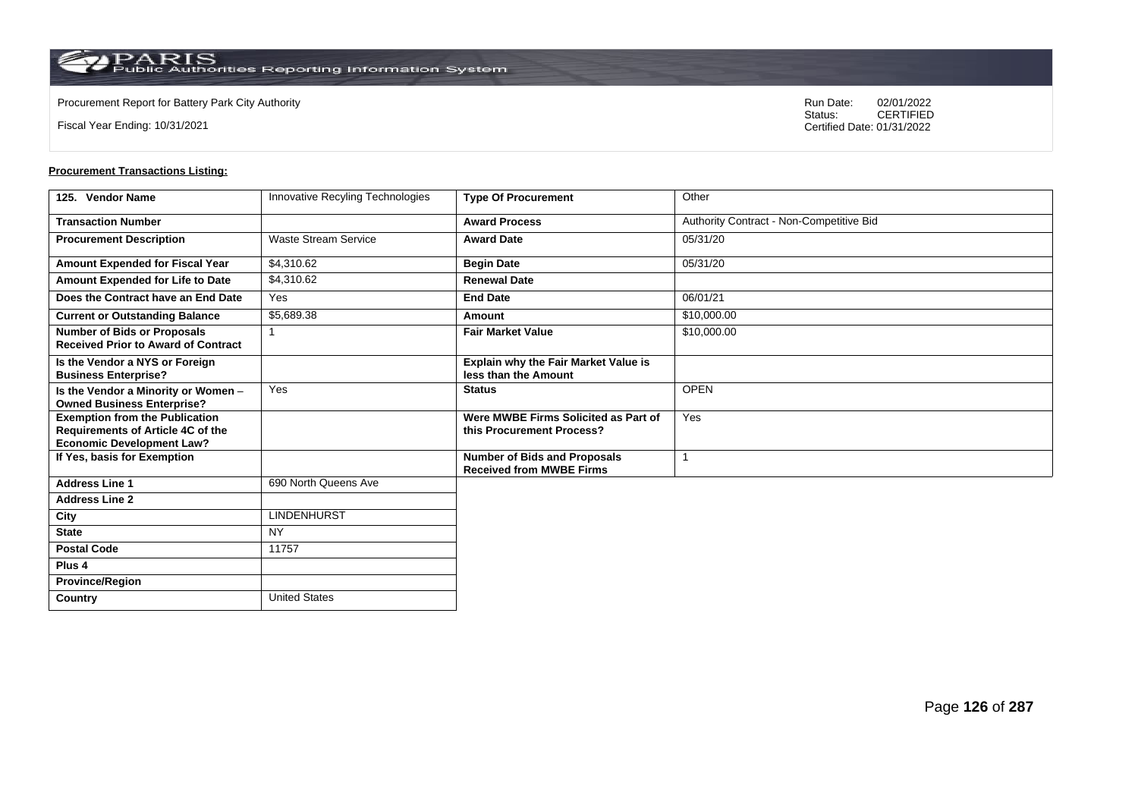**Country** United States

Fiscal Year Ending: 10/31/2021

Procurement Report for Battery Park City Authority **National State Concrete Concrete Concrete Concrete Concrete Concrete Concrete Concrete Concrete Concrete Concrete Concrete Concrete Concrete Concrete Concrete Concrete Co** CERTIFIED Certified Date: 01/31/2022

| 125. Vendor Name                                                                                               | Innovative Recyling Technologies | <b>Type Of Procurement</b>                                             | Other                                    |
|----------------------------------------------------------------------------------------------------------------|----------------------------------|------------------------------------------------------------------------|------------------------------------------|
| <b>Transaction Number</b>                                                                                      |                                  | <b>Award Process</b>                                                   | Authority Contract - Non-Competitive Bid |
| <b>Procurement Description</b>                                                                                 | <b>Waste Stream Service</b>      | <b>Award Date</b>                                                      | 05/31/20                                 |
| Amount Expended for Fiscal Year                                                                                | \$4,310.62                       | <b>Begin Date</b>                                                      | 05/31/20                                 |
| Amount Expended for Life to Date                                                                               | \$4.310.62                       | <b>Renewal Date</b>                                                    |                                          |
| Does the Contract have an End Date                                                                             | Yes                              | <b>End Date</b>                                                        | 06/01/21                                 |
| <b>Current or Outstanding Balance</b>                                                                          | \$5,689.38                       | Amount                                                                 | \$10,000.00                              |
| <b>Number of Bids or Proposals</b><br><b>Received Prior to Award of Contract</b>                               |                                  | <b>Fair Market Value</b>                                               | \$10,000.00                              |
| Is the Vendor a NYS or Foreign<br><b>Business Enterprise?</b>                                                  |                                  | Explain why the Fair Market Value is<br>less than the Amount           |                                          |
| Is the Vendor a Minority or Women -<br><b>Owned Business Enterprise?</b>                                       | Yes                              | <b>Status</b>                                                          | <b>OPEN</b>                              |
| <b>Exemption from the Publication</b><br>Requirements of Article 4C of the<br><b>Economic Development Law?</b> |                                  | Were MWBE Firms Solicited as Part of<br>this Procurement Process?      | Yes                                      |
| If Yes, basis for Exemption                                                                                    |                                  | <b>Number of Bids and Proposals</b><br><b>Received from MWBE Firms</b> |                                          |
| <b>Address Line 1</b>                                                                                          | 690 North Queens Ave             |                                                                        |                                          |
| <b>Address Line 2</b>                                                                                          |                                  |                                                                        |                                          |
| City                                                                                                           | <b>LINDENHURST</b>               |                                                                        |                                          |
| <b>State</b>                                                                                                   | <b>NY</b>                        |                                                                        |                                          |
| <b>Postal Code</b>                                                                                             | 11757                            |                                                                        |                                          |
| Plus <sub>4</sub>                                                                                              |                                  |                                                                        |                                          |
| <b>Province/Region</b>                                                                                         |                                  |                                                                        |                                          |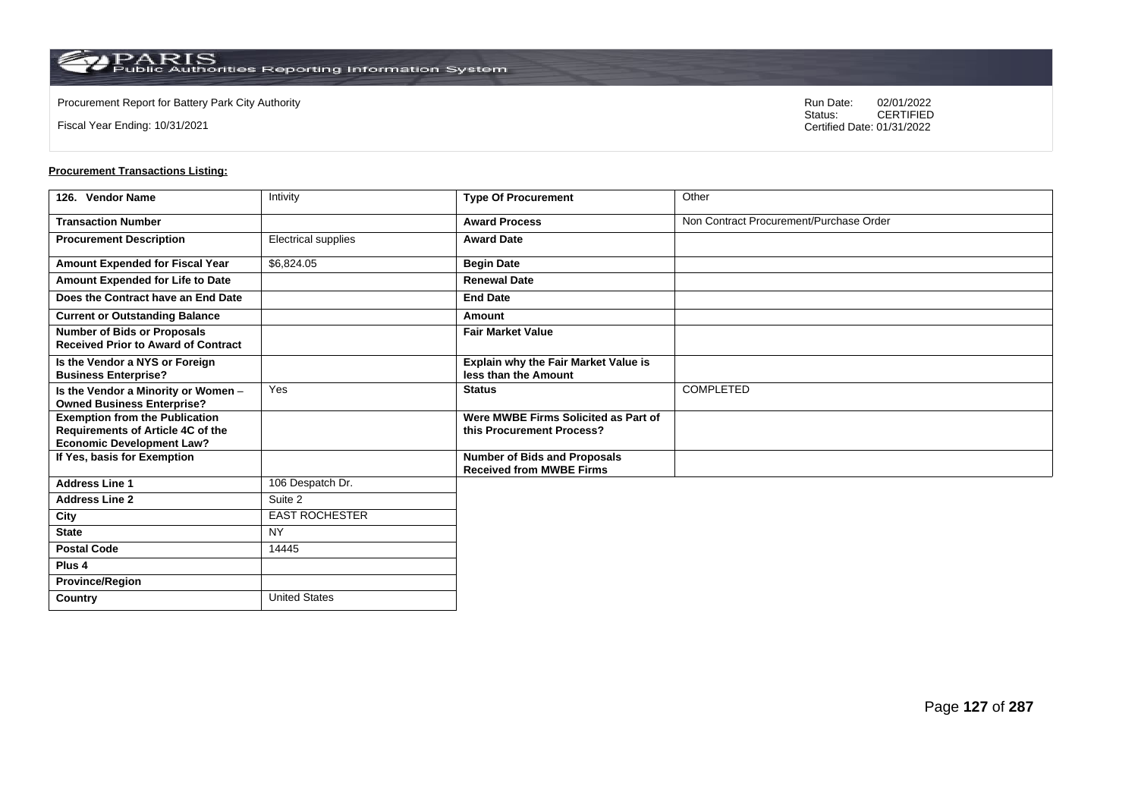Fiscal Year Ending: 10/31/2021

Procurement Report for Battery Park City Authority **National State Concrete Concrete Concrete Concrete Concrete Concrete Concrete Concrete Concrete Concrete Concrete Concrete Concrete Concrete Concrete Concrete Concrete Co** CERTIFIED Certified Date: 01/31/2022

| 126. Vendor Name                                                                                               | Intivity              | <b>Type Of Procurement</b>                                             | Other                                   |
|----------------------------------------------------------------------------------------------------------------|-----------------------|------------------------------------------------------------------------|-----------------------------------------|
| <b>Transaction Number</b>                                                                                      |                       | <b>Award Process</b>                                                   | Non Contract Procurement/Purchase Order |
| <b>Procurement Description</b>                                                                                 | Electrical supplies   | <b>Award Date</b>                                                      |                                         |
| Amount Expended for Fiscal Year                                                                                | \$6,824.05            | <b>Begin Date</b>                                                      |                                         |
| Amount Expended for Life to Date                                                                               |                       | <b>Renewal Date</b>                                                    |                                         |
| Does the Contract have an End Date                                                                             |                       | <b>End Date</b>                                                        |                                         |
| <b>Current or Outstanding Balance</b>                                                                          |                       | Amount                                                                 |                                         |
| Number of Bids or Proposals<br><b>Received Prior to Award of Contract</b>                                      |                       | <b>Fair Market Value</b>                                               |                                         |
| Is the Vendor a NYS or Foreign<br><b>Business Enterprise?</b>                                                  |                       | Explain why the Fair Market Value is<br>less than the Amount           |                                         |
| Is the Vendor a Minority or Women -<br><b>Owned Business Enterprise?</b>                                       | Yes                   | <b>Status</b>                                                          | <b>COMPLETED</b>                        |
| <b>Exemption from the Publication</b><br>Requirements of Article 4C of the<br><b>Economic Development Law?</b> |                       | Were MWBE Firms Solicited as Part of<br>this Procurement Process?      |                                         |
| If Yes, basis for Exemption                                                                                    |                       | <b>Number of Bids and Proposals</b><br><b>Received from MWBE Firms</b> |                                         |
| <b>Address Line 1</b>                                                                                          | 106 Despatch Dr.      |                                                                        |                                         |
| <b>Address Line 2</b>                                                                                          | Suite 2               |                                                                        |                                         |
| City                                                                                                           | <b>EAST ROCHESTER</b> |                                                                        |                                         |
| <b>State</b>                                                                                                   | <b>NY</b>             |                                                                        |                                         |
| <b>Postal Code</b>                                                                                             | 14445                 |                                                                        |                                         |
| Plus 4                                                                                                         |                       |                                                                        |                                         |
| <b>Province/Region</b>                                                                                         |                       |                                                                        |                                         |
| Country                                                                                                        | <b>United States</b>  |                                                                        |                                         |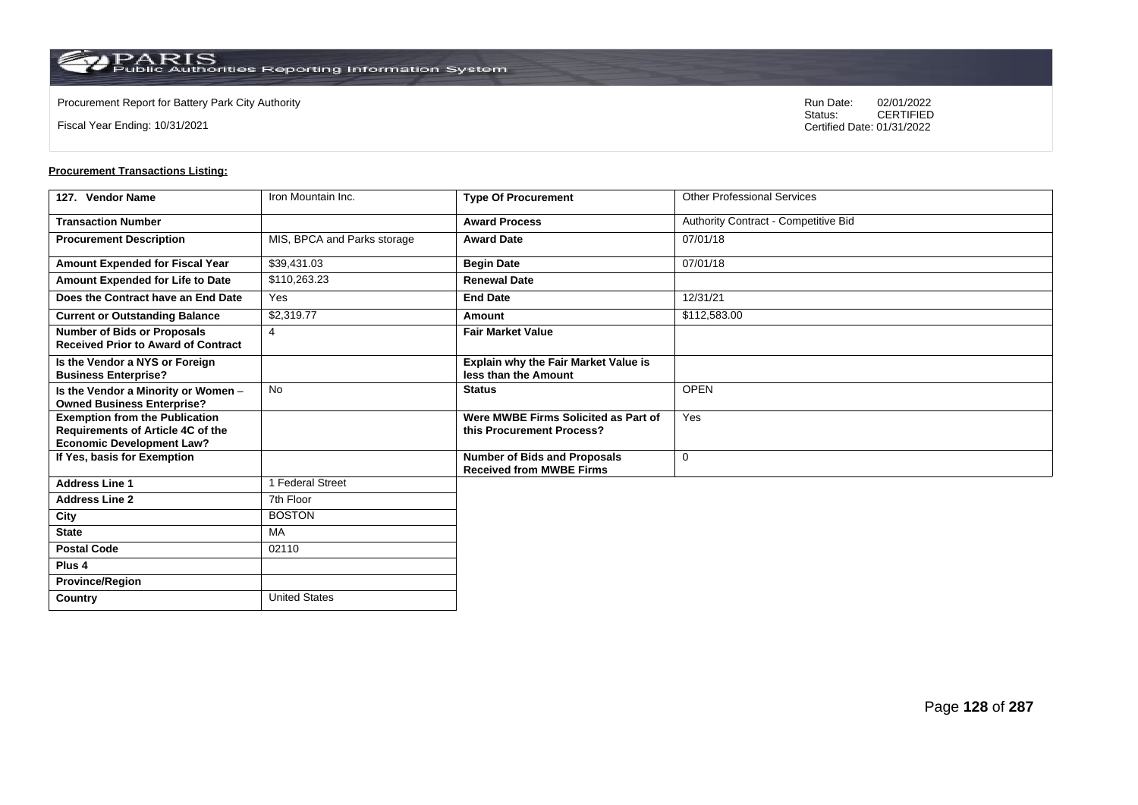$\operatorname{PARIS}_{\text{Public Authorities}\,\text{Reporting}\,\text{Information System}}$ 

**Country** United States

Fiscal Year Ending: 10/31/2021

Procurement Report for Battery Park City Authority **National State Concrete Concrete Concrete Concrete Concrete Concrete Concrete Concrete Concrete Concrete Concrete Concrete Concrete Concrete Concrete Concrete Concrete Co** CERTIFIED Certified Date: 01/31/2022

| 127. Vendor Name                                                                                               | Iron Mountain Inc.          | <b>Type Of Procurement</b>                                             | <b>Other Professional Services</b>   |
|----------------------------------------------------------------------------------------------------------------|-----------------------------|------------------------------------------------------------------------|--------------------------------------|
| <b>Transaction Number</b>                                                                                      |                             | <b>Award Process</b>                                                   | Authority Contract - Competitive Bid |
| <b>Procurement Description</b>                                                                                 | MIS, BPCA and Parks storage | <b>Award Date</b>                                                      | 07/01/18                             |
| Amount Expended for Fiscal Year                                                                                | \$39,431.03                 | <b>Begin Date</b>                                                      | 07/01/18                             |
| Amount Expended for Life to Date                                                                               | \$110,263.23                | <b>Renewal Date</b>                                                    |                                      |
| Does the Contract have an End Date                                                                             | Yes                         | <b>End Date</b>                                                        | 12/31/21                             |
| <b>Current or Outstanding Balance</b>                                                                          | \$2,319.77                  | Amount                                                                 | \$112,583.00                         |
| <b>Number of Bids or Proposals</b><br><b>Received Prior to Award of Contract</b>                               | $\overline{4}$              | <b>Fair Market Value</b>                                               |                                      |
| Is the Vendor a NYS or Foreign<br><b>Business Enterprise?</b>                                                  |                             | Explain why the Fair Market Value is<br>less than the Amount           |                                      |
| Is the Vendor a Minority or Women -<br><b>Owned Business Enterprise?</b>                                       | <b>No</b>                   | <b>Status</b>                                                          | <b>OPEN</b>                          |
| <b>Exemption from the Publication</b><br>Requirements of Article 4C of the<br><b>Economic Development Law?</b> |                             | Were MWBE Firms Solicited as Part of<br>this Procurement Process?      | Yes                                  |
| If Yes, basis for Exemption                                                                                    |                             | <b>Number of Bids and Proposals</b><br><b>Received from MWBE Firms</b> | 0                                    |
| <b>Address Line 1</b>                                                                                          | 1 Federal Street            |                                                                        |                                      |
| <b>Address Line 2</b>                                                                                          | 7th Floor                   |                                                                        |                                      |
| City                                                                                                           | <b>BOSTON</b>               |                                                                        |                                      |
| <b>State</b>                                                                                                   | <b>MA</b>                   |                                                                        |                                      |
| <b>Postal Code</b>                                                                                             | 02110                       |                                                                        |                                      |
| Plus <sub>4</sub>                                                                                              |                             |                                                                        |                                      |
| <b>Province/Region</b>                                                                                         |                             |                                                                        |                                      |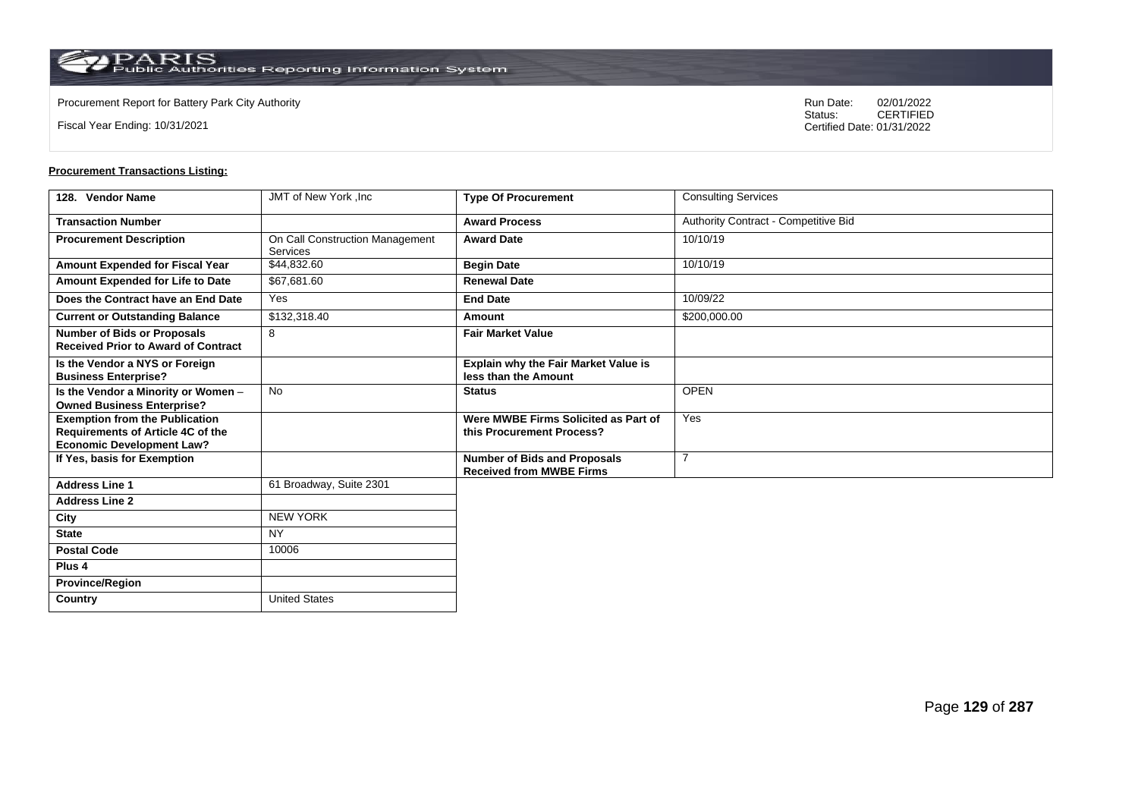$\operatorname{PARIS}_{\text{Public Authorities}\,\text{Reporting}\,\text{Information System}}$ 

**Country** United States

Fiscal Year Ending: 10/31/2021

Procurement Report for Battery Park City Authority **National State Concrete Concrete Concrete Concrete Concrete Concrete Concrete Concrete Concrete Concrete Concrete Concrete Concrete Concrete Concrete Concrete Concrete Co** CERTIFIED Certified Date: 01/31/2022

| 128. Vendor Name                                                                                               | JMT of New York, Inc.                       | <b>Type Of Procurement</b>                                             | <b>Consulting Services</b>           |
|----------------------------------------------------------------------------------------------------------------|---------------------------------------------|------------------------------------------------------------------------|--------------------------------------|
| <b>Transaction Number</b>                                                                                      |                                             | <b>Award Process</b>                                                   | Authority Contract - Competitive Bid |
| <b>Procurement Description</b>                                                                                 | On Call Construction Management<br>Services | <b>Award Date</b>                                                      | 10/10/19                             |
| Amount Expended for Fiscal Year                                                                                | \$44,832.60                                 | <b>Begin Date</b>                                                      | 10/10/19                             |
| Amount Expended for Life to Date                                                                               | \$67,681.60                                 | <b>Renewal Date</b>                                                    |                                      |
| Does the Contract have an End Date                                                                             | Yes                                         | <b>End Date</b>                                                        | 10/09/22                             |
| <b>Current or Outstanding Balance</b>                                                                          | \$132,318.40                                | Amount                                                                 | \$200,000.00                         |
| <b>Number of Bids or Proposals</b><br><b>Received Prior to Award of Contract</b>                               | 8                                           | <b>Fair Market Value</b>                                               |                                      |
| Is the Vendor a NYS or Foreign<br><b>Business Enterprise?</b>                                                  |                                             | Explain why the Fair Market Value is<br>less than the Amount           |                                      |
| Is the Vendor a Minority or Women -<br><b>Owned Business Enterprise?</b>                                       | <b>No</b>                                   | <b>Status</b>                                                          | <b>OPEN</b>                          |
| <b>Exemption from the Publication</b><br>Requirements of Article 4C of the<br><b>Economic Development Law?</b> |                                             | Were MWBE Firms Solicited as Part of<br>this Procurement Process?      | Yes                                  |
| If Yes, basis for Exemption                                                                                    |                                             | <b>Number of Bids and Proposals</b><br><b>Received from MWBE Firms</b> | $\overline{7}$                       |
| <b>Address Line 1</b>                                                                                          | 61 Broadway, Suite 2301                     |                                                                        |                                      |
| <b>Address Line 2</b>                                                                                          |                                             |                                                                        |                                      |
| City                                                                                                           | <b>NEW YORK</b>                             |                                                                        |                                      |
| <b>State</b>                                                                                                   | <b>NY</b>                                   |                                                                        |                                      |
| <b>Postal Code</b>                                                                                             | 10006                                       |                                                                        |                                      |
| Plus <sub>4</sub>                                                                                              |                                             |                                                                        |                                      |
| <b>Province/Region</b>                                                                                         |                                             |                                                                        |                                      |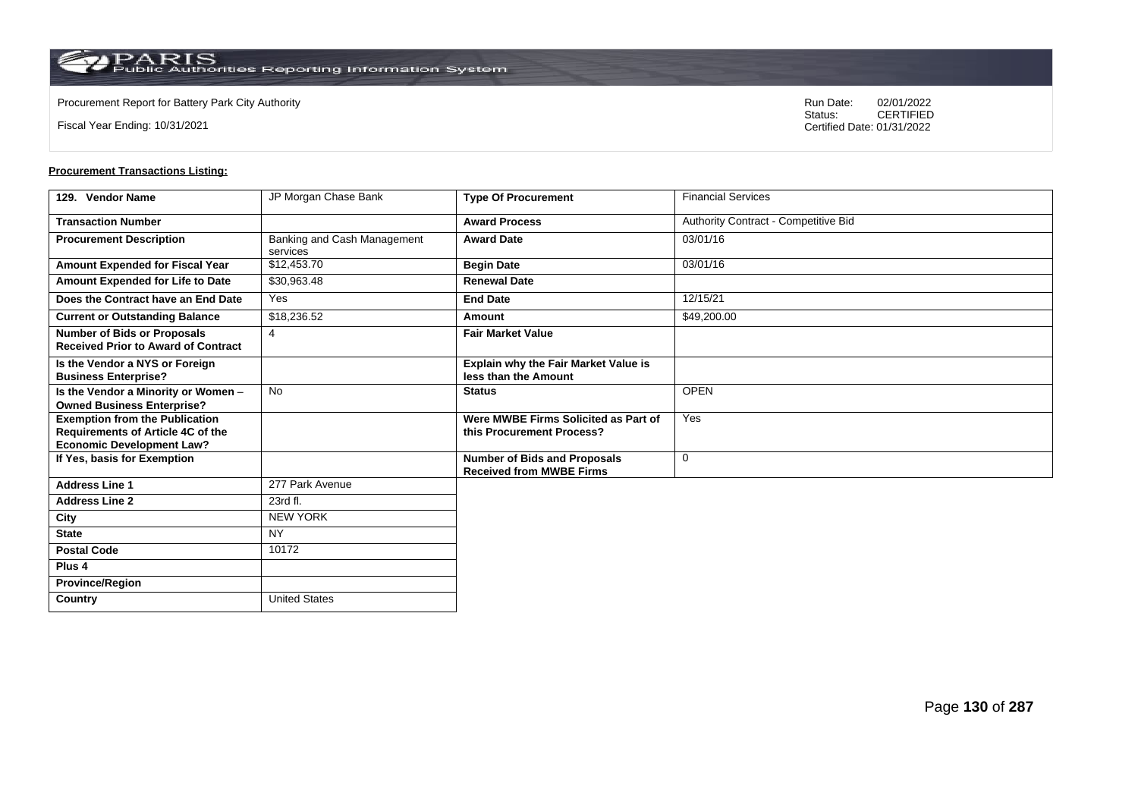Fiscal Year Ending: 10/31/2021

Procurement Report for Battery Park City Authority **National State Concrete Concrete Concrete Concrete Concrete Concrete Concrete Concrete Concrete Concrete Concrete Concrete Concrete Concrete Concrete Concrete Concrete Co** CERTIFIED Certified Date: 01/31/2022

| 129. Vendor Name                                                                                               | JP Morgan Chase Bank                    | <b>Type Of Procurement</b>                                             | <b>Financial Services</b>            |
|----------------------------------------------------------------------------------------------------------------|-----------------------------------------|------------------------------------------------------------------------|--------------------------------------|
| <b>Transaction Number</b>                                                                                      |                                         | <b>Award Process</b>                                                   | Authority Contract - Competitive Bid |
| <b>Procurement Description</b>                                                                                 | Banking and Cash Management<br>services | <b>Award Date</b>                                                      | 03/01/16                             |
| Amount Expended for Fiscal Year                                                                                | \$12,453.70                             | <b>Begin Date</b>                                                      | 03/01/16                             |
| Amount Expended for Life to Date                                                                               | \$30,963.48                             | <b>Renewal Date</b>                                                    |                                      |
| Does the Contract have an End Date                                                                             | Yes                                     | <b>End Date</b>                                                        | 12/15/21                             |
| <b>Current or Outstanding Balance</b>                                                                          | \$18,236.52                             | Amount                                                                 | \$49,200.00                          |
| <b>Number of Bids or Proposals</b><br><b>Received Prior to Award of Contract</b>                               | $\overline{4}$                          | <b>Fair Market Value</b>                                               |                                      |
| Is the Vendor a NYS or Foreign<br><b>Business Enterprise?</b>                                                  |                                         | <b>Explain why the Fair Market Value is</b><br>less than the Amount    |                                      |
| Is the Vendor a Minority or Women -<br><b>Owned Business Enterprise?</b>                                       | <b>No</b>                               | <b>Status</b>                                                          | <b>OPEN</b>                          |
| <b>Exemption from the Publication</b><br>Requirements of Article 4C of the<br><b>Economic Development Law?</b> |                                         | Were MWBE Firms Solicited as Part of<br>this Procurement Process?      | Yes                                  |
| If Yes, basis for Exemption                                                                                    |                                         | <b>Number of Bids and Proposals</b><br><b>Received from MWBE Firms</b> | $\mathbf 0$                          |
| <b>Address Line 1</b>                                                                                          | 277 Park Avenue                         |                                                                        |                                      |
| <b>Address Line 2</b>                                                                                          | 23rd fl.                                |                                                                        |                                      |
| City                                                                                                           | <b>NEW YORK</b>                         |                                                                        |                                      |
| <b>State</b>                                                                                                   | NY                                      |                                                                        |                                      |
| <b>Postal Code</b>                                                                                             | 10172                                   |                                                                        |                                      |
| Plus <sub>4</sub>                                                                                              |                                         |                                                                        |                                      |
| <b>Province/Region</b>                                                                                         |                                         |                                                                        |                                      |
| Country                                                                                                        | <b>United States</b>                    |                                                                        |                                      |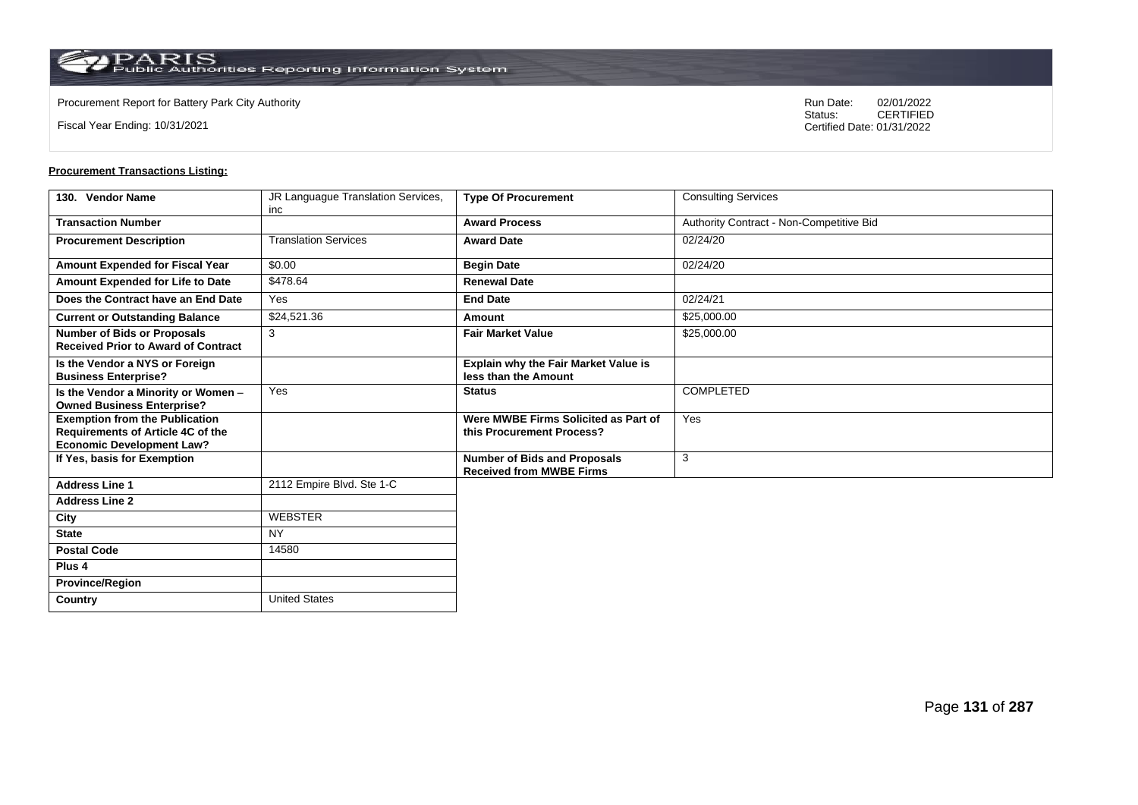**Country** United States

Fiscal Year Ending: 10/31/2021

Procurement Report for Battery Park City Authority **National State Concrete Concrete Concrete Concrete Concrete Concrete Concrete Concrete Concrete Concrete Concrete Concrete Concrete Concrete Concrete Concrete Concrete Co** CERTIFIED Certified Date: 01/31/2022

| 130. Vendor Name                                                                                                      | JR Languague Translation Services, | <b>Type Of Procurement</b>                                             | <b>Consulting Services</b>               |
|-----------------------------------------------------------------------------------------------------------------------|------------------------------------|------------------------------------------------------------------------|------------------------------------------|
| <b>Transaction Number</b>                                                                                             | inc                                | <b>Award Process</b>                                                   |                                          |
|                                                                                                                       |                                    |                                                                        | Authority Contract - Non-Competitive Bid |
| <b>Procurement Description</b>                                                                                        | <b>Translation Services</b>        | <b>Award Date</b>                                                      | 02/24/20                                 |
| Amount Expended for Fiscal Year                                                                                       | \$0.00                             | <b>Begin Date</b>                                                      | 02/24/20                                 |
| Amount Expended for Life to Date                                                                                      | \$478.64                           | <b>Renewal Date</b>                                                    |                                          |
| Does the Contract have an End Date                                                                                    | Yes                                | <b>End Date</b>                                                        | 02/24/21                                 |
| <b>Current or Outstanding Balance</b>                                                                                 | \$24,521.36                        | Amount                                                                 | \$25,000.00                              |
| <b>Number of Bids or Proposals</b><br><b>Received Prior to Award of Contract</b>                                      | 3                                  | <b>Fair Market Value</b>                                               | \$25,000.00                              |
| Is the Vendor a NYS or Foreign<br><b>Business Enterprise?</b>                                                         |                                    | Explain why the Fair Market Value is<br>less than the Amount           |                                          |
| Is the Vendor a Minority or Women -<br><b>Owned Business Enterprise?</b>                                              | Yes                                | <b>Status</b>                                                          | <b>COMPLETED</b>                         |
| <b>Exemption from the Publication</b><br><b>Requirements of Article 4C of the</b><br><b>Economic Development Law?</b> |                                    | Were MWBE Firms Solicited as Part of<br>this Procurement Process?      | Yes                                      |
| If Yes, basis for Exemption                                                                                           |                                    | <b>Number of Bids and Proposals</b><br><b>Received from MWBE Firms</b> | 3                                        |
| <b>Address Line 1</b>                                                                                                 | 2112 Empire Blvd. Ste 1-C          |                                                                        |                                          |
| <b>Address Line 2</b>                                                                                                 |                                    |                                                                        |                                          |
| City                                                                                                                  | <b>WEBSTER</b>                     |                                                                        |                                          |
| <b>State</b>                                                                                                          | <b>NY</b>                          |                                                                        |                                          |
| <b>Postal Code</b>                                                                                                    | 14580                              |                                                                        |                                          |
| Plus <sub>4</sub>                                                                                                     |                                    |                                                                        |                                          |
| <b>Province/Region</b>                                                                                                |                                    |                                                                        |                                          |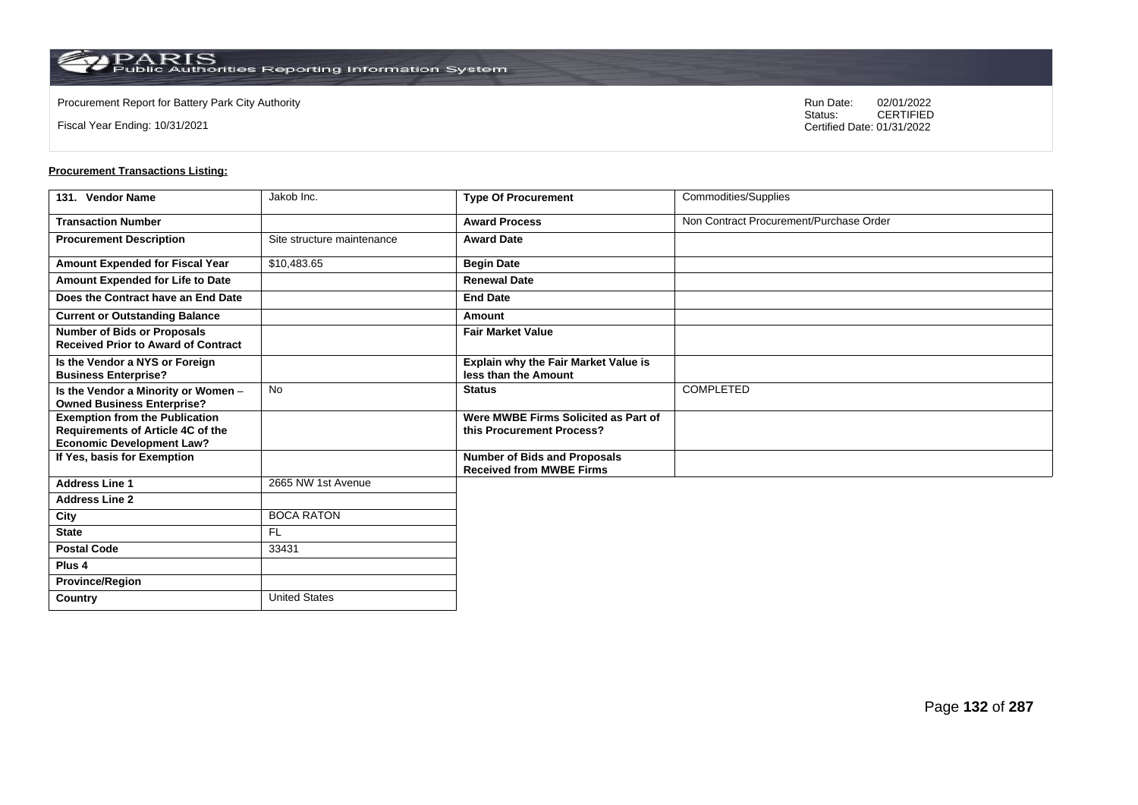**Country** United States

Fiscal Year Ending: 10/31/2021

Procurement Report for Battery Park City Authority **National State Concrete Concrete Concrete Concrete Concrete Concrete Concrete Concrete Concrete Concrete Concrete Concrete Concrete Concrete Concrete Concrete Concrete Co** CERTIFIED Certified Date: 01/31/2022

| 131. Vendor Name                                                                                               | Jakob Inc.                 | <b>Type Of Procurement</b>                                             | Commodities/Supplies                    |
|----------------------------------------------------------------------------------------------------------------|----------------------------|------------------------------------------------------------------------|-----------------------------------------|
| <b>Transaction Number</b>                                                                                      |                            | <b>Award Process</b>                                                   | Non Contract Procurement/Purchase Order |
| <b>Procurement Description</b>                                                                                 | Site structure maintenance | <b>Award Date</b>                                                      |                                         |
| Amount Expended for Fiscal Year                                                                                | \$10,483.65                | <b>Begin Date</b>                                                      |                                         |
| Amount Expended for Life to Date                                                                               |                            | <b>Renewal Date</b>                                                    |                                         |
| Does the Contract have an End Date                                                                             |                            | <b>End Date</b>                                                        |                                         |
| <b>Current or Outstanding Balance</b>                                                                          |                            | Amount                                                                 |                                         |
| <b>Number of Bids or Proposals</b><br><b>Received Prior to Award of Contract</b>                               |                            | <b>Fair Market Value</b>                                               |                                         |
| Is the Vendor a NYS or Foreign<br><b>Business Enterprise?</b>                                                  |                            | Explain why the Fair Market Value is<br>less than the Amount           |                                         |
| Is the Vendor a Minority or Women -<br><b>Owned Business Enterprise?</b>                                       | No                         | <b>Status</b>                                                          | <b>COMPLETED</b>                        |
| <b>Exemption from the Publication</b><br>Requirements of Article 4C of the<br><b>Economic Development Law?</b> |                            | Were MWBE Firms Solicited as Part of<br>this Procurement Process?      |                                         |
| If Yes, basis for Exemption                                                                                    |                            | <b>Number of Bids and Proposals</b><br><b>Received from MWBE Firms</b> |                                         |
| <b>Address Line 1</b>                                                                                          | 2665 NW 1st Avenue         |                                                                        |                                         |
| <b>Address Line 2</b>                                                                                          |                            |                                                                        |                                         |
| City                                                                                                           | <b>BOCA RATON</b>          |                                                                        |                                         |
| <b>State</b>                                                                                                   | <b>FL</b>                  |                                                                        |                                         |
| <b>Postal Code</b>                                                                                             | 33431                      |                                                                        |                                         |
| Plus <sub>4</sub>                                                                                              |                            |                                                                        |                                         |
| <b>Province/Region</b>                                                                                         |                            |                                                                        |                                         |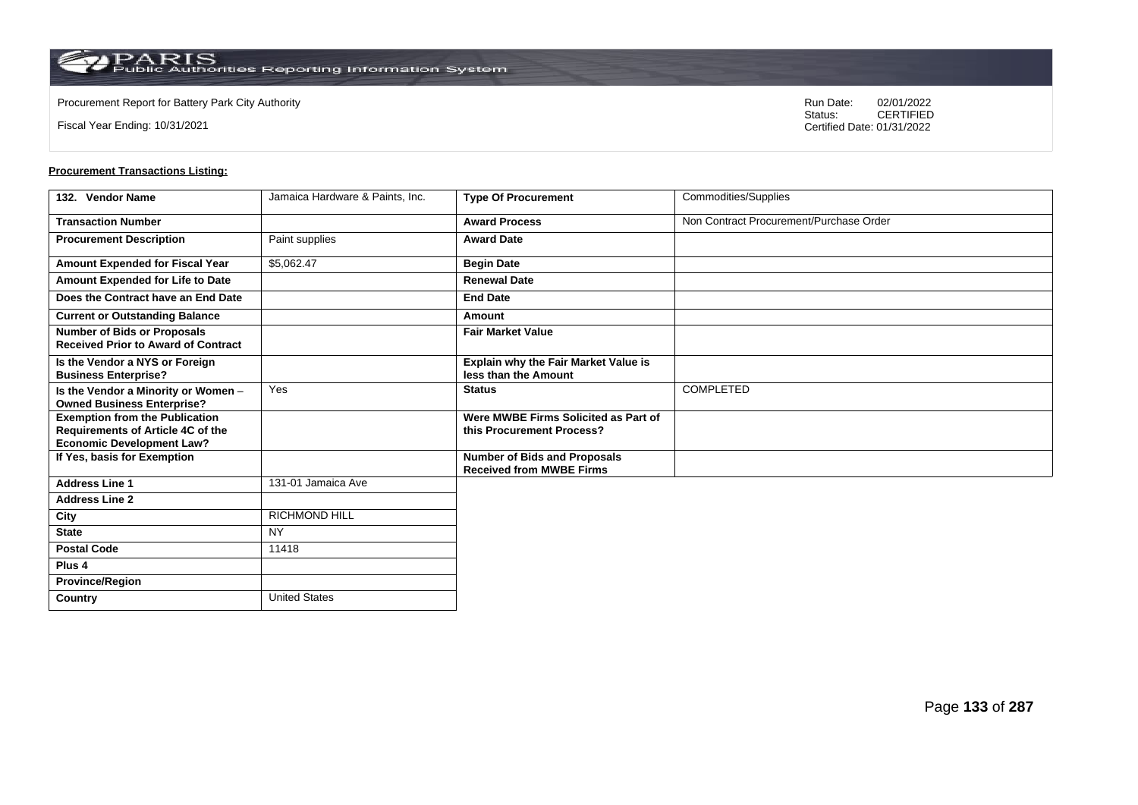Fiscal Year Ending: 10/31/2021

Procurement Report for Battery Park City Authority **National State Concrete Concrete Concrete Concrete Concrete Concrete Concrete Concrete Concrete Concrete Concrete Concrete Concrete Concrete Concrete Concrete Concrete Co** CERTIFIED Certified Date: 01/31/2022

| 132. Vendor Name                                                                                               | Jamaica Hardware & Paints, Inc. | <b>Type Of Procurement</b>                                             | Commodities/Supplies                    |
|----------------------------------------------------------------------------------------------------------------|---------------------------------|------------------------------------------------------------------------|-----------------------------------------|
| <b>Transaction Number</b>                                                                                      |                                 | <b>Award Process</b>                                                   | Non Contract Procurement/Purchase Order |
| <b>Procurement Description</b>                                                                                 | Paint supplies                  | <b>Award Date</b>                                                      |                                         |
| <b>Amount Expended for Fiscal Year</b>                                                                         | \$5,062.47                      | <b>Begin Date</b>                                                      |                                         |
| Amount Expended for Life to Date                                                                               |                                 | <b>Renewal Date</b>                                                    |                                         |
| Does the Contract have an End Date                                                                             |                                 | <b>End Date</b>                                                        |                                         |
| <b>Current or Outstanding Balance</b>                                                                          |                                 | Amount                                                                 |                                         |
| <b>Number of Bids or Proposals</b><br><b>Received Prior to Award of Contract</b>                               |                                 | <b>Fair Market Value</b>                                               |                                         |
| Is the Vendor a NYS or Foreign<br><b>Business Enterprise?</b>                                                  |                                 | <b>Explain why the Fair Market Value is</b><br>less than the Amount    |                                         |
| Is the Vendor a Minority or Women -<br><b>Owned Business Enterprise?</b>                                       | Yes                             | <b>Status</b>                                                          | <b>COMPLETED</b>                        |
| <b>Exemption from the Publication</b><br>Requirements of Article 4C of the<br><b>Economic Development Law?</b> |                                 | Were MWBE Firms Solicited as Part of<br>this Procurement Process?      |                                         |
| If Yes, basis for Exemption                                                                                    |                                 | <b>Number of Bids and Proposals</b><br><b>Received from MWBE Firms</b> |                                         |
| <b>Address Line 1</b>                                                                                          | 131-01 Jamaica Ave              |                                                                        |                                         |
| <b>Address Line 2</b>                                                                                          |                                 |                                                                        |                                         |
| City                                                                                                           | <b>RICHMOND HILL</b>            |                                                                        |                                         |
| <b>State</b>                                                                                                   | <b>NY</b>                       |                                                                        |                                         |
| <b>Postal Code</b>                                                                                             | 11418                           |                                                                        |                                         |
| Plus <sub>4</sub>                                                                                              |                                 |                                                                        |                                         |
| <b>Province/Region</b>                                                                                         |                                 |                                                                        |                                         |
| Country                                                                                                        | <b>United States</b>            |                                                                        |                                         |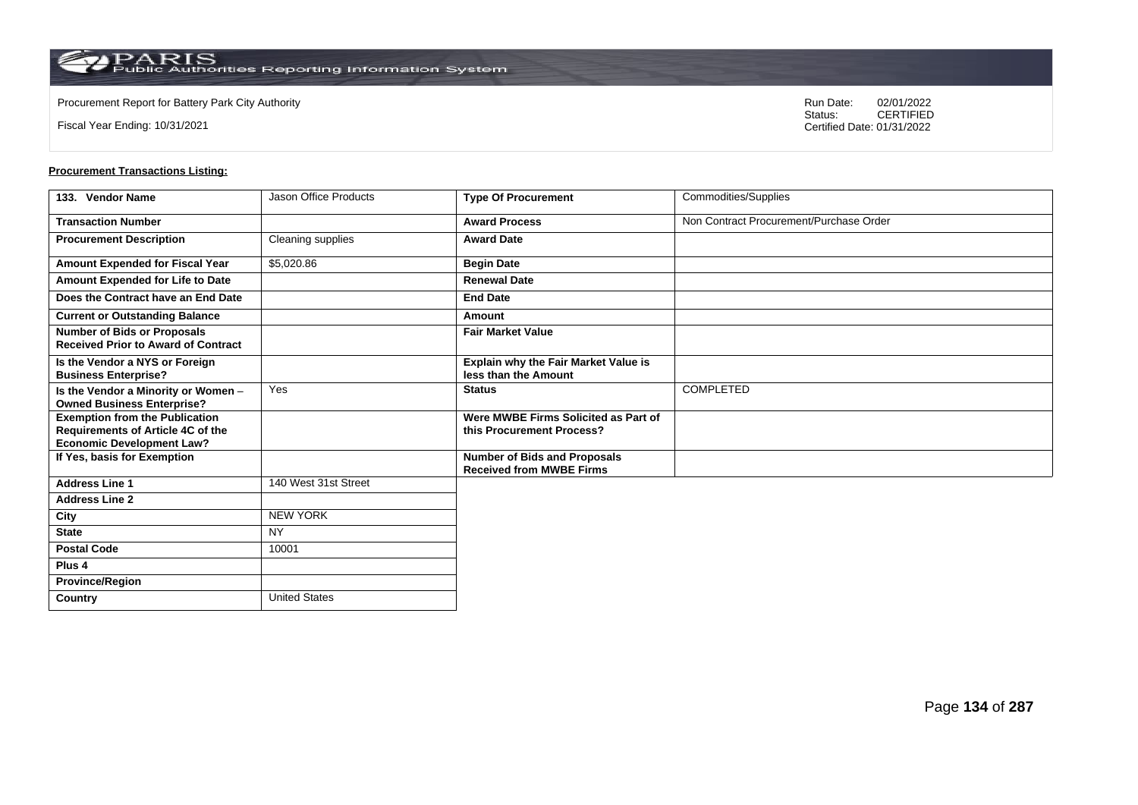Fiscal Year Ending: 10/31/2021

Procurement Report for Battery Park City Authority **National State Concrete Concrete Concrete Concrete Concrete Concrete Concrete Concrete Concrete Concrete Concrete Concrete Concrete Concrete Concrete Concrete Concrete Co** CERTIFIED Certified Date: 01/31/2022

| 133. Vendor Name                                                                                               | Jason Office Products | <b>Type Of Procurement</b>                                             | Commodities/Supplies                    |
|----------------------------------------------------------------------------------------------------------------|-----------------------|------------------------------------------------------------------------|-----------------------------------------|
| <b>Transaction Number</b>                                                                                      |                       | <b>Award Process</b>                                                   | Non Contract Procurement/Purchase Order |
| <b>Procurement Description</b>                                                                                 | Cleaning supplies     | <b>Award Date</b>                                                      |                                         |
| Amount Expended for Fiscal Year                                                                                | \$5,020.86            | <b>Begin Date</b>                                                      |                                         |
| Amount Expended for Life to Date                                                                               |                       | <b>Renewal Date</b>                                                    |                                         |
| Does the Contract have an End Date                                                                             |                       | <b>End Date</b>                                                        |                                         |
| <b>Current or Outstanding Balance</b>                                                                          |                       | Amount                                                                 |                                         |
| <b>Number of Bids or Proposals</b><br><b>Received Prior to Award of Contract</b>                               |                       | <b>Fair Market Value</b>                                               |                                         |
| Is the Vendor a NYS or Foreign<br><b>Business Enterprise?</b>                                                  |                       | <b>Explain why the Fair Market Value is</b><br>less than the Amount    |                                         |
| Is the Vendor a Minority or Women -<br><b>Owned Business Enterprise?</b>                                       | Yes                   | <b>Status</b>                                                          | <b>COMPLETED</b>                        |
| <b>Exemption from the Publication</b><br>Requirements of Article 4C of the<br><b>Economic Development Law?</b> |                       | Were MWBE Firms Solicited as Part of<br>this Procurement Process?      |                                         |
| If Yes, basis for Exemption                                                                                    |                       | <b>Number of Bids and Proposals</b><br><b>Received from MWBE Firms</b> |                                         |
| <b>Address Line 1</b>                                                                                          | 140 West 31st Street  |                                                                        |                                         |
| <b>Address Line 2</b>                                                                                          |                       |                                                                        |                                         |
| City                                                                                                           | <b>NEW YORK</b>       |                                                                        |                                         |
| <b>State</b>                                                                                                   | <b>NY</b>             |                                                                        |                                         |
| <b>Postal Code</b>                                                                                             | 10001                 |                                                                        |                                         |
| Plus <sub>4</sub>                                                                                              |                       |                                                                        |                                         |
| <b>Province/Region</b>                                                                                         |                       |                                                                        |                                         |
| Country                                                                                                        | <b>United States</b>  |                                                                        |                                         |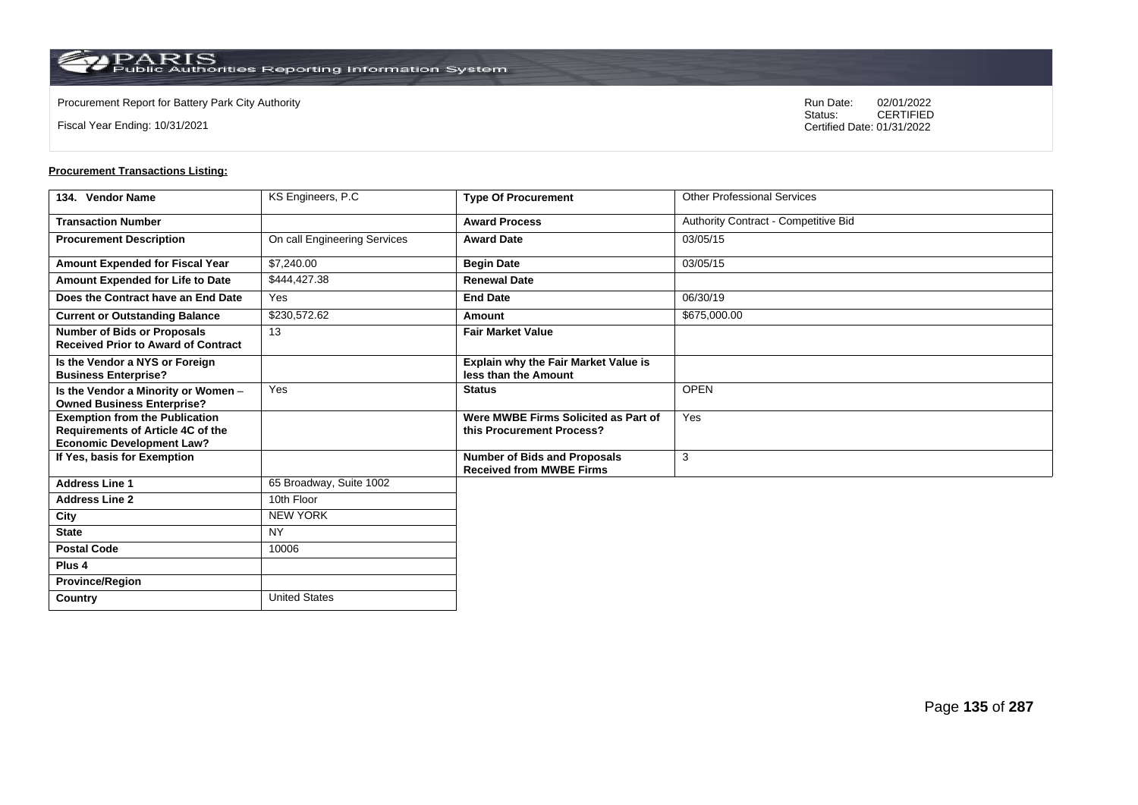**Country** United States

Fiscal Year Ending: 10/31/2021

Procurement Report for Battery Park City Authority **National State Concrete Concrete Concrete Concrete Concrete Concrete Concrete Concrete Concrete Concrete Concrete Concrete Concrete Concrete Concrete Concrete Concrete Co** CERTIFIED Certified Date: 01/31/2022

| 134. Vendor Name                                                                                               | KS Engineers, P.C.           | <b>Type Of Procurement</b>                                             | <b>Other Professional Services</b>   |
|----------------------------------------------------------------------------------------------------------------|------------------------------|------------------------------------------------------------------------|--------------------------------------|
| <b>Transaction Number</b>                                                                                      |                              | <b>Award Process</b>                                                   | Authority Contract - Competitive Bid |
| <b>Procurement Description</b>                                                                                 | On call Engineering Services | <b>Award Date</b>                                                      | 03/05/15                             |
| Amount Expended for Fiscal Year                                                                                | \$7,240.00                   | <b>Begin Date</b>                                                      | 03/05/15                             |
| Amount Expended for Life to Date                                                                               | \$444,427.38                 | <b>Renewal Date</b>                                                    |                                      |
| Does the Contract have an End Date                                                                             | Yes                          | <b>End Date</b>                                                        | 06/30/19                             |
| <b>Current or Outstanding Balance</b>                                                                          | \$230,572.62                 | Amount                                                                 | \$675,000.00                         |
| <b>Number of Bids or Proposals</b><br><b>Received Prior to Award of Contract</b>                               | 13                           | <b>Fair Market Value</b>                                               |                                      |
| Is the Vendor a NYS or Foreign<br><b>Business Enterprise?</b>                                                  |                              | <b>Explain why the Fair Market Value is</b><br>less than the Amount    |                                      |
| Is the Vendor a Minority or Women -<br><b>Owned Business Enterprise?</b>                                       | Yes                          | <b>Status</b>                                                          | <b>OPEN</b>                          |
| <b>Exemption from the Publication</b><br>Requirements of Article 4C of the<br><b>Economic Development Law?</b> |                              | Were MWBE Firms Solicited as Part of<br>this Procurement Process?      | Yes                                  |
| If Yes, basis for Exemption                                                                                    |                              | <b>Number of Bids and Proposals</b><br><b>Received from MWBE Firms</b> | 3                                    |
| <b>Address Line 1</b>                                                                                          | 65 Broadway, Suite 1002      |                                                                        |                                      |
| <b>Address Line 2</b>                                                                                          | 10th Floor                   |                                                                        |                                      |
| City                                                                                                           | <b>NEW YORK</b>              |                                                                        |                                      |
| <b>State</b>                                                                                                   | <b>NY</b>                    |                                                                        |                                      |
| <b>Postal Code</b>                                                                                             | 10006                        |                                                                        |                                      |
| Plus <sub>4</sub>                                                                                              |                              |                                                                        |                                      |
| <b>Province/Region</b>                                                                                         |                              |                                                                        |                                      |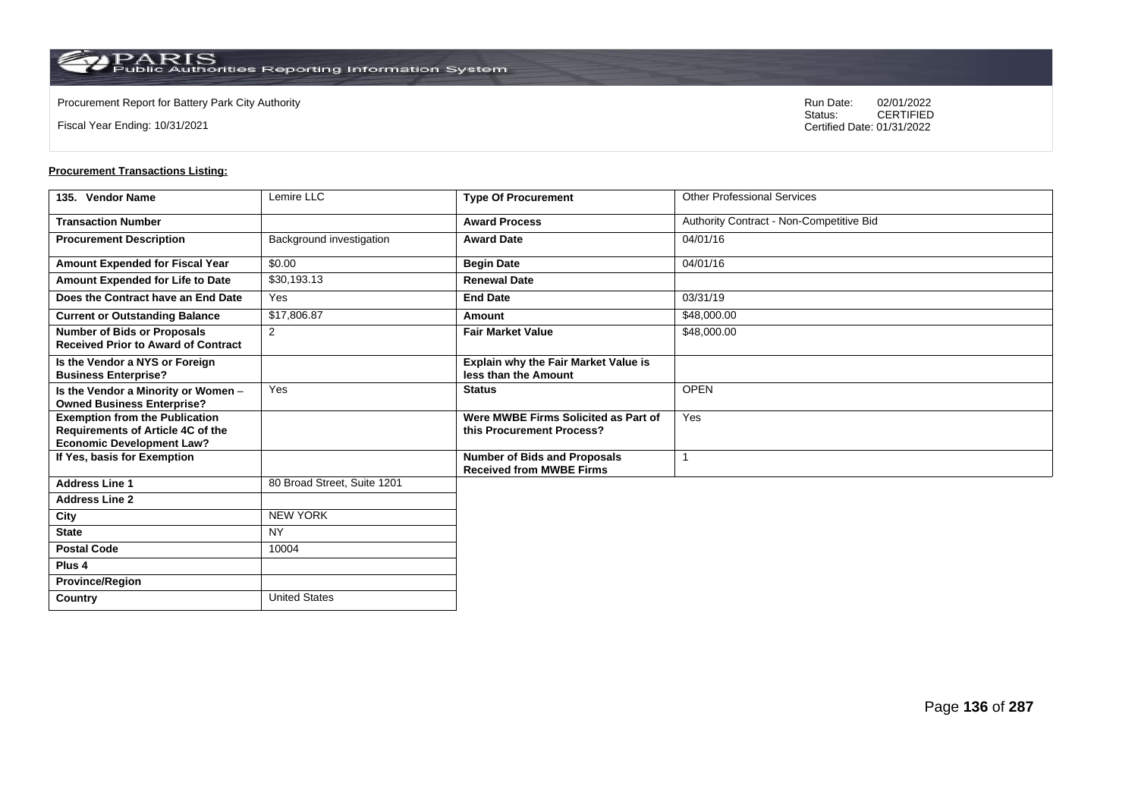**Country** United States

Fiscal Year Ending: 10/31/2021

Procurement Report for Battery Park City Authority **National State Concrete Concrete Concrete Concrete Concrete Concrete Concrete Concrete Concrete Concrete Concrete Concrete Concrete Concrete Concrete Concrete Concrete Co** CERTIFIED Certified Date: 01/31/2022

| 135. Vendor Name                                                                                               | Lemire LLC                  | <b>Type Of Procurement</b>                                             | <b>Other Professional Services</b>       |
|----------------------------------------------------------------------------------------------------------------|-----------------------------|------------------------------------------------------------------------|------------------------------------------|
| <b>Transaction Number</b>                                                                                      |                             | <b>Award Process</b>                                                   | Authority Contract - Non-Competitive Bid |
| <b>Procurement Description</b>                                                                                 | Background investigation    | <b>Award Date</b>                                                      | 04/01/16                                 |
| Amount Expended for Fiscal Year                                                                                | \$0.00                      | <b>Begin Date</b>                                                      | 04/01/16                                 |
| Amount Expended for Life to Date                                                                               | \$30,193.13                 | <b>Renewal Date</b>                                                    |                                          |
| Does the Contract have an End Date                                                                             | Yes                         | <b>End Date</b>                                                        | 03/31/19                                 |
| <b>Current or Outstanding Balance</b>                                                                          | \$17,806.87                 | Amount                                                                 | \$48,000.00                              |
| <b>Number of Bids or Proposals</b><br><b>Received Prior to Award of Contract</b>                               | 2                           | <b>Fair Market Value</b>                                               | \$48,000.00                              |
| Is the Vendor a NYS or Foreign<br><b>Business Enterprise?</b>                                                  |                             | Explain why the Fair Market Value is<br>less than the Amount           |                                          |
| Is the Vendor a Minority or Women -<br><b>Owned Business Enterprise?</b>                                       | Yes                         | <b>Status</b>                                                          | <b>OPEN</b>                              |
| <b>Exemption from the Publication</b><br>Requirements of Article 4C of the<br><b>Economic Development Law?</b> |                             | Were MWBE Firms Solicited as Part of<br>this Procurement Process?      | Yes                                      |
| If Yes, basis for Exemption                                                                                    |                             | <b>Number of Bids and Proposals</b><br><b>Received from MWBE Firms</b> |                                          |
| <b>Address Line 1</b>                                                                                          | 80 Broad Street, Suite 1201 |                                                                        |                                          |
| <b>Address Line 2</b>                                                                                          |                             |                                                                        |                                          |
| City                                                                                                           | <b>NEW YORK</b>             |                                                                        |                                          |
| <b>State</b>                                                                                                   | <b>NY</b>                   |                                                                        |                                          |
| <b>Postal Code</b>                                                                                             | 10004                       |                                                                        |                                          |
| Plus <sub>4</sub>                                                                                              |                             |                                                                        |                                          |
| <b>Province/Region</b>                                                                                         |                             |                                                                        |                                          |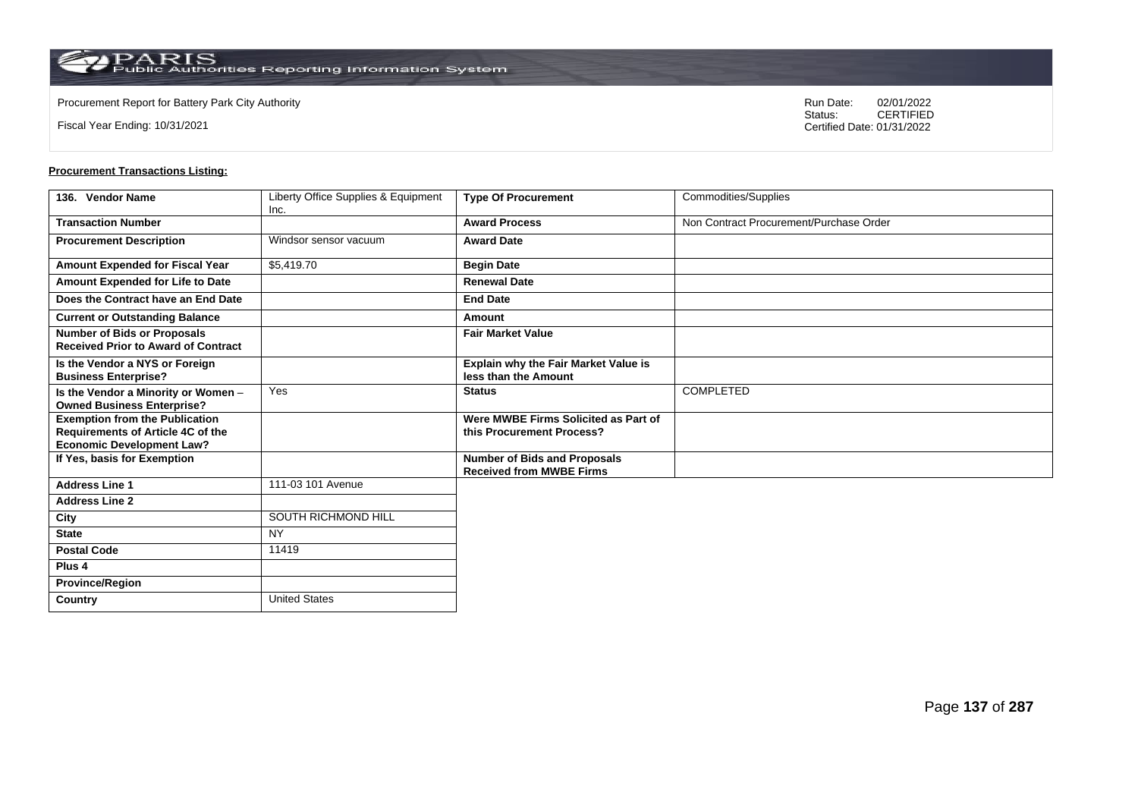$\operatorname{PARIS}_{\text{Public Authorities}\,\text{Reporting}\,\text{Information System}}$ 

**Country** United States

Fiscal Year Ending: 10/31/2021

Procurement Report for Battery Park City Authority **National State Concrete Concrete Concrete Concrete Concrete Concrete Concrete Concrete Concrete Concrete Concrete Concrete Concrete Concrete Concrete Concrete Concrete Co** CERTIFIED Certified Date: 01/31/2022

| 136. Vendor Name                                                                                               | Liberty Office Supplies & Equipment<br>Inc. | <b>Type Of Procurement</b>                                             | <b>Commodities/Supplies</b>             |
|----------------------------------------------------------------------------------------------------------------|---------------------------------------------|------------------------------------------------------------------------|-----------------------------------------|
| <b>Transaction Number</b>                                                                                      |                                             | <b>Award Process</b>                                                   | Non Contract Procurement/Purchase Order |
| <b>Procurement Description</b>                                                                                 | Windsor sensor vacuum                       | <b>Award Date</b>                                                      |                                         |
| Amount Expended for Fiscal Year                                                                                | \$5,419.70                                  | <b>Begin Date</b>                                                      |                                         |
| Amount Expended for Life to Date                                                                               |                                             | <b>Renewal Date</b>                                                    |                                         |
| Does the Contract have an End Date                                                                             |                                             | <b>End Date</b>                                                        |                                         |
| <b>Current or Outstanding Balance</b>                                                                          |                                             | Amount                                                                 |                                         |
| <b>Number of Bids or Proposals</b><br><b>Received Prior to Award of Contract</b>                               |                                             | <b>Fair Market Value</b>                                               |                                         |
| Is the Vendor a NYS or Foreign<br><b>Business Enterprise?</b>                                                  |                                             | Explain why the Fair Market Value is<br>less than the Amount           |                                         |
| Is the Vendor a Minority or Women -<br><b>Owned Business Enterprise?</b>                                       | Yes                                         | <b>Status</b>                                                          | COMPLETED                               |
| <b>Exemption from the Publication</b><br>Requirements of Article 4C of the<br><b>Economic Development Law?</b> |                                             | Were MWBE Firms Solicited as Part of<br>this Procurement Process?      |                                         |
| If Yes, basis for Exemption                                                                                    |                                             | <b>Number of Bids and Proposals</b><br><b>Received from MWBE Firms</b> |                                         |
| <b>Address Line 1</b>                                                                                          | 111-03 101 Avenue                           |                                                                        |                                         |
| <b>Address Line 2</b>                                                                                          |                                             |                                                                        |                                         |
| City                                                                                                           | SOUTH RICHMOND HILL                         |                                                                        |                                         |
| <b>State</b>                                                                                                   | <b>NY</b>                                   |                                                                        |                                         |
| <b>Postal Code</b>                                                                                             | 11419                                       |                                                                        |                                         |
| Plus <sub>4</sub>                                                                                              |                                             |                                                                        |                                         |
| <b>Province/Region</b>                                                                                         |                                             |                                                                        |                                         |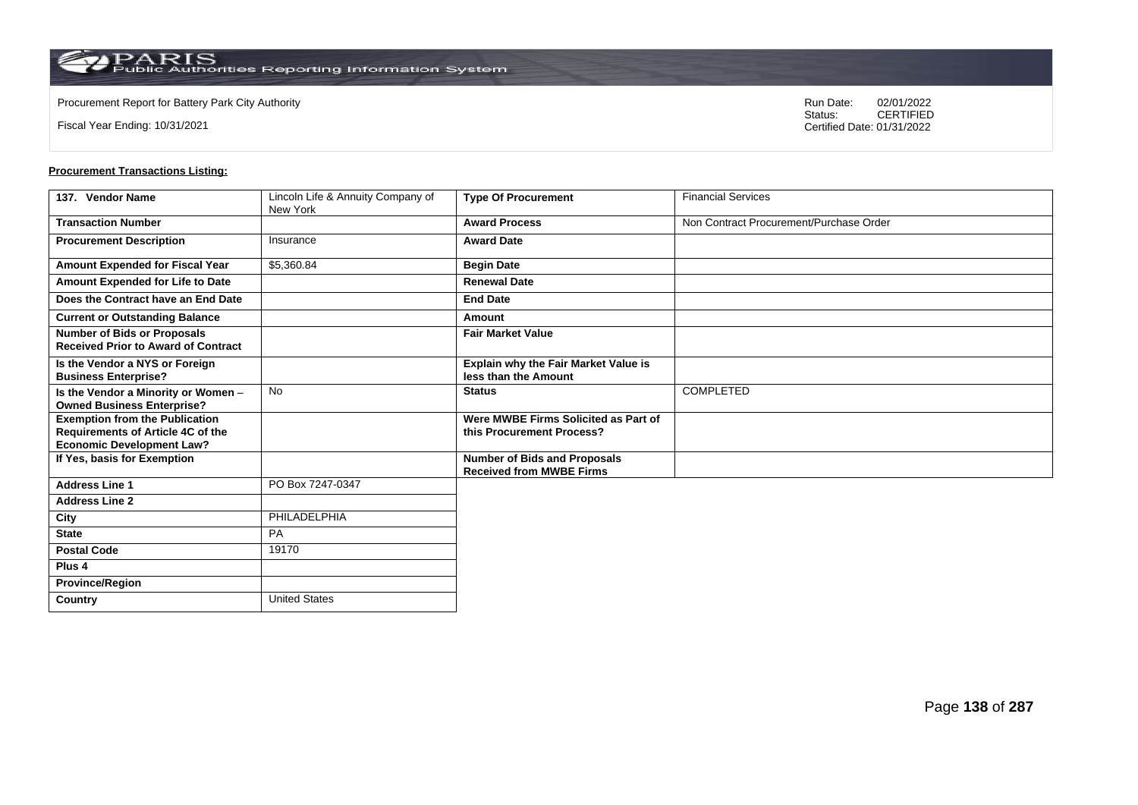Fiscal Year Ending: 10/31/2021

Procurement Report for Battery Park City Authority **National State Concrete Concrete Concrete Concrete Concrete Concrete Concrete Concrete Concrete Concrete Concrete Concrete Concrete Concrete Concrete Concrete Concrete Co** CERTIFIED Certified Date: 01/31/2022

| 137. Vendor Name                                                                                               | Lincoln Life & Annuity Company of<br>New York | <b>Type Of Procurement</b>                                             | <b>Financial Services</b>               |
|----------------------------------------------------------------------------------------------------------------|-----------------------------------------------|------------------------------------------------------------------------|-----------------------------------------|
| <b>Transaction Number</b>                                                                                      |                                               | <b>Award Process</b>                                                   | Non Contract Procurement/Purchase Order |
| <b>Procurement Description</b>                                                                                 | Insurance                                     | <b>Award Date</b>                                                      |                                         |
| Amount Expended for Fiscal Year                                                                                | \$5,360.84                                    | <b>Begin Date</b>                                                      |                                         |
| Amount Expended for Life to Date                                                                               |                                               | <b>Renewal Date</b>                                                    |                                         |
| Does the Contract have an End Date                                                                             |                                               | <b>End Date</b>                                                        |                                         |
| <b>Current or Outstanding Balance</b>                                                                          |                                               | Amount                                                                 |                                         |
| <b>Number of Bids or Proposals</b><br><b>Received Prior to Award of Contract</b>                               |                                               | <b>Fair Market Value</b>                                               |                                         |
| Is the Vendor a NYS or Foreign<br><b>Business Enterprise?</b>                                                  |                                               | Explain why the Fair Market Value is<br>less than the Amount           |                                         |
| Is the Vendor a Minority or Women -<br><b>Owned Business Enterprise?</b>                                       | <b>No</b>                                     | <b>Status</b>                                                          | <b>COMPLETED</b>                        |
| <b>Exemption from the Publication</b><br>Requirements of Article 4C of the<br><b>Economic Development Law?</b> |                                               | Were MWBE Firms Solicited as Part of<br>this Procurement Process?      |                                         |
| If Yes, basis for Exemption                                                                                    |                                               | <b>Number of Bids and Proposals</b><br><b>Received from MWBE Firms</b> |                                         |
| <b>Address Line 1</b>                                                                                          | PO Box 7247-0347                              |                                                                        |                                         |
| <b>Address Line 2</b>                                                                                          |                                               |                                                                        |                                         |
| City                                                                                                           | PHILADELPHIA                                  |                                                                        |                                         |
| <b>State</b>                                                                                                   | PA                                            |                                                                        |                                         |
| <b>Postal Code</b>                                                                                             | 19170                                         |                                                                        |                                         |
| Plus <sub>4</sub>                                                                                              |                                               |                                                                        |                                         |
| <b>Province/Region</b>                                                                                         |                                               |                                                                        |                                         |
| Country                                                                                                        | <b>United States</b>                          |                                                                        |                                         |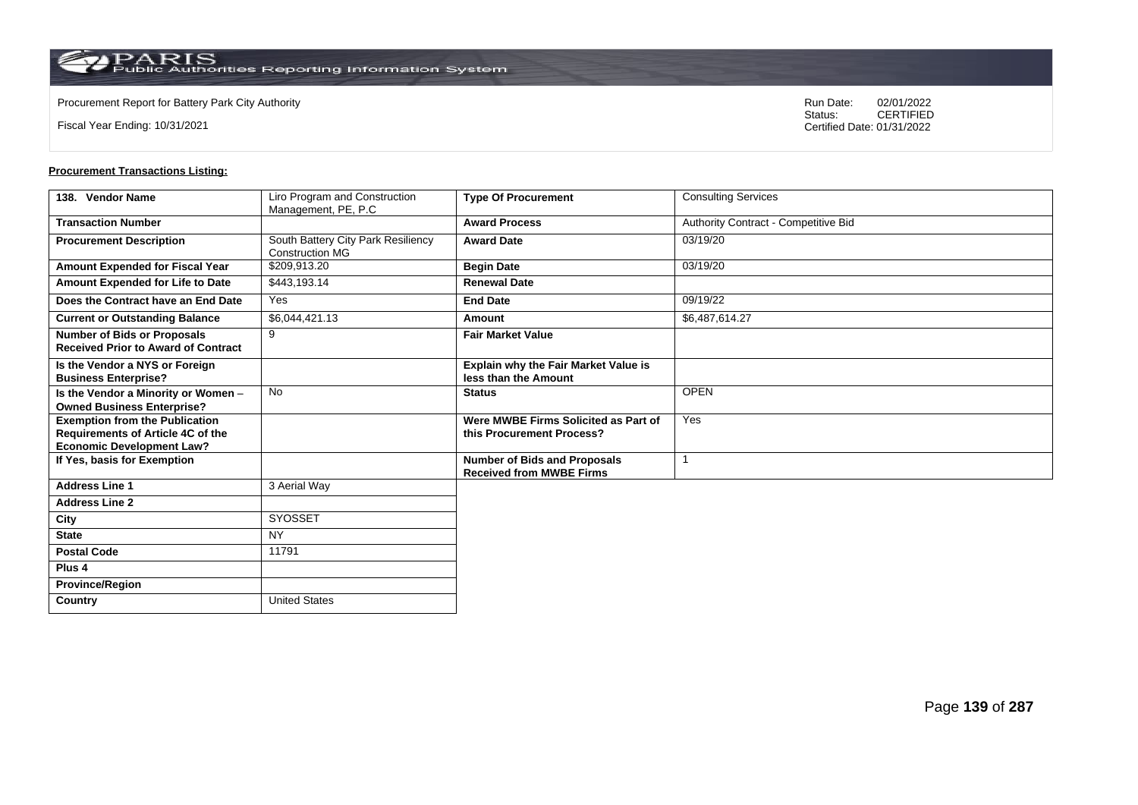Fiscal Year Ending: 10/31/2021

Procurement Report for Battery Park City Authority **National State Concrete Concrete Concrete Concrete Concrete Concrete Concrete Concrete Concrete Concrete Concrete Concrete Concrete Concrete Concrete Concrete Concrete Co** CERTIFIED Certified Date: 01/31/2022

| 138. Vendor Name                                                                                               | Liro Program and Construction<br>Management, PE, P.C         | <b>Type Of Procurement</b>                                             | <b>Consulting Services</b>           |
|----------------------------------------------------------------------------------------------------------------|--------------------------------------------------------------|------------------------------------------------------------------------|--------------------------------------|
| <b>Transaction Number</b>                                                                                      |                                                              | <b>Award Process</b>                                                   | Authority Contract - Competitive Bid |
| <b>Procurement Description</b>                                                                                 | South Battery City Park Resiliency<br><b>Construction MG</b> | <b>Award Date</b>                                                      | 03/19/20                             |
| Amount Expended for Fiscal Year                                                                                | \$209,913.20                                                 | <b>Begin Date</b>                                                      | 03/19/20                             |
| Amount Expended for Life to Date                                                                               | \$443,193.14                                                 | <b>Renewal Date</b>                                                    |                                      |
| Does the Contract have an End Date                                                                             | Yes                                                          | <b>End Date</b>                                                        | 09/19/22                             |
| <b>Current or Outstanding Balance</b>                                                                          | \$6,044,421.13                                               | Amount                                                                 | \$6,487,614.27                       |
| <b>Number of Bids or Proposals</b><br><b>Received Prior to Award of Contract</b>                               | 9                                                            | <b>Fair Market Value</b>                                               |                                      |
| Is the Vendor a NYS or Foreign<br><b>Business Enterprise?</b>                                                  |                                                              | Explain why the Fair Market Value is<br>less than the Amount           |                                      |
| Is the Vendor a Minority or Women -<br><b>Owned Business Enterprise?</b>                                       | <b>No</b>                                                    | <b>Status</b>                                                          | <b>OPEN</b>                          |
| <b>Exemption from the Publication</b><br>Requirements of Article 4C of the<br><b>Economic Development Law?</b> |                                                              | Were MWBE Firms Solicited as Part of<br>this Procurement Process?      | Yes                                  |
| If Yes, basis for Exemption                                                                                    |                                                              | <b>Number of Bids and Proposals</b><br><b>Received from MWBE Firms</b> |                                      |
| <b>Address Line 1</b>                                                                                          | 3 Aerial Way                                                 |                                                                        |                                      |
| <b>Address Line 2</b>                                                                                          |                                                              |                                                                        |                                      |
| City                                                                                                           | SYOSSET                                                      |                                                                        |                                      |
| <b>State</b>                                                                                                   | <b>NY</b>                                                    |                                                                        |                                      |
| <b>Postal Code</b>                                                                                             | 11791                                                        |                                                                        |                                      |
| Plus <sub>4</sub>                                                                                              |                                                              |                                                                        |                                      |
| <b>Province/Region</b>                                                                                         |                                                              |                                                                        |                                      |
| Country                                                                                                        | <b>United States</b>                                         |                                                                        |                                      |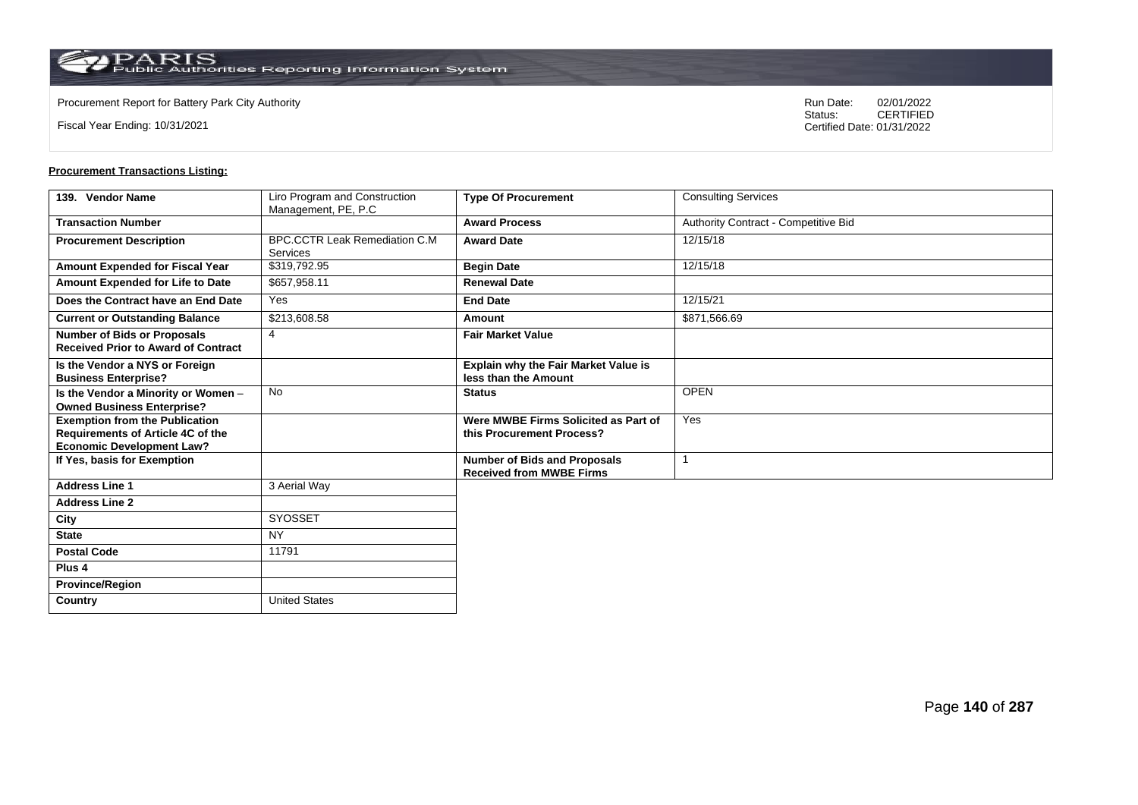$\operatorname{PARIS}_{\text{Public Authorities}\,\text{Reporting}\,\text{Information System}}$ 

Fiscal Year Ending: 10/31/2021

Procurement Report for Battery Park City Authority **National State Concrete Concrete Concrete Concrete Concrete Concrete Concrete Concrete Concrete Concrete Concrete Concrete Concrete Concrete Concrete Concrete Concrete Co** CERTIFIED Certified Date: 01/31/2022

| 139. Vendor Name                                                                                               | Liro Program and Construction<br>Management, PE, P.C | <b>Type Of Procurement</b>                                             | <b>Consulting Services</b>           |
|----------------------------------------------------------------------------------------------------------------|------------------------------------------------------|------------------------------------------------------------------------|--------------------------------------|
| <b>Transaction Number</b>                                                                                      |                                                      | <b>Award Process</b>                                                   | Authority Contract - Competitive Bid |
| <b>Procurement Description</b>                                                                                 | <b>BPC.CCTR Leak Remediation C.M.</b><br>Services    | <b>Award Date</b>                                                      | 12/15/18                             |
| Amount Expended for Fiscal Year                                                                                | \$319,792.95                                         | <b>Begin Date</b>                                                      | 12/15/18                             |
| Amount Expended for Life to Date                                                                               | \$657,958.11                                         | <b>Renewal Date</b>                                                    |                                      |
| Does the Contract have an End Date                                                                             | Yes                                                  | <b>End Date</b>                                                        | 12/15/21                             |
| <b>Current or Outstanding Balance</b>                                                                          | \$213,608.58                                         | Amount                                                                 | \$871,566.69                         |
| <b>Number of Bids or Proposals</b><br><b>Received Prior to Award of Contract</b>                               | $\overline{4}$                                       | <b>Fair Market Value</b>                                               |                                      |
| Is the Vendor a NYS or Foreign<br><b>Business Enterprise?</b>                                                  |                                                      | <b>Explain why the Fair Market Value is</b><br>less than the Amount    |                                      |
| Is the Vendor a Minority or Women -<br><b>Owned Business Enterprise?</b>                                       | <b>No</b>                                            | <b>Status</b>                                                          | <b>OPEN</b>                          |
| <b>Exemption from the Publication</b><br>Requirements of Article 4C of the<br><b>Economic Development Law?</b> |                                                      | Were MWBE Firms Solicited as Part of<br>this Procurement Process?      | Yes                                  |
| If Yes, basis for Exemption                                                                                    |                                                      | <b>Number of Bids and Proposals</b><br><b>Received from MWBE Firms</b> |                                      |
| <b>Address Line 1</b>                                                                                          | 3 Aerial Way                                         |                                                                        |                                      |
| <b>Address Line 2</b>                                                                                          |                                                      |                                                                        |                                      |
| City                                                                                                           | SYOSSET                                              |                                                                        |                                      |
| <b>State</b>                                                                                                   | <b>NY</b>                                            |                                                                        |                                      |
| <b>Postal Code</b>                                                                                             | 11791                                                |                                                                        |                                      |
| Plus <sub>4</sub>                                                                                              |                                                      |                                                                        |                                      |
| <b>Province/Region</b>                                                                                         |                                                      |                                                                        |                                      |
| Country                                                                                                        | <b>United States</b>                                 |                                                                        |                                      |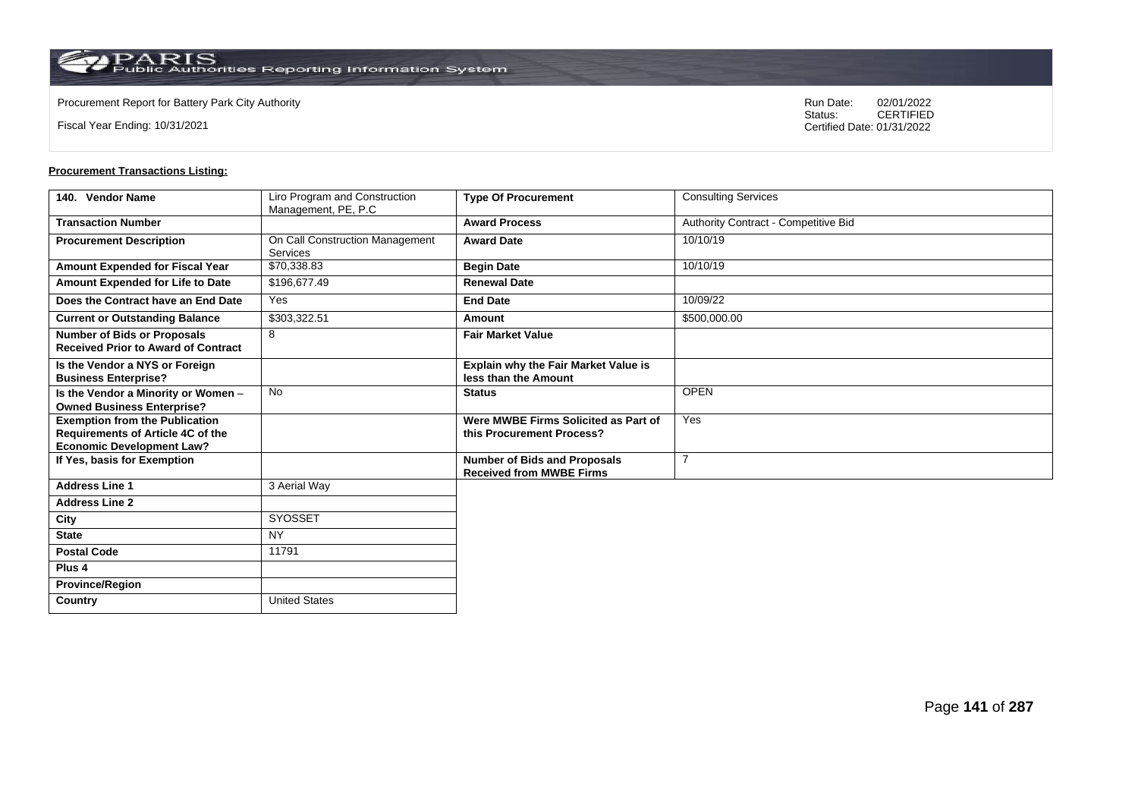$\operatorname{PARIS}_{\text{Public Authorities}\,\text{Reporting}\,\text{Information System}}$ 

Fiscal Year Ending: 10/31/2021

Procurement Report for Battery Park City Authority **National State Concrete Concrete Concrete Concrete Concrete Concrete Concrete Concrete Concrete Concrete Concrete Concrete Concrete Concrete Concrete Concrete Concrete Co** CERTIFIED Certified Date: 01/31/2022

| 140. Vendor Name                                                                                               | Liro Program and Construction<br>Management, PE, P.C | <b>Type Of Procurement</b>                                             | <b>Consulting Services</b>           |
|----------------------------------------------------------------------------------------------------------------|------------------------------------------------------|------------------------------------------------------------------------|--------------------------------------|
| <b>Transaction Number</b>                                                                                      |                                                      | <b>Award Process</b>                                                   | Authority Contract - Competitive Bid |
| <b>Procurement Description</b>                                                                                 | On Call Construction Management<br>Services          | <b>Award Date</b>                                                      | 10/10/19                             |
| Amount Expended for Fiscal Year                                                                                | \$70,338.83                                          | <b>Begin Date</b>                                                      | 10/10/19                             |
| Amount Expended for Life to Date                                                                               | \$196,677.49                                         | <b>Renewal Date</b>                                                    |                                      |
| Does the Contract have an End Date                                                                             | Yes                                                  | <b>End Date</b>                                                        | 10/09/22                             |
| <b>Current or Outstanding Balance</b>                                                                          | \$303,322.51                                         | Amount                                                                 | \$500,000.00                         |
| <b>Number of Bids or Proposals</b><br><b>Received Prior to Award of Contract</b>                               | 8                                                    | <b>Fair Market Value</b>                                               |                                      |
| Is the Vendor a NYS or Foreign<br><b>Business Enterprise?</b>                                                  |                                                      | <b>Explain why the Fair Market Value is</b><br>less than the Amount    |                                      |
| Is the Vendor a Minority or Women -<br><b>Owned Business Enterprise?</b>                                       | <b>No</b>                                            | <b>Status</b>                                                          | <b>OPEN</b>                          |
| <b>Exemption from the Publication</b><br>Requirements of Article 4C of the<br><b>Economic Development Law?</b> |                                                      | Were MWBE Firms Solicited as Part of<br>this Procurement Process?      | Yes                                  |
| If Yes, basis for Exemption                                                                                    |                                                      | <b>Number of Bids and Proposals</b><br><b>Received from MWBE Firms</b> | $\overline{7}$                       |
| <b>Address Line 1</b>                                                                                          | 3 Aerial Way                                         |                                                                        |                                      |
| <b>Address Line 2</b>                                                                                          |                                                      |                                                                        |                                      |
| City                                                                                                           | SYOSSET                                              |                                                                        |                                      |
| <b>State</b>                                                                                                   | <b>NY</b>                                            |                                                                        |                                      |
| <b>Postal Code</b>                                                                                             | 11791                                                |                                                                        |                                      |
| Plus <sub>4</sub>                                                                                              |                                                      |                                                                        |                                      |
| <b>Province/Region</b>                                                                                         |                                                      |                                                                        |                                      |
| Country                                                                                                        | <b>United States</b>                                 |                                                                        |                                      |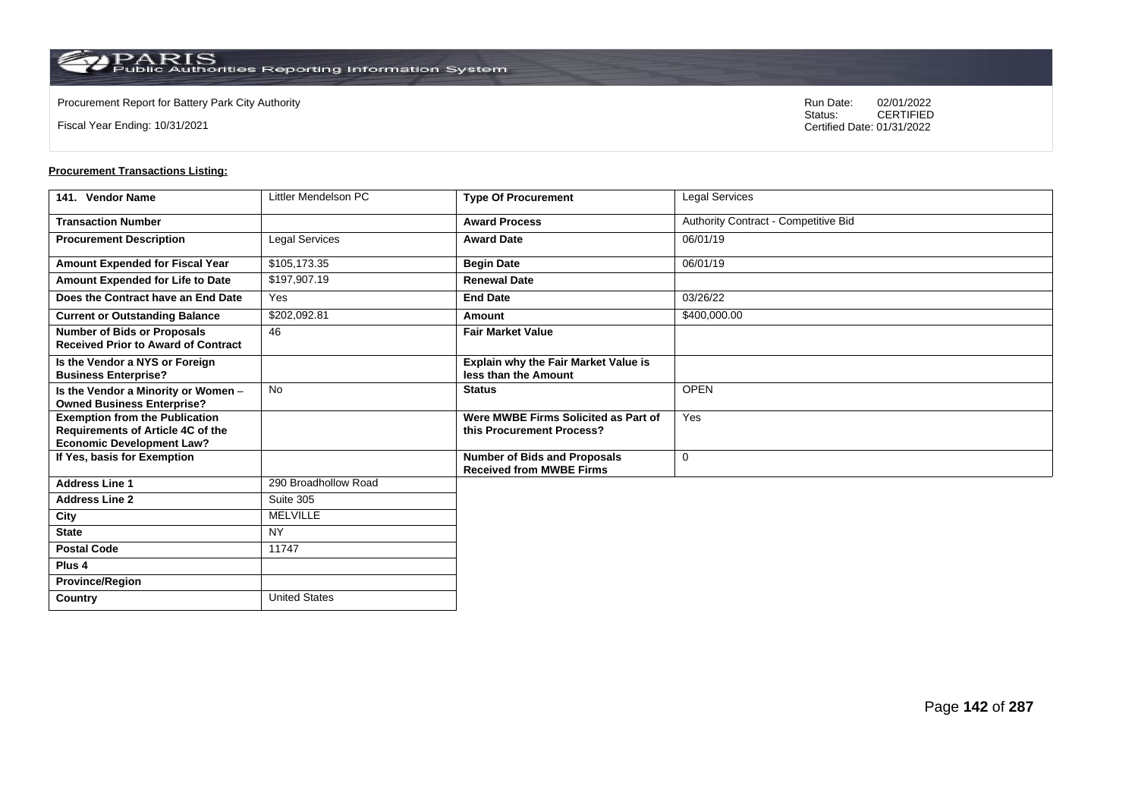**Country** United States

Fiscal Year Ending: 10/31/2021

Procurement Report for Battery Park City Authority **National State Concrete Concrete Concrete Concrete Concrete Concrete Concrete Concrete Concrete Concrete Concrete Concrete Concrete Concrete Concrete Concrete Concrete Co** CERTIFIED Certified Date: 01/31/2022

| 141. Vendor Name                                                                                               | Littler Mendelson PC | <b>Type Of Procurement</b>                                             | Legal Services                       |
|----------------------------------------------------------------------------------------------------------------|----------------------|------------------------------------------------------------------------|--------------------------------------|
| <b>Transaction Number</b>                                                                                      |                      | <b>Award Process</b>                                                   | Authority Contract - Competitive Bid |
| <b>Procurement Description</b>                                                                                 | Legal Services       | <b>Award Date</b>                                                      | 06/01/19                             |
| Amount Expended for Fiscal Year                                                                                | \$105,173.35         | <b>Begin Date</b>                                                      | 06/01/19                             |
| Amount Expended for Life to Date                                                                               | \$197,907.19         | <b>Renewal Date</b>                                                    |                                      |
| Does the Contract have an End Date                                                                             | <b>Yes</b>           | <b>End Date</b>                                                        | 03/26/22                             |
| <b>Current or Outstanding Balance</b>                                                                          | \$202,092.81         | Amount                                                                 | \$400,000.00                         |
| <b>Number of Bids or Proposals</b><br><b>Received Prior to Award of Contract</b>                               | 46                   | <b>Fair Market Value</b>                                               |                                      |
| Is the Vendor a NYS or Foreign<br><b>Business Enterprise?</b>                                                  |                      | Explain why the Fair Market Value is<br>less than the Amount           |                                      |
| Is the Vendor a Minority or Women -<br><b>Owned Business Enterprise?</b>                                       | <b>No</b>            | <b>Status</b>                                                          | <b>OPEN</b>                          |
| <b>Exemption from the Publication</b><br>Requirements of Article 4C of the<br><b>Economic Development Law?</b> |                      | Were MWBE Firms Solicited as Part of<br>this Procurement Process?      | Yes                                  |
| If Yes, basis for Exemption                                                                                    |                      | <b>Number of Bids and Proposals</b><br><b>Received from MWBE Firms</b> | $\mathbf 0$                          |
| <b>Address Line 1</b>                                                                                          | 290 Broadhollow Road |                                                                        |                                      |
| <b>Address Line 2</b>                                                                                          | Suite 305            |                                                                        |                                      |
| City                                                                                                           | <b>MELVILLE</b>      |                                                                        |                                      |
| <b>State</b>                                                                                                   | <b>NY</b>            |                                                                        |                                      |
| <b>Postal Code</b>                                                                                             | 11747                |                                                                        |                                      |
| Plus <sub>4</sub>                                                                                              |                      |                                                                        |                                      |
| <b>Province/Region</b>                                                                                         |                      |                                                                        |                                      |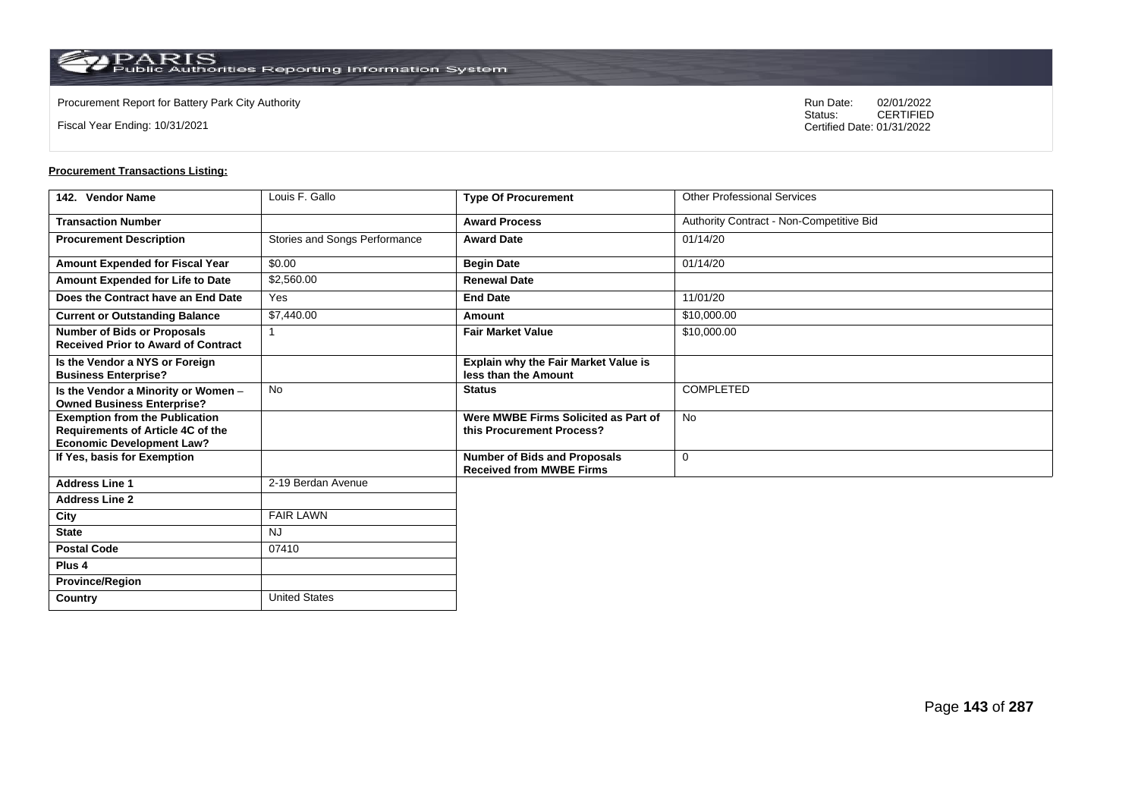**Country** United States

Fiscal Year Ending: 10/31/2021

Procurement Report for Battery Park City Authority **National State Concrete Concrete Concrete Concrete Concrete Concrete Concrete Concrete Concrete Concrete Concrete Concrete Concrete Concrete Concrete Concrete Concrete Co** CERTIFIED Certified Date: 01/31/2022

| 142. Vendor Name                                                                                               | Louis F. Gallo                | <b>Type Of Procurement</b>                                             | <b>Other Professional Services</b>       |
|----------------------------------------------------------------------------------------------------------------|-------------------------------|------------------------------------------------------------------------|------------------------------------------|
| <b>Transaction Number</b>                                                                                      |                               | <b>Award Process</b>                                                   | Authority Contract - Non-Competitive Bid |
| <b>Procurement Description</b>                                                                                 | Stories and Songs Performance | <b>Award Date</b>                                                      | 01/14/20                                 |
| Amount Expended for Fiscal Year                                                                                | \$0.00                        | <b>Begin Date</b>                                                      | 01/14/20                                 |
| Amount Expended for Life to Date                                                                               | \$2,560.00                    | <b>Renewal Date</b>                                                    |                                          |
| Does the Contract have an End Date                                                                             | Yes                           | <b>End Date</b>                                                        | 11/01/20                                 |
| <b>Current or Outstanding Balance</b>                                                                          | \$7,440.00                    | Amount                                                                 | \$10,000.00                              |
| <b>Number of Bids or Proposals</b><br><b>Received Prior to Award of Contract</b>                               | -1                            | <b>Fair Market Value</b>                                               | \$10,000.00                              |
| Is the Vendor a NYS or Foreign<br><b>Business Enterprise?</b>                                                  |                               | <b>Explain why the Fair Market Value is</b><br>less than the Amount    |                                          |
| Is the Vendor a Minority or Women -<br><b>Owned Business Enterprise?</b>                                       | No                            | <b>Status</b>                                                          | <b>COMPLETED</b>                         |
| <b>Exemption from the Publication</b><br>Requirements of Article 4C of the<br><b>Economic Development Law?</b> |                               | Were MWBE Firms Solicited as Part of<br>this Procurement Process?      | <b>No</b>                                |
| If Yes, basis for Exemption                                                                                    |                               | <b>Number of Bids and Proposals</b><br><b>Received from MWBE Firms</b> | $\mathbf 0$                              |
| <b>Address Line 1</b>                                                                                          | 2-19 Berdan Avenue            |                                                                        |                                          |
| <b>Address Line 2</b>                                                                                          |                               |                                                                        |                                          |
| City                                                                                                           | <b>FAIR LAWN</b>              |                                                                        |                                          |
| <b>State</b>                                                                                                   | <b>NJ</b>                     |                                                                        |                                          |
| <b>Postal Code</b>                                                                                             | 07410                         |                                                                        |                                          |
| Plus <sub>4</sub>                                                                                              |                               |                                                                        |                                          |
| <b>Province/Region</b>                                                                                         |                               |                                                                        |                                          |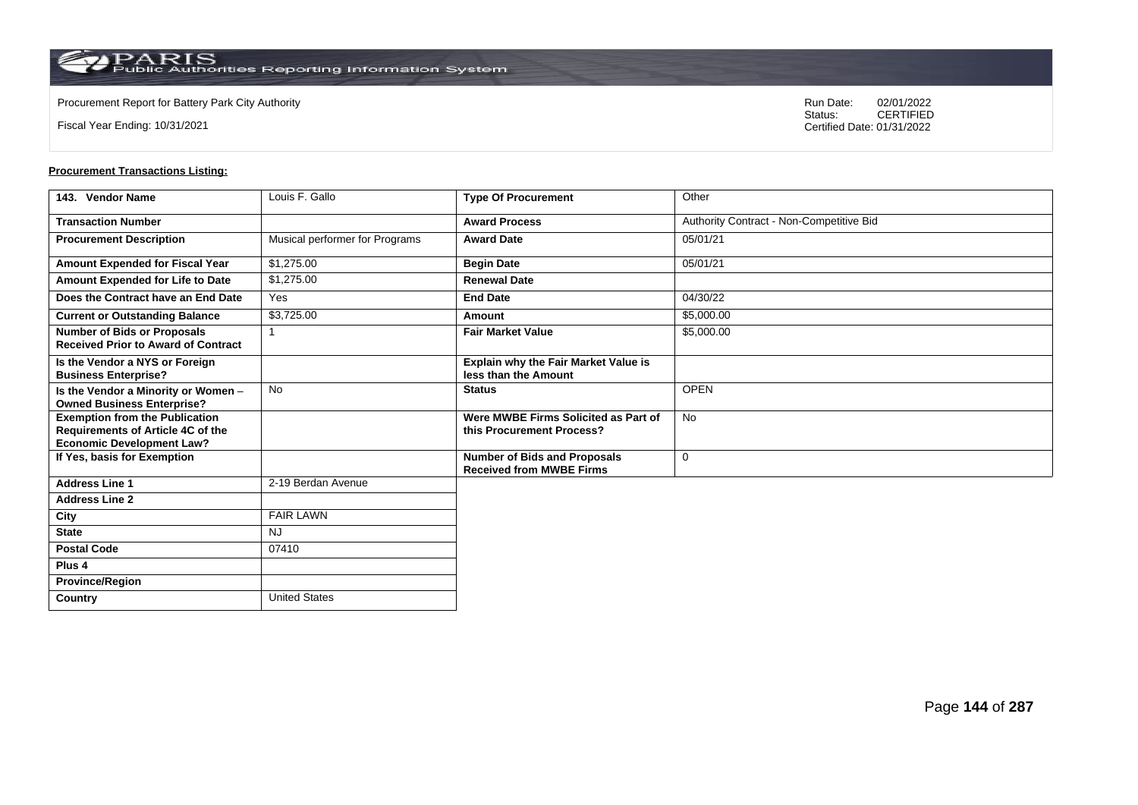**Country** United States

Fiscal Year Ending: 10/31/2021

Procurement Report for Battery Park City Authority **National State Concrete Concrete Concrete Concrete Concrete Concrete Concrete Concrete Concrete Concrete Concrete Concrete Concrete Concrete Concrete Concrete Concrete Co** CERTIFIED Certified Date: 01/31/2022

| 143. Vendor Name                                                                                               | Louis F. Gallo                 | <b>Type Of Procurement</b>                                             | Other                                    |
|----------------------------------------------------------------------------------------------------------------|--------------------------------|------------------------------------------------------------------------|------------------------------------------|
| <b>Transaction Number</b>                                                                                      |                                | <b>Award Process</b>                                                   | Authority Contract - Non-Competitive Bid |
| <b>Procurement Description</b>                                                                                 | Musical performer for Programs | <b>Award Date</b>                                                      | 05/01/21                                 |
| Amount Expended for Fiscal Year                                                                                | \$1,275.00                     | <b>Begin Date</b>                                                      | 05/01/21                                 |
| Amount Expended for Life to Date                                                                               | \$1,275.00                     | <b>Renewal Date</b>                                                    |                                          |
| Does the Contract have an End Date                                                                             | Yes                            | <b>End Date</b>                                                        | 04/30/22                                 |
| <b>Current or Outstanding Balance</b>                                                                          | \$3,725.00                     | Amount                                                                 | \$5,000.00                               |
| <b>Number of Bids or Proposals</b><br><b>Received Prior to Award of Contract</b>                               |                                | <b>Fair Market Value</b>                                               | \$5,000.00                               |
| Is the Vendor a NYS or Foreign<br><b>Business Enterprise?</b>                                                  |                                | Explain why the Fair Market Value is<br>less than the Amount           |                                          |
| Is the Vendor a Minority or Women -<br><b>Owned Business Enterprise?</b>                                       | No                             | <b>Status</b>                                                          | <b>OPEN</b>                              |
| <b>Exemption from the Publication</b><br>Requirements of Article 4C of the<br><b>Economic Development Law?</b> |                                | Were MWBE Firms Solicited as Part of<br>this Procurement Process?      | <b>No</b>                                |
| If Yes, basis for Exemption                                                                                    |                                | <b>Number of Bids and Proposals</b><br><b>Received from MWBE Firms</b> | 0                                        |
| <b>Address Line 1</b>                                                                                          | 2-19 Berdan Avenue             |                                                                        |                                          |
| <b>Address Line 2</b>                                                                                          |                                |                                                                        |                                          |
| City                                                                                                           | <b>FAIR LAWN</b>               |                                                                        |                                          |
| <b>State</b>                                                                                                   | <b>NJ</b>                      |                                                                        |                                          |
| <b>Postal Code</b>                                                                                             | 07410                          |                                                                        |                                          |
| Plus <sub>4</sub>                                                                                              |                                |                                                                        |                                          |
| <b>Province/Region</b>                                                                                         |                                |                                                                        |                                          |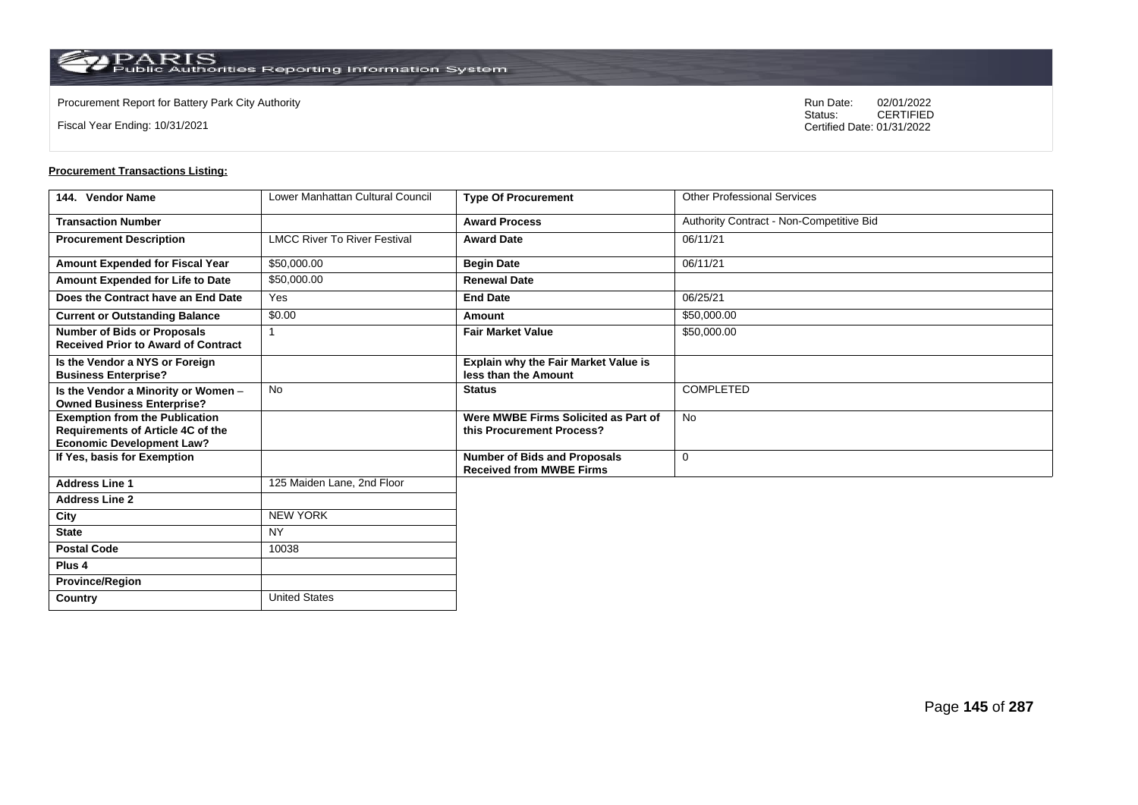**Country** United States

Fiscal Year Ending: 10/31/2021

Procurement Report for Battery Park City Authority **National State Concrete Concrete Concrete Concrete Concrete Concrete Concrete Concrete Concrete Concrete Concrete Concrete Concrete Concrete Concrete Concrete Concrete Co** CERTIFIED Certified Date: 01/31/2022

| 144. Vendor Name                                                                                               | Lower Manhattan Cultural Council    | <b>Type Of Procurement</b>                                             | <b>Other Professional Services</b>       |
|----------------------------------------------------------------------------------------------------------------|-------------------------------------|------------------------------------------------------------------------|------------------------------------------|
| <b>Transaction Number</b>                                                                                      |                                     | <b>Award Process</b>                                                   | Authority Contract - Non-Competitive Bid |
| <b>Procurement Description</b>                                                                                 | <b>LMCC River To River Festival</b> | <b>Award Date</b>                                                      | 06/11/21                                 |
| Amount Expended for Fiscal Year                                                                                | \$50,000.00                         | <b>Begin Date</b>                                                      | 06/11/21                                 |
| Amount Expended for Life to Date                                                                               | \$50,000.00                         | <b>Renewal Date</b>                                                    |                                          |
| Does the Contract have an End Date                                                                             | Yes                                 | <b>End Date</b>                                                        | 06/25/21                                 |
| <b>Current or Outstanding Balance</b>                                                                          | \$0.00                              | Amount                                                                 | \$50,000.00                              |
| <b>Number of Bids or Proposals</b><br><b>Received Prior to Award of Contract</b>                               |                                     | <b>Fair Market Value</b>                                               | \$50,000.00                              |
| Is the Vendor a NYS or Foreign<br><b>Business Enterprise?</b>                                                  |                                     | <b>Explain why the Fair Market Value is</b><br>less than the Amount    |                                          |
| Is the Vendor a Minority or Women -<br><b>Owned Business Enterprise?</b>                                       | <b>No</b>                           | <b>Status</b>                                                          | COMPLETED                                |
| <b>Exemption from the Publication</b><br>Requirements of Article 4C of the<br><b>Economic Development Law?</b> |                                     | Were MWBE Firms Solicited as Part of<br>this Procurement Process?      | <b>No</b>                                |
| If Yes, basis for Exemption                                                                                    |                                     | <b>Number of Bids and Proposals</b><br><b>Received from MWBE Firms</b> | $\mathbf 0$                              |
| <b>Address Line 1</b>                                                                                          | 125 Maiden Lane, 2nd Floor          |                                                                        |                                          |
| <b>Address Line 2</b>                                                                                          |                                     |                                                                        |                                          |
| City                                                                                                           | <b>NEW YORK</b>                     |                                                                        |                                          |
| <b>State</b>                                                                                                   | <b>NY</b>                           |                                                                        |                                          |
| <b>Postal Code</b>                                                                                             | 10038                               |                                                                        |                                          |
| Plus <sub>4</sub>                                                                                              |                                     |                                                                        |                                          |
| <b>Province/Region</b>                                                                                         |                                     |                                                                        |                                          |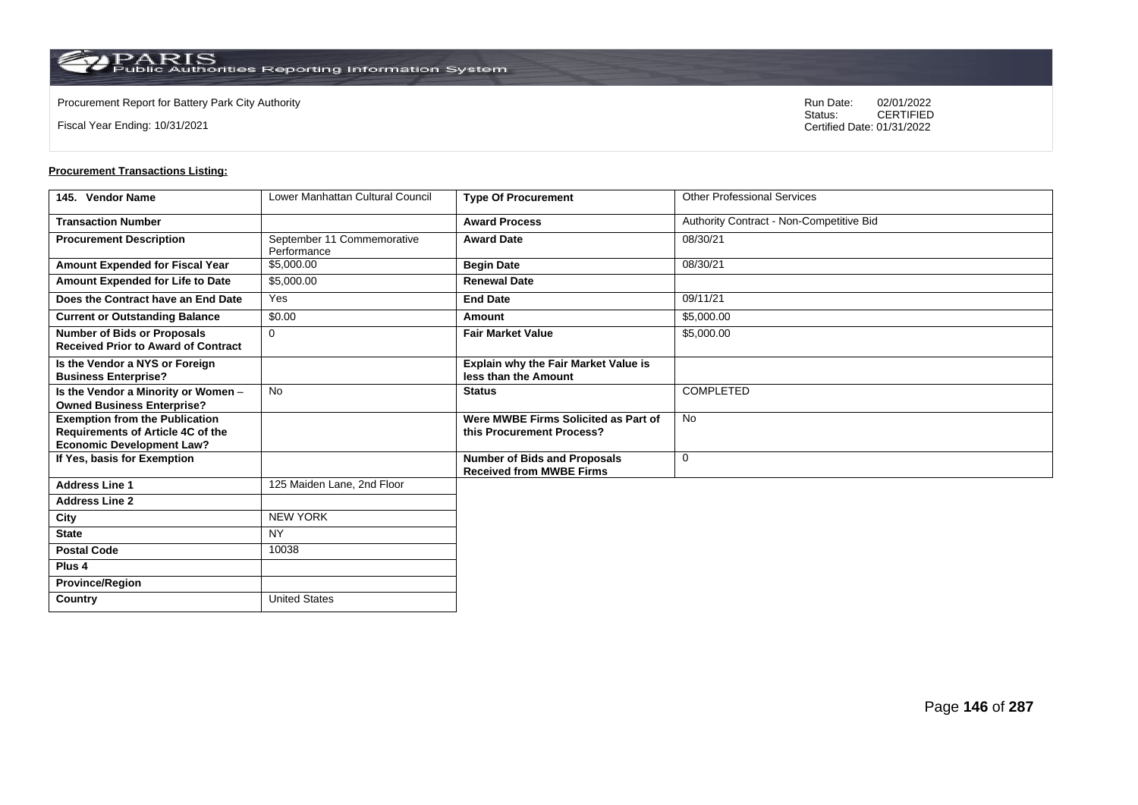**Country** United States

Fiscal Year Ending: 10/31/2021

Procurement Report for Battery Park City Authority **National State Concrete Concrete Concrete Concrete Concrete Concrete Concrete Concrete Concrete Concrete Concrete Concrete Concrete Concrete Concrete Concrete Concrete Co** CERTIFIED Certified Date: 01/31/2022

| 145. Vendor Name                                                                                               | Lower Manhattan Cultural Council          | <b>Type Of Procurement</b>                                             | <b>Other Professional Services</b>       |
|----------------------------------------------------------------------------------------------------------------|-------------------------------------------|------------------------------------------------------------------------|------------------------------------------|
| <b>Transaction Number</b>                                                                                      |                                           | <b>Award Process</b>                                                   | Authority Contract - Non-Competitive Bid |
| <b>Procurement Description</b>                                                                                 | September 11 Commemorative<br>Performance | <b>Award Date</b>                                                      | 08/30/21                                 |
| Amount Expended for Fiscal Year                                                                                | \$5,000.00                                | <b>Begin Date</b>                                                      | 08/30/21                                 |
| Amount Expended for Life to Date                                                                               | \$5,000.00                                | <b>Renewal Date</b>                                                    |                                          |
| Does the Contract have an End Date                                                                             | Yes                                       | <b>End Date</b>                                                        | 09/11/21                                 |
| <b>Current or Outstanding Balance</b>                                                                          | \$0.00                                    | Amount                                                                 | \$5,000.00                               |
| <b>Number of Bids or Proposals</b><br><b>Received Prior to Award of Contract</b>                               | 0                                         | <b>Fair Market Value</b>                                               | \$5,000.00                               |
| Is the Vendor a NYS or Foreign<br><b>Business Enterprise?</b>                                                  |                                           | Explain why the Fair Market Value is<br>less than the Amount           |                                          |
| Is the Vendor a Minority or Women -<br><b>Owned Business Enterprise?</b>                                       | <b>No</b>                                 | <b>Status</b>                                                          | <b>COMPLETED</b>                         |
| <b>Exemption from the Publication</b><br>Requirements of Article 4C of the<br><b>Economic Development Law?</b> |                                           | Were MWBE Firms Solicited as Part of<br>this Procurement Process?      | <b>No</b>                                |
| If Yes, basis for Exemption                                                                                    |                                           | <b>Number of Bids and Proposals</b><br><b>Received from MWBE Firms</b> | $\mathbf 0$                              |
| <b>Address Line 1</b>                                                                                          | 125 Maiden Lane, 2nd Floor                |                                                                        |                                          |
| <b>Address Line 2</b>                                                                                          |                                           |                                                                        |                                          |
| City                                                                                                           | <b>NEW YORK</b>                           |                                                                        |                                          |
| <b>State</b>                                                                                                   | <b>NY</b>                                 |                                                                        |                                          |
| <b>Postal Code</b>                                                                                             | 10038                                     |                                                                        |                                          |
| Plus <sub>4</sub>                                                                                              |                                           |                                                                        |                                          |
| <b>Province/Region</b>                                                                                         |                                           |                                                                        |                                          |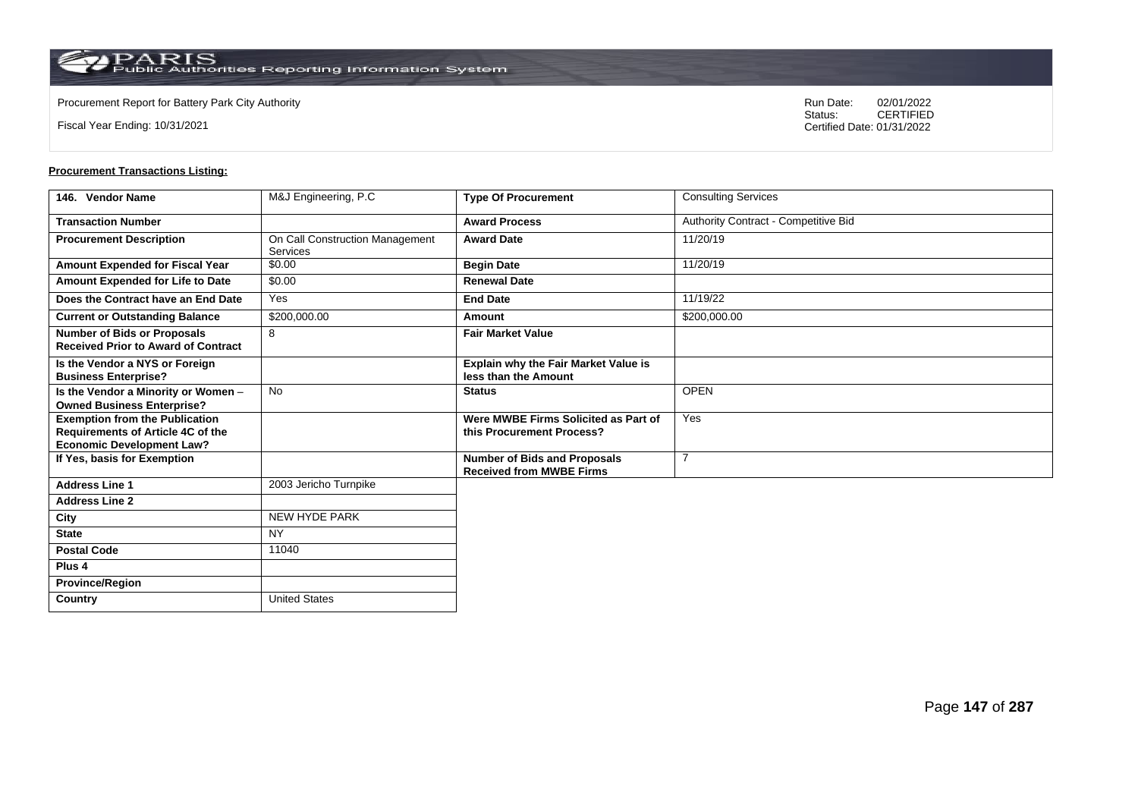Fiscal Year Ending: 10/31/2021

Procurement Report for Battery Park City Authority **National State Concrete Concrete Concrete Concrete Concrete Concrete Concrete Concrete Concrete Concrete Concrete Concrete Concrete Concrete Concrete Concrete Concrete Co** CERTIFIED Certified Date: 01/31/2022

| 146. Vendor Name                                                                                               | M&J Engineering, P.C                               | <b>Type Of Procurement</b>                                             | <b>Consulting Services</b>           |
|----------------------------------------------------------------------------------------------------------------|----------------------------------------------------|------------------------------------------------------------------------|--------------------------------------|
| <b>Transaction Number</b>                                                                                      |                                                    | <b>Award Process</b>                                                   | Authority Contract - Competitive Bid |
| <b>Procurement Description</b>                                                                                 | On Call Construction Management<br><b>Services</b> | <b>Award Date</b>                                                      | 11/20/19                             |
| Amount Expended for Fiscal Year                                                                                | \$0.00                                             | <b>Begin Date</b>                                                      | 11/20/19                             |
| Amount Expended for Life to Date                                                                               | \$0.00                                             | <b>Renewal Date</b>                                                    |                                      |
| Does the Contract have an End Date                                                                             | Yes                                                | <b>End Date</b>                                                        | 11/19/22                             |
| <b>Current or Outstanding Balance</b>                                                                          | \$200,000.00                                       | Amount                                                                 | \$200,000.00                         |
| <b>Number of Bids or Proposals</b><br><b>Received Prior to Award of Contract</b>                               | 8                                                  | <b>Fair Market Value</b>                                               |                                      |
| Is the Vendor a NYS or Foreign<br><b>Business Enterprise?</b>                                                  |                                                    | Explain why the Fair Market Value is<br>less than the Amount           |                                      |
| Is the Vendor a Minority or Women -<br><b>Owned Business Enterprise?</b>                                       | <b>No</b>                                          | <b>Status</b>                                                          | <b>OPEN</b>                          |
| <b>Exemption from the Publication</b><br>Requirements of Article 4C of the<br><b>Economic Development Law?</b> |                                                    | Were MWBE Firms Solicited as Part of<br>this Procurement Process?      | Yes                                  |
| If Yes, basis for Exemption                                                                                    |                                                    | <b>Number of Bids and Proposals</b><br><b>Received from MWBE Firms</b> | 7                                    |
| <b>Address Line 1</b>                                                                                          | 2003 Jericho Turnpike                              |                                                                        |                                      |
| <b>Address Line 2</b>                                                                                          |                                                    |                                                                        |                                      |
| City                                                                                                           | NEW HYDE PARK                                      |                                                                        |                                      |
| <b>State</b>                                                                                                   | <b>NY</b>                                          |                                                                        |                                      |
| <b>Postal Code</b>                                                                                             | 11040                                              |                                                                        |                                      |
| Plus <sub>4</sub>                                                                                              |                                                    |                                                                        |                                      |
| <b>Province/Region</b>                                                                                         |                                                    |                                                                        |                                      |
| <b>Country</b>                                                                                                 | <b>United States</b>                               |                                                                        |                                      |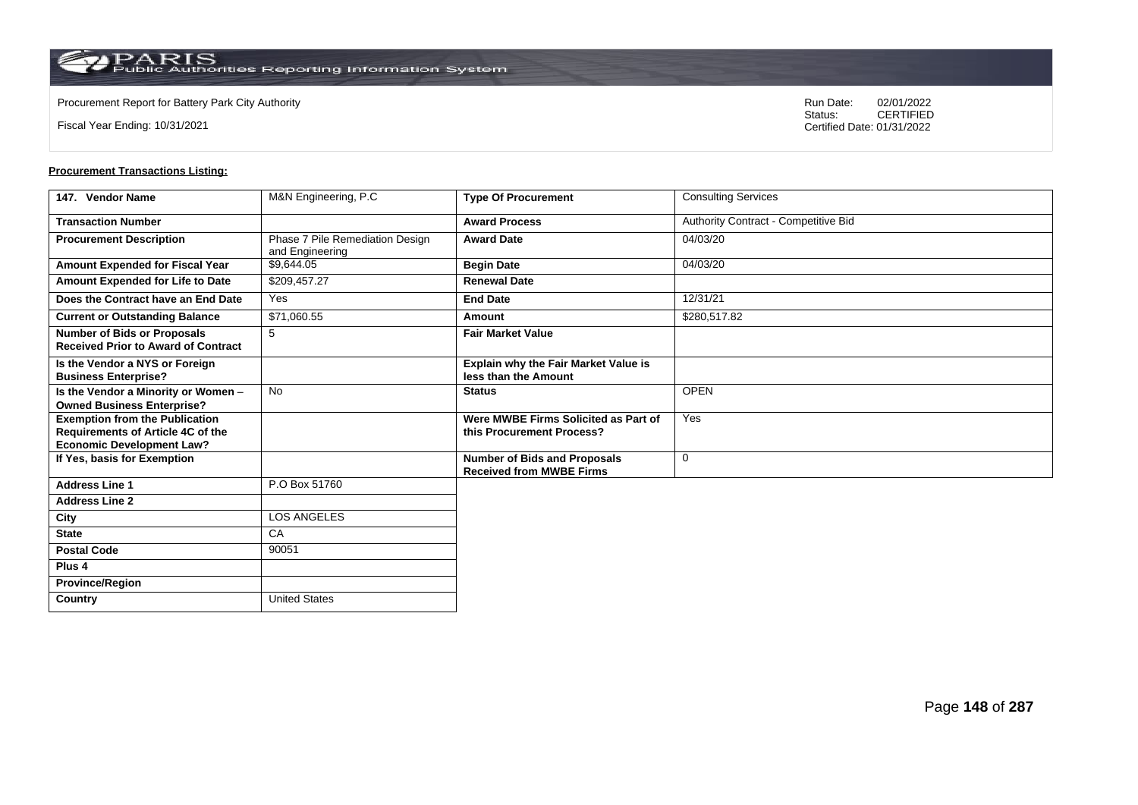**Country** United States

Fiscal Year Ending: 10/31/2021

Procurement Report for Battery Park City Authority **National State Concrete Concrete Concrete Concrete Concrete Concrete Concrete Concrete Concrete Concrete Concrete Concrete Concrete Concrete Concrete Concrete Concrete Co** CERTIFIED Certified Date: 01/31/2022

| 147. Vendor Name                                                                                                      | M&N Engineering, P.C.                              | <b>Type Of Procurement</b>                                             | <b>Consulting Services</b>           |
|-----------------------------------------------------------------------------------------------------------------------|----------------------------------------------------|------------------------------------------------------------------------|--------------------------------------|
| <b>Transaction Number</b>                                                                                             |                                                    | <b>Award Process</b>                                                   | Authority Contract - Competitive Bid |
| <b>Procurement Description</b>                                                                                        | Phase 7 Pile Remediation Design<br>and Engineering | <b>Award Date</b>                                                      | 04/03/20                             |
| <b>Amount Expended for Fiscal Year</b>                                                                                | \$9,644.05                                         | <b>Begin Date</b>                                                      | 04/03/20                             |
| Amount Expended for Life to Date                                                                                      | \$209,457.27                                       | <b>Renewal Date</b>                                                    |                                      |
| Does the Contract have an End Date                                                                                    | Yes                                                | <b>End Date</b>                                                        | 12/31/21                             |
| <b>Current or Outstanding Balance</b>                                                                                 | \$71,060.55                                        | Amount                                                                 | \$280,517.82                         |
| <b>Number of Bids or Proposals</b><br><b>Received Prior to Award of Contract</b>                                      | 5                                                  | <b>Fair Market Value</b>                                               |                                      |
| Is the Vendor a NYS or Foreign<br><b>Business Enterprise?</b>                                                         |                                                    | <b>Explain why the Fair Market Value is</b><br>less than the Amount    |                                      |
| Is the Vendor a Minority or Women -<br><b>Owned Business Enterprise?</b>                                              | <b>No</b>                                          | <b>Status</b>                                                          | <b>OPEN</b>                          |
| <b>Exemption from the Publication</b><br><b>Requirements of Article 4C of the</b><br><b>Economic Development Law?</b> |                                                    | Were MWBE Firms Solicited as Part of<br>this Procurement Process?      | Yes                                  |
| If Yes, basis for Exemption                                                                                           |                                                    | <b>Number of Bids and Proposals</b><br><b>Received from MWBE Firms</b> | $\mathbf 0$                          |
| <b>Address Line 1</b>                                                                                                 | P.O Box 51760                                      |                                                                        |                                      |
| <b>Address Line 2</b>                                                                                                 |                                                    |                                                                        |                                      |
| City                                                                                                                  | <b>LOS ANGELES</b>                                 |                                                                        |                                      |
| <b>State</b>                                                                                                          | CA                                                 |                                                                        |                                      |
| <b>Postal Code</b>                                                                                                    | 90051                                              |                                                                        |                                      |
| Plus <sub>4</sub>                                                                                                     |                                                    |                                                                        |                                      |
| <b>Province/Region</b>                                                                                                |                                                    |                                                                        |                                      |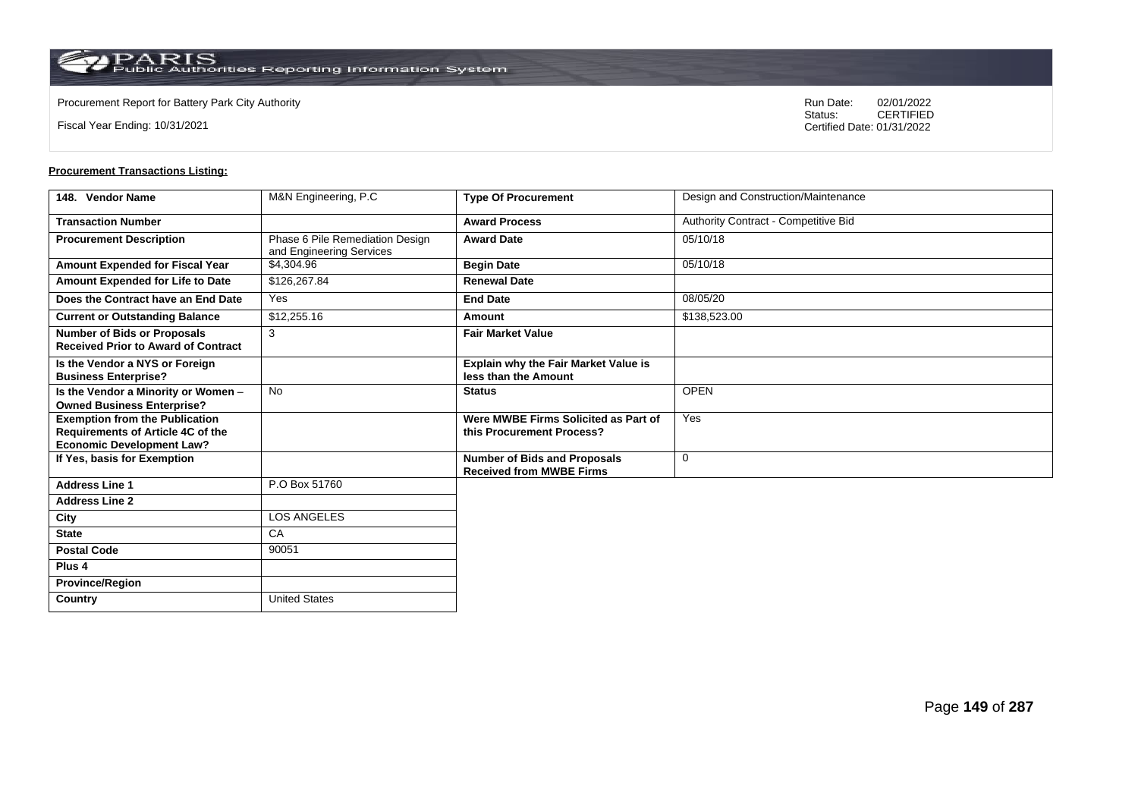**Country** United States

Fiscal Year Ending: 10/31/2021

Procurement Report for Battery Park City Authority **National State Concrete Concrete Concrete Concrete Concrete Concrete Concrete Concrete Concrete Concrete Concrete Concrete Concrete Concrete Concrete Concrete Concrete Co** CERTIFIED Certified Date: 01/31/2022

| 148. Vendor Name                                                                                               | M&N Engineering, P.C                                        | <b>Type Of Procurement</b>                                             | Design and Construction/Maintenance  |
|----------------------------------------------------------------------------------------------------------------|-------------------------------------------------------------|------------------------------------------------------------------------|--------------------------------------|
| <b>Transaction Number</b>                                                                                      |                                                             | <b>Award Process</b>                                                   | Authority Contract - Competitive Bid |
| <b>Procurement Description</b>                                                                                 | Phase 6 Pile Remediation Design<br>and Engineering Services | <b>Award Date</b>                                                      | 05/10/18                             |
| Amount Expended for Fiscal Year                                                                                | \$4,304.96                                                  | <b>Begin Date</b>                                                      | 05/10/18                             |
| Amount Expended for Life to Date                                                                               | \$126,267.84                                                | <b>Renewal Date</b>                                                    |                                      |
| Does the Contract have an End Date                                                                             | Yes                                                         | <b>End Date</b>                                                        | 08/05/20                             |
| <b>Current or Outstanding Balance</b>                                                                          | \$12,255.16                                                 | Amount                                                                 | \$138,523.00                         |
| <b>Number of Bids or Proposals</b><br><b>Received Prior to Award of Contract</b>                               | 3                                                           | <b>Fair Market Value</b>                                               |                                      |
| Is the Vendor a NYS or Foreign<br><b>Business Enterprise?</b>                                                  |                                                             | Explain why the Fair Market Value is<br>less than the Amount           |                                      |
| Is the Vendor a Minority or Women -<br><b>Owned Business Enterprise?</b>                                       | <b>No</b>                                                   | <b>Status</b>                                                          | <b>OPEN</b>                          |
| <b>Exemption from the Publication</b><br>Requirements of Article 4C of the<br><b>Economic Development Law?</b> |                                                             | Were MWBE Firms Solicited as Part of<br>this Procurement Process?      | Yes                                  |
| If Yes, basis for Exemption                                                                                    |                                                             | <b>Number of Bids and Proposals</b><br><b>Received from MWBE Firms</b> | $\mathbf 0$                          |
| <b>Address Line 1</b>                                                                                          | P.O Box 51760                                               |                                                                        |                                      |
| <b>Address Line 2</b>                                                                                          |                                                             |                                                                        |                                      |
| City                                                                                                           | <b>LOS ANGELES</b>                                          |                                                                        |                                      |
| <b>State</b>                                                                                                   | CA                                                          |                                                                        |                                      |
| <b>Postal Code</b>                                                                                             | 90051                                                       |                                                                        |                                      |
| Plus <sub>4</sub>                                                                                              |                                                             |                                                                        |                                      |
| <b>Province/Region</b>                                                                                         |                                                             |                                                                        |                                      |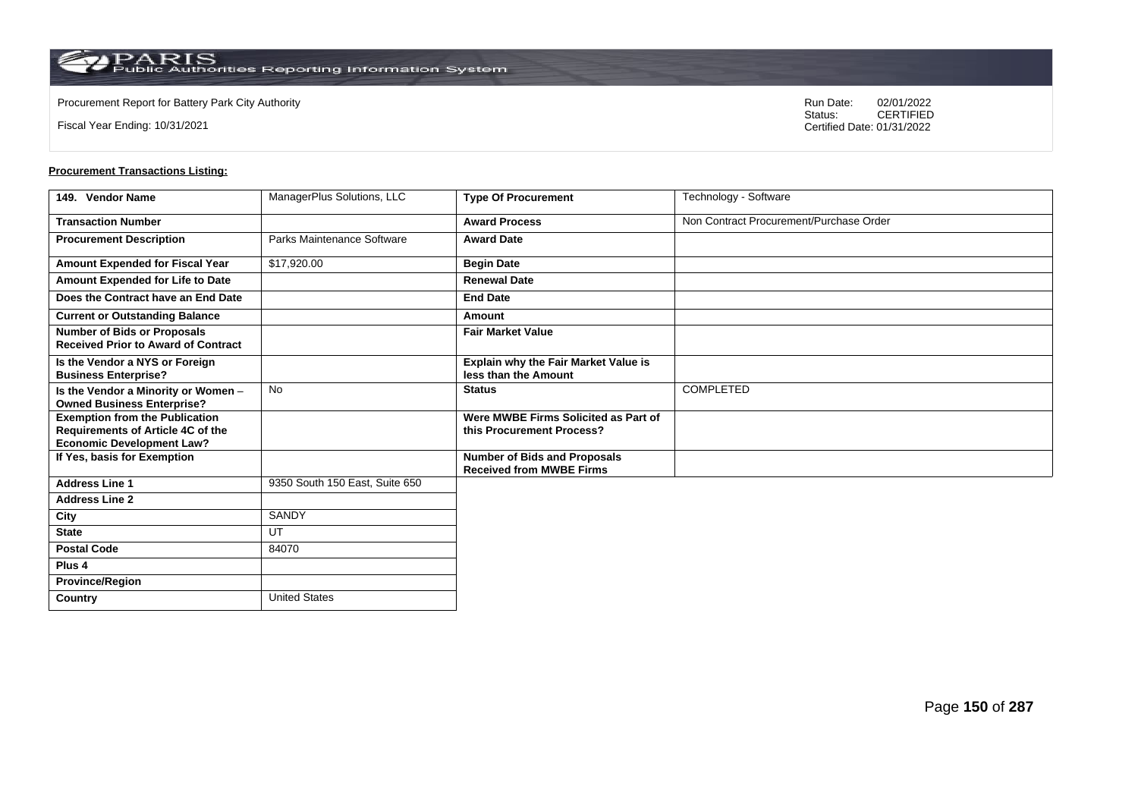**Country** United States

Fiscal Year Ending: 10/31/2021

Procurement Report for Battery Park City Authority **National State Concrete Concrete Concrete Concrete Concrete Concrete Concrete Concrete Concrete Concrete Concrete Concrete Concrete Concrete Concrete Concrete Concrete Co** CERTIFIED Certified Date: 01/31/2022

| 149. Vendor Name                                                                                                      | ManagerPlus Solutions, LLC     | <b>Type Of Procurement</b>                                             | Technology - Software                   |
|-----------------------------------------------------------------------------------------------------------------------|--------------------------------|------------------------------------------------------------------------|-----------------------------------------|
| <b>Transaction Number</b>                                                                                             |                                | <b>Award Process</b>                                                   | Non Contract Procurement/Purchase Order |
| <b>Procurement Description</b>                                                                                        | Parks Maintenance Software     | <b>Award Date</b>                                                      |                                         |
| <b>Amount Expended for Fiscal Year</b>                                                                                | \$17,920.00                    | <b>Begin Date</b>                                                      |                                         |
| Amount Expended for Life to Date                                                                                      |                                | <b>Renewal Date</b>                                                    |                                         |
| Does the Contract have an End Date                                                                                    |                                | <b>End Date</b>                                                        |                                         |
| <b>Current or Outstanding Balance</b>                                                                                 |                                | Amount                                                                 |                                         |
| <b>Number of Bids or Proposals</b><br><b>Received Prior to Award of Contract</b>                                      |                                | <b>Fair Market Value</b>                                               |                                         |
| Is the Vendor a NYS or Foreign<br><b>Business Enterprise?</b>                                                         |                                | <b>Explain why the Fair Market Value is</b><br>less than the Amount    |                                         |
| Is the Vendor a Minority or Women -<br><b>Owned Business Enterprise?</b>                                              | <b>No</b>                      | <b>Status</b>                                                          | COMPLETED                               |
| <b>Exemption from the Publication</b><br><b>Requirements of Article 4C of the</b><br><b>Economic Development Law?</b> |                                | Were MWBE Firms Solicited as Part of<br>this Procurement Process?      |                                         |
| If Yes, basis for Exemption                                                                                           |                                | <b>Number of Bids and Proposals</b><br><b>Received from MWBE Firms</b> |                                         |
| <b>Address Line 1</b>                                                                                                 | 9350 South 150 East, Suite 650 |                                                                        |                                         |
| <b>Address Line 2</b>                                                                                                 |                                |                                                                        |                                         |
| City                                                                                                                  | <b>SANDY</b>                   |                                                                        |                                         |
| <b>State</b>                                                                                                          | UT                             |                                                                        |                                         |
| <b>Postal Code</b>                                                                                                    | 84070                          |                                                                        |                                         |
| Plus <sub>4</sub>                                                                                                     |                                |                                                                        |                                         |
| <b>Province/Region</b>                                                                                                |                                |                                                                        |                                         |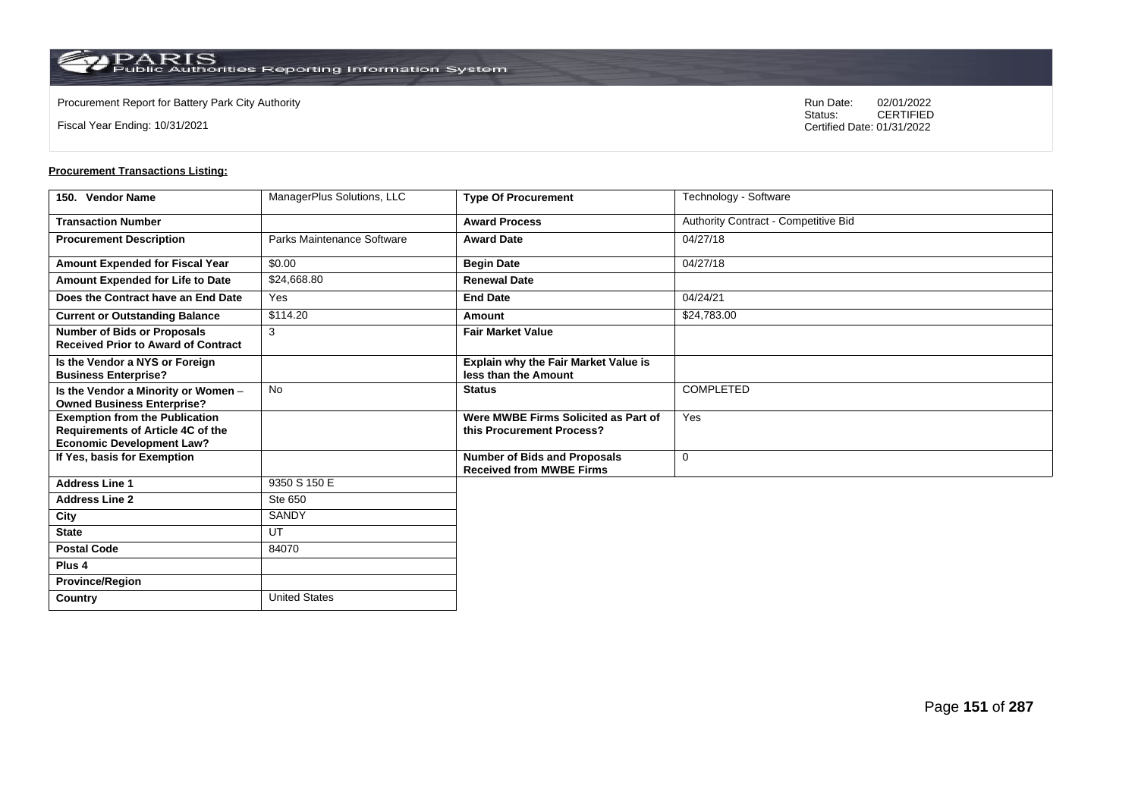**Country** United States

Fiscal Year Ending: 10/31/2021

Procurement Report for Battery Park City Authority **National State Concrete Concrete Concrete Concrete Concrete Concrete Concrete Concrete Concrete Concrete Concrete Concrete Concrete Concrete Concrete Concrete Concrete Co** CERTIFIED Certified Date: 01/31/2022

| 150. Vendor Name                                                                                               | ManagerPlus Solutions, LLC | <b>Type Of Procurement</b>                                             | Technology - Software                |
|----------------------------------------------------------------------------------------------------------------|----------------------------|------------------------------------------------------------------------|--------------------------------------|
| <b>Transaction Number</b>                                                                                      |                            | <b>Award Process</b>                                                   | Authority Contract - Competitive Bid |
| <b>Procurement Description</b>                                                                                 | Parks Maintenance Software | <b>Award Date</b>                                                      | 04/27/18                             |
| Amount Expended for Fiscal Year                                                                                | \$0.00                     | <b>Begin Date</b>                                                      | 04/27/18                             |
| Amount Expended for Life to Date                                                                               | \$24,668.80                | <b>Renewal Date</b>                                                    |                                      |
| Does the Contract have an End Date                                                                             | Yes                        | <b>End Date</b>                                                        | 04/24/21                             |
| <b>Current or Outstanding Balance</b>                                                                          | \$114.20                   | Amount                                                                 | \$24,783.00                          |
| <b>Number of Bids or Proposals</b><br><b>Received Prior to Award of Contract</b>                               | 3                          | <b>Fair Market Value</b>                                               |                                      |
| Is the Vendor a NYS or Foreign<br><b>Business Enterprise?</b>                                                  |                            | <b>Explain why the Fair Market Value is</b><br>less than the Amount    |                                      |
| Is the Vendor a Minority or Women -<br><b>Owned Business Enterprise?</b>                                       | <b>No</b>                  | <b>Status</b>                                                          | <b>COMPLETED</b>                     |
| <b>Exemption from the Publication</b><br>Requirements of Article 4C of the<br><b>Economic Development Law?</b> |                            | Were MWBE Firms Solicited as Part of<br>this Procurement Process?      | Yes                                  |
| If Yes, basis for Exemption                                                                                    |                            | <b>Number of Bids and Proposals</b><br><b>Received from MWBE Firms</b> | 0                                    |
| <b>Address Line 1</b>                                                                                          | 9350 S 150 E               |                                                                        |                                      |
| <b>Address Line 2</b>                                                                                          | Ste 650                    |                                                                        |                                      |
| City                                                                                                           | SANDY                      |                                                                        |                                      |
| <b>State</b>                                                                                                   | UT                         |                                                                        |                                      |
| <b>Postal Code</b>                                                                                             | 84070                      |                                                                        |                                      |
| Plus <sub>4</sub>                                                                                              |                            |                                                                        |                                      |
| <b>Province/Region</b>                                                                                         |                            |                                                                        |                                      |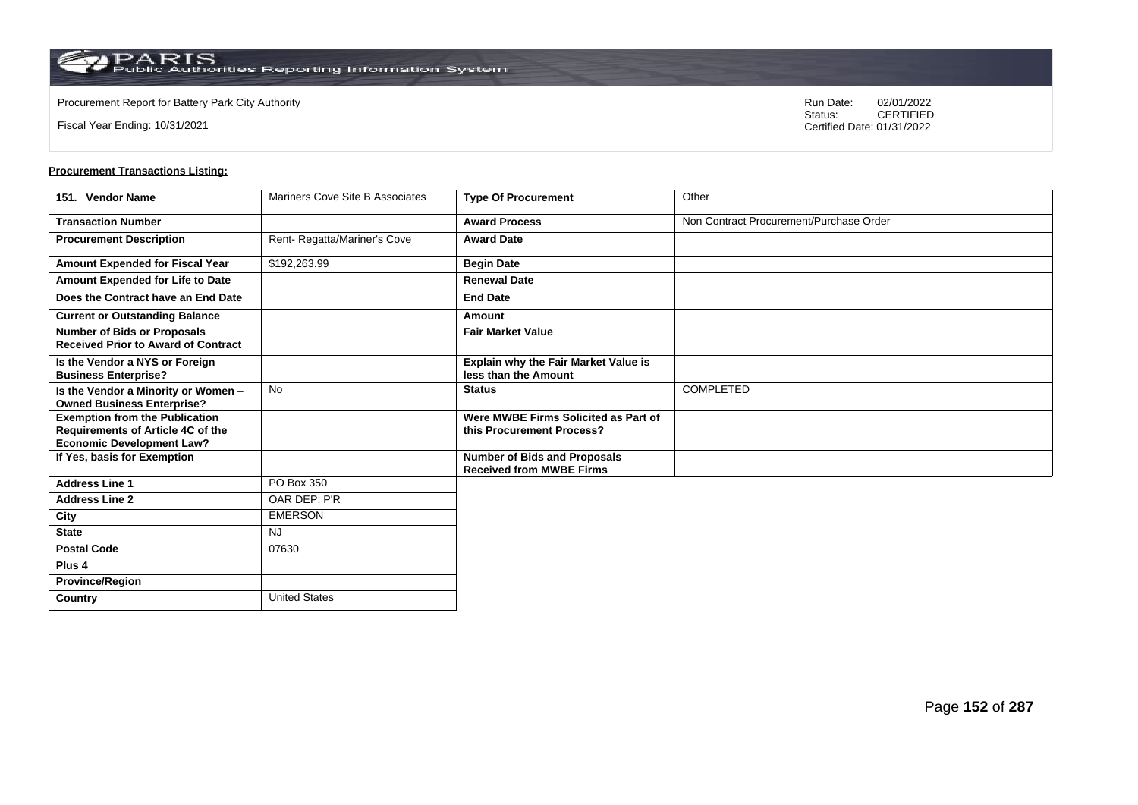**Country** United States

Fiscal Year Ending: 10/31/2021

Procurement Report for Battery Park City Authority **National State Concrete Concrete Concrete Concrete Concrete Concrete Concrete Concrete Concrete Concrete Concrete Concrete Concrete Concrete Concrete Concrete Concrete Co** CERTIFIED Certified Date: 01/31/2022

| 151. Vendor Name                                                                                               | Mariners Cove Site B Associates | <b>Type Of Procurement</b>                                             | Other                                   |
|----------------------------------------------------------------------------------------------------------------|---------------------------------|------------------------------------------------------------------------|-----------------------------------------|
| <b>Transaction Number</b>                                                                                      |                                 | <b>Award Process</b>                                                   | Non Contract Procurement/Purchase Order |
| <b>Procurement Description</b>                                                                                 | Rent-Regatta/Mariner's Cove     | <b>Award Date</b>                                                      |                                         |
| Amount Expended for Fiscal Year                                                                                | \$192,263.99                    | <b>Begin Date</b>                                                      |                                         |
| Amount Expended for Life to Date                                                                               |                                 | <b>Renewal Date</b>                                                    |                                         |
| Does the Contract have an End Date                                                                             |                                 | <b>End Date</b>                                                        |                                         |
| <b>Current or Outstanding Balance</b>                                                                          |                                 | Amount                                                                 |                                         |
| <b>Number of Bids or Proposals</b><br><b>Received Prior to Award of Contract</b>                               |                                 | <b>Fair Market Value</b>                                               |                                         |
| Is the Vendor a NYS or Foreign<br><b>Business Enterprise?</b>                                                  |                                 | Explain why the Fair Market Value is<br>less than the Amount           |                                         |
| Is the Vendor a Minority or Women -<br><b>Owned Business Enterprise?</b>                                       | No                              | <b>Status</b>                                                          | <b>COMPLETED</b>                        |
| <b>Exemption from the Publication</b><br>Requirements of Article 4C of the<br><b>Economic Development Law?</b> |                                 | Were MWBE Firms Solicited as Part of<br>this Procurement Process?      |                                         |
| If Yes, basis for Exemption                                                                                    |                                 | <b>Number of Bids and Proposals</b><br><b>Received from MWBE Firms</b> |                                         |
| <b>Address Line 1</b>                                                                                          | PO Box 350                      |                                                                        |                                         |
| <b>Address Line 2</b>                                                                                          | OAR DEP: P'R                    |                                                                        |                                         |
| City                                                                                                           | <b>EMERSON</b>                  |                                                                        |                                         |
| <b>State</b>                                                                                                   | <b>NJ</b>                       |                                                                        |                                         |
| <b>Postal Code</b>                                                                                             | 07630                           |                                                                        |                                         |
| Plus <sub>4</sub>                                                                                              |                                 |                                                                        |                                         |
| <b>Province/Region</b>                                                                                         |                                 |                                                                        |                                         |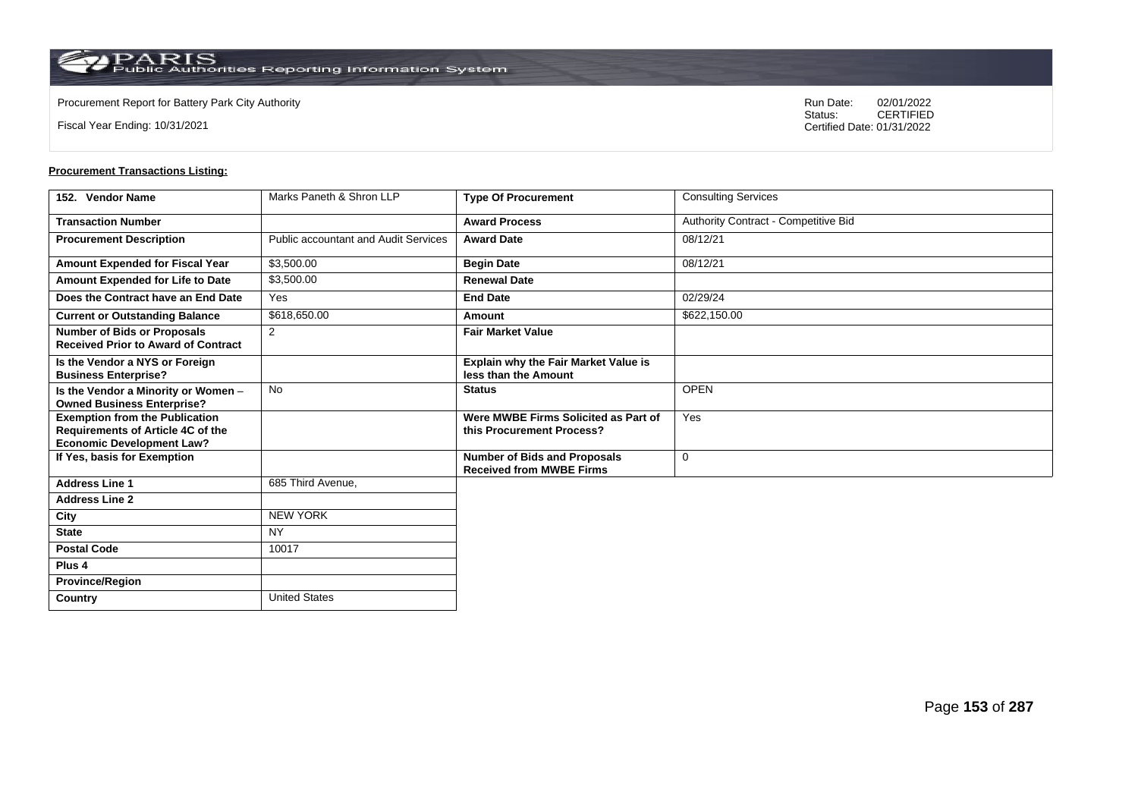**Country** United States

Fiscal Year Ending: 10/31/2021

Procurement Report for Battery Park City Authority **National State Concrete Concrete Concrete Concrete Concrete Concrete Concrete Concrete Concrete Concrete Concrete Concrete Concrete Concrete Concrete Concrete Concrete Co** CERTIFIED Certified Date: 01/31/2022

| 152. Vendor Name                                                                                               | Marks Paneth & Shron LLP                    | <b>Type Of Procurement</b>                                             | <b>Consulting Services</b>           |
|----------------------------------------------------------------------------------------------------------------|---------------------------------------------|------------------------------------------------------------------------|--------------------------------------|
| <b>Transaction Number</b>                                                                                      |                                             | <b>Award Process</b>                                                   | Authority Contract - Competitive Bid |
| <b>Procurement Description</b>                                                                                 | <b>Public accountant and Audit Services</b> | <b>Award Date</b>                                                      | 08/12/21                             |
| Amount Expended for Fiscal Year                                                                                | \$3,500.00                                  | <b>Begin Date</b>                                                      | 08/12/21                             |
| Amount Expended for Life to Date                                                                               | \$3,500.00                                  | <b>Renewal Date</b>                                                    |                                      |
| Does the Contract have an End Date                                                                             | Yes                                         | <b>End Date</b>                                                        | 02/29/24                             |
| <b>Current or Outstanding Balance</b>                                                                          | \$618,650.00                                | Amount                                                                 | \$622,150.00                         |
| <b>Number of Bids or Proposals</b><br><b>Received Prior to Award of Contract</b>                               | 2                                           | <b>Fair Market Value</b>                                               |                                      |
| Is the Vendor a NYS or Foreign<br><b>Business Enterprise?</b>                                                  |                                             | <b>Explain why the Fair Market Value is</b><br>less than the Amount    |                                      |
| Is the Vendor a Minority or Women -<br><b>Owned Business Enterprise?</b>                                       | <b>No</b>                                   | <b>Status</b>                                                          | <b>OPEN</b>                          |
| <b>Exemption from the Publication</b><br>Requirements of Article 4C of the<br><b>Economic Development Law?</b> |                                             | Were MWBE Firms Solicited as Part of<br>this Procurement Process?      | Yes                                  |
| If Yes, basis for Exemption                                                                                    |                                             | <b>Number of Bids and Proposals</b><br><b>Received from MWBE Firms</b> | $\mathbf 0$                          |
| <b>Address Line 1</b>                                                                                          | 685 Third Avenue,                           |                                                                        |                                      |
| <b>Address Line 2</b>                                                                                          |                                             |                                                                        |                                      |
| City                                                                                                           | <b>NEW YORK</b>                             |                                                                        |                                      |
| <b>State</b>                                                                                                   | <b>NY</b>                                   |                                                                        |                                      |
| <b>Postal Code</b>                                                                                             | 10017                                       |                                                                        |                                      |
| Plus <sub>4</sub>                                                                                              |                                             |                                                                        |                                      |
| <b>Province/Region</b>                                                                                         |                                             |                                                                        |                                      |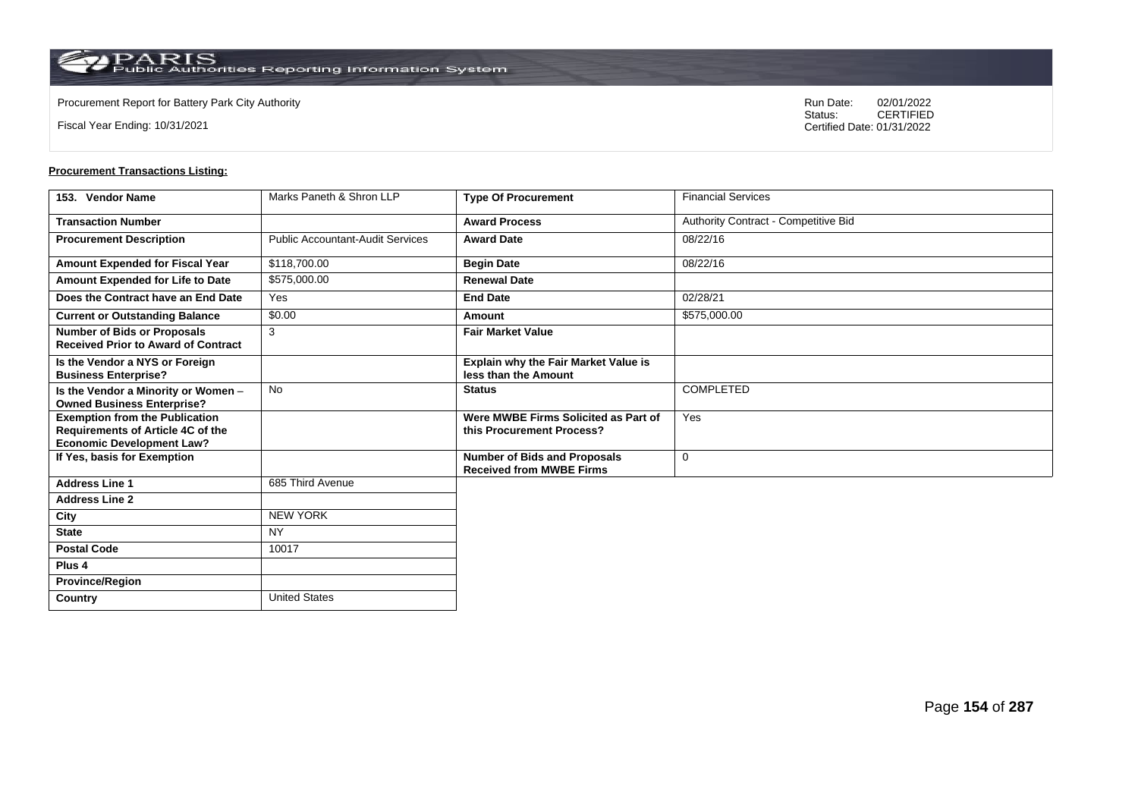**Country** United States

Fiscal Year Ending: 10/31/2021

Procurement Report for Battery Park City Authority **National State Concrete Concrete Concrete Concrete Concrete Concrete Concrete Concrete Concrete Concrete Concrete Concrete Concrete Concrete Concrete Concrete Concrete Co** CERTIFIED Certified Date: 01/31/2022

| 153. Vendor Name                                                                                                      | Marks Paneth & Shron LLP                | <b>Type Of Procurement</b>                                             | <b>Financial Services</b>            |
|-----------------------------------------------------------------------------------------------------------------------|-----------------------------------------|------------------------------------------------------------------------|--------------------------------------|
| <b>Transaction Number</b>                                                                                             |                                         | <b>Award Process</b>                                                   | Authority Contract - Competitive Bid |
| <b>Procurement Description</b>                                                                                        | <b>Public Accountant-Audit Services</b> | <b>Award Date</b>                                                      | 08/22/16                             |
| Amount Expended for Fiscal Year                                                                                       | \$118,700.00                            | <b>Begin Date</b>                                                      | 08/22/16                             |
| Amount Expended for Life to Date                                                                                      | \$575,000.00                            | <b>Renewal Date</b>                                                    |                                      |
| Does the Contract have an End Date                                                                                    | Yes                                     | <b>End Date</b>                                                        | 02/28/21                             |
| <b>Current or Outstanding Balance</b>                                                                                 | \$0.00                                  | Amount                                                                 | \$575,000.00                         |
| <b>Number of Bids or Proposals</b><br><b>Received Prior to Award of Contract</b>                                      | 3                                       | <b>Fair Market Value</b>                                               |                                      |
| Is the Vendor a NYS or Foreign<br><b>Business Enterprise?</b>                                                         |                                         | Explain why the Fair Market Value is<br>less than the Amount           |                                      |
| Is the Vendor a Minority or Women -<br><b>Owned Business Enterprise?</b>                                              | <b>No</b>                               | <b>Status</b>                                                          | COMPLETED                            |
| <b>Exemption from the Publication</b><br><b>Requirements of Article 4C of the</b><br><b>Economic Development Law?</b> |                                         | Were MWBE Firms Solicited as Part of<br>this Procurement Process?      | Yes                                  |
| If Yes, basis for Exemption                                                                                           |                                         | <b>Number of Bids and Proposals</b><br><b>Received from MWBE Firms</b> | 0                                    |
| <b>Address Line 1</b>                                                                                                 | 685 Third Avenue                        |                                                                        |                                      |
| <b>Address Line 2</b>                                                                                                 |                                         |                                                                        |                                      |
| City                                                                                                                  | <b>NEW YORK</b>                         |                                                                        |                                      |
| <b>State</b>                                                                                                          | <b>NY</b>                               |                                                                        |                                      |
| <b>Postal Code</b>                                                                                                    | 10017                                   |                                                                        |                                      |
| Plus <sub>4</sub>                                                                                                     |                                         |                                                                        |                                      |
| <b>Province/Region</b>                                                                                                |                                         |                                                                        |                                      |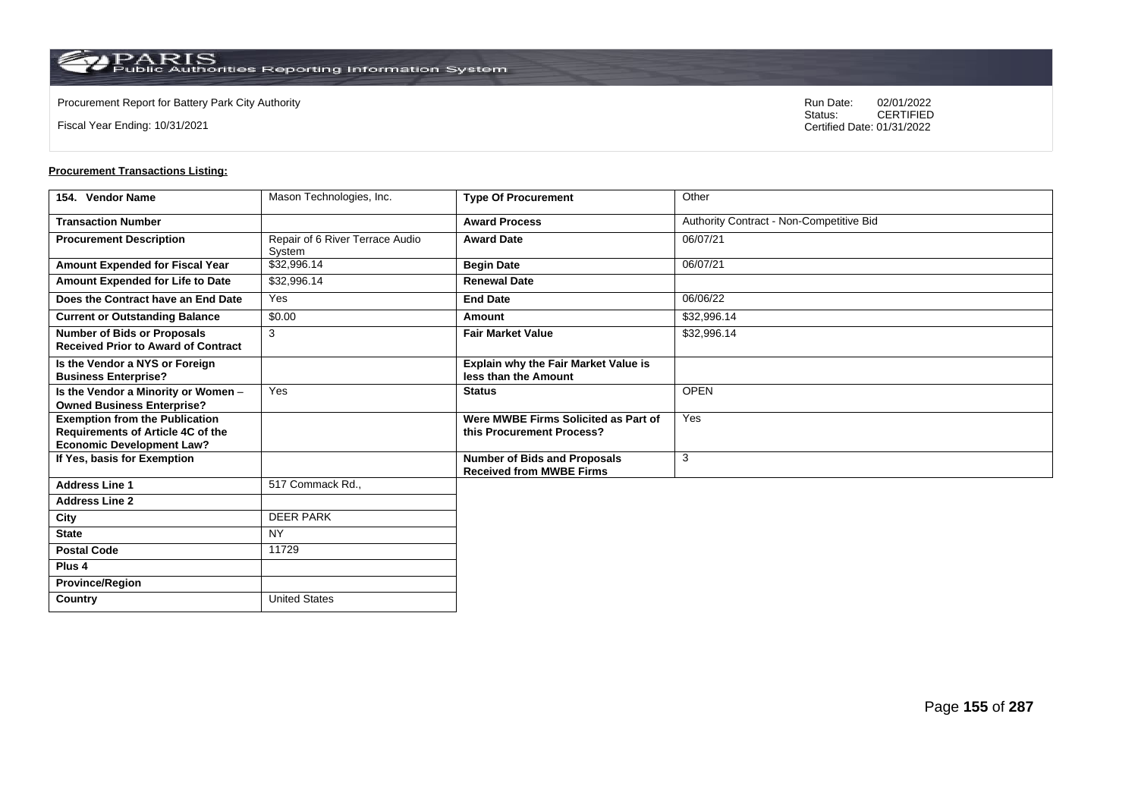**Country** United States

Fiscal Year Ending: 10/31/2021

Procurement Report for Battery Park City Authority **National State Concrete Concrete Concrete Concrete Concrete Concrete Concrete Concrete Concrete Concrete Concrete Concrete Concrete Concrete Concrete Concrete Concrete Co** CERTIFIED Certified Date: 01/31/2022

| 154. Vendor Name                                                                                               | Mason Technologies, Inc.                  | <b>Type Of Procurement</b>                                             | Other                                    |
|----------------------------------------------------------------------------------------------------------------|-------------------------------------------|------------------------------------------------------------------------|------------------------------------------|
| <b>Transaction Number</b>                                                                                      |                                           | <b>Award Process</b>                                                   | Authority Contract - Non-Competitive Bid |
| <b>Procurement Description</b>                                                                                 | Repair of 6 River Terrace Audio<br>System | <b>Award Date</b>                                                      | 06/07/21                                 |
| Amount Expended for Fiscal Year                                                                                | \$32,996.14                               | <b>Begin Date</b>                                                      | 06/07/21                                 |
| <b>Amount Expended for Life to Date</b>                                                                        | \$32,996.14                               | <b>Renewal Date</b>                                                    |                                          |
| Does the Contract have an End Date                                                                             | Yes                                       | <b>End Date</b>                                                        | 06/06/22                                 |
| <b>Current or Outstanding Balance</b>                                                                          | \$0.00                                    | Amount                                                                 | \$32,996.14                              |
| <b>Number of Bids or Proposals</b><br><b>Received Prior to Award of Contract</b>                               | 3                                         | <b>Fair Market Value</b>                                               | \$32,996.14                              |
| Is the Vendor a NYS or Foreign<br><b>Business Enterprise?</b>                                                  |                                           | Explain why the Fair Market Value is<br>less than the Amount           |                                          |
| Is the Vendor a Minority or Women -<br><b>Owned Business Enterprise?</b>                                       | Yes                                       | <b>Status</b>                                                          | <b>OPEN</b>                              |
| <b>Exemption from the Publication</b><br>Requirements of Article 4C of the<br><b>Economic Development Law?</b> |                                           | Were MWBE Firms Solicited as Part of<br>this Procurement Process?      | Yes                                      |
| If Yes, basis for Exemption                                                                                    |                                           | <b>Number of Bids and Proposals</b><br><b>Received from MWBE Firms</b> | 3                                        |
| <b>Address Line 1</b>                                                                                          | 517 Commack Rd.,                          |                                                                        |                                          |
| <b>Address Line 2</b>                                                                                          |                                           |                                                                        |                                          |
| City                                                                                                           | <b>DEER PARK</b>                          |                                                                        |                                          |
| <b>State</b>                                                                                                   | <b>NY</b>                                 |                                                                        |                                          |
| <b>Postal Code</b>                                                                                             | 11729                                     |                                                                        |                                          |
| Plus <sub>4</sub>                                                                                              |                                           |                                                                        |                                          |
| <b>Province/Region</b>                                                                                         |                                           |                                                                        |                                          |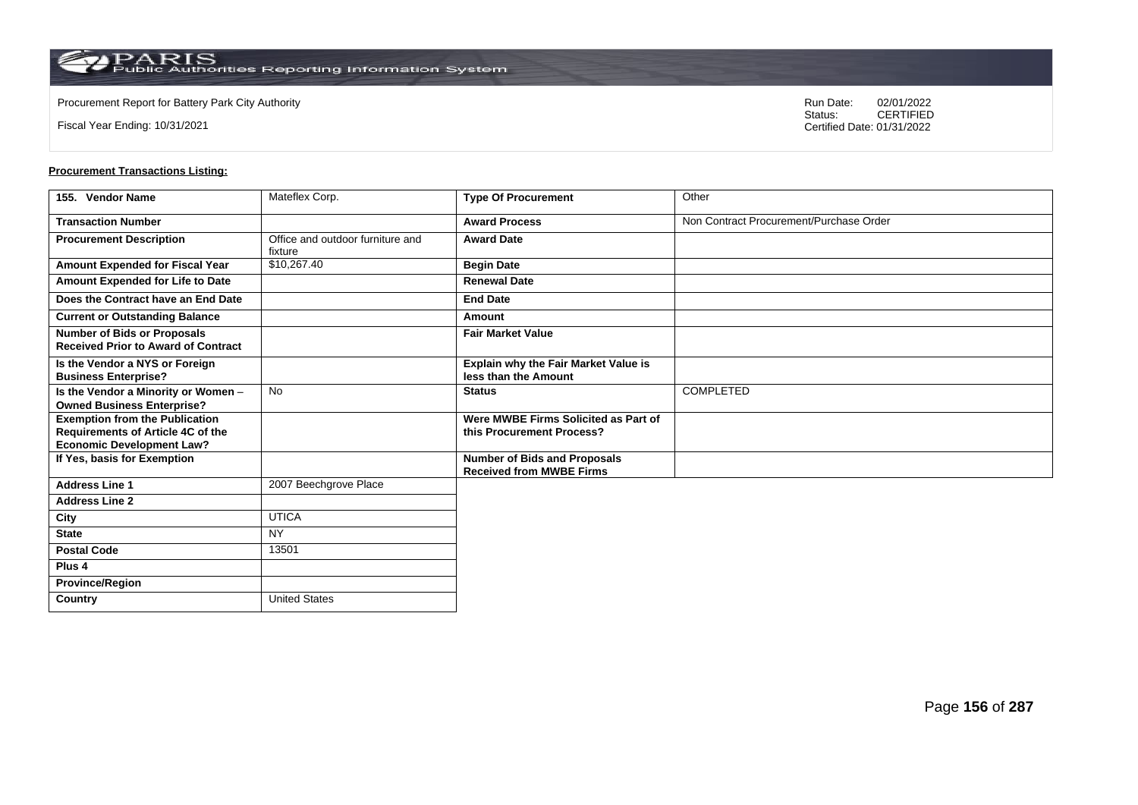**Country** United States

Fiscal Year Ending: 10/31/2021

Procurement Report for Battery Park City Authority **National State Concrete Concrete Concrete Concrete Concrete Concrete Concrete Concrete Concrete Concrete Concrete Concrete Concrete Concrete Concrete Concrete Concrete Co** CERTIFIED Certified Date: 01/31/2022

| 155. Vendor Name                                                                                               | Mateflex Corp.                              | <b>Type Of Procurement</b>                                             | Other                                   |
|----------------------------------------------------------------------------------------------------------------|---------------------------------------------|------------------------------------------------------------------------|-----------------------------------------|
| <b>Transaction Number</b>                                                                                      |                                             | <b>Award Process</b>                                                   | Non Contract Procurement/Purchase Order |
| <b>Procurement Description</b>                                                                                 | Office and outdoor furniture and<br>fixture | <b>Award Date</b>                                                      |                                         |
| <b>Amount Expended for Fiscal Year</b>                                                                         | \$10,267.40                                 | <b>Begin Date</b>                                                      |                                         |
| Amount Expended for Life to Date                                                                               |                                             | <b>Renewal Date</b>                                                    |                                         |
| Does the Contract have an End Date                                                                             |                                             | <b>End Date</b>                                                        |                                         |
| <b>Current or Outstanding Balance</b>                                                                          |                                             | Amount                                                                 |                                         |
| <b>Number of Bids or Proposals</b><br><b>Received Prior to Award of Contract</b>                               |                                             | <b>Fair Market Value</b>                                               |                                         |
| Is the Vendor a NYS or Foreign<br><b>Business Enterprise?</b>                                                  |                                             | Explain why the Fair Market Value is<br>less than the Amount           |                                         |
| Is the Vendor a Minority or Women -<br><b>Owned Business Enterprise?</b>                                       | <b>No</b>                                   | <b>Status</b>                                                          | <b>COMPLETED</b>                        |
| <b>Exemption from the Publication</b><br>Requirements of Article 4C of the<br><b>Economic Development Law?</b> |                                             | Were MWBE Firms Solicited as Part of<br>this Procurement Process?      |                                         |
| If Yes, basis for Exemption                                                                                    |                                             | <b>Number of Bids and Proposals</b><br><b>Received from MWBE Firms</b> |                                         |
| <b>Address Line 1</b>                                                                                          | 2007 Beechgrove Place                       |                                                                        |                                         |
| <b>Address Line 2</b>                                                                                          |                                             |                                                                        |                                         |
| City                                                                                                           | <b>UTICA</b>                                |                                                                        |                                         |
| <b>State</b>                                                                                                   | <b>NY</b>                                   |                                                                        |                                         |
| <b>Postal Code</b>                                                                                             | 13501                                       |                                                                        |                                         |
| Plus <sub>4</sub>                                                                                              |                                             |                                                                        |                                         |
| <b>Province/Region</b>                                                                                         |                                             |                                                                        |                                         |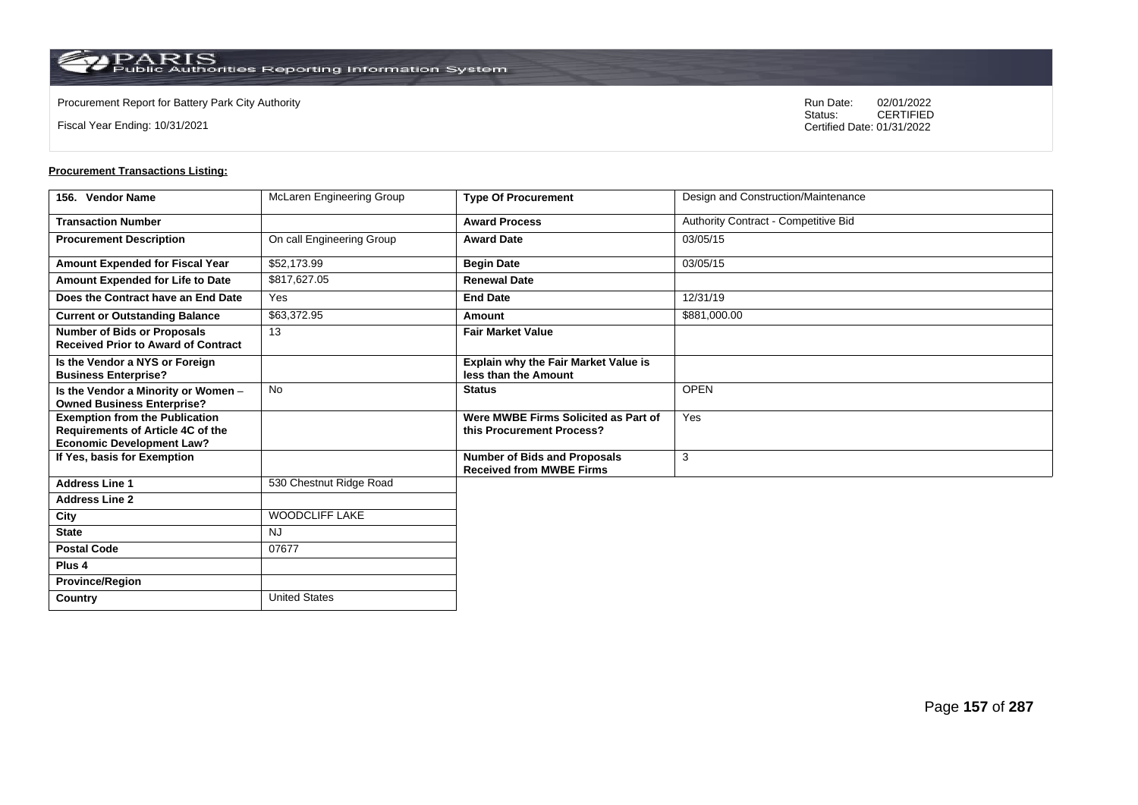**Country** United States

Fiscal Year Ending: 10/31/2021

Procurement Report for Battery Park City Authority **National State Concrete Concrete Concrete Concrete Concrete Concrete Concrete Concrete Concrete Concrete Concrete Concrete Concrete Concrete Concrete Concrete Concrete Co** CERTIFIED Certified Date: 01/31/2022

| 156. Vendor Name                                                                                               | McLaren Engineering Group | <b>Type Of Procurement</b>                                             | Design and Construction/Maintenance  |
|----------------------------------------------------------------------------------------------------------------|---------------------------|------------------------------------------------------------------------|--------------------------------------|
| <b>Transaction Number</b>                                                                                      |                           | <b>Award Process</b>                                                   | Authority Contract - Competitive Bid |
| <b>Procurement Description</b>                                                                                 | On call Engineering Group | <b>Award Date</b>                                                      | 03/05/15                             |
| Amount Expended for Fiscal Year                                                                                | \$52,173.99               | <b>Begin Date</b>                                                      | 03/05/15                             |
| Amount Expended for Life to Date                                                                               | \$817.627.05              | <b>Renewal Date</b>                                                    |                                      |
| Does the Contract have an End Date                                                                             | Yes                       | <b>End Date</b>                                                        | 12/31/19                             |
| <b>Current or Outstanding Balance</b>                                                                          | \$63,372.95               | Amount                                                                 | \$881,000.00                         |
| <b>Number of Bids or Proposals</b><br><b>Received Prior to Award of Contract</b>                               | 13                        | <b>Fair Market Value</b>                                               |                                      |
| Is the Vendor a NYS or Foreign<br><b>Business Enterprise?</b>                                                  |                           | Explain why the Fair Market Value is<br>less than the Amount           |                                      |
| Is the Vendor a Minority or Women -<br><b>Owned Business Enterprise?</b>                                       | No                        | <b>Status</b>                                                          | <b>OPEN</b>                          |
| <b>Exemption from the Publication</b><br>Requirements of Article 4C of the<br><b>Economic Development Law?</b> |                           | Were MWBE Firms Solicited as Part of<br>this Procurement Process?      | Yes                                  |
| If Yes, basis for Exemption                                                                                    |                           | <b>Number of Bids and Proposals</b><br><b>Received from MWBE Firms</b> | 3                                    |
| <b>Address Line 1</b>                                                                                          | 530 Chestnut Ridge Road   |                                                                        |                                      |
| <b>Address Line 2</b>                                                                                          |                           |                                                                        |                                      |
| City                                                                                                           | <b>WOODCLIFF LAKE</b>     |                                                                        |                                      |
| <b>State</b>                                                                                                   | <b>NJ</b>                 |                                                                        |                                      |
| <b>Postal Code</b>                                                                                             | 07677                     |                                                                        |                                      |
| Plus <sub>4</sub>                                                                                              |                           |                                                                        |                                      |
| <b>Province/Region</b>                                                                                         |                           |                                                                        |                                      |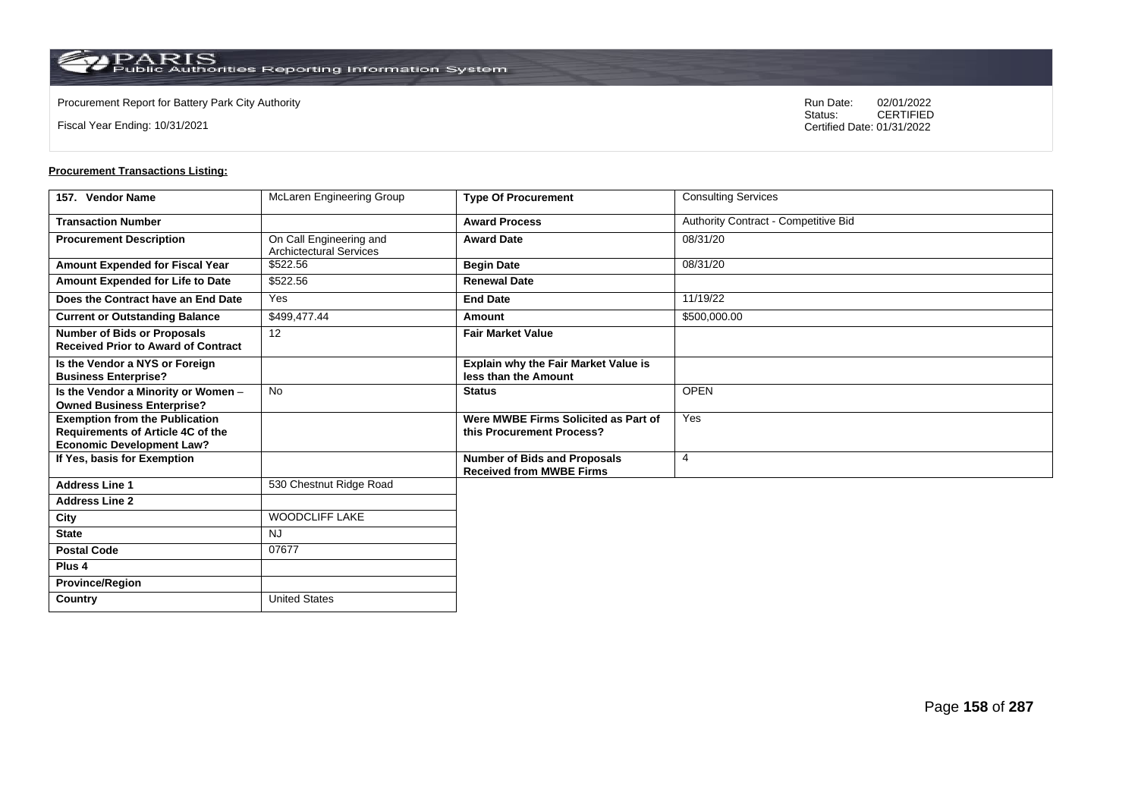**Country** United States

Fiscal Year Ending: 10/31/2021

Procurement Report for Battery Park City Authority **National State Concrete Concrete Concrete Concrete Concrete Concrete Concrete Concrete Concrete Concrete Concrete Concrete Concrete Concrete Concrete Concrete Concrete Co** CERTIFIED Certified Date: 01/31/2022

| 157. Vendor Name                                                                                               | McLaren Engineering Group                                 | <b>Type Of Procurement</b>                                             | <b>Consulting Services</b>           |
|----------------------------------------------------------------------------------------------------------------|-----------------------------------------------------------|------------------------------------------------------------------------|--------------------------------------|
| <b>Transaction Number</b>                                                                                      |                                                           | <b>Award Process</b>                                                   | Authority Contract - Competitive Bid |
| <b>Procurement Description</b>                                                                                 | On Call Engineering and<br><b>Archictectural Services</b> | <b>Award Date</b>                                                      | 08/31/20                             |
| Amount Expended for Fiscal Year                                                                                | \$522.56                                                  | <b>Begin Date</b>                                                      | 08/31/20                             |
| Amount Expended for Life to Date                                                                               | \$522.56                                                  | <b>Renewal Date</b>                                                    |                                      |
| Does the Contract have an End Date                                                                             | Yes                                                       | <b>End Date</b>                                                        | 11/19/22                             |
| <b>Current or Outstanding Balance</b>                                                                          | \$499,477.44                                              | Amount                                                                 | \$500,000.00                         |
| <b>Number of Bids or Proposals</b><br><b>Received Prior to Award of Contract</b>                               | 12                                                        | <b>Fair Market Value</b>                                               |                                      |
| Is the Vendor a NYS or Foreign<br><b>Business Enterprise?</b>                                                  |                                                           | Explain why the Fair Market Value is<br>less than the Amount           |                                      |
| Is the Vendor a Minority or Women -<br><b>Owned Business Enterprise?</b>                                       | <b>No</b>                                                 | <b>Status</b>                                                          | <b>OPEN</b>                          |
| <b>Exemption from the Publication</b><br>Requirements of Article 4C of the<br><b>Economic Development Law?</b> |                                                           | Were MWBE Firms Solicited as Part of<br>this Procurement Process?      | Yes                                  |
| If Yes, basis for Exemption                                                                                    |                                                           | <b>Number of Bids and Proposals</b><br><b>Received from MWBE Firms</b> | $\overline{4}$                       |
| <b>Address Line 1</b>                                                                                          | 530 Chestnut Ridge Road                                   |                                                                        |                                      |
| <b>Address Line 2</b>                                                                                          |                                                           |                                                                        |                                      |
| City                                                                                                           | <b>WOODCLIFF LAKE</b>                                     |                                                                        |                                      |
| <b>State</b>                                                                                                   | <b>NJ</b>                                                 |                                                                        |                                      |
| <b>Postal Code</b>                                                                                             | 07677                                                     |                                                                        |                                      |
| Plus <sub>4</sub>                                                                                              |                                                           |                                                                        |                                      |
| <b>Province/Region</b>                                                                                         |                                                           |                                                                        |                                      |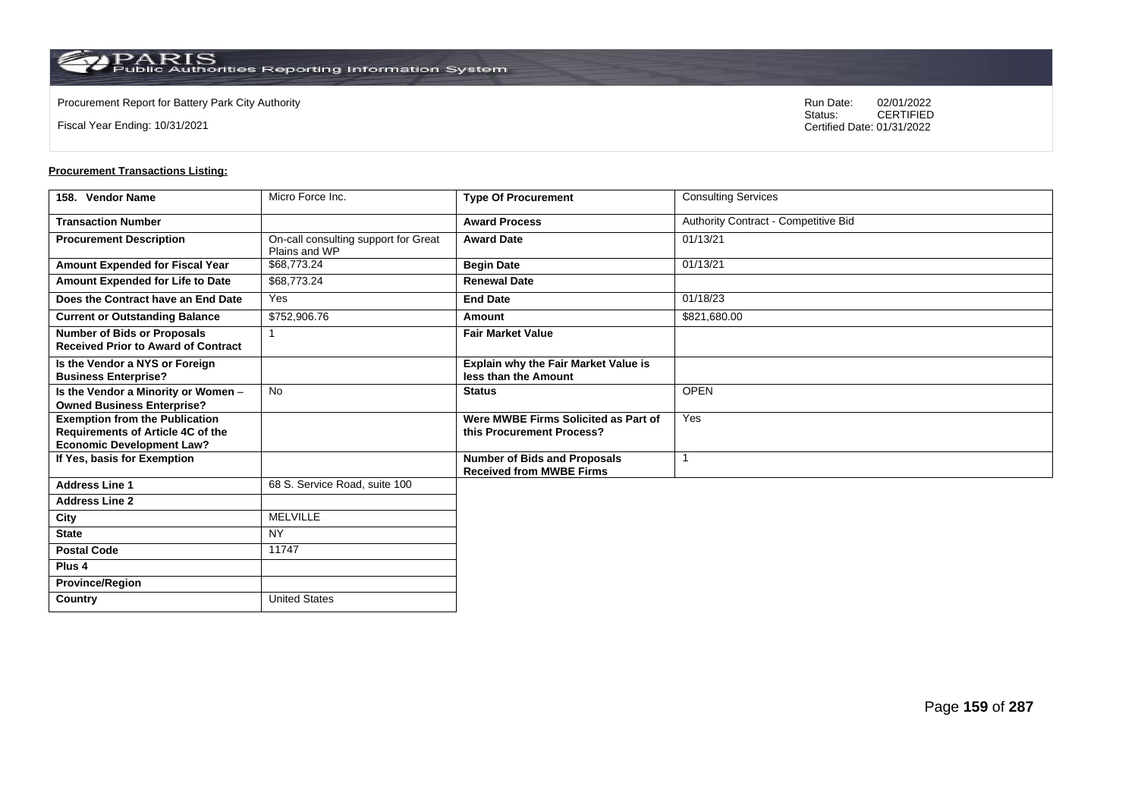**Country** United States

Fiscal Year Ending: 10/31/2021

Procurement Report for Battery Park City Authority **National State Concrete Concrete Concrete Concrete Concrete Concrete Concrete Concrete Concrete Concrete Concrete Concrete Concrete Concrete Concrete Concrete Concrete Co** CERTIFIED Certified Date: 01/31/2022

| 158. Vendor Name                                                                                               | Micro Force Inc.                                      | <b>Type Of Procurement</b>                                             | <b>Consulting Services</b>           |
|----------------------------------------------------------------------------------------------------------------|-------------------------------------------------------|------------------------------------------------------------------------|--------------------------------------|
| <b>Transaction Number</b>                                                                                      |                                                       | <b>Award Process</b>                                                   | Authority Contract - Competitive Bid |
| <b>Procurement Description</b>                                                                                 | On-call consulting support for Great<br>Plains and WP | <b>Award Date</b>                                                      | 01/13/21                             |
| Amount Expended for Fiscal Year                                                                                | \$68,773.24                                           | <b>Begin Date</b>                                                      | 01/13/21                             |
| Amount Expended for Life to Date                                                                               | \$68,773.24                                           | <b>Renewal Date</b>                                                    |                                      |
| Does the Contract have an End Date                                                                             | Yes                                                   | <b>End Date</b>                                                        | 01/18/23                             |
| <b>Current or Outstanding Balance</b>                                                                          | \$752,906.76                                          | Amount                                                                 | \$821,680.00                         |
| <b>Number of Bids or Proposals</b><br><b>Received Prior to Award of Contract</b>                               | -1                                                    | <b>Fair Market Value</b>                                               |                                      |
| Is the Vendor a NYS or Foreign<br><b>Business Enterprise?</b>                                                  |                                                       | <b>Explain why the Fair Market Value is</b><br>less than the Amount    |                                      |
| Is the Vendor a Minority or Women -<br><b>Owned Business Enterprise?</b>                                       | <b>No</b>                                             | <b>Status</b>                                                          | <b>OPEN</b>                          |
| <b>Exemption from the Publication</b><br>Requirements of Article 4C of the<br><b>Economic Development Law?</b> |                                                       | Were MWBE Firms Solicited as Part of<br>this Procurement Process?      | Yes                                  |
| If Yes, basis for Exemption                                                                                    |                                                       | <b>Number of Bids and Proposals</b><br><b>Received from MWBE Firms</b> |                                      |
| <b>Address Line 1</b>                                                                                          | 68 S. Service Road, suite 100                         |                                                                        |                                      |
| <b>Address Line 2</b>                                                                                          |                                                       |                                                                        |                                      |
| City                                                                                                           | <b>MELVILLE</b>                                       |                                                                        |                                      |
| <b>State</b>                                                                                                   | <b>NY</b>                                             |                                                                        |                                      |
| <b>Postal Code</b>                                                                                             | 11747                                                 |                                                                        |                                      |
| Plus <sub>4</sub>                                                                                              |                                                       |                                                                        |                                      |
| <b>Province/Region</b>                                                                                         |                                                       |                                                                        |                                      |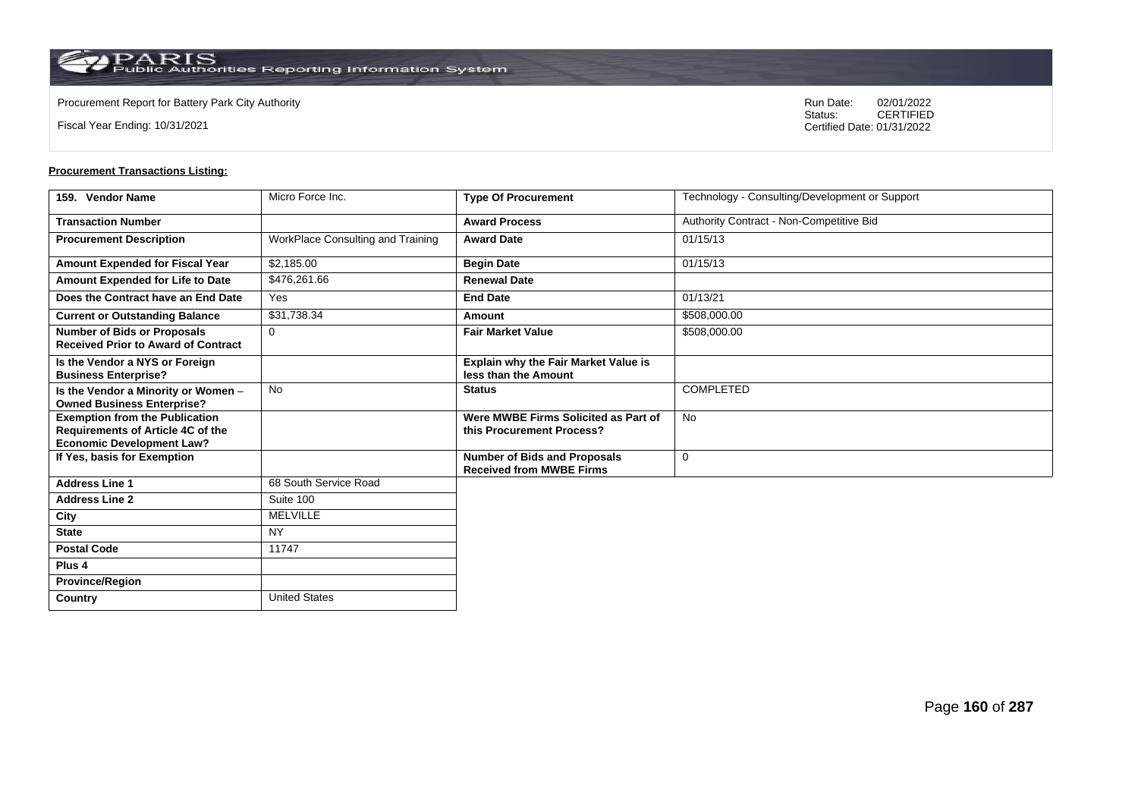**Country** United States

Fiscal Year Ending: 10/31/2021

Procurement Report for Battery Park City Authority **National State Concrete Concrete Concrete Concrete Concrete Concrete Concrete Concrete Concrete Concrete Concrete Concrete Concrete Concrete Concrete Concrete Concrete Co** CERTIFIED Certified Date: 01/31/2022

| 159. Vendor Name                                                                                                      | Micro Force Inc.                  | <b>Type Of Procurement</b>                                             | Technology - Consulting/Development or Support |
|-----------------------------------------------------------------------------------------------------------------------|-----------------------------------|------------------------------------------------------------------------|------------------------------------------------|
| <b>Transaction Number</b>                                                                                             |                                   | <b>Award Process</b>                                                   | Authority Contract - Non-Competitive Bid       |
| <b>Procurement Description</b>                                                                                        | WorkPlace Consulting and Training | <b>Award Date</b>                                                      | 01/15/13                                       |
| Amount Expended for Fiscal Year                                                                                       | \$2,185.00                        | <b>Begin Date</b>                                                      | 01/15/13                                       |
| Amount Expended for Life to Date                                                                                      | \$476,261.66                      | <b>Renewal Date</b>                                                    |                                                |
| Does the Contract have an End Date                                                                                    | Yes                               | <b>End Date</b>                                                        | 01/13/21                                       |
| <b>Current or Outstanding Balance</b>                                                                                 | \$31,738.34                       | Amount                                                                 | \$508,000.00                                   |
| <b>Number of Bids or Proposals</b><br><b>Received Prior to Award of Contract</b>                                      | $\Omega$                          | <b>Fair Market Value</b>                                               | \$508,000.00                                   |
| Is the Vendor a NYS or Foreign<br><b>Business Enterprise?</b>                                                         |                                   | Explain why the Fair Market Value is<br>less than the Amount           |                                                |
| Is the Vendor a Minority or Women -<br><b>Owned Business Enterprise?</b>                                              | <b>No</b>                         | <b>Status</b>                                                          | <b>COMPLETED</b>                               |
| <b>Exemption from the Publication</b><br><b>Requirements of Article 4C of the</b><br><b>Economic Development Law?</b> |                                   | Were MWBE Firms Solicited as Part of<br>this Procurement Process?      | <b>No</b>                                      |
| If Yes, basis for Exemption                                                                                           |                                   | <b>Number of Bids and Proposals</b><br><b>Received from MWBE Firms</b> | $\mathbf 0$                                    |
| <b>Address Line 1</b>                                                                                                 | 68 South Service Road             |                                                                        |                                                |
| <b>Address Line 2</b>                                                                                                 | Suite 100                         |                                                                        |                                                |
| City                                                                                                                  | <b>MELVILLE</b>                   |                                                                        |                                                |
| <b>State</b>                                                                                                          | <b>NY</b>                         |                                                                        |                                                |
| <b>Postal Code</b>                                                                                                    | 11747                             |                                                                        |                                                |
| Plus <sub>4</sub>                                                                                                     |                                   |                                                                        |                                                |
| <b>Province/Region</b>                                                                                                |                                   |                                                                        |                                                |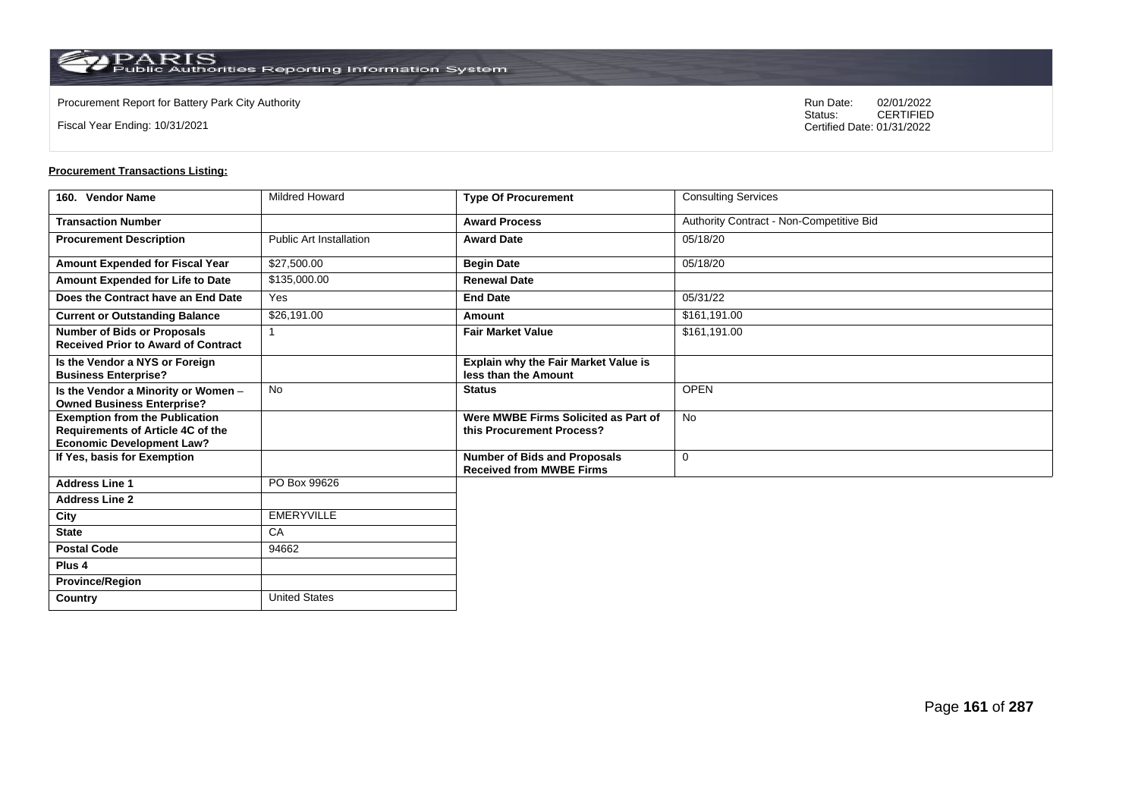**Country** United States

Fiscal Year Ending: 10/31/2021

Procurement Report for Battery Park City Authority **National State Concrete Concrete Concrete Concrete Concrete Concrete Concrete Concrete Concrete Concrete Concrete Concrete Concrete Concrete Concrete Concrete Concrete Co** CERTIFIED Certified Date: 01/31/2022

| 160. Vendor Name                                                                                               | <b>Mildred Howard</b>          | <b>Type Of Procurement</b>                                             | <b>Consulting Services</b>               |
|----------------------------------------------------------------------------------------------------------------|--------------------------------|------------------------------------------------------------------------|------------------------------------------|
| <b>Transaction Number</b>                                                                                      |                                | <b>Award Process</b>                                                   | Authority Contract - Non-Competitive Bid |
| <b>Procurement Description</b>                                                                                 | <b>Public Art Installation</b> | <b>Award Date</b>                                                      | 05/18/20                                 |
| Amount Expended for Fiscal Year                                                                                | \$27,500.00                    | <b>Begin Date</b>                                                      | 05/18/20                                 |
| Amount Expended for Life to Date                                                                               | \$135,000.00                   | <b>Renewal Date</b>                                                    |                                          |
| Does the Contract have an End Date                                                                             | Yes                            | <b>End Date</b>                                                        | 05/31/22                                 |
| <b>Current or Outstanding Balance</b>                                                                          | \$26,191.00                    | Amount                                                                 | \$161,191.00                             |
| <b>Number of Bids or Proposals</b><br><b>Received Prior to Award of Contract</b>                               |                                | <b>Fair Market Value</b>                                               | \$161.191.00                             |
| Is the Vendor a NYS or Foreign<br><b>Business Enterprise?</b>                                                  |                                | Explain why the Fair Market Value is<br>less than the Amount           |                                          |
| Is the Vendor a Minority or Women -<br><b>Owned Business Enterprise?</b>                                       | No                             | <b>Status</b>                                                          | <b>OPEN</b>                              |
| <b>Exemption from the Publication</b><br>Requirements of Article 4C of the<br><b>Economic Development Law?</b> |                                | Were MWBE Firms Solicited as Part of<br>this Procurement Process?      | No                                       |
| If Yes, basis for Exemption                                                                                    |                                | <b>Number of Bids and Proposals</b><br><b>Received from MWBE Firms</b> | 0                                        |
| <b>Address Line 1</b>                                                                                          | PO Box 99626                   |                                                                        |                                          |
| <b>Address Line 2</b>                                                                                          |                                |                                                                        |                                          |
| City                                                                                                           | <b>EMERYVILLE</b>              |                                                                        |                                          |
| <b>State</b>                                                                                                   | CA                             |                                                                        |                                          |
| <b>Postal Code</b>                                                                                             | 94662                          |                                                                        |                                          |
| Plus 4                                                                                                         |                                |                                                                        |                                          |
| <b>Province/Region</b>                                                                                         |                                |                                                                        |                                          |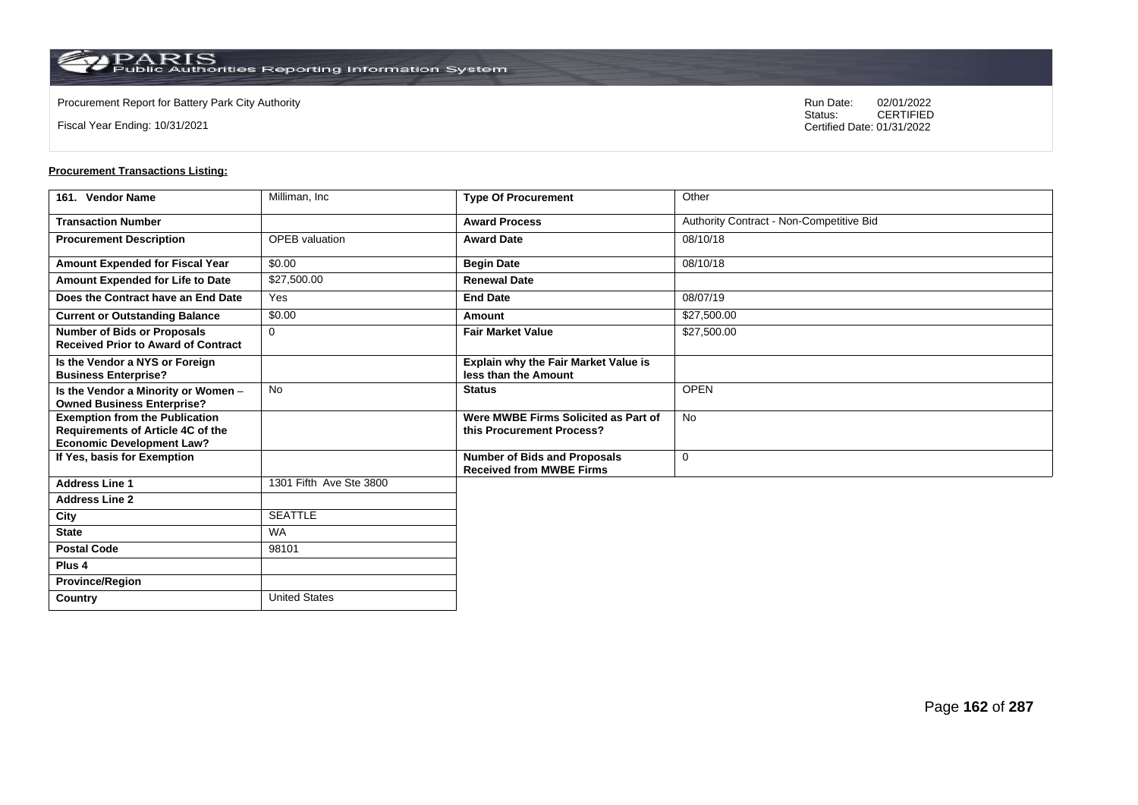**Country** United States

Fiscal Year Ending: 10/31/2021

Procurement Report for Battery Park City Authority **National State Concrete Concrete Concrete Concrete Concrete Concrete Concrete Concrete Concrete Concrete Concrete Concrete Concrete Concrete Concrete Concrete Concrete Co** CERTIFIED Certified Date: 01/31/2022

| 161. Vendor Name                                                                                                      | Milliman, Inc           | <b>Type Of Procurement</b>                                             | Other                                    |
|-----------------------------------------------------------------------------------------------------------------------|-------------------------|------------------------------------------------------------------------|------------------------------------------|
| <b>Transaction Number</b>                                                                                             |                         | <b>Award Process</b>                                                   | Authority Contract - Non-Competitive Bid |
| <b>Procurement Description</b>                                                                                        | <b>OPEB</b> valuation   | <b>Award Date</b>                                                      | 08/10/18                                 |
| Amount Expended for Fiscal Year                                                                                       | \$0.00                  | <b>Begin Date</b>                                                      | 08/10/18                                 |
| Amount Expended for Life to Date                                                                                      | \$27,500.00             | <b>Renewal Date</b>                                                    |                                          |
| Does the Contract have an End Date                                                                                    | Yes                     | <b>End Date</b>                                                        | 08/07/19                                 |
| <b>Current or Outstanding Balance</b>                                                                                 | \$0.00                  | Amount                                                                 | \$27,500.00                              |
| <b>Number of Bids or Proposals</b><br><b>Received Prior to Award of Contract</b>                                      | 0                       | <b>Fair Market Value</b>                                               | \$27,500.00                              |
| Is the Vendor a NYS or Foreign<br><b>Business Enterprise?</b>                                                         |                         | Explain why the Fair Market Value is<br>less than the Amount           |                                          |
| Is the Vendor a Minority or Women -<br><b>Owned Business Enterprise?</b>                                              | <b>No</b>               | <b>Status</b>                                                          | <b>OPEN</b>                              |
| <b>Exemption from the Publication</b><br><b>Requirements of Article 4C of the</b><br><b>Economic Development Law?</b> |                         | Were MWBE Firms Solicited as Part of<br>this Procurement Process?      | <b>No</b>                                |
| If Yes, basis for Exemption                                                                                           |                         | <b>Number of Bids and Proposals</b><br><b>Received from MWBE Firms</b> | 0                                        |
| <b>Address Line 1</b>                                                                                                 | 1301 Fifth Ave Ste 3800 |                                                                        |                                          |
| <b>Address Line 2</b>                                                                                                 |                         |                                                                        |                                          |
| City                                                                                                                  | <b>SEATTLE</b>          |                                                                        |                                          |
| <b>State</b>                                                                                                          | <b>WA</b>               |                                                                        |                                          |
| <b>Postal Code</b>                                                                                                    | 98101                   |                                                                        |                                          |
| Plus <sub>4</sub>                                                                                                     |                         |                                                                        |                                          |
| <b>Province/Region</b>                                                                                                |                         |                                                                        |                                          |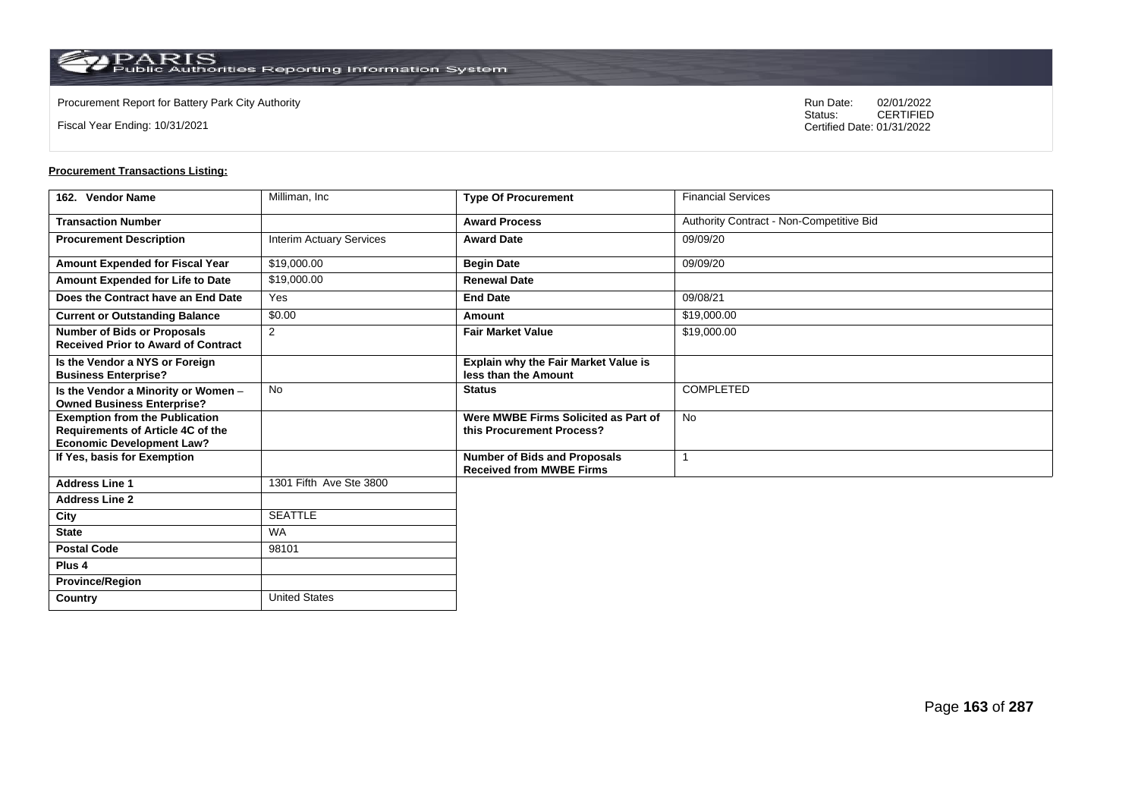**Country** United States

Fiscal Year Ending: 10/31/2021

Procurement Report for Battery Park City Authority **National State Concrete Concrete Concrete Concrete Concrete Concrete Concrete Concrete Concrete Concrete Concrete Concrete Concrete Concrete Concrete Concrete Concrete Co** CERTIFIED Certified Date: 01/31/2022

| 162. Vendor Name                                                                                                      | Milliman, Inc                   | <b>Type Of Procurement</b>                                             | <b>Financial Services</b>                |
|-----------------------------------------------------------------------------------------------------------------------|---------------------------------|------------------------------------------------------------------------|------------------------------------------|
| <b>Transaction Number</b>                                                                                             |                                 | <b>Award Process</b>                                                   | Authority Contract - Non-Competitive Bid |
| <b>Procurement Description</b>                                                                                        | <b>Interim Actuary Services</b> | <b>Award Date</b>                                                      | 09/09/20                                 |
| Amount Expended for Fiscal Year                                                                                       | \$19,000.00                     | <b>Begin Date</b>                                                      | 09/09/20                                 |
| Amount Expended for Life to Date                                                                                      | \$19,000.00                     | <b>Renewal Date</b>                                                    |                                          |
| Does the Contract have an End Date                                                                                    | Yes                             | <b>End Date</b>                                                        | 09/08/21                                 |
| <b>Current or Outstanding Balance</b>                                                                                 | \$0.00                          | Amount                                                                 | \$19,000.00                              |
| <b>Number of Bids or Proposals</b><br><b>Received Prior to Award of Contract</b>                                      | 2                               | <b>Fair Market Value</b>                                               | \$19,000.00                              |
| Is the Vendor a NYS or Foreign<br><b>Business Enterprise?</b>                                                         |                                 | Explain why the Fair Market Value is<br>less than the Amount           |                                          |
| Is the Vendor a Minority or Women -<br><b>Owned Business Enterprise?</b>                                              | <b>No</b>                       | <b>Status</b>                                                          | <b>COMPLETED</b>                         |
| <b>Exemption from the Publication</b><br><b>Requirements of Article 4C of the</b><br><b>Economic Development Law?</b> |                                 | Were MWBE Firms Solicited as Part of<br>this Procurement Process?      | <b>No</b>                                |
| If Yes, basis for Exemption                                                                                           |                                 | <b>Number of Bids and Proposals</b><br><b>Received from MWBE Firms</b> |                                          |
| <b>Address Line 1</b>                                                                                                 | 1301 Fifth Ave Ste 3800         |                                                                        |                                          |
| <b>Address Line 2</b>                                                                                                 |                                 |                                                                        |                                          |
| City                                                                                                                  | <b>SEATTLE</b>                  |                                                                        |                                          |
| <b>State</b>                                                                                                          | <b>WA</b>                       |                                                                        |                                          |
| <b>Postal Code</b>                                                                                                    | 98101                           |                                                                        |                                          |
| Plus <sub>4</sub>                                                                                                     |                                 |                                                                        |                                          |
| <b>Province/Region</b>                                                                                                |                                 |                                                                        |                                          |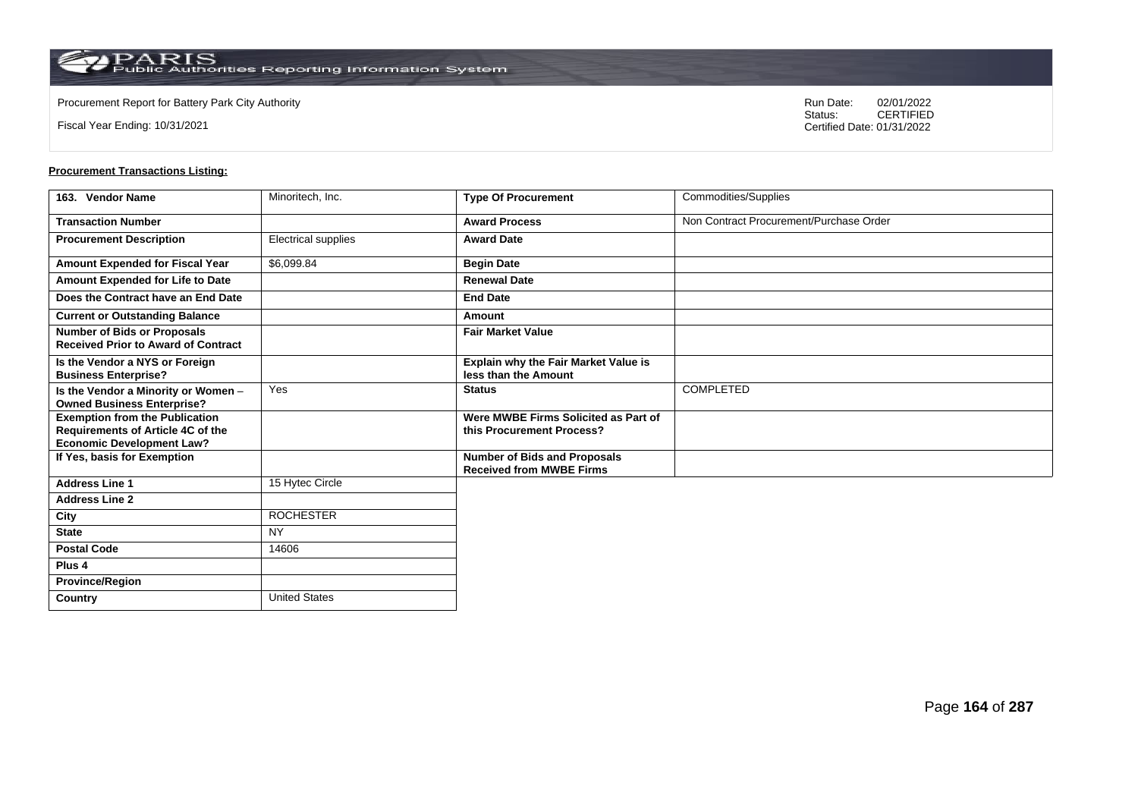Fiscal Year Ending: 10/31/2021

Procurement Report for Battery Park City Authority **National State Concrete Concrete Concrete Concrete Concrete Concrete Concrete Concrete Concrete Concrete Concrete Concrete Concrete Concrete Concrete Concrete Concrete Co** CERTIFIED Certified Date: 01/31/2022

| 163. Vendor Name                                                                 | Minoritech, Inc.     | <b>Type Of Procurement</b>                                        | Commodities/Supplies                    |
|----------------------------------------------------------------------------------|----------------------|-------------------------------------------------------------------|-----------------------------------------|
| <b>Transaction Number</b>                                                        |                      | <b>Award Process</b>                                              | Non Contract Procurement/Purchase Order |
| <b>Procurement Description</b>                                                   | Electrical supplies  | <b>Award Date</b>                                                 |                                         |
| Amount Expended for Fiscal Year                                                  | \$6,099.84           | <b>Begin Date</b>                                                 |                                         |
| Amount Expended for Life to Date                                                 |                      | <b>Renewal Date</b>                                               |                                         |
| Does the Contract have an End Date                                               |                      | <b>End Date</b>                                                   |                                         |
| <b>Current or Outstanding Balance</b>                                            |                      | Amount                                                            |                                         |
| <b>Number of Bids or Proposals</b><br><b>Received Prior to Award of Contract</b> |                      | <b>Fair Market Value</b>                                          |                                         |
| Is the Vendor a NYS or Foreign<br><b>Business Enterprise?</b>                    |                      | Explain why the Fair Market Value is<br>less than the Amount      |                                         |
| Is the Vendor a Minority or Women -<br><b>Owned Business Enterprise?</b>         | Yes                  | <b>Status</b>                                                     | <b>COMPLETED</b>                        |
| <b>Exemption from the Publication</b><br>Requirements of Article 4C of the       |                      | Were MWBE Firms Solicited as Part of<br>this Procurement Process? |                                         |
| <b>Economic Development Law?</b><br>If Yes, basis for Exemption                  |                      | <b>Number of Bids and Proposals</b>                               |                                         |
|                                                                                  |                      | <b>Received from MWBE Firms</b>                                   |                                         |
| <b>Address Line 1</b>                                                            | 15 Hytec Circle      |                                                                   |                                         |
| <b>Address Line 2</b>                                                            |                      |                                                                   |                                         |
| City                                                                             | <b>ROCHESTER</b>     |                                                                   |                                         |
| <b>State</b>                                                                     | <b>NY</b>            |                                                                   |                                         |
| <b>Postal Code</b>                                                               | 14606                |                                                                   |                                         |
| Plus 4                                                                           |                      |                                                                   |                                         |
| <b>Province/Region</b>                                                           |                      |                                                                   |                                         |
| Country                                                                          | <b>United States</b> |                                                                   |                                         |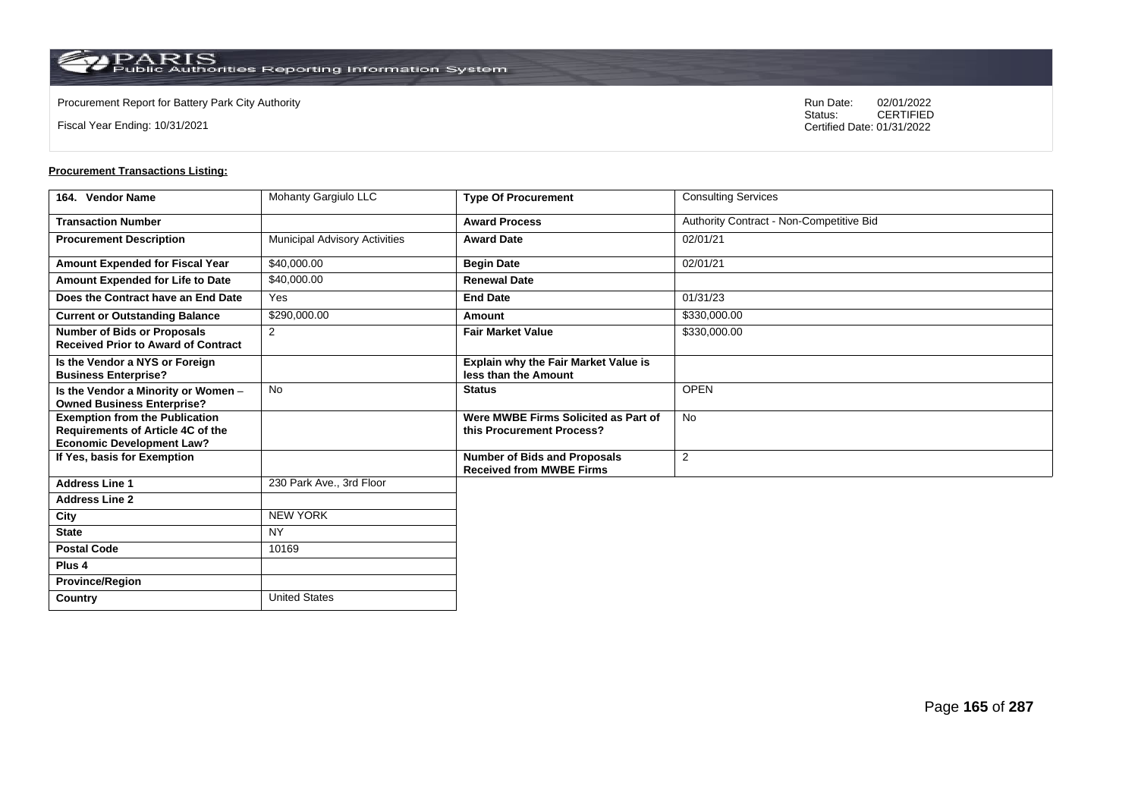**Country** United States

Fiscal Year Ending: 10/31/2021

Procurement Report for Battery Park City Authority **National State Concrete Concrete Concrete Concrete Concrete Concrete Concrete Concrete Concrete Concrete Concrete Concrete Concrete Concrete Concrete Concrete Concrete Co** CERTIFIED Certified Date: 01/31/2022

| 164. Vendor Name                                                                                                      | Mohanty Gargiulo LLC                 | <b>Type Of Procurement</b>                                             | <b>Consulting Services</b>               |
|-----------------------------------------------------------------------------------------------------------------------|--------------------------------------|------------------------------------------------------------------------|------------------------------------------|
| <b>Transaction Number</b>                                                                                             |                                      | <b>Award Process</b>                                                   | Authority Contract - Non-Competitive Bid |
| <b>Procurement Description</b>                                                                                        | <b>Municipal Advisory Activities</b> | <b>Award Date</b>                                                      | 02/01/21                                 |
| Amount Expended for Fiscal Year                                                                                       | \$40,000.00                          | <b>Begin Date</b>                                                      | 02/01/21                                 |
| Amount Expended for Life to Date                                                                                      | \$40,000.00                          | <b>Renewal Date</b>                                                    |                                          |
| Does the Contract have an End Date                                                                                    | Yes                                  | <b>End Date</b>                                                        | 01/31/23                                 |
| <b>Current or Outstanding Balance</b>                                                                                 | \$290,000.00                         | Amount                                                                 | \$330,000.00                             |
| <b>Number of Bids or Proposals</b><br><b>Received Prior to Award of Contract</b>                                      | 2                                    | <b>Fair Market Value</b>                                               | \$330,000.00                             |
| Is the Vendor a NYS or Foreign<br><b>Business Enterprise?</b>                                                         |                                      | Explain why the Fair Market Value is<br>less than the Amount           |                                          |
| Is the Vendor a Minority or Women -<br><b>Owned Business Enterprise?</b>                                              | <b>No</b>                            | <b>Status</b>                                                          | <b>OPEN</b>                              |
| <b>Exemption from the Publication</b><br><b>Requirements of Article 4C of the</b><br><b>Economic Development Law?</b> |                                      | Were MWBE Firms Solicited as Part of<br>this Procurement Process?      | <b>No</b>                                |
| If Yes, basis for Exemption                                                                                           |                                      | <b>Number of Bids and Proposals</b><br><b>Received from MWBE Firms</b> | $\overline{2}$                           |
| <b>Address Line 1</b>                                                                                                 | 230 Park Ave., 3rd Floor             |                                                                        |                                          |
| <b>Address Line 2</b>                                                                                                 |                                      |                                                                        |                                          |
| City                                                                                                                  | <b>NEW YORK</b>                      |                                                                        |                                          |
| <b>State</b>                                                                                                          | <b>NY</b>                            |                                                                        |                                          |
| <b>Postal Code</b>                                                                                                    | 10169                                |                                                                        |                                          |
| Plus <sub>4</sub>                                                                                                     |                                      |                                                                        |                                          |
| <b>Province/Region</b>                                                                                                |                                      |                                                                        |                                          |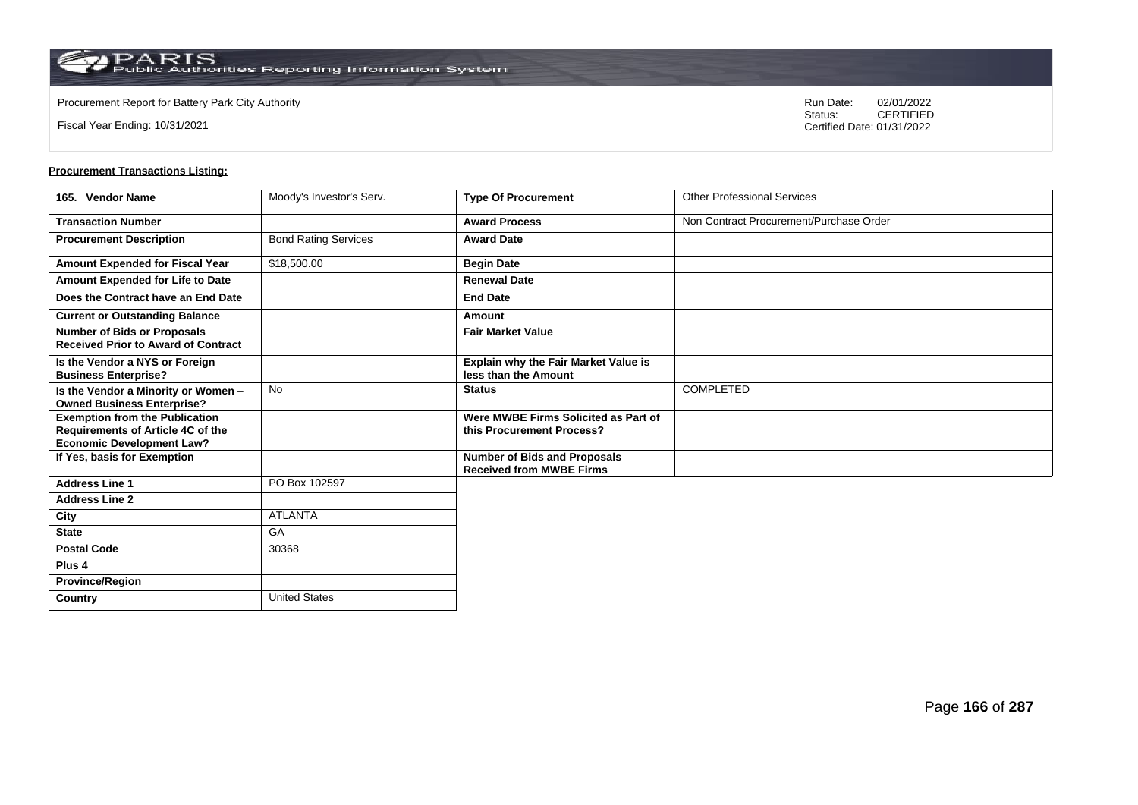Fiscal Year Ending: 10/31/2021

Procurement Report for Battery Park City Authority **National State Concrete Concrete Concrete Concrete Concrete Concrete Concrete Concrete Concrete Concrete Concrete Concrete Concrete Concrete Concrete Concrete Concrete Co** CERTIFIED Certified Date: 01/31/2022

| 165. Vendor Name                                                                                               | Moody's Investor's Serv.    | <b>Type Of Procurement</b>                                             | <b>Other Professional Services</b>      |
|----------------------------------------------------------------------------------------------------------------|-----------------------------|------------------------------------------------------------------------|-----------------------------------------|
| <b>Transaction Number</b>                                                                                      |                             | <b>Award Process</b>                                                   | Non Contract Procurement/Purchase Order |
| <b>Procurement Description</b>                                                                                 | <b>Bond Rating Services</b> | <b>Award Date</b>                                                      |                                         |
| Amount Expended for Fiscal Year                                                                                | \$18,500.00                 | <b>Begin Date</b>                                                      |                                         |
| Amount Expended for Life to Date                                                                               |                             | <b>Renewal Date</b>                                                    |                                         |
| Does the Contract have an End Date                                                                             |                             | <b>End Date</b>                                                        |                                         |
| <b>Current or Outstanding Balance</b>                                                                          |                             | Amount                                                                 |                                         |
| <b>Number of Bids or Proposals</b><br><b>Received Prior to Award of Contract</b>                               |                             | <b>Fair Market Value</b>                                               |                                         |
| Is the Vendor a NYS or Foreign<br><b>Business Enterprise?</b>                                                  |                             | <b>Explain why the Fair Market Value is</b><br>less than the Amount    |                                         |
| Is the Vendor a Minority or Women -<br><b>Owned Business Enterprise?</b>                                       | <b>No</b>                   | <b>Status</b>                                                          | <b>COMPLETED</b>                        |
| <b>Exemption from the Publication</b><br>Requirements of Article 4C of the<br><b>Economic Development Law?</b> |                             | Were MWBE Firms Solicited as Part of<br>this Procurement Process?      |                                         |
| If Yes, basis for Exemption                                                                                    |                             | <b>Number of Bids and Proposals</b><br><b>Received from MWBE Firms</b> |                                         |
| <b>Address Line 1</b>                                                                                          | PO Box 102597               |                                                                        |                                         |
| <b>Address Line 2</b>                                                                                          |                             |                                                                        |                                         |
| City                                                                                                           | <b>ATLANTA</b>              |                                                                        |                                         |
| <b>State</b>                                                                                                   | GA                          |                                                                        |                                         |
| <b>Postal Code</b>                                                                                             | 30368                       |                                                                        |                                         |
| Plus <sub>4</sub>                                                                                              |                             |                                                                        |                                         |
| <b>Province/Region</b>                                                                                         |                             |                                                                        |                                         |
| Country                                                                                                        | <b>United States</b>        |                                                                        |                                         |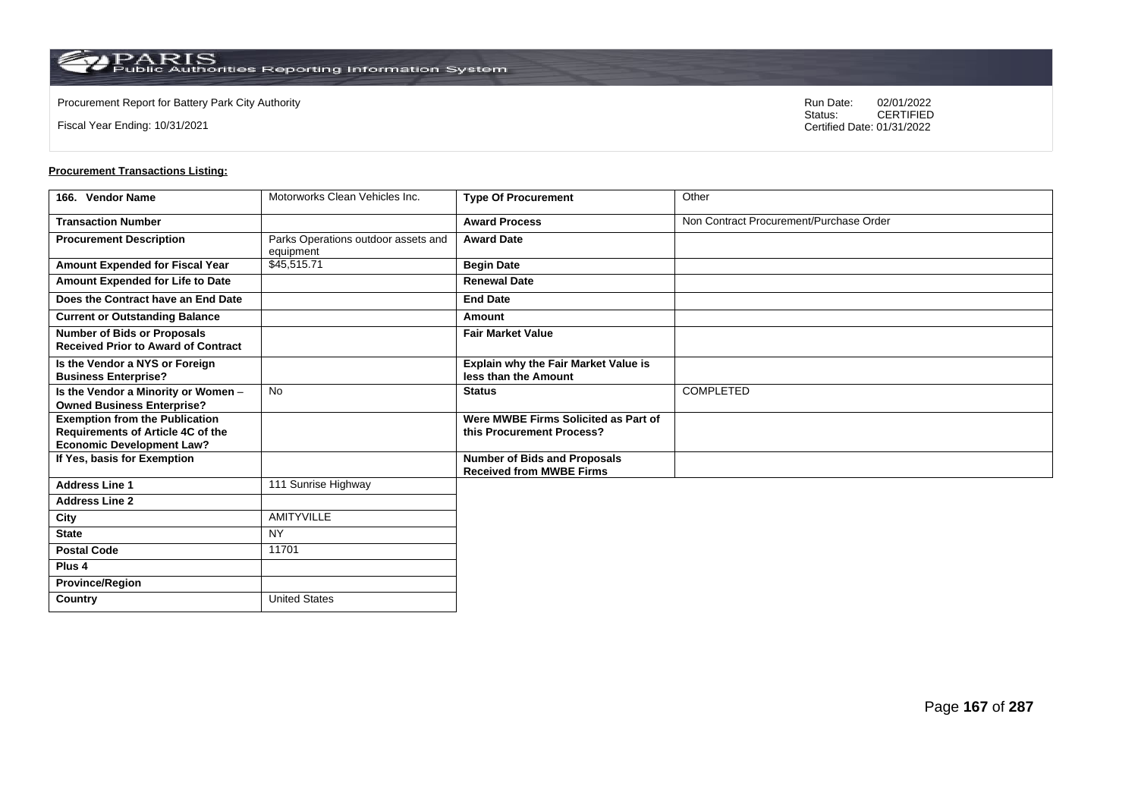**Country** United States

Fiscal Year Ending: 10/31/2021

Procurement Report for Battery Park City Authority **National State Concrete Concrete Concrete Concrete Concrete Concrete Concrete Concrete Concrete Concrete Concrete Concrete Concrete Concrete Concrete Concrete Concrete Co** CERTIFIED Certified Date: 01/31/2022

| 166. Vendor Name                                                                                                      | Motorworks Clean Vehicles Inc.                   | <b>Type Of Procurement</b>                                             | Other                                   |
|-----------------------------------------------------------------------------------------------------------------------|--------------------------------------------------|------------------------------------------------------------------------|-----------------------------------------|
| <b>Transaction Number</b>                                                                                             |                                                  | <b>Award Process</b>                                                   | Non Contract Procurement/Purchase Order |
| <b>Procurement Description</b>                                                                                        | Parks Operations outdoor assets and<br>equipment | <b>Award Date</b>                                                      |                                         |
| Amount Expended for Fiscal Year                                                                                       | \$45,515.71                                      | <b>Begin Date</b>                                                      |                                         |
| Amount Expended for Life to Date                                                                                      |                                                  | <b>Renewal Date</b>                                                    |                                         |
| Does the Contract have an End Date                                                                                    |                                                  | <b>End Date</b>                                                        |                                         |
| <b>Current or Outstanding Balance</b>                                                                                 |                                                  | Amount                                                                 |                                         |
| <b>Number of Bids or Proposals</b><br><b>Received Prior to Award of Contract</b>                                      |                                                  | <b>Fair Market Value</b>                                               |                                         |
| Is the Vendor a NYS or Foreign<br><b>Business Enterprise?</b>                                                         |                                                  | Explain why the Fair Market Value is<br>less than the Amount           |                                         |
| Is the Vendor a Minority or Women -<br><b>Owned Business Enterprise?</b>                                              | <b>No</b>                                        | <b>Status</b>                                                          | COMPLETED                               |
| <b>Exemption from the Publication</b><br><b>Requirements of Article 4C of the</b><br><b>Economic Development Law?</b> |                                                  | Were MWBE Firms Solicited as Part of<br>this Procurement Process?      |                                         |
| If Yes, basis for Exemption                                                                                           |                                                  | <b>Number of Bids and Proposals</b><br><b>Received from MWBE Firms</b> |                                         |
| <b>Address Line 1</b>                                                                                                 | 111 Sunrise Highway                              |                                                                        |                                         |
| <b>Address Line 2</b>                                                                                                 |                                                  |                                                                        |                                         |
| City                                                                                                                  | <b>AMITYVILLE</b>                                |                                                                        |                                         |
| <b>State</b>                                                                                                          | <b>NY</b>                                        |                                                                        |                                         |
| <b>Postal Code</b>                                                                                                    | 11701                                            |                                                                        |                                         |
| Plus <sub>4</sub>                                                                                                     |                                                  |                                                                        |                                         |
| <b>Province/Region</b>                                                                                                |                                                  |                                                                        |                                         |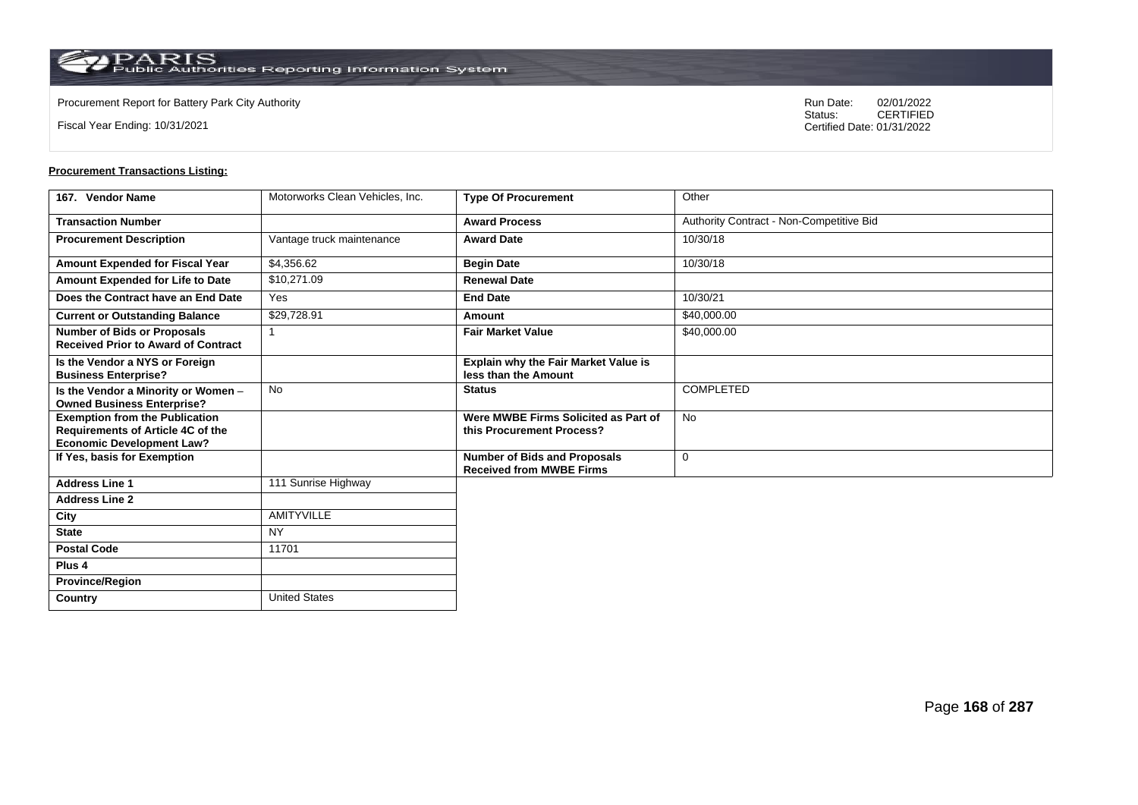**Country** United States

Fiscal Year Ending: 10/31/2021

Procurement Report for Battery Park City Authority **National State Concrete Concrete Concrete Concrete Concrete Concrete Concrete Concrete Concrete Concrete Concrete Concrete Concrete Concrete Concrete Concrete Concrete Co** CERTIFIED Certified Date: 01/31/2022

| 167. Vendor Name                                                                                                      | Motorworks Clean Vehicles, Inc. | <b>Type Of Procurement</b>                                             | Other                                    |
|-----------------------------------------------------------------------------------------------------------------------|---------------------------------|------------------------------------------------------------------------|------------------------------------------|
| <b>Transaction Number</b>                                                                                             |                                 | <b>Award Process</b>                                                   | Authority Contract - Non-Competitive Bid |
| <b>Procurement Description</b>                                                                                        | Vantage truck maintenance       | <b>Award Date</b>                                                      | 10/30/18                                 |
| Amount Expended for Fiscal Year                                                                                       | \$4,356.62                      | <b>Begin Date</b>                                                      | 10/30/18                                 |
| Amount Expended for Life to Date                                                                                      | \$10,271.09                     | <b>Renewal Date</b>                                                    |                                          |
| Does the Contract have an End Date                                                                                    | Yes                             | <b>End Date</b>                                                        | 10/30/21                                 |
| <b>Current or Outstanding Balance</b>                                                                                 | \$29,728.91                     | Amount                                                                 | \$40,000.00                              |
| <b>Number of Bids or Proposals</b><br><b>Received Prior to Award of Contract</b>                                      |                                 | <b>Fair Market Value</b>                                               | \$40,000.00                              |
| Is the Vendor a NYS or Foreign<br><b>Business Enterprise?</b>                                                         |                                 | Explain why the Fair Market Value is<br>less than the Amount           |                                          |
| Is the Vendor a Minority or Women -<br><b>Owned Business Enterprise?</b>                                              | <b>No</b>                       | <b>Status</b>                                                          | COMPLETED                                |
| <b>Exemption from the Publication</b><br><b>Requirements of Article 4C of the</b><br><b>Economic Development Law?</b> |                                 | Were MWBE Firms Solicited as Part of<br>this Procurement Process?      | No                                       |
| If Yes, basis for Exemption                                                                                           |                                 | <b>Number of Bids and Proposals</b><br><b>Received from MWBE Firms</b> | 0                                        |
| <b>Address Line 1</b>                                                                                                 | 111 Sunrise Highway             |                                                                        |                                          |
| <b>Address Line 2</b>                                                                                                 |                                 |                                                                        |                                          |
| City                                                                                                                  | <b>AMITYVILLE</b>               |                                                                        |                                          |
| <b>State</b>                                                                                                          | <b>NY</b>                       |                                                                        |                                          |
| <b>Postal Code</b>                                                                                                    | 11701                           |                                                                        |                                          |
| Plus <sub>4</sub>                                                                                                     |                                 |                                                                        |                                          |
| <b>Province/Region</b>                                                                                                |                                 |                                                                        |                                          |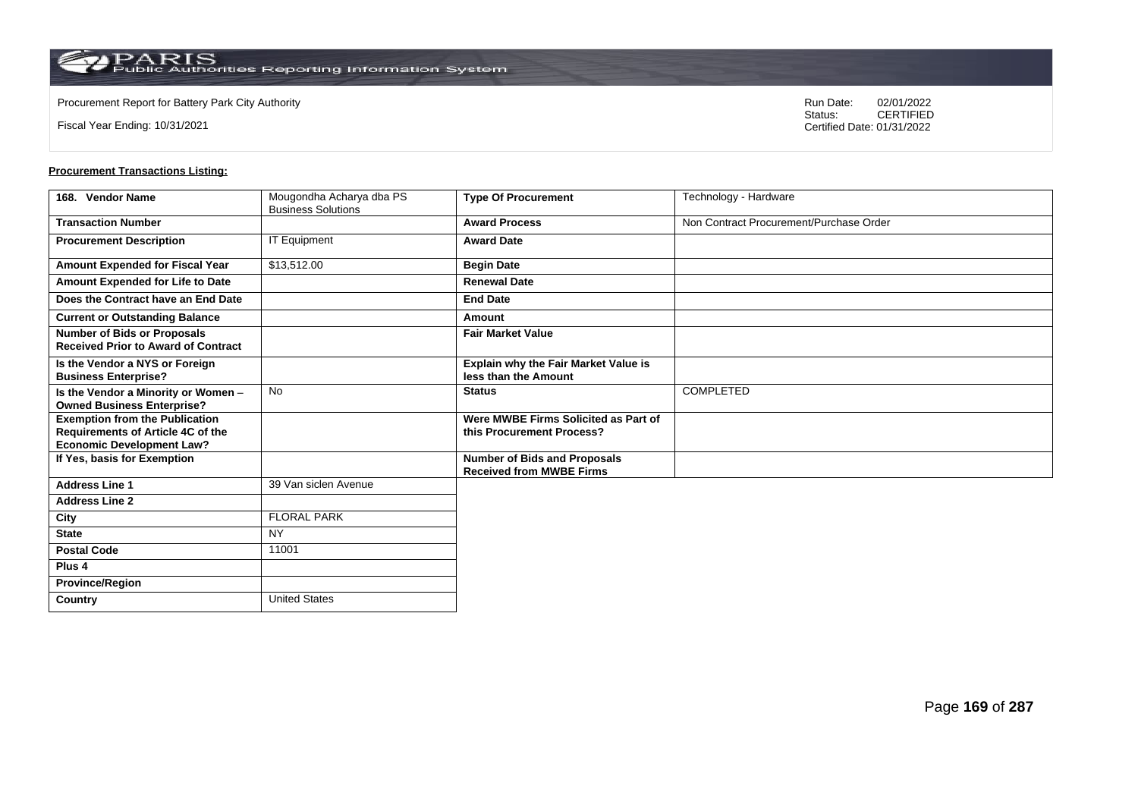Fiscal Year Ending: 10/31/2021

Procurement Report for Battery Park City Authority **National State Concrete Concrete Concrete Concrete Concrete Concrete Concrete Concrete Concrete Concrete Concrete Concrete Concrete Concrete Concrete Concrete Concrete Co** CERTIFIED Certified Date: 01/31/2022

| 168. Vendor Name                                                                                               | Mougondha Acharya dba PS<br><b>Business Solutions</b> | <b>Type Of Procurement</b>                                             | Technology - Hardware                   |
|----------------------------------------------------------------------------------------------------------------|-------------------------------------------------------|------------------------------------------------------------------------|-----------------------------------------|
| <b>Transaction Number</b>                                                                                      |                                                       | <b>Award Process</b>                                                   | Non Contract Procurement/Purchase Order |
| <b>Procurement Description</b>                                                                                 | <b>IT Equipment</b>                                   | <b>Award Date</b>                                                      |                                         |
| Amount Expended for Fiscal Year                                                                                | \$13,512.00                                           | <b>Begin Date</b>                                                      |                                         |
| Amount Expended for Life to Date                                                                               |                                                       | <b>Renewal Date</b>                                                    |                                         |
| Does the Contract have an End Date                                                                             |                                                       | <b>End Date</b>                                                        |                                         |
| <b>Current or Outstanding Balance</b>                                                                          |                                                       | Amount                                                                 |                                         |
| <b>Number of Bids or Proposals</b><br><b>Received Prior to Award of Contract</b>                               |                                                       | <b>Fair Market Value</b>                                               |                                         |
| Is the Vendor a NYS or Foreign<br><b>Business Enterprise?</b>                                                  |                                                       | Explain why the Fair Market Value is<br>less than the Amount           |                                         |
| Is the Vendor a Minority or Women -<br><b>Owned Business Enterprise?</b>                                       | <b>No</b>                                             | <b>Status</b>                                                          | <b>COMPLETED</b>                        |
| <b>Exemption from the Publication</b><br>Requirements of Article 4C of the<br><b>Economic Development Law?</b> |                                                       | Were MWBE Firms Solicited as Part of<br>this Procurement Process?      |                                         |
| If Yes, basis for Exemption                                                                                    |                                                       | <b>Number of Bids and Proposals</b><br><b>Received from MWBE Firms</b> |                                         |
| <b>Address Line 1</b>                                                                                          | 39 Van siclen Avenue                                  |                                                                        |                                         |
| <b>Address Line 2</b>                                                                                          |                                                       |                                                                        |                                         |
| City                                                                                                           | <b>FLORAL PARK</b>                                    |                                                                        |                                         |
| <b>State</b>                                                                                                   | <b>NY</b>                                             |                                                                        |                                         |
| <b>Postal Code</b>                                                                                             | 11001                                                 |                                                                        |                                         |
| Plus <sub>4</sub>                                                                                              |                                                       |                                                                        |                                         |
| <b>Province/Region</b>                                                                                         |                                                       |                                                                        |                                         |
| Country                                                                                                        | <b>United States</b>                                  |                                                                        |                                         |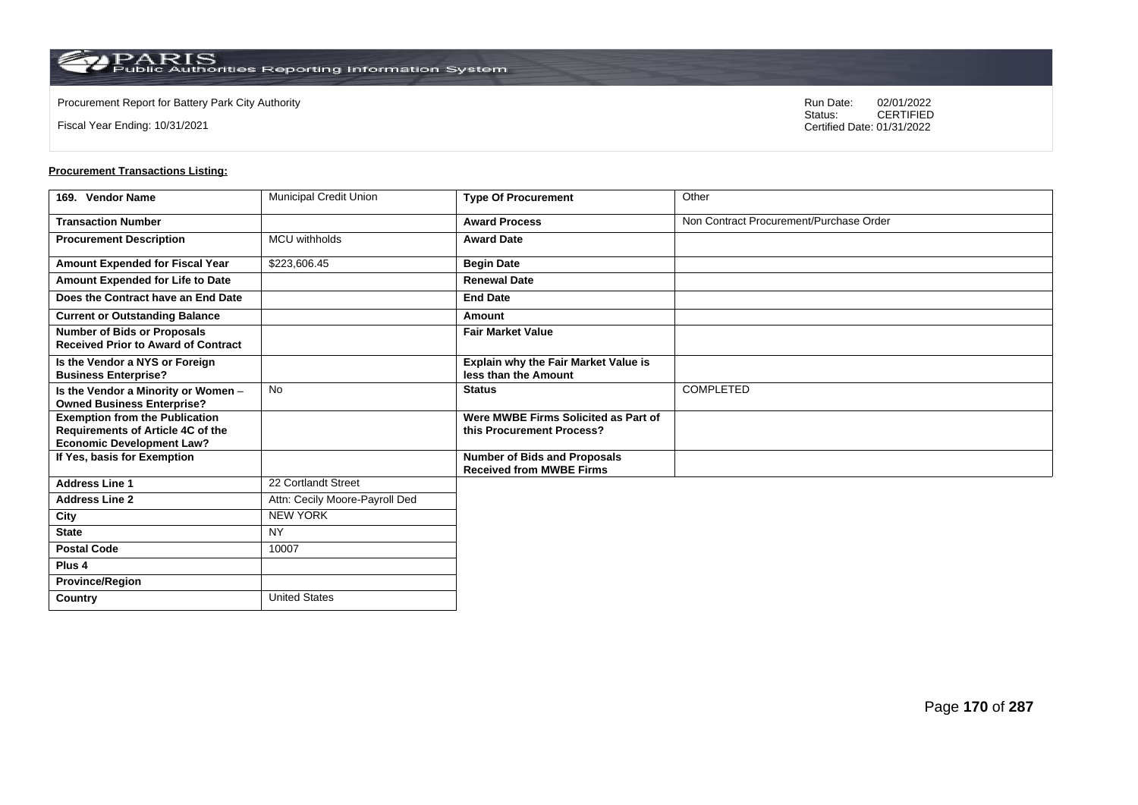**Country** United States

Fiscal Year Ending: 10/31/2021

Procurement Report for Battery Park City Authority **National State Concrete Concrete Concrete Concrete Concrete Concrete Concrete Concrete Concrete Concrete Concrete Concrete Concrete Concrete Concrete Concrete Concrete Co** CERTIFIED Certified Date: 01/31/2022

| 169. Vendor Name                                                                                               | <b>Municipal Credit Union</b>  | <b>Type Of Procurement</b>                                             | Other                                   |
|----------------------------------------------------------------------------------------------------------------|--------------------------------|------------------------------------------------------------------------|-----------------------------------------|
| <b>Transaction Number</b>                                                                                      |                                | <b>Award Process</b>                                                   | Non Contract Procurement/Purchase Order |
| <b>Procurement Description</b>                                                                                 | <b>MCU</b> withholds           | <b>Award Date</b>                                                      |                                         |
| Amount Expended for Fiscal Year                                                                                | \$223,606.45                   | <b>Begin Date</b>                                                      |                                         |
| Amount Expended for Life to Date                                                                               |                                | <b>Renewal Date</b>                                                    |                                         |
| Does the Contract have an End Date                                                                             |                                | <b>End Date</b>                                                        |                                         |
| <b>Current or Outstanding Balance</b>                                                                          |                                | Amount                                                                 |                                         |
| <b>Number of Bids or Proposals</b><br><b>Received Prior to Award of Contract</b>                               |                                | <b>Fair Market Value</b>                                               |                                         |
| Is the Vendor a NYS or Foreign<br><b>Business Enterprise?</b>                                                  |                                | Explain why the Fair Market Value is<br>less than the Amount           |                                         |
| Is the Vendor a Minority or Women -<br><b>Owned Business Enterprise?</b>                                       | No                             | <b>Status</b>                                                          | <b>COMPLETED</b>                        |
| <b>Exemption from the Publication</b><br>Requirements of Article 4C of the<br><b>Economic Development Law?</b> |                                | Were MWBE Firms Solicited as Part of<br>this Procurement Process?      |                                         |
| If Yes, basis for Exemption                                                                                    |                                | <b>Number of Bids and Proposals</b><br><b>Received from MWBE Firms</b> |                                         |
| <b>Address Line 1</b>                                                                                          | 22 Cortlandt Street            |                                                                        |                                         |
| <b>Address Line 2</b>                                                                                          | Attn: Cecily Moore-Payroll Ded |                                                                        |                                         |
| City                                                                                                           | <b>NEW YORK</b>                |                                                                        |                                         |
| <b>State</b>                                                                                                   | <b>NY</b>                      |                                                                        |                                         |
| <b>Postal Code</b>                                                                                             | 10007                          |                                                                        |                                         |
| Plus <sub>4</sub>                                                                                              |                                |                                                                        |                                         |
| <b>Province/Region</b>                                                                                         |                                |                                                                        |                                         |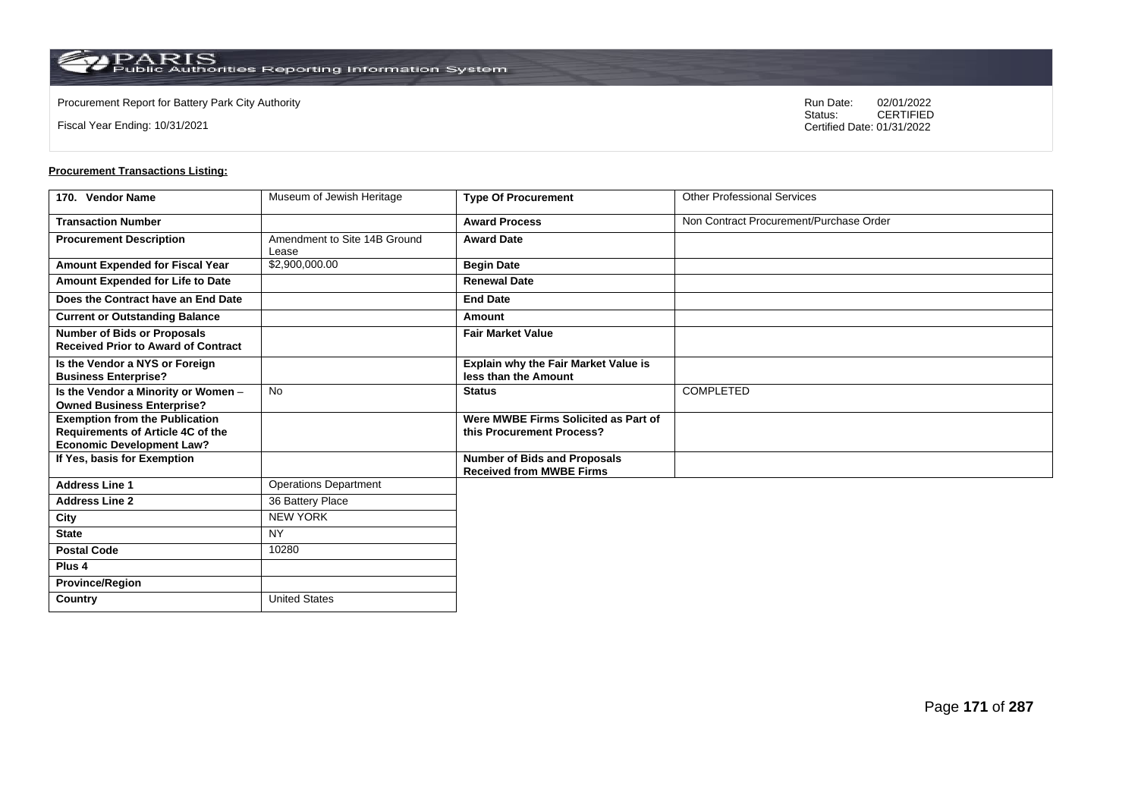Fiscal Year Ending: 10/31/2021

Procurement Report for Battery Park City Authority **National State Concrete Concrete Concrete Concrete Concrete Concrete Concrete Concrete Concrete Concrete Concrete Concrete Concrete Concrete Concrete Concrete Concrete Co** CERTIFIED Certified Date: 01/31/2022

| 170. Vendor Name                                                                                                      | Museum of Jewish Heritage             | <b>Type Of Procurement</b>                                             | <b>Other Professional Services</b>      |
|-----------------------------------------------------------------------------------------------------------------------|---------------------------------------|------------------------------------------------------------------------|-----------------------------------------|
| <b>Transaction Number</b>                                                                                             |                                       | <b>Award Process</b>                                                   | Non Contract Procurement/Purchase Order |
| <b>Procurement Description</b>                                                                                        | Amendment to Site 14B Ground<br>Lease | <b>Award Date</b>                                                      |                                         |
| <b>Amount Expended for Fiscal Year</b>                                                                                | \$2,900,000.00                        | <b>Begin Date</b>                                                      |                                         |
| Amount Expended for Life to Date                                                                                      |                                       | <b>Renewal Date</b>                                                    |                                         |
| Does the Contract have an End Date                                                                                    |                                       | <b>End Date</b>                                                        |                                         |
| <b>Current or Outstanding Balance</b>                                                                                 |                                       | Amount                                                                 |                                         |
| <b>Number of Bids or Proposals</b><br><b>Received Prior to Award of Contract</b>                                      |                                       | <b>Fair Market Value</b>                                               |                                         |
| Is the Vendor a NYS or Foreign<br><b>Business Enterprise?</b>                                                         |                                       | Explain why the Fair Market Value is<br>less than the Amount           |                                         |
| Is the Vendor a Minority or Women -<br><b>Owned Business Enterprise?</b>                                              | <b>No</b>                             | <b>Status</b>                                                          | <b>COMPLETED</b>                        |
| <b>Exemption from the Publication</b><br><b>Requirements of Article 4C of the</b><br><b>Economic Development Law?</b> |                                       | Were MWBE Firms Solicited as Part of<br>this Procurement Process?      |                                         |
| If Yes, basis for Exemption                                                                                           |                                       | <b>Number of Bids and Proposals</b><br><b>Received from MWBE Firms</b> |                                         |
| <b>Address Line 1</b>                                                                                                 | <b>Operations Department</b>          |                                                                        |                                         |
| <b>Address Line 2</b>                                                                                                 | 36 Battery Place                      |                                                                        |                                         |
| City                                                                                                                  | <b>NEW YORK</b>                       |                                                                        |                                         |
| <b>State</b>                                                                                                          | <b>NY</b>                             |                                                                        |                                         |
| <b>Postal Code</b>                                                                                                    | 10280                                 |                                                                        |                                         |
| Plus <sub>4</sub>                                                                                                     |                                       |                                                                        |                                         |
| <b>Province/Region</b>                                                                                                |                                       |                                                                        |                                         |
| Country                                                                                                               | <b>United States</b>                  |                                                                        |                                         |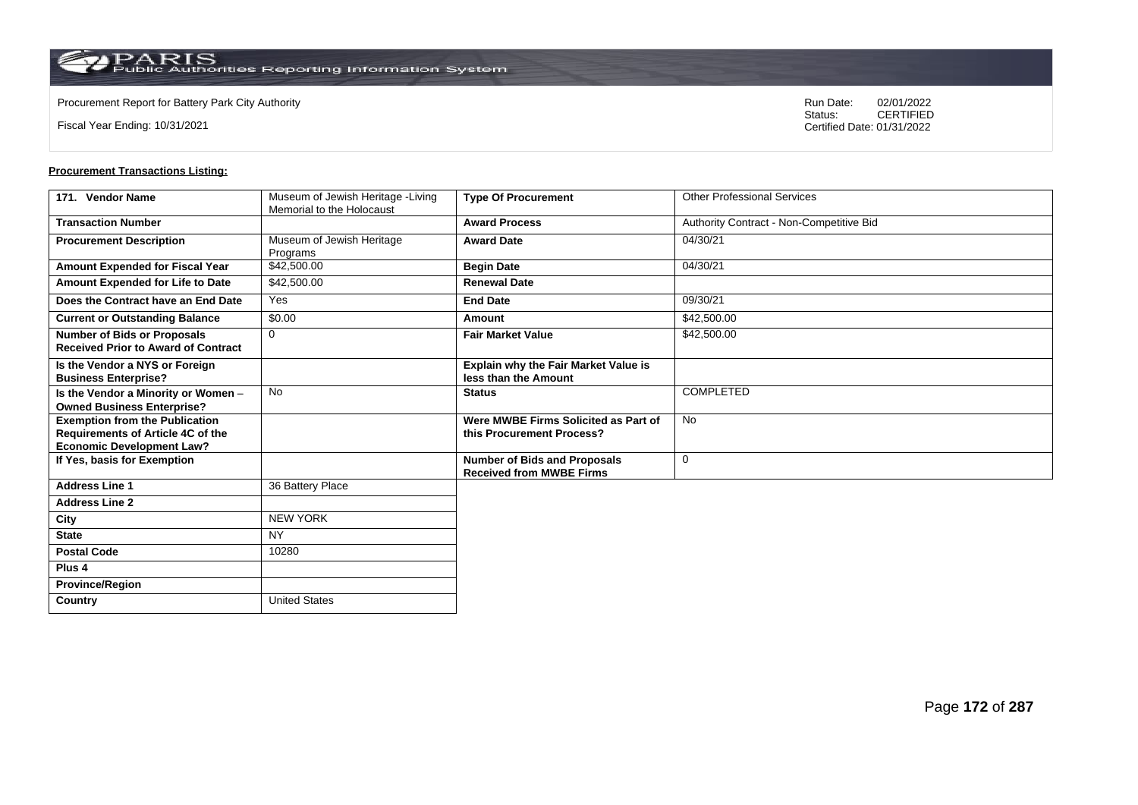Fiscal Year Ending: 10/31/2021

Procurement Report for Battery Park City Authority **National State Concrete Concrete Concrete Concrete Concrete Concrete Concrete Concrete Concrete Concrete Concrete Concrete Concrete Concrete Concrete Concrete Concrete Co** CERTIFIED Certified Date: 01/31/2022

| 171. Vendor Name                                                                                               | Museum of Jewish Heritage -Living<br>Memorial to the Holocaust | <b>Type Of Procurement</b>                                             | <b>Other Professional Services</b>       |
|----------------------------------------------------------------------------------------------------------------|----------------------------------------------------------------|------------------------------------------------------------------------|------------------------------------------|
| <b>Transaction Number</b>                                                                                      |                                                                | <b>Award Process</b>                                                   | Authority Contract - Non-Competitive Bid |
| <b>Procurement Description</b>                                                                                 | Museum of Jewish Heritage<br>Programs                          | <b>Award Date</b>                                                      | 04/30/21                                 |
| Amount Expended for Fiscal Year                                                                                | \$42,500.00                                                    | <b>Begin Date</b>                                                      | 04/30/21                                 |
| Amount Expended for Life to Date                                                                               | \$42,500.00                                                    | <b>Renewal Date</b>                                                    |                                          |
| Does the Contract have an End Date                                                                             | Yes                                                            | <b>End Date</b>                                                        | 09/30/21                                 |
| <b>Current or Outstanding Balance</b>                                                                          | \$0.00                                                         | Amount                                                                 | \$42,500.00                              |
| <b>Number of Bids or Proposals</b><br><b>Received Prior to Award of Contract</b>                               | $\mathbf{0}$                                                   | <b>Fair Market Value</b>                                               | \$42,500.00                              |
| Is the Vendor a NYS or Foreign<br><b>Business Enterprise?</b>                                                  |                                                                | <b>Explain why the Fair Market Value is</b><br>less than the Amount    |                                          |
| Is the Vendor a Minority or Women -<br><b>Owned Business Enterprise?</b>                                       | <b>No</b>                                                      | <b>Status</b>                                                          | <b>COMPLETED</b>                         |
| <b>Exemption from the Publication</b><br>Requirements of Article 4C of the<br><b>Economic Development Law?</b> |                                                                | Were MWBE Firms Solicited as Part of<br>this Procurement Process?      | <b>No</b>                                |
| If Yes, basis for Exemption                                                                                    |                                                                | <b>Number of Bids and Proposals</b><br><b>Received from MWBE Firms</b> | $\mathbf 0$                              |
| <b>Address Line 1</b>                                                                                          | 36 Battery Place                                               |                                                                        |                                          |
| <b>Address Line 2</b>                                                                                          |                                                                |                                                                        |                                          |
| City                                                                                                           | <b>NEW YORK</b>                                                |                                                                        |                                          |
| <b>State</b>                                                                                                   | <b>NY</b>                                                      |                                                                        |                                          |
| <b>Postal Code</b>                                                                                             | 10280                                                          |                                                                        |                                          |
| Plus <sub>4</sub>                                                                                              |                                                                |                                                                        |                                          |
| <b>Province/Region</b>                                                                                         |                                                                |                                                                        |                                          |
| Country                                                                                                        | <b>United States</b>                                           |                                                                        |                                          |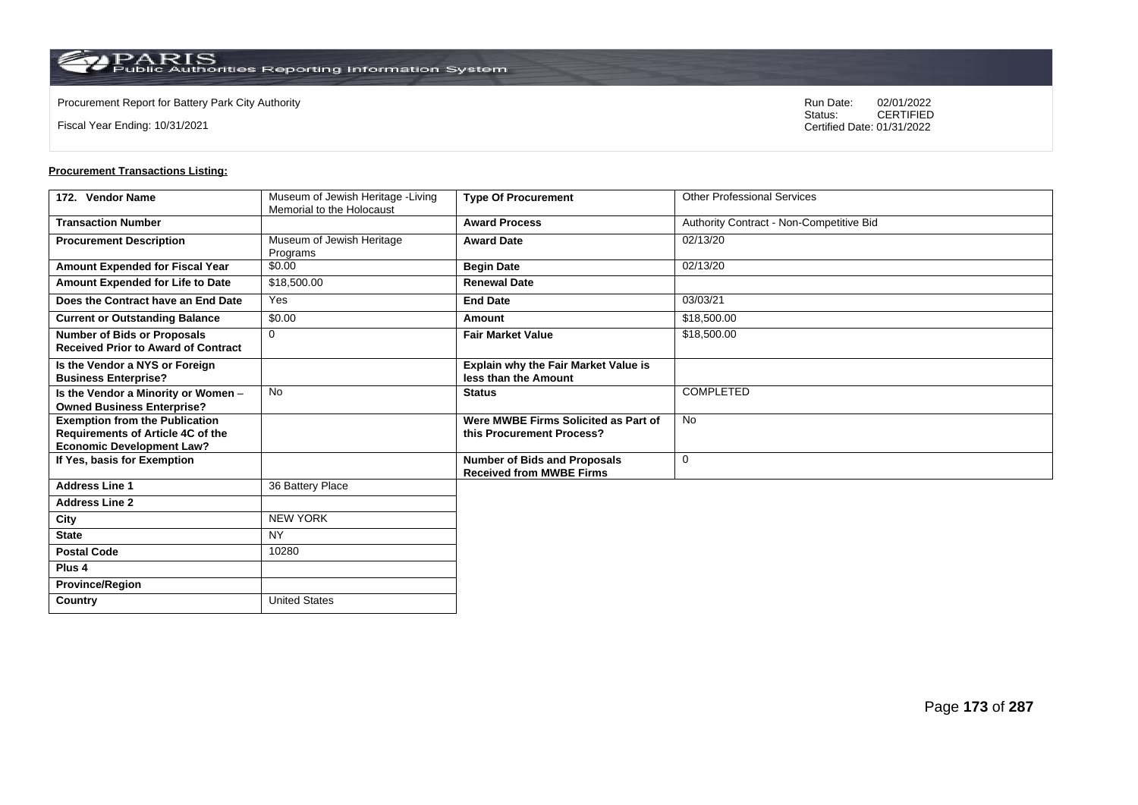Fiscal Year Ending: 10/31/2021

Procurement Report for Battery Park City Authority **National State Concrete Concrete Concrete Concrete Concrete Concrete Concrete Concrete Concrete Concrete Concrete Concrete Concrete Concrete Concrete Concrete Concrete Co** CERTIFIED Certified Date: 01/31/2022

| 172. Vendor Name                                                                                               | Museum of Jewish Heritage -Living<br>Memorial to the Holocaust | <b>Type Of Procurement</b>                                             | <b>Other Professional Services</b>       |
|----------------------------------------------------------------------------------------------------------------|----------------------------------------------------------------|------------------------------------------------------------------------|------------------------------------------|
| <b>Transaction Number</b>                                                                                      |                                                                | <b>Award Process</b>                                                   | Authority Contract - Non-Competitive Bid |
| <b>Procurement Description</b>                                                                                 | Museum of Jewish Heritage<br>Programs                          | <b>Award Date</b>                                                      | 02/13/20                                 |
| Amount Expended for Fiscal Year                                                                                | \$0.00                                                         | <b>Begin Date</b>                                                      | 02/13/20                                 |
| Amount Expended for Life to Date                                                                               | \$18,500.00                                                    | <b>Renewal Date</b>                                                    |                                          |
| Does the Contract have an End Date                                                                             | Yes                                                            | <b>End Date</b>                                                        | 03/03/21                                 |
| <b>Current or Outstanding Balance</b>                                                                          | \$0.00                                                         | Amount                                                                 | \$18,500.00                              |
| <b>Number of Bids or Proposals</b><br><b>Received Prior to Award of Contract</b>                               | $\mathbf{0}$                                                   | <b>Fair Market Value</b>                                               | \$18,500.00                              |
| Is the Vendor a NYS or Foreign<br><b>Business Enterprise?</b>                                                  |                                                                | <b>Explain why the Fair Market Value is</b><br>less than the Amount    |                                          |
| Is the Vendor a Minority or Women -<br><b>Owned Business Enterprise?</b>                                       | <b>No</b>                                                      | <b>Status</b>                                                          | <b>COMPLETED</b>                         |
| <b>Exemption from the Publication</b><br>Requirements of Article 4C of the<br><b>Economic Development Law?</b> |                                                                | Were MWBE Firms Solicited as Part of<br>this Procurement Process?      | <b>No</b>                                |
| If Yes, basis for Exemption                                                                                    |                                                                | <b>Number of Bids and Proposals</b><br><b>Received from MWBE Firms</b> | $\mathbf 0$                              |
| <b>Address Line 1</b>                                                                                          | 36 Battery Place                                               |                                                                        |                                          |
| <b>Address Line 2</b>                                                                                          |                                                                |                                                                        |                                          |
| City                                                                                                           | <b>NEW YORK</b>                                                |                                                                        |                                          |
| <b>State</b>                                                                                                   | <b>NY</b>                                                      |                                                                        |                                          |
| <b>Postal Code</b>                                                                                             | 10280                                                          |                                                                        |                                          |
| Plus <sub>4</sub>                                                                                              |                                                                |                                                                        |                                          |
| <b>Province/Region</b>                                                                                         |                                                                |                                                                        |                                          |
| Country                                                                                                        | <b>United States</b>                                           |                                                                        |                                          |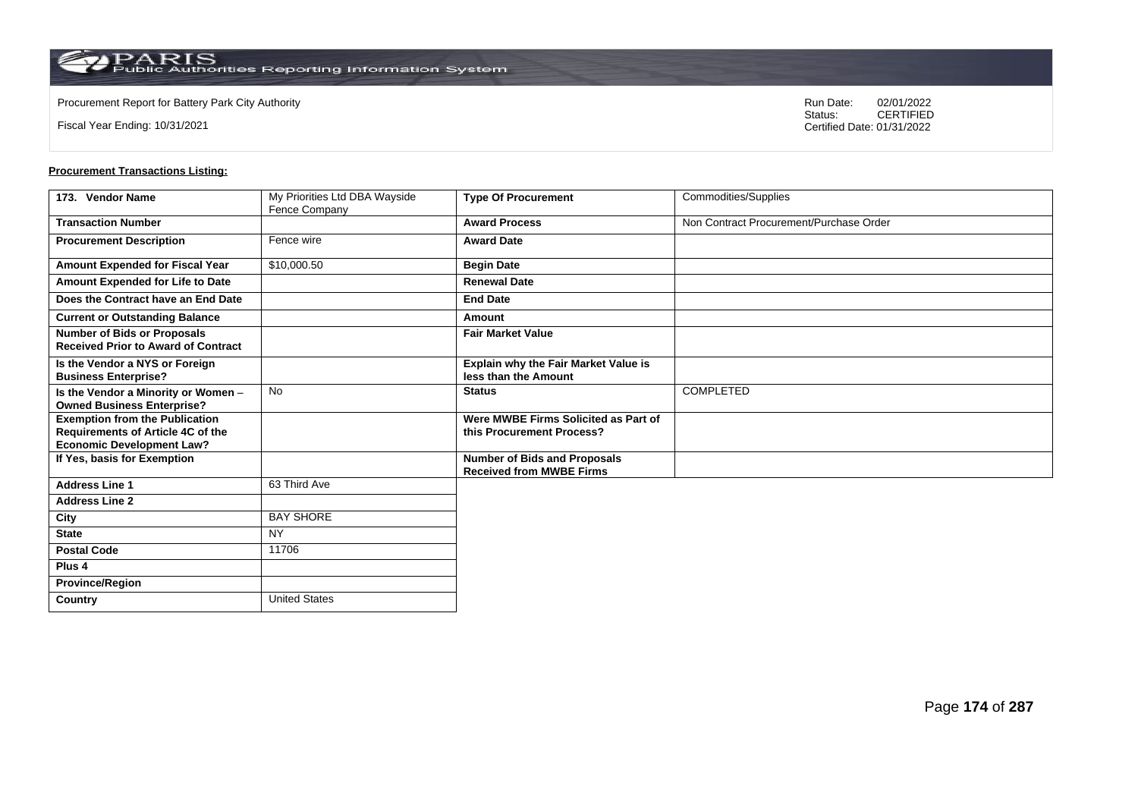**Country** United States

Fiscal Year Ending: 10/31/2021

Procurement Report for Battery Park City Authority **National State Concrete Concrete Concrete Concrete Concrete Concrete Concrete Concrete Concrete Concrete Concrete Concrete Concrete Concrete Concrete Concrete Concrete Co** CERTIFIED Certified Date: 01/31/2022

| 173. Vendor Name                                                                                               | My Priorities Ltd DBA Wayside | <b>Type Of Procurement</b>                                             | Commodities/Supplies                    |
|----------------------------------------------------------------------------------------------------------------|-------------------------------|------------------------------------------------------------------------|-----------------------------------------|
|                                                                                                                | Fence Company                 |                                                                        |                                         |
| <b>Transaction Number</b>                                                                                      |                               | <b>Award Process</b>                                                   | Non Contract Procurement/Purchase Order |
| <b>Procurement Description</b>                                                                                 | Fence wire                    | <b>Award Date</b>                                                      |                                         |
| Amount Expended for Fiscal Year                                                                                | \$10,000.50                   | <b>Begin Date</b>                                                      |                                         |
| Amount Expended for Life to Date                                                                               |                               | <b>Renewal Date</b>                                                    |                                         |
| Does the Contract have an End Date                                                                             |                               | <b>End Date</b>                                                        |                                         |
| <b>Current or Outstanding Balance</b>                                                                          |                               | Amount                                                                 |                                         |
| <b>Number of Bids or Proposals</b><br><b>Received Prior to Award of Contract</b>                               |                               | <b>Fair Market Value</b>                                               |                                         |
| Is the Vendor a NYS or Foreign<br><b>Business Enterprise?</b>                                                  |                               | <b>Explain why the Fair Market Value is</b><br>less than the Amount    |                                         |
| Is the Vendor a Minority or Women -<br><b>Owned Business Enterprise?</b>                                       | <b>No</b>                     | <b>Status</b>                                                          | <b>COMPLETED</b>                        |
| <b>Exemption from the Publication</b><br>Requirements of Article 4C of the<br><b>Economic Development Law?</b> |                               | Were MWBE Firms Solicited as Part of<br>this Procurement Process?      |                                         |
| If Yes, basis for Exemption                                                                                    |                               | <b>Number of Bids and Proposals</b><br><b>Received from MWBE Firms</b> |                                         |
| <b>Address Line 1</b>                                                                                          | 63 Third Ave                  |                                                                        |                                         |
| <b>Address Line 2</b>                                                                                          |                               |                                                                        |                                         |
| City                                                                                                           | <b>BAY SHORE</b>              |                                                                        |                                         |
| <b>State</b>                                                                                                   | <b>NY</b>                     |                                                                        |                                         |
| <b>Postal Code</b>                                                                                             | 11706                         |                                                                        |                                         |
| Plus <sub>4</sub>                                                                                              |                               |                                                                        |                                         |
| <b>Province/Region</b>                                                                                         |                               |                                                                        |                                         |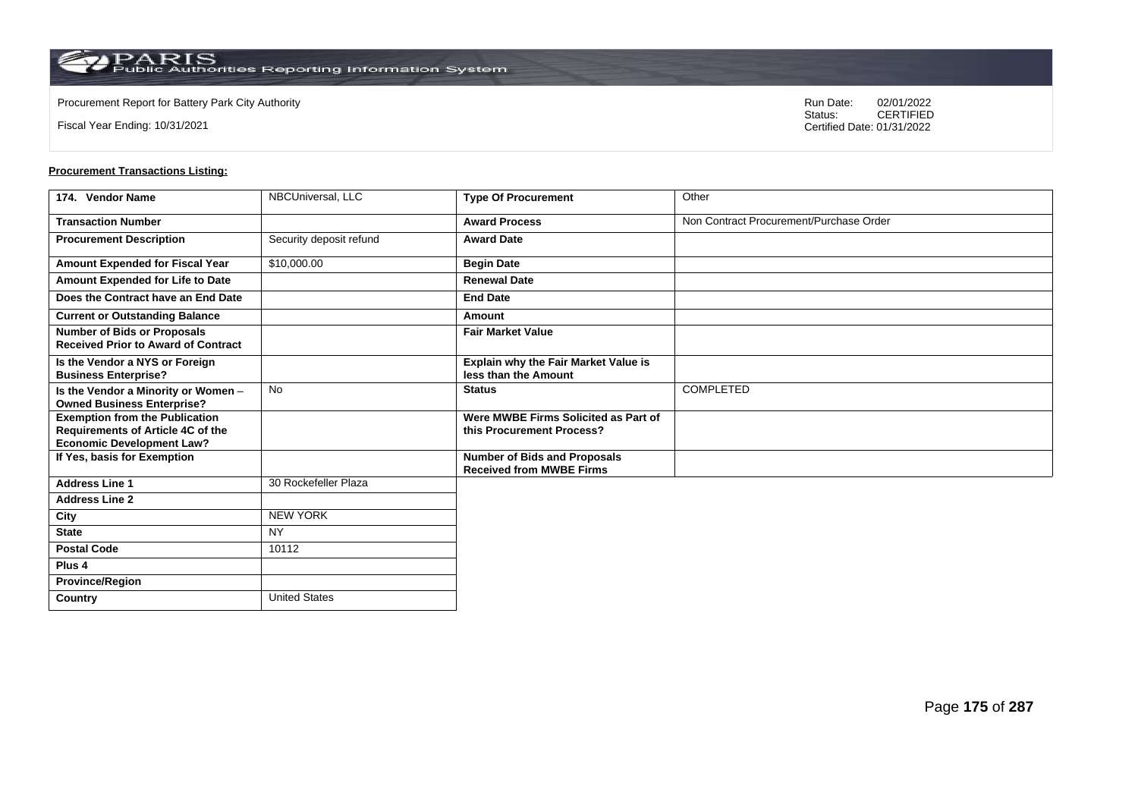Fiscal Year Ending: 10/31/2021

Procurement Report for Battery Park City Authority **National State Concrete Concrete Concrete Concrete Concrete Concrete Concrete Concrete Concrete Concrete Concrete Concrete Concrete Concrete Concrete Concrete Concrete Co** CERTIFIED Certified Date: 01/31/2022

| 174. Vendor Name                                                                                               | NBCUniversal, LLC       | <b>Type Of Procurement</b>                                             | Other                                   |
|----------------------------------------------------------------------------------------------------------------|-------------------------|------------------------------------------------------------------------|-----------------------------------------|
| <b>Transaction Number</b>                                                                                      |                         | <b>Award Process</b>                                                   | Non Contract Procurement/Purchase Order |
| <b>Procurement Description</b>                                                                                 | Security deposit refund | <b>Award Date</b>                                                      |                                         |
| Amount Expended for Fiscal Year                                                                                | \$10,000.00             | <b>Begin Date</b>                                                      |                                         |
| Amount Expended for Life to Date                                                                               |                         | <b>Renewal Date</b>                                                    |                                         |
| Does the Contract have an End Date                                                                             |                         | <b>End Date</b>                                                        |                                         |
| <b>Current or Outstanding Balance</b>                                                                          |                         | <b>Amount</b>                                                          |                                         |
| <b>Number of Bids or Proposals</b><br><b>Received Prior to Award of Contract</b>                               |                         | <b>Fair Market Value</b>                                               |                                         |
| Is the Vendor a NYS or Foreign<br><b>Business Enterprise?</b>                                                  |                         | Explain why the Fair Market Value is<br>less than the Amount           |                                         |
| Is the Vendor a Minority or Women -<br><b>Owned Business Enterprise?</b>                                       | No                      | <b>Status</b>                                                          | COMPLETED                               |
| <b>Exemption from the Publication</b><br>Requirements of Article 4C of the<br><b>Economic Development Law?</b> |                         | Were MWBE Firms Solicited as Part of<br>this Procurement Process?      |                                         |
| If Yes, basis for Exemption                                                                                    |                         | <b>Number of Bids and Proposals</b><br><b>Received from MWBE Firms</b> |                                         |
| <b>Address Line 1</b>                                                                                          | 30 Rockefeller Plaza    |                                                                        |                                         |
| <b>Address Line 2</b>                                                                                          |                         |                                                                        |                                         |
| City                                                                                                           | <b>NEW YORK</b>         |                                                                        |                                         |
| <b>State</b>                                                                                                   | <b>NY</b>               |                                                                        |                                         |
| <b>Postal Code</b>                                                                                             | 10112                   |                                                                        |                                         |
| Plus 4                                                                                                         |                         |                                                                        |                                         |
| <b>Province/Region</b>                                                                                         |                         |                                                                        |                                         |
| Country                                                                                                        | <b>United States</b>    |                                                                        |                                         |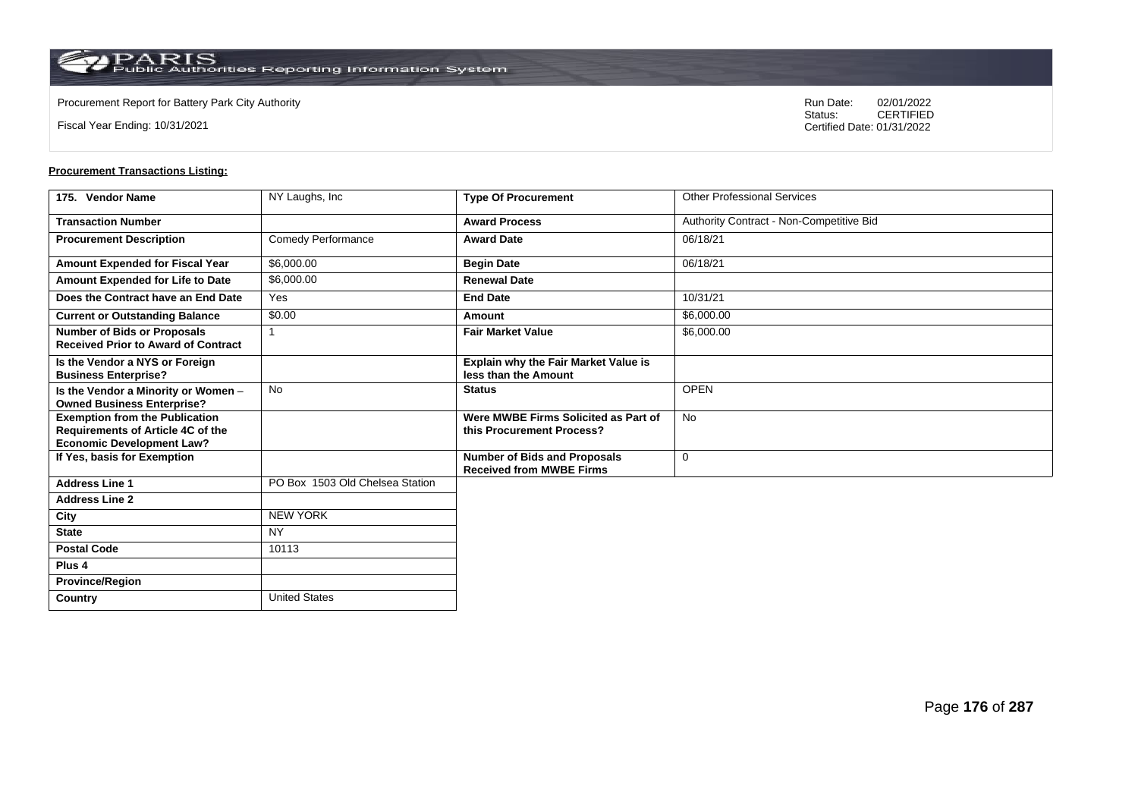**Country** United States

Fiscal Year Ending: 10/31/2021

Procurement Report for Battery Park City Authority **National State Concrete Concrete Concrete Concrete Concrete Concrete Concrete Concrete Concrete Concrete Concrete Concrete Concrete Concrete Concrete Concrete Concrete Co** CERTIFIED Certified Date: 01/31/2022

| 175. Vendor Name                                                                                               | NY Laughs, Inc.                 | <b>Type Of Procurement</b>                                             | <b>Other Professional Services</b>       |
|----------------------------------------------------------------------------------------------------------------|---------------------------------|------------------------------------------------------------------------|------------------------------------------|
| <b>Transaction Number</b>                                                                                      |                                 | <b>Award Process</b>                                                   | Authority Contract - Non-Competitive Bid |
| <b>Procurement Description</b>                                                                                 | <b>Comedy Performance</b>       | <b>Award Date</b>                                                      | 06/18/21                                 |
| Amount Expended for Fiscal Year                                                                                | \$6,000.00                      | <b>Begin Date</b>                                                      | 06/18/21                                 |
| Amount Expended for Life to Date                                                                               | \$6,000.00                      | <b>Renewal Date</b>                                                    |                                          |
| Does the Contract have an End Date                                                                             | Yes                             | <b>End Date</b>                                                        | 10/31/21                                 |
| <b>Current or Outstanding Balance</b>                                                                          | \$0.00                          | Amount                                                                 | \$6,000.00                               |
| <b>Number of Bids or Proposals</b><br><b>Received Prior to Award of Contract</b>                               | 1                               | <b>Fair Market Value</b>                                               | \$6,000.00                               |
| Is the Vendor a NYS or Foreign<br><b>Business Enterprise?</b>                                                  |                                 | Explain why the Fair Market Value is<br>less than the Amount           |                                          |
| Is the Vendor a Minority or Women -<br><b>Owned Business Enterprise?</b>                                       | <b>No</b>                       | <b>Status</b>                                                          | <b>OPEN</b>                              |
| <b>Exemption from the Publication</b><br>Requirements of Article 4C of the<br><b>Economic Development Law?</b> |                                 | Were MWBE Firms Solicited as Part of<br>this Procurement Process?      | <b>No</b>                                |
| If Yes, basis for Exemption                                                                                    |                                 | <b>Number of Bids and Proposals</b><br><b>Received from MWBE Firms</b> | 0                                        |
| <b>Address Line 1</b>                                                                                          | PO Box 1503 Old Chelsea Station |                                                                        |                                          |
| <b>Address Line 2</b>                                                                                          |                                 |                                                                        |                                          |
| City                                                                                                           | <b>NEW YORK</b>                 |                                                                        |                                          |
| <b>State</b>                                                                                                   | <b>NY</b>                       |                                                                        |                                          |
| <b>Postal Code</b>                                                                                             | 10113                           |                                                                        |                                          |
| Plus <sub>4</sub>                                                                                              |                                 |                                                                        |                                          |
| <b>Province/Region</b>                                                                                         |                                 |                                                                        |                                          |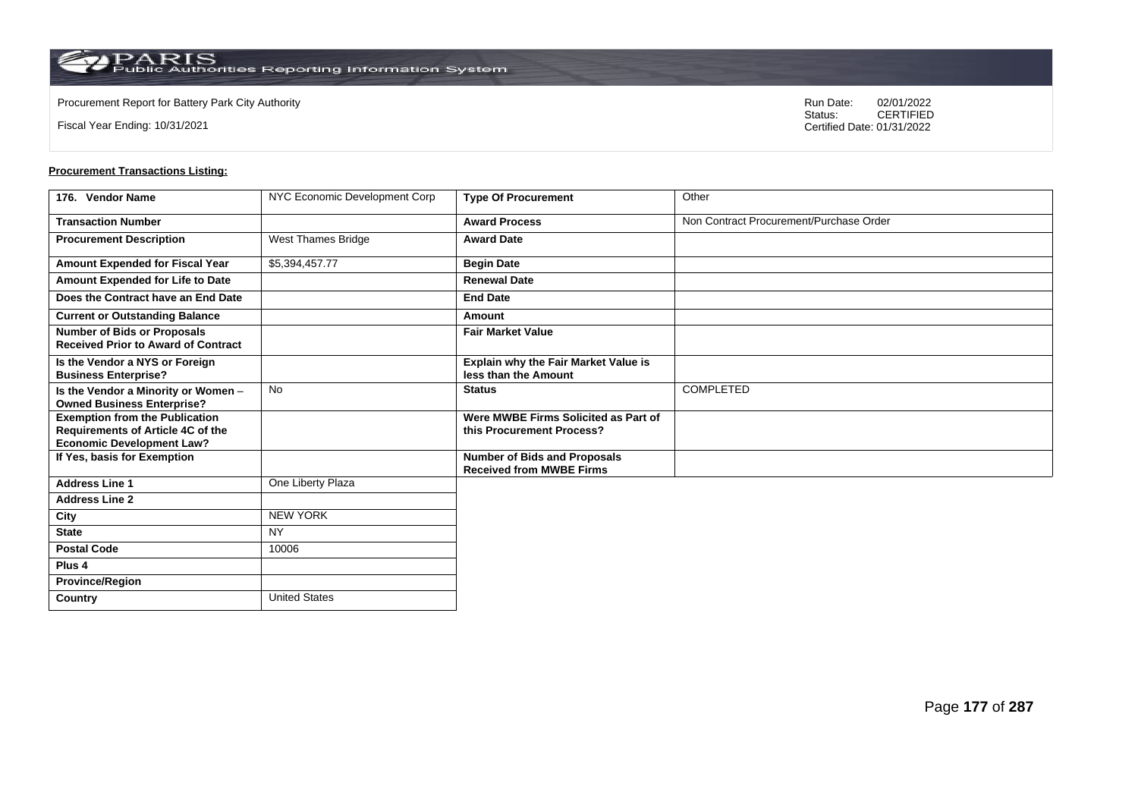**Country** United States

Fiscal Year Ending: 10/31/2021

Procurement Report for Battery Park City Authority **National State Concrete Concrete Concrete Concrete Concrete Concrete Concrete Concrete Concrete Concrete Concrete Concrete Concrete Concrete Concrete Concrete Concrete Co** CERTIFIED Certified Date: 01/31/2022

| 176. Vendor Name                                                                                                      | NYC Economic Development Corp | <b>Type Of Procurement</b>                                             | Other                                   |
|-----------------------------------------------------------------------------------------------------------------------|-------------------------------|------------------------------------------------------------------------|-----------------------------------------|
| <b>Transaction Number</b>                                                                                             |                               | <b>Award Process</b>                                                   | Non Contract Procurement/Purchase Order |
| <b>Procurement Description</b>                                                                                        | West Thames Bridge            | <b>Award Date</b>                                                      |                                         |
| Amount Expended for Fiscal Year                                                                                       | \$5,394,457.77                | <b>Begin Date</b>                                                      |                                         |
| Amount Expended for Life to Date                                                                                      |                               | <b>Renewal Date</b>                                                    |                                         |
| Does the Contract have an End Date                                                                                    |                               | <b>End Date</b>                                                        |                                         |
| <b>Current or Outstanding Balance</b>                                                                                 |                               | Amount                                                                 |                                         |
| <b>Number of Bids or Proposals</b><br><b>Received Prior to Award of Contract</b>                                      |                               | <b>Fair Market Value</b>                                               |                                         |
| Is the Vendor a NYS or Foreign<br><b>Business Enterprise?</b>                                                         |                               | Explain why the Fair Market Value is<br>less than the Amount           |                                         |
| Is the Vendor a Minority or Women -<br><b>Owned Business Enterprise?</b>                                              | <b>No</b>                     | <b>Status</b>                                                          | COMPLETED                               |
| <b>Exemption from the Publication</b><br><b>Requirements of Article 4C of the</b><br><b>Economic Development Law?</b> |                               | Were MWBE Firms Solicited as Part of<br>this Procurement Process?      |                                         |
| If Yes, basis for Exemption                                                                                           |                               | <b>Number of Bids and Proposals</b><br><b>Received from MWBE Firms</b> |                                         |
| <b>Address Line 1</b>                                                                                                 | One Liberty Plaza             |                                                                        |                                         |
| <b>Address Line 2</b>                                                                                                 |                               |                                                                        |                                         |
| City                                                                                                                  | <b>NEW YORK</b>               |                                                                        |                                         |
| <b>State</b>                                                                                                          | <b>NY</b>                     |                                                                        |                                         |
| <b>Postal Code</b>                                                                                                    | 10006                         |                                                                        |                                         |
| Plus <sub>4</sub>                                                                                                     |                               |                                                                        |                                         |
| <b>Province/Region</b>                                                                                                |                               |                                                                        |                                         |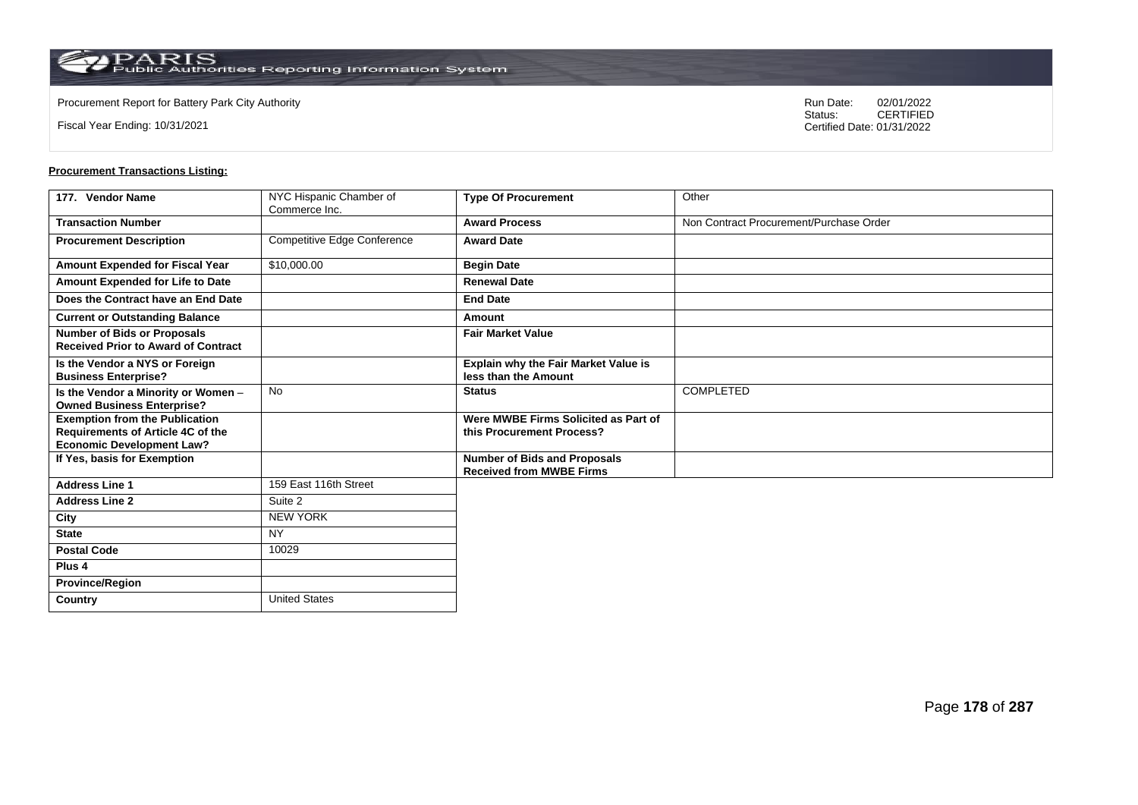Fiscal Year Ending: 10/31/2021

Procurement Report for Battery Park City Authority **National State Concrete Concrete Concrete Concrete Concrete Concrete Concrete Concrete Concrete Concrete Concrete Concrete Concrete Concrete Concrete Concrete Concrete Co** CERTIFIED Certified Date: 01/31/2022

| 177. Vendor Name                                                                                               | NYC Hispanic Chamber of<br>Commerce Inc. | <b>Type Of Procurement</b>                                             | Other                                   |
|----------------------------------------------------------------------------------------------------------------|------------------------------------------|------------------------------------------------------------------------|-----------------------------------------|
| <b>Transaction Number</b>                                                                                      |                                          | <b>Award Process</b>                                                   | Non Contract Procurement/Purchase Order |
| <b>Procurement Description</b>                                                                                 | Competitive Edge Conference              | <b>Award Date</b>                                                      |                                         |
| Amount Expended for Fiscal Year                                                                                | \$10,000.00                              | <b>Begin Date</b>                                                      |                                         |
| Amount Expended for Life to Date                                                                               |                                          | <b>Renewal Date</b>                                                    |                                         |
| Does the Contract have an End Date                                                                             |                                          | <b>End Date</b>                                                        |                                         |
| <b>Current or Outstanding Balance</b>                                                                          |                                          | Amount                                                                 |                                         |
| <b>Number of Bids or Proposals</b><br><b>Received Prior to Award of Contract</b>                               |                                          | <b>Fair Market Value</b>                                               |                                         |
| Is the Vendor a NYS or Foreign<br><b>Business Enterprise?</b>                                                  |                                          | Explain why the Fair Market Value is<br>less than the Amount           |                                         |
| Is the Vendor a Minority or Women -<br><b>Owned Business Enterprise?</b>                                       | <b>No</b>                                | <b>Status</b>                                                          | <b>COMPLETED</b>                        |
| <b>Exemption from the Publication</b><br>Requirements of Article 4C of the<br><b>Economic Development Law?</b> |                                          | Were MWBE Firms Solicited as Part of<br>this Procurement Process?      |                                         |
| If Yes, basis for Exemption                                                                                    |                                          | <b>Number of Bids and Proposals</b><br><b>Received from MWBE Firms</b> |                                         |
| <b>Address Line 1</b>                                                                                          | 159 East 116th Street                    |                                                                        |                                         |
| <b>Address Line 2</b>                                                                                          | Suite 2                                  |                                                                        |                                         |
| City                                                                                                           | <b>NEW YORK</b>                          |                                                                        |                                         |
| <b>State</b>                                                                                                   | <b>NY</b>                                |                                                                        |                                         |
| <b>Postal Code</b>                                                                                             | 10029                                    |                                                                        |                                         |
| Plus <sub>4</sub>                                                                                              |                                          |                                                                        |                                         |
| <b>Province/Region</b>                                                                                         |                                          |                                                                        |                                         |
| Country                                                                                                        | <b>United States</b>                     |                                                                        |                                         |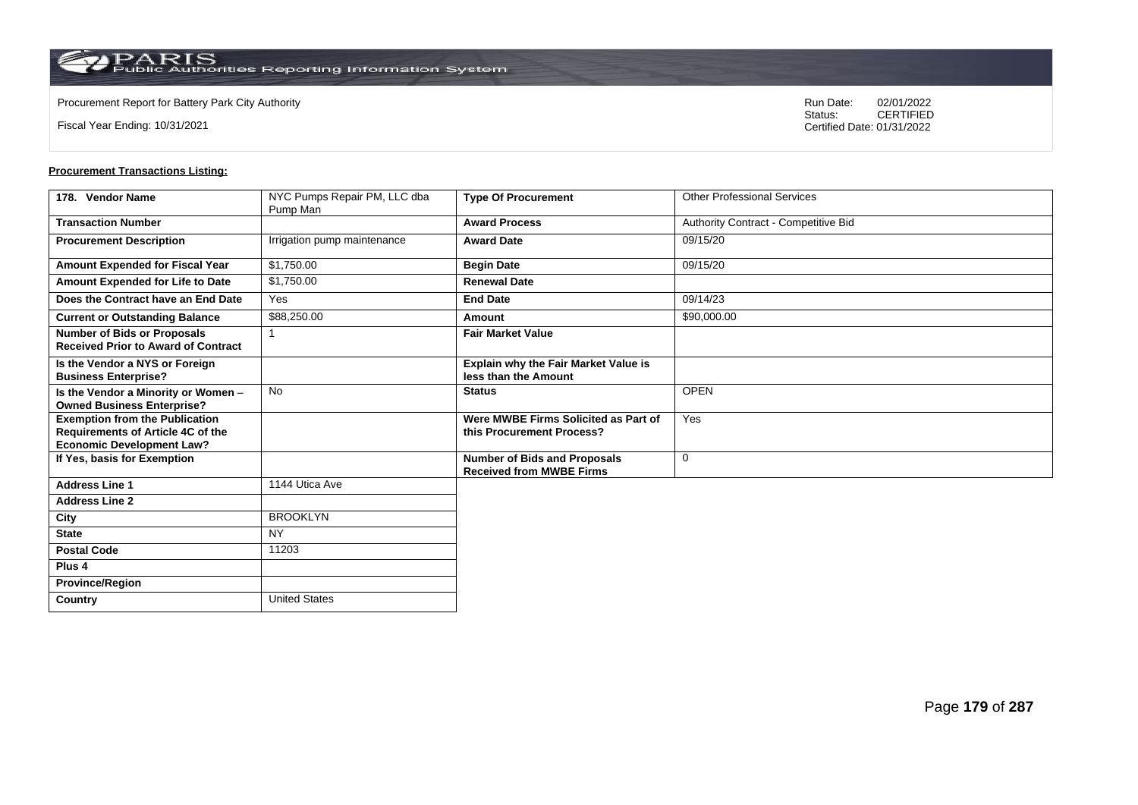**Country** United States

Fiscal Year Ending: 10/31/2021

Procurement Report for Battery Park City Authority **National State Concrete Concrete Concrete Concrete Concrete Concrete Concrete Concrete Concrete Concrete Concrete Concrete Concrete Concrete Concrete Concrete Concrete Co** CERTIFIED Certified Date: 01/31/2022

| 178. Vendor Name                                                                                                      | NYC Pumps Repair PM, LLC dba | <b>Type Of Procurement</b>                                             | <b>Other Professional Services</b>   |
|-----------------------------------------------------------------------------------------------------------------------|------------------------------|------------------------------------------------------------------------|--------------------------------------|
|                                                                                                                       | Pump Man                     |                                                                        |                                      |
| <b>Transaction Number</b>                                                                                             |                              | <b>Award Process</b>                                                   | Authority Contract - Competitive Bid |
| <b>Procurement Description</b>                                                                                        | Irrigation pump maintenance  | <b>Award Date</b>                                                      | 09/15/20                             |
| Amount Expended for Fiscal Year                                                                                       | \$1,750.00                   | <b>Begin Date</b>                                                      | 09/15/20                             |
| Amount Expended for Life to Date                                                                                      | \$1,750.00                   | <b>Renewal Date</b>                                                    |                                      |
| Does the Contract have an End Date                                                                                    | Yes                          | <b>End Date</b>                                                        | 09/14/23                             |
| <b>Current or Outstanding Balance</b>                                                                                 | \$88,250.00                  | Amount                                                                 | \$90,000.00                          |
| <b>Number of Bids or Proposals</b><br><b>Received Prior to Award of Contract</b>                                      |                              | <b>Fair Market Value</b>                                               |                                      |
| Is the Vendor a NYS or Foreign<br><b>Business Enterprise?</b>                                                         |                              | <b>Explain why the Fair Market Value is</b><br>less than the Amount    |                                      |
| Is the Vendor a Minority or Women -<br><b>Owned Business Enterprise?</b>                                              | <b>No</b>                    | <b>Status</b>                                                          | <b>OPEN</b>                          |
| <b>Exemption from the Publication</b><br><b>Requirements of Article 4C of the</b><br><b>Economic Development Law?</b> |                              | Were MWBE Firms Solicited as Part of<br>this Procurement Process?      | Yes                                  |
| If Yes, basis for Exemption                                                                                           |                              | <b>Number of Bids and Proposals</b><br><b>Received from MWBE Firms</b> | 0                                    |
| <b>Address Line 1</b>                                                                                                 | 1144 Utica Ave               |                                                                        |                                      |
| <b>Address Line 2</b>                                                                                                 |                              |                                                                        |                                      |
| City                                                                                                                  | <b>BROOKLYN</b>              |                                                                        |                                      |
| <b>State</b>                                                                                                          | <b>NY</b>                    |                                                                        |                                      |
| <b>Postal Code</b>                                                                                                    | 11203                        |                                                                        |                                      |
| Plus <sub>4</sub>                                                                                                     |                              |                                                                        |                                      |
| <b>Province/Region</b>                                                                                                |                              |                                                                        |                                      |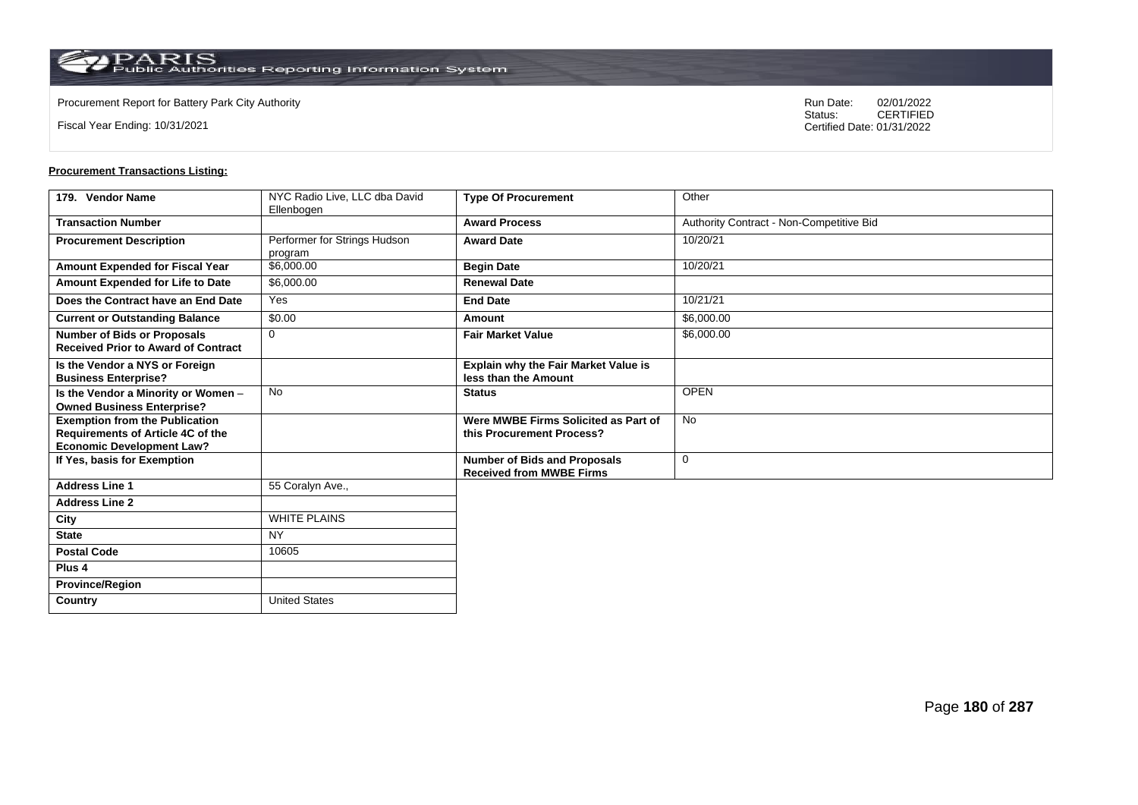Fiscal Year Ending: 10/31/2021

Procurement Report for Battery Park City Authority **National State Concrete Concrete Concrete Concrete Concrete Concrete Concrete Concrete Concrete Concrete Concrete Concrete Concrete Concrete Concrete Concrete Concrete Co** CERTIFIED Certified Date: 01/31/2022

| 179. Vendor Name                                                                                                      | NYC Radio Live, LLC dba David<br>Ellenbogen | <b>Type Of Procurement</b>                                             | Other                                    |
|-----------------------------------------------------------------------------------------------------------------------|---------------------------------------------|------------------------------------------------------------------------|------------------------------------------|
| <b>Transaction Number</b>                                                                                             |                                             | <b>Award Process</b>                                                   | Authority Contract - Non-Competitive Bid |
| <b>Procurement Description</b>                                                                                        | Performer for Strings Hudson<br>program     | <b>Award Date</b>                                                      | 10/20/21                                 |
| <b>Amount Expended for Fiscal Year</b>                                                                                | \$6,000.00                                  | <b>Begin Date</b>                                                      | 10/20/21                                 |
| Amount Expended for Life to Date                                                                                      | \$6,000.00                                  | <b>Renewal Date</b>                                                    |                                          |
| Does the Contract have an End Date                                                                                    | Yes                                         | <b>End Date</b>                                                        | 10/21/21                                 |
| <b>Current or Outstanding Balance</b>                                                                                 | \$0.00                                      | Amount                                                                 | \$6,000.00                               |
| <b>Number of Bids or Proposals</b><br><b>Received Prior to Award of Contract</b>                                      | $\mathbf 0$                                 | <b>Fair Market Value</b>                                               | \$6,000.00                               |
| Is the Vendor a NYS or Foreign<br><b>Business Enterprise?</b>                                                         |                                             | <b>Explain why the Fair Market Value is</b><br>less than the Amount    |                                          |
| Is the Vendor a Minority or Women -<br><b>Owned Business Enterprise?</b>                                              | <b>No</b>                                   | <b>Status</b>                                                          | <b>OPEN</b>                              |
| <b>Exemption from the Publication</b><br><b>Requirements of Article 4C of the</b><br><b>Economic Development Law?</b> |                                             | Were MWBE Firms Solicited as Part of<br>this Procurement Process?      | <b>No</b>                                |
| If Yes, basis for Exemption                                                                                           |                                             | <b>Number of Bids and Proposals</b><br><b>Received from MWBE Firms</b> | $\mathbf 0$                              |
| <b>Address Line 1</b>                                                                                                 | 55 Coralyn Ave.,                            |                                                                        |                                          |
| <b>Address Line 2</b>                                                                                                 |                                             |                                                                        |                                          |
| City                                                                                                                  | <b>WHITE PLAINS</b>                         |                                                                        |                                          |
| <b>State</b>                                                                                                          | <b>NY</b>                                   |                                                                        |                                          |
| <b>Postal Code</b>                                                                                                    | 10605                                       |                                                                        |                                          |
| Plus <sub>4</sub>                                                                                                     |                                             |                                                                        |                                          |
| <b>Province/Region</b>                                                                                                |                                             |                                                                        |                                          |
| Country                                                                                                               | <b>United States</b>                        |                                                                        |                                          |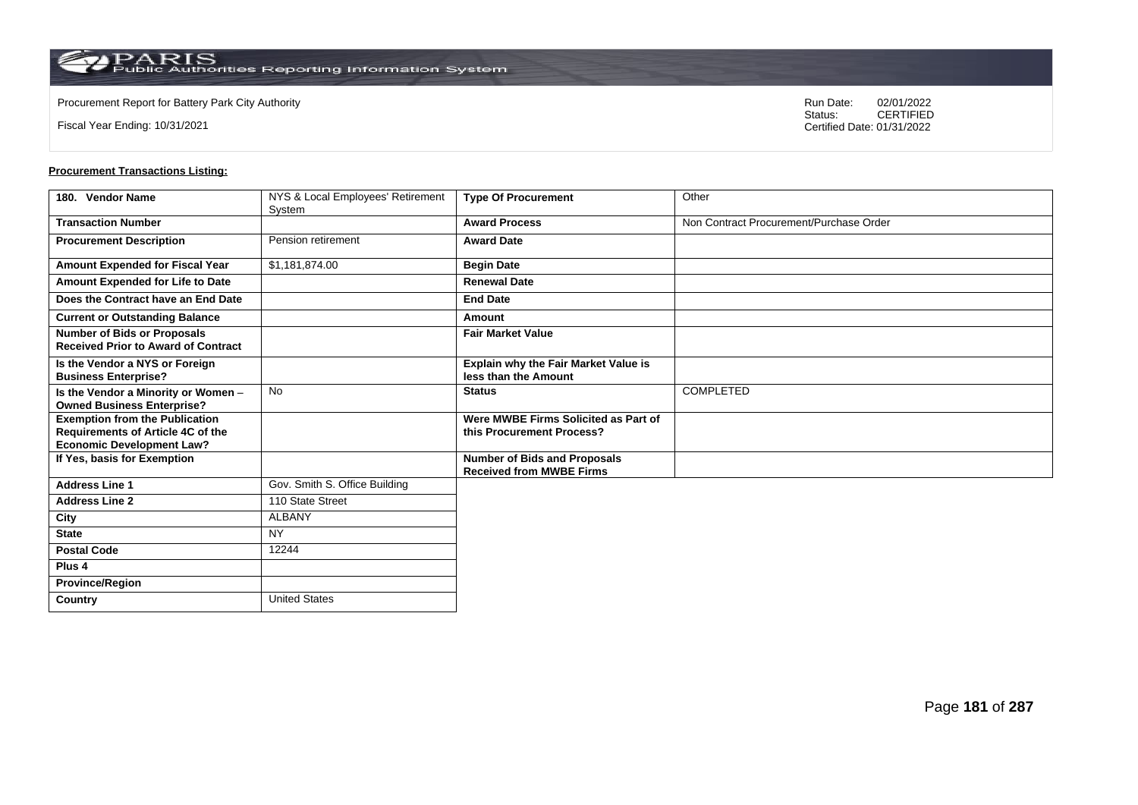Fiscal Year Ending: 10/31/2021

Procurement Report for Battery Park City Authority **National State Concrete Concrete Concrete Concrete Concrete Concrete Concrete Concrete Concrete Concrete Concrete Concrete Concrete Concrete Concrete Concrete Concrete Co** CERTIFIED Certified Date: 01/31/2022

| 180. Vendor Name                                                                                               | NYS & Local Employees' Retirement<br>System | <b>Type Of Procurement</b>                                             | Other                                   |
|----------------------------------------------------------------------------------------------------------------|---------------------------------------------|------------------------------------------------------------------------|-----------------------------------------|
| <b>Transaction Number</b>                                                                                      |                                             | <b>Award Process</b>                                                   | Non Contract Procurement/Purchase Order |
| <b>Procurement Description</b>                                                                                 | Pension retirement                          | <b>Award Date</b>                                                      |                                         |
| <b>Amount Expended for Fiscal Year</b>                                                                         | \$1,181,874.00                              | <b>Begin Date</b>                                                      |                                         |
| Amount Expended for Life to Date                                                                               |                                             | <b>Renewal Date</b>                                                    |                                         |
| Does the Contract have an End Date                                                                             |                                             | <b>End Date</b>                                                        |                                         |
| <b>Current or Outstanding Balance</b>                                                                          |                                             | Amount                                                                 |                                         |
| <b>Number of Bids or Proposals</b><br><b>Received Prior to Award of Contract</b>                               |                                             | <b>Fair Market Value</b>                                               |                                         |
| Is the Vendor a NYS or Foreign<br><b>Business Enterprise?</b>                                                  |                                             | <b>Explain why the Fair Market Value is</b><br>less than the Amount    |                                         |
| Is the Vendor a Minority or Women -<br><b>Owned Business Enterprise?</b>                                       | <b>No</b>                                   | <b>Status</b>                                                          | <b>COMPLETED</b>                        |
| <b>Exemption from the Publication</b><br>Requirements of Article 4C of the<br><b>Economic Development Law?</b> |                                             | Were MWBE Firms Solicited as Part of<br>this Procurement Process?      |                                         |
| If Yes, basis for Exemption                                                                                    |                                             | <b>Number of Bids and Proposals</b><br><b>Received from MWBE Firms</b> |                                         |
| <b>Address Line 1</b>                                                                                          | Gov. Smith S. Office Building               |                                                                        |                                         |
| <b>Address Line 2</b>                                                                                          | 110 State Street                            |                                                                        |                                         |
| City                                                                                                           | <b>ALBANY</b>                               |                                                                        |                                         |
| <b>State</b>                                                                                                   | <b>NY</b>                                   |                                                                        |                                         |
| <b>Postal Code</b>                                                                                             | 12244                                       |                                                                        |                                         |
| Plus <sub>4</sub>                                                                                              |                                             |                                                                        |                                         |
| <b>Province/Region</b>                                                                                         |                                             |                                                                        |                                         |
| Country                                                                                                        | <b>United States</b>                        |                                                                        |                                         |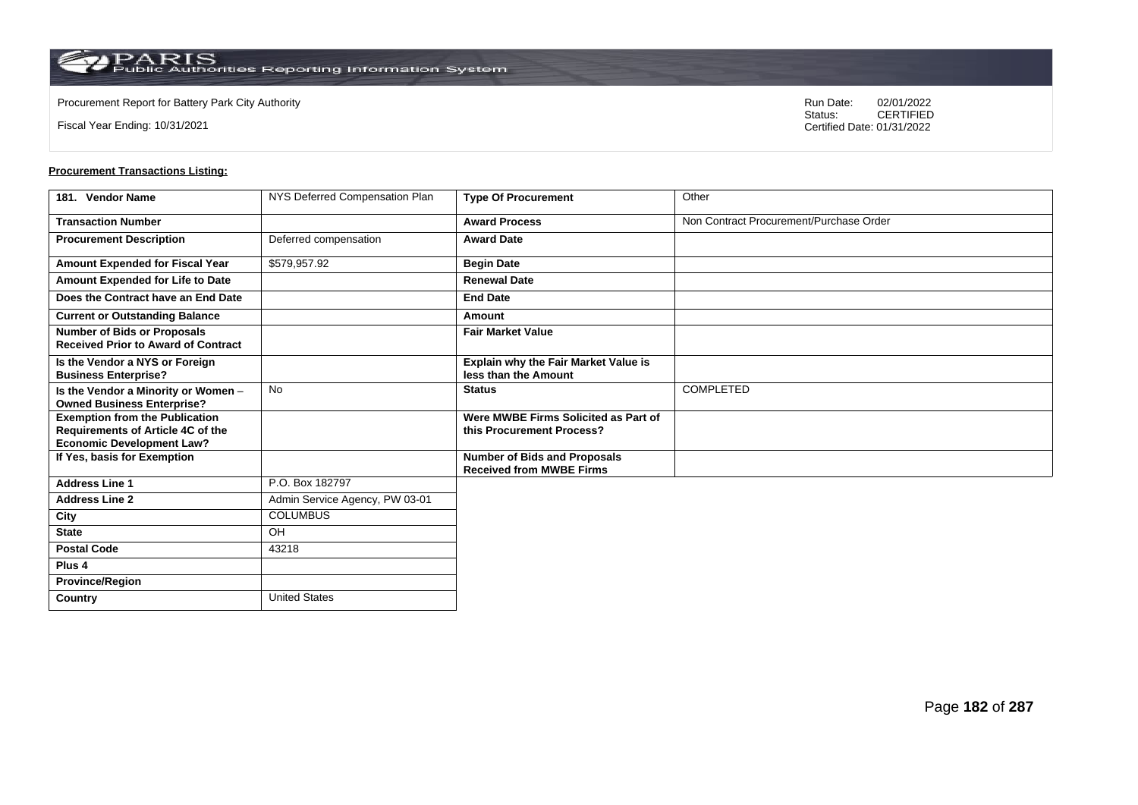$\operatorname{PARIS}_{\text{Public Authorities}\,\text{Reporting}\,\text{Information System}}$ 

**Country** United States

Fiscal Year Ending: 10/31/2021

Procurement Report for Battery Park City Authority **National State Concrete Concrete Concrete Concrete Concrete Concrete Concrete Concrete Concrete Concrete Concrete Concrete Concrete Concrete Concrete Concrete Concrete Co** CERTIFIED Certified Date: 01/31/2022

| 181. Vendor Name                                                                                                      | NYS Deferred Compensation Plan | <b>Type Of Procurement</b>                                             | Other                                   |
|-----------------------------------------------------------------------------------------------------------------------|--------------------------------|------------------------------------------------------------------------|-----------------------------------------|
| <b>Transaction Number</b>                                                                                             |                                | <b>Award Process</b>                                                   | Non Contract Procurement/Purchase Order |
| <b>Procurement Description</b>                                                                                        | Deferred compensation          | <b>Award Date</b>                                                      |                                         |
| Amount Expended for Fiscal Year                                                                                       | \$579,957.92                   | <b>Begin Date</b>                                                      |                                         |
| Amount Expended for Life to Date                                                                                      |                                | <b>Renewal Date</b>                                                    |                                         |
| Does the Contract have an End Date                                                                                    |                                | <b>End Date</b>                                                        |                                         |
| <b>Current or Outstanding Balance</b>                                                                                 |                                | Amount                                                                 |                                         |
| <b>Number of Bids or Proposals</b><br><b>Received Prior to Award of Contract</b>                                      |                                | <b>Fair Market Value</b>                                               |                                         |
| Is the Vendor a NYS or Foreign<br><b>Business Enterprise?</b>                                                         |                                | Explain why the Fair Market Value is<br>less than the Amount           |                                         |
| Is the Vendor a Minority or Women -<br><b>Owned Business Enterprise?</b>                                              | <b>No</b>                      | <b>Status</b>                                                          | COMPLETED                               |
| <b>Exemption from the Publication</b><br><b>Requirements of Article 4C of the</b><br><b>Economic Development Law?</b> |                                | Were MWBE Firms Solicited as Part of<br>this Procurement Process?      |                                         |
| If Yes, basis for Exemption                                                                                           |                                | <b>Number of Bids and Proposals</b><br><b>Received from MWBE Firms</b> |                                         |
| <b>Address Line 1</b>                                                                                                 | P.O. Box 182797                |                                                                        |                                         |
| <b>Address Line 2</b>                                                                                                 | Admin Service Agency, PW 03-01 |                                                                        |                                         |
| City                                                                                                                  | <b>COLUMBUS</b>                |                                                                        |                                         |
| <b>State</b>                                                                                                          | OH                             |                                                                        |                                         |
| <b>Postal Code</b>                                                                                                    | 43218                          |                                                                        |                                         |
| Plus <sub>4</sub>                                                                                                     |                                |                                                                        |                                         |
| <b>Province/Region</b>                                                                                                |                                |                                                                        |                                         |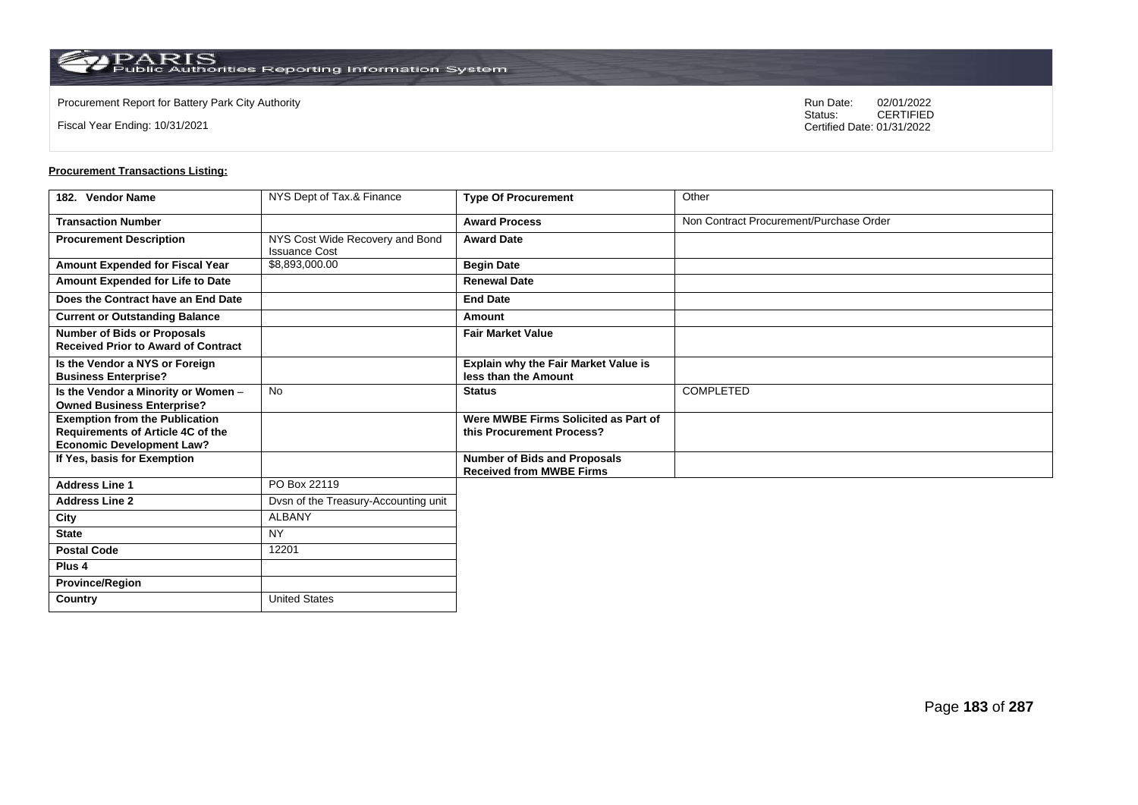**Country** United States

Fiscal Year Ending: 10/31/2021

Procurement Report for Battery Park City Authority **National State Concrete Concrete Concrete Concrete Concrete Concrete Concrete Concrete Concrete Concrete Concrete Concrete Concrete Concrete Concrete Concrete Concrete Co** CERTIFIED Certified Date: 01/31/2022

| 182. Vendor Name                                                                                               | NYS Dept of Tax.& Finance                               | <b>Type Of Procurement</b>                                             | Other                                   |
|----------------------------------------------------------------------------------------------------------------|---------------------------------------------------------|------------------------------------------------------------------------|-----------------------------------------|
| <b>Transaction Number</b>                                                                                      |                                                         | <b>Award Process</b>                                                   | Non Contract Procurement/Purchase Order |
| <b>Procurement Description</b>                                                                                 | NYS Cost Wide Recovery and Bond<br><b>Issuance Cost</b> | <b>Award Date</b>                                                      |                                         |
| <b>Amount Expended for Fiscal Year</b>                                                                         | \$8,893,000.00                                          | <b>Begin Date</b>                                                      |                                         |
| Amount Expended for Life to Date                                                                               |                                                         | <b>Renewal Date</b>                                                    |                                         |
| Does the Contract have an End Date                                                                             |                                                         | <b>End Date</b>                                                        |                                         |
| <b>Current or Outstanding Balance</b>                                                                          |                                                         | Amount                                                                 |                                         |
| <b>Number of Bids or Proposals</b><br><b>Received Prior to Award of Contract</b>                               |                                                         | <b>Fair Market Value</b>                                               |                                         |
| Is the Vendor a NYS or Foreign<br><b>Business Enterprise?</b>                                                  |                                                         | <b>Explain why the Fair Market Value is</b><br>less than the Amount    |                                         |
| Is the Vendor a Minority or Women -<br><b>Owned Business Enterprise?</b>                                       | <b>No</b>                                               | <b>Status</b>                                                          | <b>COMPLETED</b>                        |
| <b>Exemption from the Publication</b><br>Requirements of Article 4C of the<br><b>Economic Development Law?</b> |                                                         | Were MWBE Firms Solicited as Part of<br>this Procurement Process?      |                                         |
| If Yes, basis for Exemption                                                                                    |                                                         | <b>Number of Bids and Proposals</b><br><b>Received from MWBE Firms</b> |                                         |
| <b>Address Line 1</b>                                                                                          | PO Box 22119                                            |                                                                        |                                         |
| <b>Address Line 2</b>                                                                                          | Dvsn of the Treasury-Accounting unit                    |                                                                        |                                         |
| City                                                                                                           | <b>ALBANY</b>                                           |                                                                        |                                         |
| <b>State</b>                                                                                                   | <b>NY</b>                                               |                                                                        |                                         |
| <b>Postal Code</b>                                                                                             | 12201                                                   |                                                                        |                                         |
| Plus <sub>4</sub>                                                                                              |                                                         |                                                                        |                                         |
| <b>Province/Region</b>                                                                                         |                                                         |                                                                        |                                         |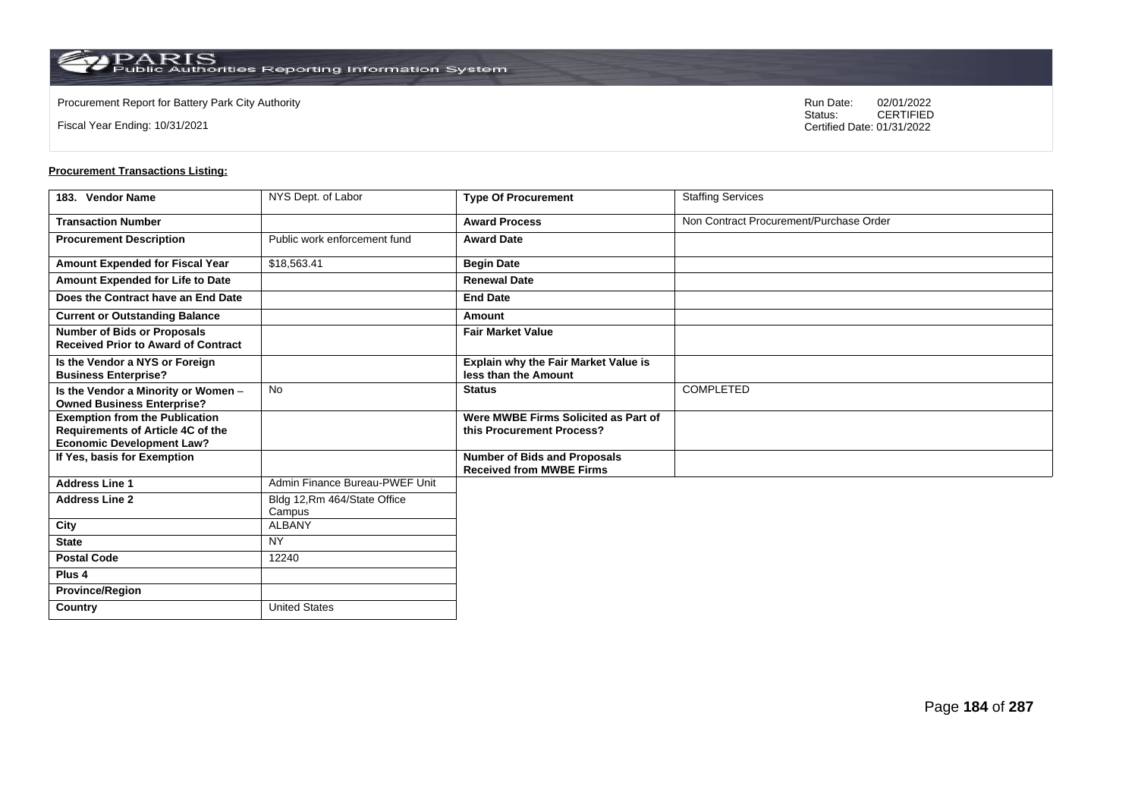Fiscal Year Ending: 10/31/2021

Procurement Report for Battery Park City Authority **National State Concrete Concrete Concrete Concrete Concrete Concrete Concrete Concrete Concrete Concrete Concrete Concrete Concrete Concrete Concrete Concrete Concrete Co** CERTIFIED Certified Date: 01/31/2022

| 183. Vendor Name                                                                 | NYS Dept. of Labor                     | <b>Type Of Procurement</b>                                             | <b>Staffing Services</b>                |
|----------------------------------------------------------------------------------|----------------------------------------|------------------------------------------------------------------------|-----------------------------------------|
| <b>Transaction Number</b>                                                        |                                        | <b>Award Process</b>                                                   | Non Contract Procurement/Purchase Order |
| <b>Procurement Description</b>                                                   | Public work enforcement fund           | <b>Award Date</b>                                                      |                                         |
| Amount Expended for Fiscal Year                                                  | \$18,563.41                            | <b>Begin Date</b>                                                      |                                         |
| Amount Expended for Life to Date                                                 |                                        | <b>Renewal Date</b>                                                    |                                         |
| Does the Contract have an End Date                                               |                                        | <b>End Date</b>                                                        |                                         |
| <b>Current or Outstanding Balance</b>                                            |                                        | Amount                                                                 |                                         |
| <b>Number of Bids or Proposals</b><br><b>Received Prior to Award of Contract</b> |                                        | <b>Fair Market Value</b>                                               |                                         |
| Is the Vendor a NYS or Foreign<br><b>Business Enterprise?</b>                    |                                        | <b>Explain why the Fair Market Value is</b><br>less than the Amount    |                                         |
| Is the Vendor a Minority or Women -<br><b>Owned Business Enterprise?</b>         | <b>No</b>                              | <b>Status</b>                                                          | <b>COMPLETED</b>                        |
| <b>Exemption from the Publication</b>                                            |                                        | Were MWBE Firms Solicited as Part of                                   |                                         |
| Requirements of Article 4C of the<br><b>Economic Development Law?</b>            |                                        | this Procurement Process?                                              |                                         |
| If Yes, basis for Exemption                                                      |                                        | <b>Number of Bids and Proposals</b><br><b>Received from MWBE Firms</b> |                                         |
| <b>Address Line 1</b>                                                            | Admin Finance Bureau-PWEF Unit         |                                                                        |                                         |
| <b>Address Line 2</b>                                                            | Bldg 12, Rm 464/State Office<br>Campus |                                                                        |                                         |
| City                                                                             | <b>ALBANY</b>                          |                                                                        |                                         |
| <b>State</b>                                                                     | <b>NY</b>                              |                                                                        |                                         |
| <b>Postal Code</b>                                                               | 12240                                  |                                                                        |                                         |
| Plus <sub>4</sub>                                                                |                                        |                                                                        |                                         |
| <b>Province/Region</b>                                                           |                                        |                                                                        |                                         |
| Country                                                                          | <b>United States</b>                   |                                                                        |                                         |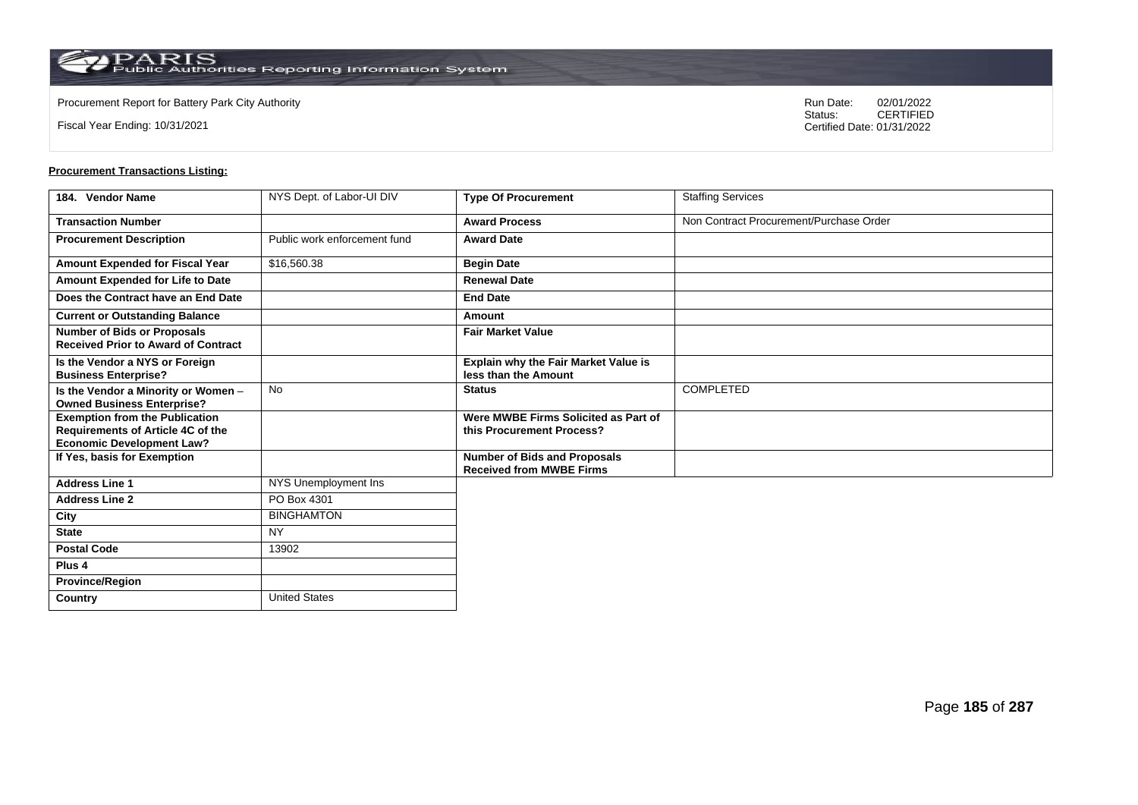**Country** United States

Fiscal Year Ending: 10/31/2021

Procurement Report for Battery Park City Authority **National State Concrete Concrete Concrete Concrete Concrete Concrete Concrete Concrete Concrete Concrete Concrete Concrete Concrete Concrete Concrete Concrete Concrete Co** CERTIFIED Certified Date: 01/31/2022

| 184. Vendor Name                                                                                                      | NYS Dept. of Labor-UI DIV    | <b>Type Of Procurement</b>                                             | <b>Staffing Services</b>                |
|-----------------------------------------------------------------------------------------------------------------------|------------------------------|------------------------------------------------------------------------|-----------------------------------------|
| <b>Transaction Number</b>                                                                                             |                              | <b>Award Process</b>                                                   | Non Contract Procurement/Purchase Order |
| <b>Procurement Description</b>                                                                                        | Public work enforcement fund | <b>Award Date</b>                                                      |                                         |
| <b>Amount Expended for Fiscal Year</b>                                                                                | \$16,560.38                  | <b>Begin Date</b>                                                      |                                         |
| Amount Expended for Life to Date                                                                                      |                              | <b>Renewal Date</b>                                                    |                                         |
| Does the Contract have an End Date                                                                                    |                              | <b>End Date</b>                                                        |                                         |
| <b>Current or Outstanding Balance</b>                                                                                 |                              | Amount                                                                 |                                         |
| <b>Number of Bids or Proposals</b><br><b>Received Prior to Award of Contract</b>                                      |                              | <b>Fair Market Value</b>                                               |                                         |
| Is the Vendor a NYS or Foreign<br><b>Business Enterprise?</b>                                                         |                              | <b>Explain why the Fair Market Value is</b><br>less than the Amount    |                                         |
| Is the Vendor a Minority or Women -<br><b>Owned Business Enterprise?</b>                                              | <b>No</b>                    | <b>Status</b>                                                          | COMPLETED                               |
| <b>Exemption from the Publication</b><br><b>Requirements of Article 4C of the</b><br><b>Economic Development Law?</b> |                              | Were MWBE Firms Solicited as Part of<br>this Procurement Process?      |                                         |
| If Yes, basis for Exemption                                                                                           |                              | <b>Number of Bids and Proposals</b><br><b>Received from MWBE Firms</b> |                                         |
| <b>Address Line 1</b>                                                                                                 | NYS Unemployment Ins         |                                                                        |                                         |
| <b>Address Line 2</b>                                                                                                 | PO Box 4301                  |                                                                        |                                         |
| City                                                                                                                  | <b>BINGHAMTON</b>            |                                                                        |                                         |
| <b>State</b>                                                                                                          | <b>NY</b>                    |                                                                        |                                         |
| <b>Postal Code</b>                                                                                                    | 13902                        |                                                                        |                                         |
| Plus <sub>4</sub>                                                                                                     |                              |                                                                        |                                         |
| <b>Province/Region</b>                                                                                                |                              |                                                                        |                                         |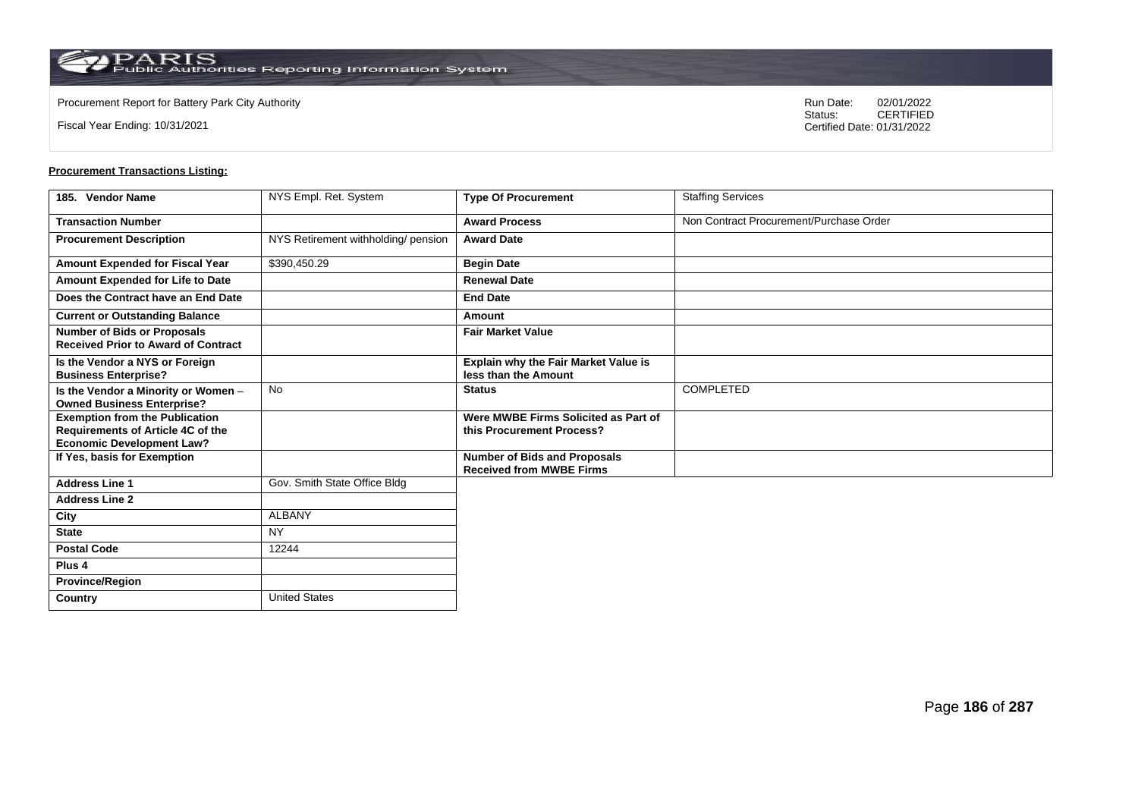**Country** United States

Fiscal Year Ending: 10/31/2021

Procurement Report for Battery Park City Authority **National State Concrete Concrete Concrete Concrete Concrete Concrete Concrete Concrete Concrete Concrete Concrete Concrete Concrete Concrete Concrete Concrete Concrete Co** CERTIFIED Certified Date: 01/31/2022

| 185. Vendor Name                                                                                               | NYS Empl. Ret. System               | <b>Type Of Procurement</b>                                             | <b>Staffing Services</b>                |
|----------------------------------------------------------------------------------------------------------------|-------------------------------------|------------------------------------------------------------------------|-----------------------------------------|
| <b>Transaction Number</b>                                                                                      |                                     | <b>Award Process</b>                                                   | Non Contract Procurement/Purchase Order |
| <b>Procurement Description</b>                                                                                 | NYS Retirement withholding/ pension | <b>Award Date</b>                                                      |                                         |
| Amount Expended for Fiscal Year                                                                                | \$390,450.29                        | <b>Begin Date</b>                                                      |                                         |
| Amount Expended for Life to Date                                                                               |                                     | <b>Renewal Date</b>                                                    |                                         |
| Does the Contract have an End Date                                                                             |                                     | <b>End Date</b>                                                        |                                         |
| <b>Current or Outstanding Balance</b>                                                                          |                                     | Amount                                                                 |                                         |
| <b>Number of Bids or Proposals</b><br><b>Received Prior to Award of Contract</b>                               |                                     | <b>Fair Market Value</b>                                               |                                         |
| Is the Vendor a NYS or Foreign<br><b>Business Enterprise?</b>                                                  |                                     | Explain why the Fair Market Value is<br>less than the Amount           |                                         |
| Is the Vendor a Minority or Women -<br><b>Owned Business Enterprise?</b>                                       | No                                  | <b>Status</b>                                                          | <b>COMPLETED</b>                        |
| <b>Exemption from the Publication</b><br>Requirements of Article 4C of the<br><b>Economic Development Law?</b> |                                     | Were MWBE Firms Solicited as Part of<br>this Procurement Process?      |                                         |
| If Yes, basis for Exemption                                                                                    |                                     | <b>Number of Bids and Proposals</b><br><b>Received from MWBE Firms</b> |                                         |
| <b>Address Line 1</b>                                                                                          | Gov. Smith State Office Bldg        |                                                                        |                                         |
| <b>Address Line 2</b>                                                                                          |                                     |                                                                        |                                         |
| City                                                                                                           | <b>ALBANY</b>                       |                                                                        |                                         |
| <b>State</b>                                                                                                   | <b>NY</b>                           |                                                                        |                                         |
| <b>Postal Code</b>                                                                                             | 12244                               |                                                                        |                                         |
| Plus <sub>4</sub>                                                                                              |                                     |                                                                        |                                         |
| <b>Province/Region</b>                                                                                         |                                     |                                                                        |                                         |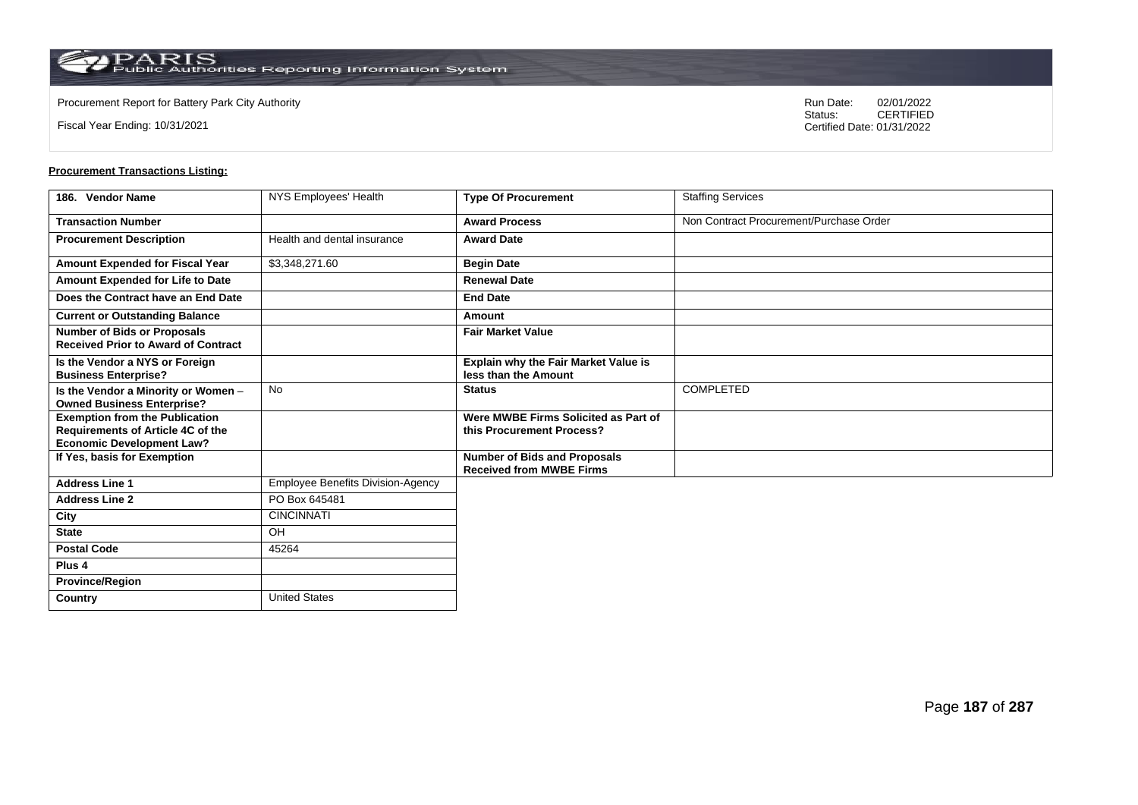Fiscal Year Ending: 10/31/2021

Procurement Report for Battery Park City Authority **National State Concrete Concrete Concrete Concrete Concrete Concrete Concrete Concrete Concrete Concrete Concrete Concrete Concrete Concrete Concrete Concrete Concrete Co** CERTIFIED Certified Date: 01/31/2022

| 186. Vendor Name                                                                                               | NYS Employees' Health                    | <b>Type Of Procurement</b>                                             | <b>Staffing Services</b>                |
|----------------------------------------------------------------------------------------------------------------|------------------------------------------|------------------------------------------------------------------------|-----------------------------------------|
| <b>Transaction Number</b>                                                                                      |                                          | <b>Award Process</b>                                                   | Non Contract Procurement/Purchase Order |
| <b>Procurement Description</b>                                                                                 | Health and dental insurance              | <b>Award Date</b>                                                      |                                         |
| Amount Expended for Fiscal Year                                                                                | \$3,348,271.60                           | <b>Begin Date</b>                                                      |                                         |
| Amount Expended for Life to Date                                                                               |                                          | <b>Renewal Date</b>                                                    |                                         |
| Does the Contract have an End Date                                                                             |                                          | <b>End Date</b>                                                        |                                         |
| <b>Current or Outstanding Balance</b>                                                                          |                                          | Amount                                                                 |                                         |
| <b>Number of Bids or Proposals</b><br><b>Received Prior to Award of Contract</b>                               |                                          | <b>Fair Market Value</b>                                               |                                         |
| Is the Vendor a NYS or Foreign<br><b>Business Enterprise?</b>                                                  |                                          | <b>Explain why the Fair Market Value is</b><br>less than the Amount    |                                         |
| Is the Vendor a Minority or Women -<br><b>Owned Business Enterprise?</b>                                       | <b>No</b>                                | <b>Status</b>                                                          | <b>COMPLETED</b>                        |
| <b>Exemption from the Publication</b><br>Requirements of Article 4C of the<br><b>Economic Development Law?</b> |                                          | Were MWBE Firms Solicited as Part of<br>this Procurement Process?      |                                         |
| If Yes, basis for Exemption                                                                                    |                                          | <b>Number of Bids and Proposals</b><br><b>Received from MWBE Firms</b> |                                         |
| <b>Address Line 1</b>                                                                                          | <b>Employee Benefits Division-Agency</b> |                                                                        |                                         |
| <b>Address Line 2</b>                                                                                          | PO Box 645481                            |                                                                        |                                         |
| City                                                                                                           | <b>CINCINNATI</b>                        |                                                                        |                                         |
| <b>State</b>                                                                                                   | OH                                       |                                                                        |                                         |
| <b>Postal Code</b>                                                                                             | 45264                                    |                                                                        |                                         |
| Plus <sub>4</sub>                                                                                              |                                          |                                                                        |                                         |
| <b>Province/Region</b>                                                                                         |                                          |                                                                        |                                         |
| Country                                                                                                        | <b>United States</b>                     |                                                                        |                                         |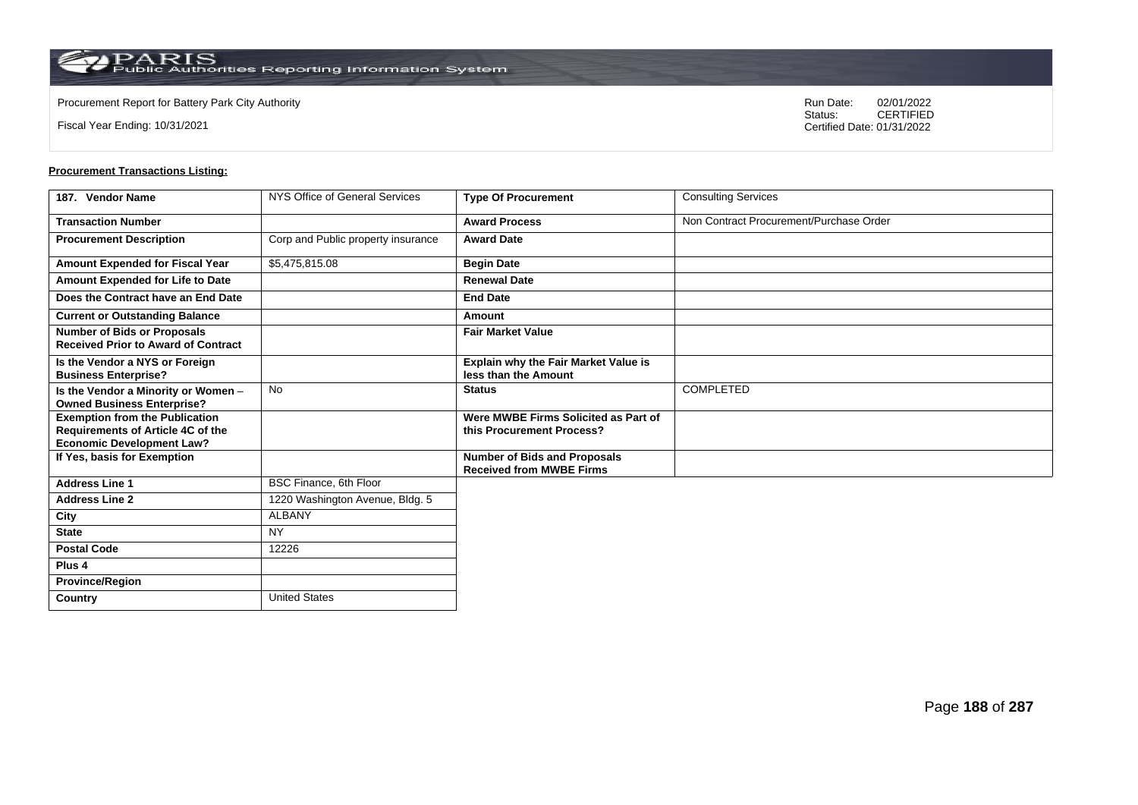**Country** United States

Fiscal Year Ending: 10/31/2021

Procurement Report for Battery Park City Authority **National State Concrete Concrete Concrete Concrete Concrete Concrete Concrete Concrete Concrete Concrete Concrete Concrete Concrete Concrete Concrete Concrete Concrete Co** CERTIFIED Certified Date: 01/31/2022

| 187. Vendor Name                                                                                               | NYS Office of General Services     | <b>Type Of Procurement</b>                                             | <b>Consulting Services</b>              |
|----------------------------------------------------------------------------------------------------------------|------------------------------------|------------------------------------------------------------------------|-----------------------------------------|
| <b>Transaction Number</b>                                                                                      |                                    | <b>Award Process</b>                                                   | Non Contract Procurement/Purchase Order |
| <b>Procurement Description</b>                                                                                 | Corp and Public property insurance | <b>Award Date</b>                                                      |                                         |
| Amount Expended for Fiscal Year                                                                                | \$5,475,815.08                     | <b>Begin Date</b>                                                      |                                         |
| Amount Expended for Life to Date                                                                               |                                    | <b>Renewal Date</b>                                                    |                                         |
| Does the Contract have an End Date                                                                             |                                    | <b>End Date</b>                                                        |                                         |
| <b>Current or Outstanding Balance</b>                                                                          |                                    | Amount                                                                 |                                         |
| <b>Number of Bids or Proposals</b><br><b>Received Prior to Award of Contract</b>                               |                                    | <b>Fair Market Value</b>                                               |                                         |
| Is the Vendor a NYS or Foreign<br><b>Business Enterprise?</b>                                                  |                                    | Explain why the Fair Market Value is<br>less than the Amount           |                                         |
| Is the Vendor a Minority or Women -<br><b>Owned Business Enterprise?</b>                                       | No                                 | <b>Status</b>                                                          | COMPLETED                               |
| <b>Exemption from the Publication</b><br>Requirements of Article 4C of the<br><b>Economic Development Law?</b> |                                    | Were MWBE Firms Solicited as Part of<br>this Procurement Process?      |                                         |
| If Yes, basis for Exemption                                                                                    |                                    | <b>Number of Bids and Proposals</b><br><b>Received from MWBE Firms</b> |                                         |
| <b>Address Line 1</b>                                                                                          | BSC Finance, 6th Floor             |                                                                        |                                         |
| <b>Address Line 2</b>                                                                                          | 1220 Washington Avenue, Bldg. 5    |                                                                        |                                         |
| City                                                                                                           | <b>ALBANY</b>                      |                                                                        |                                         |
| <b>State</b>                                                                                                   | <b>NY</b>                          |                                                                        |                                         |
| <b>Postal Code</b>                                                                                             | 12226                              |                                                                        |                                         |
| Plus <sub>4</sub>                                                                                              |                                    |                                                                        |                                         |
| <b>Province/Region</b>                                                                                         |                                    |                                                                        |                                         |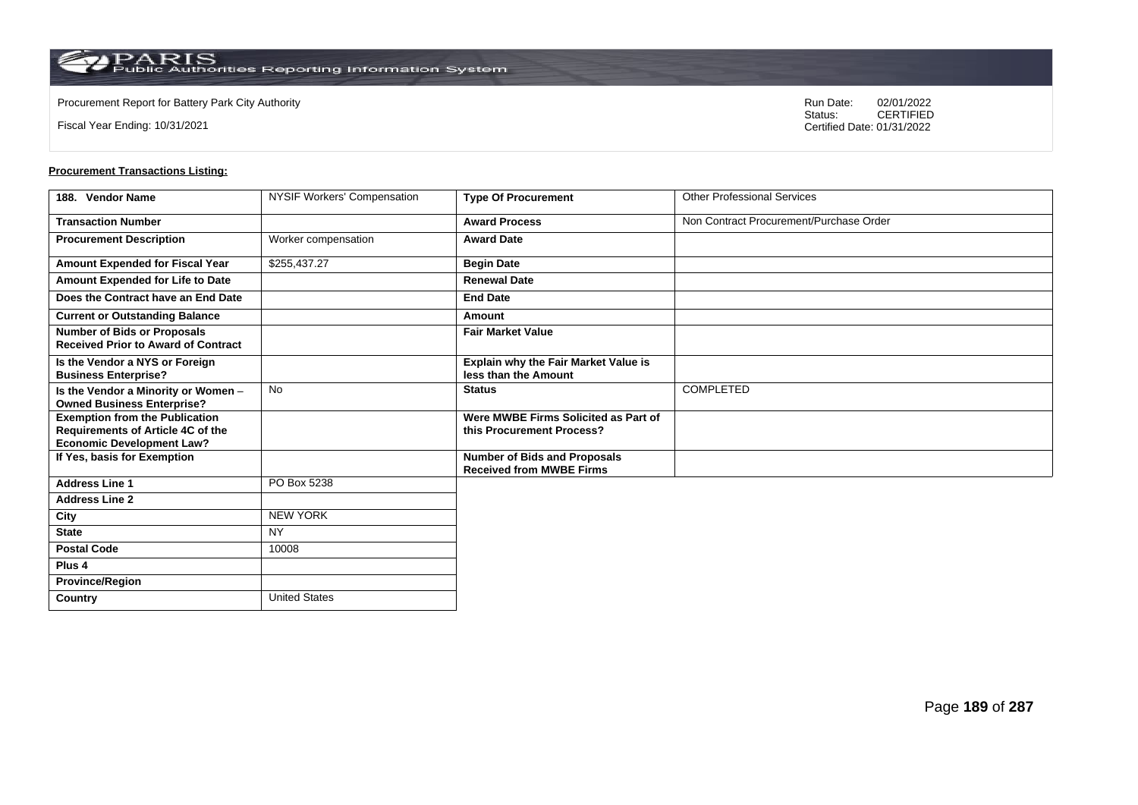$\operatorname{PARIS}_{\text{Public Authorities}\,\text{Reporting}\,\text{Information System}}$ 

**Country** United States

Fiscal Year Ending: 10/31/2021

Procurement Report for Battery Park City Authority **National State Concrete Concrete Concrete Concrete Concrete Concrete Concrete Concrete Concrete Concrete Concrete Concrete Concrete Concrete Concrete Concrete Concrete Co** CERTIFIED Certified Date: 01/31/2022

| 188. Vendor Name                                                                                                      | <b>NYSIF Workers' Compensation</b> | <b>Type Of Procurement</b>                                             | <b>Other Professional Services</b>      |
|-----------------------------------------------------------------------------------------------------------------------|------------------------------------|------------------------------------------------------------------------|-----------------------------------------|
| <b>Transaction Number</b>                                                                                             |                                    | <b>Award Process</b>                                                   | Non Contract Procurement/Purchase Order |
| <b>Procurement Description</b>                                                                                        | Worker compensation                | <b>Award Date</b>                                                      |                                         |
| Amount Expended for Fiscal Year                                                                                       | \$255,437.27                       | <b>Begin Date</b>                                                      |                                         |
| Amount Expended for Life to Date                                                                                      |                                    | <b>Renewal Date</b>                                                    |                                         |
| Does the Contract have an End Date                                                                                    |                                    | <b>End Date</b>                                                        |                                         |
| <b>Current or Outstanding Balance</b>                                                                                 |                                    | Amount                                                                 |                                         |
| <b>Number of Bids or Proposals</b><br><b>Received Prior to Award of Contract</b>                                      |                                    | <b>Fair Market Value</b>                                               |                                         |
| Is the Vendor a NYS or Foreign<br><b>Business Enterprise?</b>                                                         |                                    | <b>Explain why the Fair Market Value is</b><br>less than the Amount    |                                         |
| Is the Vendor a Minority or Women -<br><b>Owned Business Enterprise?</b>                                              | <b>No</b>                          | <b>Status</b>                                                          | <b>COMPLETED</b>                        |
| <b>Exemption from the Publication</b><br><b>Requirements of Article 4C of the</b><br><b>Economic Development Law?</b> |                                    | Were MWBE Firms Solicited as Part of<br>this Procurement Process?      |                                         |
| If Yes, basis for Exemption                                                                                           |                                    | <b>Number of Bids and Proposals</b><br><b>Received from MWBE Firms</b> |                                         |
| <b>Address Line 1</b>                                                                                                 | PO Box 5238                        |                                                                        |                                         |
| <b>Address Line 2</b>                                                                                                 |                                    |                                                                        |                                         |
| City                                                                                                                  | <b>NEW YORK</b>                    |                                                                        |                                         |
| <b>State</b>                                                                                                          | <b>NY</b>                          |                                                                        |                                         |
| <b>Postal Code</b>                                                                                                    | 10008                              |                                                                        |                                         |
| Plus <sub>4</sub>                                                                                                     |                                    |                                                                        |                                         |
| <b>Province/Region</b>                                                                                                |                                    |                                                                        |                                         |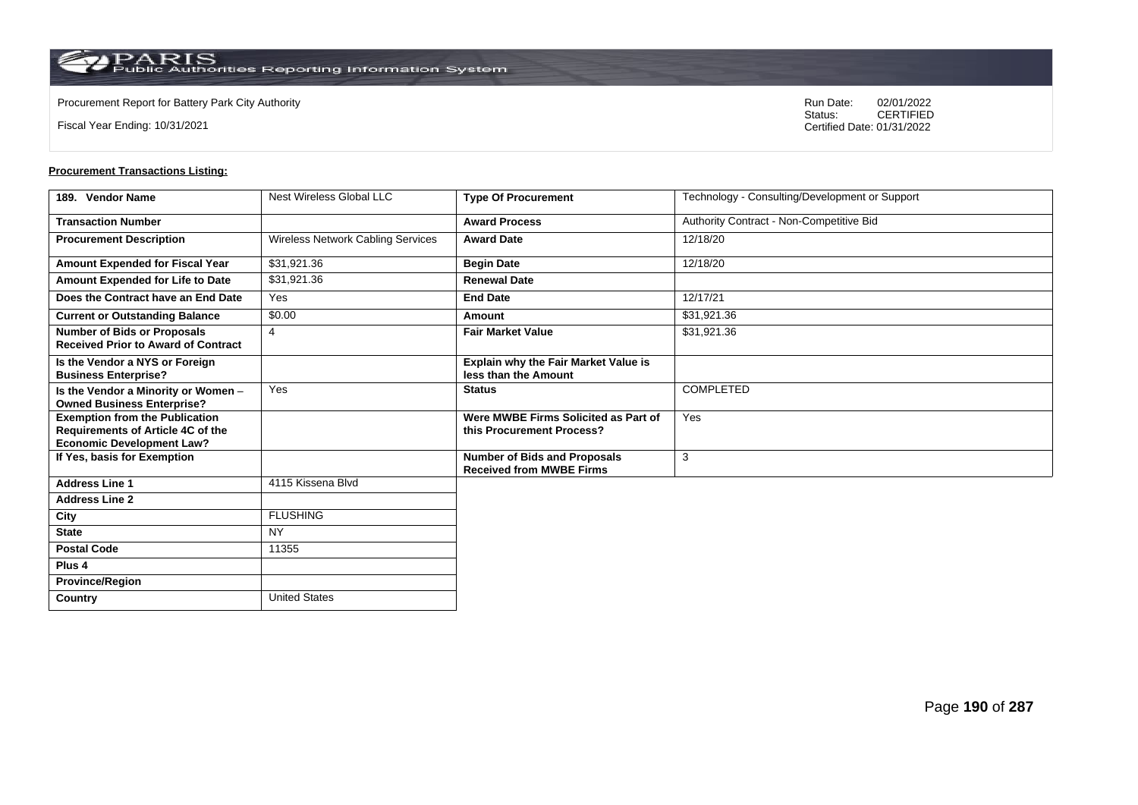$\operatorname{PARIS}_{\text{Public Authorities}\,\text{Reporting}\,\text{Information System}}$ 

**Country** United States

Fiscal Year Ending: 10/31/2021

Procurement Report for Battery Park City Authority **National State Concrete Concrete Concrete Concrete Concrete Concrete Concrete Concrete Concrete Concrete Concrete Concrete Concrete Concrete Concrete Concrete Concrete Co** CERTIFIED Certified Date: 01/31/2022

| 189. Vendor Name                                                                                               | Nest Wireless Global LLC          | <b>Type Of Procurement</b>                                             | Technology - Consulting/Development or Support |
|----------------------------------------------------------------------------------------------------------------|-----------------------------------|------------------------------------------------------------------------|------------------------------------------------|
| <b>Transaction Number</b>                                                                                      |                                   | <b>Award Process</b>                                                   | Authority Contract - Non-Competitive Bid       |
| <b>Procurement Description</b>                                                                                 | Wireless Network Cabling Services | <b>Award Date</b>                                                      | 12/18/20                                       |
| Amount Expended for Fiscal Year                                                                                | \$31,921.36                       | <b>Begin Date</b>                                                      | 12/18/20                                       |
| Amount Expended for Life to Date                                                                               | \$31,921.36                       | <b>Renewal Date</b>                                                    |                                                |
| Does the Contract have an End Date                                                                             | Yes                               | <b>End Date</b>                                                        | 12/17/21                                       |
| <b>Current or Outstanding Balance</b>                                                                          | \$0.00                            | Amount                                                                 | \$31,921.36                                    |
| <b>Number of Bids or Proposals</b><br><b>Received Prior to Award of Contract</b>                               | $\overline{4}$                    | <b>Fair Market Value</b>                                               | \$31,921.36                                    |
| Is the Vendor a NYS or Foreign<br><b>Business Enterprise?</b>                                                  |                                   | <b>Explain why the Fair Market Value is</b><br>less than the Amount    |                                                |
| Is the Vendor a Minority or Women -<br><b>Owned Business Enterprise?</b>                                       | Yes                               | <b>Status</b>                                                          | <b>COMPLETED</b>                               |
| <b>Exemption from the Publication</b><br>Requirements of Article 4C of the<br><b>Economic Development Law?</b> |                                   | Were MWBE Firms Solicited as Part of<br>this Procurement Process?      | Yes                                            |
| If Yes, basis for Exemption                                                                                    |                                   | <b>Number of Bids and Proposals</b><br><b>Received from MWBE Firms</b> | 3                                              |
| <b>Address Line 1</b>                                                                                          | 4115 Kissena Blvd                 |                                                                        |                                                |
| <b>Address Line 2</b>                                                                                          |                                   |                                                                        |                                                |
| City                                                                                                           | <b>FLUSHING</b>                   |                                                                        |                                                |
| <b>State</b>                                                                                                   | <b>NY</b>                         |                                                                        |                                                |
| <b>Postal Code</b>                                                                                             | 11355                             |                                                                        |                                                |
| Plus <sub>4</sub>                                                                                              |                                   |                                                                        |                                                |
| <b>Province/Region</b>                                                                                         |                                   |                                                                        |                                                |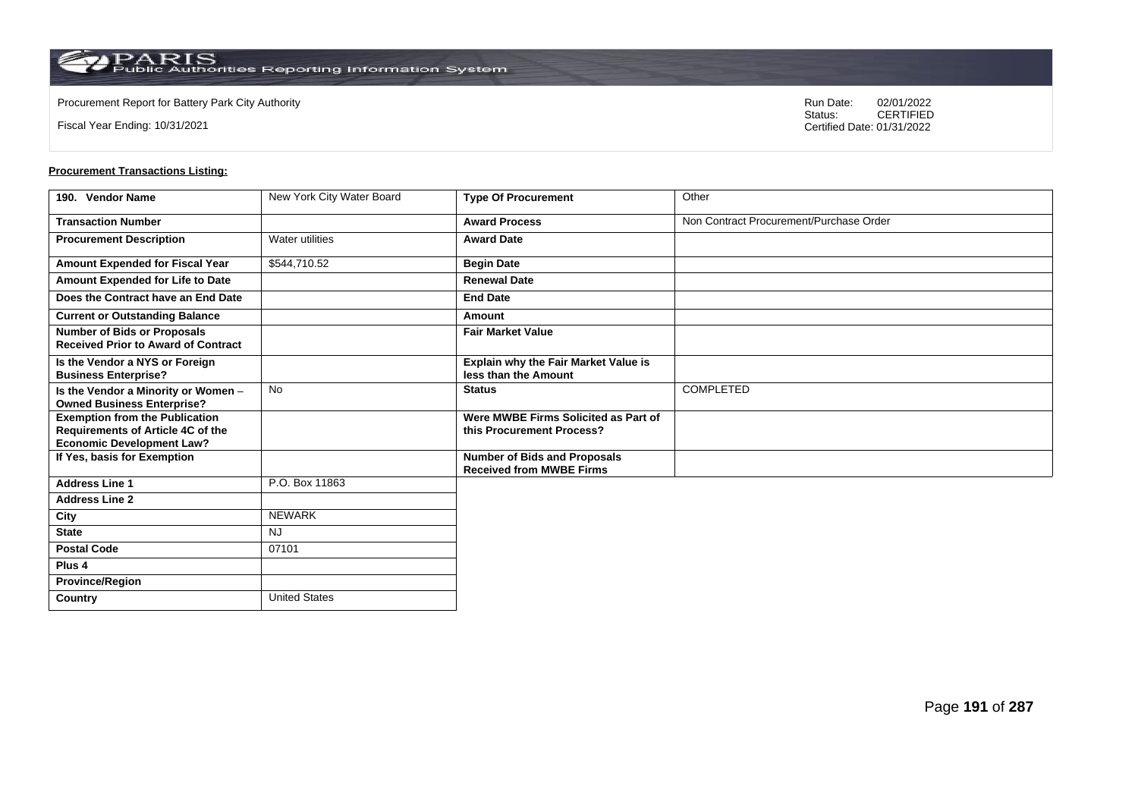**Country** United States

Fiscal Year Ending: 10/31/2021

Procurement Report for Battery Park City Authority **National State Concrete Concrete Concrete Concrete Concrete Concrete Concrete Concrete Concrete Concrete Concrete Concrete Concrete Concrete Concrete Concrete Concrete Co** CERTIFIED Certified Date: 01/31/2022

| 190. Vendor Name                                                                                                      | New York City Water Board | <b>Type Of Procurement</b>                                             | Other                                   |
|-----------------------------------------------------------------------------------------------------------------------|---------------------------|------------------------------------------------------------------------|-----------------------------------------|
| <b>Transaction Number</b>                                                                                             |                           | <b>Award Process</b>                                                   | Non Contract Procurement/Purchase Order |
| <b>Procurement Description</b>                                                                                        | <b>Water utilities</b>    | <b>Award Date</b>                                                      |                                         |
| Amount Expended for Fiscal Year                                                                                       | \$544,710.52              | <b>Begin Date</b>                                                      |                                         |
| Amount Expended for Life to Date                                                                                      |                           | <b>Renewal Date</b>                                                    |                                         |
| Does the Contract have an End Date                                                                                    |                           | <b>End Date</b>                                                        |                                         |
| <b>Current or Outstanding Balance</b>                                                                                 |                           | Amount                                                                 |                                         |
| <b>Number of Bids or Proposals</b><br><b>Received Prior to Award of Contract</b>                                      |                           | <b>Fair Market Value</b>                                               |                                         |
| Is the Vendor a NYS or Foreign<br><b>Business Enterprise?</b>                                                         |                           | Explain why the Fair Market Value is<br>less than the Amount           |                                         |
| Is the Vendor a Minority or Women -<br><b>Owned Business Enterprise?</b>                                              | <b>No</b>                 | <b>Status</b>                                                          | <b>COMPLETED</b>                        |
| <b>Exemption from the Publication</b><br><b>Requirements of Article 4C of the</b><br><b>Economic Development Law?</b> |                           | Were MWBE Firms Solicited as Part of<br>this Procurement Process?      |                                         |
| If Yes, basis for Exemption                                                                                           |                           | <b>Number of Bids and Proposals</b><br><b>Received from MWBE Firms</b> |                                         |
| <b>Address Line 1</b>                                                                                                 | P.O. Box 11863            |                                                                        |                                         |
| <b>Address Line 2</b>                                                                                                 |                           |                                                                        |                                         |
| City                                                                                                                  | <b>NEWARK</b>             |                                                                        |                                         |
| <b>State</b>                                                                                                          | <b>NJ</b>                 |                                                                        |                                         |
| <b>Postal Code</b>                                                                                                    | 07101                     |                                                                        |                                         |
| Plus <sub>4</sub>                                                                                                     |                           |                                                                        |                                         |
| <b>Province/Region</b>                                                                                                |                           |                                                                        |                                         |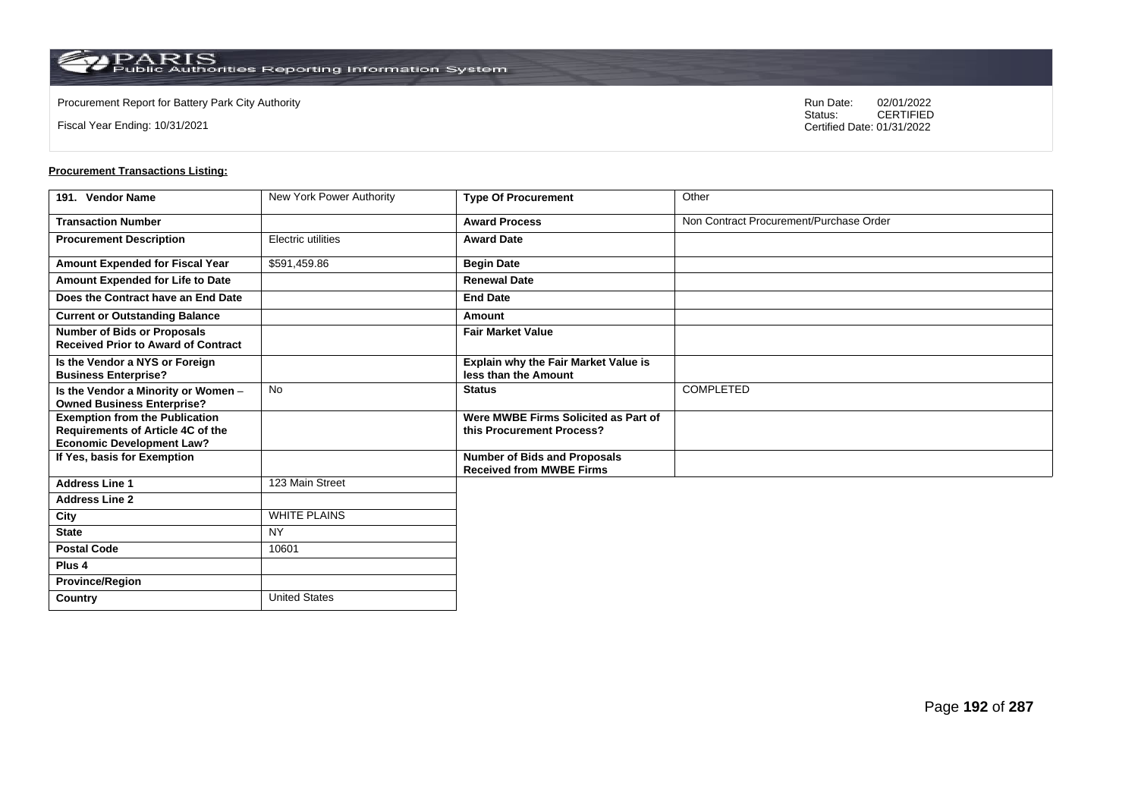**Country** United States

Fiscal Year Ending: 10/31/2021

Procurement Report for Battery Park City Authority **National State Concrete Concrete Concrete Concrete Concrete Concrete Concrete Concrete Concrete Concrete Concrete Concrete Concrete Concrete Concrete Concrete Concrete Co** CERTIFIED Certified Date: 01/31/2022

| 191. Vendor Name                                                                                               | New York Power Authority | <b>Type Of Procurement</b>                                             | Other                                   |
|----------------------------------------------------------------------------------------------------------------|--------------------------|------------------------------------------------------------------------|-----------------------------------------|
| <b>Transaction Number</b>                                                                                      |                          | <b>Award Process</b>                                                   | Non Contract Procurement/Purchase Order |
| <b>Procurement Description</b>                                                                                 | Electric utilities       | <b>Award Date</b>                                                      |                                         |
| Amount Expended for Fiscal Year                                                                                | \$591,459.86             | <b>Begin Date</b>                                                      |                                         |
| Amount Expended for Life to Date                                                                               |                          | <b>Renewal Date</b>                                                    |                                         |
| Does the Contract have an End Date                                                                             |                          | <b>End Date</b>                                                        |                                         |
| <b>Current or Outstanding Balance</b>                                                                          |                          | Amount                                                                 |                                         |
| <b>Number of Bids or Proposals</b><br><b>Received Prior to Award of Contract</b>                               |                          | <b>Fair Market Value</b>                                               |                                         |
| Is the Vendor a NYS or Foreign<br><b>Business Enterprise?</b>                                                  |                          | Explain why the Fair Market Value is<br>less than the Amount           |                                         |
| Is the Vendor a Minority or Women -<br><b>Owned Business Enterprise?</b>                                       | No                       | <b>Status</b>                                                          | <b>COMPLETED</b>                        |
| <b>Exemption from the Publication</b><br>Requirements of Article 4C of the<br><b>Economic Development Law?</b> |                          | Were MWBE Firms Solicited as Part of<br>this Procurement Process?      |                                         |
| If Yes, basis for Exemption                                                                                    |                          | <b>Number of Bids and Proposals</b><br><b>Received from MWBE Firms</b> |                                         |
| <b>Address Line 1</b>                                                                                          | 123 Main Street          |                                                                        |                                         |
| <b>Address Line 2</b>                                                                                          |                          |                                                                        |                                         |
| City                                                                                                           | <b>WHITE PLAINS</b>      |                                                                        |                                         |
| <b>State</b>                                                                                                   | <b>NY</b>                |                                                                        |                                         |
| <b>Postal Code</b>                                                                                             | 10601                    |                                                                        |                                         |
| Plus <sub>4</sub>                                                                                              |                          |                                                                        |                                         |
| <b>Province/Region</b>                                                                                         |                          |                                                                        |                                         |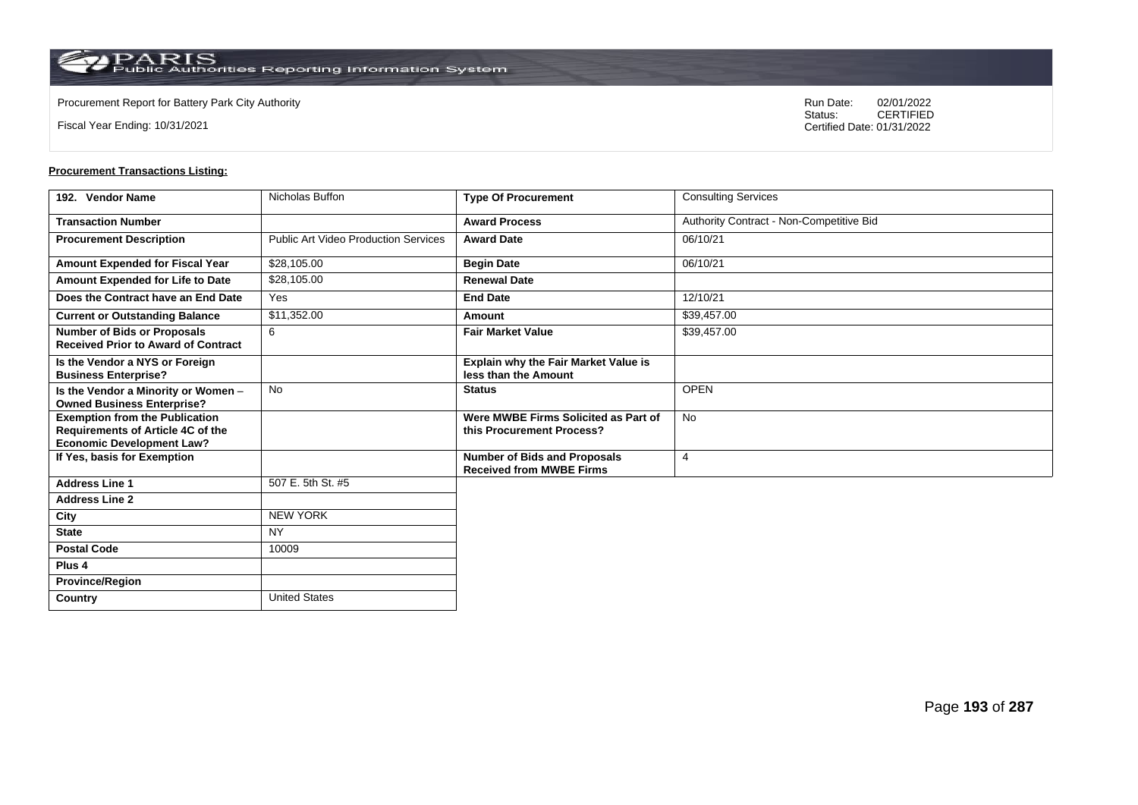**Country** United States

Fiscal Year Ending: 10/31/2021

Procurement Report for Battery Park City Authority **National State Concrete Concrete Concrete Concrete Concrete Concrete Concrete Concrete Concrete Concrete Concrete Concrete Concrete Concrete Concrete Concrete Concrete Co** CERTIFIED Certified Date: 01/31/2022

| 192. Vendor Name                                                                                               | Nicholas Buffon                             | <b>Type Of Procurement</b>                                             | <b>Consulting Services</b>               |
|----------------------------------------------------------------------------------------------------------------|---------------------------------------------|------------------------------------------------------------------------|------------------------------------------|
| <b>Transaction Number</b>                                                                                      |                                             | <b>Award Process</b>                                                   | Authority Contract - Non-Competitive Bid |
| <b>Procurement Description</b>                                                                                 | <b>Public Art Video Production Services</b> | <b>Award Date</b>                                                      | 06/10/21                                 |
| Amount Expended for Fiscal Year                                                                                | \$28,105.00                                 | <b>Begin Date</b>                                                      | 06/10/21                                 |
| Amount Expended for Life to Date                                                                               | \$28,105.00                                 | <b>Renewal Date</b>                                                    |                                          |
| Does the Contract have an End Date                                                                             | Yes                                         | <b>End Date</b>                                                        | 12/10/21                                 |
| <b>Current or Outstanding Balance</b>                                                                          | \$11,352.00                                 | Amount                                                                 | \$39,457.00                              |
| <b>Number of Bids or Proposals</b><br><b>Received Prior to Award of Contract</b>                               | 6                                           | <b>Fair Market Value</b>                                               | \$39,457.00                              |
| Is the Vendor a NYS or Foreign<br><b>Business Enterprise?</b>                                                  |                                             | <b>Explain why the Fair Market Value is</b><br>less than the Amount    |                                          |
| Is the Vendor a Minority or Women -<br><b>Owned Business Enterprise?</b>                                       | <b>No</b>                                   | <b>Status</b>                                                          | <b>OPEN</b>                              |
| <b>Exemption from the Publication</b><br>Requirements of Article 4C of the<br><b>Economic Development Law?</b> |                                             | Were MWBE Firms Solicited as Part of<br>this Procurement Process?      | <b>No</b>                                |
| If Yes, basis for Exemption                                                                                    |                                             | <b>Number of Bids and Proposals</b><br><b>Received from MWBE Firms</b> | 4                                        |
| <b>Address Line 1</b>                                                                                          | 507 E. 5th St. #5                           |                                                                        |                                          |
| <b>Address Line 2</b>                                                                                          |                                             |                                                                        |                                          |
| City                                                                                                           | <b>NEW YORK</b>                             |                                                                        |                                          |
| <b>State</b>                                                                                                   | <b>NY</b>                                   |                                                                        |                                          |
| <b>Postal Code</b>                                                                                             | 10009                                       |                                                                        |                                          |
| Plus <sub>4</sub>                                                                                              |                                             |                                                                        |                                          |
| <b>Province/Region</b>                                                                                         |                                             |                                                                        |                                          |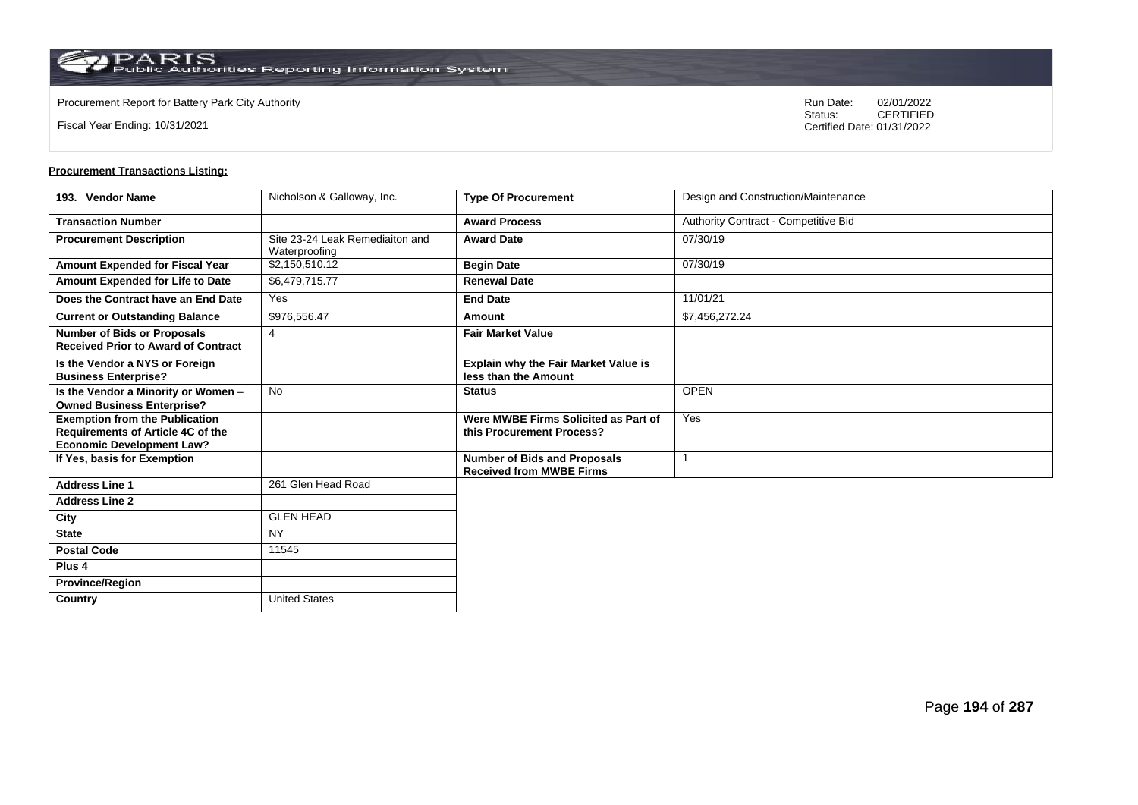$\operatorname{PARIS}_{\text{Public Authorities Reporting Information System}}$ 

**Country** United States

Fiscal Year Ending: 10/31/2021

Procurement Report for Battery Park City Authority **National State Concrete Concrete Concrete Concrete Concrete Concrete Concrete Concrete Concrete Concrete Concrete Concrete Concrete Concrete Concrete Concrete Concrete Co** CERTIFIED Certified Date: 01/31/2022

| 193. Vendor Name                                                                                               | Nicholson & Galloway, Inc.                       | <b>Type Of Procurement</b>                                             | Design and Construction/Maintenance  |
|----------------------------------------------------------------------------------------------------------------|--------------------------------------------------|------------------------------------------------------------------------|--------------------------------------|
| <b>Transaction Number</b>                                                                                      |                                                  | <b>Award Process</b>                                                   | Authority Contract - Competitive Bid |
| <b>Procurement Description</b>                                                                                 | Site 23-24 Leak Remediaiton and<br>Waterproofing | <b>Award Date</b>                                                      | 07/30/19                             |
| Amount Expended for Fiscal Year                                                                                | \$2,150,510.12                                   | <b>Begin Date</b>                                                      | 07/30/19                             |
| Amount Expended for Life to Date                                                                               | \$6,479,715.77                                   | <b>Renewal Date</b>                                                    |                                      |
| Does the Contract have an End Date                                                                             | Yes                                              | <b>End Date</b>                                                        | 11/01/21                             |
| <b>Current or Outstanding Balance</b>                                                                          | \$976,556.47                                     | Amount                                                                 | \$7,456,272.24                       |
| <b>Number of Bids or Proposals</b><br><b>Received Prior to Award of Contract</b>                               | $\overline{4}$                                   | <b>Fair Market Value</b>                                               |                                      |
| Is the Vendor a NYS or Foreign<br><b>Business Enterprise?</b>                                                  |                                                  | <b>Explain why the Fair Market Value is</b><br>less than the Amount    |                                      |
| Is the Vendor a Minority or Women -<br><b>Owned Business Enterprise?</b>                                       | <b>No</b>                                        | <b>Status</b>                                                          | <b>OPEN</b>                          |
| <b>Exemption from the Publication</b><br>Requirements of Article 4C of the<br><b>Economic Development Law?</b> |                                                  | Were MWBE Firms Solicited as Part of<br>this Procurement Process?      | Yes                                  |
| If Yes, basis for Exemption                                                                                    |                                                  | <b>Number of Bids and Proposals</b><br><b>Received from MWBE Firms</b> | $\overline{1}$                       |
| <b>Address Line 1</b>                                                                                          | 261 Glen Head Road                               |                                                                        |                                      |
| <b>Address Line 2</b>                                                                                          |                                                  |                                                                        |                                      |
| City                                                                                                           | <b>GLEN HEAD</b>                                 |                                                                        |                                      |
| <b>State</b>                                                                                                   | <b>NY</b>                                        |                                                                        |                                      |
| <b>Postal Code</b>                                                                                             | 11545                                            |                                                                        |                                      |
| Plus <sub>4</sub>                                                                                              |                                                  |                                                                        |                                      |
| <b>Province/Region</b>                                                                                         |                                                  |                                                                        |                                      |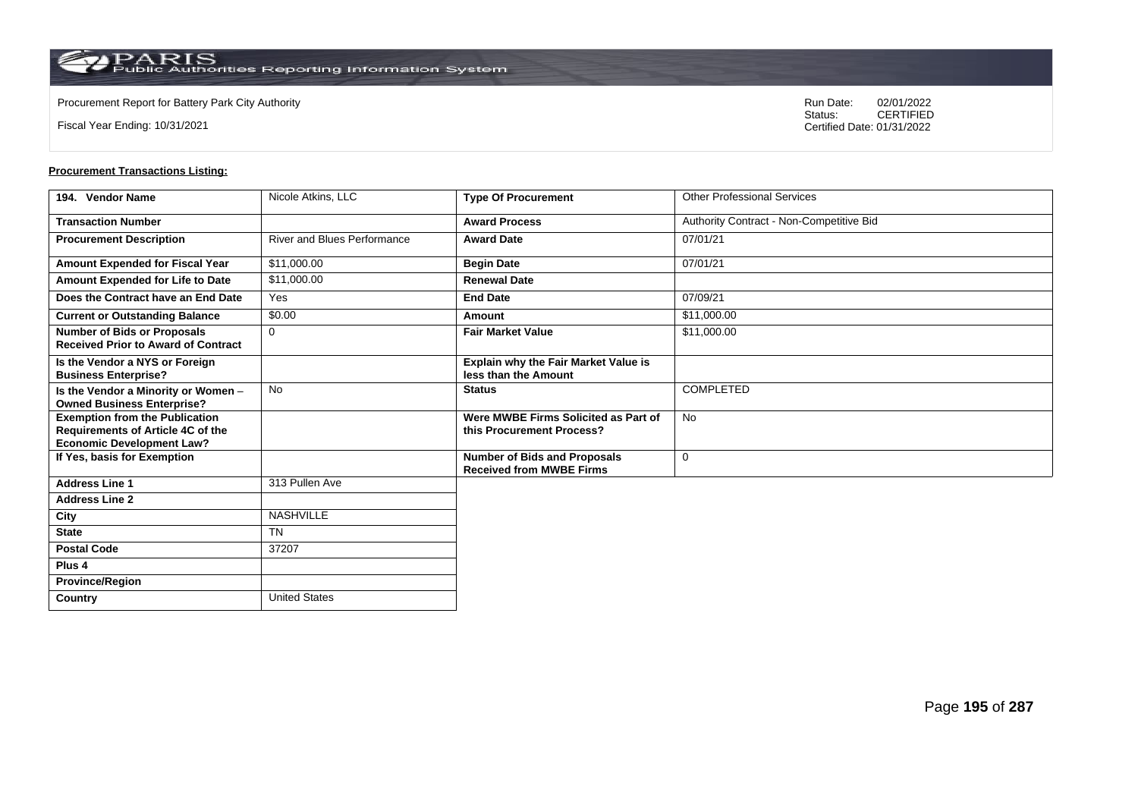$\operatorname{PARIS}_{\text{Public Authorities Reporting Information System}}$ 

**Country** United States

Fiscal Year Ending: 10/31/2021

Procurement Report for Battery Park City Authority **National State Concrete Concrete Concrete Concrete Concrete Concrete Concrete Concrete Concrete Concrete Concrete Concrete Concrete Concrete Concrete Concrete Concrete Co** CERTIFIED Certified Date: 01/31/2022

| 194. Vendor Name                                                                                                      | Nicole Atkins, LLC                 | <b>Type Of Procurement</b>                                             | <b>Other Professional Services</b>       |
|-----------------------------------------------------------------------------------------------------------------------|------------------------------------|------------------------------------------------------------------------|------------------------------------------|
| <b>Transaction Number</b>                                                                                             |                                    | <b>Award Process</b>                                                   | Authority Contract - Non-Competitive Bid |
| <b>Procurement Description</b>                                                                                        | <b>River and Blues Performance</b> | <b>Award Date</b>                                                      | 07/01/21                                 |
| Amount Expended for Fiscal Year                                                                                       | \$11,000.00                        | <b>Begin Date</b>                                                      | 07/01/21                                 |
| Amount Expended for Life to Date                                                                                      | \$11,000.00                        | <b>Renewal Date</b>                                                    |                                          |
| Does the Contract have an End Date                                                                                    | Yes                                | <b>End Date</b>                                                        | 07/09/21                                 |
| <b>Current or Outstanding Balance</b>                                                                                 | \$0.00                             | Amount                                                                 | \$11,000.00                              |
| <b>Number of Bids or Proposals</b><br><b>Received Prior to Award of Contract</b>                                      | 0                                  | <b>Fair Market Value</b>                                               | \$11,000.00                              |
| Is the Vendor a NYS or Foreign<br><b>Business Enterprise?</b>                                                         |                                    | Explain why the Fair Market Value is<br>less than the Amount           |                                          |
| Is the Vendor a Minority or Women -<br><b>Owned Business Enterprise?</b>                                              | <b>No</b>                          | <b>Status</b>                                                          | <b>COMPLETED</b>                         |
| <b>Exemption from the Publication</b><br><b>Requirements of Article 4C of the</b><br><b>Economic Development Law?</b> |                                    | Were MWBE Firms Solicited as Part of<br>this Procurement Process?      | <b>No</b>                                |
| If Yes, basis for Exemption                                                                                           |                                    | <b>Number of Bids and Proposals</b><br><b>Received from MWBE Firms</b> | 0                                        |
| <b>Address Line 1</b>                                                                                                 | 313 Pullen Ave                     |                                                                        |                                          |
| <b>Address Line 2</b>                                                                                                 |                                    |                                                                        |                                          |
| City                                                                                                                  | <b>NASHVILLE</b>                   |                                                                        |                                          |
| <b>State</b>                                                                                                          | <b>TN</b>                          |                                                                        |                                          |
| <b>Postal Code</b>                                                                                                    | 37207                              |                                                                        |                                          |
| Plus <sub>4</sub>                                                                                                     |                                    |                                                                        |                                          |
| <b>Province/Region</b>                                                                                                |                                    |                                                                        |                                          |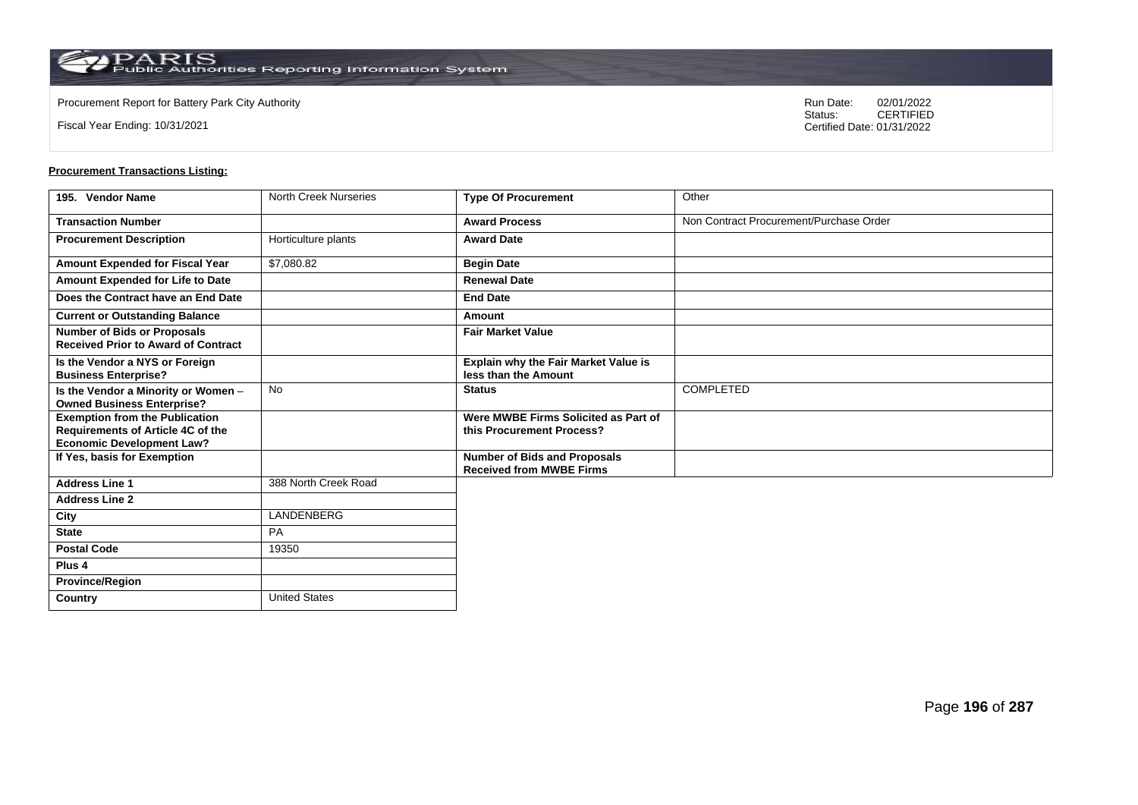Fiscal Year Ending: 10/31/2021

Procurement Report for Battery Park City Authority **National State Concrete Concrete Concrete Concrete Concrete Concrete Concrete Concrete Concrete Concrete Concrete Concrete Concrete Concrete Concrete Concrete Concrete Co** CERTIFIED Certified Date: 01/31/2022

| 195. Vendor Name                                                                 | <b>North Creek Nurseries</b> | <b>Type Of Procurement</b>                                             | Other                                   |
|----------------------------------------------------------------------------------|------------------------------|------------------------------------------------------------------------|-----------------------------------------|
| <b>Transaction Number</b>                                                        |                              | <b>Award Process</b>                                                   | Non Contract Procurement/Purchase Order |
| <b>Procurement Description</b>                                                   | Horticulture plants          | <b>Award Date</b>                                                      |                                         |
| Amount Expended for Fiscal Year                                                  | \$7,080.82                   | <b>Begin Date</b>                                                      |                                         |
| Amount Expended for Life to Date                                                 |                              | <b>Renewal Date</b>                                                    |                                         |
| Does the Contract have an End Date                                               |                              | <b>End Date</b>                                                        |                                         |
| <b>Current or Outstanding Balance</b>                                            |                              | Amount                                                                 |                                         |
| <b>Number of Bids or Proposals</b><br><b>Received Prior to Award of Contract</b> |                              | <b>Fair Market Value</b>                                               |                                         |
| Is the Vendor a NYS or Foreign<br><b>Business Enterprise?</b>                    |                              | Explain why the Fair Market Value is<br>less than the Amount           |                                         |
| Is the Vendor a Minority or Women -<br><b>Owned Business Enterprise?</b>         | <b>No</b>                    | <b>Status</b>                                                          | <b>COMPLETED</b>                        |
| <b>Exemption from the Publication</b><br>Requirements of Article 4C of the       |                              | Were MWBE Firms Solicited as Part of<br>this Procurement Process?      |                                         |
| <b>Economic Development Law?</b>                                                 |                              |                                                                        |                                         |
| If Yes, basis for Exemption                                                      |                              | <b>Number of Bids and Proposals</b><br><b>Received from MWBE Firms</b> |                                         |
| <b>Address Line 1</b>                                                            | 388 North Creek Road         |                                                                        |                                         |
| <b>Address Line 2</b>                                                            |                              |                                                                        |                                         |
| City                                                                             | LANDENBERG                   |                                                                        |                                         |
| <b>State</b>                                                                     | <b>PA</b>                    |                                                                        |                                         |
| <b>Postal Code</b>                                                               | 19350                        |                                                                        |                                         |
| Plus 4                                                                           |                              |                                                                        |                                         |
| <b>Province/Region</b>                                                           |                              |                                                                        |                                         |
| <b>Country</b>                                                                   | <b>United States</b>         |                                                                        |                                         |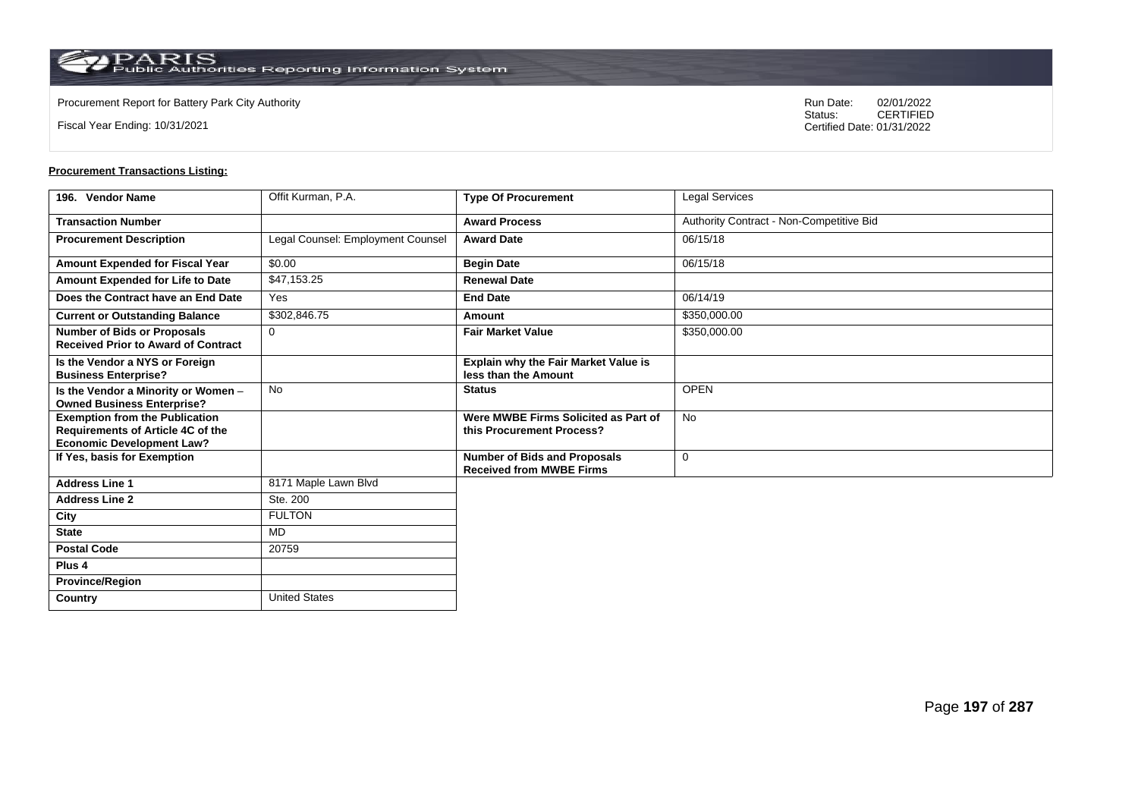$\operatorname{PARIS}_{\text{Public Authorities}\,\text{Reporting}\,\text{Information System}}$ 

**Country** United States

Fiscal Year Ending: 10/31/2021

Procurement Report for Battery Park City Authority **National State Concrete Concrete Concrete Concrete Concrete Concrete Concrete Concrete Concrete Concrete Concrete Concrete Concrete Concrete Concrete Concrete Concrete Co** CERTIFIED Certified Date: 01/31/2022

| 196. Vendor Name                                                                                               | Offit Kurman, P.A.                | <b>Type Of Procurement</b>                                          | Legal Services                           |
|----------------------------------------------------------------------------------------------------------------|-----------------------------------|---------------------------------------------------------------------|------------------------------------------|
| <b>Transaction Number</b>                                                                                      |                                   | <b>Award Process</b>                                                | Authority Contract - Non-Competitive Bid |
| <b>Procurement Description</b>                                                                                 | Legal Counsel: Employment Counsel | <b>Award Date</b>                                                   | 06/15/18                                 |
| Amount Expended for Fiscal Year                                                                                | \$0.00                            | <b>Begin Date</b>                                                   | 06/15/18                                 |
| Amount Expended for Life to Date                                                                               | \$47,153.25                       | <b>Renewal Date</b>                                                 |                                          |
| Does the Contract have an End Date                                                                             | Yes                               | <b>End Date</b>                                                     | 06/14/19                                 |
| <b>Current or Outstanding Balance</b>                                                                          | \$302,846.75                      | Amount                                                              | \$350,000.00                             |
| <b>Number of Bids or Proposals</b><br><b>Received Prior to Award of Contract</b>                               | $\Omega$                          | <b>Fair Market Value</b>                                            | \$350,000.00                             |
| Is the Vendor a NYS or Foreign<br><b>Business Enterprise?</b>                                                  |                                   | <b>Explain why the Fair Market Value is</b><br>less than the Amount |                                          |
| Is the Vendor a Minority or Women -<br><b>Owned Business Enterprise?</b>                                       | <b>No</b>                         | <b>Status</b>                                                       | <b>OPEN</b>                              |
| <b>Exemption from the Publication</b><br>Requirements of Article 4C of the<br><b>Economic Development Law?</b> |                                   | Were MWBE Firms Solicited as Part of<br>this Procurement Process?   | <b>No</b>                                |
| If Yes, basis for Exemption                                                                                    |                                   | Number of Bids and Proposals<br><b>Received from MWBE Firms</b>     | 0                                        |
| <b>Address Line 1</b>                                                                                          | 8171 Maple Lawn Blvd              |                                                                     |                                          |
| <b>Address Line 2</b>                                                                                          | Ste. 200                          |                                                                     |                                          |
| City                                                                                                           | <b>FULTON</b>                     |                                                                     |                                          |
| <b>State</b>                                                                                                   | MD                                |                                                                     |                                          |
| <b>Postal Code</b>                                                                                             | 20759                             |                                                                     |                                          |
| Plus <sub>4</sub>                                                                                              |                                   |                                                                     |                                          |
| <b>Province/Region</b>                                                                                         |                                   |                                                                     |                                          |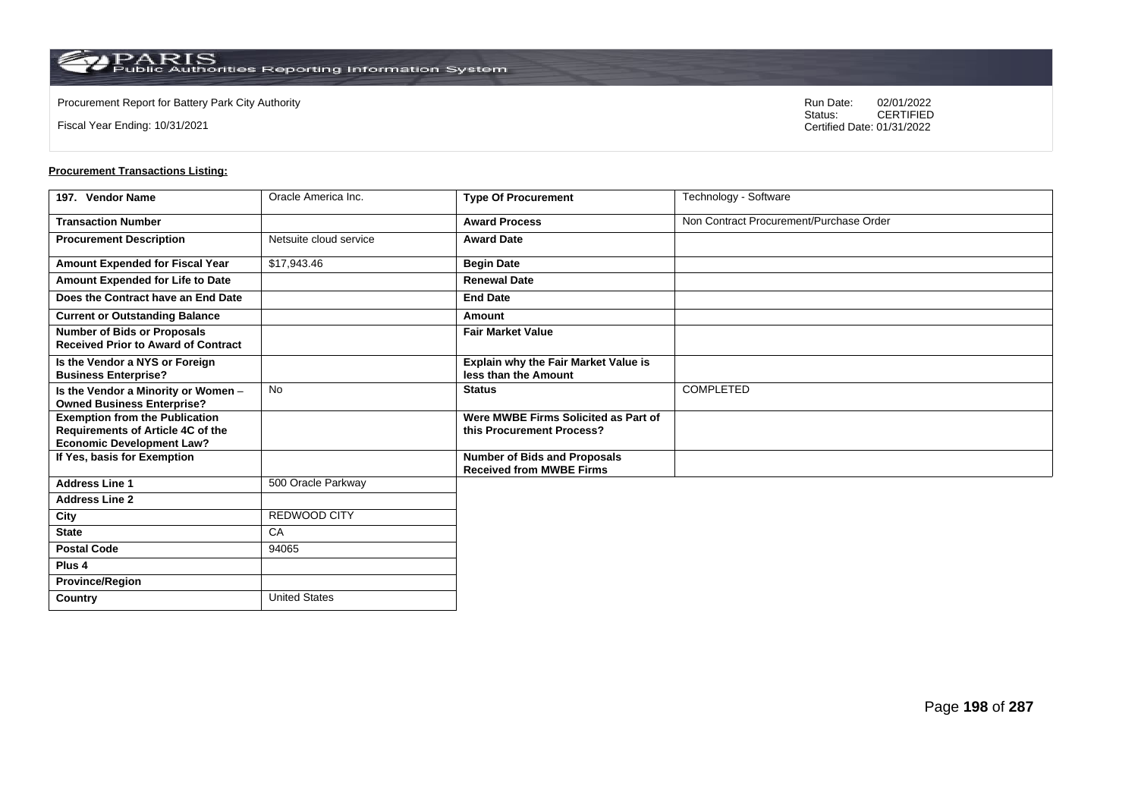Fiscal Year Ending: 10/31/2021

Procurement Report for Battery Park City Authority **National State Concrete Concrete Concrete Concrete Concrete Concrete Concrete Concrete Concrete Concrete Concrete Concrete Concrete Concrete Concrete Concrete Concrete Co** CERTIFIED Certified Date: 01/31/2022

| 197. Vendor Name                                                                 | Oracle America Inc.    | <b>Type Of Procurement</b>                                             | Technology - Software                   |
|----------------------------------------------------------------------------------|------------------------|------------------------------------------------------------------------|-----------------------------------------|
| <b>Transaction Number</b>                                                        |                        | <b>Award Process</b>                                                   | Non Contract Procurement/Purchase Order |
| <b>Procurement Description</b>                                                   | Netsuite cloud service | <b>Award Date</b>                                                      |                                         |
| Amount Expended for Fiscal Year                                                  | \$17,943.46            | <b>Begin Date</b>                                                      |                                         |
| Amount Expended for Life to Date                                                 |                        | <b>Renewal Date</b>                                                    |                                         |
| Does the Contract have an End Date                                               |                        | <b>End Date</b>                                                        |                                         |
| <b>Current or Outstanding Balance</b>                                            |                        | Amount                                                                 |                                         |
| <b>Number of Bids or Proposals</b><br><b>Received Prior to Award of Contract</b> |                        | <b>Fair Market Value</b>                                               |                                         |
| Is the Vendor a NYS or Foreign<br><b>Business Enterprise?</b>                    |                        | Explain why the Fair Market Value is<br>less than the Amount           |                                         |
| Is the Vendor a Minority or Women -<br><b>Owned Business Enterprise?</b>         | <b>No</b>              | <b>Status</b>                                                          | <b>COMPLETED</b>                        |
| <b>Exemption from the Publication</b><br>Requirements of Article 4C of the       |                        | Were MWBE Firms Solicited as Part of<br>this Procurement Process?      |                                         |
| <b>Economic Development Law?</b>                                                 |                        |                                                                        |                                         |
| If Yes, basis for Exemption                                                      |                        | <b>Number of Bids and Proposals</b><br><b>Received from MWBE Firms</b> |                                         |
| <b>Address Line 1</b>                                                            | 500 Oracle Parkway     |                                                                        |                                         |
| <b>Address Line 2</b>                                                            |                        |                                                                        |                                         |
| City                                                                             | REDWOOD CITY           |                                                                        |                                         |
| <b>State</b>                                                                     | CA                     |                                                                        |                                         |
| <b>Postal Code</b>                                                               | 94065                  |                                                                        |                                         |
| Plus 4                                                                           |                        |                                                                        |                                         |
| <b>Province/Region</b>                                                           |                        |                                                                        |                                         |
| <b>Country</b>                                                                   | <b>United States</b>   |                                                                        |                                         |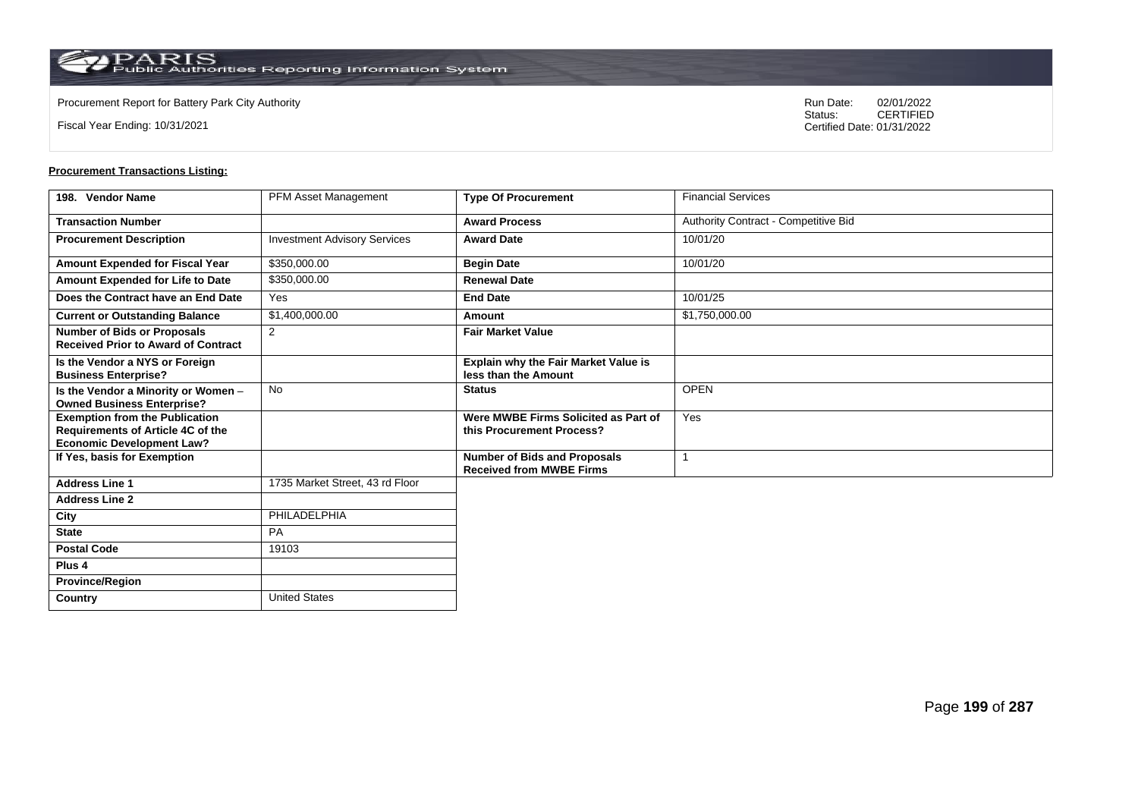**Country** United States

Fiscal Year Ending: 10/31/2021

Procurement Report for Battery Park City Authority **National State Concrete Concrete Concrete Concrete Concrete Concrete Concrete Concrete Concrete Concrete Concrete Concrete Concrete Concrete Concrete Concrete Concrete Co** CERTIFIED Certified Date: 01/31/2022

| 198. Vendor Name                                                                                                      | <b>PFM Asset Management</b>         | <b>Type Of Procurement</b>                                             | <b>Financial Services</b>            |
|-----------------------------------------------------------------------------------------------------------------------|-------------------------------------|------------------------------------------------------------------------|--------------------------------------|
| <b>Transaction Number</b>                                                                                             |                                     | <b>Award Process</b>                                                   | Authority Contract - Competitive Bid |
| <b>Procurement Description</b>                                                                                        | <b>Investment Advisory Services</b> | <b>Award Date</b>                                                      | 10/01/20                             |
| Amount Expended for Fiscal Year                                                                                       | \$350,000.00                        | <b>Begin Date</b>                                                      | 10/01/20                             |
| Amount Expended for Life to Date                                                                                      | \$350,000.00                        | <b>Renewal Date</b>                                                    |                                      |
| Does the Contract have an End Date                                                                                    | Yes                                 | <b>End Date</b>                                                        | 10/01/25                             |
| <b>Current or Outstanding Balance</b>                                                                                 | \$1,400,000.00                      | Amount                                                                 | \$1,750,000.00                       |
| <b>Number of Bids or Proposals</b><br><b>Received Prior to Award of Contract</b>                                      | 2                                   | <b>Fair Market Value</b>                                               |                                      |
| Is the Vendor a NYS or Foreign<br><b>Business Enterprise?</b>                                                         |                                     | Explain why the Fair Market Value is<br>less than the Amount           |                                      |
| Is the Vendor a Minority or Women -<br><b>Owned Business Enterprise?</b>                                              | <b>No</b>                           | <b>Status</b>                                                          | <b>OPEN</b>                          |
| <b>Exemption from the Publication</b><br><b>Requirements of Article 4C of the</b><br><b>Economic Development Law?</b> |                                     | Were MWBE Firms Solicited as Part of<br>this Procurement Process?      | Yes                                  |
| If Yes, basis for Exemption                                                                                           |                                     | <b>Number of Bids and Proposals</b><br><b>Received from MWBE Firms</b> |                                      |
| <b>Address Line 1</b>                                                                                                 | 1735 Market Street, 43 rd Floor     |                                                                        |                                      |
| <b>Address Line 2</b>                                                                                                 |                                     |                                                                        |                                      |
| City                                                                                                                  | PHILADELPHIA                        |                                                                        |                                      |
| <b>State</b>                                                                                                          | PA                                  |                                                                        |                                      |
| <b>Postal Code</b>                                                                                                    | 19103                               |                                                                        |                                      |
| Plus <sub>4</sub>                                                                                                     |                                     |                                                                        |                                      |
| <b>Province/Region</b>                                                                                                |                                     |                                                                        |                                      |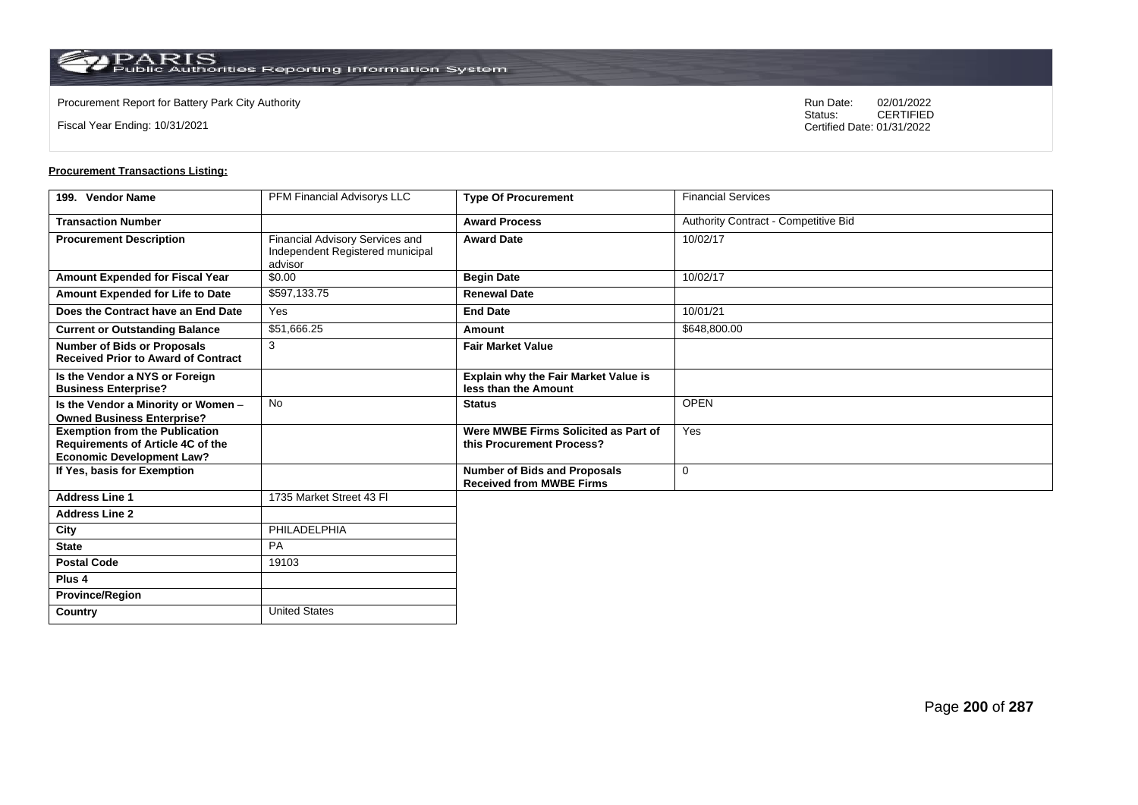**Country** United States

Fiscal Year Ending: 10/31/2021

Procurement Report for Battery Park City Authority **National State Concrete Concrete Concrete Concrete Concrete Concrete Concrete Concrete Concrete Concrete Concrete Concrete Concrete Concrete Concrete Concrete Concrete Co** CERTIFIED Certified Date: 01/31/2022

| 199. Vendor Name                                                                                                      | PFM Financial Advisorys LLC                                                    | <b>Type Of Procurement</b>                                             | <b>Financial Services</b>            |
|-----------------------------------------------------------------------------------------------------------------------|--------------------------------------------------------------------------------|------------------------------------------------------------------------|--------------------------------------|
| <b>Transaction Number</b>                                                                                             |                                                                                | <b>Award Process</b>                                                   | Authority Contract - Competitive Bid |
| <b>Procurement Description</b>                                                                                        | Financial Advisory Services and<br>Independent Registered municipal<br>advisor | <b>Award Date</b>                                                      | 10/02/17                             |
| Amount Expended for Fiscal Year                                                                                       | \$0.00                                                                         | <b>Begin Date</b>                                                      | 10/02/17                             |
| Amount Expended for Life to Date                                                                                      | \$597,133.75                                                                   | <b>Renewal Date</b>                                                    |                                      |
| Does the Contract have an End Date                                                                                    | Yes                                                                            | <b>End Date</b>                                                        | 10/01/21                             |
| <b>Current or Outstanding Balance</b>                                                                                 | \$51,666.25                                                                    | Amount                                                                 | \$648,800.00                         |
| <b>Number of Bids or Proposals</b><br><b>Received Prior to Award of Contract</b>                                      | 3                                                                              | <b>Fair Market Value</b>                                               |                                      |
| Is the Vendor a NYS or Foreign<br><b>Business Enterprise?</b>                                                         |                                                                                | Explain why the Fair Market Value is<br>less than the Amount           |                                      |
| Is the Vendor a Minority or Women -<br><b>Owned Business Enterprise?</b>                                              | <b>No</b>                                                                      | <b>Status</b>                                                          | <b>OPEN</b>                          |
| <b>Exemption from the Publication</b><br><b>Requirements of Article 4C of the</b><br><b>Economic Development Law?</b> |                                                                                | Were MWBE Firms Solicited as Part of<br>this Procurement Process?      | Yes                                  |
| If Yes, basis for Exemption                                                                                           |                                                                                | <b>Number of Bids and Proposals</b><br><b>Received from MWBE Firms</b> | $\mathbf 0$                          |
| <b>Address Line 1</b>                                                                                                 | 1735 Market Street 43 FI                                                       |                                                                        |                                      |
| <b>Address Line 2</b>                                                                                                 |                                                                                |                                                                        |                                      |
| City                                                                                                                  | PHILADELPHIA                                                                   |                                                                        |                                      |
| <b>State</b>                                                                                                          | PA                                                                             |                                                                        |                                      |
| <b>Postal Code</b>                                                                                                    | 19103                                                                          |                                                                        |                                      |
| Plus <sub>4</sub>                                                                                                     |                                                                                |                                                                        |                                      |
| <b>Province/Region</b>                                                                                                |                                                                                |                                                                        |                                      |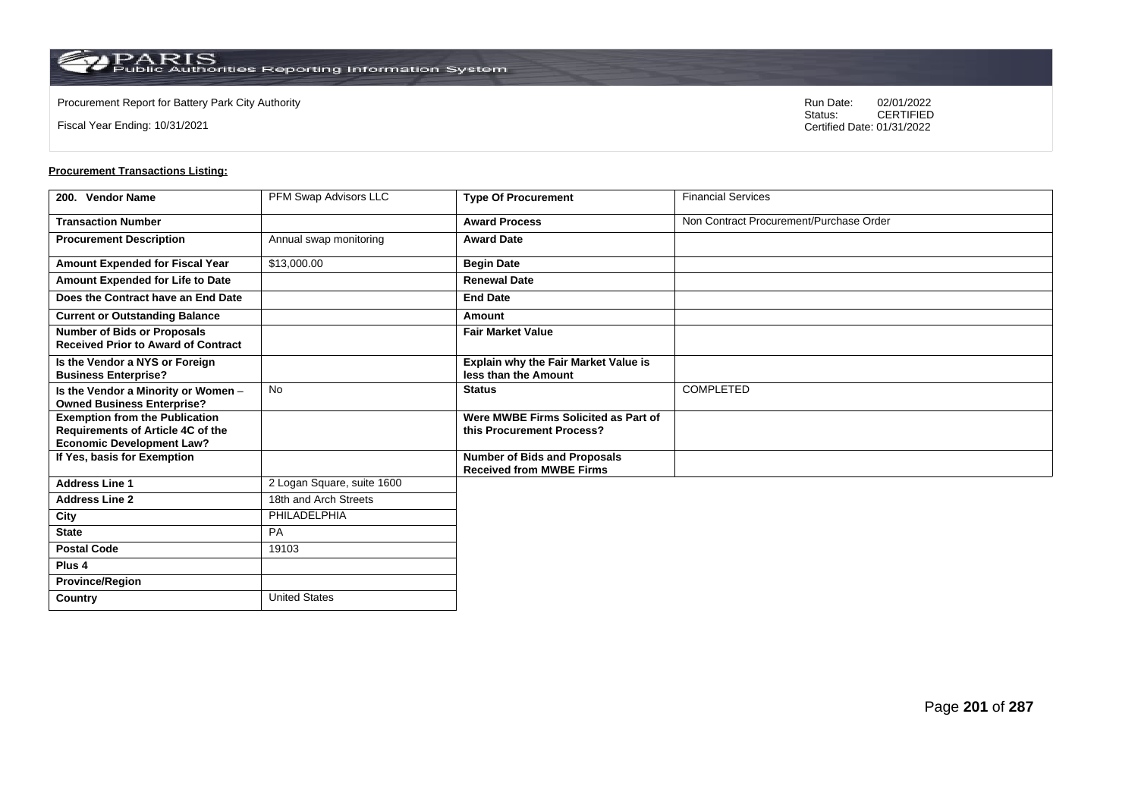Fiscal Year Ending: 10/31/2021

Procurement Report for Battery Park City Authority **National State Concrete Concrete Concrete Concrete Concrete Concrete Concrete Concrete Concrete Concrete Concrete Concrete Concrete Concrete Concrete Concrete Concrete Co** CERTIFIED Certified Date: 01/31/2022

| 200. Vendor Name                                                                 | PFM Swap Advisors LLC      | <b>Type Of Procurement</b>                                             | <b>Financial Services</b>               |
|----------------------------------------------------------------------------------|----------------------------|------------------------------------------------------------------------|-----------------------------------------|
| <b>Transaction Number</b>                                                        |                            | <b>Award Process</b>                                                   | Non Contract Procurement/Purchase Order |
| <b>Procurement Description</b>                                                   | Annual swap monitoring     | <b>Award Date</b>                                                      |                                         |
| Amount Expended for Fiscal Year                                                  | \$13,000.00                | <b>Begin Date</b>                                                      |                                         |
| Amount Expended for Life to Date                                                 |                            | <b>Renewal Date</b>                                                    |                                         |
| Does the Contract have an End Date                                               |                            | <b>End Date</b>                                                        |                                         |
| <b>Current or Outstanding Balance</b>                                            |                            | Amount                                                                 |                                         |
| <b>Number of Bids or Proposals</b><br><b>Received Prior to Award of Contract</b> |                            | <b>Fair Market Value</b>                                               |                                         |
| Is the Vendor a NYS or Foreign<br><b>Business Enterprise?</b>                    |                            | Explain why the Fair Market Value is<br>less than the Amount           |                                         |
| Is the Vendor a Minority or Women -<br><b>Owned Business Enterprise?</b>         | <b>No</b>                  | <b>Status</b>                                                          | <b>COMPLETED</b>                        |
| <b>Exemption from the Publication</b><br>Requirements of Article 4C of the       |                            | Were MWBE Firms Solicited as Part of<br>this Procurement Process?      |                                         |
| <b>Economic Development Law?</b><br>If Yes, basis for Exemption                  |                            | <b>Number of Bids and Proposals</b><br><b>Received from MWBE Firms</b> |                                         |
| <b>Address Line 1</b>                                                            | 2 Logan Square, suite 1600 |                                                                        |                                         |
| <b>Address Line 2</b>                                                            | 18th and Arch Streets      |                                                                        |                                         |
| City                                                                             | PHILADELPHIA               |                                                                        |                                         |
| <b>State</b>                                                                     | <b>PA</b>                  |                                                                        |                                         |
| <b>Postal Code</b>                                                               | 19103                      |                                                                        |                                         |
| Plus 4                                                                           |                            |                                                                        |                                         |
| <b>Province/Region</b>                                                           |                            |                                                                        |                                         |
| Country                                                                          | <b>United States</b>       |                                                                        |                                         |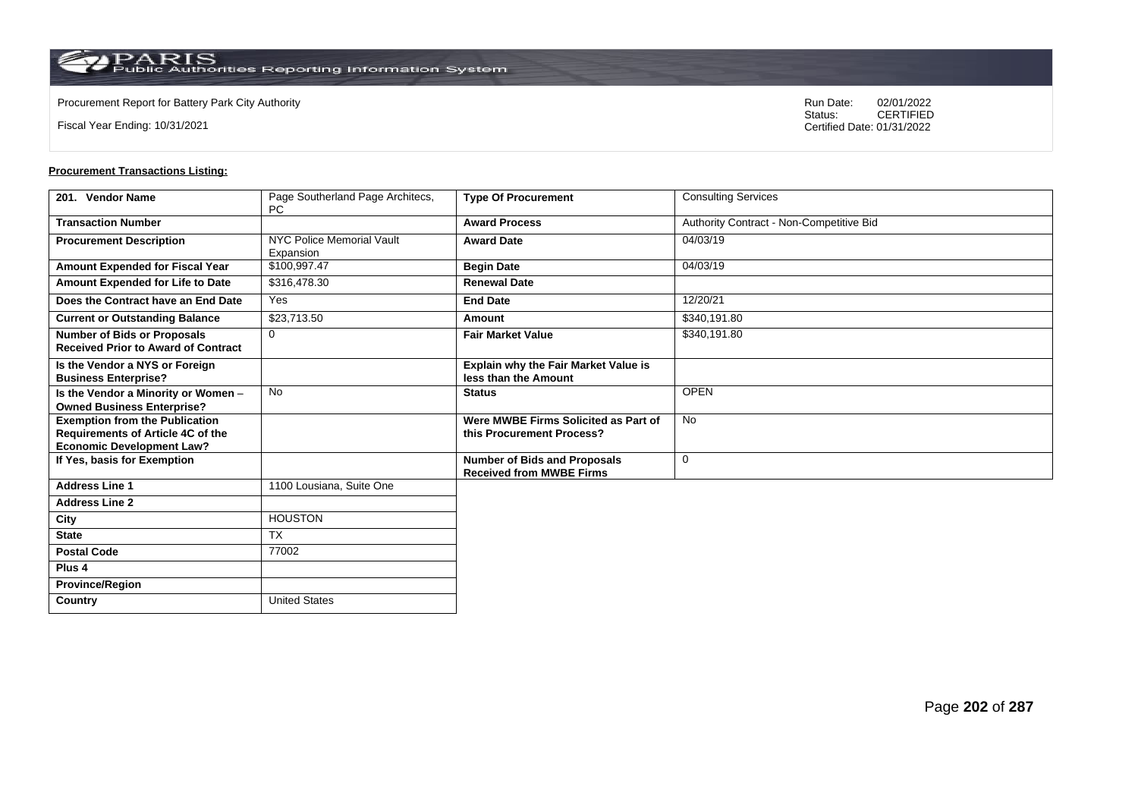$\operatorname{PARIS}_{\text{Public Authorities}\,\text{Reporting}\,\text{Information System}}$ 

**Country** United States

Fiscal Year Ending: 10/31/2021

Procurement Report for Battery Park City Authority **National State Concrete Concrete Concrete Concrete Concrete Concrete Concrete Concrete Concrete Concrete Concrete Concrete Concrete Concrete Concrete Concrete Concrete Co** CERTIFIED Certified Date: 01/31/2022

| 201. Vendor Name                                                                                                      | Page Southerland Page Architecs,<br><b>PC</b> | <b>Type Of Procurement</b>                                             | <b>Consulting Services</b>               |
|-----------------------------------------------------------------------------------------------------------------------|-----------------------------------------------|------------------------------------------------------------------------|------------------------------------------|
| <b>Transaction Number</b>                                                                                             |                                               | <b>Award Process</b>                                                   | Authority Contract - Non-Competitive Bid |
| <b>Procurement Description</b>                                                                                        | <b>NYC Police Memorial Vault</b><br>Expansion | <b>Award Date</b>                                                      | 04/03/19                                 |
| Amount Expended for Fiscal Year                                                                                       | \$100.997.47                                  | <b>Begin Date</b>                                                      | 04/03/19                                 |
| <b>Amount Expended for Life to Date</b>                                                                               | \$316,478.30                                  | <b>Renewal Date</b>                                                    |                                          |
| Does the Contract have an End Date                                                                                    | Yes                                           | <b>End Date</b>                                                        | 12/20/21                                 |
| <b>Current or Outstanding Balance</b>                                                                                 | \$23,713.50                                   | Amount                                                                 | \$340,191.80                             |
| <b>Number of Bids or Proposals</b><br><b>Received Prior to Award of Contract</b>                                      | $\mathbf 0$                                   | <b>Fair Market Value</b>                                               | \$340,191.80                             |
| Is the Vendor a NYS or Foreign<br><b>Business Enterprise?</b>                                                         |                                               | <b>Explain why the Fair Market Value is</b><br>less than the Amount    |                                          |
| Is the Vendor a Minority or Women -<br><b>Owned Business Enterprise?</b>                                              | <b>No</b>                                     | <b>Status</b>                                                          | <b>OPEN</b>                              |
| <b>Exemption from the Publication</b><br><b>Requirements of Article 4C of the</b><br><b>Economic Development Law?</b> |                                               | Were MWBE Firms Solicited as Part of<br>this Procurement Process?      | <b>No</b>                                |
| If Yes, basis for Exemption                                                                                           |                                               | <b>Number of Bids and Proposals</b><br><b>Received from MWBE Firms</b> | $\mathbf 0$                              |
| <b>Address Line 1</b>                                                                                                 | 1100 Lousiana, Suite One                      |                                                                        |                                          |
| <b>Address Line 2</b>                                                                                                 |                                               |                                                                        |                                          |
| City                                                                                                                  | <b>HOUSTON</b>                                |                                                                        |                                          |
| <b>State</b>                                                                                                          | <b>TX</b>                                     |                                                                        |                                          |
| <b>Postal Code</b>                                                                                                    | 77002                                         |                                                                        |                                          |
| Plus <sub>4</sub>                                                                                                     |                                               |                                                                        |                                          |
| <b>Province/Region</b>                                                                                                |                                               |                                                                        |                                          |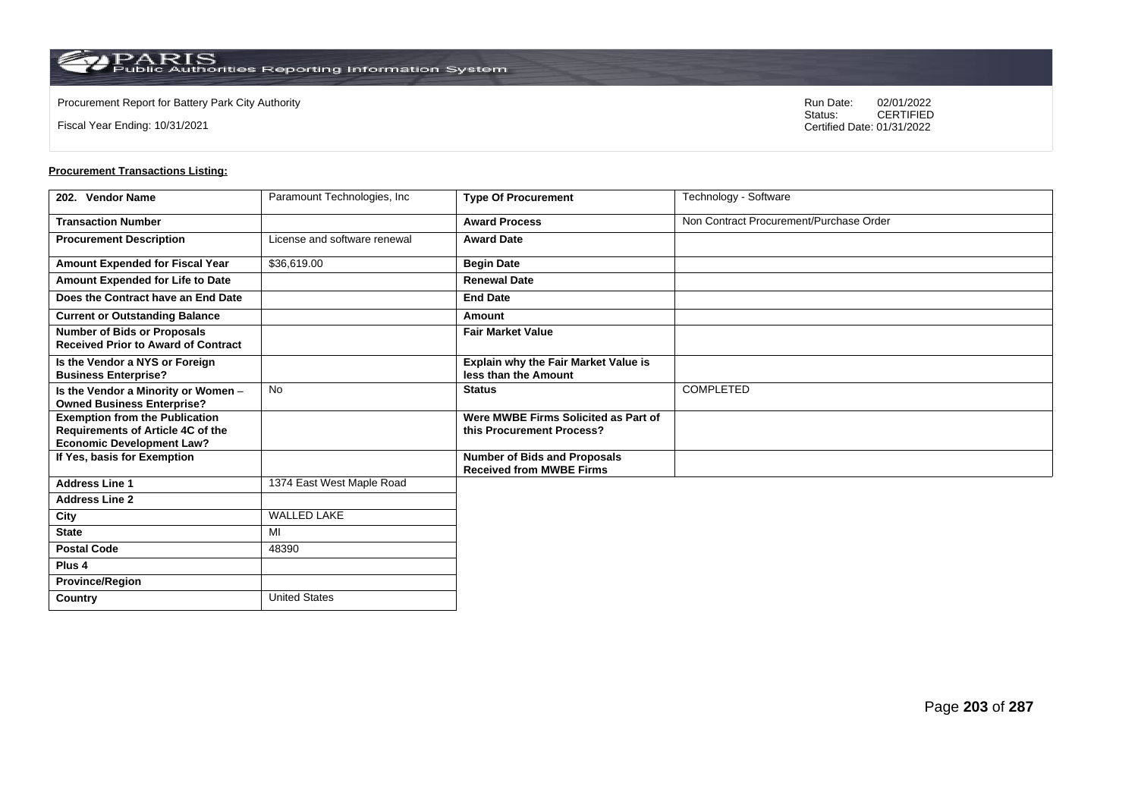**Country** United States

Fiscal Year Ending: 10/31/2021

Procurement Report for Battery Park City Authority **National State Concrete Concrete Concrete Concrete Concrete Concrete Concrete Concrete Concrete Concrete Concrete Concrete Concrete Concrete Concrete Concrete Concrete Co** CERTIFIED Certified Date: 01/31/2022

| 202. Vendor Name                                                                                               | Paramount Technologies, Inc. | <b>Type Of Procurement</b>                                             | Technology - Software                   |
|----------------------------------------------------------------------------------------------------------------|------------------------------|------------------------------------------------------------------------|-----------------------------------------|
| <b>Transaction Number</b>                                                                                      |                              | <b>Award Process</b>                                                   | Non Contract Procurement/Purchase Order |
| <b>Procurement Description</b>                                                                                 | License and software renewal | <b>Award Date</b>                                                      |                                         |
| Amount Expended for Fiscal Year                                                                                | \$36,619.00                  | <b>Begin Date</b>                                                      |                                         |
| Amount Expended for Life to Date                                                                               |                              | <b>Renewal Date</b>                                                    |                                         |
| Does the Contract have an End Date                                                                             |                              | <b>End Date</b>                                                        |                                         |
| <b>Current or Outstanding Balance</b>                                                                          |                              | Amount                                                                 |                                         |
| <b>Number of Bids or Proposals</b><br><b>Received Prior to Award of Contract</b>                               |                              | <b>Fair Market Value</b>                                               |                                         |
| Is the Vendor a NYS or Foreign<br><b>Business Enterprise?</b>                                                  |                              | Explain why the Fair Market Value is<br>less than the Amount           |                                         |
| Is the Vendor a Minority or Women -<br><b>Owned Business Enterprise?</b>                                       | <b>No</b>                    | <b>Status</b>                                                          | <b>COMPLETED</b>                        |
| <b>Exemption from the Publication</b><br>Requirements of Article 4C of the<br><b>Economic Development Law?</b> |                              | Were MWBE Firms Solicited as Part of<br>this Procurement Process?      |                                         |
| If Yes, basis for Exemption                                                                                    |                              | <b>Number of Bids and Proposals</b><br><b>Received from MWBE Firms</b> |                                         |
| <b>Address Line 1</b>                                                                                          | 1374 East West Maple Road    |                                                                        |                                         |
| <b>Address Line 2</b>                                                                                          |                              |                                                                        |                                         |
| City                                                                                                           | <b>WALLED LAKE</b>           |                                                                        |                                         |
| <b>State</b>                                                                                                   | MI                           |                                                                        |                                         |
| <b>Postal Code</b>                                                                                             | 48390                        |                                                                        |                                         |
| Plus <sub>4</sub>                                                                                              |                              |                                                                        |                                         |
| <b>Province/Region</b>                                                                                         |                              |                                                                        |                                         |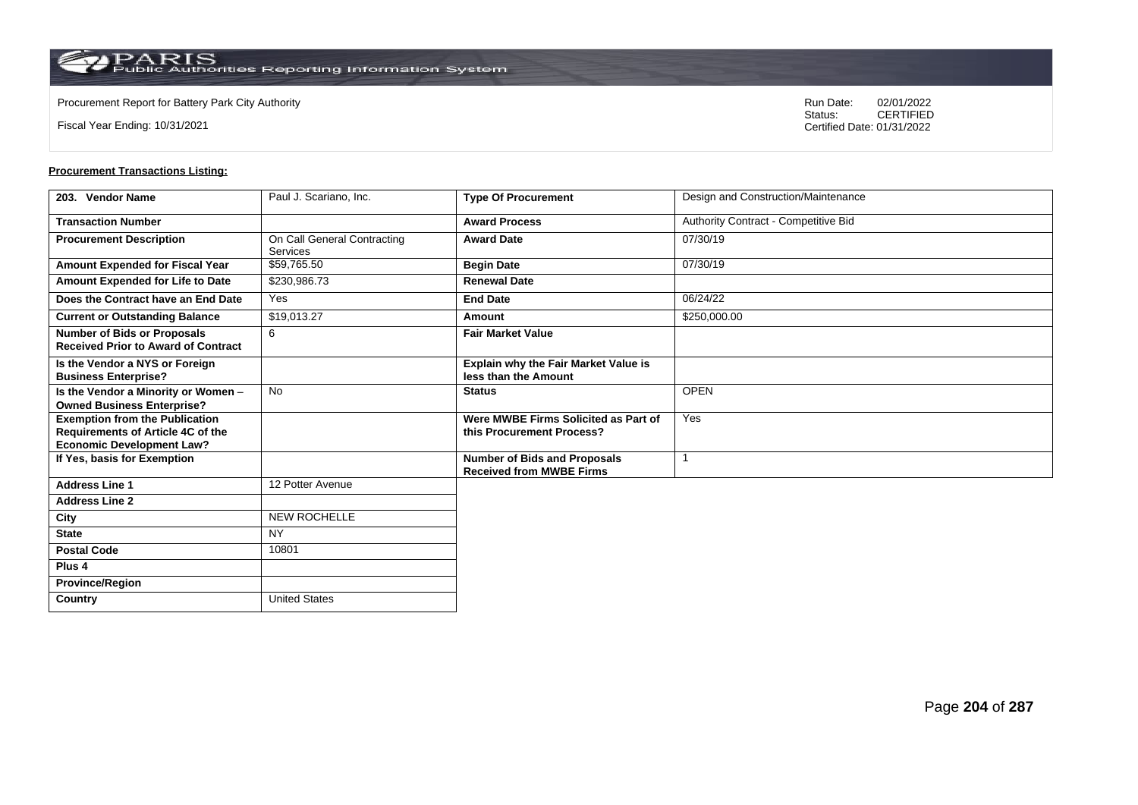**Country** United States

Fiscal Year Ending: 10/31/2021

Procurement Report for Battery Park City Authority **National State Concrete Concrete Concrete Concrete Concrete Concrete Concrete Concrete Concrete Concrete Concrete Concrete Concrete Concrete Concrete Concrete Concrete Co** CERTIFIED Certified Date: 01/31/2022

| 203. Vendor Name                                                                                                      | Paul J. Scariano, Inc.                  | <b>Type Of Procurement</b>                                             | Design and Construction/Maintenance  |
|-----------------------------------------------------------------------------------------------------------------------|-----------------------------------------|------------------------------------------------------------------------|--------------------------------------|
| <b>Transaction Number</b>                                                                                             |                                         | <b>Award Process</b>                                                   | Authority Contract - Competitive Bid |
| <b>Procurement Description</b>                                                                                        | On Call General Contracting<br>Services | <b>Award Date</b>                                                      | 07/30/19                             |
| Amount Expended for Fiscal Year                                                                                       | \$59,765.50                             | <b>Begin Date</b>                                                      | 07/30/19                             |
| Amount Expended for Life to Date                                                                                      | \$230,986.73                            | <b>Renewal Date</b>                                                    |                                      |
| Does the Contract have an End Date                                                                                    | Yes                                     | <b>End Date</b>                                                        | 06/24/22                             |
| <b>Current or Outstanding Balance</b>                                                                                 | \$19,013.27                             | Amount                                                                 | \$250,000.00                         |
| <b>Number of Bids or Proposals</b><br><b>Received Prior to Award of Contract</b>                                      | 6                                       | <b>Fair Market Value</b>                                               |                                      |
| Is the Vendor a NYS or Foreign<br><b>Business Enterprise?</b>                                                         |                                         | Explain why the Fair Market Value is<br>less than the Amount           |                                      |
| Is the Vendor a Minority or Women -<br><b>Owned Business Enterprise?</b>                                              | <b>No</b>                               | <b>Status</b>                                                          | <b>OPEN</b>                          |
| <b>Exemption from the Publication</b><br><b>Requirements of Article 4C of the</b><br><b>Economic Development Law?</b> |                                         | Were MWBE Firms Solicited as Part of<br>this Procurement Process?      | Yes                                  |
| If Yes, basis for Exemption                                                                                           |                                         | <b>Number of Bids and Proposals</b><br><b>Received from MWBE Firms</b> |                                      |
| <b>Address Line 1</b>                                                                                                 | 12 Potter Avenue                        |                                                                        |                                      |
| <b>Address Line 2</b>                                                                                                 |                                         |                                                                        |                                      |
| City                                                                                                                  | <b>NEW ROCHELLE</b>                     |                                                                        |                                      |
| <b>State</b>                                                                                                          | <b>NY</b>                               |                                                                        |                                      |
| <b>Postal Code</b>                                                                                                    | 10801                                   |                                                                        |                                      |
| Plus <sub>4</sub>                                                                                                     |                                         |                                                                        |                                      |
| <b>Province/Region</b>                                                                                                |                                         |                                                                        |                                      |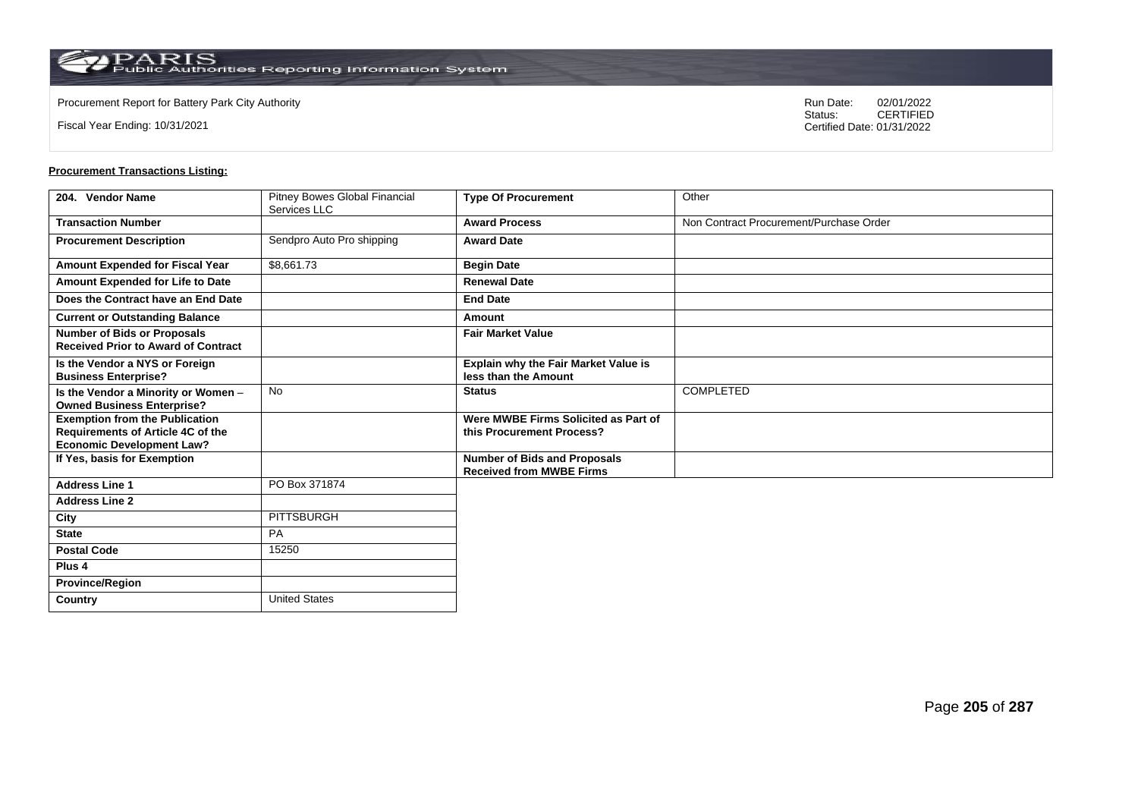**Country** United States

Fiscal Year Ending: 10/31/2021

Procurement Report for Battery Park City Authority **National State Concrete Concrete Concrete Concrete Concrete Concrete Concrete Concrete Concrete Concrete Concrete Concrete Concrete Concrete Concrete Concrete Concrete Co** CERTIFIED Certified Date: 01/31/2022

| 204. Vendor Name                                                                                                      | Pitney Bowes Global Financial<br>Services LLC | <b>Type Of Procurement</b>                                             | Other                                   |
|-----------------------------------------------------------------------------------------------------------------------|-----------------------------------------------|------------------------------------------------------------------------|-----------------------------------------|
| <b>Transaction Number</b>                                                                                             |                                               | <b>Award Process</b>                                                   | Non Contract Procurement/Purchase Order |
| <b>Procurement Description</b>                                                                                        | Sendpro Auto Pro shipping                     | <b>Award Date</b>                                                      |                                         |
| <b>Amount Expended for Fiscal Year</b>                                                                                | \$8,661.73                                    | <b>Begin Date</b>                                                      |                                         |
| Amount Expended for Life to Date                                                                                      |                                               | <b>Renewal Date</b>                                                    |                                         |
| Does the Contract have an End Date                                                                                    |                                               | <b>End Date</b>                                                        |                                         |
| <b>Current or Outstanding Balance</b>                                                                                 |                                               | Amount                                                                 |                                         |
| <b>Number of Bids or Proposals</b><br><b>Received Prior to Award of Contract</b>                                      |                                               | <b>Fair Market Value</b>                                               |                                         |
| Is the Vendor a NYS or Foreign<br><b>Business Enterprise?</b>                                                         |                                               | <b>Explain why the Fair Market Value is</b><br>less than the Amount    |                                         |
| Is the Vendor a Minority or Women -<br><b>Owned Business Enterprise?</b>                                              | <b>No</b>                                     | <b>Status</b>                                                          | <b>COMPLETED</b>                        |
| <b>Exemption from the Publication</b><br><b>Requirements of Article 4C of the</b><br><b>Economic Development Law?</b> |                                               | Were MWBE Firms Solicited as Part of<br>this Procurement Process?      |                                         |
| If Yes, basis for Exemption                                                                                           |                                               | <b>Number of Bids and Proposals</b><br><b>Received from MWBE Firms</b> |                                         |
| <b>Address Line 1</b>                                                                                                 | PO Box 371874                                 |                                                                        |                                         |
| <b>Address Line 2</b>                                                                                                 |                                               |                                                                        |                                         |
| City                                                                                                                  | PITTSBURGH                                    |                                                                        |                                         |
| <b>State</b>                                                                                                          | <b>PA</b>                                     |                                                                        |                                         |
| <b>Postal Code</b>                                                                                                    | 15250                                         |                                                                        |                                         |
| Plus <sub>4</sub>                                                                                                     |                                               |                                                                        |                                         |
| <b>Province/Region</b>                                                                                                |                                               |                                                                        |                                         |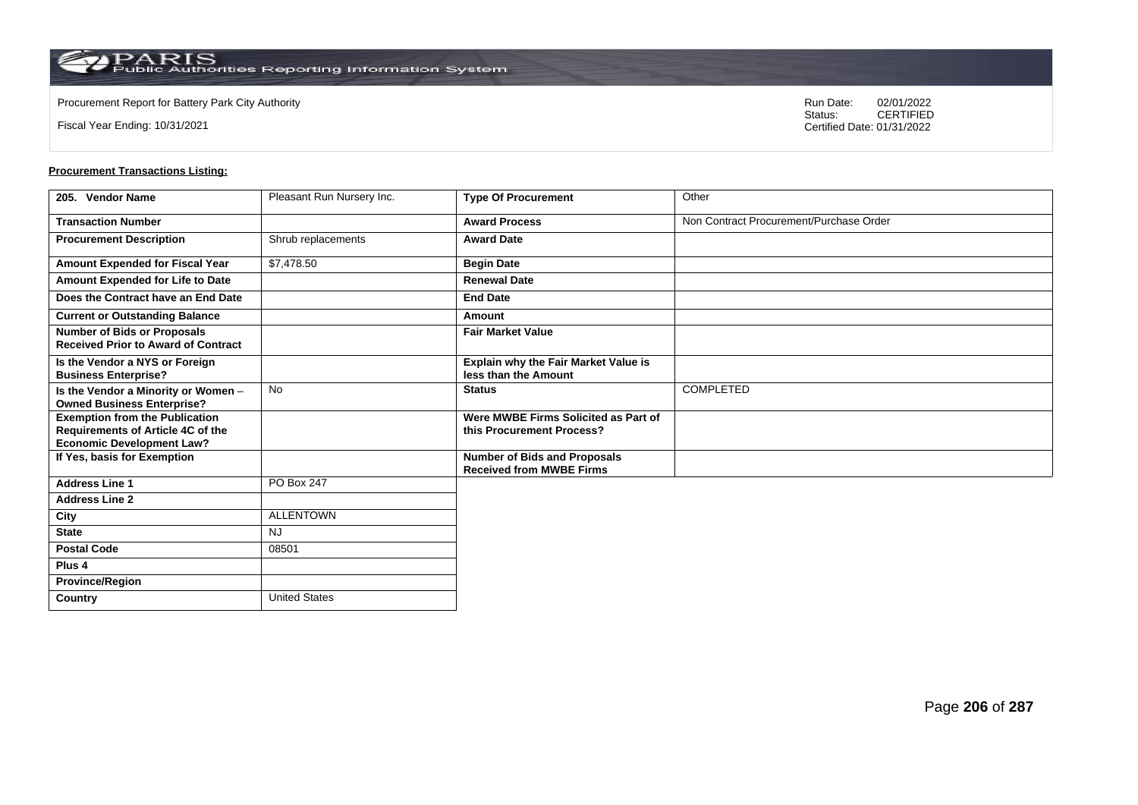**Country** United States

Fiscal Year Ending: 10/31/2021

Procurement Report for Battery Park City Authority **National State Concrete Concrete Concrete Concrete Concrete Concrete Concrete Concrete Concrete Concrete Concrete Concrete Concrete Concrete Concrete Concrete Concrete Co** CERTIFIED Certified Date: 01/31/2022

| 205. Vendor Name                                                                                               | Pleasant Run Nursery Inc. | <b>Type Of Procurement</b>                                             | Other                                   |
|----------------------------------------------------------------------------------------------------------------|---------------------------|------------------------------------------------------------------------|-----------------------------------------|
| <b>Transaction Number</b>                                                                                      |                           | <b>Award Process</b>                                                   | Non Contract Procurement/Purchase Order |
| <b>Procurement Description</b>                                                                                 | Shrub replacements        | <b>Award Date</b>                                                      |                                         |
| Amount Expended for Fiscal Year                                                                                | \$7,478.50                | <b>Begin Date</b>                                                      |                                         |
| Amount Expended for Life to Date                                                                               |                           | <b>Renewal Date</b>                                                    |                                         |
| Does the Contract have an End Date                                                                             |                           | <b>End Date</b>                                                        |                                         |
| <b>Current or Outstanding Balance</b>                                                                          |                           | Amount                                                                 |                                         |
| <b>Number of Bids or Proposals</b><br><b>Received Prior to Award of Contract</b>                               |                           | <b>Fair Market Value</b>                                               |                                         |
| Is the Vendor a NYS or Foreign<br><b>Business Enterprise?</b>                                                  |                           | Explain why the Fair Market Value is<br>less than the Amount           |                                         |
| Is the Vendor a Minority or Women -<br><b>Owned Business Enterprise?</b>                                       | No                        | <b>Status</b>                                                          | <b>COMPLETED</b>                        |
| <b>Exemption from the Publication</b><br>Requirements of Article 4C of the<br><b>Economic Development Law?</b> |                           | Were MWBE Firms Solicited as Part of<br>this Procurement Process?      |                                         |
| If Yes, basis for Exemption                                                                                    |                           | <b>Number of Bids and Proposals</b><br><b>Received from MWBE Firms</b> |                                         |
| <b>Address Line 1</b>                                                                                          | PO Box 247                |                                                                        |                                         |
| <b>Address Line 2</b>                                                                                          |                           |                                                                        |                                         |
| City                                                                                                           | ALLENTOWN                 |                                                                        |                                         |
| <b>State</b>                                                                                                   | <b>NJ</b>                 |                                                                        |                                         |
| <b>Postal Code</b>                                                                                             | 08501                     |                                                                        |                                         |
| Plus <sub>4</sub>                                                                                              |                           |                                                                        |                                         |
| <b>Province/Region</b>                                                                                         |                           |                                                                        |                                         |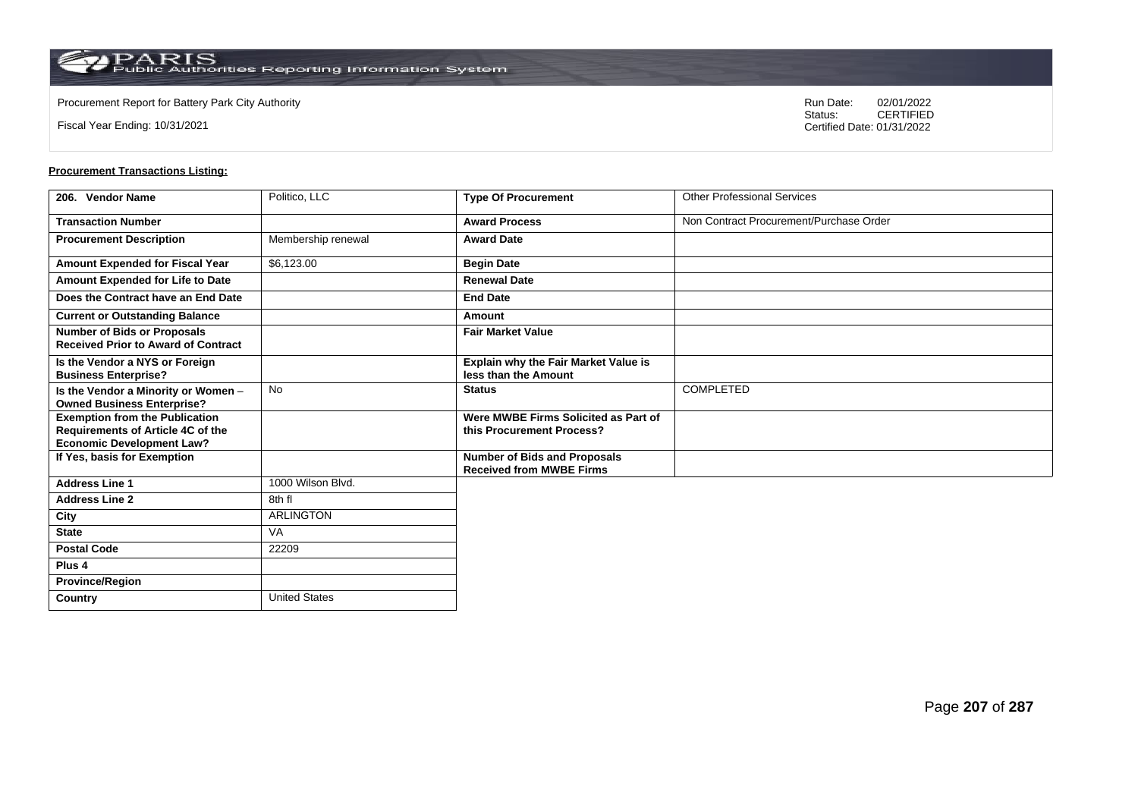Fiscal Year Ending: 10/31/2021

Procurement Report for Battery Park City Authority **National State Concrete Concrete Concrete Concrete Concrete Concrete Concrete Concrete Concrete Concrete Concrete Concrete Concrete Concrete Concrete Concrete Concrete Co** CERTIFIED Certified Date: 01/31/2022

| 206. Vendor Name                                                                                               | Politico, LLC        | <b>Type Of Procurement</b>                                             | <b>Other Professional Services</b>      |
|----------------------------------------------------------------------------------------------------------------|----------------------|------------------------------------------------------------------------|-----------------------------------------|
| <b>Transaction Number</b>                                                                                      |                      | <b>Award Process</b>                                                   | Non Contract Procurement/Purchase Order |
| <b>Procurement Description</b>                                                                                 | Membership renewal   | <b>Award Date</b>                                                      |                                         |
| Amount Expended for Fiscal Year                                                                                | \$6,123.00           | <b>Begin Date</b>                                                      |                                         |
| Amount Expended for Life to Date                                                                               |                      | <b>Renewal Date</b>                                                    |                                         |
| Does the Contract have an End Date                                                                             |                      | <b>End Date</b>                                                        |                                         |
| <b>Current or Outstanding Balance</b>                                                                          |                      | Amount                                                                 |                                         |
| <b>Number of Bids or Proposals</b><br><b>Received Prior to Award of Contract</b>                               |                      | <b>Fair Market Value</b>                                               |                                         |
| Is the Vendor a NYS or Foreign<br><b>Business Enterprise?</b>                                                  |                      | Explain why the Fair Market Value is<br>less than the Amount           |                                         |
| Is the Vendor a Minority or Women -<br><b>Owned Business Enterprise?</b>                                       | No                   | <b>Status</b>                                                          | <b>COMPLETED</b>                        |
| <b>Exemption from the Publication</b><br>Requirements of Article 4C of the<br><b>Economic Development Law?</b> |                      | Were MWBE Firms Solicited as Part of<br>this Procurement Process?      |                                         |
| If Yes, basis for Exemption                                                                                    |                      | <b>Number of Bids and Proposals</b><br><b>Received from MWBE Firms</b> |                                         |
| <b>Address Line 1</b>                                                                                          | 1000 Wilson Blvd.    |                                                                        |                                         |
| <b>Address Line 2</b>                                                                                          | 8th fl               |                                                                        |                                         |
| City                                                                                                           | <b>ARLINGTON</b>     |                                                                        |                                         |
| <b>State</b>                                                                                                   | <b>VA</b>            |                                                                        |                                         |
| <b>Postal Code</b>                                                                                             | 22209                |                                                                        |                                         |
| Plus 4                                                                                                         |                      |                                                                        |                                         |
| <b>Province/Region</b>                                                                                         |                      |                                                                        |                                         |
| Country                                                                                                        | <b>United States</b> |                                                                        |                                         |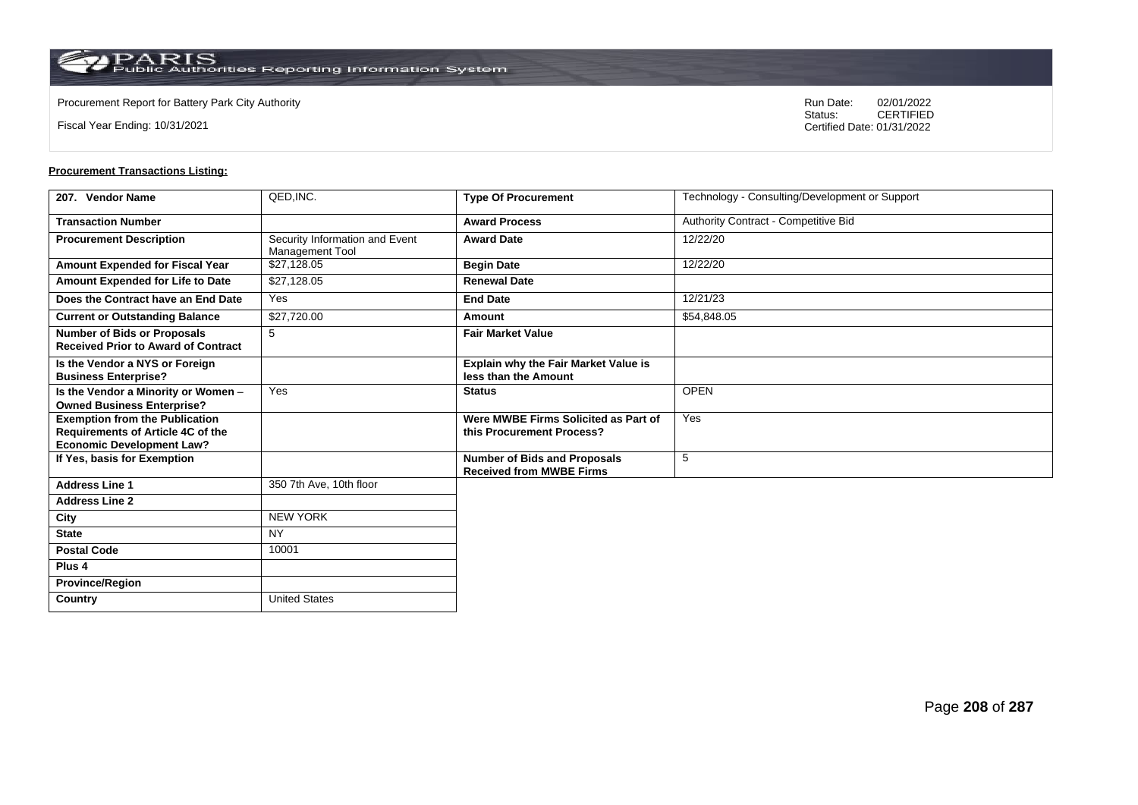$\operatorname{PARIS}_{\text{Public Authorities}\,\text{Reporting}\,\text{Information System}}$ 

**Country** United States

Fiscal Year Ending: 10/31/2021

Procurement Report for Battery Park City Authority **National State Concrete Concrete Concrete Concrete Concrete Concrete Concrete Concrete Concrete Concrete Concrete Concrete Concrete Concrete Concrete Concrete Concrete Co** CERTIFIED Certified Date: 01/31/2022

| 207. Vendor Name                                                                                                      | QED, INC.                                         | <b>Type Of Procurement</b>                                             | Technology - Consulting/Development or Support |
|-----------------------------------------------------------------------------------------------------------------------|---------------------------------------------------|------------------------------------------------------------------------|------------------------------------------------|
| <b>Transaction Number</b>                                                                                             |                                                   | <b>Award Process</b>                                                   | Authority Contract - Competitive Bid           |
| <b>Procurement Description</b>                                                                                        | Security Information and Event<br>Management Tool | <b>Award Date</b>                                                      | 12/22/20                                       |
| Amount Expended for Fiscal Year                                                                                       | \$27,128.05                                       | <b>Begin Date</b>                                                      | 12/22/20                                       |
| Amount Expended for Life to Date                                                                                      | \$27,128.05                                       | <b>Renewal Date</b>                                                    |                                                |
| Does the Contract have an End Date                                                                                    | Yes                                               | <b>End Date</b>                                                        | 12/21/23                                       |
| <b>Current or Outstanding Balance</b>                                                                                 | \$27,720.00                                       | Amount                                                                 | \$54,848.05                                    |
| <b>Number of Bids or Proposals</b><br><b>Received Prior to Award of Contract</b>                                      | 5                                                 | <b>Fair Market Value</b>                                               |                                                |
| Is the Vendor a NYS or Foreign<br><b>Business Enterprise?</b>                                                         |                                                   | <b>Explain why the Fair Market Value is</b><br>less than the Amount    |                                                |
| Is the Vendor a Minority or Women -<br><b>Owned Business Enterprise?</b>                                              | Yes                                               | <b>Status</b>                                                          | <b>OPEN</b>                                    |
| <b>Exemption from the Publication</b><br><b>Requirements of Article 4C of the</b><br><b>Economic Development Law?</b> |                                                   | Were MWBE Firms Solicited as Part of<br>this Procurement Process?      | Yes                                            |
| If Yes, basis for Exemption                                                                                           |                                                   | <b>Number of Bids and Proposals</b><br><b>Received from MWBE Firms</b> | 5                                              |
| <b>Address Line 1</b>                                                                                                 | 350 7th Ave, 10th floor                           |                                                                        |                                                |
| <b>Address Line 2</b>                                                                                                 |                                                   |                                                                        |                                                |
| City                                                                                                                  | <b>NEW YORK</b>                                   |                                                                        |                                                |
| <b>State</b>                                                                                                          | <b>NY</b>                                         |                                                                        |                                                |
| <b>Postal Code</b>                                                                                                    | 10001                                             |                                                                        |                                                |
| Plus <sub>4</sub>                                                                                                     |                                                   |                                                                        |                                                |
| <b>Province/Region</b>                                                                                                |                                                   |                                                                        |                                                |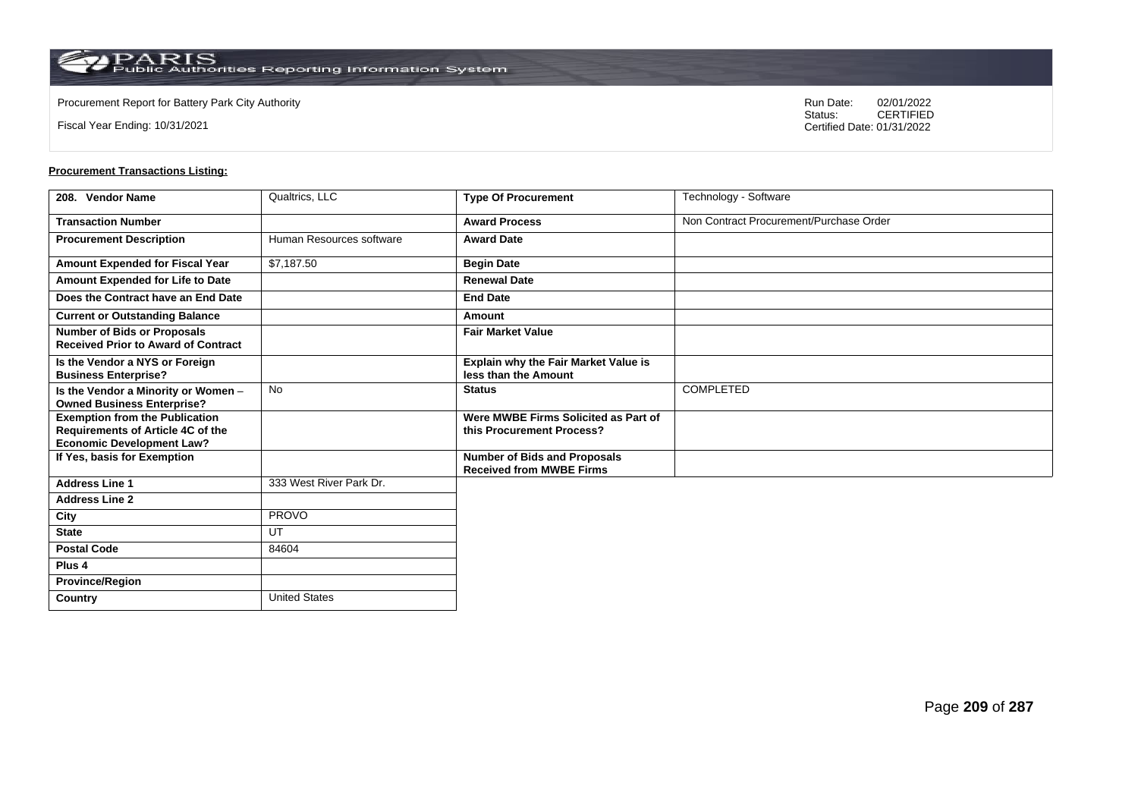**Country** United States

Fiscal Year Ending: 10/31/2021

Procurement Report for Battery Park City Authority **National State Concrete Concrete Concrete Concrete Concrete Concrete Concrete Concrete Concrete Concrete Concrete Concrete Concrete Concrete Concrete Concrete Concrete Co** CERTIFIED Certified Date: 01/31/2022

| 208. Vendor Name                                                                                               | Qualtrics, LLC           | <b>Type Of Procurement</b>                                             | Technology - Software                   |
|----------------------------------------------------------------------------------------------------------------|--------------------------|------------------------------------------------------------------------|-----------------------------------------|
| <b>Transaction Number</b>                                                                                      |                          | <b>Award Process</b>                                                   | Non Contract Procurement/Purchase Order |
| <b>Procurement Description</b>                                                                                 | Human Resources software | <b>Award Date</b>                                                      |                                         |
| Amount Expended for Fiscal Year                                                                                | \$7,187.50               | <b>Begin Date</b>                                                      |                                         |
| Amount Expended for Life to Date                                                                               |                          | <b>Renewal Date</b>                                                    |                                         |
| Does the Contract have an End Date                                                                             |                          | <b>End Date</b>                                                        |                                         |
| <b>Current or Outstanding Balance</b>                                                                          |                          | Amount                                                                 |                                         |
| <b>Number of Bids or Proposals</b><br><b>Received Prior to Award of Contract</b>                               |                          | <b>Fair Market Value</b>                                               |                                         |
| Is the Vendor a NYS or Foreign<br><b>Business Enterprise?</b>                                                  |                          | Explain why the Fair Market Value is<br>less than the Amount           |                                         |
| Is the Vendor a Minority or Women -<br><b>Owned Business Enterprise?</b>                                       | No                       | <b>Status</b>                                                          | <b>COMPLETED</b>                        |
| <b>Exemption from the Publication</b><br>Requirements of Article 4C of the<br><b>Economic Development Law?</b> |                          | Were MWBE Firms Solicited as Part of<br>this Procurement Process?      |                                         |
| If Yes, basis for Exemption                                                                                    |                          | <b>Number of Bids and Proposals</b><br><b>Received from MWBE Firms</b> |                                         |
| <b>Address Line 1</b>                                                                                          | 333 West River Park Dr.  |                                                                        |                                         |
| <b>Address Line 2</b>                                                                                          |                          |                                                                        |                                         |
| City                                                                                                           | <b>PROVO</b>             |                                                                        |                                         |
| <b>State</b>                                                                                                   | UT                       |                                                                        |                                         |
| <b>Postal Code</b>                                                                                             | 84604                    |                                                                        |                                         |
| Plus <sub>4</sub>                                                                                              |                          |                                                                        |                                         |
| <b>Province/Region</b>                                                                                         |                          |                                                                        |                                         |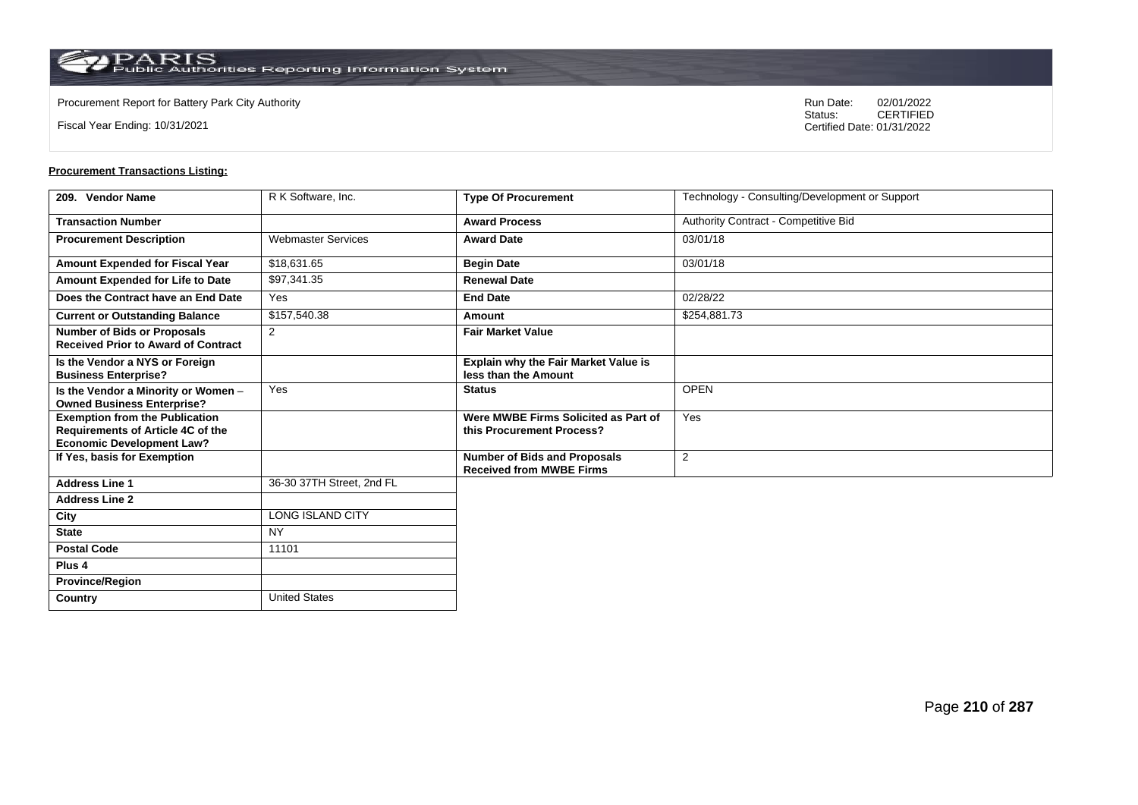Fiscal Year Ending: 10/31/2021

**Province/Region**

**Country** United States

Procurement Report for Battery Park City Authority **National State Concrete Concrete Concrete Concrete Concrete Concrete Concrete Concrete Concrete Concrete Concrete Concrete Concrete Concrete Concrete Concrete Concrete Co** CERTIFIED Certified Date: 01/31/2022

| 209. Vendor Name                                                                                               | R K Software, Inc.        | <b>Type Of Procurement</b>                                             | Technology - Consulting/Development or Support |
|----------------------------------------------------------------------------------------------------------------|---------------------------|------------------------------------------------------------------------|------------------------------------------------|
| <b>Transaction Number</b>                                                                                      |                           | <b>Award Process</b>                                                   | Authority Contract - Competitive Bid           |
| <b>Procurement Description</b>                                                                                 | <b>Webmaster Services</b> | <b>Award Date</b>                                                      | 03/01/18                                       |
| <b>Amount Expended for Fiscal Year</b>                                                                         | \$18,631.65               | <b>Begin Date</b>                                                      | 03/01/18                                       |
| Amount Expended for Life to Date                                                                               | \$97,341.35               | <b>Renewal Date</b>                                                    |                                                |
| Does the Contract have an End Date                                                                             | Yes                       | <b>End Date</b>                                                        | 02/28/22                                       |
| <b>Current or Outstanding Balance</b>                                                                          | \$157,540.38              | Amount                                                                 | \$254,881.73                                   |
| <b>Number of Bids or Proposals</b><br><b>Received Prior to Award of Contract</b>                               | 2                         | <b>Fair Market Value</b>                                               |                                                |
| Is the Vendor a NYS or Foreign<br><b>Business Enterprise?</b>                                                  |                           | Explain why the Fair Market Value is<br>less than the Amount           |                                                |
| Is the Vendor a Minority or Women -<br><b>Owned Business Enterprise?</b>                                       | Yes                       | <b>Status</b>                                                          | <b>OPEN</b>                                    |
| <b>Exemption from the Publication</b><br>Requirements of Article 4C of the<br><b>Economic Development Law?</b> |                           | Were MWBE Firms Solicited as Part of<br>this Procurement Process?      | Yes                                            |
| If Yes, basis for Exemption                                                                                    |                           | <b>Number of Bids and Proposals</b><br><b>Received from MWBE Firms</b> | $\overline{2}$                                 |
| <b>Address Line 1</b>                                                                                          | 36-30 37TH Street, 2nd FL |                                                                        |                                                |
| <b>Address Line 2</b>                                                                                          |                           |                                                                        |                                                |
| City                                                                                                           | LONG ISLAND CITY          |                                                                        |                                                |
| <b>State</b>                                                                                                   | <b>NY</b>                 |                                                                        |                                                |
| <b>Postal Code</b>                                                                                             | 11101                     |                                                                        |                                                |
| Plus 4                                                                                                         |                           |                                                                        |                                                |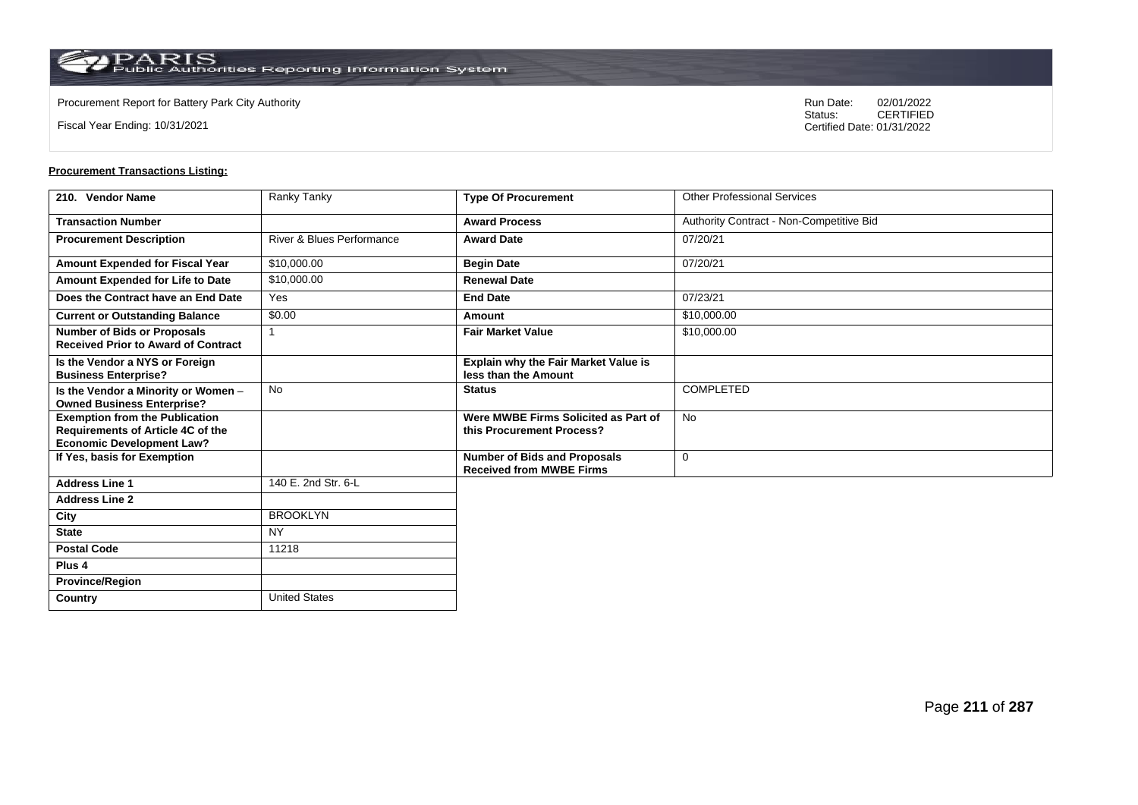**Country** United States

Fiscal Year Ending: 10/31/2021

Procurement Report for Battery Park City Authority **National State Concrete Concrete Concrete Concrete Concrete Concrete Concrete Concrete Concrete Concrete Concrete Concrete Concrete Concrete Concrete Concrete Concrete Co** CERTIFIED Certified Date: 01/31/2022

| 210. Vendor Name                                                                                                      | Ranky Tanky                          | <b>Type Of Procurement</b>                                             | <b>Other Professional Services</b>       |
|-----------------------------------------------------------------------------------------------------------------------|--------------------------------------|------------------------------------------------------------------------|------------------------------------------|
| <b>Transaction Number</b>                                                                                             |                                      | <b>Award Process</b>                                                   | Authority Contract - Non-Competitive Bid |
| <b>Procurement Description</b>                                                                                        | <b>River &amp; Blues Performance</b> | <b>Award Date</b>                                                      | 07/20/21                                 |
| Amount Expended for Fiscal Year                                                                                       | \$10,000.00                          | <b>Begin Date</b>                                                      | 07/20/21                                 |
| Amount Expended for Life to Date                                                                                      | \$10,000.00                          | <b>Renewal Date</b>                                                    |                                          |
| Does the Contract have an End Date                                                                                    | Yes                                  | <b>End Date</b>                                                        | 07/23/21                                 |
| <b>Current or Outstanding Balance</b>                                                                                 | \$0.00                               | Amount                                                                 | \$10,000.00                              |
| <b>Number of Bids or Proposals</b><br><b>Received Prior to Award of Contract</b>                                      |                                      | <b>Fair Market Value</b>                                               | \$10,000.00                              |
| Is the Vendor a NYS or Foreign<br><b>Business Enterprise?</b>                                                         |                                      | Explain why the Fair Market Value is<br>less than the Amount           |                                          |
| Is the Vendor a Minority or Women -<br><b>Owned Business Enterprise?</b>                                              | <b>No</b>                            | <b>Status</b>                                                          | <b>COMPLETED</b>                         |
| <b>Exemption from the Publication</b><br><b>Requirements of Article 4C of the</b><br><b>Economic Development Law?</b> |                                      | Were MWBE Firms Solicited as Part of<br>this Procurement Process?      | <b>No</b>                                |
| If Yes, basis for Exemption                                                                                           |                                      | <b>Number of Bids and Proposals</b><br><b>Received from MWBE Firms</b> | 0                                        |
| <b>Address Line 1</b>                                                                                                 | 140 E. 2nd Str. 6-L                  |                                                                        |                                          |
| <b>Address Line 2</b>                                                                                                 |                                      |                                                                        |                                          |
| City                                                                                                                  | <b>BROOKLYN</b>                      |                                                                        |                                          |
| <b>State</b>                                                                                                          | <b>NY</b>                            |                                                                        |                                          |
| <b>Postal Code</b>                                                                                                    | 11218                                |                                                                        |                                          |
| Plus <sub>4</sub>                                                                                                     |                                      |                                                                        |                                          |
| <b>Province/Region</b>                                                                                                |                                      |                                                                        |                                          |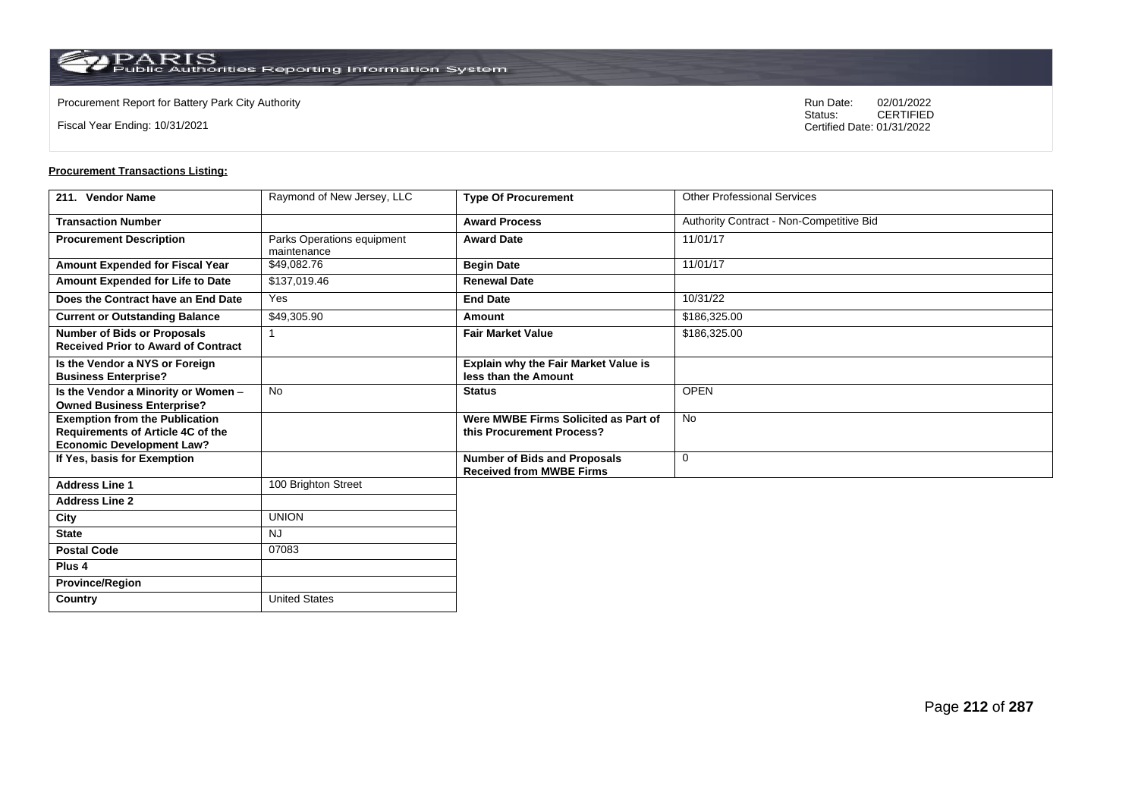**Country** United States

Fiscal Year Ending: 10/31/2021

Procurement Report for Battery Park City Authority **National State Concrete Concrete Concrete Concrete Concrete Concrete Concrete Concrete Concrete Concrete Concrete Concrete Concrete Concrete Concrete Concrete Concrete Co** CERTIFIED Certified Date: 01/31/2022

| 211. Vendor Name                                                                                                      | Raymond of New Jersey, LLC                | <b>Type Of Procurement</b>                                             | <b>Other Professional Services</b>       |
|-----------------------------------------------------------------------------------------------------------------------|-------------------------------------------|------------------------------------------------------------------------|------------------------------------------|
| <b>Transaction Number</b>                                                                                             |                                           | <b>Award Process</b>                                                   | Authority Contract - Non-Competitive Bid |
| <b>Procurement Description</b>                                                                                        | Parks Operations equipment<br>maintenance | <b>Award Date</b>                                                      | 11/01/17                                 |
| Amount Expended for Fiscal Year                                                                                       | \$49,082.76                               | <b>Begin Date</b>                                                      | 11/01/17                                 |
| Amount Expended for Life to Date                                                                                      | \$137,019.46                              | <b>Renewal Date</b>                                                    |                                          |
| Does the Contract have an End Date                                                                                    | Yes                                       | <b>End Date</b>                                                        | 10/31/22                                 |
| <b>Current or Outstanding Balance</b>                                                                                 | \$49,305.90                               | Amount                                                                 | \$186,325.00                             |
| <b>Number of Bids or Proposals</b><br><b>Received Prior to Award of Contract</b>                                      |                                           | <b>Fair Market Value</b>                                               | \$186,325.00                             |
| Is the Vendor a NYS or Foreign<br><b>Business Enterprise?</b>                                                         |                                           | Explain why the Fair Market Value is<br>less than the Amount           |                                          |
| Is the Vendor a Minority or Women -<br><b>Owned Business Enterprise?</b>                                              | No                                        | <b>Status</b>                                                          | <b>OPEN</b>                              |
| <b>Exemption from the Publication</b><br><b>Requirements of Article 4C of the</b><br><b>Economic Development Law?</b> |                                           | Were MWBE Firms Solicited as Part of<br>this Procurement Process?      | <b>No</b>                                |
| If Yes, basis for Exemption                                                                                           |                                           | <b>Number of Bids and Proposals</b><br><b>Received from MWBE Firms</b> | $\mathbf 0$                              |
| <b>Address Line 1</b>                                                                                                 | 100 Brighton Street                       |                                                                        |                                          |
| <b>Address Line 2</b>                                                                                                 |                                           |                                                                        |                                          |
| City                                                                                                                  | <b>UNION</b>                              |                                                                        |                                          |
| <b>State</b>                                                                                                          | <b>NJ</b>                                 |                                                                        |                                          |
| <b>Postal Code</b>                                                                                                    | 07083                                     |                                                                        |                                          |
| Plus <sub>4</sub>                                                                                                     |                                           |                                                                        |                                          |
| <b>Province/Region</b>                                                                                                |                                           |                                                                        |                                          |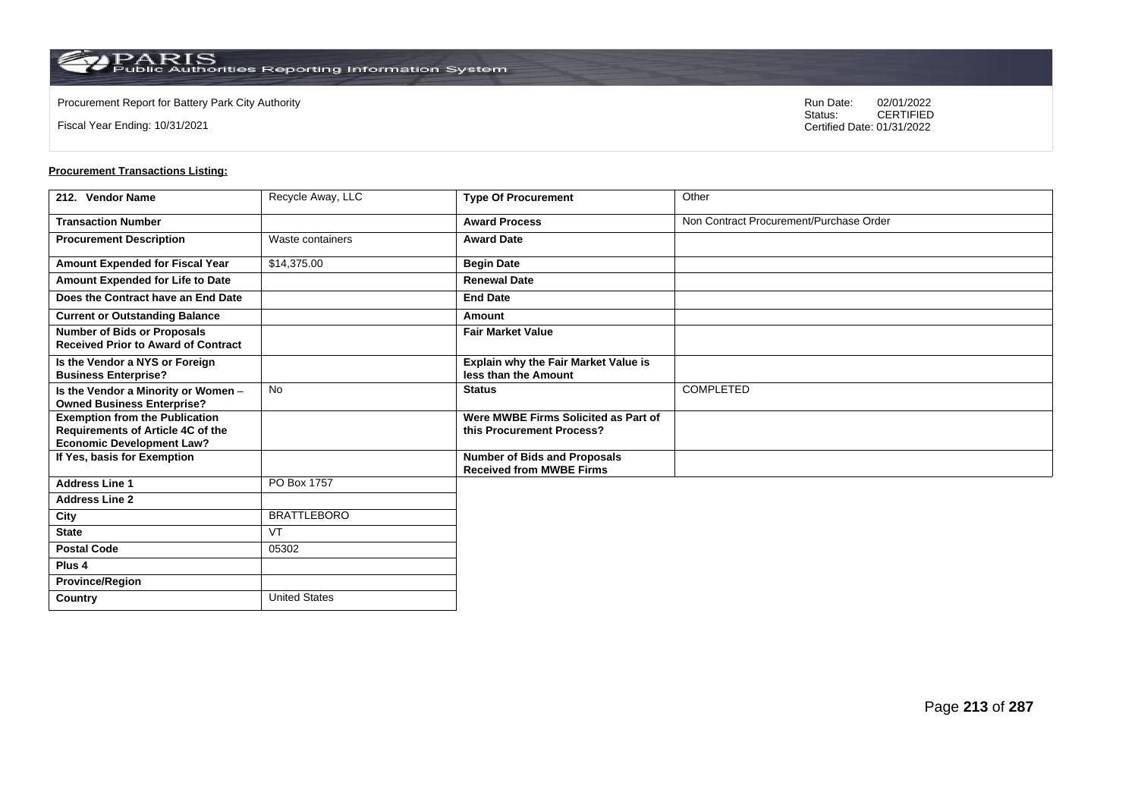**Country** United States

Fiscal Year Ending: 10/31/2021

Procurement Report for Battery Park City Authority **National State Concrete Concrete Concrete Concrete Concrete Concrete Concrete Concrete Concrete Concrete Concrete Concrete Concrete Concrete Concrete Concrete Concrete Co** CERTIFIED Certified Date: 01/31/2022

| 212. Vendor Name                                                                                               | Recycle Away, LLC  | <b>Type Of Procurement</b>                                             | Other                                   |
|----------------------------------------------------------------------------------------------------------------|--------------------|------------------------------------------------------------------------|-----------------------------------------|
| <b>Transaction Number</b>                                                                                      |                    | <b>Award Process</b>                                                   | Non Contract Procurement/Purchase Order |
| <b>Procurement Description</b>                                                                                 | Waste containers   | <b>Award Date</b>                                                      |                                         |
| Amount Expended for Fiscal Year                                                                                | \$14,375.00        | <b>Begin Date</b>                                                      |                                         |
| Amount Expended for Life to Date                                                                               |                    | <b>Renewal Date</b>                                                    |                                         |
| Does the Contract have an End Date                                                                             |                    | <b>End Date</b>                                                        |                                         |
| <b>Current or Outstanding Balance</b>                                                                          |                    | Amount                                                                 |                                         |
| <b>Number of Bids or Proposals</b><br><b>Received Prior to Award of Contract</b>                               |                    | <b>Fair Market Value</b>                                               |                                         |
| Is the Vendor a NYS or Foreign<br><b>Business Enterprise?</b>                                                  |                    | Explain why the Fair Market Value is<br>less than the Amount           |                                         |
| Is the Vendor a Minority or Women -<br><b>Owned Business Enterprise?</b>                                       | No                 | <b>Status</b>                                                          | <b>COMPLETED</b>                        |
| <b>Exemption from the Publication</b><br>Requirements of Article 4C of the<br><b>Economic Development Law?</b> |                    | Were MWBE Firms Solicited as Part of<br>this Procurement Process?      |                                         |
| If Yes, basis for Exemption                                                                                    |                    | <b>Number of Bids and Proposals</b><br><b>Received from MWBE Firms</b> |                                         |
| <b>Address Line 1</b>                                                                                          | PO Box 1757        |                                                                        |                                         |
| <b>Address Line 2</b>                                                                                          |                    |                                                                        |                                         |
| City                                                                                                           | <b>BRATTLEBORO</b> |                                                                        |                                         |
| <b>State</b>                                                                                                   | <b>VT</b>          |                                                                        |                                         |
| <b>Postal Code</b>                                                                                             | 05302              |                                                                        |                                         |
| Plus <sub>4</sub>                                                                                              |                    |                                                                        |                                         |
| <b>Province/Region</b>                                                                                         |                    |                                                                        |                                         |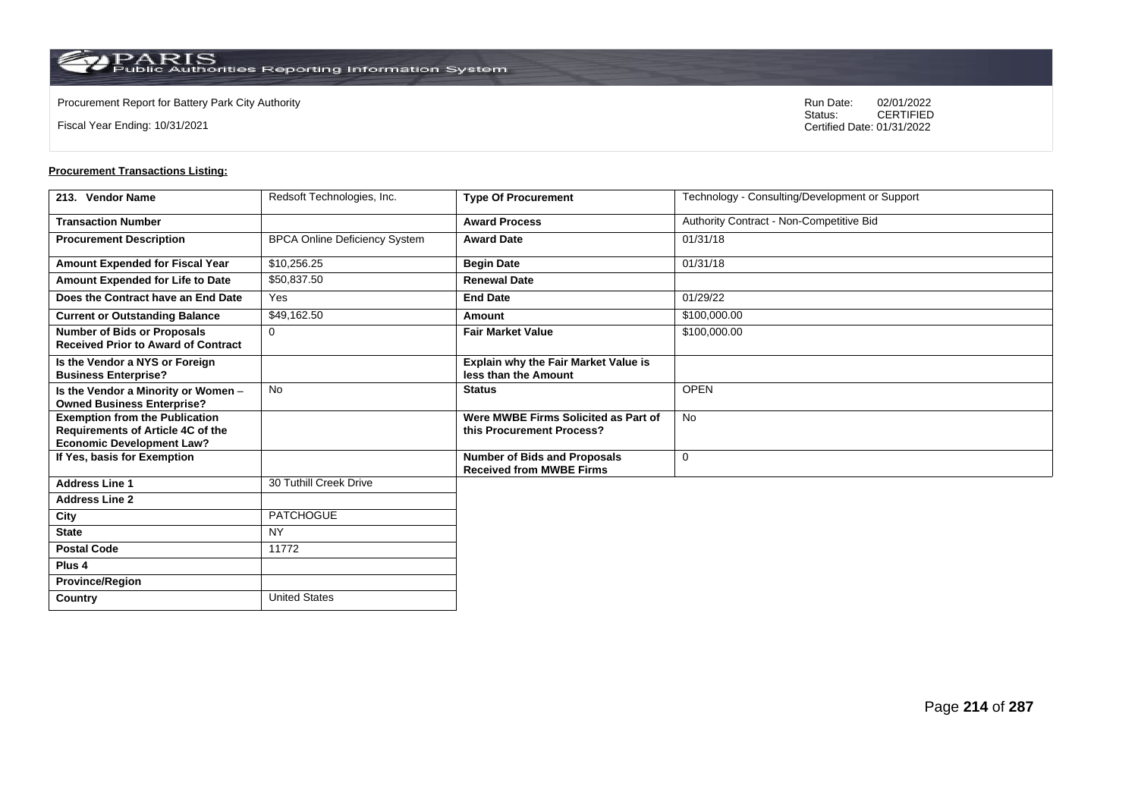$\operatorname{PARIS}_{\text{Public Authorities}\,\text{Reporting}\,\text{Information System}}$ 

**Country** United States

Fiscal Year Ending: 10/31/2021

Procurement Report for Battery Park City Authority **National State Concrete Concrete Concrete Concrete Concrete Concrete Concrete Concrete Concrete Concrete Concrete Concrete Concrete Concrete Concrete Concrete Concrete Co** CERTIFIED Certified Date: 01/31/2022

| 213. Vendor Name                                                                                                      | Redsoft Technologies, Inc.           | <b>Type Of Procurement</b>                                             | Technology - Consulting/Development or Support |
|-----------------------------------------------------------------------------------------------------------------------|--------------------------------------|------------------------------------------------------------------------|------------------------------------------------|
| <b>Transaction Number</b>                                                                                             |                                      | <b>Award Process</b>                                                   | Authority Contract - Non-Competitive Bid       |
| <b>Procurement Description</b>                                                                                        | <b>BPCA Online Deficiency System</b> | <b>Award Date</b>                                                      | 01/31/18                                       |
| Amount Expended for Fiscal Year                                                                                       | \$10,256.25                          | <b>Begin Date</b>                                                      | 01/31/18                                       |
| Amount Expended for Life to Date                                                                                      | \$50,837.50                          | <b>Renewal Date</b>                                                    |                                                |
| Does the Contract have an End Date                                                                                    | Yes                                  | <b>End Date</b>                                                        | 01/29/22                                       |
| <b>Current or Outstanding Balance</b>                                                                                 | \$49,162.50                          | Amount                                                                 | \$100,000.00                                   |
| <b>Number of Bids or Proposals</b><br><b>Received Prior to Award of Contract</b>                                      | $\Omega$                             | <b>Fair Market Value</b>                                               | \$100,000.00                                   |
| Is the Vendor a NYS or Foreign<br><b>Business Enterprise?</b>                                                         |                                      | <b>Explain why the Fair Market Value is</b><br>less than the Amount    |                                                |
| Is the Vendor a Minority or Women -<br><b>Owned Business Enterprise?</b>                                              | No                                   | <b>Status</b>                                                          | <b>OPEN</b>                                    |
| <b>Exemption from the Publication</b><br><b>Requirements of Article 4C of the</b><br><b>Economic Development Law?</b> |                                      | Were MWBE Firms Solicited as Part of<br>this Procurement Process?      | <b>No</b>                                      |
| If Yes, basis for Exemption                                                                                           |                                      | <b>Number of Bids and Proposals</b><br><b>Received from MWBE Firms</b> | $\mathbf 0$                                    |
| <b>Address Line 1</b>                                                                                                 | 30 Tuthill Creek Drive               |                                                                        |                                                |
| <b>Address Line 2</b>                                                                                                 |                                      |                                                                        |                                                |
| City                                                                                                                  | <b>PATCHOGUE</b>                     |                                                                        |                                                |
| <b>State</b>                                                                                                          | <b>NY</b>                            |                                                                        |                                                |
| <b>Postal Code</b>                                                                                                    | 11772                                |                                                                        |                                                |
| Plus <sub>4</sub>                                                                                                     |                                      |                                                                        |                                                |
| <b>Province/Region</b>                                                                                                |                                      |                                                                        |                                                |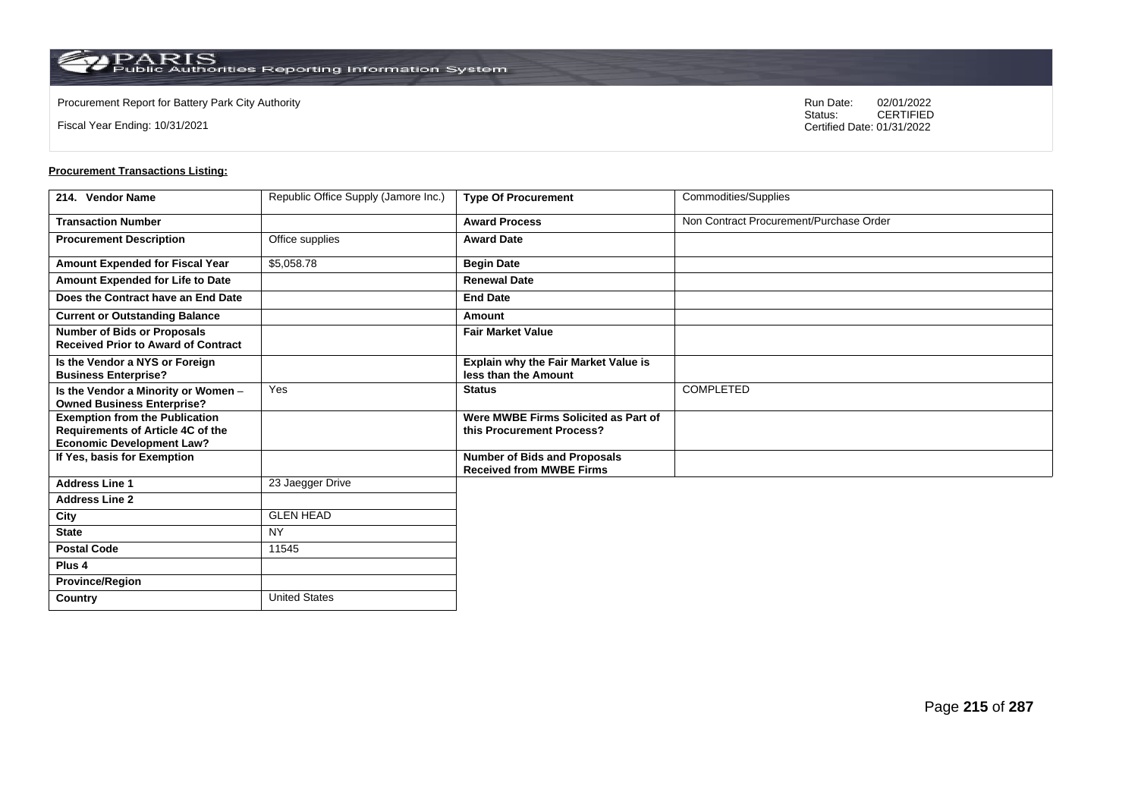Fiscal Year Ending: 10/31/2021

Procurement Report for Battery Park City Authority **National State Concrete Concrete Concrete Concrete Concrete Concrete Concrete Concrete Concrete Concrete Concrete Concrete Concrete Concrete Concrete Concrete Concrete Co** CERTIFIED Certified Date: 01/31/2022

| 214. Vendor Name                                                                                                      | Republic Office Supply (Jamore Inc.) | <b>Type Of Procurement</b>                                             | Commodities/Supplies                    |
|-----------------------------------------------------------------------------------------------------------------------|--------------------------------------|------------------------------------------------------------------------|-----------------------------------------|
| <b>Transaction Number</b>                                                                                             |                                      | <b>Award Process</b>                                                   | Non Contract Procurement/Purchase Order |
| <b>Procurement Description</b>                                                                                        | Office supplies                      | <b>Award Date</b>                                                      |                                         |
| Amount Expended for Fiscal Year                                                                                       | \$5,058.78                           | <b>Begin Date</b>                                                      |                                         |
| Amount Expended for Life to Date                                                                                      |                                      | <b>Renewal Date</b>                                                    |                                         |
| Does the Contract have an End Date                                                                                    |                                      | <b>End Date</b>                                                        |                                         |
| <b>Current or Outstanding Balance</b>                                                                                 |                                      | Amount                                                                 |                                         |
| <b>Number of Bids or Proposals</b><br><b>Received Prior to Award of Contract</b>                                      |                                      | <b>Fair Market Value</b>                                               |                                         |
| Is the Vendor a NYS or Foreign<br><b>Business Enterprise?</b>                                                         |                                      | Explain why the Fair Market Value is<br>less than the Amount           |                                         |
| Is the Vendor a Minority or Women -<br><b>Owned Business Enterprise?</b>                                              | Yes                                  | <b>Status</b>                                                          | COMPLETED                               |
| <b>Exemption from the Publication</b><br><b>Requirements of Article 4C of the</b><br><b>Economic Development Law?</b> |                                      | Were MWBE Firms Solicited as Part of<br>this Procurement Process?      |                                         |
| If Yes, basis for Exemption                                                                                           |                                      | <b>Number of Bids and Proposals</b><br><b>Received from MWBE Firms</b> |                                         |
| <b>Address Line 1</b>                                                                                                 | 23 Jaegger Drive                     |                                                                        |                                         |
| <b>Address Line 2</b>                                                                                                 |                                      |                                                                        |                                         |
| City                                                                                                                  | <b>GLEN HEAD</b>                     |                                                                        |                                         |
| <b>State</b>                                                                                                          | <b>NY</b>                            |                                                                        |                                         |
| <b>Postal Code</b>                                                                                                    | 11545                                |                                                                        |                                         |
| Plus 4                                                                                                                |                                      |                                                                        |                                         |
| <b>Province/Region</b>                                                                                                |                                      |                                                                        |                                         |
| Country                                                                                                               | <b>United States</b>                 |                                                                        |                                         |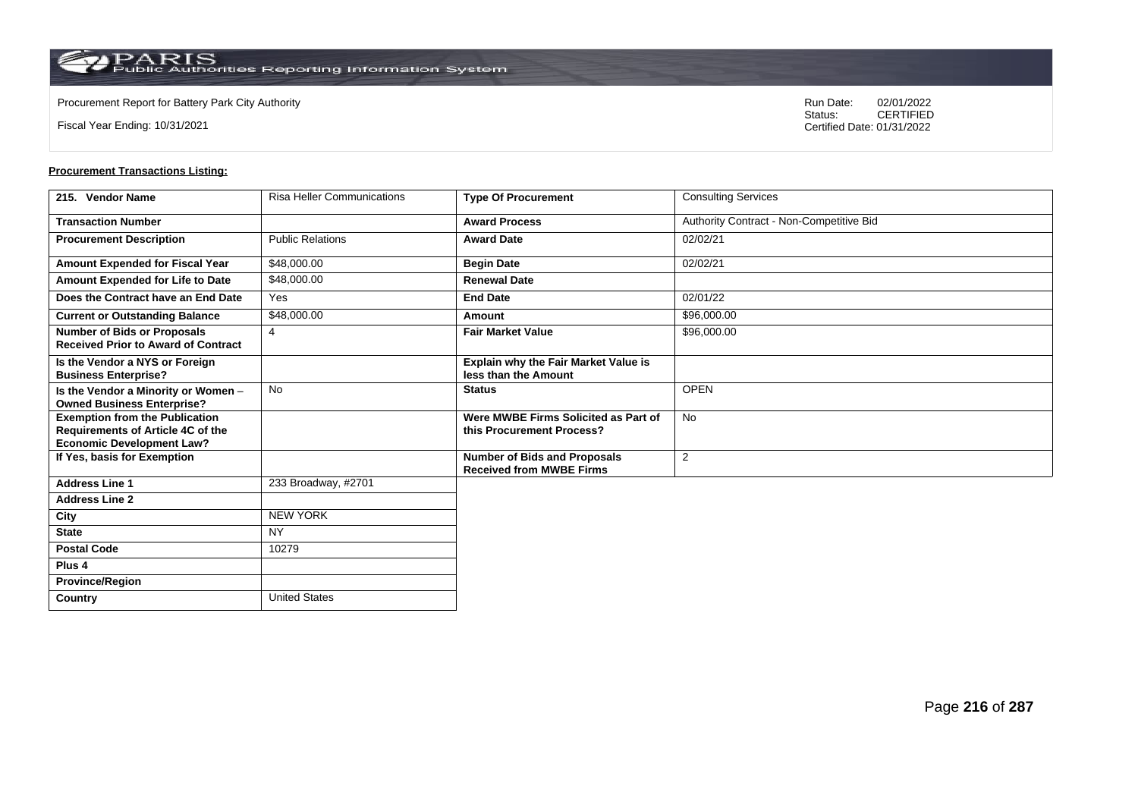**Country** United States

Fiscal Year Ending: 10/31/2021

Procurement Report for Battery Park City Authority **National State Concrete Concrete Concrete Concrete Concrete Concrete Concrete Concrete Concrete Concrete Concrete Concrete Concrete Concrete Concrete Concrete Concrete Co** CERTIFIED Certified Date: 01/31/2022

| 215. Vendor Name                                                                                                      | <b>Risa Heller Communications</b> | <b>Type Of Procurement</b>                                             | <b>Consulting Services</b>               |
|-----------------------------------------------------------------------------------------------------------------------|-----------------------------------|------------------------------------------------------------------------|------------------------------------------|
| <b>Transaction Number</b>                                                                                             |                                   | <b>Award Process</b>                                                   | Authority Contract - Non-Competitive Bid |
| <b>Procurement Description</b>                                                                                        | <b>Public Relations</b>           | <b>Award Date</b>                                                      | 02/02/21                                 |
| Amount Expended for Fiscal Year                                                                                       | \$48,000.00                       | <b>Begin Date</b>                                                      | 02/02/21                                 |
| Amount Expended for Life to Date                                                                                      | \$48,000.00                       | <b>Renewal Date</b>                                                    |                                          |
| Does the Contract have an End Date                                                                                    | Yes                               | <b>End Date</b>                                                        | 02/01/22                                 |
| <b>Current or Outstanding Balance</b>                                                                                 | \$48,000.00                       | Amount                                                                 | \$96,000.00                              |
| <b>Number of Bids or Proposals</b><br><b>Received Prior to Award of Contract</b>                                      | $\overline{4}$                    | <b>Fair Market Value</b>                                               | \$96,000.00                              |
| Is the Vendor a NYS or Foreign<br><b>Business Enterprise?</b>                                                         |                                   | Explain why the Fair Market Value is<br>less than the Amount           |                                          |
| Is the Vendor a Minority or Women -<br><b>Owned Business Enterprise?</b>                                              | <b>No</b>                         | <b>Status</b>                                                          | <b>OPEN</b>                              |
| <b>Exemption from the Publication</b><br><b>Requirements of Article 4C of the</b><br><b>Economic Development Law?</b> |                                   | Were MWBE Firms Solicited as Part of<br>this Procurement Process?      | <b>No</b>                                |
| If Yes, basis for Exemption                                                                                           |                                   | <b>Number of Bids and Proposals</b><br><b>Received from MWBE Firms</b> | $\overline{2}$                           |
| <b>Address Line 1</b>                                                                                                 | 233 Broadway, #2701               |                                                                        |                                          |
| <b>Address Line 2</b>                                                                                                 |                                   |                                                                        |                                          |
| City                                                                                                                  | <b>NEW YORK</b>                   |                                                                        |                                          |
| <b>State</b>                                                                                                          | <b>NY</b>                         |                                                                        |                                          |
| <b>Postal Code</b>                                                                                                    | 10279                             |                                                                        |                                          |
| Plus <sub>4</sub>                                                                                                     |                                   |                                                                        |                                          |
| <b>Province/Region</b>                                                                                                |                                   |                                                                        |                                          |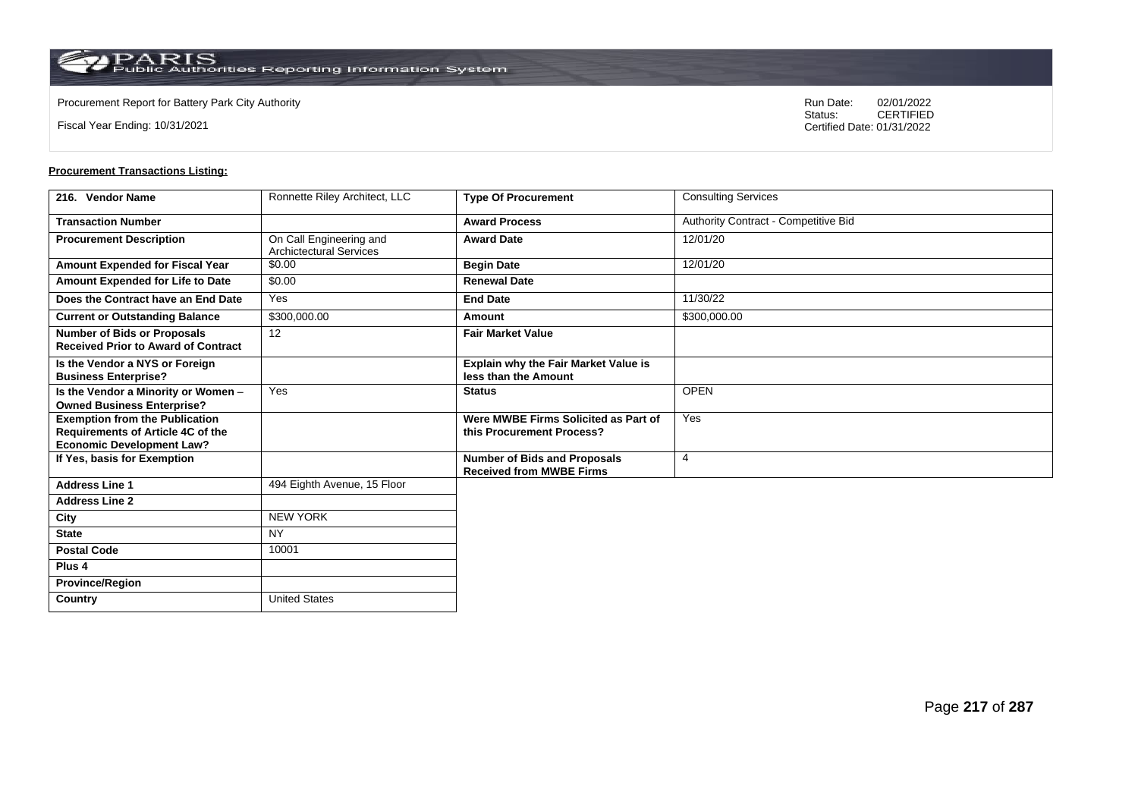**Country** United States

Fiscal Year Ending: 10/31/2021

Procurement Report for Battery Park City Authority **National State Concrete Concrete Concrete Concrete Concrete Concrete Concrete Concrete Concrete Concrete Concrete Concrete Concrete Concrete Concrete Concrete Concrete Co** CERTIFIED Certified Date: 01/31/2022

| 216. Vendor Name                                                                                               | Ronnette Riley Architect, LLC                             | <b>Type Of Procurement</b>                                             | <b>Consulting Services</b>           |
|----------------------------------------------------------------------------------------------------------------|-----------------------------------------------------------|------------------------------------------------------------------------|--------------------------------------|
| <b>Transaction Number</b>                                                                                      |                                                           | <b>Award Process</b>                                                   | Authority Contract - Competitive Bid |
| <b>Procurement Description</b>                                                                                 | On Call Engineering and<br><b>Archictectural Services</b> | <b>Award Date</b>                                                      | 12/01/20                             |
| Amount Expended for Fiscal Year                                                                                | \$0.00                                                    | <b>Begin Date</b>                                                      | 12/01/20                             |
| Amount Expended for Life to Date                                                                               | \$0.00                                                    | <b>Renewal Date</b>                                                    |                                      |
| Does the Contract have an End Date                                                                             | Yes                                                       | <b>End Date</b>                                                        | 11/30/22                             |
| <b>Current or Outstanding Balance</b>                                                                          | \$300,000.00                                              | Amount                                                                 | \$300,000.00                         |
| <b>Number of Bids or Proposals</b><br><b>Received Prior to Award of Contract</b>                               | 12                                                        | <b>Fair Market Value</b>                                               |                                      |
| Is the Vendor a NYS or Foreign<br><b>Business Enterprise?</b>                                                  |                                                           | Explain why the Fair Market Value is<br>less than the Amount           |                                      |
| Is the Vendor a Minority or Women -<br><b>Owned Business Enterprise?</b>                                       | Yes                                                       | <b>Status</b>                                                          | <b>OPEN</b>                          |
| <b>Exemption from the Publication</b><br>Requirements of Article 4C of the<br><b>Economic Development Law?</b> |                                                           | Were MWBE Firms Solicited as Part of<br>this Procurement Process?      | Yes                                  |
| If Yes, basis for Exemption                                                                                    |                                                           | <b>Number of Bids and Proposals</b><br><b>Received from MWBE Firms</b> | $\overline{4}$                       |
| <b>Address Line 1</b>                                                                                          | 494 Eighth Avenue, 15 Floor                               |                                                                        |                                      |
| <b>Address Line 2</b>                                                                                          |                                                           |                                                                        |                                      |
| City                                                                                                           | <b>NEW YORK</b>                                           |                                                                        |                                      |
| <b>State</b>                                                                                                   | <b>NY</b>                                                 |                                                                        |                                      |
| <b>Postal Code</b>                                                                                             | 10001                                                     |                                                                        |                                      |
| Plus <sub>4</sub>                                                                                              |                                                           |                                                                        |                                      |
| <b>Province/Region</b>                                                                                         |                                                           |                                                                        |                                      |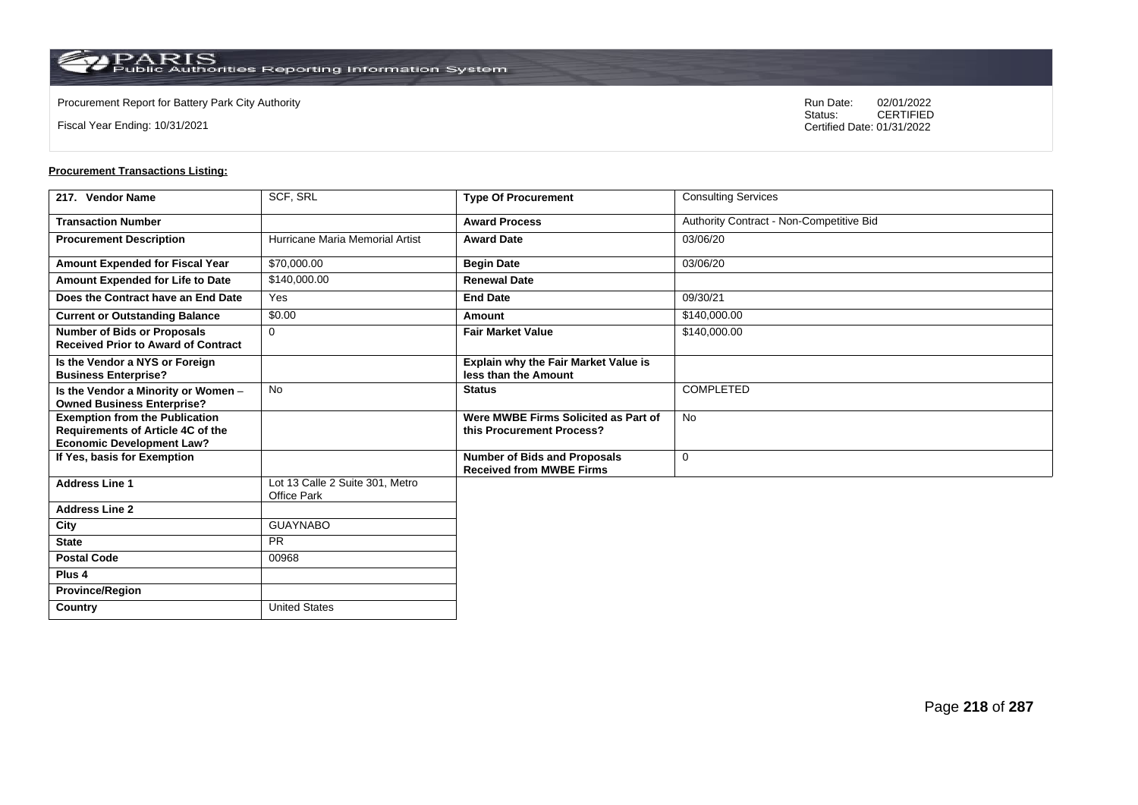**Country** United States

Fiscal Year Ending: 10/31/2021

Procurement Report for Battery Park City Authority **National State Concrete Concrete Concrete Concrete Concrete Concrete Concrete Concrete Concrete Concrete Concrete Concrete Concrete Concrete Concrete Concrete Concrete Co** CERTIFIED Certified Date: 01/31/2022

| 217. Vendor Name                                                                                               | SCF, SRL                                              | <b>Type Of Procurement</b>                                             | <b>Consulting Services</b>               |
|----------------------------------------------------------------------------------------------------------------|-------------------------------------------------------|------------------------------------------------------------------------|------------------------------------------|
| <b>Transaction Number</b>                                                                                      |                                                       | <b>Award Process</b>                                                   | Authority Contract - Non-Competitive Bid |
| <b>Procurement Description</b>                                                                                 | Hurricane Maria Memorial Artist                       | <b>Award Date</b>                                                      | 03/06/20                                 |
| <b>Amount Expended for Fiscal Year</b>                                                                         | \$70,000.00                                           | <b>Begin Date</b>                                                      | 03/06/20                                 |
| Amount Expended for Life to Date                                                                               | \$140,000.00                                          | <b>Renewal Date</b>                                                    |                                          |
| Does the Contract have an End Date                                                                             | Yes                                                   | <b>End Date</b>                                                        | 09/30/21                                 |
| <b>Current or Outstanding Balance</b>                                                                          | \$0.00                                                | Amount                                                                 | \$140,000,00                             |
| <b>Number of Bids or Proposals</b><br><b>Received Prior to Award of Contract</b>                               | $\mathbf 0$                                           | <b>Fair Market Value</b>                                               | \$140,000.00                             |
| Is the Vendor a NYS or Foreign<br><b>Business Enterprise?</b>                                                  |                                                       | <b>Explain why the Fair Market Value is</b><br>less than the Amount    |                                          |
| Is the Vendor a Minority or Women -<br><b>Owned Business Enterprise?</b>                                       | <b>No</b>                                             | <b>Status</b>                                                          | <b>COMPLETED</b>                         |
| <b>Exemption from the Publication</b><br>Requirements of Article 4C of the<br><b>Economic Development Law?</b> |                                                       | Were MWBE Firms Solicited as Part of<br>this Procurement Process?      | <b>No</b>                                |
| If Yes, basis for Exemption                                                                                    |                                                       | <b>Number of Bids and Proposals</b><br><b>Received from MWBE Firms</b> | $\mathbf 0$                              |
| <b>Address Line 1</b>                                                                                          | Lot 13 Calle 2 Suite 301, Metro<br><b>Office Park</b> |                                                                        |                                          |
| <b>Address Line 2</b>                                                                                          |                                                       |                                                                        |                                          |
| City                                                                                                           | <b>GUAYNABO</b>                                       |                                                                        |                                          |
| <b>State</b>                                                                                                   | <b>PR</b>                                             |                                                                        |                                          |
| <b>Postal Code</b>                                                                                             | 00968                                                 |                                                                        |                                          |
| Plus <sub>4</sub>                                                                                              |                                                       |                                                                        |                                          |
| <b>Province/Region</b>                                                                                         |                                                       |                                                                        |                                          |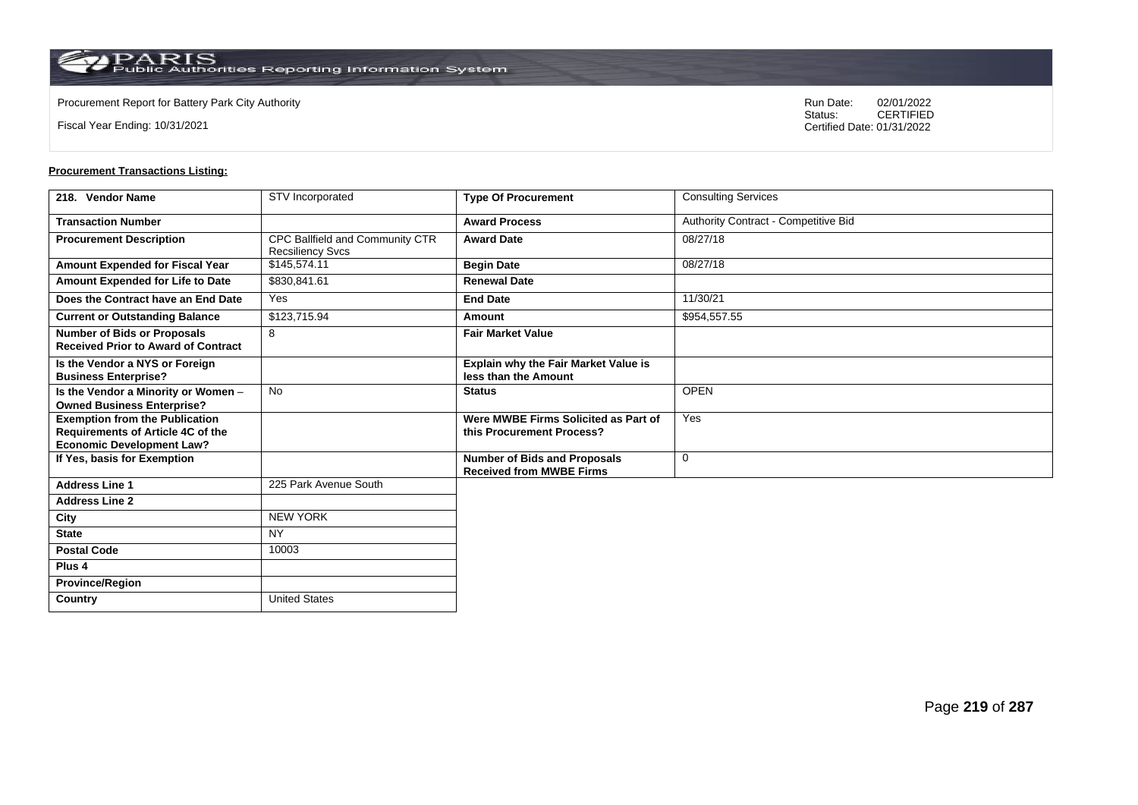**Country** United States

Fiscal Year Ending: 10/31/2021

Procurement Report for Battery Park City Authority **National State Concrete Concrete Concrete Concrete Concrete Concrete Concrete Concrete Concrete Concrete Concrete Concrete Concrete Concrete Concrete Concrete Concrete Co** CERTIFIED Certified Date: 01/31/2022

| 218. Vendor Name                                                                                                      | STV Incorporated                                           | <b>Type Of Procurement</b>                                             | <b>Consulting Services</b>           |
|-----------------------------------------------------------------------------------------------------------------------|------------------------------------------------------------|------------------------------------------------------------------------|--------------------------------------|
| <b>Transaction Number</b>                                                                                             |                                                            | <b>Award Process</b>                                                   | Authority Contract - Competitive Bid |
| <b>Procurement Description</b>                                                                                        | CPC Ballfield and Community CTR<br><b>Recsiliency Svcs</b> | <b>Award Date</b>                                                      | 08/27/18                             |
| <b>Amount Expended for Fiscal Year</b>                                                                                | \$145,574.11                                               | <b>Begin Date</b>                                                      | 08/27/18                             |
| Amount Expended for Life to Date                                                                                      | \$830,841.61                                               | <b>Renewal Date</b>                                                    |                                      |
| Does the Contract have an End Date                                                                                    | Yes                                                        | <b>End Date</b>                                                        | 11/30/21                             |
| <b>Current or Outstanding Balance</b>                                                                                 | \$123,715.94                                               | Amount                                                                 | \$954,557.55                         |
| <b>Number of Bids or Proposals</b><br><b>Received Prior to Award of Contract</b>                                      | 8                                                          | <b>Fair Market Value</b>                                               |                                      |
| Is the Vendor a NYS or Foreign<br><b>Business Enterprise?</b>                                                         |                                                            | <b>Explain why the Fair Market Value is</b><br>less than the Amount    |                                      |
| Is the Vendor a Minority or Women -<br><b>Owned Business Enterprise?</b>                                              | <b>No</b>                                                  | <b>Status</b>                                                          | <b>OPEN</b>                          |
| <b>Exemption from the Publication</b><br><b>Requirements of Article 4C of the</b><br><b>Economic Development Law?</b> |                                                            | Were MWBE Firms Solicited as Part of<br>this Procurement Process?      | Yes                                  |
| If Yes, basis for Exemption                                                                                           |                                                            | <b>Number of Bids and Proposals</b><br><b>Received from MWBE Firms</b> | 0                                    |
| <b>Address Line 1</b>                                                                                                 | 225 Park Avenue South                                      |                                                                        |                                      |
| <b>Address Line 2</b>                                                                                                 |                                                            |                                                                        |                                      |
| City                                                                                                                  | <b>NEW YORK</b>                                            |                                                                        |                                      |
| <b>State</b>                                                                                                          | <b>NY</b>                                                  |                                                                        |                                      |
| <b>Postal Code</b>                                                                                                    | 10003                                                      |                                                                        |                                      |
| Plus <sub>4</sub>                                                                                                     |                                                            |                                                                        |                                      |
| <b>Province/Region</b>                                                                                                |                                                            |                                                                        |                                      |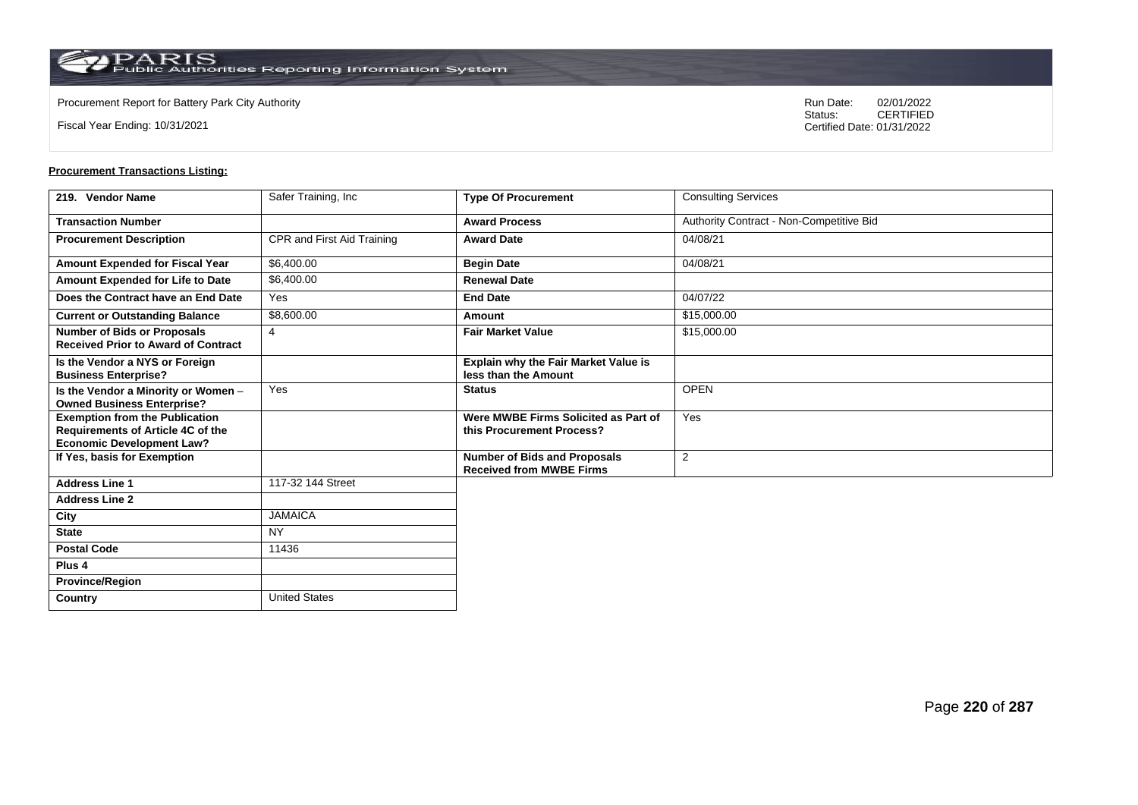**Country** United States

Fiscal Year Ending: 10/31/2021

Procurement Report for Battery Park City Authority **National State Concrete Concrete Concrete Concrete Concrete Concrete Concrete Concrete Concrete Concrete Concrete Concrete Concrete Concrete Concrete Concrete Concrete Co** CERTIFIED Certified Date: 01/31/2022

| 219. Vendor Name                                                                                               | Safer Training, Inc        | <b>Type Of Procurement</b>                                             | <b>Consulting Services</b>               |
|----------------------------------------------------------------------------------------------------------------|----------------------------|------------------------------------------------------------------------|------------------------------------------|
| <b>Transaction Number</b>                                                                                      |                            | <b>Award Process</b>                                                   | Authority Contract - Non-Competitive Bid |
| <b>Procurement Description</b>                                                                                 | CPR and First Aid Training | <b>Award Date</b>                                                      | 04/08/21                                 |
| Amount Expended for Fiscal Year                                                                                | \$6,400.00                 | <b>Begin Date</b>                                                      | 04/08/21                                 |
| Amount Expended for Life to Date                                                                               | \$6,400.00                 | <b>Renewal Date</b>                                                    |                                          |
| Does the Contract have an End Date                                                                             | Yes                        | <b>End Date</b>                                                        | 04/07/22                                 |
| <b>Current or Outstanding Balance</b>                                                                          | \$8,600.00                 | Amount                                                                 | \$15,000.00                              |
| <b>Number of Bids or Proposals</b><br><b>Received Prior to Award of Contract</b>                               | $\overline{4}$             | <b>Fair Market Value</b>                                               | \$15,000.00                              |
| Is the Vendor a NYS or Foreign<br><b>Business Enterprise?</b>                                                  |                            | Explain why the Fair Market Value is<br>less than the Amount           |                                          |
| Is the Vendor a Minority or Women -<br><b>Owned Business Enterprise?</b>                                       | Yes                        | <b>Status</b>                                                          | <b>OPEN</b>                              |
| <b>Exemption from the Publication</b><br>Requirements of Article 4C of the<br><b>Economic Development Law?</b> |                            | Were MWBE Firms Solicited as Part of<br>this Procurement Process?      | Yes                                      |
| If Yes, basis for Exemption                                                                                    |                            | <b>Number of Bids and Proposals</b><br><b>Received from MWBE Firms</b> | 2                                        |
| <b>Address Line 1</b>                                                                                          | 117-32 144 Street          |                                                                        |                                          |
| <b>Address Line 2</b>                                                                                          |                            |                                                                        |                                          |
| City                                                                                                           | <b>JAMAICA</b>             |                                                                        |                                          |
| <b>State</b>                                                                                                   | <b>NY</b>                  |                                                                        |                                          |
| <b>Postal Code</b>                                                                                             | 11436                      |                                                                        |                                          |
| Plus <sub>4</sub>                                                                                              |                            |                                                                        |                                          |
| <b>Province/Region</b>                                                                                         |                            |                                                                        |                                          |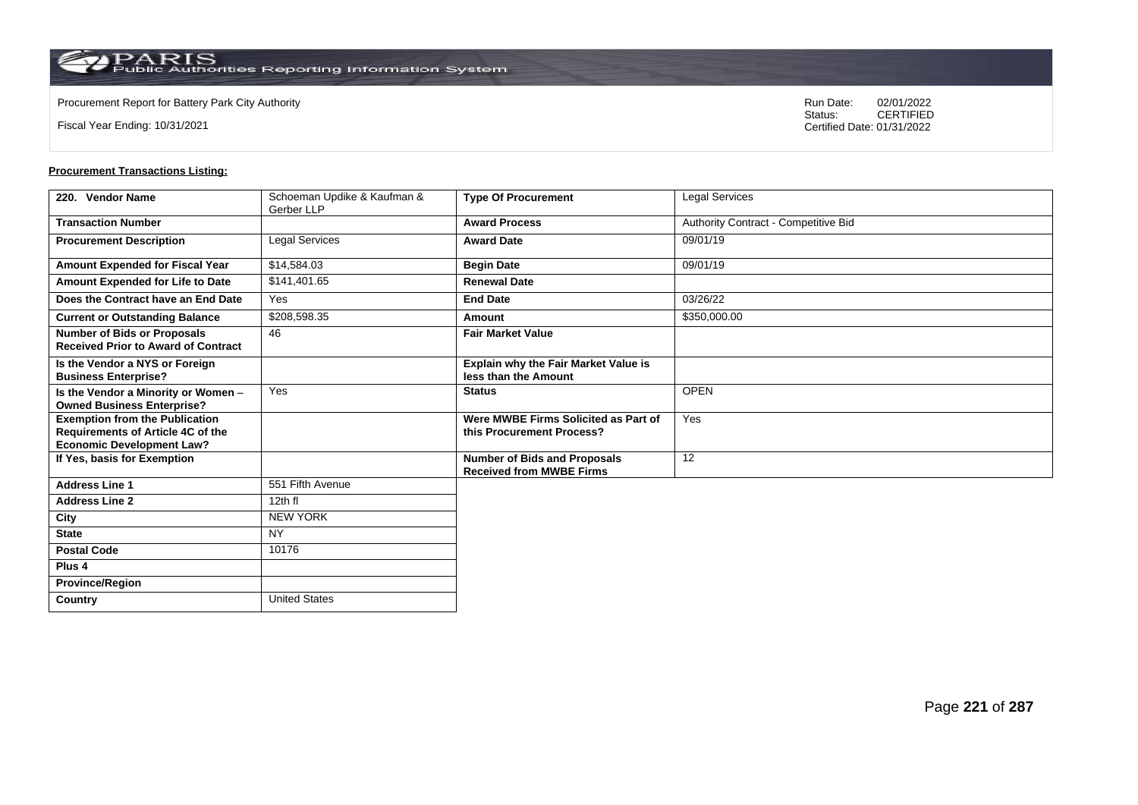Fiscal Year Ending: 10/31/2021

Procurement Report for Battery Park City Authority **National State Concrete Concrete Concrete Concrete Concrete Concrete Concrete Concrete Concrete Concrete Concrete Concrete Concrete Concrete Concrete Concrete Concrete Co** CERTIFIED Certified Date: 01/31/2022

| 220. Vendor Name                                                                                               | Schoeman Updike & Kaufman &<br>Gerber LLP | <b>Type Of Procurement</b>                                             | <b>Legal Services</b>                |
|----------------------------------------------------------------------------------------------------------------|-------------------------------------------|------------------------------------------------------------------------|--------------------------------------|
| <b>Transaction Number</b>                                                                                      |                                           | <b>Award Process</b>                                                   | Authority Contract - Competitive Bid |
| <b>Procurement Description</b>                                                                                 | <b>Legal Services</b>                     | <b>Award Date</b>                                                      | 09/01/19                             |
| <b>Amount Expended for Fiscal Year</b>                                                                         | \$14,584.03                               | <b>Begin Date</b>                                                      | 09/01/19                             |
| Amount Expended for Life to Date                                                                               | \$141.401.65                              | <b>Renewal Date</b>                                                    |                                      |
| Does the Contract have an End Date                                                                             | Yes                                       | <b>End Date</b>                                                        | 03/26/22                             |
| <b>Current or Outstanding Balance</b>                                                                          | \$208,598.35                              | Amount                                                                 | \$350,000.00                         |
| <b>Number of Bids or Proposals</b><br><b>Received Prior to Award of Contract</b>                               | 46                                        | <b>Fair Market Value</b>                                               |                                      |
| Is the Vendor a NYS or Foreign<br><b>Business Enterprise?</b>                                                  |                                           | Explain why the Fair Market Value is<br>less than the Amount           |                                      |
| Is the Vendor a Minority or Women -<br><b>Owned Business Enterprise?</b>                                       | Yes                                       | <b>Status</b>                                                          | <b>OPEN</b>                          |
| <b>Exemption from the Publication</b><br>Requirements of Article 4C of the<br><b>Economic Development Law?</b> |                                           | Were MWBE Firms Solicited as Part of<br>this Procurement Process?      | Yes                                  |
| If Yes, basis for Exemption                                                                                    |                                           | <b>Number of Bids and Proposals</b><br><b>Received from MWBE Firms</b> | 12                                   |
| <b>Address Line 1</b>                                                                                          | 551 Fifth Avenue                          |                                                                        |                                      |
| <b>Address Line 2</b>                                                                                          | 12th fl                                   |                                                                        |                                      |
| City                                                                                                           | <b>NEW YORK</b>                           |                                                                        |                                      |
| <b>State</b>                                                                                                   | <b>NY</b>                                 |                                                                        |                                      |
| <b>Postal Code</b>                                                                                             | 10176                                     |                                                                        |                                      |
| Plus <sub>4</sub>                                                                                              |                                           |                                                                        |                                      |
| <b>Province/Region</b>                                                                                         |                                           |                                                                        |                                      |
| Country                                                                                                        | <b>United States</b>                      |                                                                        |                                      |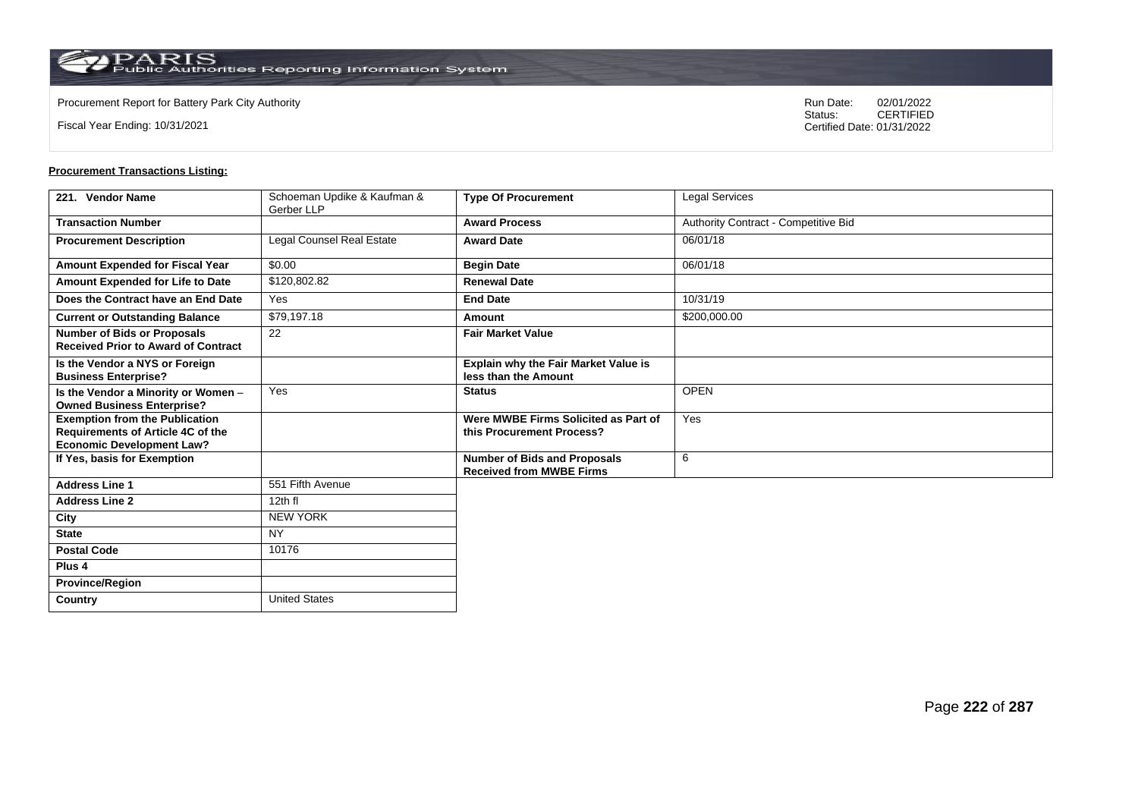Fiscal Year Ending: 10/31/2021

Procurement Report for Battery Park City Authority **National State Concrete Concrete Concrete Concrete Concrete Concrete Concrete Concrete Concrete Concrete Concrete Concrete Concrete Concrete Concrete Concrete Concrete Co** CERTIFIED Certified Date: 01/31/2022

| 221. Vendor Name                                                                                               | Schoeman Updike & Kaufman &<br>Gerber LLP | <b>Type Of Procurement</b>                                             | <b>Legal Services</b>                |
|----------------------------------------------------------------------------------------------------------------|-------------------------------------------|------------------------------------------------------------------------|--------------------------------------|
| <b>Transaction Number</b>                                                                                      |                                           | <b>Award Process</b>                                                   | Authority Contract - Competitive Bid |
| <b>Procurement Description</b>                                                                                 | Legal Counsel Real Estate                 | <b>Award Date</b>                                                      | 06/01/18                             |
| <b>Amount Expended for Fiscal Year</b>                                                                         | \$0.00                                    | <b>Begin Date</b>                                                      | 06/01/18                             |
| Amount Expended for Life to Date                                                                               | \$120,802.82                              | <b>Renewal Date</b>                                                    |                                      |
| Does the Contract have an End Date                                                                             | Yes                                       | <b>End Date</b>                                                        | 10/31/19                             |
| <b>Current or Outstanding Balance</b>                                                                          | \$79,197.18                               | Amount                                                                 | \$200,000.00                         |
| <b>Number of Bids or Proposals</b><br><b>Received Prior to Award of Contract</b>                               | 22                                        | <b>Fair Market Value</b>                                               |                                      |
| Is the Vendor a NYS or Foreign<br><b>Business Enterprise?</b>                                                  |                                           | Explain why the Fair Market Value is<br>less than the Amount           |                                      |
| Is the Vendor a Minority or Women -<br><b>Owned Business Enterprise?</b>                                       | Yes                                       | <b>Status</b>                                                          | <b>OPEN</b>                          |
| <b>Exemption from the Publication</b><br>Requirements of Article 4C of the<br><b>Economic Development Law?</b> |                                           | Were MWBE Firms Solicited as Part of<br>this Procurement Process?      | Yes                                  |
| If Yes, basis for Exemption                                                                                    |                                           | <b>Number of Bids and Proposals</b><br><b>Received from MWBE Firms</b> | 6                                    |
| <b>Address Line 1</b>                                                                                          | 551 Fifth Avenue                          |                                                                        |                                      |
| <b>Address Line 2</b>                                                                                          | 12th fl                                   |                                                                        |                                      |
| City                                                                                                           | <b>NEW YORK</b>                           |                                                                        |                                      |
| <b>State</b>                                                                                                   | <b>NY</b>                                 |                                                                        |                                      |
| <b>Postal Code</b>                                                                                             | 10176                                     |                                                                        |                                      |
| Plus <sub>4</sub>                                                                                              |                                           |                                                                        |                                      |
| <b>Province/Region</b>                                                                                         |                                           |                                                                        |                                      |
| Country                                                                                                        | <b>United States</b>                      |                                                                        |                                      |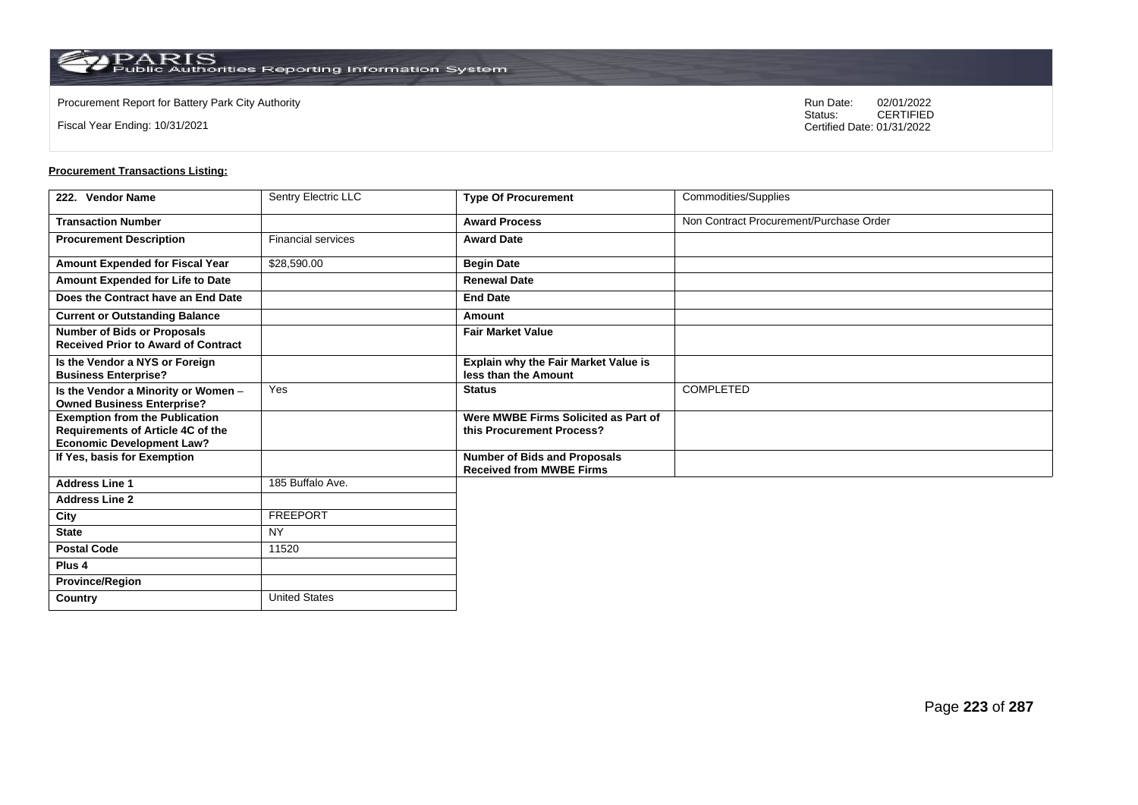Fiscal Year Ending: 10/31/2021

Procurement Report for Battery Park City Authority **National State Concrete Concrete Concrete Concrete Concrete Concrete Concrete Concrete Concrete Concrete Concrete Concrete Concrete Concrete Concrete Concrete Concrete Co** CERTIFIED Certified Date: 01/31/2022

| 222. Vendor Name                                                                                               | <b>Sentry Electric LLC</b> | <b>Type Of Procurement</b>                                             | Commodities/Supplies                    |
|----------------------------------------------------------------------------------------------------------------|----------------------------|------------------------------------------------------------------------|-----------------------------------------|
| <b>Transaction Number</b>                                                                                      |                            | <b>Award Process</b>                                                   | Non Contract Procurement/Purchase Order |
| <b>Procurement Description</b>                                                                                 | <b>Financial services</b>  | <b>Award Date</b>                                                      |                                         |
| Amount Expended for Fiscal Year                                                                                | \$28,590.00                | <b>Begin Date</b>                                                      |                                         |
| Amount Expended for Life to Date                                                                               |                            | <b>Renewal Date</b>                                                    |                                         |
| Does the Contract have an End Date                                                                             |                            | <b>End Date</b>                                                        |                                         |
| <b>Current or Outstanding Balance</b>                                                                          |                            | Amount                                                                 |                                         |
| <b>Number of Bids or Proposals</b><br><b>Received Prior to Award of Contract</b>                               |                            | <b>Fair Market Value</b>                                               |                                         |
| Is the Vendor a NYS or Foreign<br><b>Business Enterprise?</b>                                                  |                            | Explain why the Fair Market Value is<br>less than the Amount           |                                         |
| Is the Vendor a Minority or Women -<br><b>Owned Business Enterprise?</b>                                       | Yes                        | <b>Status</b>                                                          | <b>COMPLETED</b>                        |
| <b>Exemption from the Publication</b><br>Requirements of Article 4C of the<br><b>Economic Development Law?</b> |                            | Were MWBE Firms Solicited as Part of<br>this Procurement Process?      |                                         |
| If Yes, basis for Exemption                                                                                    |                            | <b>Number of Bids and Proposals</b><br><b>Received from MWBE Firms</b> |                                         |
| <b>Address Line 1</b>                                                                                          | 185 Buffalo Ave.           |                                                                        |                                         |
| <b>Address Line 2</b>                                                                                          |                            |                                                                        |                                         |
| City                                                                                                           | <b>FREEPORT</b>            |                                                                        |                                         |
| <b>State</b>                                                                                                   | <b>NY</b>                  |                                                                        |                                         |
| <b>Postal Code</b>                                                                                             | 11520                      |                                                                        |                                         |
| Plus 4                                                                                                         |                            |                                                                        |                                         |
| <b>Province/Region</b>                                                                                         |                            |                                                                        |                                         |
| Country                                                                                                        | <b>United States</b>       |                                                                        |                                         |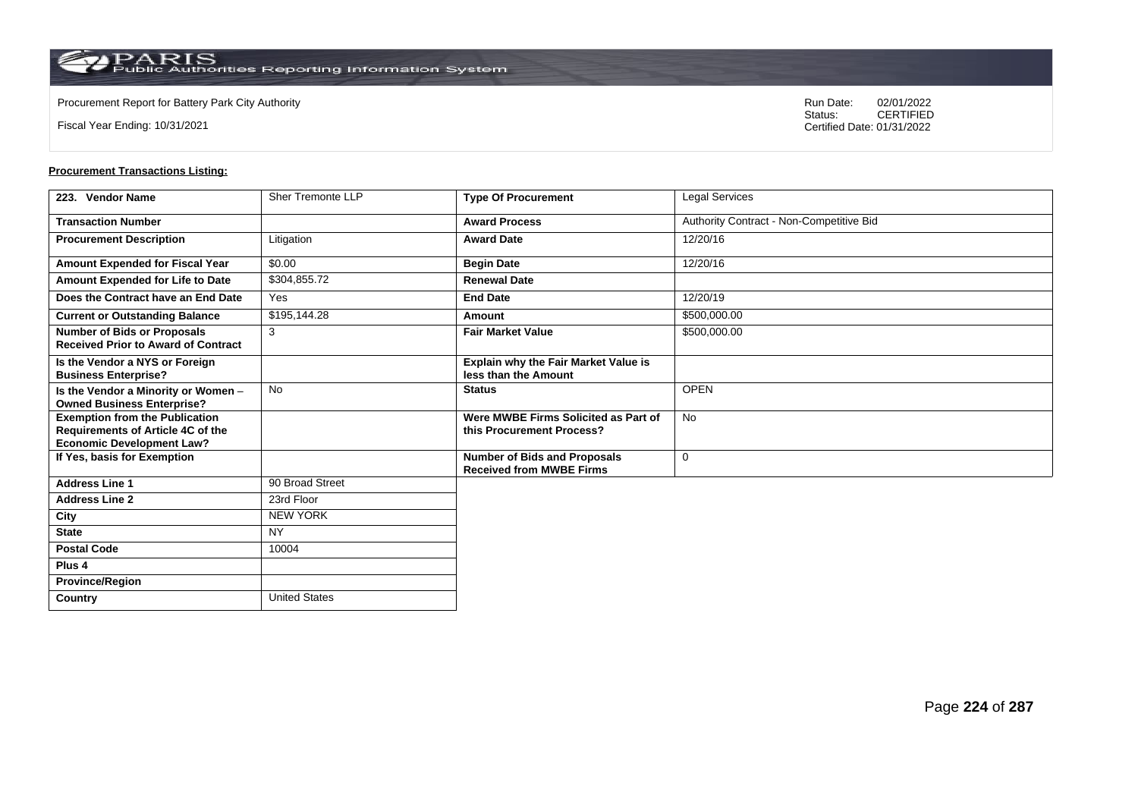Fiscal Year Ending: 10/31/2021

Procurement Report for Battery Park City Authority **National State Concrete Concrete Concrete Concrete Concrete Concrete Concrete Concrete Concrete Concrete Concrete Concrete Concrete Concrete Concrete Concrete Concrete Co** CERTIFIED Certified Date: 01/31/2022

| 223. Vendor Name                                                                                                      | Sher Tremonte LLP    | <b>Type Of Procurement</b>                                             | Legal Services                           |
|-----------------------------------------------------------------------------------------------------------------------|----------------------|------------------------------------------------------------------------|------------------------------------------|
| <b>Transaction Number</b>                                                                                             |                      | <b>Award Process</b>                                                   | Authority Contract - Non-Competitive Bid |
| <b>Procurement Description</b>                                                                                        | Litigation           | <b>Award Date</b>                                                      | 12/20/16                                 |
| <b>Amount Expended for Fiscal Year</b>                                                                                | \$0.00               | <b>Begin Date</b>                                                      | 12/20/16                                 |
| Amount Expended for Life to Date                                                                                      | \$304.855.72         | <b>Renewal Date</b>                                                    |                                          |
| Does the Contract have an End Date                                                                                    | Yes                  | <b>End Date</b>                                                        | 12/20/19                                 |
| <b>Current or Outstanding Balance</b>                                                                                 | \$195,144.28         | Amount                                                                 | \$500,000.00                             |
| <b>Number of Bids or Proposals</b><br><b>Received Prior to Award of Contract</b>                                      | 3                    | <b>Fair Market Value</b>                                               | \$500,000.00                             |
| Is the Vendor a NYS or Foreign<br><b>Business Enterprise?</b>                                                         |                      | <b>Explain why the Fair Market Value is</b><br>less than the Amount    |                                          |
| Is the Vendor a Minority or Women -<br><b>Owned Business Enterprise?</b>                                              | <b>No</b>            | <b>Status</b>                                                          | <b>OPEN</b>                              |
| <b>Exemption from the Publication</b><br><b>Requirements of Article 4C of the</b><br><b>Economic Development Law?</b> |                      | Were MWBE Firms Solicited as Part of<br>this Procurement Process?      | No                                       |
| If Yes, basis for Exemption                                                                                           |                      | <b>Number of Bids and Proposals</b><br><b>Received from MWBE Firms</b> | 0                                        |
| <b>Address Line 1</b>                                                                                                 | 90 Broad Street      |                                                                        |                                          |
| <b>Address Line 2</b>                                                                                                 | 23rd Floor           |                                                                        |                                          |
| City                                                                                                                  | <b>NEW YORK</b>      |                                                                        |                                          |
| <b>State</b>                                                                                                          | <b>NY</b>            |                                                                        |                                          |
| <b>Postal Code</b>                                                                                                    | 10004                |                                                                        |                                          |
| Plus <sub>4</sub>                                                                                                     |                      |                                                                        |                                          |
| <b>Province/Region</b>                                                                                                |                      |                                                                        |                                          |
| Country                                                                                                               | <b>United States</b> |                                                                        |                                          |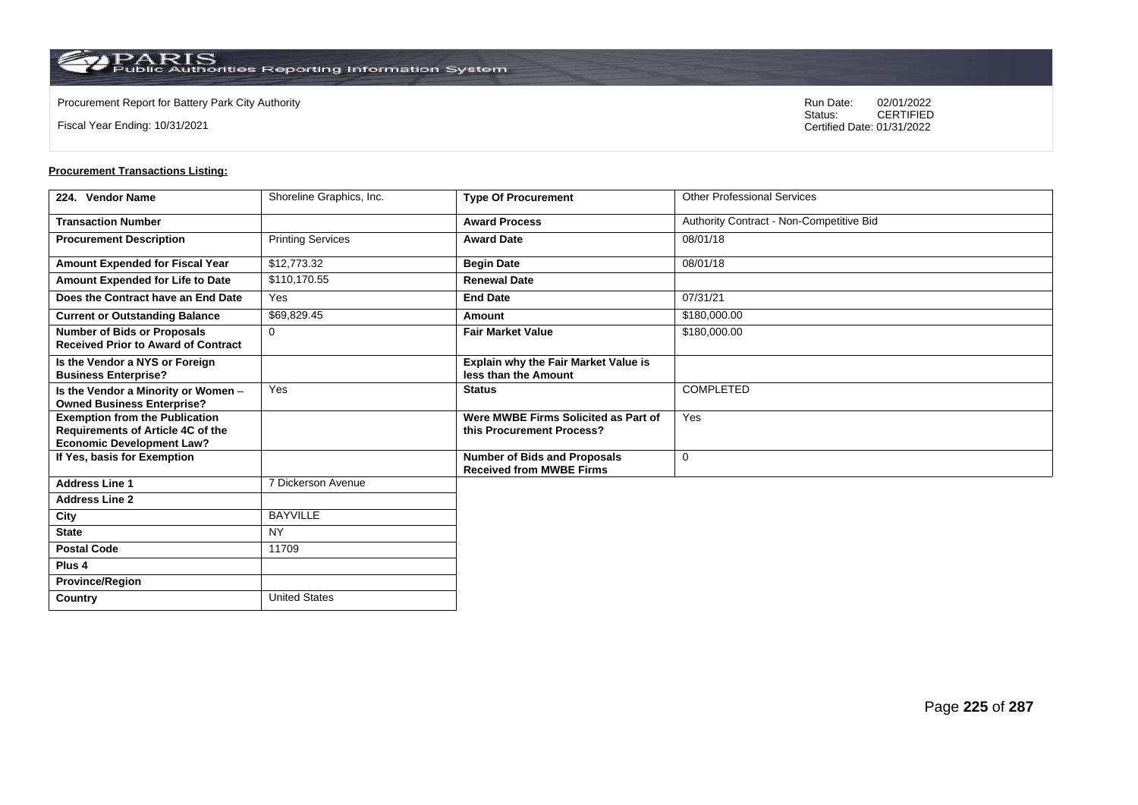**Country** United States

Fiscal Year Ending: 10/31/2021

Procurement Report for Battery Park City Authority **National State Concrete Concrete Concrete Concrete Concrete Concrete Concrete Concrete Concrete Concrete Concrete Concrete Concrete Concrete Concrete Concrete Concrete Co** CERTIFIED Certified Date: 01/31/2022

| 224. Vendor Name                                                                                               | Shoreline Graphics, Inc. | <b>Type Of Procurement</b>                                             | <b>Other Professional Services</b>       |
|----------------------------------------------------------------------------------------------------------------|--------------------------|------------------------------------------------------------------------|------------------------------------------|
| <b>Transaction Number</b>                                                                                      |                          | <b>Award Process</b>                                                   | Authority Contract - Non-Competitive Bid |
| <b>Procurement Description</b>                                                                                 | <b>Printing Services</b> | <b>Award Date</b>                                                      | 08/01/18                                 |
| Amount Expended for Fiscal Year                                                                                | \$12,773.32              | <b>Begin Date</b>                                                      | 08/01/18                                 |
| Amount Expended for Life to Date                                                                               | \$110,170.55             | <b>Renewal Date</b>                                                    |                                          |
| Does the Contract have an End Date                                                                             | Yes                      | <b>End Date</b>                                                        | 07/31/21                                 |
| <b>Current or Outstanding Balance</b>                                                                          | \$69,829.45              | Amount                                                                 | \$180,000.00                             |
| <b>Number of Bids or Proposals</b><br><b>Received Prior to Award of Contract</b>                               | $\Omega$                 | <b>Fair Market Value</b>                                               | \$180,000.00                             |
| Is the Vendor a NYS or Foreign<br><b>Business Enterprise?</b>                                                  |                          | <b>Explain why the Fair Market Value is</b><br>less than the Amount    |                                          |
| Is the Vendor a Minority or Women -<br><b>Owned Business Enterprise?</b>                                       | Yes                      | <b>Status</b>                                                          | <b>COMPLETED</b>                         |
| <b>Exemption from the Publication</b><br>Requirements of Article 4C of the<br><b>Economic Development Law?</b> |                          | Were MWBE Firms Solicited as Part of<br>this Procurement Process?      | Yes                                      |
| If Yes, basis for Exemption                                                                                    |                          | <b>Number of Bids and Proposals</b><br><b>Received from MWBE Firms</b> | $\mathbf 0$                              |
| <b>Address Line 1</b>                                                                                          | 7 Dickerson Avenue       |                                                                        |                                          |
| <b>Address Line 2</b>                                                                                          |                          |                                                                        |                                          |
| City                                                                                                           | <b>BAYVILLE</b>          |                                                                        |                                          |
| <b>State</b>                                                                                                   | <b>NY</b>                |                                                                        |                                          |
| <b>Postal Code</b>                                                                                             | 11709                    |                                                                        |                                          |
| Plus <sub>4</sub>                                                                                              |                          |                                                                        |                                          |
| <b>Province/Region</b>                                                                                         |                          |                                                                        |                                          |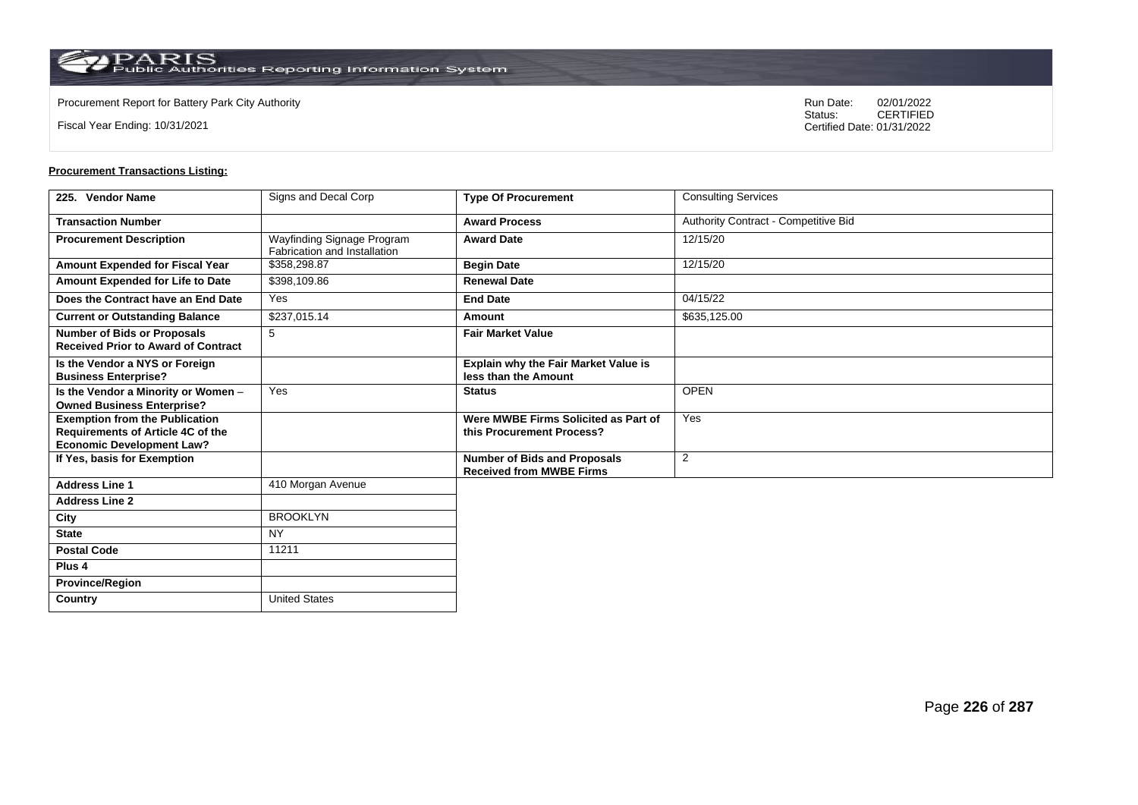**Country** United States

Fiscal Year Ending: 10/31/2021

Procurement Report for Battery Park City Authority **National State Concrete Concrete Concrete Concrete Concrete Concrete Concrete Concrete Concrete Concrete Concrete Concrete Concrete Concrete Concrete Concrete Concrete Co** CERTIFIED Certified Date: 01/31/2022

| 225. Vendor Name                                                                                               | Signs and Decal Corp                                       | <b>Type Of Procurement</b>                                             | <b>Consulting Services</b>           |
|----------------------------------------------------------------------------------------------------------------|------------------------------------------------------------|------------------------------------------------------------------------|--------------------------------------|
| <b>Transaction Number</b>                                                                                      |                                                            | <b>Award Process</b>                                                   | Authority Contract - Competitive Bid |
| <b>Procurement Description</b>                                                                                 | Wayfinding Signage Program<br>Fabrication and Installation | <b>Award Date</b>                                                      | 12/15/20                             |
| <b>Amount Expended for Fiscal Year</b>                                                                         | \$358,298.87                                               | <b>Begin Date</b>                                                      | 12/15/20                             |
| Amount Expended for Life to Date                                                                               | \$398,109.86                                               | <b>Renewal Date</b>                                                    |                                      |
| Does the Contract have an End Date                                                                             | Yes                                                        | <b>End Date</b>                                                        | 04/15/22                             |
| <b>Current or Outstanding Balance</b>                                                                          | \$237,015.14                                               | Amount                                                                 | \$635,125.00                         |
| <b>Number of Bids or Proposals</b><br><b>Received Prior to Award of Contract</b>                               | 5                                                          | <b>Fair Market Value</b>                                               |                                      |
| Is the Vendor a NYS or Foreign<br><b>Business Enterprise?</b>                                                  |                                                            | <b>Explain why the Fair Market Value is</b><br>less than the Amount    |                                      |
| Is the Vendor a Minority or Women -<br><b>Owned Business Enterprise?</b>                                       | Yes                                                        | <b>Status</b>                                                          | <b>OPEN</b>                          |
| <b>Exemption from the Publication</b><br>Requirements of Article 4C of the<br><b>Economic Development Law?</b> |                                                            | Were MWBE Firms Solicited as Part of<br>this Procurement Process?      | Yes                                  |
| If Yes, basis for Exemption                                                                                    |                                                            | <b>Number of Bids and Proposals</b><br><b>Received from MWBE Firms</b> | 2                                    |
| <b>Address Line 1</b>                                                                                          | 410 Morgan Avenue                                          |                                                                        |                                      |
| <b>Address Line 2</b>                                                                                          |                                                            |                                                                        |                                      |
| City                                                                                                           | <b>BROOKLYN</b>                                            |                                                                        |                                      |
| <b>State</b>                                                                                                   | <b>NY</b>                                                  |                                                                        |                                      |
| <b>Postal Code</b>                                                                                             | 11211                                                      |                                                                        |                                      |
| Plus <sub>4</sub>                                                                                              |                                                            |                                                                        |                                      |
| <b>Province/Region</b>                                                                                         |                                                            |                                                                        |                                      |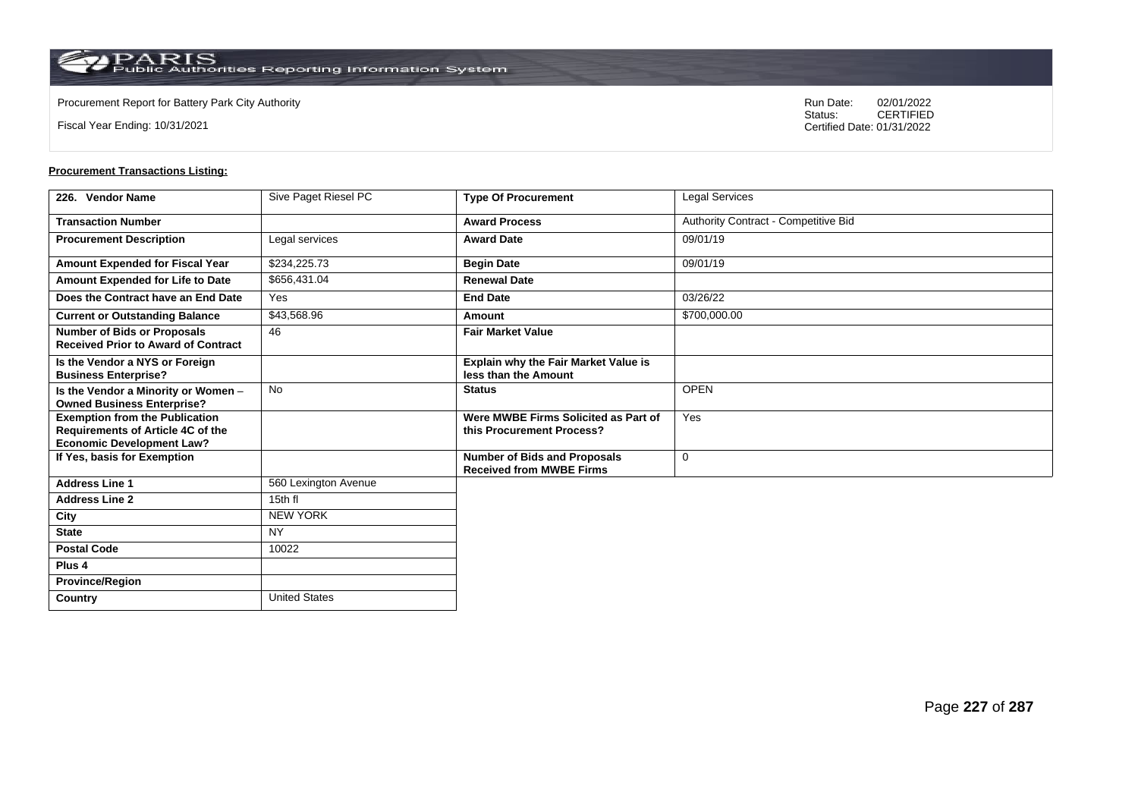**Country** United States

Fiscal Year Ending: 10/31/2021

Procurement Report for Battery Park City Authority **National State Concrete Concrete Concrete Concrete Concrete Concrete Concrete Concrete Concrete Concrete Concrete Concrete Concrete Concrete Concrete Concrete Concrete Co** CERTIFIED Certified Date: 01/31/2022

| 226. Vendor Name                                                                                               | Sive Paget Riesel PC | <b>Type Of Procurement</b>                                             | Legal Services                       |
|----------------------------------------------------------------------------------------------------------------|----------------------|------------------------------------------------------------------------|--------------------------------------|
| <b>Transaction Number</b>                                                                                      |                      | <b>Award Process</b>                                                   | Authority Contract - Competitive Bid |
| <b>Procurement Description</b>                                                                                 | Legal services       | <b>Award Date</b>                                                      | 09/01/19                             |
| Amount Expended for Fiscal Year                                                                                | \$234,225.73         | <b>Begin Date</b>                                                      | 09/01/19                             |
| Amount Expended for Life to Date                                                                               | \$656,431.04         | <b>Renewal Date</b>                                                    |                                      |
| Does the Contract have an End Date                                                                             | Yes                  | <b>End Date</b>                                                        | 03/26/22                             |
| <b>Current or Outstanding Balance</b>                                                                          | \$43,568.96          | Amount                                                                 | \$700,000.00                         |
| <b>Number of Bids or Proposals</b><br><b>Received Prior to Award of Contract</b>                               | 46                   | <b>Fair Market Value</b>                                               |                                      |
| Is the Vendor a NYS or Foreign<br><b>Business Enterprise?</b>                                                  |                      | Explain why the Fair Market Value is<br>less than the Amount           |                                      |
| Is the Vendor a Minority or Women -<br><b>Owned Business Enterprise?</b>                                       | <b>No</b>            | <b>Status</b>                                                          | <b>OPEN</b>                          |
| <b>Exemption from the Publication</b><br>Requirements of Article 4C of the<br><b>Economic Development Law?</b> |                      | Were MWBE Firms Solicited as Part of<br>this Procurement Process?      | Yes                                  |
| If Yes, basis for Exemption                                                                                    |                      | <b>Number of Bids and Proposals</b><br><b>Received from MWBE Firms</b> | 0                                    |
| <b>Address Line 1</b>                                                                                          | 560 Lexington Avenue |                                                                        |                                      |
| <b>Address Line 2</b>                                                                                          | 15th fl              |                                                                        |                                      |
| City                                                                                                           | <b>NEW YORK</b>      |                                                                        |                                      |
| <b>State</b>                                                                                                   | <b>NY</b>            |                                                                        |                                      |
| <b>Postal Code</b>                                                                                             | 10022                |                                                                        |                                      |
| Plus <sub>4</sub>                                                                                              |                      |                                                                        |                                      |
| <b>Province/Region</b>                                                                                         |                      |                                                                        |                                      |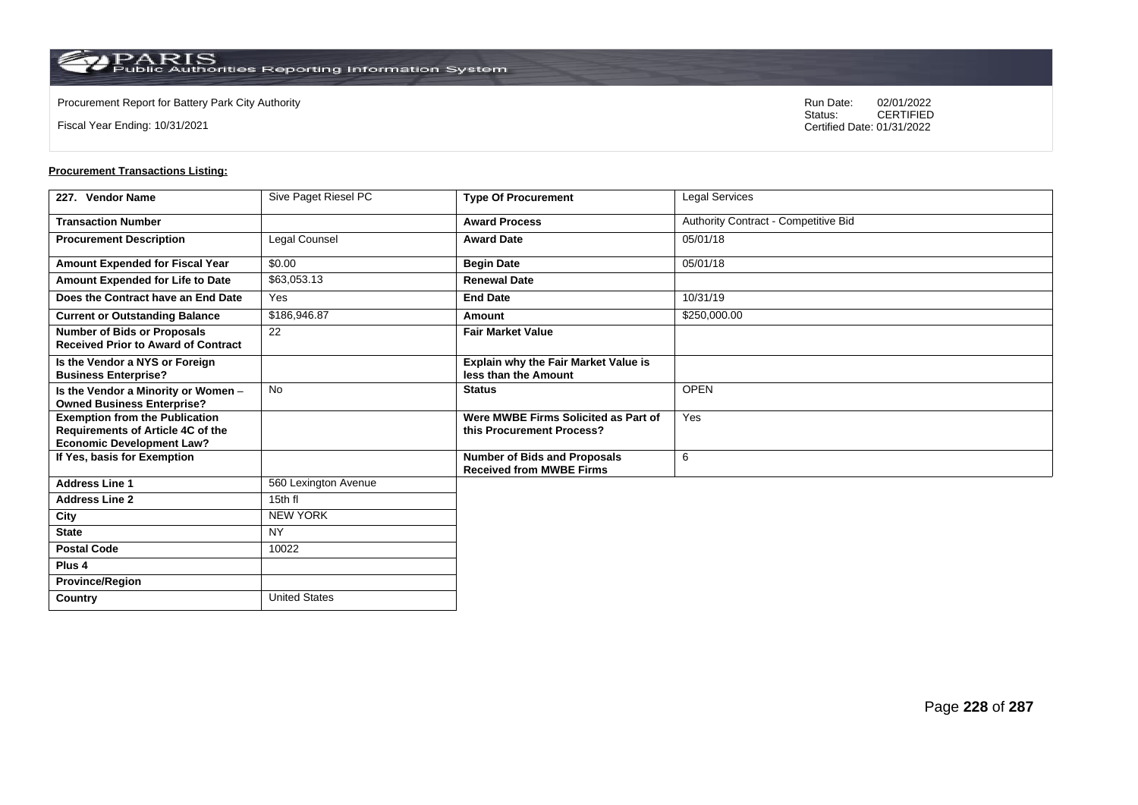**Country** United States

Fiscal Year Ending: 10/31/2021

Procurement Report for Battery Park City Authority **National State Concrete Concrete Concrete Concrete Concrete Concrete Concrete Concrete Concrete Concrete Concrete Concrete Concrete Concrete Concrete Concrete Concrete Co** CERTIFIED Certified Date: 01/31/2022

| 227. Vendor Name                                                                                               | Sive Paget Riesel PC | <b>Type Of Procurement</b>                                        | Legal Services                       |
|----------------------------------------------------------------------------------------------------------------|----------------------|-------------------------------------------------------------------|--------------------------------------|
| <b>Transaction Number</b>                                                                                      |                      | <b>Award Process</b>                                              | Authority Contract - Competitive Bid |
| <b>Procurement Description</b>                                                                                 | Legal Counsel        | <b>Award Date</b>                                                 | 05/01/18                             |
| Amount Expended for Fiscal Year                                                                                | \$0.00               | <b>Begin Date</b>                                                 | 05/01/18                             |
| Amount Expended for Life to Date                                                                               | \$63,053.13          | <b>Renewal Date</b>                                               |                                      |
| Does the Contract have an End Date                                                                             | Yes                  | <b>End Date</b>                                                   | 10/31/19                             |
| <b>Current or Outstanding Balance</b>                                                                          | \$186,946.87         | Amount                                                            | \$250,000.00                         |
| <b>Number of Bids or Proposals</b><br><b>Received Prior to Award of Contract</b>                               | 22                   | <b>Fair Market Value</b>                                          |                                      |
| Is the Vendor a NYS or Foreign<br><b>Business Enterprise?</b>                                                  |                      | Explain why the Fair Market Value is<br>less than the Amount      |                                      |
| Is the Vendor a Minority or Women -<br><b>Owned Business Enterprise?</b>                                       | <b>No</b>            | <b>Status</b>                                                     | <b>OPEN</b>                          |
| <b>Exemption from the Publication</b><br>Requirements of Article 4C of the<br><b>Economic Development Law?</b> |                      | Were MWBE Firms Solicited as Part of<br>this Procurement Process? | Yes                                  |
| If Yes, basis for Exemption                                                                                    |                      | Number of Bids and Proposals<br><b>Received from MWBE Firms</b>   | 6                                    |
| <b>Address Line 1</b>                                                                                          | 560 Lexington Avenue |                                                                   |                                      |
| <b>Address Line 2</b>                                                                                          | 15th fl              |                                                                   |                                      |
| City                                                                                                           | <b>NEW YORK</b>      |                                                                   |                                      |
| <b>State</b>                                                                                                   | <b>NY</b>            |                                                                   |                                      |
| <b>Postal Code</b>                                                                                             | 10022                |                                                                   |                                      |
| Plus <sub>4</sub>                                                                                              |                      |                                                                   |                                      |
| <b>Province/Region</b>                                                                                         |                      |                                                                   |                                      |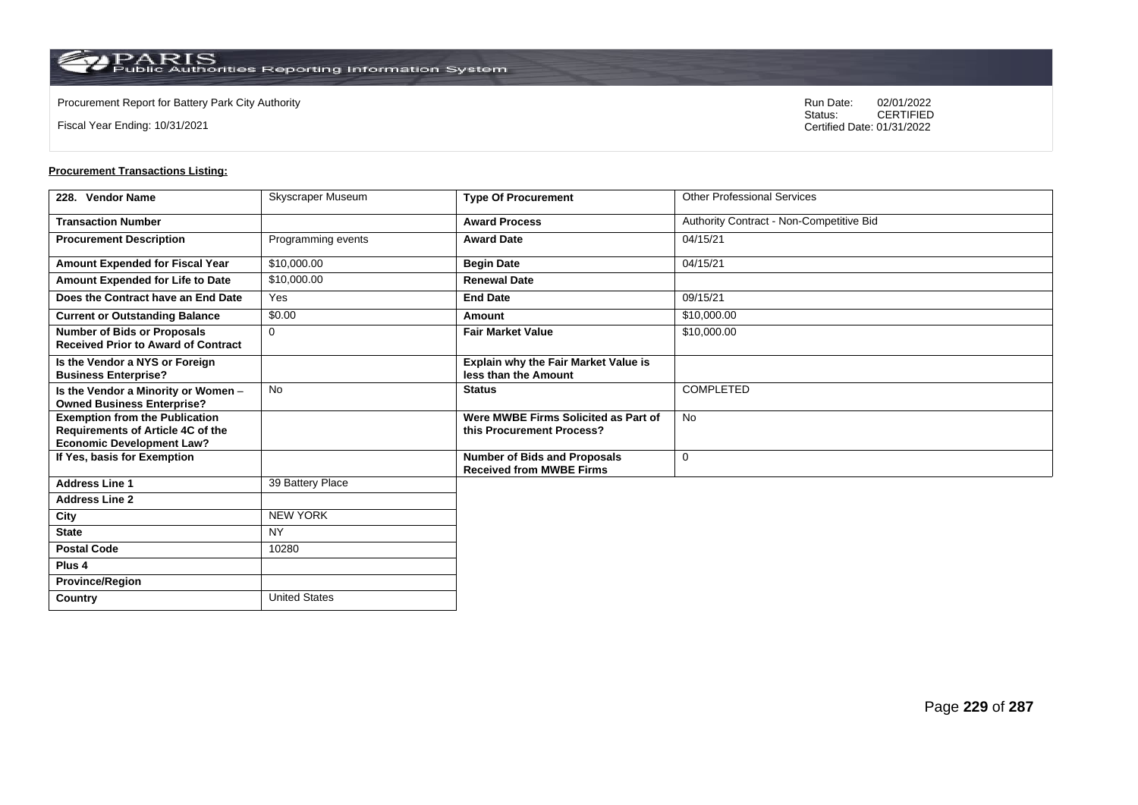**Country** United States

Fiscal Year Ending: 10/31/2021

Procurement Report for Battery Park City Authority **National State Concrete Concrete Concrete Concrete Concrete Concrete Concrete Concrete Concrete Concrete Concrete Concrete Concrete Concrete Concrete Concrete Concrete Co** CERTIFIED Certified Date: 01/31/2022

| 228. Vendor Name                                                                                               | Skyscraper Museum  | <b>Type Of Procurement</b>                                             | <b>Other Professional Services</b>       |
|----------------------------------------------------------------------------------------------------------------|--------------------|------------------------------------------------------------------------|------------------------------------------|
| <b>Transaction Number</b>                                                                                      |                    | <b>Award Process</b>                                                   | Authority Contract - Non-Competitive Bid |
| <b>Procurement Description</b>                                                                                 | Programming events | <b>Award Date</b>                                                      | 04/15/21                                 |
| Amount Expended for Fiscal Year                                                                                | \$10,000.00        | <b>Begin Date</b>                                                      | 04/15/21                                 |
| Amount Expended for Life to Date                                                                               | \$10,000.00        | <b>Renewal Date</b>                                                    |                                          |
| Does the Contract have an End Date                                                                             | Yes                | <b>End Date</b>                                                        | 09/15/21                                 |
| <b>Current or Outstanding Balance</b>                                                                          | \$0.00             | Amount                                                                 | \$10,000.00                              |
| <b>Number of Bids or Proposals</b><br><b>Received Prior to Award of Contract</b>                               | 0                  | <b>Fair Market Value</b>                                               | \$10,000.00                              |
| Is the Vendor a NYS or Foreign<br><b>Business Enterprise?</b>                                                  |                    | <b>Explain why the Fair Market Value is</b><br>less than the Amount    |                                          |
| Is the Vendor a Minority or Women -<br><b>Owned Business Enterprise?</b>                                       | <b>No</b>          | <b>Status</b>                                                          | COMPLETED                                |
| <b>Exemption from the Publication</b><br>Requirements of Article 4C of the<br><b>Economic Development Law?</b> |                    | Were MWBE Firms Solicited as Part of<br>this Procurement Process?      | <b>No</b>                                |
| If Yes, basis for Exemption                                                                                    |                    | <b>Number of Bids and Proposals</b><br><b>Received from MWBE Firms</b> | $\mathbf 0$                              |
| <b>Address Line 1</b>                                                                                          | 39 Battery Place   |                                                                        |                                          |
| <b>Address Line 2</b>                                                                                          |                    |                                                                        |                                          |
| City                                                                                                           | <b>NEW YORK</b>    |                                                                        |                                          |
| <b>State</b>                                                                                                   | NY.                |                                                                        |                                          |
| <b>Postal Code</b>                                                                                             | 10280              |                                                                        |                                          |
| Plus <sub>4</sub>                                                                                              |                    |                                                                        |                                          |
| <b>Province/Region</b>                                                                                         |                    |                                                                        |                                          |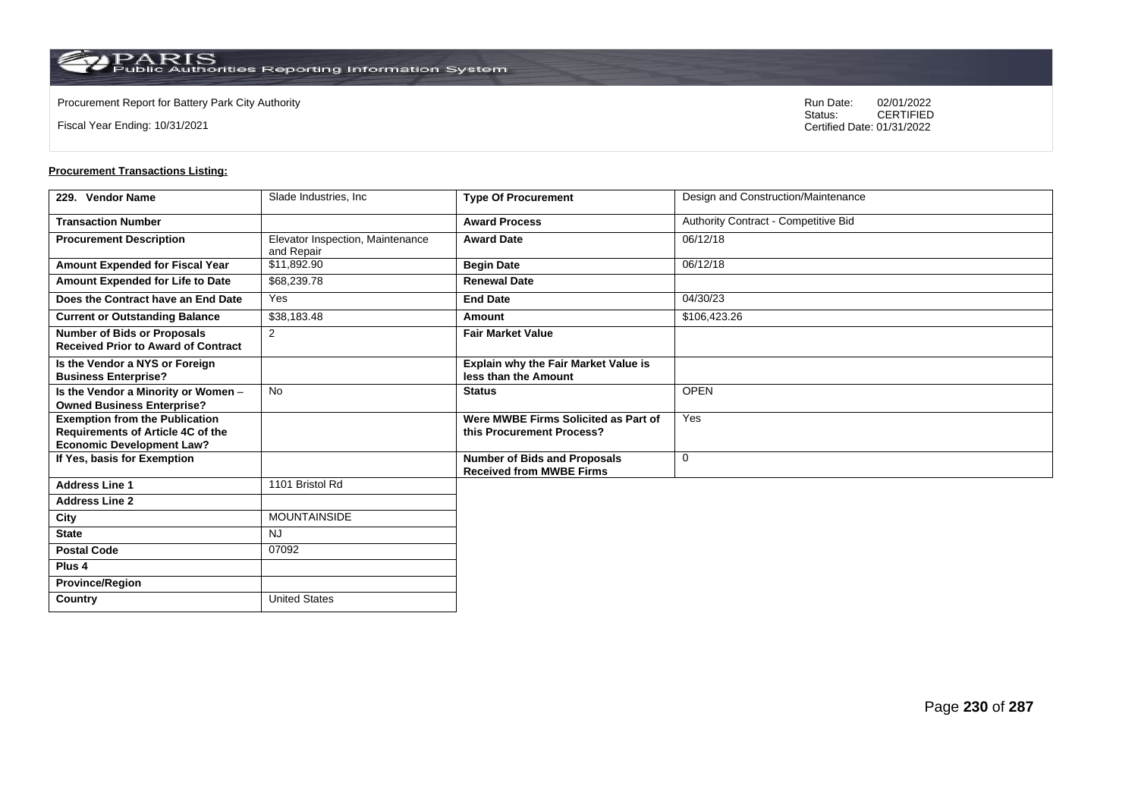$\operatorname{PARIS}_{\text{Public Authorities Reporting Information System}}$ 

**Country** United States

Fiscal Year Ending: 10/31/2021

Procurement Report for Battery Park City Authority **National State Concrete Concrete Concrete Concrete Concrete Concrete Concrete Concrete Concrete Concrete Concrete Concrete Concrete Concrete Concrete Concrete Concrete Co** CERTIFIED Certified Date: 01/31/2022

| 229. Vendor Name                                                                                                      | Slade Industries, Inc.                         | <b>Type Of Procurement</b>                                             | Design and Construction/Maintenance  |
|-----------------------------------------------------------------------------------------------------------------------|------------------------------------------------|------------------------------------------------------------------------|--------------------------------------|
| <b>Transaction Number</b>                                                                                             |                                                | <b>Award Process</b>                                                   | Authority Contract - Competitive Bid |
| <b>Procurement Description</b>                                                                                        | Elevator Inspection, Maintenance<br>and Repair | <b>Award Date</b>                                                      | 06/12/18                             |
| Amount Expended for Fiscal Year                                                                                       | \$11,892.90                                    | <b>Begin Date</b>                                                      | 06/12/18                             |
| Amount Expended for Life to Date                                                                                      | \$68,239.78                                    | <b>Renewal Date</b>                                                    |                                      |
| Does the Contract have an End Date                                                                                    | Yes                                            | <b>End Date</b>                                                        | 04/30/23                             |
| <b>Current or Outstanding Balance</b>                                                                                 | \$38,183.48                                    | Amount                                                                 | \$106,423.26                         |
| <b>Number of Bids or Proposals</b><br><b>Received Prior to Award of Contract</b>                                      | 2                                              | <b>Fair Market Value</b>                                               |                                      |
| Is the Vendor a NYS or Foreign<br><b>Business Enterprise?</b>                                                         |                                                | Explain why the Fair Market Value is<br>less than the Amount           |                                      |
| Is the Vendor a Minority or Women -<br><b>Owned Business Enterprise?</b>                                              | <b>No</b>                                      | <b>Status</b>                                                          | <b>OPEN</b>                          |
| <b>Exemption from the Publication</b><br><b>Requirements of Article 4C of the</b><br><b>Economic Development Law?</b> |                                                | Were MWBE Firms Solicited as Part of<br>this Procurement Process?      | Yes                                  |
| If Yes, basis for Exemption                                                                                           |                                                | <b>Number of Bids and Proposals</b><br><b>Received from MWBE Firms</b> | $\mathbf 0$                          |
| <b>Address Line 1</b>                                                                                                 | 1101 Bristol Rd                                |                                                                        |                                      |
| <b>Address Line 2</b>                                                                                                 |                                                |                                                                        |                                      |
| City                                                                                                                  | <b>MOUNTAINSIDE</b>                            |                                                                        |                                      |
| <b>State</b>                                                                                                          | <b>NJ</b>                                      |                                                                        |                                      |
| <b>Postal Code</b>                                                                                                    | 07092                                          |                                                                        |                                      |
| Plus <sub>4</sub>                                                                                                     |                                                |                                                                        |                                      |
| <b>Province/Region</b>                                                                                                |                                                |                                                                        |                                      |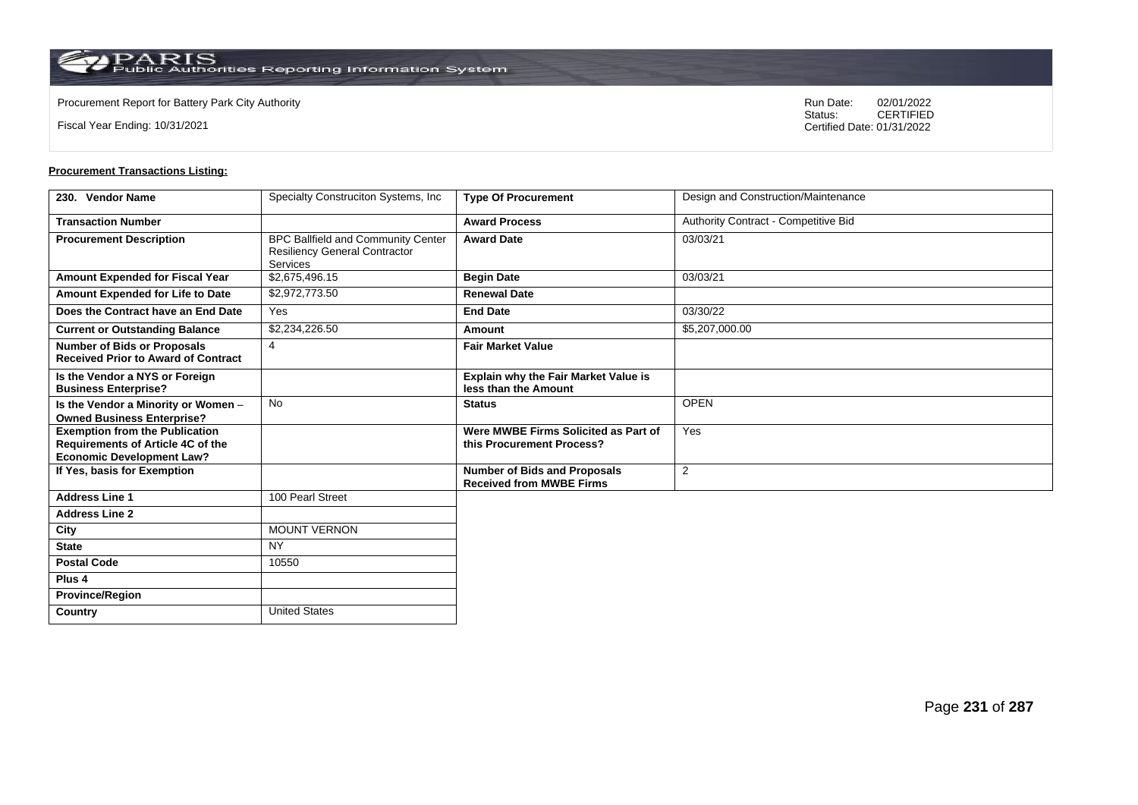**Country** United States

Fiscal Year Ending: 10/31/2021

Procurement Report for Battery Park City Authority **National State Concrete Concrete Concrete Concrete Concrete Concrete Concrete Concrete Concrete Concrete Concrete Concrete Concrete Concrete Concrete Concrete Concrete Co** CERTIFIED Certified Date: 01/31/2022

| 230. Vendor Name                                                                                               | Specialty Construciton Systems, Inc.                                                          | <b>Type Of Procurement</b>                                             | Design and Construction/Maintenance  |
|----------------------------------------------------------------------------------------------------------------|-----------------------------------------------------------------------------------------------|------------------------------------------------------------------------|--------------------------------------|
| <b>Transaction Number</b>                                                                                      |                                                                                               | <b>Award Process</b>                                                   | Authority Contract - Competitive Bid |
| <b>Procurement Description</b>                                                                                 | BPC Ballfield and Community Center<br><b>Resiliency General Contractor</b><br><b>Services</b> | <b>Award Date</b>                                                      | 03/03/21                             |
| Amount Expended for Fiscal Year                                                                                | \$2,675,496.15                                                                                | <b>Begin Date</b>                                                      | 03/03/21                             |
| Amount Expended for Life to Date                                                                               | \$2,972,773.50                                                                                | <b>Renewal Date</b>                                                    |                                      |
| Does the Contract have an End Date                                                                             | Yes                                                                                           | <b>End Date</b>                                                        | 03/30/22                             |
| <b>Current or Outstanding Balance</b>                                                                          | \$2,234,226.50                                                                                | Amount                                                                 | \$5,207,000.00                       |
| <b>Number of Bids or Proposals</b><br><b>Received Prior to Award of Contract</b>                               | $\overline{4}$                                                                                | <b>Fair Market Value</b>                                               |                                      |
| Is the Vendor a NYS or Foreign<br><b>Business Enterprise?</b>                                                  |                                                                                               | Explain why the Fair Market Value is<br>less than the Amount           |                                      |
| Is the Vendor a Minority or Women -<br><b>Owned Business Enterprise?</b>                                       | No                                                                                            | <b>Status</b>                                                          | <b>OPEN</b>                          |
| <b>Exemption from the Publication</b><br>Requirements of Article 4C of the<br><b>Economic Development Law?</b> |                                                                                               | Were MWBE Firms Solicited as Part of<br>this Procurement Process?      | Yes                                  |
| If Yes, basis for Exemption                                                                                    |                                                                                               | <b>Number of Bids and Proposals</b><br><b>Received from MWBE Firms</b> | 2                                    |
| <b>Address Line 1</b>                                                                                          | 100 Pearl Street                                                                              |                                                                        |                                      |
| <b>Address Line 2</b>                                                                                          |                                                                                               |                                                                        |                                      |
| City                                                                                                           | <b>MOUNT VERNON</b>                                                                           |                                                                        |                                      |
| <b>State</b>                                                                                                   | <b>NY</b>                                                                                     |                                                                        |                                      |
| <b>Postal Code</b>                                                                                             | 10550                                                                                         |                                                                        |                                      |
| Plus <sub>4</sub>                                                                                              |                                                                                               |                                                                        |                                      |
| <b>Province/Region</b>                                                                                         |                                                                                               |                                                                        |                                      |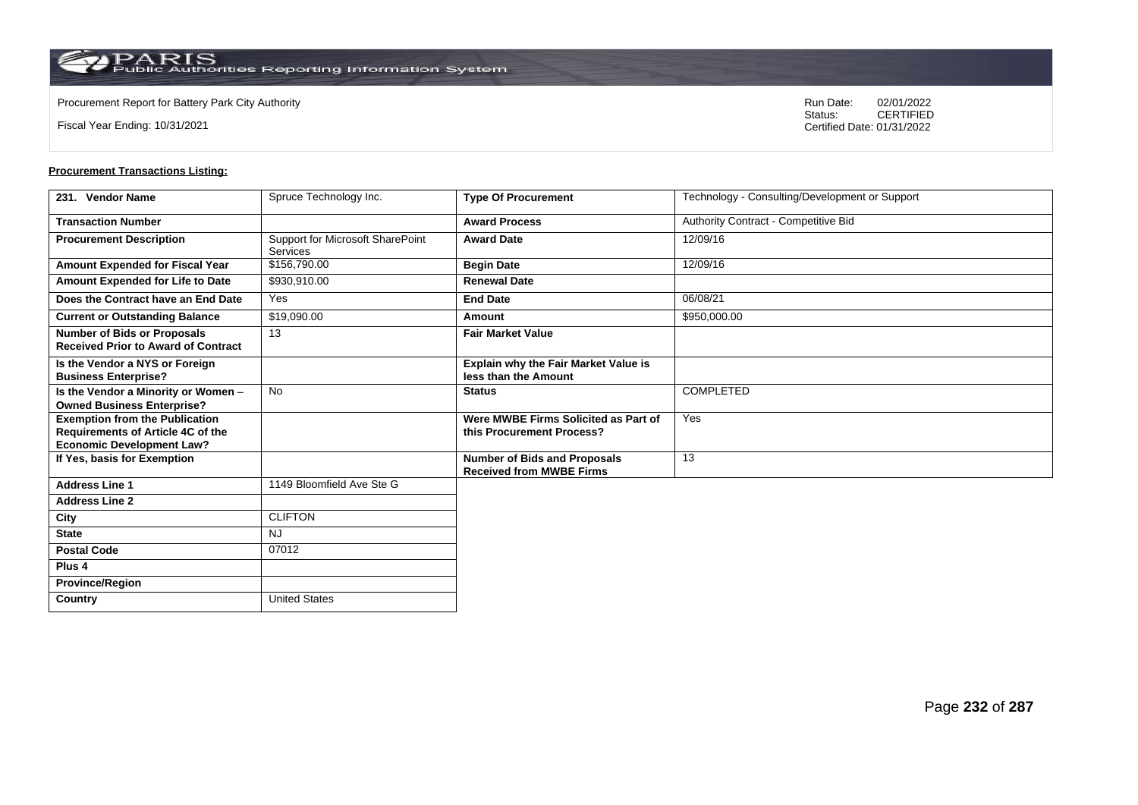**Country** United States

Fiscal Year Ending: 10/31/2021

Procurement Report for Battery Park City Authority **National State Concrete Concrete Concrete Concrete Concrete Concrete Concrete Concrete Concrete Concrete Concrete Concrete Concrete Concrete Concrete Concrete Concrete Co** CERTIFIED Certified Date: 01/31/2022

| 231. Vendor Name                                                                                               | Spruce Technology Inc.                       | <b>Type Of Procurement</b>                                             | Technology - Consulting/Development or Support |
|----------------------------------------------------------------------------------------------------------------|----------------------------------------------|------------------------------------------------------------------------|------------------------------------------------|
| <b>Transaction Number</b>                                                                                      |                                              | <b>Award Process</b>                                                   | Authority Contract - Competitive Bid           |
| <b>Procurement Description</b>                                                                                 | Support for Microsoft SharePoint<br>Services | <b>Award Date</b>                                                      | 12/09/16                                       |
| Amount Expended for Fiscal Year                                                                                | \$156,790.00                                 | <b>Begin Date</b>                                                      | 12/09/16                                       |
| Amount Expended for Life to Date                                                                               | \$930,910.00                                 | <b>Renewal Date</b>                                                    |                                                |
| Does the Contract have an End Date                                                                             | Yes                                          | <b>End Date</b>                                                        | 06/08/21                                       |
| <b>Current or Outstanding Balance</b>                                                                          | \$19,090.00                                  | Amount                                                                 | \$950,000.00                                   |
| <b>Number of Bids or Proposals</b><br><b>Received Prior to Award of Contract</b>                               | 13                                           | <b>Fair Market Value</b>                                               |                                                |
| Is the Vendor a NYS or Foreign<br><b>Business Enterprise?</b>                                                  |                                              | Explain why the Fair Market Value is<br>less than the Amount           |                                                |
| Is the Vendor a Minority or Women -<br><b>Owned Business Enterprise?</b>                                       | <b>No</b>                                    | <b>Status</b>                                                          | <b>COMPLETED</b>                               |
| <b>Exemption from the Publication</b><br>Requirements of Article 4C of the<br><b>Economic Development Law?</b> |                                              | Were MWBE Firms Solicited as Part of<br>this Procurement Process?      | Yes                                            |
| If Yes, basis for Exemption                                                                                    |                                              | <b>Number of Bids and Proposals</b><br><b>Received from MWBE Firms</b> | 13                                             |
| <b>Address Line 1</b>                                                                                          | 1149 Bloomfield Ave Ste G                    |                                                                        |                                                |
| <b>Address Line 2</b>                                                                                          |                                              |                                                                        |                                                |
| City                                                                                                           | <b>CLIFTON</b>                               |                                                                        |                                                |
| <b>State</b>                                                                                                   | <b>NJ</b>                                    |                                                                        |                                                |
| <b>Postal Code</b>                                                                                             | 07012                                        |                                                                        |                                                |
| Plus <sub>4</sub>                                                                                              |                                              |                                                                        |                                                |
| <b>Province/Region</b>                                                                                         |                                              |                                                                        |                                                |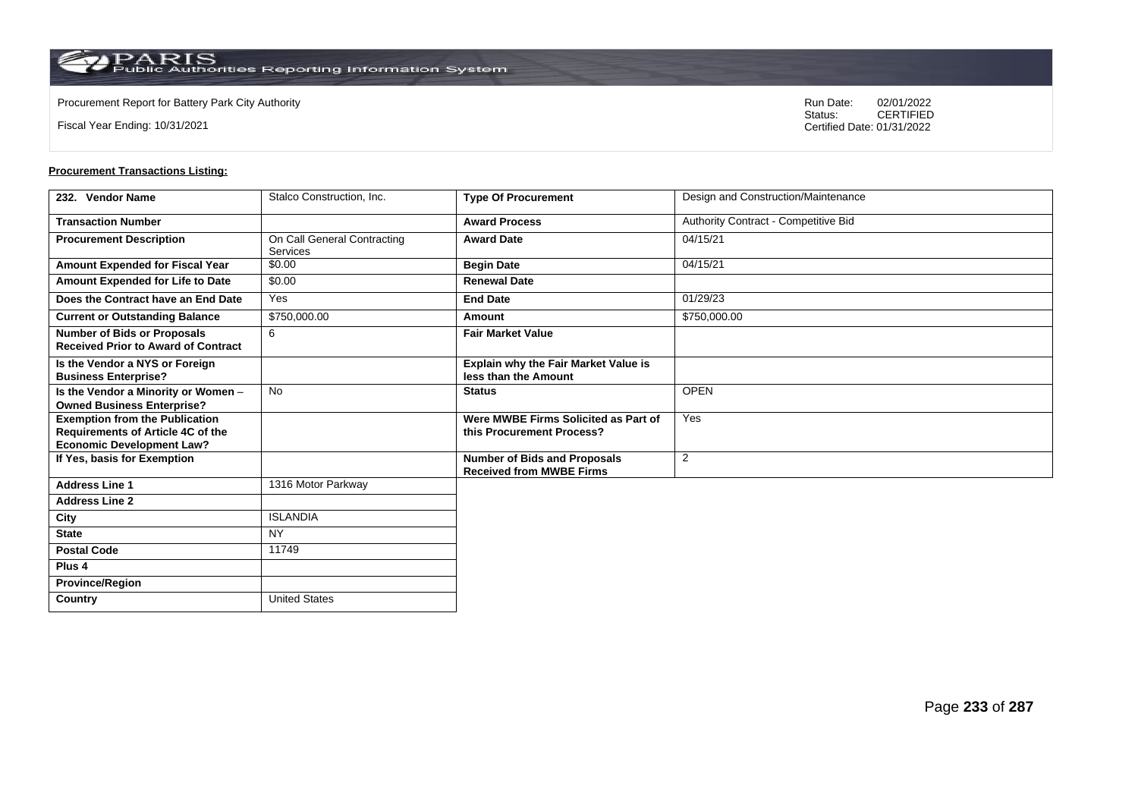**Country** United States

Fiscal Year Ending: 10/31/2021

Procurement Report for Battery Park City Authority **National State Concrete Concrete Concrete Concrete Concrete Concrete Concrete Concrete Concrete Concrete Concrete Concrete Concrete Concrete Concrete Concrete Concrete Co** CERTIFIED Certified Date: 01/31/2022

| 232. Vendor Name                                                                                                      | Stalco Construction, Inc.                      | <b>Type Of Procurement</b>                                             | Design and Construction/Maintenance  |
|-----------------------------------------------------------------------------------------------------------------------|------------------------------------------------|------------------------------------------------------------------------|--------------------------------------|
| <b>Transaction Number</b>                                                                                             |                                                | <b>Award Process</b>                                                   | Authority Contract - Competitive Bid |
| <b>Procurement Description</b>                                                                                        | On Call General Contracting<br><b>Services</b> | <b>Award Date</b>                                                      | 04/15/21                             |
| Amount Expended for Fiscal Year                                                                                       | \$0.00                                         | <b>Begin Date</b>                                                      | 04/15/21                             |
| Amount Expended for Life to Date                                                                                      | \$0.00                                         | <b>Renewal Date</b>                                                    |                                      |
| Does the Contract have an End Date                                                                                    | Yes                                            | <b>End Date</b>                                                        | 01/29/23                             |
| <b>Current or Outstanding Balance</b>                                                                                 | \$750,000.00                                   | Amount                                                                 | \$750,000.00                         |
| <b>Number of Bids or Proposals</b><br><b>Received Prior to Award of Contract</b>                                      | 6                                              | <b>Fair Market Value</b>                                               |                                      |
| Is the Vendor a NYS or Foreign<br><b>Business Enterprise?</b>                                                         |                                                | Explain why the Fair Market Value is<br>less than the Amount           |                                      |
| Is the Vendor a Minority or Women -<br><b>Owned Business Enterprise?</b>                                              | <b>No</b>                                      | <b>Status</b>                                                          | <b>OPEN</b>                          |
| <b>Exemption from the Publication</b><br><b>Requirements of Article 4C of the</b><br><b>Economic Development Law?</b> |                                                | Were MWBE Firms Solicited as Part of<br>this Procurement Process?      | Yes                                  |
| If Yes, basis for Exemption                                                                                           |                                                | <b>Number of Bids and Proposals</b><br><b>Received from MWBE Firms</b> | $\overline{2}$                       |
| <b>Address Line 1</b>                                                                                                 | 1316 Motor Parkway                             |                                                                        |                                      |
| <b>Address Line 2</b>                                                                                                 |                                                |                                                                        |                                      |
| City                                                                                                                  | <b>ISLANDIA</b>                                |                                                                        |                                      |
| <b>State</b>                                                                                                          | <b>NY</b>                                      |                                                                        |                                      |
| <b>Postal Code</b>                                                                                                    | 11749                                          |                                                                        |                                      |
| Plus <sub>4</sub>                                                                                                     |                                                |                                                                        |                                      |
| <b>Province/Region</b>                                                                                                |                                                |                                                                        |                                      |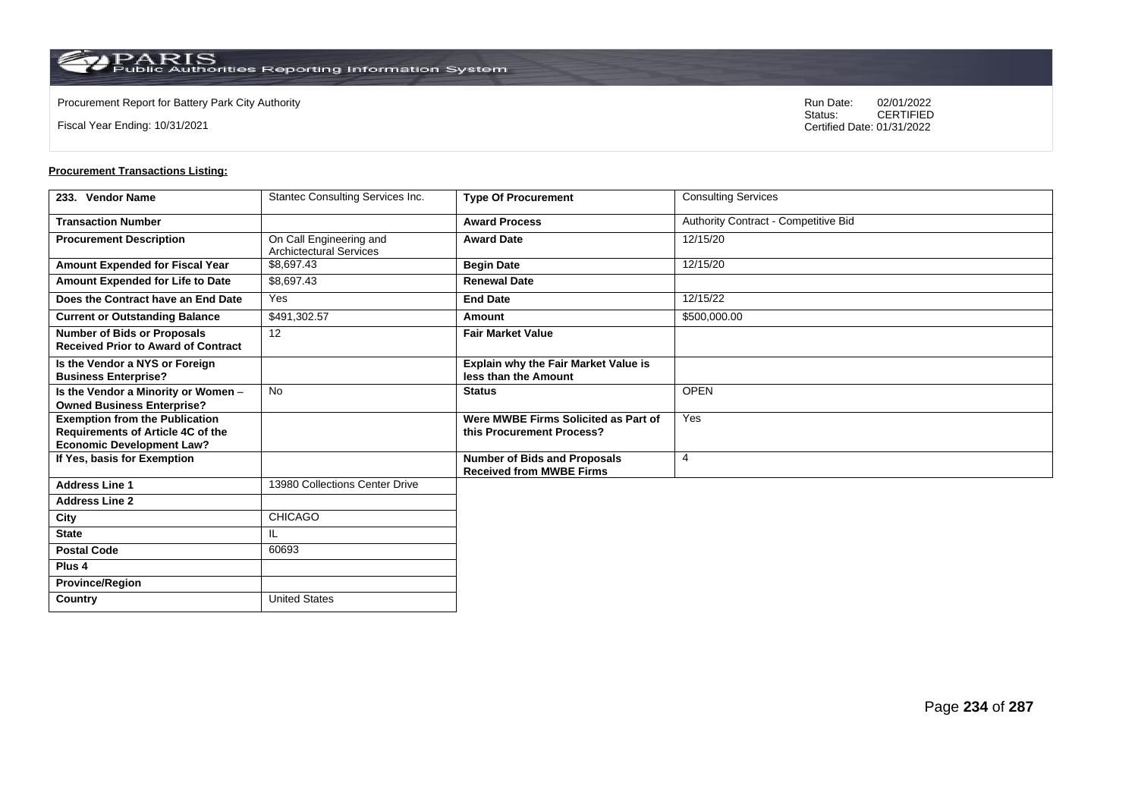**Country** United States

Fiscal Year Ending: 10/31/2021

Procurement Report for Battery Park City Authority **National State Concrete Concrete Concrete Concrete Concrete Concrete Concrete Concrete Concrete Concrete Concrete Concrete Concrete Concrete Concrete Concrete Concrete Co** CERTIFIED Certified Date: 01/31/2022

| 233. Vendor Name                                                                                               | Stantec Consulting Services Inc.                          | <b>Type Of Procurement</b>                                             | <b>Consulting Services</b>           |
|----------------------------------------------------------------------------------------------------------------|-----------------------------------------------------------|------------------------------------------------------------------------|--------------------------------------|
| <b>Transaction Number</b>                                                                                      |                                                           | <b>Award Process</b>                                                   | Authority Contract - Competitive Bid |
| <b>Procurement Description</b>                                                                                 | On Call Engineering and<br><b>Archictectural Services</b> | <b>Award Date</b>                                                      | 12/15/20                             |
| Amount Expended for Fiscal Year                                                                                | \$8,697.43                                                | <b>Begin Date</b>                                                      | 12/15/20                             |
| Amount Expended for Life to Date                                                                               | \$8,697.43                                                | <b>Renewal Date</b>                                                    |                                      |
| Does the Contract have an End Date                                                                             | Yes                                                       | <b>End Date</b>                                                        | 12/15/22                             |
| <b>Current or Outstanding Balance</b>                                                                          | \$491,302.57                                              | Amount                                                                 | \$500,000.00                         |
| <b>Number of Bids or Proposals</b><br><b>Received Prior to Award of Contract</b>                               | 12                                                        | <b>Fair Market Value</b>                                               |                                      |
| Is the Vendor a NYS or Foreign<br><b>Business Enterprise?</b>                                                  |                                                           | Explain why the Fair Market Value is<br>less than the Amount           |                                      |
| Is the Vendor a Minority or Women -<br><b>Owned Business Enterprise?</b>                                       | <b>No</b>                                                 | <b>Status</b>                                                          | <b>OPEN</b>                          |
| <b>Exemption from the Publication</b><br>Requirements of Article 4C of the<br><b>Economic Development Law?</b> |                                                           | Were MWBE Firms Solicited as Part of<br>this Procurement Process?      | Yes                                  |
| If Yes, basis for Exemption                                                                                    |                                                           | <b>Number of Bids and Proposals</b><br><b>Received from MWBE Firms</b> | $\overline{4}$                       |
| <b>Address Line 1</b>                                                                                          | 13980 Collections Center Drive                            |                                                                        |                                      |
| <b>Address Line 2</b>                                                                                          |                                                           |                                                                        |                                      |
| City                                                                                                           | CHICAGO                                                   |                                                                        |                                      |
| <b>State</b>                                                                                                   | IL                                                        |                                                                        |                                      |
| <b>Postal Code</b>                                                                                             | 60693                                                     |                                                                        |                                      |
| Plus <sub>4</sub>                                                                                              |                                                           |                                                                        |                                      |
| <b>Province/Region</b>                                                                                         |                                                           |                                                                        |                                      |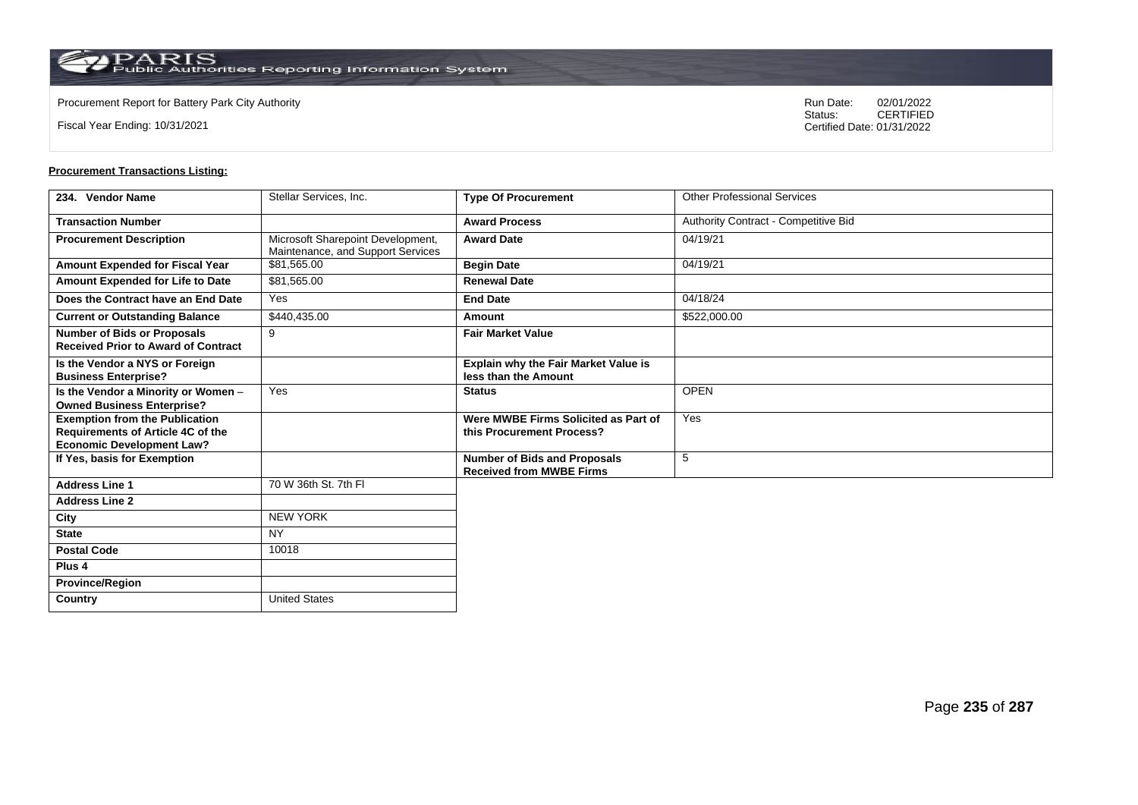Fiscal Year Ending: 10/31/2021

Procurement Report for Battery Park City Authority **National State Concrete Concrete Concrete Concrete Concrete Concrete Concrete Concrete Concrete Concrete Concrete Concrete Concrete Concrete Concrete Concrete Concrete Co** CERTIFIED Certified Date: 01/31/2022

| 234. Vendor Name                                                                                                      | Stellar Services, Inc.                                                 | <b>Type Of Procurement</b>                                             | <b>Other Professional Services</b>   |
|-----------------------------------------------------------------------------------------------------------------------|------------------------------------------------------------------------|------------------------------------------------------------------------|--------------------------------------|
| <b>Transaction Number</b>                                                                                             |                                                                        | <b>Award Process</b>                                                   | Authority Contract - Competitive Bid |
| <b>Procurement Description</b>                                                                                        | Microsoft Sharepoint Development,<br>Maintenance, and Support Services | <b>Award Date</b>                                                      | 04/19/21                             |
| Amount Expended for Fiscal Year                                                                                       | \$81,565.00                                                            | <b>Begin Date</b>                                                      | 04/19/21                             |
| Amount Expended for Life to Date                                                                                      | \$81,565.00                                                            | <b>Renewal Date</b>                                                    |                                      |
| Does the Contract have an End Date                                                                                    | Yes                                                                    | <b>End Date</b>                                                        | 04/18/24                             |
| <b>Current or Outstanding Balance</b>                                                                                 | \$440,435.00                                                           | Amount                                                                 | \$522,000.00                         |
| <b>Number of Bids or Proposals</b><br><b>Received Prior to Award of Contract</b>                                      | 9                                                                      | <b>Fair Market Value</b>                                               |                                      |
| Is the Vendor a NYS or Foreign<br><b>Business Enterprise?</b>                                                         |                                                                        | <b>Explain why the Fair Market Value is</b><br>less than the Amount    |                                      |
| Is the Vendor a Minority or Women -<br><b>Owned Business Enterprise?</b>                                              | Yes                                                                    | <b>Status</b>                                                          | <b>OPEN</b>                          |
| <b>Exemption from the Publication</b><br><b>Requirements of Article 4C of the</b><br><b>Economic Development Law?</b> |                                                                        | Were MWBE Firms Solicited as Part of<br>this Procurement Process?      | Yes                                  |
| If Yes, basis for Exemption                                                                                           |                                                                        | <b>Number of Bids and Proposals</b><br><b>Received from MWBE Firms</b> | 5                                    |
| <b>Address Line 1</b>                                                                                                 | 70 W 36th St. 7th FI                                                   |                                                                        |                                      |
| <b>Address Line 2</b>                                                                                                 |                                                                        |                                                                        |                                      |
| City                                                                                                                  | <b>NEW YORK</b>                                                        |                                                                        |                                      |
| <b>State</b>                                                                                                          | <b>NY</b>                                                              |                                                                        |                                      |
| <b>Postal Code</b>                                                                                                    | 10018                                                                  |                                                                        |                                      |
| Plus <sub>4</sub>                                                                                                     |                                                                        |                                                                        |                                      |
| <b>Province/Region</b>                                                                                                |                                                                        |                                                                        |                                      |
| Country                                                                                                               | <b>United States</b>                                                   |                                                                        |                                      |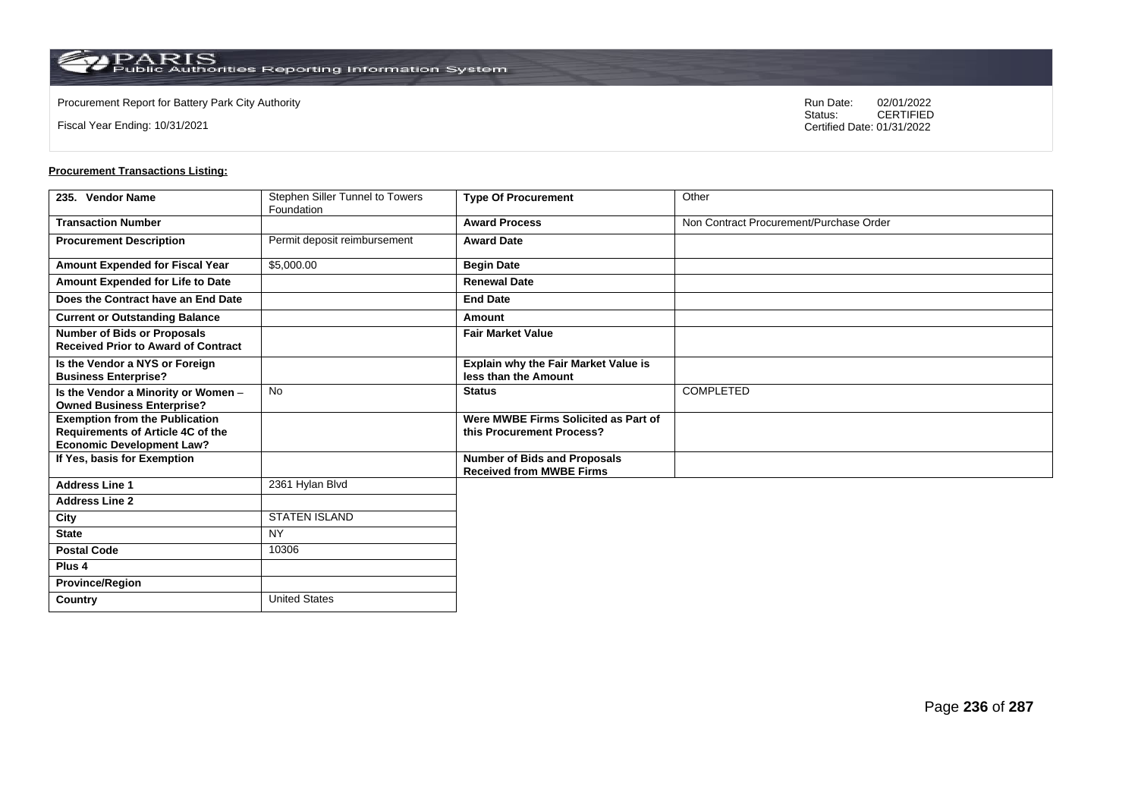**Country** United States

Fiscal Year Ending: 10/31/2021

Procurement Report for Battery Park City Authority **National State Concrete Concrete Concrete Concrete Concrete Concrete Concrete Concrete Concrete Concrete Concrete Concrete Concrete Concrete Concrete Concrete Concrete Co** CERTIFIED Certified Date: 01/31/2022

| 235. Vendor Name                                                                                               | Stephen Siller Tunnel to Towers<br>Foundation | <b>Type Of Procurement</b>                                             | Other                                   |
|----------------------------------------------------------------------------------------------------------------|-----------------------------------------------|------------------------------------------------------------------------|-----------------------------------------|
| <b>Transaction Number</b>                                                                                      |                                               | <b>Award Process</b>                                                   | Non Contract Procurement/Purchase Order |
| <b>Procurement Description</b>                                                                                 | Permit deposit reimbursement                  | <b>Award Date</b>                                                      |                                         |
| Amount Expended for Fiscal Year                                                                                | \$5,000.00                                    | <b>Begin Date</b>                                                      |                                         |
| Amount Expended for Life to Date                                                                               |                                               | <b>Renewal Date</b>                                                    |                                         |
| Does the Contract have an End Date                                                                             |                                               | <b>End Date</b>                                                        |                                         |
| <b>Current or Outstanding Balance</b>                                                                          |                                               | Amount                                                                 |                                         |
| <b>Number of Bids or Proposals</b><br><b>Received Prior to Award of Contract</b>                               |                                               | <b>Fair Market Value</b>                                               |                                         |
| Is the Vendor a NYS or Foreign<br><b>Business Enterprise?</b>                                                  |                                               | Explain why the Fair Market Value is<br>less than the Amount           |                                         |
| Is the Vendor a Minority or Women -<br><b>Owned Business Enterprise?</b>                                       | <b>No</b>                                     | <b>Status</b>                                                          | <b>COMPLETED</b>                        |
| <b>Exemption from the Publication</b><br>Requirements of Article 4C of the<br><b>Economic Development Law?</b> |                                               | Were MWBE Firms Solicited as Part of<br>this Procurement Process?      |                                         |
| If Yes, basis for Exemption                                                                                    |                                               | <b>Number of Bids and Proposals</b><br><b>Received from MWBE Firms</b> |                                         |
| <b>Address Line 1</b>                                                                                          | 2361 Hylan Blvd                               |                                                                        |                                         |
| <b>Address Line 2</b>                                                                                          |                                               |                                                                        |                                         |
| City                                                                                                           | <b>STATEN ISLAND</b>                          |                                                                        |                                         |
| <b>State</b>                                                                                                   | <b>NY</b>                                     |                                                                        |                                         |
| <b>Postal Code</b>                                                                                             | 10306                                         |                                                                        |                                         |
| Plus <sub>4</sub>                                                                                              |                                               |                                                                        |                                         |
| <b>Province/Region</b>                                                                                         |                                               |                                                                        |                                         |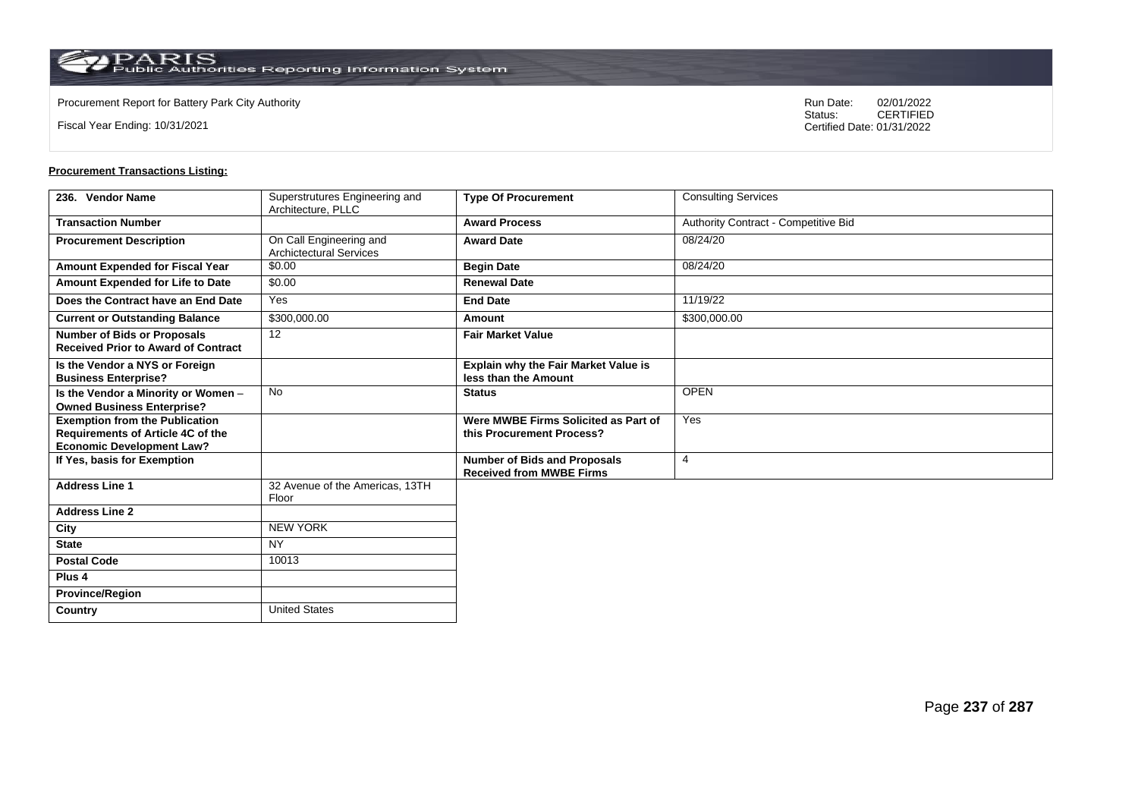$\operatorname{PARIS}_{\text{Public Authorities Reporting Information System}}$ 

Fiscal Year Ending: 10/31/2021

Procurement Report for Battery Park City Authority **National State Concrete Concrete Concrete Concrete Concrete Concrete Concrete Concrete Concrete Concrete Concrete Concrete Concrete Concrete Concrete Concrete Concrete Co** CERTIFIED Certified Date: 01/31/2022

| 236. Vendor Name                                                                                               | Superstrutures Engineering and<br>Architecture, PLLC      | <b>Type Of Procurement</b>                                             | <b>Consulting Services</b>           |
|----------------------------------------------------------------------------------------------------------------|-----------------------------------------------------------|------------------------------------------------------------------------|--------------------------------------|
| <b>Transaction Number</b>                                                                                      |                                                           | <b>Award Process</b>                                                   | Authority Contract - Competitive Bid |
| <b>Procurement Description</b>                                                                                 | On Call Engineering and<br><b>Archictectural Services</b> | <b>Award Date</b>                                                      | 08/24/20                             |
| <b>Amount Expended for Fiscal Year</b>                                                                         | \$0.00                                                    | <b>Begin Date</b>                                                      | 08/24/20                             |
| Amount Expended for Life to Date                                                                               | \$0.00                                                    | <b>Renewal Date</b>                                                    |                                      |
| Does the Contract have an End Date                                                                             | Yes                                                       | <b>End Date</b>                                                        | 11/19/22                             |
| <b>Current or Outstanding Balance</b>                                                                          | \$300,000.00                                              | Amount                                                                 | \$300,000.00                         |
| <b>Number of Bids or Proposals</b><br><b>Received Prior to Award of Contract</b>                               | 12                                                        | <b>Fair Market Value</b>                                               |                                      |
| Is the Vendor a NYS or Foreign<br><b>Business Enterprise?</b>                                                  |                                                           | Explain why the Fair Market Value is<br>less than the Amount           |                                      |
| Is the Vendor a Minority or Women -<br><b>Owned Business Enterprise?</b>                                       | <b>No</b>                                                 | <b>Status</b>                                                          | <b>OPEN</b>                          |
| <b>Exemption from the Publication</b><br>Requirements of Article 4C of the<br><b>Economic Development Law?</b> |                                                           | Were MWBE Firms Solicited as Part of<br>this Procurement Process?      | Yes                                  |
| If Yes, basis for Exemption                                                                                    |                                                           | <b>Number of Bids and Proposals</b><br><b>Received from MWBE Firms</b> | $\overline{4}$                       |
| <b>Address Line 1</b>                                                                                          | 32 Avenue of the Americas, 13TH<br>Floor                  |                                                                        |                                      |
| <b>Address Line 2</b>                                                                                          |                                                           |                                                                        |                                      |
| City                                                                                                           | <b>NEW YORK</b>                                           |                                                                        |                                      |
| <b>State</b>                                                                                                   | <b>NY</b>                                                 |                                                                        |                                      |
| <b>Postal Code</b>                                                                                             | 10013                                                     |                                                                        |                                      |
| Plus <sub>4</sub>                                                                                              |                                                           |                                                                        |                                      |
| <b>Province/Region</b>                                                                                         |                                                           |                                                                        |                                      |
| Country                                                                                                        | <b>United States</b>                                      |                                                                        |                                      |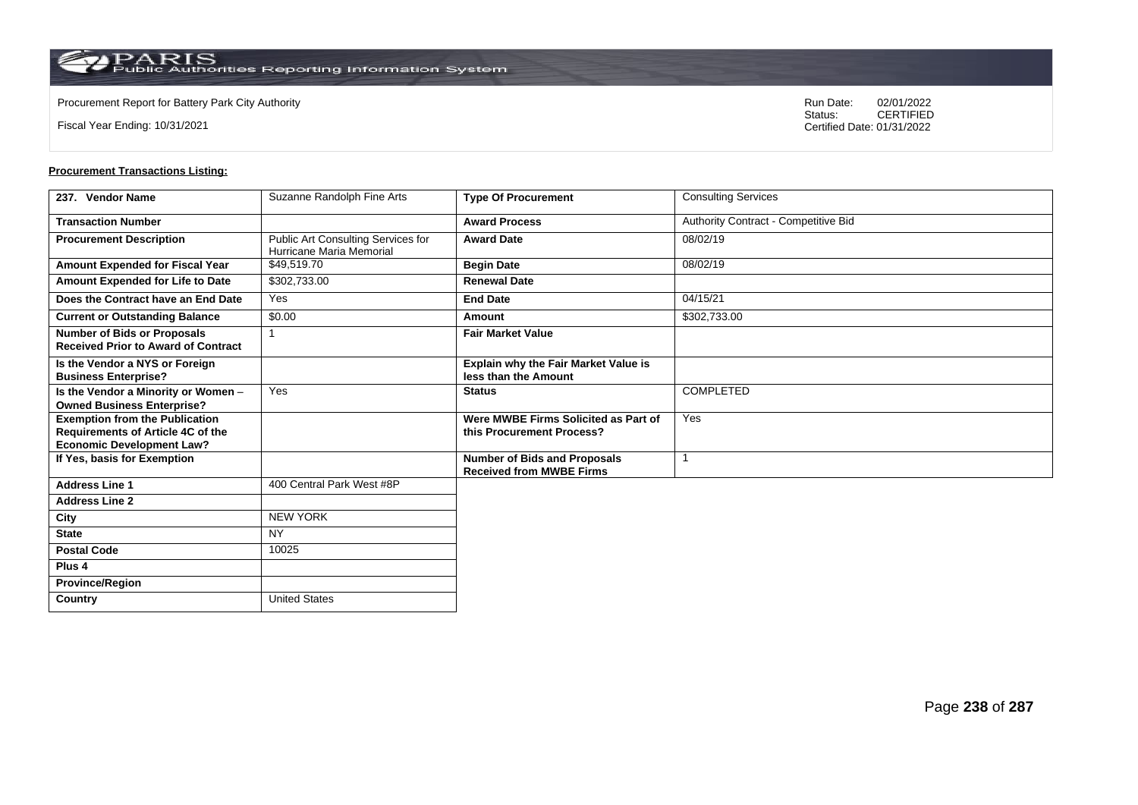**Country** United States

Fiscal Year Ending: 10/31/2021

Procurement Report for Battery Park City Authority **National State Concrete Concrete Concrete Concrete Concrete Concrete Concrete Concrete Concrete Concrete Concrete Concrete Concrete Concrete Concrete Concrete Concrete Co** CERTIFIED Certified Date: 01/31/2022

| 237. Vendor Name                                                                                                      | Suzanne Randolph Fine Arts                                     | <b>Type Of Procurement</b>                                             | <b>Consulting Services</b>           |
|-----------------------------------------------------------------------------------------------------------------------|----------------------------------------------------------------|------------------------------------------------------------------------|--------------------------------------|
| <b>Transaction Number</b>                                                                                             |                                                                | <b>Award Process</b>                                                   | Authority Contract - Competitive Bid |
| <b>Procurement Description</b>                                                                                        | Public Art Consulting Services for<br>Hurricane Maria Memorial | <b>Award Date</b>                                                      | 08/02/19                             |
| Amount Expended for Fiscal Year                                                                                       | \$49,519.70                                                    | <b>Begin Date</b>                                                      | 08/02/19                             |
| Amount Expended for Life to Date                                                                                      | \$302,733.00                                                   | <b>Renewal Date</b>                                                    |                                      |
| Does the Contract have an End Date                                                                                    | Yes                                                            | <b>End Date</b>                                                        | 04/15/21                             |
| <b>Current or Outstanding Balance</b>                                                                                 | \$0.00                                                         | Amount                                                                 | \$302,733.00                         |
| <b>Number of Bids or Proposals</b><br><b>Received Prior to Award of Contract</b>                                      |                                                                | <b>Fair Market Value</b>                                               |                                      |
| Is the Vendor a NYS or Foreign<br><b>Business Enterprise?</b>                                                         |                                                                | <b>Explain why the Fair Market Value is</b><br>less than the Amount    |                                      |
| Is the Vendor a Minority or Women -<br><b>Owned Business Enterprise?</b>                                              | Yes                                                            | <b>Status</b>                                                          | <b>COMPLETED</b>                     |
| <b>Exemption from the Publication</b><br><b>Requirements of Article 4C of the</b><br><b>Economic Development Law?</b> |                                                                | Were MWBE Firms Solicited as Part of<br>this Procurement Process?      | Yes                                  |
| If Yes, basis for Exemption                                                                                           |                                                                | <b>Number of Bids and Proposals</b><br><b>Received from MWBE Firms</b> |                                      |
| <b>Address Line 1</b>                                                                                                 | 400 Central Park West #8P                                      |                                                                        |                                      |
| <b>Address Line 2</b>                                                                                                 |                                                                |                                                                        |                                      |
| City                                                                                                                  | <b>NEW YORK</b>                                                |                                                                        |                                      |
| <b>State</b>                                                                                                          | <b>NY</b>                                                      |                                                                        |                                      |
| <b>Postal Code</b>                                                                                                    | 10025                                                          |                                                                        |                                      |
| Plus <sub>4</sub>                                                                                                     |                                                                |                                                                        |                                      |
| <b>Province/Region</b>                                                                                                |                                                                |                                                                        |                                      |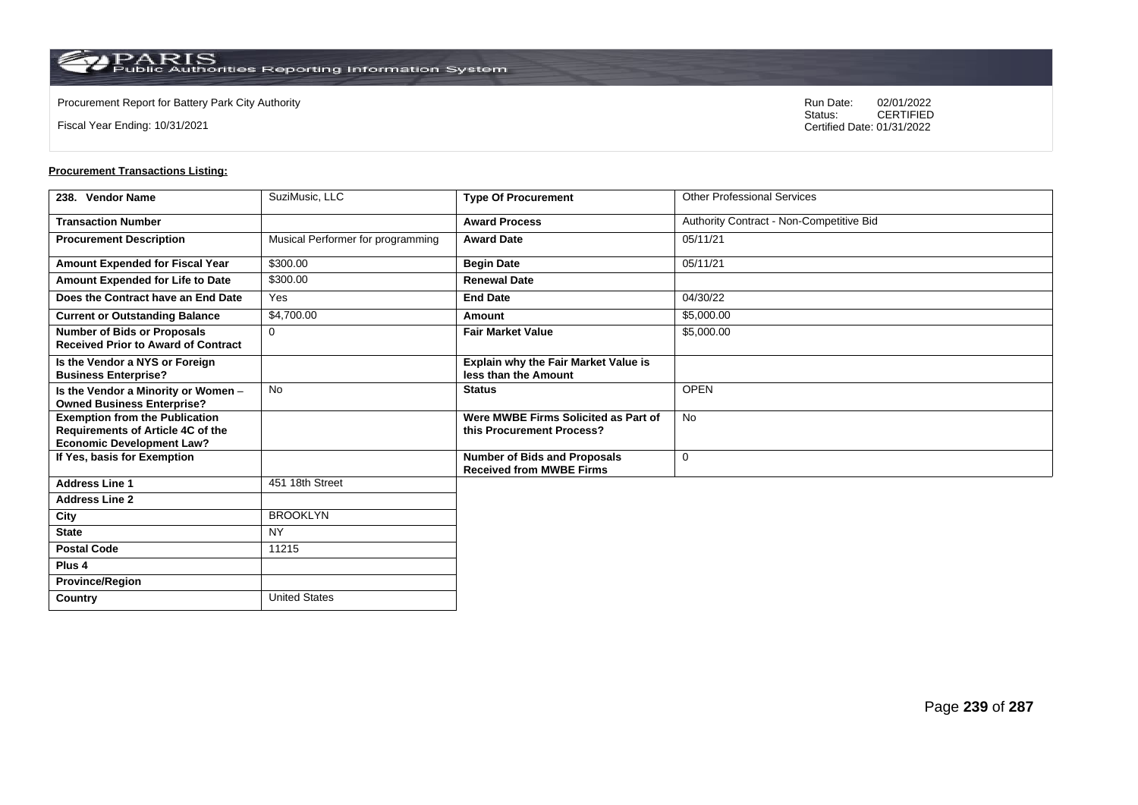**Country** United States

Fiscal Year Ending: 10/31/2021

Procurement Report for Battery Park City Authority **National State Concrete Concrete Concrete Concrete Concrete Concrete Concrete Concrete Concrete Concrete Concrete Concrete Concrete Concrete Concrete Concrete Concrete Co** CERTIFIED Certified Date: 01/31/2022

| 238. Vendor Name                                                                                               | SuziMusic, LLC                    | <b>Type Of Procurement</b>                                             | <b>Other Professional Services</b>       |
|----------------------------------------------------------------------------------------------------------------|-----------------------------------|------------------------------------------------------------------------|------------------------------------------|
| <b>Transaction Number</b>                                                                                      |                                   | <b>Award Process</b>                                                   | Authority Contract - Non-Competitive Bid |
| <b>Procurement Description</b>                                                                                 | Musical Performer for programming | <b>Award Date</b>                                                      | 05/11/21                                 |
| <b>Amount Expended for Fiscal Year</b>                                                                         | \$300.00                          | <b>Begin Date</b>                                                      | 05/11/21                                 |
| Amount Expended for Life to Date                                                                               | \$300.00                          | <b>Renewal Date</b>                                                    |                                          |
| Does the Contract have an End Date                                                                             | Yes                               | <b>End Date</b>                                                        | 04/30/22                                 |
| <b>Current or Outstanding Balance</b>                                                                          | \$4,700.00                        | Amount                                                                 | \$5,000.00                               |
| <b>Number of Bids or Proposals</b><br><b>Received Prior to Award of Contract</b>                               | 0                                 | <b>Fair Market Value</b>                                               | \$5,000.00                               |
| Is the Vendor a NYS or Foreign<br><b>Business Enterprise?</b>                                                  |                                   | Explain why the Fair Market Value is<br>less than the Amount           |                                          |
| Is the Vendor a Minority or Women -<br><b>Owned Business Enterprise?</b>                                       | No                                | <b>Status</b>                                                          | <b>OPEN</b>                              |
| <b>Exemption from the Publication</b><br>Requirements of Article 4C of the<br><b>Economic Development Law?</b> |                                   | Were MWBE Firms Solicited as Part of<br>this Procurement Process?      | <b>No</b>                                |
| If Yes, basis for Exemption                                                                                    |                                   | <b>Number of Bids and Proposals</b><br><b>Received from MWBE Firms</b> | $\mathbf 0$                              |
| <b>Address Line 1</b>                                                                                          | 451 18th Street                   |                                                                        |                                          |
| <b>Address Line 2</b>                                                                                          |                                   |                                                                        |                                          |
| City                                                                                                           | <b>BROOKLYN</b>                   |                                                                        |                                          |
| <b>State</b>                                                                                                   | <b>NY</b>                         |                                                                        |                                          |
| <b>Postal Code</b>                                                                                             | 11215                             |                                                                        |                                          |
| Plus <sub>4</sub>                                                                                              |                                   |                                                                        |                                          |
| <b>Province/Region</b>                                                                                         |                                   |                                                                        |                                          |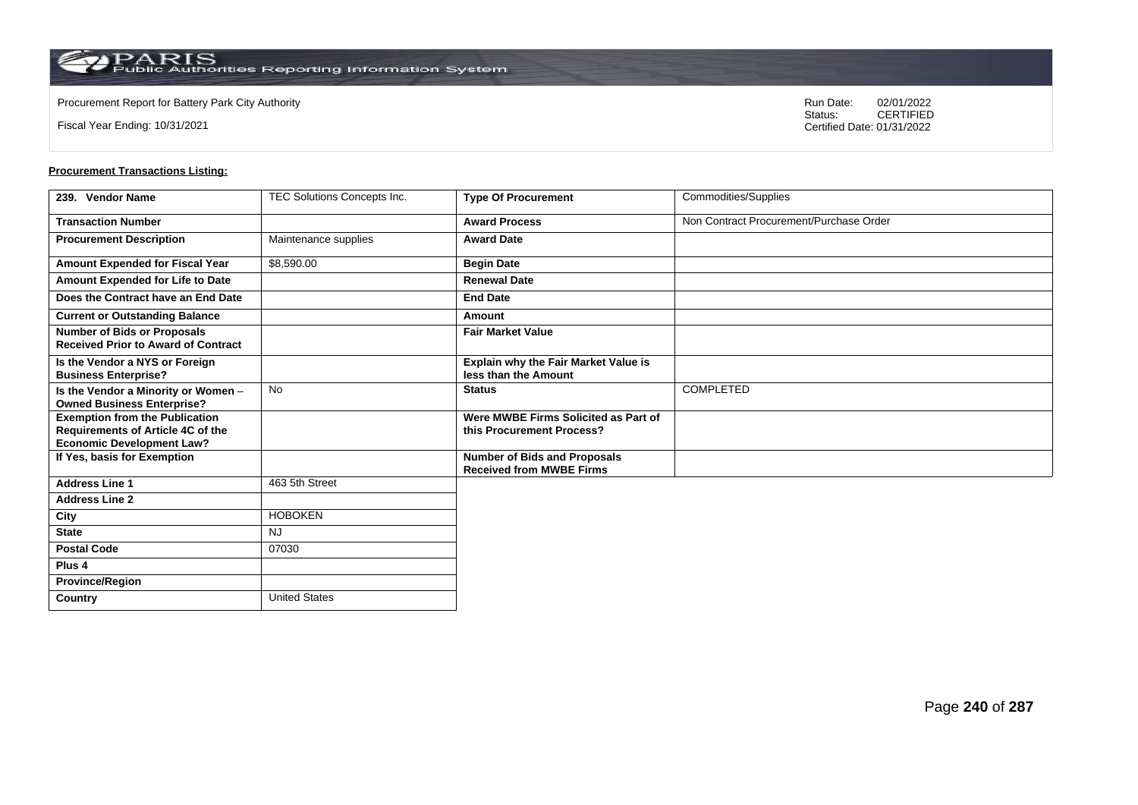**Country** United States

Fiscal Year Ending: 10/31/2021

Procurement Report for Battery Park City Authority **National State Concrete Concrete Concrete Concrete Concrete Concrete Concrete Concrete Concrete Concrete Concrete Concrete Concrete Concrete Concrete Concrete Concrete Co** CERTIFIED Certified Date: 01/31/2022

| 239. Vendor Name                                                                                               | TEC Solutions Concepts Inc. | <b>Type Of Procurement</b>                                             | Commodities/Supplies                    |
|----------------------------------------------------------------------------------------------------------------|-----------------------------|------------------------------------------------------------------------|-----------------------------------------|
| <b>Transaction Number</b>                                                                                      |                             | <b>Award Process</b>                                                   | Non Contract Procurement/Purchase Order |
| <b>Procurement Description</b>                                                                                 | Maintenance supplies        | <b>Award Date</b>                                                      |                                         |
| Amount Expended for Fiscal Year                                                                                | \$8,590.00                  | <b>Begin Date</b>                                                      |                                         |
| Amount Expended for Life to Date                                                                               |                             | <b>Renewal Date</b>                                                    |                                         |
| Does the Contract have an End Date                                                                             |                             | <b>End Date</b>                                                        |                                         |
| <b>Current or Outstanding Balance</b>                                                                          |                             | Amount                                                                 |                                         |
| <b>Number of Bids or Proposals</b><br><b>Received Prior to Award of Contract</b>                               |                             | <b>Fair Market Value</b>                                               |                                         |
| Is the Vendor a NYS or Foreign<br><b>Business Enterprise?</b>                                                  |                             | Explain why the Fair Market Value is<br>less than the Amount           |                                         |
| Is the Vendor a Minority or Women -<br><b>Owned Business Enterprise?</b>                                       | No                          | <b>Status</b>                                                          | COMPLETED                               |
| <b>Exemption from the Publication</b><br>Requirements of Article 4C of the<br><b>Economic Development Law?</b> |                             | Were MWBE Firms Solicited as Part of<br>this Procurement Process?      |                                         |
| If Yes, basis for Exemption                                                                                    |                             | <b>Number of Bids and Proposals</b><br><b>Received from MWBE Firms</b> |                                         |
| <b>Address Line 1</b>                                                                                          | 463 5th Street              |                                                                        |                                         |
| <b>Address Line 2</b>                                                                                          |                             |                                                                        |                                         |
| City                                                                                                           | <b>HOBOKEN</b>              |                                                                        |                                         |
| <b>State</b>                                                                                                   | <b>NJ</b>                   |                                                                        |                                         |
| <b>Postal Code</b>                                                                                             | 07030                       |                                                                        |                                         |
| Plus <sub>4</sub>                                                                                              |                             |                                                                        |                                         |
| <b>Province/Region</b>                                                                                         |                             |                                                                        |                                         |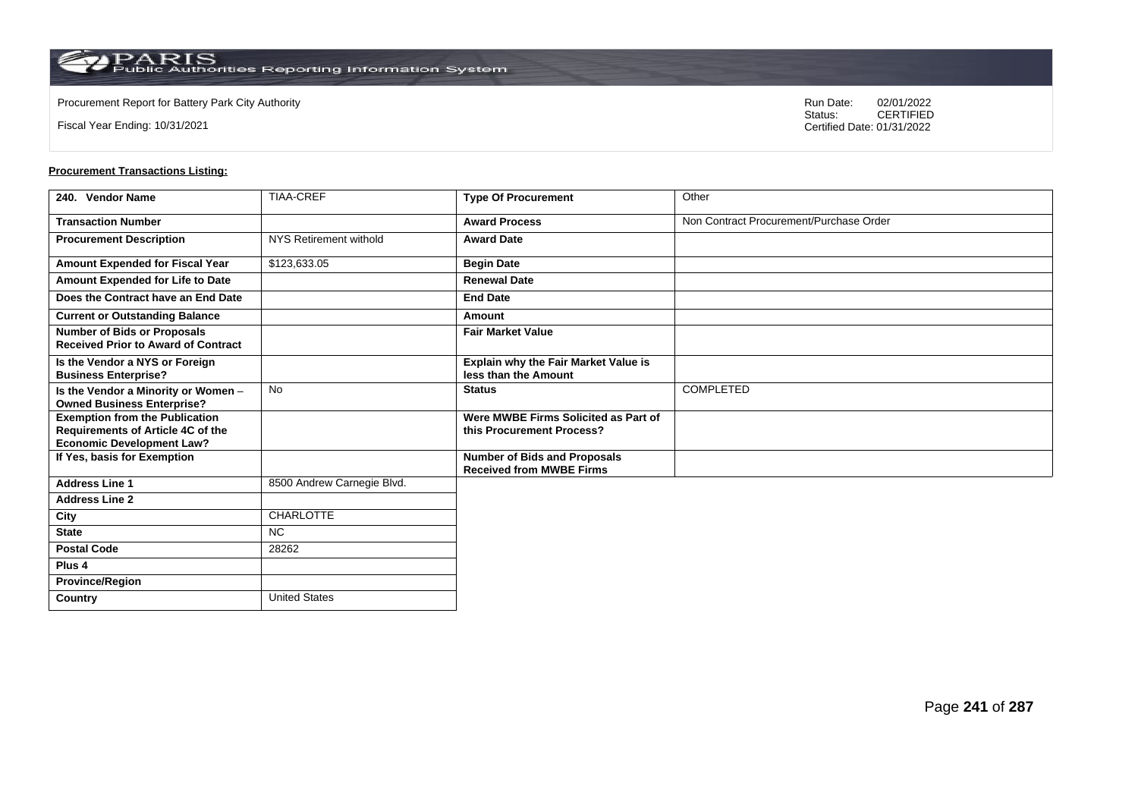**Country** United States

Fiscal Year Ending: 10/31/2021

Procurement Report for Battery Park City Authority **National State Concrete Concrete Concrete Concrete Concrete Concrete Concrete Concrete Concrete Concrete Concrete Concrete Concrete Concrete Concrete Concrete Concrete Co** CERTIFIED Certified Date: 01/31/2022

| 240. Vendor Name                                                                                               | <b>TIAA-CREF</b>           | <b>Type Of Procurement</b>                                             | Other                                   |
|----------------------------------------------------------------------------------------------------------------|----------------------------|------------------------------------------------------------------------|-----------------------------------------|
| <b>Transaction Number</b>                                                                                      |                            | <b>Award Process</b>                                                   | Non Contract Procurement/Purchase Order |
| <b>Procurement Description</b>                                                                                 | NYS Retirement withold     | <b>Award Date</b>                                                      |                                         |
| Amount Expended for Fiscal Year                                                                                | \$123,633.05               | <b>Begin Date</b>                                                      |                                         |
| Amount Expended for Life to Date                                                                               |                            | <b>Renewal Date</b>                                                    |                                         |
| Does the Contract have an End Date                                                                             |                            | <b>End Date</b>                                                        |                                         |
| <b>Current or Outstanding Balance</b>                                                                          |                            | Amount                                                                 |                                         |
| <b>Number of Bids or Proposals</b><br><b>Received Prior to Award of Contract</b>                               |                            | <b>Fair Market Value</b>                                               |                                         |
| Is the Vendor a NYS or Foreign<br><b>Business Enterprise?</b>                                                  |                            | <b>Explain why the Fair Market Value is</b><br>less than the Amount    |                                         |
| Is the Vendor a Minority or Women -<br><b>Owned Business Enterprise?</b>                                       | No                         | <b>Status</b>                                                          | <b>COMPLETED</b>                        |
| <b>Exemption from the Publication</b><br>Requirements of Article 4C of the<br><b>Economic Development Law?</b> |                            | Were MWBE Firms Solicited as Part of<br>this Procurement Process?      |                                         |
| If Yes, basis for Exemption                                                                                    |                            | <b>Number of Bids and Proposals</b><br><b>Received from MWBE Firms</b> |                                         |
| <b>Address Line 1</b>                                                                                          | 8500 Andrew Carnegie Blvd. |                                                                        |                                         |
| <b>Address Line 2</b>                                                                                          |                            |                                                                        |                                         |
| City                                                                                                           | <b>CHARLOTTE</b>           |                                                                        |                                         |
| <b>State</b>                                                                                                   | <b>NC</b>                  |                                                                        |                                         |
| <b>Postal Code</b>                                                                                             | 28262                      |                                                                        |                                         |
| Plus <sub>4</sub>                                                                                              |                            |                                                                        |                                         |
| <b>Province/Region</b>                                                                                         |                            |                                                                        |                                         |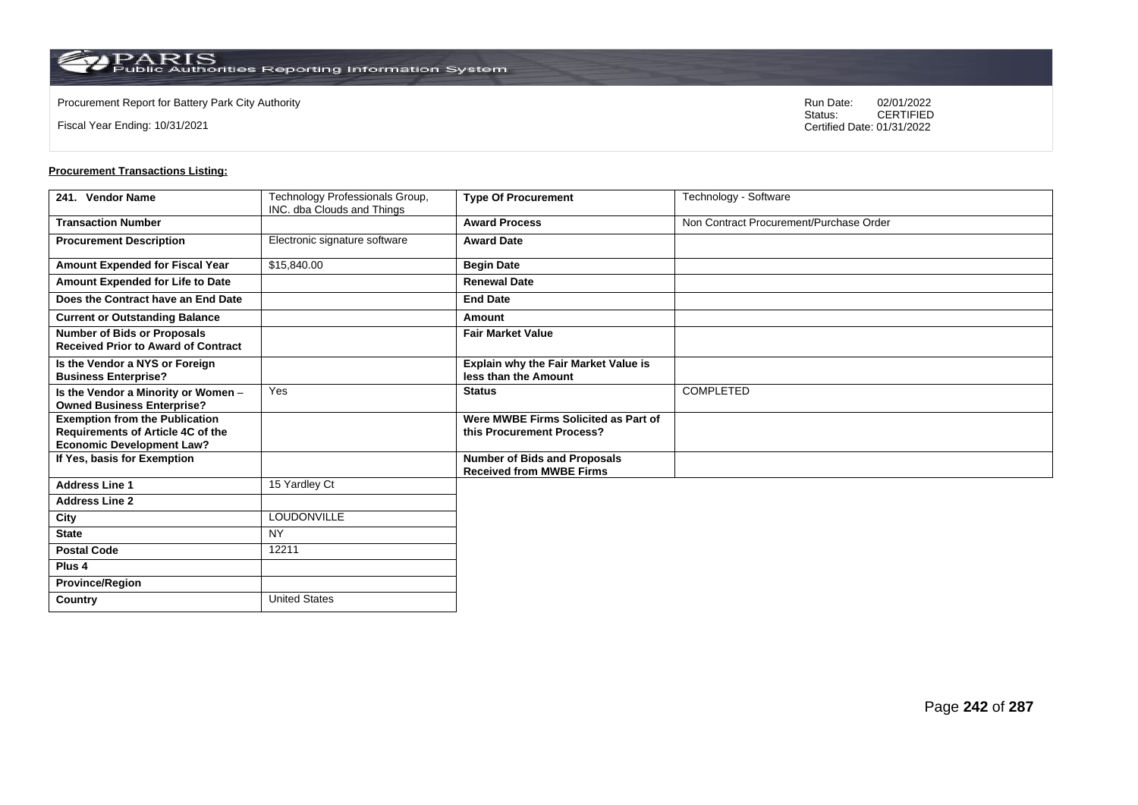**Country** United States

Fiscal Year Ending: 10/31/2021

Procurement Report for Battery Park City Authority **National State Concrete Concrete Concrete Concrete Concrete Concrete Concrete Concrete Concrete Concrete Concrete Concrete Concrete Concrete Concrete Concrete Concrete Co** CERTIFIED Certified Date: 01/31/2022

| 241. Vendor Name                                                                                                      | Technology Professionals Group,<br>INC. dba Clouds and Things | <b>Type Of Procurement</b>                                             | Technology - Software                   |
|-----------------------------------------------------------------------------------------------------------------------|---------------------------------------------------------------|------------------------------------------------------------------------|-----------------------------------------|
| <b>Transaction Number</b>                                                                                             |                                                               | <b>Award Process</b>                                                   | Non Contract Procurement/Purchase Order |
| <b>Procurement Description</b>                                                                                        | Electronic signature software                                 | <b>Award Date</b>                                                      |                                         |
| Amount Expended for Fiscal Year                                                                                       | \$15,840.00                                                   | <b>Begin Date</b>                                                      |                                         |
| Amount Expended for Life to Date                                                                                      |                                                               | <b>Renewal Date</b>                                                    |                                         |
| Does the Contract have an End Date                                                                                    |                                                               | <b>End Date</b>                                                        |                                         |
| <b>Current or Outstanding Balance</b>                                                                                 |                                                               | Amount                                                                 |                                         |
| <b>Number of Bids or Proposals</b><br><b>Received Prior to Award of Contract</b>                                      |                                                               | <b>Fair Market Value</b>                                               |                                         |
| Is the Vendor a NYS or Foreign<br><b>Business Enterprise?</b>                                                         |                                                               | <b>Explain why the Fair Market Value is</b><br>less than the Amount    |                                         |
| Is the Vendor a Minority or Women -<br><b>Owned Business Enterprise?</b>                                              | Yes                                                           | <b>Status</b>                                                          | <b>COMPLETED</b>                        |
| <b>Exemption from the Publication</b><br><b>Requirements of Article 4C of the</b><br><b>Economic Development Law?</b> |                                                               | Were MWBE Firms Solicited as Part of<br>this Procurement Process?      |                                         |
| If Yes, basis for Exemption                                                                                           |                                                               | <b>Number of Bids and Proposals</b><br><b>Received from MWBE Firms</b> |                                         |
| <b>Address Line 1</b>                                                                                                 | 15 Yardley Ct                                                 |                                                                        |                                         |
| <b>Address Line 2</b>                                                                                                 |                                                               |                                                                        |                                         |
| City                                                                                                                  | LOUDONVILLE                                                   |                                                                        |                                         |
| <b>State</b>                                                                                                          | <b>NY</b>                                                     |                                                                        |                                         |
| <b>Postal Code</b>                                                                                                    | 12211                                                         |                                                                        |                                         |
| Plus <sub>4</sub>                                                                                                     |                                                               |                                                                        |                                         |
| <b>Province/Region</b>                                                                                                |                                                               |                                                                        |                                         |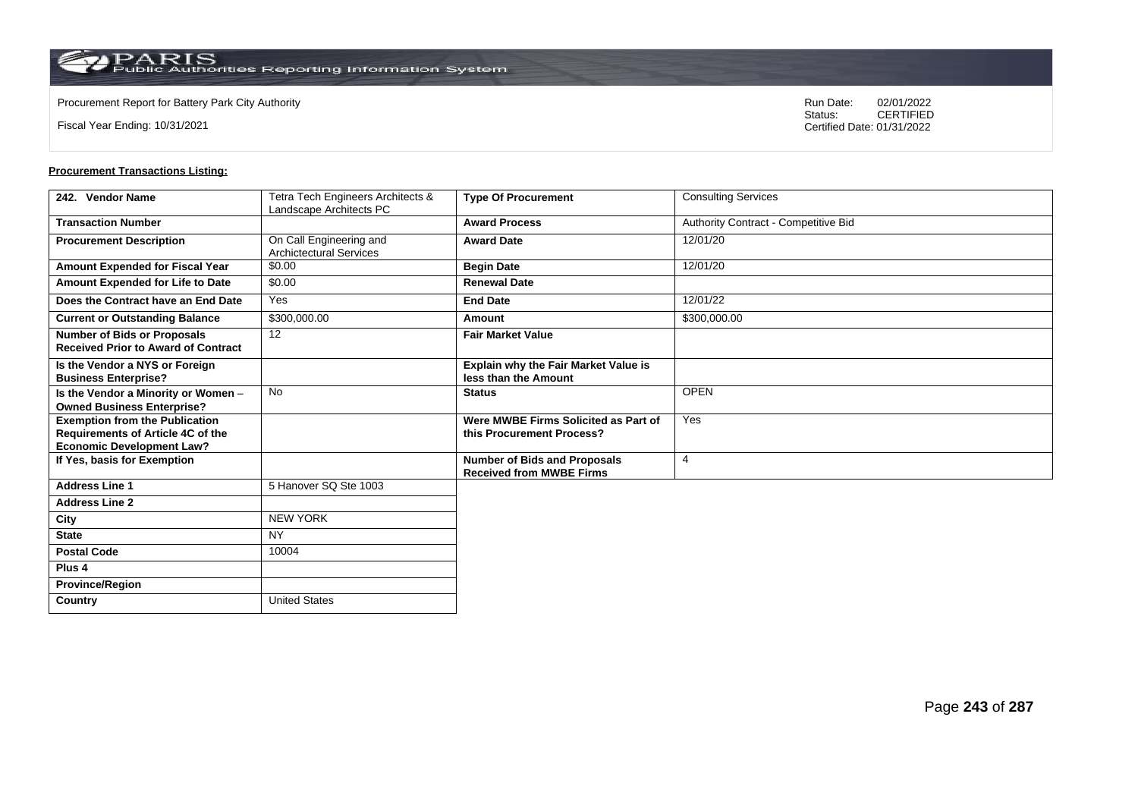Fiscal Year Ending: 10/31/2021

Procurement Report for Battery Park City Authority **National State Concrete Concrete Concrete Concrete Concrete Concrete Concrete Concrete Concrete Concrete Concrete Concrete Concrete Concrete Concrete Concrete Concrete Co** CERTIFIED Certified Date: 01/31/2022

| 242. Vendor Name                                                                                               | Tetra Tech Engineers Architects &<br>Landscape Architects PC | <b>Type Of Procurement</b>                                             | <b>Consulting Services</b>           |
|----------------------------------------------------------------------------------------------------------------|--------------------------------------------------------------|------------------------------------------------------------------------|--------------------------------------|
| <b>Transaction Number</b>                                                                                      |                                                              | <b>Award Process</b>                                                   | Authority Contract - Competitive Bid |
| <b>Procurement Description</b>                                                                                 | On Call Engineering and<br><b>Archictectural Services</b>    | <b>Award Date</b>                                                      | 12/01/20                             |
| Amount Expended for Fiscal Year                                                                                | \$0.00                                                       | <b>Begin Date</b>                                                      | 12/01/20                             |
| Amount Expended for Life to Date                                                                               | \$0.00                                                       | <b>Renewal Date</b>                                                    |                                      |
| Does the Contract have an End Date                                                                             | Yes                                                          | <b>End Date</b>                                                        | 12/01/22                             |
| <b>Current or Outstanding Balance</b>                                                                          | \$300,000.00                                                 | Amount                                                                 | \$300,000.00                         |
| <b>Number of Bids or Proposals</b><br><b>Received Prior to Award of Contract</b>                               | 12                                                           | <b>Fair Market Value</b>                                               |                                      |
| Is the Vendor a NYS or Foreign<br><b>Business Enterprise?</b>                                                  |                                                              | <b>Explain why the Fair Market Value is</b><br>less than the Amount    |                                      |
| Is the Vendor a Minority or Women -<br><b>Owned Business Enterprise?</b>                                       | No                                                           | <b>Status</b>                                                          | <b>OPEN</b>                          |
| <b>Exemption from the Publication</b><br>Requirements of Article 4C of the<br><b>Economic Development Law?</b> |                                                              | Were MWBE Firms Solicited as Part of<br>this Procurement Process?      | Yes                                  |
| If Yes, basis for Exemption                                                                                    |                                                              | <b>Number of Bids and Proposals</b><br><b>Received from MWBE Firms</b> | $\overline{4}$                       |
| <b>Address Line 1</b>                                                                                          | 5 Hanover SQ Ste 1003                                        |                                                                        |                                      |
| <b>Address Line 2</b>                                                                                          |                                                              |                                                                        |                                      |
| City                                                                                                           | <b>NEW YORK</b>                                              |                                                                        |                                      |
| <b>State</b>                                                                                                   | <b>NY</b>                                                    |                                                                        |                                      |
| <b>Postal Code</b>                                                                                             | 10004                                                        |                                                                        |                                      |
| Plus <sub>4</sub>                                                                                              |                                                              |                                                                        |                                      |
| <b>Province/Region</b>                                                                                         |                                                              |                                                                        |                                      |
| Country                                                                                                        | <b>United States</b>                                         |                                                                        |                                      |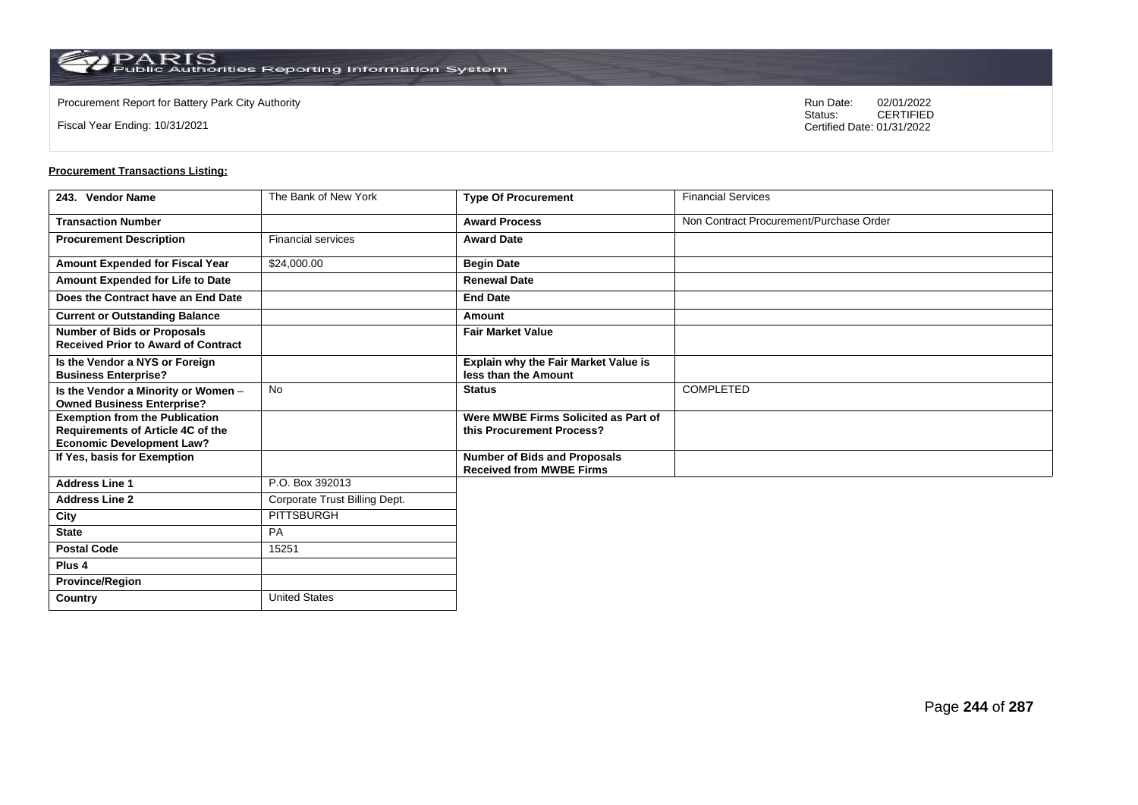Fiscal Year Ending: 10/31/2021

Procurement Report for Battery Park City Authority **National State Concrete Concrete Concrete Concrete Concrete Concrete Concrete Concrete Concrete Concrete Concrete Concrete Concrete Concrete Concrete Concrete Concrete Co** CERTIFIED Certified Date: 01/31/2022

| 243. Vendor Name                                                                                               | The Bank of New York          | <b>Type Of Procurement</b>                                             | <b>Financial Services</b>               |
|----------------------------------------------------------------------------------------------------------------|-------------------------------|------------------------------------------------------------------------|-----------------------------------------|
| <b>Transaction Number</b>                                                                                      |                               | <b>Award Process</b>                                                   | Non Contract Procurement/Purchase Order |
| <b>Procurement Description</b>                                                                                 | <b>Financial services</b>     | <b>Award Date</b>                                                      |                                         |
| Amount Expended for Fiscal Year                                                                                | \$24,000.00                   | <b>Begin Date</b>                                                      |                                         |
| Amount Expended for Life to Date                                                                               |                               | <b>Renewal Date</b>                                                    |                                         |
| Does the Contract have an End Date                                                                             |                               | <b>End Date</b>                                                        |                                         |
| <b>Current or Outstanding Balance</b>                                                                          |                               | Amount                                                                 |                                         |
| <b>Number of Bids or Proposals</b><br><b>Received Prior to Award of Contract</b>                               |                               | <b>Fair Market Value</b>                                               |                                         |
| Is the Vendor a NYS or Foreign<br><b>Business Enterprise?</b>                                                  |                               | Explain why the Fair Market Value is<br>less than the Amount           |                                         |
| Is the Vendor a Minority or Women -<br><b>Owned Business Enterprise?</b>                                       | <b>No</b>                     | <b>Status</b>                                                          | <b>COMPLETED</b>                        |
| <b>Exemption from the Publication</b><br>Requirements of Article 4C of the<br><b>Economic Development Law?</b> |                               | Were MWBE Firms Solicited as Part of<br>this Procurement Process?      |                                         |
| If Yes, basis for Exemption                                                                                    |                               | <b>Number of Bids and Proposals</b><br><b>Received from MWBE Firms</b> |                                         |
| <b>Address Line 1</b>                                                                                          | P.O. Box 392013               |                                                                        |                                         |
| <b>Address Line 2</b>                                                                                          | Corporate Trust Billing Dept. |                                                                        |                                         |
| City                                                                                                           | <b>PITTSBURGH</b>             |                                                                        |                                         |
| <b>State</b>                                                                                                   | <b>PA</b>                     |                                                                        |                                         |
| <b>Postal Code</b>                                                                                             | 15251                         |                                                                        |                                         |
| Plus 4                                                                                                         |                               |                                                                        |                                         |
| <b>Province/Region</b>                                                                                         |                               |                                                                        |                                         |
| Country                                                                                                        | <b>United States</b>          |                                                                        |                                         |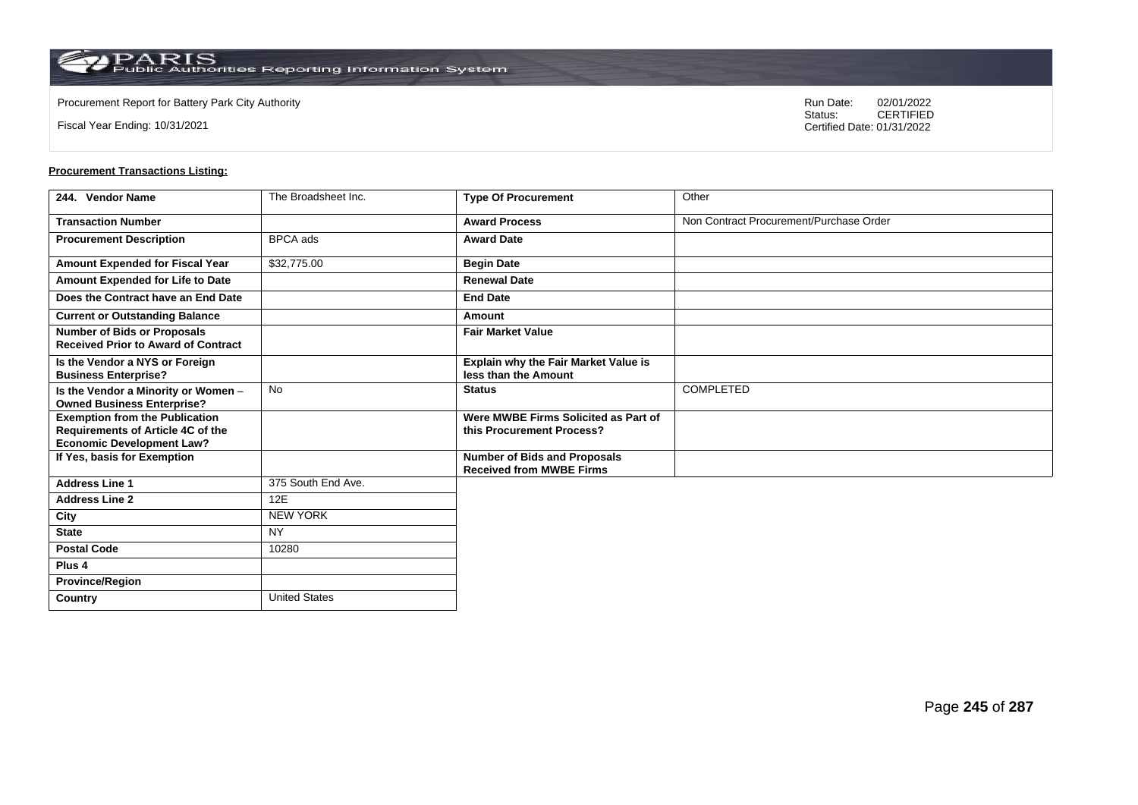Fiscal Year Ending: 10/31/2021

Procurement Report for Battery Park City Authority **National State Concrete Concrete Concrete Concrete Concrete Concrete Concrete Concrete Concrete Concrete Concrete Concrete Concrete Concrete Concrete Concrete Concrete Co** CERTIFIED Certified Date: 01/31/2022

| 244. Vendor Name                                                                 | The Broadsheet Inc.  | <b>Type Of Procurement</b>                                             | Other                                   |
|----------------------------------------------------------------------------------|----------------------|------------------------------------------------------------------------|-----------------------------------------|
| <b>Transaction Number</b>                                                        |                      | <b>Award Process</b>                                                   | Non Contract Procurement/Purchase Order |
| <b>Procurement Description</b>                                                   | <b>BPCA</b> ads      | <b>Award Date</b>                                                      |                                         |
| Amount Expended for Fiscal Year                                                  | \$32,775.00          | <b>Begin Date</b>                                                      |                                         |
| Amount Expended for Life to Date                                                 |                      | <b>Renewal Date</b>                                                    |                                         |
| Does the Contract have an End Date                                               |                      | <b>End Date</b>                                                        |                                         |
| <b>Current or Outstanding Balance</b>                                            |                      | Amount                                                                 |                                         |
| <b>Number of Bids or Proposals</b><br><b>Received Prior to Award of Contract</b> |                      | <b>Fair Market Value</b>                                               |                                         |
| Is the Vendor a NYS or Foreign<br><b>Business Enterprise?</b>                    |                      | Explain why the Fair Market Value is<br>less than the Amount           |                                         |
| Is the Vendor a Minority or Women -<br><b>Owned Business Enterprise?</b>         | <b>No</b>            | <b>Status</b>                                                          | <b>COMPLETED</b>                        |
| <b>Exemption from the Publication</b><br>Requirements of Article 4C of the       |                      | Were MWBE Firms Solicited as Part of<br>this Procurement Process?      |                                         |
| <b>Economic Development Law?</b><br>If Yes, basis for Exemption                  |                      | <b>Number of Bids and Proposals</b><br><b>Received from MWBE Firms</b> |                                         |
| <b>Address Line 1</b>                                                            | 375 South End Ave.   |                                                                        |                                         |
| <b>Address Line 2</b>                                                            | 12E                  |                                                                        |                                         |
| City                                                                             | <b>NEW YORK</b>      |                                                                        |                                         |
| <b>State</b>                                                                     | <b>NY</b>            |                                                                        |                                         |
| <b>Postal Code</b>                                                               | 10280                |                                                                        |                                         |
| Plus 4                                                                           |                      |                                                                        |                                         |
| <b>Province/Region</b>                                                           |                      |                                                                        |                                         |
| Country                                                                          | <b>United States</b> |                                                                        |                                         |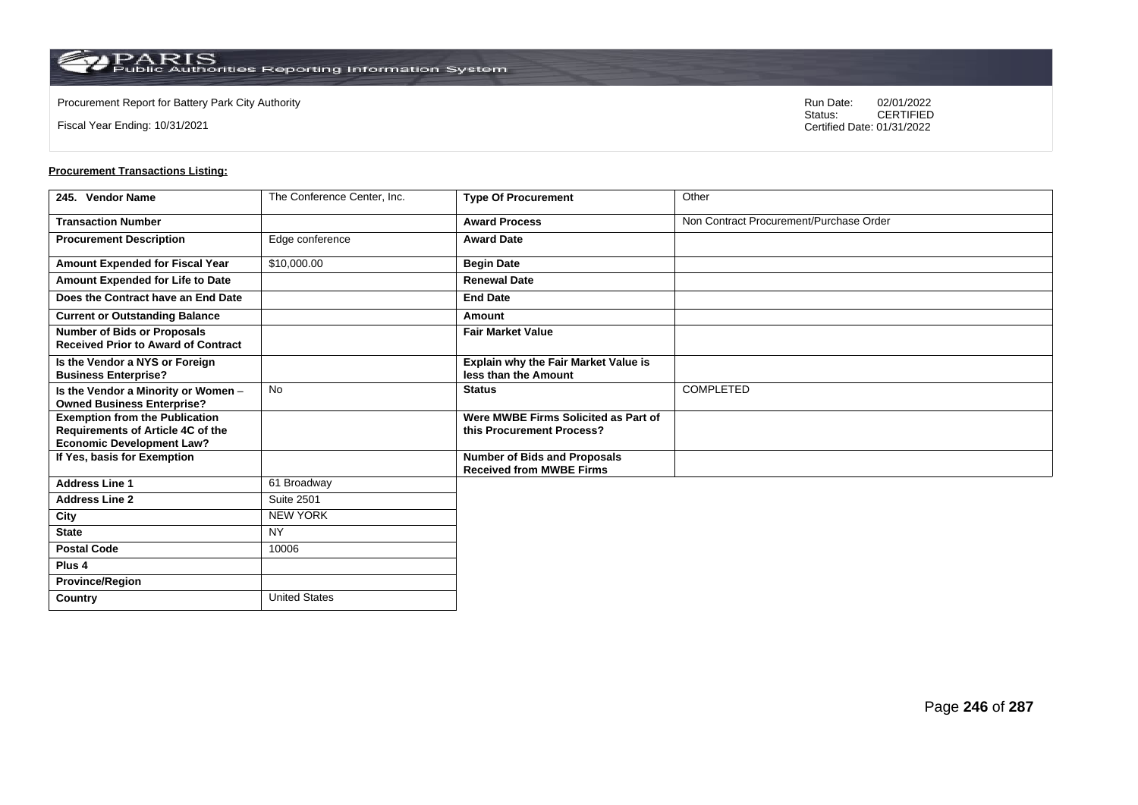**Country** United States

Fiscal Year Ending: 10/31/2021

Procurement Report for Battery Park City Authority **National State Concrete Concrete Concrete Concrete Concrete Concrete Concrete Concrete Concrete Concrete Concrete Concrete Concrete Concrete Concrete Concrete Concrete Co** CERTIFIED Certified Date: 01/31/2022

| 245. Vendor Name                                                                                                      | The Conference Center, Inc. | <b>Type Of Procurement</b>                                             | Other                                   |
|-----------------------------------------------------------------------------------------------------------------------|-----------------------------|------------------------------------------------------------------------|-----------------------------------------|
| <b>Transaction Number</b>                                                                                             |                             | <b>Award Process</b>                                                   | Non Contract Procurement/Purchase Order |
| <b>Procurement Description</b>                                                                                        | Edge conference             | <b>Award Date</b>                                                      |                                         |
| <b>Amount Expended for Fiscal Year</b>                                                                                | \$10,000.00                 | <b>Begin Date</b>                                                      |                                         |
| Amount Expended for Life to Date                                                                                      |                             | <b>Renewal Date</b>                                                    |                                         |
| Does the Contract have an End Date                                                                                    |                             | <b>End Date</b>                                                        |                                         |
| <b>Current or Outstanding Balance</b>                                                                                 |                             | Amount                                                                 |                                         |
| <b>Number of Bids or Proposals</b><br><b>Received Prior to Award of Contract</b>                                      |                             | <b>Fair Market Value</b>                                               |                                         |
| Is the Vendor a NYS or Foreign<br><b>Business Enterprise?</b>                                                         |                             | Explain why the Fair Market Value is<br>less than the Amount           |                                         |
| Is the Vendor a Minority or Women -<br><b>Owned Business Enterprise?</b>                                              | <b>No</b>                   | <b>Status</b>                                                          | COMPLETED                               |
| <b>Exemption from the Publication</b><br><b>Requirements of Article 4C of the</b><br><b>Economic Development Law?</b> |                             | Were MWBE Firms Solicited as Part of<br>this Procurement Process?      |                                         |
| If Yes, basis for Exemption                                                                                           |                             | <b>Number of Bids and Proposals</b><br><b>Received from MWBE Firms</b> |                                         |
| <b>Address Line 1</b>                                                                                                 | 61 Broadway                 |                                                                        |                                         |
| <b>Address Line 2</b>                                                                                                 | <b>Suite 2501</b>           |                                                                        |                                         |
| City                                                                                                                  | <b>NEW YORK</b>             |                                                                        |                                         |
| <b>State</b>                                                                                                          | <b>NY</b>                   |                                                                        |                                         |
| <b>Postal Code</b>                                                                                                    | 10006                       |                                                                        |                                         |
| Plus <sub>4</sub>                                                                                                     |                             |                                                                        |                                         |
| <b>Province/Region</b>                                                                                                |                             |                                                                        |                                         |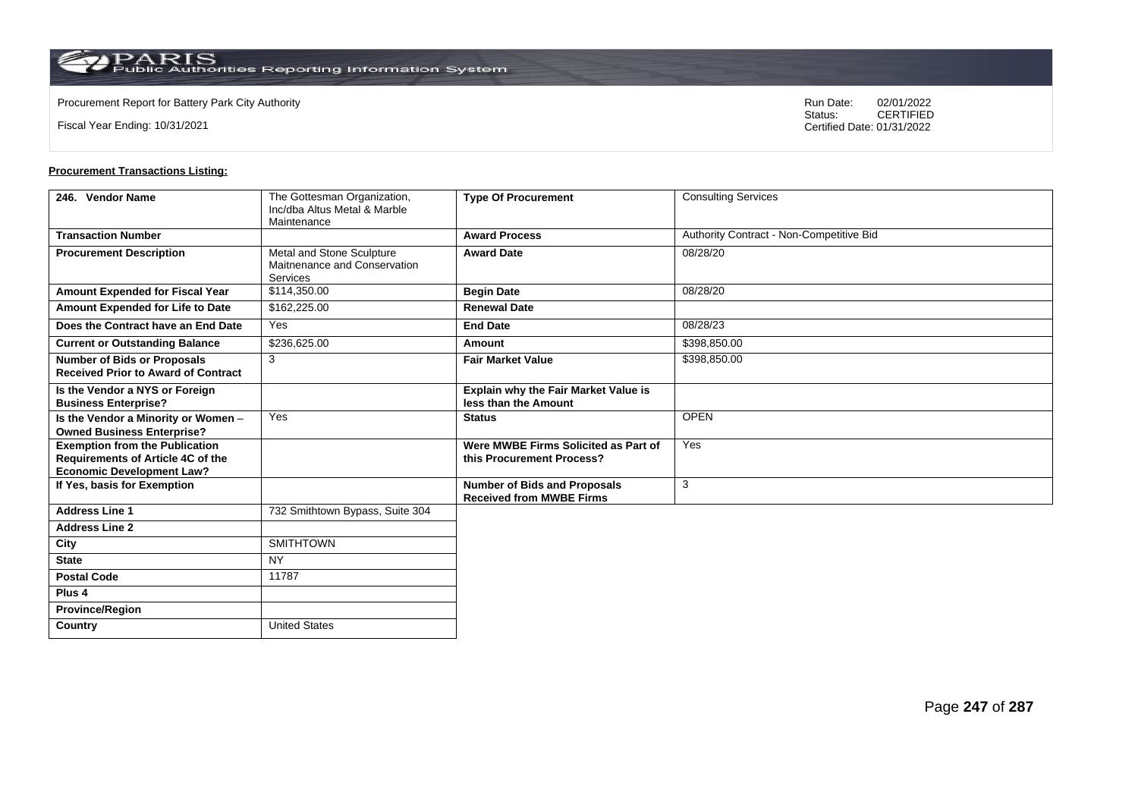Fiscal Year Ending: 10/31/2021

Procurement Report for Battery Park City Authority **National State Concrete Concrete Concrete Concrete Concrete Concrete Concrete Concrete Concrete Concrete Concrete Concrete Concrete Concrete Concrete Concrete Concrete Co** CERTIFIED Certified Date: 01/31/2022

| 246. Vendor Name                                                                                                      | The Gottesman Organization,<br>Inc/dba Altus Metal & Marble<br>Maintenance | <b>Type Of Procurement</b>                                             | <b>Consulting Services</b>               |
|-----------------------------------------------------------------------------------------------------------------------|----------------------------------------------------------------------------|------------------------------------------------------------------------|------------------------------------------|
| <b>Transaction Number</b>                                                                                             |                                                                            | <b>Award Process</b>                                                   | Authority Contract - Non-Competitive Bid |
| <b>Procurement Description</b>                                                                                        | Metal and Stone Sculpture<br>Maitnenance and Conservation<br>Services      | <b>Award Date</b>                                                      | 08/28/20                                 |
| <b>Amount Expended for Fiscal Year</b>                                                                                | \$114,350.00                                                               | <b>Begin Date</b>                                                      | 08/28/20                                 |
| Amount Expended for Life to Date                                                                                      | \$162,225.00                                                               | <b>Renewal Date</b>                                                    |                                          |
| Does the Contract have an End Date                                                                                    | Yes                                                                        | <b>End Date</b>                                                        | 08/28/23                                 |
| <b>Current or Outstanding Balance</b>                                                                                 | \$236,625.00                                                               | Amount                                                                 | \$398,850.00                             |
| <b>Number of Bids or Proposals</b><br><b>Received Prior to Award of Contract</b>                                      | 3                                                                          | <b>Fair Market Value</b>                                               | \$398,850.00                             |
| Is the Vendor a NYS or Foreign<br><b>Business Enterprise?</b>                                                         |                                                                            | Explain why the Fair Market Value is<br>less than the Amount           |                                          |
| Is the Vendor a Minority or Women -<br><b>Owned Business Enterprise?</b>                                              | Yes                                                                        | <b>Status</b>                                                          | <b>OPEN</b>                              |
| <b>Exemption from the Publication</b><br><b>Requirements of Article 4C of the</b><br><b>Economic Development Law?</b> |                                                                            | Were MWBE Firms Solicited as Part of<br>this Procurement Process?      | Yes                                      |
| If Yes, basis for Exemption                                                                                           |                                                                            | <b>Number of Bids and Proposals</b><br><b>Received from MWBE Firms</b> | 3                                        |
| <b>Address Line 1</b>                                                                                                 | 732 Smithtown Bypass, Suite 304                                            |                                                                        |                                          |
| <b>Address Line 2</b>                                                                                                 |                                                                            |                                                                        |                                          |
| City                                                                                                                  | <b>SMITHTOWN</b>                                                           |                                                                        |                                          |
| <b>State</b>                                                                                                          | <b>NY</b>                                                                  |                                                                        |                                          |
| <b>Postal Code</b>                                                                                                    | 11787                                                                      |                                                                        |                                          |
| Plus <sub>4</sub>                                                                                                     |                                                                            |                                                                        |                                          |
| <b>Province/Region</b>                                                                                                |                                                                            |                                                                        |                                          |
| Country                                                                                                               | <b>United States</b>                                                       |                                                                        |                                          |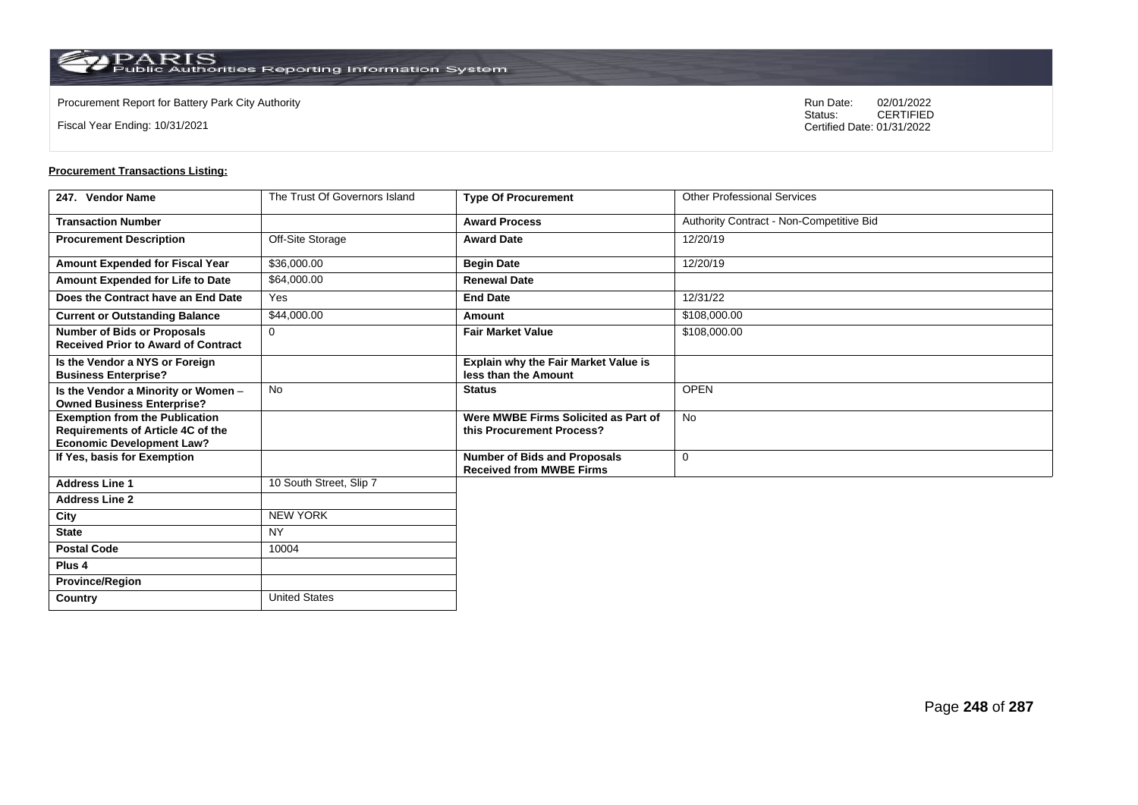**Country** United States

Fiscal Year Ending: 10/31/2021

Procurement Report for Battery Park City Authority **National State Concrete Concrete Concrete Concrete Concrete Concrete Concrete Concrete Concrete Concrete Concrete Concrete Concrete Concrete Concrete Concrete Concrete Co** CERTIFIED Certified Date: 01/31/2022

| 247. Vendor Name                                                                                               | The Trust Of Governors Island | <b>Type Of Procurement</b>                                             | <b>Other Professional Services</b>       |
|----------------------------------------------------------------------------------------------------------------|-------------------------------|------------------------------------------------------------------------|------------------------------------------|
| <b>Transaction Number</b>                                                                                      |                               | <b>Award Process</b>                                                   | Authority Contract - Non-Competitive Bid |
| <b>Procurement Description</b>                                                                                 | Off-Site Storage              | <b>Award Date</b>                                                      | 12/20/19                                 |
| Amount Expended for Fiscal Year                                                                                | \$36,000.00                   | <b>Begin Date</b>                                                      | 12/20/19                                 |
| Amount Expended for Life to Date                                                                               | \$64,000.00                   | <b>Renewal Date</b>                                                    |                                          |
| Does the Contract have an End Date                                                                             | Yes                           | <b>End Date</b>                                                        | 12/31/22                                 |
| <b>Current or Outstanding Balance</b>                                                                          | \$44,000.00                   | Amount                                                                 | \$108,000.00                             |
| <b>Number of Bids or Proposals</b><br><b>Received Prior to Award of Contract</b>                               | $\mathbf 0$                   | <b>Fair Market Value</b>                                               | \$108,000.00                             |
| Is the Vendor a NYS or Foreign<br><b>Business Enterprise?</b>                                                  |                               | <b>Explain why the Fair Market Value is</b><br>less than the Amount    |                                          |
| Is the Vendor a Minority or Women -<br><b>Owned Business Enterprise?</b>                                       | <b>No</b>                     | <b>Status</b>                                                          | <b>OPEN</b>                              |
| <b>Exemption from the Publication</b><br>Requirements of Article 4C of the<br><b>Economic Development Law?</b> |                               | Were MWBE Firms Solicited as Part of<br>this Procurement Process?      | <b>No</b>                                |
| If Yes, basis for Exemption                                                                                    |                               | <b>Number of Bids and Proposals</b><br><b>Received from MWBE Firms</b> | 0                                        |
| <b>Address Line 1</b>                                                                                          | 10 South Street, Slip 7       |                                                                        |                                          |
| <b>Address Line 2</b>                                                                                          |                               |                                                                        |                                          |
| City                                                                                                           | <b>NEW YORK</b>               |                                                                        |                                          |
| <b>State</b>                                                                                                   | <b>NY</b>                     |                                                                        |                                          |
| <b>Postal Code</b>                                                                                             | 10004                         |                                                                        |                                          |
| Plus <sub>4</sub>                                                                                              |                               |                                                                        |                                          |
| <b>Province/Region</b>                                                                                         |                               |                                                                        |                                          |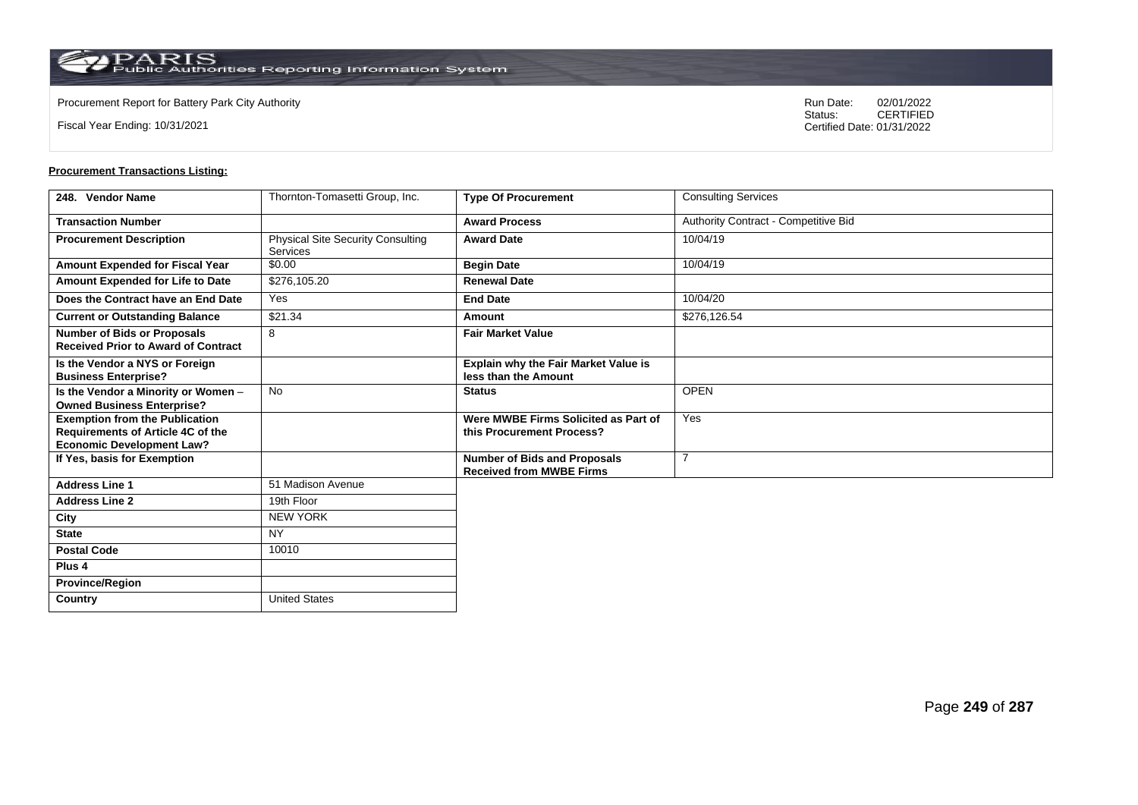Fiscal Year Ending: 10/31/2021

Procurement Report for Battery Park City Authority **National State Concrete Concrete Concrete Concrete Concrete Concrete Concrete Concrete Concrete Concrete Concrete Concrete Concrete Concrete Concrete Concrete Concrete Co** CERTIFIED Certified Date: 01/31/2022

| 248. Vendor Name                                                                                               | Thornton-Tomasetti Group, Inc.                       | <b>Type Of Procurement</b>                                             | <b>Consulting Services</b>           |
|----------------------------------------------------------------------------------------------------------------|------------------------------------------------------|------------------------------------------------------------------------|--------------------------------------|
| <b>Transaction Number</b>                                                                                      |                                                      | <b>Award Process</b>                                                   | Authority Contract - Competitive Bid |
| <b>Procurement Description</b>                                                                                 | <b>Physical Site Security Consulting</b><br>Services | <b>Award Date</b>                                                      | 10/04/19                             |
| Amount Expended for Fiscal Year                                                                                | \$0.00                                               | <b>Begin Date</b>                                                      | 10/04/19                             |
| Amount Expended for Life to Date                                                                               | \$276,105.20                                         | <b>Renewal Date</b>                                                    |                                      |
| Does the Contract have an End Date                                                                             | Yes                                                  | <b>End Date</b>                                                        | 10/04/20                             |
| <b>Current or Outstanding Balance</b>                                                                          | \$21.34                                              | Amount                                                                 | \$276,126.54                         |
| <b>Number of Bids or Proposals</b><br><b>Received Prior to Award of Contract</b>                               | 8                                                    | <b>Fair Market Value</b>                                               |                                      |
| Is the Vendor a NYS or Foreign<br><b>Business Enterprise?</b>                                                  |                                                      | <b>Explain why the Fair Market Value is</b><br>less than the Amount    |                                      |
| Is the Vendor a Minority or Women -<br><b>Owned Business Enterprise?</b>                                       | <b>No</b>                                            | <b>Status</b>                                                          | <b>OPEN</b>                          |
| <b>Exemption from the Publication</b><br>Requirements of Article 4C of the<br><b>Economic Development Law?</b> |                                                      | Were MWBE Firms Solicited as Part of<br>this Procurement Process?      | Yes                                  |
| If Yes, basis for Exemption                                                                                    |                                                      | <b>Number of Bids and Proposals</b><br><b>Received from MWBE Firms</b> | 7                                    |
| <b>Address Line 1</b>                                                                                          | 51 Madison Avenue                                    |                                                                        |                                      |
| <b>Address Line 2</b>                                                                                          | 19th Floor                                           |                                                                        |                                      |
| City                                                                                                           | <b>NEW YORK</b>                                      |                                                                        |                                      |
| <b>State</b>                                                                                                   | <b>NY</b>                                            |                                                                        |                                      |
| <b>Postal Code</b>                                                                                             | 10010                                                |                                                                        |                                      |
| Plus <sub>4</sub>                                                                                              |                                                      |                                                                        |                                      |
| <b>Province/Region</b>                                                                                         |                                                      |                                                                        |                                      |
| Country                                                                                                        | <b>United States</b>                                 |                                                                        |                                      |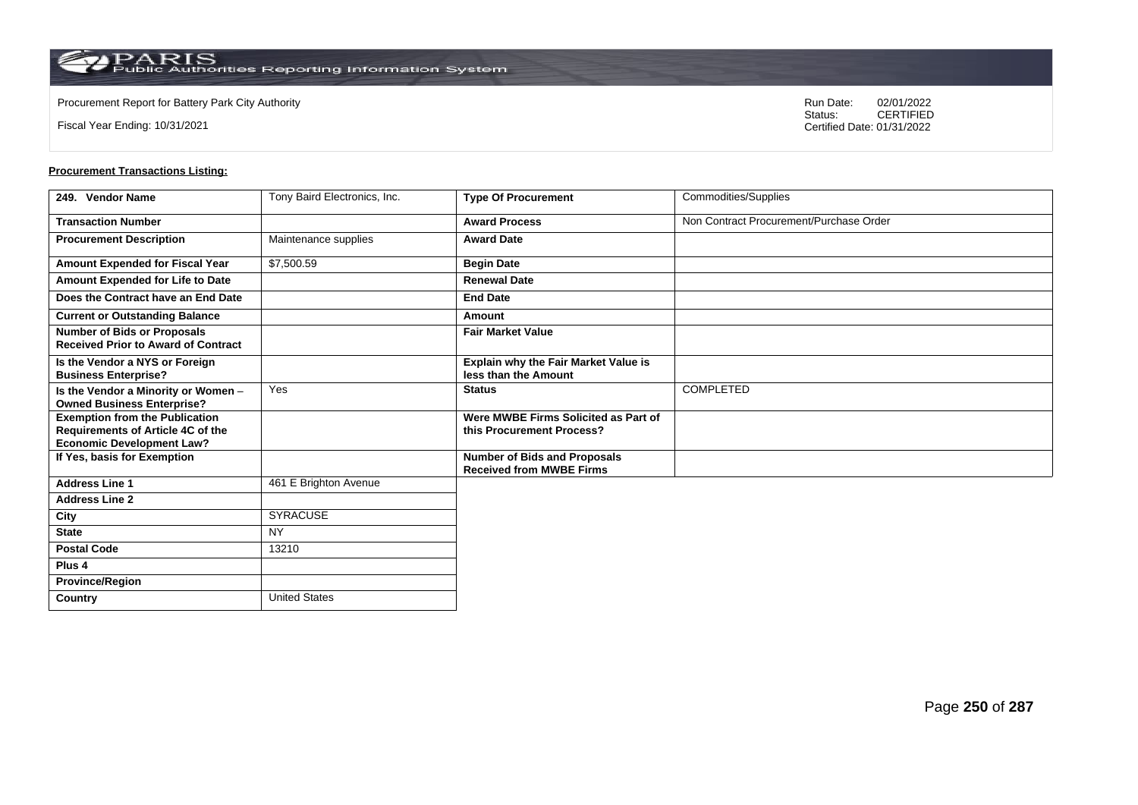**Country** United States

Fiscal Year Ending: 10/31/2021

Procurement Report for Battery Park City Authority **National State Concrete Concrete Concrete Concrete Concrete Concrete Concrete Concrete Concrete Concrete Concrete Concrete Concrete Concrete Concrete Concrete Concrete Co** CERTIFIED Certified Date: 01/31/2022

| 249. Vendor Name                                                                                                      | Tony Baird Electronics, Inc. | <b>Type Of Procurement</b>                                             | Commodities/Supplies                    |
|-----------------------------------------------------------------------------------------------------------------------|------------------------------|------------------------------------------------------------------------|-----------------------------------------|
| <b>Transaction Number</b>                                                                                             |                              | <b>Award Process</b>                                                   | Non Contract Procurement/Purchase Order |
| <b>Procurement Description</b>                                                                                        | Maintenance supplies         | <b>Award Date</b>                                                      |                                         |
| Amount Expended for Fiscal Year                                                                                       | \$7,500.59                   | <b>Begin Date</b>                                                      |                                         |
| Amount Expended for Life to Date                                                                                      |                              | <b>Renewal Date</b>                                                    |                                         |
| Does the Contract have an End Date                                                                                    |                              | <b>End Date</b>                                                        |                                         |
| <b>Current or Outstanding Balance</b>                                                                                 |                              | Amount                                                                 |                                         |
| <b>Number of Bids or Proposals</b><br><b>Received Prior to Award of Contract</b>                                      |                              | <b>Fair Market Value</b>                                               |                                         |
| Is the Vendor a NYS or Foreign<br><b>Business Enterprise?</b>                                                         |                              | Explain why the Fair Market Value is<br>less than the Amount           |                                         |
| Is the Vendor a Minority or Women -<br><b>Owned Business Enterprise?</b>                                              | Yes                          | <b>Status</b>                                                          | <b>COMPLETED</b>                        |
| <b>Exemption from the Publication</b><br><b>Requirements of Article 4C of the</b><br><b>Economic Development Law?</b> |                              | Were MWBE Firms Solicited as Part of<br>this Procurement Process?      |                                         |
| If Yes, basis for Exemption                                                                                           |                              | <b>Number of Bids and Proposals</b><br><b>Received from MWBE Firms</b> |                                         |
| <b>Address Line 1</b>                                                                                                 | 461 E Brighton Avenue        |                                                                        |                                         |
| <b>Address Line 2</b>                                                                                                 |                              |                                                                        |                                         |
| City                                                                                                                  | <b>SYRACUSE</b>              |                                                                        |                                         |
| <b>State</b>                                                                                                          | <b>NY</b>                    |                                                                        |                                         |
| <b>Postal Code</b>                                                                                                    | 13210                        |                                                                        |                                         |
| Plus <sub>4</sub>                                                                                                     |                              |                                                                        |                                         |
| <b>Province/Region</b>                                                                                                |                              |                                                                        |                                         |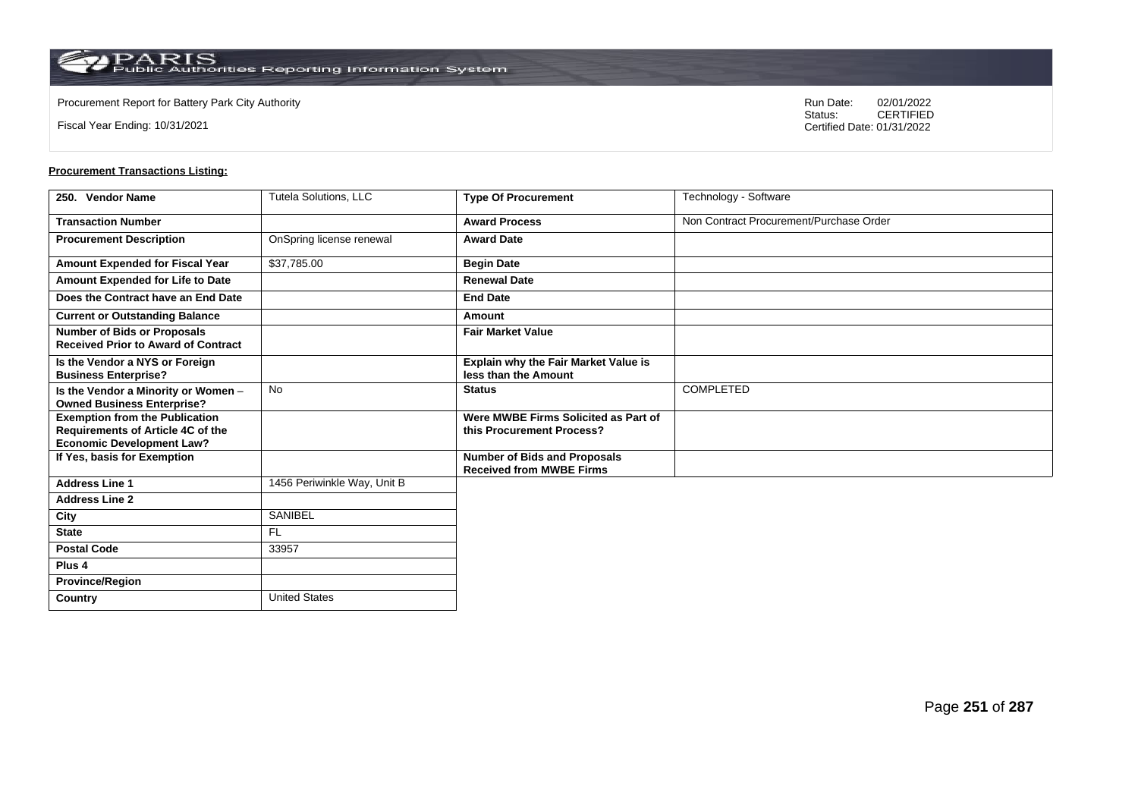**Country** United States

Fiscal Year Ending: 10/31/2021

Procurement Report for Battery Park City Authority **National State Concrete Concrete Concrete Concrete Concrete Concrete Concrete Concrete Concrete Concrete Concrete Concrete Concrete Concrete Concrete Concrete Concrete Co** CERTIFIED Certified Date: 01/31/2022

| 250. Vendor Name                                                                                                      | <b>Tutela Solutions, LLC</b> | <b>Type Of Procurement</b>                                             | Technology - Software                   |
|-----------------------------------------------------------------------------------------------------------------------|------------------------------|------------------------------------------------------------------------|-----------------------------------------|
| <b>Transaction Number</b>                                                                                             |                              | <b>Award Process</b>                                                   | Non Contract Procurement/Purchase Order |
| <b>Procurement Description</b>                                                                                        | OnSpring license renewal     | <b>Award Date</b>                                                      |                                         |
| Amount Expended for Fiscal Year                                                                                       | \$37,785.00                  | <b>Begin Date</b>                                                      |                                         |
| Amount Expended for Life to Date                                                                                      |                              | <b>Renewal Date</b>                                                    |                                         |
| Does the Contract have an End Date                                                                                    |                              | <b>End Date</b>                                                        |                                         |
| <b>Current or Outstanding Balance</b>                                                                                 |                              | Amount                                                                 |                                         |
| <b>Number of Bids or Proposals</b><br><b>Received Prior to Award of Contract</b>                                      |                              | <b>Fair Market Value</b>                                               |                                         |
| Is the Vendor a NYS or Foreign<br><b>Business Enterprise?</b>                                                         |                              | Explain why the Fair Market Value is<br>less than the Amount           |                                         |
| Is the Vendor a Minority or Women -<br><b>Owned Business Enterprise?</b>                                              | <b>No</b>                    | <b>Status</b>                                                          | <b>COMPLETED</b>                        |
| <b>Exemption from the Publication</b><br><b>Requirements of Article 4C of the</b><br><b>Economic Development Law?</b> |                              | Were MWBE Firms Solicited as Part of<br>this Procurement Process?      |                                         |
| If Yes, basis for Exemption                                                                                           |                              | <b>Number of Bids and Proposals</b><br><b>Received from MWBE Firms</b> |                                         |
| <b>Address Line 1</b>                                                                                                 | 1456 Periwinkle Way, Unit B  |                                                                        |                                         |
| <b>Address Line 2</b>                                                                                                 |                              |                                                                        |                                         |
| City                                                                                                                  | <b>SANIBEL</b>               |                                                                        |                                         |
| <b>State</b>                                                                                                          | <b>FL</b>                    |                                                                        |                                         |
| <b>Postal Code</b>                                                                                                    | 33957                        |                                                                        |                                         |
| Plus <sub>4</sub>                                                                                                     |                              |                                                                        |                                         |
| <b>Province/Region</b>                                                                                                |                              |                                                                        |                                         |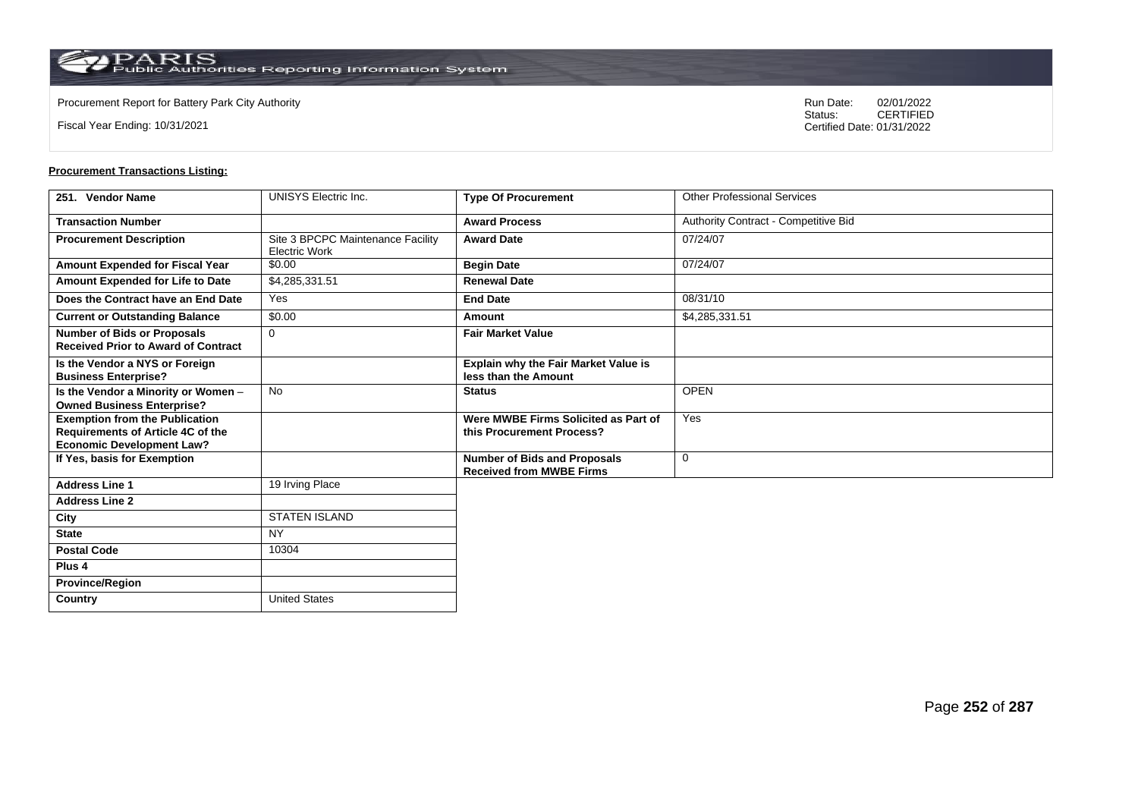**Country** United States

Fiscal Year Ending: 10/31/2021

Procurement Report for Battery Park City Authority **National State Concrete Concrete Concrete Concrete Concrete Concrete Concrete Concrete Concrete Concrete Concrete Concrete Concrete Concrete Concrete Concrete Concrete Co** CERTIFIED Certified Date: 01/31/2022

| 251. Vendor Name                                                                                               | <b>UNISYS Electric Inc.</b>                               | <b>Type Of Procurement</b>                                             | <b>Other Professional Services</b>   |
|----------------------------------------------------------------------------------------------------------------|-----------------------------------------------------------|------------------------------------------------------------------------|--------------------------------------|
| <b>Transaction Number</b>                                                                                      |                                                           | <b>Award Process</b>                                                   | Authority Contract - Competitive Bid |
| <b>Procurement Description</b>                                                                                 | Site 3 BPCPC Maintenance Facility<br><b>Electric Work</b> | <b>Award Date</b>                                                      | 07/24/07                             |
| Amount Expended for Fiscal Year                                                                                | \$0.00                                                    | <b>Begin Date</b>                                                      | 07/24/07                             |
| Amount Expended for Life to Date                                                                               | \$4,285,331.51                                            | <b>Renewal Date</b>                                                    |                                      |
| Does the Contract have an End Date                                                                             | Yes                                                       | <b>End Date</b>                                                        | 08/31/10                             |
| <b>Current or Outstanding Balance</b>                                                                          | \$0.00                                                    | Amount                                                                 | \$4,285,331.51                       |
| <b>Number of Bids or Proposals</b><br><b>Received Prior to Award of Contract</b>                               | $\mathbf 0$                                               | <b>Fair Market Value</b>                                               |                                      |
| Is the Vendor a NYS or Foreign<br><b>Business Enterprise?</b>                                                  |                                                           | Explain why the Fair Market Value is<br>less than the Amount           |                                      |
| Is the Vendor a Minority or Women -<br><b>Owned Business Enterprise?</b>                                       | <b>No</b>                                                 | <b>Status</b>                                                          | <b>OPEN</b>                          |
| <b>Exemption from the Publication</b><br>Requirements of Article 4C of the<br><b>Economic Development Law?</b> |                                                           | Were MWBE Firms Solicited as Part of<br>this Procurement Process?      | Yes                                  |
| If Yes, basis for Exemption                                                                                    |                                                           | <b>Number of Bids and Proposals</b><br><b>Received from MWBE Firms</b> | $\mathbf 0$                          |
| <b>Address Line 1</b>                                                                                          | 19 Irving Place                                           |                                                                        |                                      |
| <b>Address Line 2</b>                                                                                          |                                                           |                                                                        |                                      |
| City                                                                                                           | <b>STATEN ISLAND</b>                                      |                                                                        |                                      |
| <b>State</b>                                                                                                   | <b>NY</b>                                                 |                                                                        |                                      |
| <b>Postal Code</b>                                                                                             | 10304                                                     |                                                                        |                                      |
| Plus <sub>4</sub>                                                                                              |                                                           |                                                                        |                                      |
| <b>Province/Region</b>                                                                                         |                                                           |                                                                        |                                      |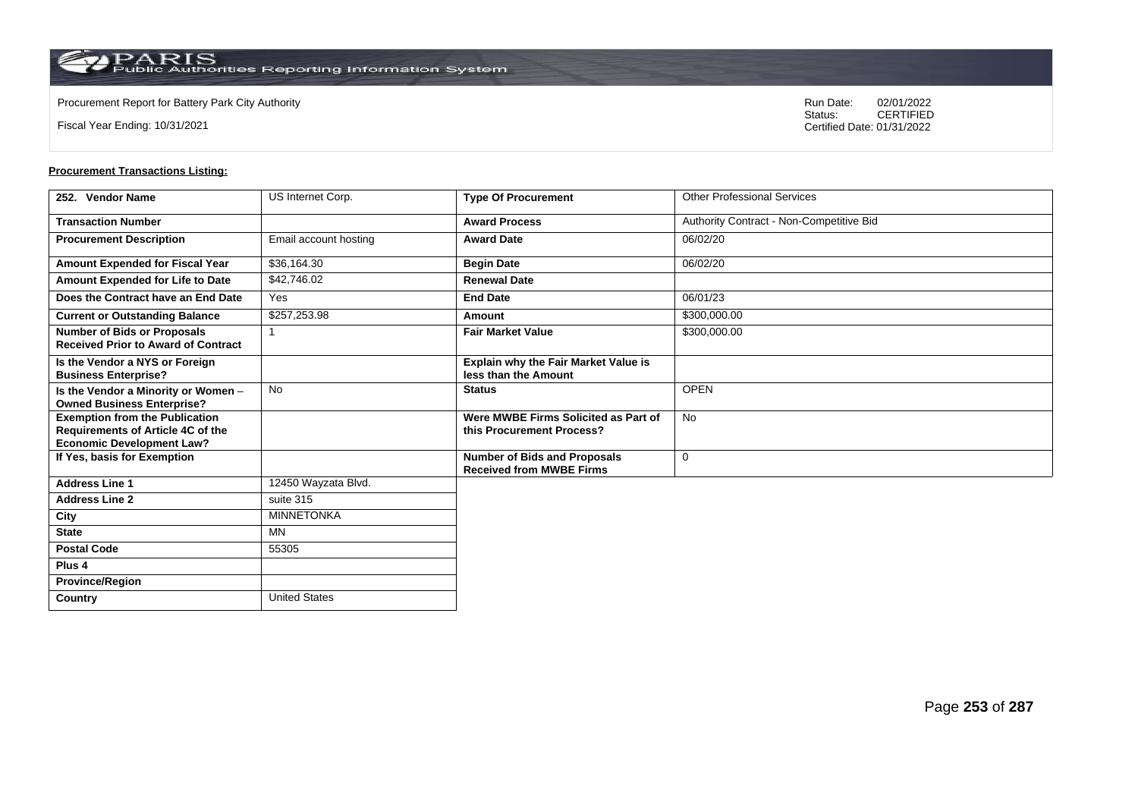**Country** United States

Fiscal Year Ending: 10/31/2021

Procurement Report for Battery Park City Authority **National State Concrete Concrete Concrete Concrete Concrete Concrete Concrete Concrete Concrete Concrete Concrete Concrete Concrete Concrete Concrete Concrete Concrete Co** CERTIFIED Certified Date: 01/31/2022

| 252. Vendor Name                                                                                               | US Internet Corp.     | <b>Type Of Procurement</b>                                             | <b>Other Professional Services</b>       |
|----------------------------------------------------------------------------------------------------------------|-----------------------|------------------------------------------------------------------------|------------------------------------------|
| <b>Transaction Number</b>                                                                                      |                       | <b>Award Process</b>                                                   | Authority Contract - Non-Competitive Bid |
| <b>Procurement Description</b>                                                                                 | Email account hosting | <b>Award Date</b>                                                      | 06/02/20                                 |
| Amount Expended for Fiscal Year                                                                                | \$36,164.30           | <b>Begin Date</b>                                                      | 06/02/20                                 |
| Amount Expended for Life to Date                                                                               | \$42,746.02           | <b>Renewal Date</b>                                                    |                                          |
| Does the Contract have an End Date                                                                             | Yes                   | <b>End Date</b>                                                        | 06/01/23                                 |
| <b>Current or Outstanding Balance</b>                                                                          | \$257,253.98          | Amount                                                                 | \$300,000.00                             |
| <b>Number of Bids or Proposals</b><br><b>Received Prior to Award of Contract</b>                               |                       | <b>Fair Market Value</b>                                               | \$300,000.00                             |
| Is the Vendor a NYS or Foreign<br><b>Business Enterprise?</b>                                                  |                       | <b>Explain why the Fair Market Value is</b><br>less than the Amount    |                                          |
| Is the Vendor a Minority or Women -<br><b>Owned Business Enterprise?</b>                                       | No                    | <b>Status</b>                                                          | <b>OPEN</b>                              |
| <b>Exemption from the Publication</b><br>Requirements of Article 4C of the<br><b>Economic Development Law?</b> |                       | Were MWBE Firms Solicited as Part of<br>this Procurement Process?      | No                                       |
| If Yes, basis for Exemption                                                                                    |                       | <b>Number of Bids and Proposals</b><br><b>Received from MWBE Firms</b> | 0                                        |
| <b>Address Line 1</b>                                                                                          | 12450 Wayzata Blvd.   |                                                                        |                                          |
| <b>Address Line 2</b>                                                                                          | suite 315             |                                                                        |                                          |
| City                                                                                                           | <b>MINNETONKA</b>     |                                                                        |                                          |
| <b>State</b>                                                                                                   | MN                    |                                                                        |                                          |
| <b>Postal Code</b>                                                                                             | 55305                 |                                                                        |                                          |
| Plus <sub>4</sub>                                                                                              |                       |                                                                        |                                          |
| <b>Province/Region</b>                                                                                         |                       |                                                                        |                                          |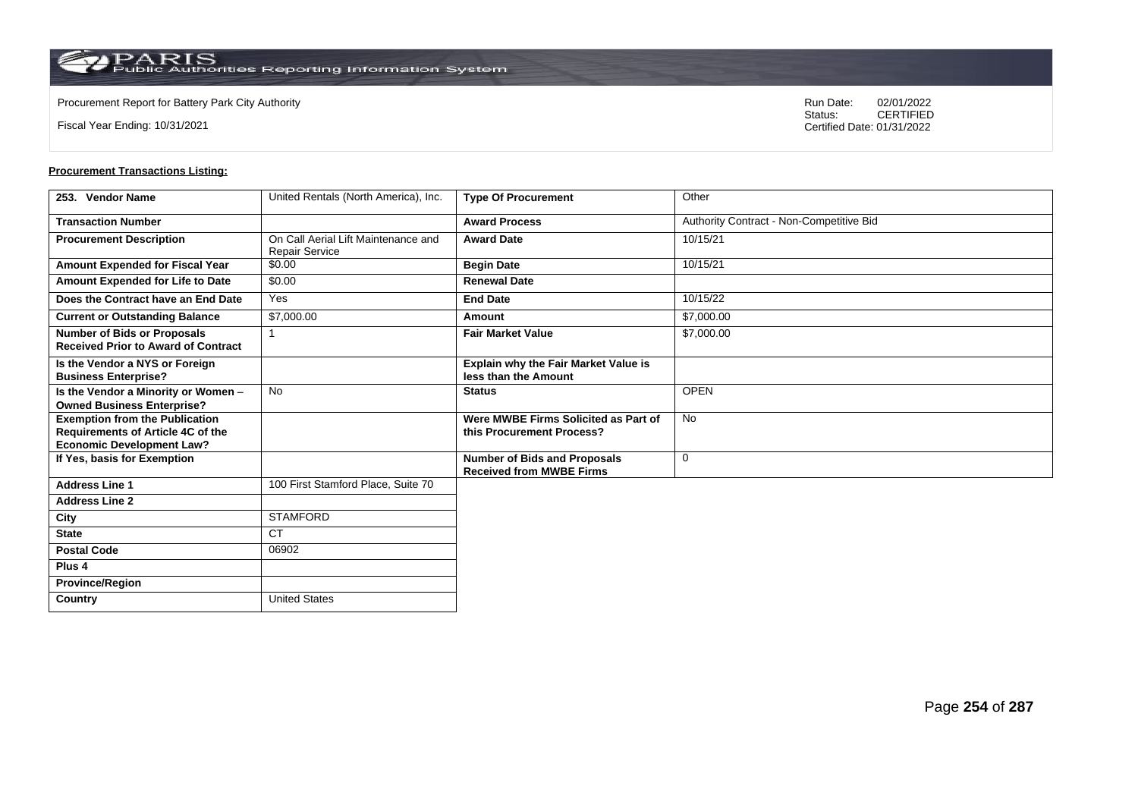**Country** United States

Fiscal Year Ending: 10/31/2021

Procurement Report for Battery Park City Authority **National State Concrete Concrete Concrete Concrete Concrete Concrete Concrete Concrete Concrete Concrete Concrete Concrete Concrete Concrete Concrete Concrete Concrete Co** CERTIFIED Certified Date: 01/31/2022

| 253. Vendor Name                                                                                               | United Rentals (North America), Inc.                  | <b>Type Of Procurement</b>                                             | Other                                    |
|----------------------------------------------------------------------------------------------------------------|-------------------------------------------------------|------------------------------------------------------------------------|------------------------------------------|
| <b>Transaction Number</b>                                                                                      |                                                       | <b>Award Process</b>                                                   | Authority Contract - Non-Competitive Bid |
| <b>Procurement Description</b>                                                                                 | On Call Aerial Lift Maintenance and<br>Repair Service | <b>Award Date</b>                                                      | 10/15/21                                 |
| Amount Expended for Fiscal Year                                                                                | \$0.00                                                | <b>Begin Date</b>                                                      | 10/15/21                                 |
| <b>Amount Expended for Life to Date</b>                                                                        | \$0.00                                                | <b>Renewal Date</b>                                                    |                                          |
| Does the Contract have an End Date                                                                             | Yes                                                   | <b>End Date</b>                                                        | 10/15/22                                 |
| <b>Current or Outstanding Balance</b>                                                                          | \$7,000.00                                            | Amount                                                                 | \$7,000.00                               |
| <b>Number of Bids or Proposals</b><br><b>Received Prior to Award of Contract</b>                               |                                                       | <b>Fair Market Value</b>                                               | \$7,000.00                               |
| Is the Vendor a NYS or Foreign<br><b>Business Enterprise?</b>                                                  |                                                       | Explain why the Fair Market Value is<br>less than the Amount           |                                          |
| Is the Vendor a Minority or Women -<br><b>Owned Business Enterprise?</b>                                       | <b>No</b>                                             | <b>Status</b>                                                          | <b>OPEN</b>                              |
| <b>Exemption from the Publication</b><br>Requirements of Article 4C of the<br><b>Economic Development Law?</b> |                                                       | Were MWBE Firms Solicited as Part of<br>this Procurement Process?      | <b>No</b>                                |
| If Yes, basis for Exemption                                                                                    |                                                       | <b>Number of Bids and Proposals</b><br><b>Received from MWBE Firms</b> | $\mathbf 0$                              |
| <b>Address Line 1</b>                                                                                          | 100 First Stamford Place, Suite 70                    |                                                                        |                                          |
| <b>Address Line 2</b>                                                                                          |                                                       |                                                                        |                                          |
| City                                                                                                           | <b>STAMFORD</b>                                       |                                                                        |                                          |
| <b>State</b>                                                                                                   | <b>CT</b>                                             |                                                                        |                                          |
| <b>Postal Code</b>                                                                                             | 06902                                                 |                                                                        |                                          |
| Plus <sub>4</sub>                                                                                              |                                                       |                                                                        |                                          |
| <b>Province/Region</b>                                                                                         |                                                       |                                                                        |                                          |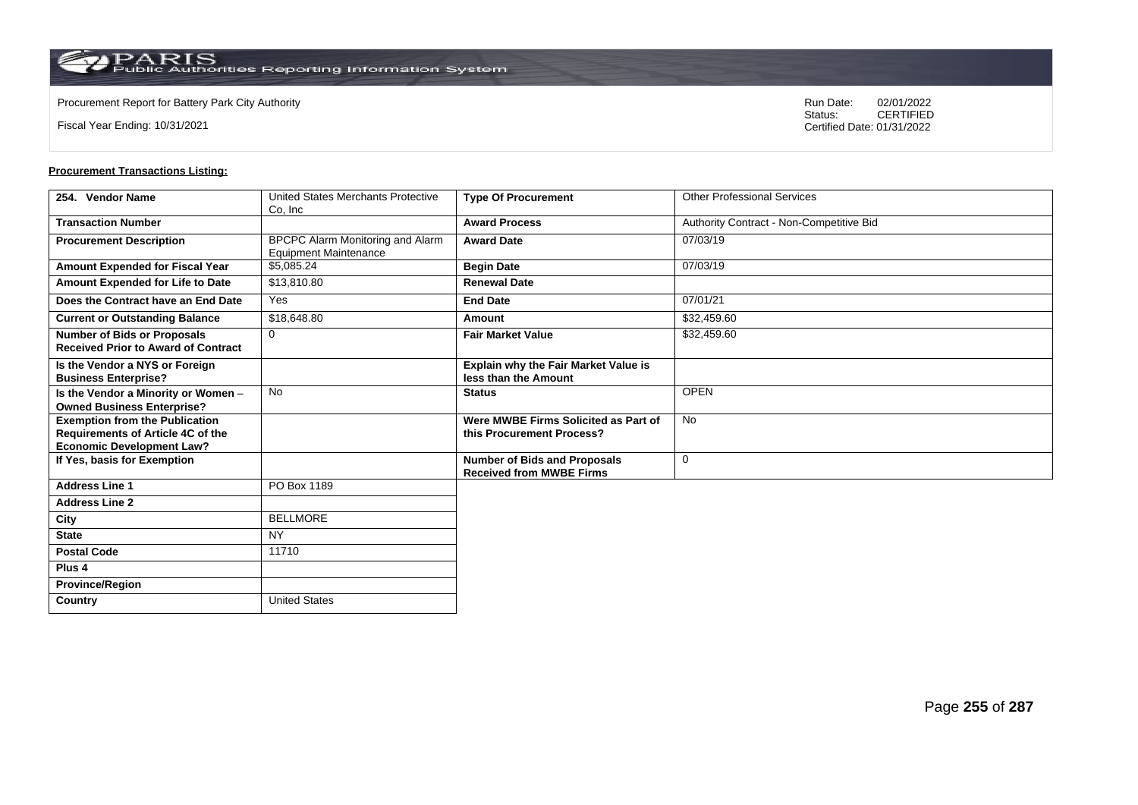$\operatorname{PARIS}_{\text{Public Authorities Reporting Information System}}$ 

Fiscal Year Ending: 10/31/2021

Procurement Report for Battery Park City Authority **National State Concrete Concrete Concrete Concrete Concrete Concrete Concrete Concrete Concrete Concrete Concrete Concrete Concrete Concrete Concrete Concrete Concrete Co** CERTIFIED Certified Date: 01/31/2022

| 254. Vendor Name                                                                                               | United States Merchants Protective<br>Co, Inc                    | <b>Type Of Procurement</b>                                             | <b>Other Professional Services</b>       |
|----------------------------------------------------------------------------------------------------------------|------------------------------------------------------------------|------------------------------------------------------------------------|------------------------------------------|
| <b>Transaction Number</b>                                                                                      |                                                                  | <b>Award Process</b>                                                   | Authority Contract - Non-Competitive Bid |
| <b>Procurement Description</b>                                                                                 | BPCPC Alarm Monitoring and Alarm<br><b>Equipment Maintenance</b> | <b>Award Date</b>                                                      | 07/03/19                                 |
| Amount Expended for Fiscal Year                                                                                | \$5,085.24                                                       | <b>Begin Date</b>                                                      | 07/03/19                                 |
| Amount Expended for Life to Date                                                                               | \$13,810.80                                                      | <b>Renewal Date</b>                                                    |                                          |
| Does the Contract have an End Date                                                                             | Yes                                                              | <b>End Date</b>                                                        | 07/01/21                                 |
| <b>Current or Outstanding Balance</b>                                                                          | \$18,648.80                                                      | Amount                                                                 | \$32,459.60                              |
| <b>Number of Bids or Proposals</b><br><b>Received Prior to Award of Contract</b>                               | $\mathbf 0$                                                      | <b>Fair Market Value</b>                                               | \$32,459.60                              |
| Is the Vendor a NYS or Foreign<br><b>Business Enterprise?</b>                                                  |                                                                  | Explain why the Fair Market Value is<br>less than the Amount           |                                          |
| Is the Vendor a Minority or Women -<br><b>Owned Business Enterprise?</b>                                       | No                                                               | <b>Status</b>                                                          | <b>OPEN</b>                              |
| <b>Exemption from the Publication</b><br>Requirements of Article 4C of the<br><b>Economic Development Law?</b> |                                                                  | Were MWBE Firms Solicited as Part of<br>this Procurement Process?      | <b>No</b>                                |
| If Yes, basis for Exemption                                                                                    |                                                                  | <b>Number of Bids and Proposals</b><br><b>Received from MWBE Firms</b> | $\mathbf 0$                              |
| <b>Address Line 1</b>                                                                                          | PO Box 1189                                                      |                                                                        |                                          |
| <b>Address Line 2</b>                                                                                          |                                                                  |                                                                        |                                          |
| City                                                                                                           | <b>BELLMORE</b>                                                  |                                                                        |                                          |
| <b>State</b>                                                                                                   | <b>NY</b>                                                        |                                                                        |                                          |
| <b>Postal Code</b>                                                                                             | 11710                                                            |                                                                        |                                          |
| Plus <sub>4</sub>                                                                                              |                                                                  |                                                                        |                                          |
| <b>Province/Region</b>                                                                                         |                                                                  |                                                                        |                                          |
| Country                                                                                                        | <b>United States</b>                                             |                                                                        |                                          |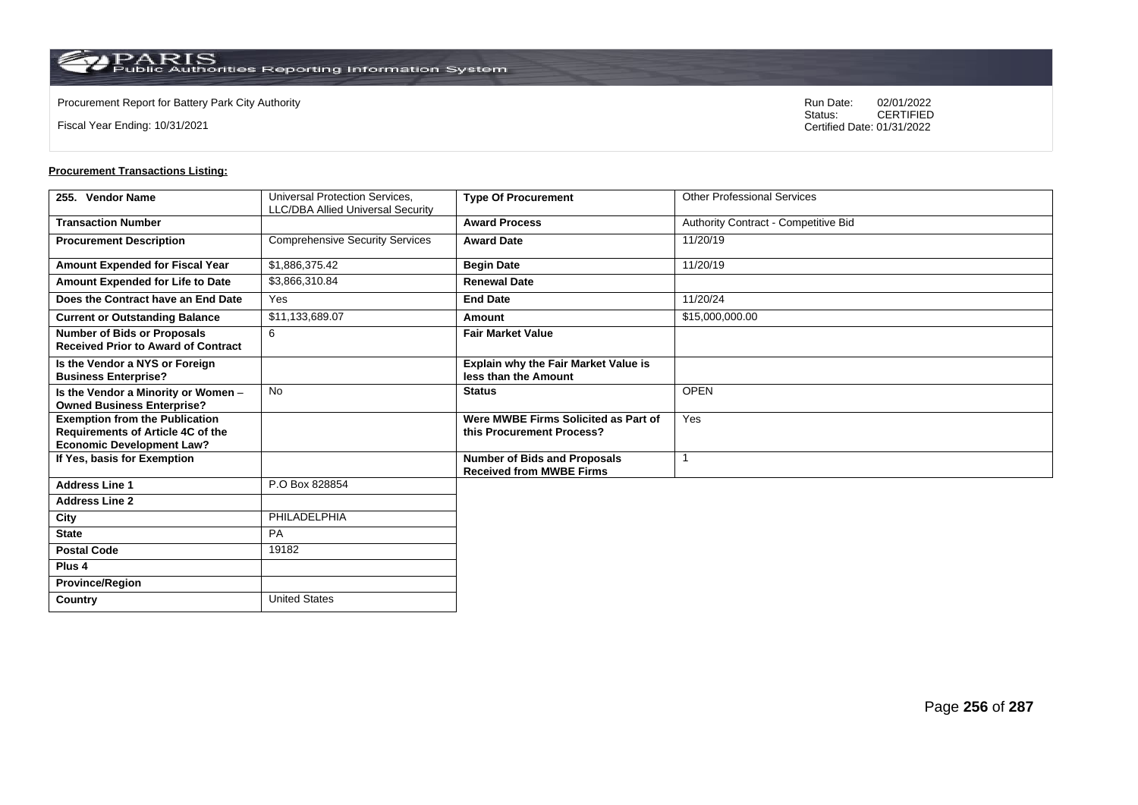$\operatorname{PARIS}_{\text{Public Authorities}\,\text{Reporting}\,\text{Information System}}$ 

**Country** United States

Fiscal Year Ending: 10/31/2021

Procurement Report for Battery Park City Authority **National State Concrete Concrete Concrete Concrete Concrete Concrete Concrete Concrete Concrete Concrete Concrete Concrete Concrete Concrete Concrete Concrete Concrete Co** CERTIFIED Certified Date: 01/31/2022

| 255. Vendor Name                                                                                               | Universal Protection Services.           | <b>Type Of Procurement</b>                                             | <b>Other Professional Services</b>   |
|----------------------------------------------------------------------------------------------------------------|------------------------------------------|------------------------------------------------------------------------|--------------------------------------|
|                                                                                                                | <b>LLC/DBA Allied Universal Security</b> |                                                                        |                                      |
| <b>Transaction Number</b>                                                                                      |                                          | <b>Award Process</b>                                                   | Authority Contract - Competitive Bid |
| <b>Procurement Description</b>                                                                                 | <b>Comprehensive Security Services</b>   | <b>Award Date</b>                                                      | 11/20/19                             |
| <b>Amount Expended for Fiscal Year</b>                                                                         | \$1,886,375.42                           | <b>Begin Date</b>                                                      | 11/20/19                             |
| Amount Expended for Life to Date                                                                               | \$3,866,310.84                           | <b>Renewal Date</b>                                                    |                                      |
| Does the Contract have an End Date                                                                             | Yes                                      | <b>End Date</b>                                                        | 11/20/24                             |
| <b>Current or Outstanding Balance</b>                                                                          | \$11,133,689.07                          | Amount                                                                 | \$15,000,000.00                      |
| <b>Number of Bids or Proposals</b><br><b>Received Prior to Award of Contract</b>                               | 6                                        | <b>Fair Market Value</b>                                               |                                      |
| Is the Vendor a NYS or Foreign<br><b>Business Enterprise?</b>                                                  |                                          | Explain why the Fair Market Value is<br>less than the Amount           |                                      |
| Is the Vendor a Minority or Women -<br><b>Owned Business Enterprise?</b>                                       | <b>No</b>                                | <b>Status</b>                                                          | <b>OPEN</b>                          |
| <b>Exemption from the Publication</b><br>Requirements of Article 4C of the<br><b>Economic Development Law?</b> |                                          | Were MWBE Firms Solicited as Part of<br>this Procurement Process?      | Yes                                  |
| If Yes, basis for Exemption                                                                                    |                                          | <b>Number of Bids and Proposals</b><br><b>Received from MWBE Firms</b> |                                      |
| <b>Address Line 1</b>                                                                                          | P.O Box 828854                           |                                                                        |                                      |
| <b>Address Line 2</b>                                                                                          |                                          |                                                                        |                                      |
| City                                                                                                           | PHILADELPHIA                             |                                                                        |                                      |
| <b>State</b>                                                                                                   | <b>PA</b>                                |                                                                        |                                      |
| <b>Postal Code</b>                                                                                             | 19182                                    |                                                                        |                                      |
| Plus <sub>4</sub>                                                                                              |                                          |                                                                        |                                      |
| <b>Province/Region</b>                                                                                         |                                          |                                                                        |                                      |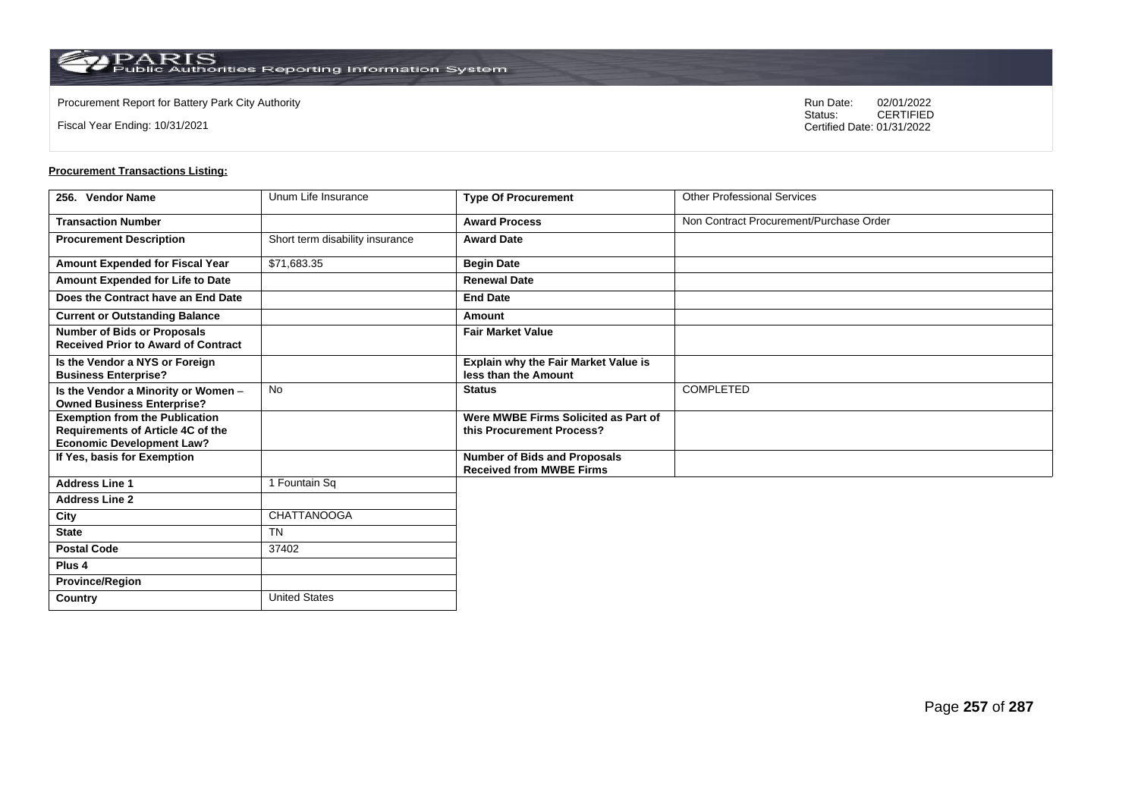$\operatorname{PARIS}_{\text{Public Authorities}\,\text{Reporting}\,\text{Information System}}$ 

**Country** United States

Fiscal Year Ending: 10/31/2021

Procurement Report for Battery Park City Authority **National State Concrete Concrete Concrete Concrete Concrete Concrete Concrete Concrete Concrete Concrete Concrete Concrete Concrete Concrete Concrete Concrete Concrete Co** CERTIFIED Certified Date: 01/31/2022

| 256. Vendor Name                                                                                                      | Unum Life Insurance             | <b>Type Of Procurement</b>                                             | <b>Other Professional Services</b>      |
|-----------------------------------------------------------------------------------------------------------------------|---------------------------------|------------------------------------------------------------------------|-----------------------------------------|
| <b>Transaction Number</b>                                                                                             |                                 | <b>Award Process</b>                                                   | Non Contract Procurement/Purchase Order |
| <b>Procurement Description</b>                                                                                        | Short term disability insurance | <b>Award Date</b>                                                      |                                         |
| Amount Expended for Fiscal Year                                                                                       | \$71,683.35                     | <b>Begin Date</b>                                                      |                                         |
| Amount Expended for Life to Date                                                                                      |                                 | <b>Renewal Date</b>                                                    |                                         |
| Does the Contract have an End Date                                                                                    |                                 | <b>End Date</b>                                                        |                                         |
| <b>Current or Outstanding Balance</b>                                                                                 |                                 | Amount                                                                 |                                         |
| <b>Number of Bids or Proposals</b><br><b>Received Prior to Award of Contract</b>                                      |                                 | <b>Fair Market Value</b>                                               |                                         |
| Is the Vendor a NYS or Foreign<br><b>Business Enterprise?</b>                                                         |                                 | Explain why the Fair Market Value is<br>less than the Amount           |                                         |
| Is the Vendor a Minority or Women -<br><b>Owned Business Enterprise?</b>                                              | <b>No</b>                       | <b>Status</b>                                                          | COMPLETED                               |
| <b>Exemption from the Publication</b><br><b>Requirements of Article 4C of the</b><br><b>Economic Development Law?</b> |                                 | Were MWBE Firms Solicited as Part of<br>this Procurement Process?      |                                         |
| If Yes, basis for Exemption                                                                                           |                                 | <b>Number of Bids and Proposals</b><br><b>Received from MWBE Firms</b> |                                         |
| <b>Address Line 1</b>                                                                                                 | 1 Fountain Sq                   |                                                                        |                                         |
| <b>Address Line 2</b>                                                                                                 |                                 |                                                                        |                                         |
| City                                                                                                                  | CHATTANOOGA                     |                                                                        |                                         |
| <b>State</b>                                                                                                          | <b>TN</b>                       |                                                                        |                                         |
| <b>Postal Code</b>                                                                                                    | 37402                           |                                                                        |                                         |
| Plus <sub>4</sub>                                                                                                     |                                 |                                                                        |                                         |
| <b>Province/Region</b>                                                                                                |                                 |                                                                        |                                         |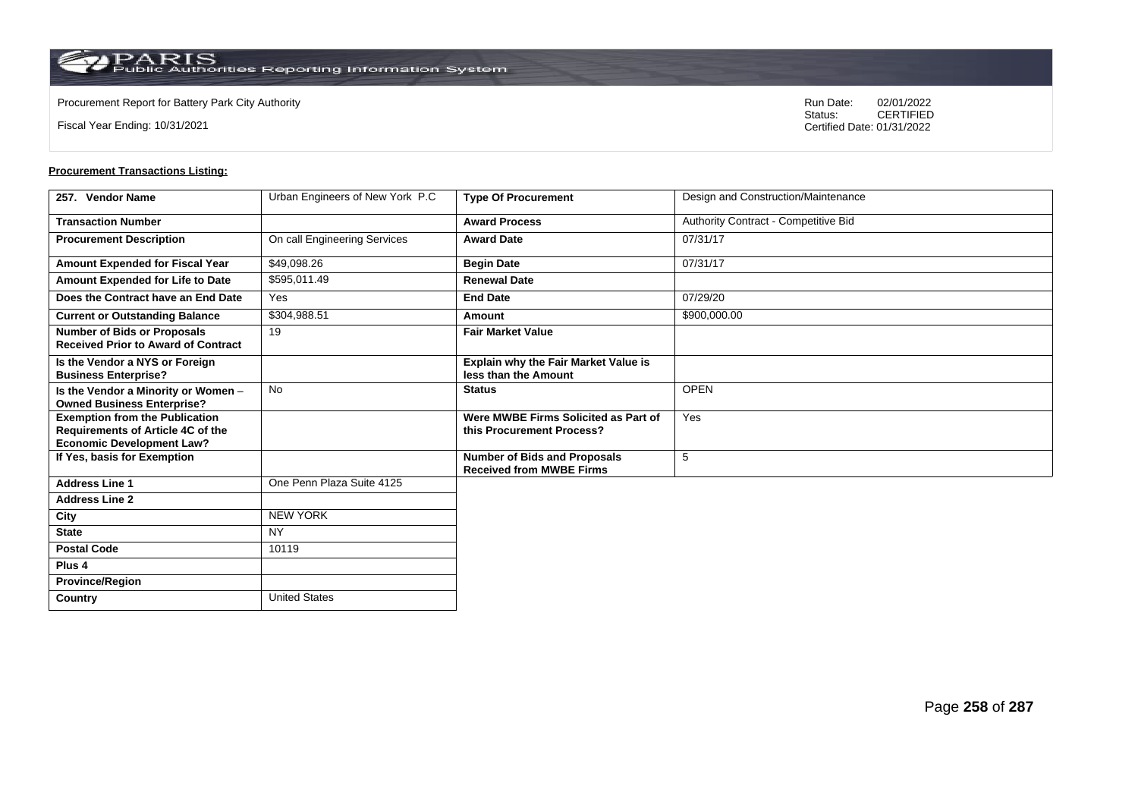**Country** United States

Fiscal Year Ending: 10/31/2021

Procurement Report for Battery Park City Authority **National State Concrete Concrete Concrete Concrete Concrete Concrete Concrete Concrete Concrete Concrete Concrete Concrete Concrete Concrete Concrete Concrete Concrete Co** CERTIFIED Certified Date: 01/31/2022

| 257. Vendor Name                                                                                               | Urban Engineers of New York P.C | <b>Type Of Procurement</b>                                             | Design and Construction/Maintenance  |
|----------------------------------------------------------------------------------------------------------------|---------------------------------|------------------------------------------------------------------------|--------------------------------------|
| <b>Transaction Number</b>                                                                                      |                                 | <b>Award Process</b>                                                   | Authority Contract - Competitive Bid |
| <b>Procurement Description</b>                                                                                 | On call Engineering Services    | <b>Award Date</b>                                                      | 07/31/17                             |
| Amount Expended for Fiscal Year                                                                                | \$49,098.26                     | <b>Begin Date</b>                                                      | 07/31/17                             |
| Amount Expended for Life to Date                                                                               | \$595,011.49                    | <b>Renewal Date</b>                                                    |                                      |
| Does the Contract have an End Date                                                                             | Yes                             | <b>End Date</b>                                                        | 07/29/20                             |
| <b>Current or Outstanding Balance</b>                                                                          | \$304,988.51                    | Amount                                                                 | \$900,000.00                         |
| <b>Number of Bids or Proposals</b><br><b>Received Prior to Award of Contract</b>                               | 19                              | <b>Fair Market Value</b>                                               |                                      |
| Is the Vendor a NYS or Foreign<br><b>Business Enterprise?</b>                                                  |                                 | <b>Explain why the Fair Market Value is</b><br>less than the Amount    |                                      |
| Is the Vendor a Minority or Women -<br><b>Owned Business Enterprise?</b>                                       | <b>No</b>                       | <b>Status</b>                                                          | <b>OPEN</b>                          |
| <b>Exemption from the Publication</b><br>Requirements of Article 4C of the<br><b>Economic Development Law?</b> |                                 | Were MWBE Firms Solicited as Part of<br>this Procurement Process?      | Yes                                  |
| If Yes, basis for Exemption                                                                                    |                                 | <b>Number of Bids and Proposals</b><br><b>Received from MWBE Firms</b> | 5                                    |
| <b>Address Line 1</b>                                                                                          | One Penn Plaza Suite 4125       |                                                                        |                                      |
| <b>Address Line 2</b>                                                                                          |                                 |                                                                        |                                      |
| City                                                                                                           | <b>NEW YORK</b>                 |                                                                        |                                      |
| <b>State</b>                                                                                                   | <b>NY</b>                       |                                                                        |                                      |
| <b>Postal Code</b>                                                                                             | 10119                           |                                                                        |                                      |
| Plus <sub>4</sub>                                                                                              |                                 |                                                                        |                                      |
| <b>Province/Region</b>                                                                                         |                                 |                                                                        |                                      |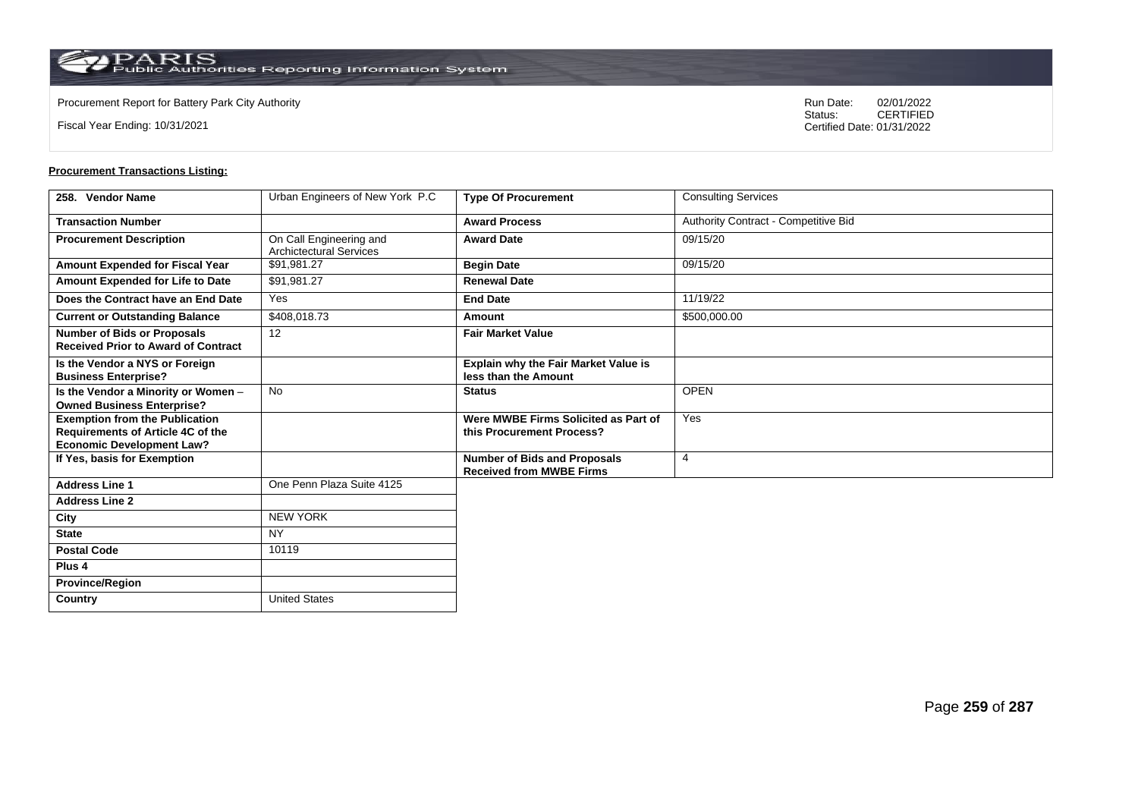**Country** United States

Fiscal Year Ending: 10/31/2021

Procurement Report for Battery Park City Authority **National State Concrete Concrete Concrete Concrete Concrete Concrete Concrete Concrete Concrete Concrete Concrete Concrete Concrete Concrete Concrete Concrete Concrete Co** CERTIFIED Certified Date: 01/31/2022

| 258. Vendor Name                                                                                               | Urban Engineers of New York P.C                           | <b>Type Of Procurement</b>                                             | <b>Consulting Services</b>           |
|----------------------------------------------------------------------------------------------------------------|-----------------------------------------------------------|------------------------------------------------------------------------|--------------------------------------|
| <b>Transaction Number</b>                                                                                      |                                                           | <b>Award Process</b>                                                   | Authority Contract - Competitive Bid |
| <b>Procurement Description</b>                                                                                 | On Call Engineering and<br><b>Archictectural Services</b> | <b>Award Date</b>                                                      | 09/15/20                             |
| Amount Expended for Fiscal Year                                                                                | \$91,981.27                                               | <b>Begin Date</b>                                                      | 09/15/20                             |
| Amount Expended for Life to Date                                                                               | \$91,981.27                                               | <b>Renewal Date</b>                                                    |                                      |
| Does the Contract have an End Date                                                                             | Yes                                                       | <b>End Date</b>                                                        | 11/19/22                             |
| <b>Current or Outstanding Balance</b>                                                                          | \$408,018.73                                              | Amount                                                                 | \$500,000.00                         |
| <b>Number of Bids or Proposals</b><br><b>Received Prior to Award of Contract</b>                               | 12                                                        | <b>Fair Market Value</b>                                               |                                      |
| Is the Vendor a NYS or Foreign<br><b>Business Enterprise?</b>                                                  |                                                           | <b>Explain why the Fair Market Value is</b><br>less than the Amount    |                                      |
| Is the Vendor a Minority or Women -<br><b>Owned Business Enterprise?</b>                                       | <b>No</b>                                                 | <b>Status</b>                                                          | <b>OPEN</b>                          |
| <b>Exemption from the Publication</b><br>Requirements of Article 4C of the<br><b>Economic Development Law?</b> |                                                           | Were MWBE Firms Solicited as Part of<br>this Procurement Process?      | Yes                                  |
| If Yes, basis for Exemption                                                                                    |                                                           | <b>Number of Bids and Proposals</b><br><b>Received from MWBE Firms</b> | $\overline{4}$                       |
| <b>Address Line 1</b>                                                                                          | One Penn Plaza Suite 4125                                 |                                                                        |                                      |
| <b>Address Line 2</b>                                                                                          |                                                           |                                                                        |                                      |
| City                                                                                                           | <b>NEW YORK</b>                                           |                                                                        |                                      |
| <b>State</b>                                                                                                   | <b>NY</b>                                                 |                                                                        |                                      |
| <b>Postal Code</b>                                                                                             | 10119                                                     |                                                                        |                                      |
| Plus <sub>4</sub>                                                                                              |                                                           |                                                                        |                                      |
| <b>Province/Region</b>                                                                                         |                                                           |                                                                        |                                      |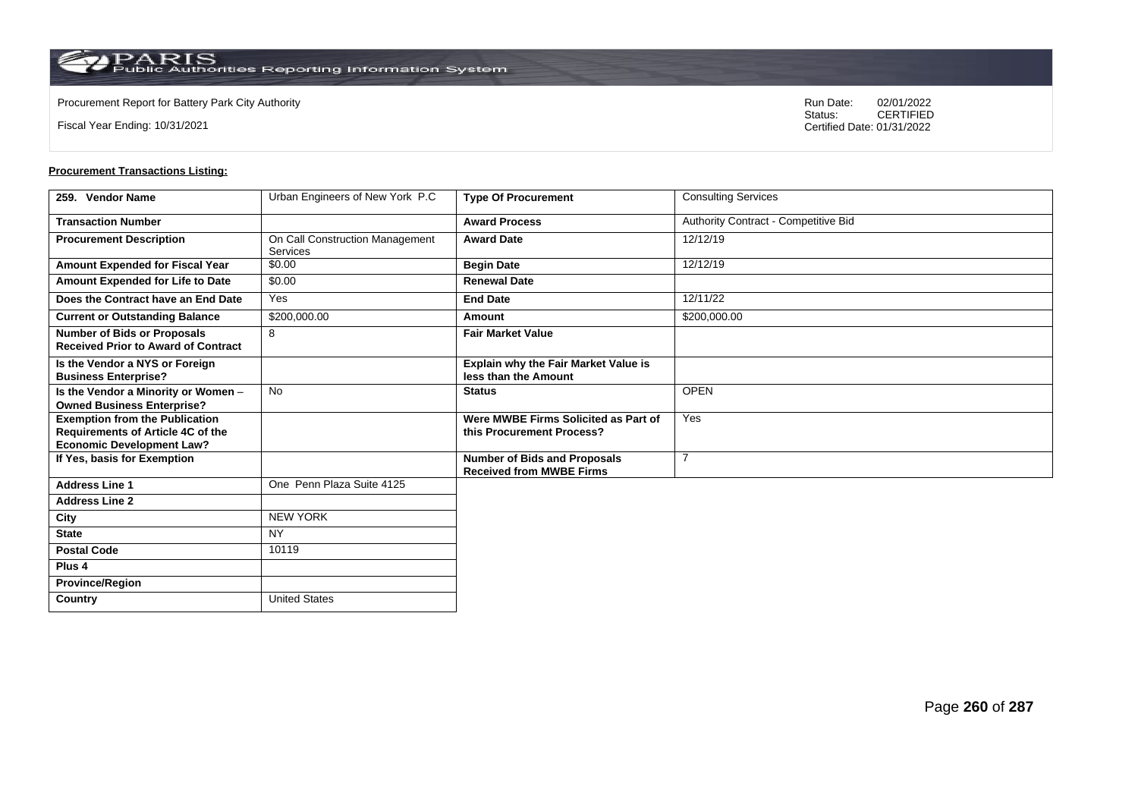**Country** United States

Fiscal Year Ending: 10/31/2021

Procurement Report for Battery Park City Authority **National State Concrete Concrete Concrete Concrete Concrete Concrete Concrete Concrete Concrete Concrete Concrete Concrete Concrete Concrete Concrete Concrete Concrete Co** CERTIFIED Certified Date: 01/31/2022

| 259. Vendor Name                                                                                                      | Urban Engineers of New York P.C                    | <b>Type Of Procurement</b>                                             | <b>Consulting Services</b>           |
|-----------------------------------------------------------------------------------------------------------------------|----------------------------------------------------|------------------------------------------------------------------------|--------------------------------------|
| <b>Transaction Number</b>                                                                                             |                                                    | <b>Award Process</b>                                                   | Authority Contract - Competitive Bid |
| <b>Procurement Description</b>                                                                                        | On Call Construction Management<br><b>Services</b> | <b>Award Date</b>                                                      | 12/12/19                             |
| Amount Expended for Fiscal Year                                                                                       | \$0.00                                             | <b>Begin Date</b>                                                      | 12/12/19                             |
| Amount Expended for Life to Date                                                                                      | \$0.00                                             | <b>Renewal Date</b>                                                    |                                      |
| Does the Contract have an End Date                                                                                    | Yes                                                | <b>End Date</b>                                                        | 12/11/22                             |
| <b>Current or Outstanding Balance</b>                                                                                 | \$200,000.00                                       | Amount                                                                 | \$200,000.00                         |
| <b>Number of Bids or Proposals</b><br><b>Received Prior to Award of Contract</b>                                      | 8                                                  | <b>Fair Market Value</b>                                               |                                      |
| Is the Vendor a NYS or Foreign<br><b>Business Enterprise?</b>                                                         |                                                    | <b>Explain why the Fair Market Value is</b><br>less than the Amount    |                                      |
| Is the Vendor a Minority or Women -<br><b>Owned Business Enterprise?</b>                                              | <b>No</b>                                          | <b>Status</b>                                                          | <b>OPEN</b>                          |
| <b>Exemption from the Publication</b><br><b>Requirements of Article 4C of the</b><br><b>Economic Development Law?</b> |                                                    | Were MWBE Firms Solicited as Part of<br>this Procurement Process?      | Yes                                  |
| If Yes, basis for Exemption                                                                                           |                                                    | <b>Number of Bids and Proposals</b><br><b>Received from MWBE Firms</b> | 7                                    |
| <b>Address Line 1</b>                                                                                                 | One Penn Plaza Suite 4125                          |                                                                        |                                      |
| <b>Address Line 2</b>                                                                                                 |                                                    |                                                                        |                                      |
| City                                                                                                                  | <b>NEW YORK</b>                                    |                                                                        |                                      |
| <b>State</b>                                                                                                          | <b>NY</b>                                          |                                                                        |                                      |
| <b>Postal Code</b>                                                                                                    | 10119                                              |                                                                        |                                      |
| Plus <sub>4</sub>                                                                                                     |                                                    |                                                                        |                                      |
| <b>Province/Region</b>                                                                                                |                                                    |                                                                        |                                      |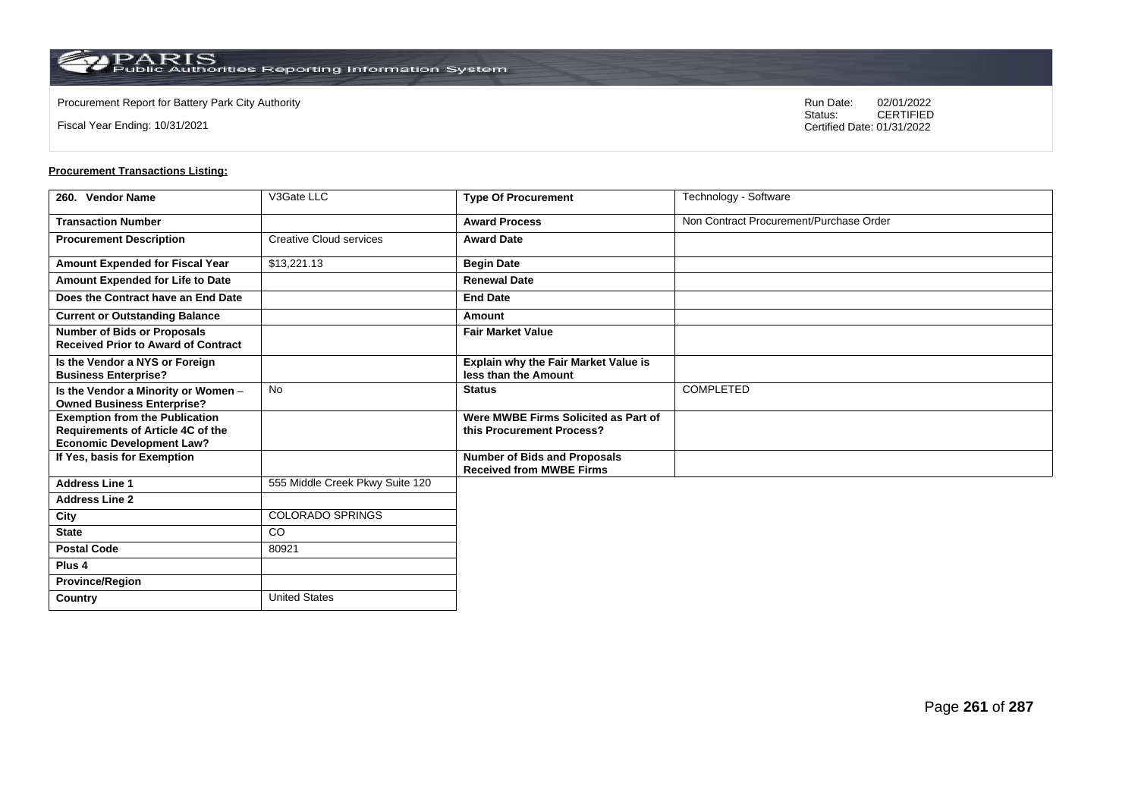**Country** United States

Fiscal Year Ending: 10/31/2021

Procurement Report for Battery Park City Authority **National State Concrete Concrete Concrete Concrete Concrete Concrete Concrete Concrete Concrete Concrete Concrete Concrete Concrete Concrete Concrete Concrete Concrete Co** CERTIFIED Certified Date: 01/31/2022

| 260. Vendor Name                                                                                               | V3Gate LLC                      | <b>Type Of Procurement</b>                                             | Technology - Software                   |
|----------------------------------------------------------------------------------------------------------------|---------------------------------|------------------------------------------------------------------------|-----------------------------------------|
| <b>Transaction Number</b>                                                                                      |                                 | <b>Award Process</b>                                                   | Non Contract Procurement/Purchase Order |
| <b>Procurement Description</b>                                                                                 | <b>Creative Cloud services</b>  | <b>Award Date</b>                                                      |                                         |
| Amount Expended for Fiscal Year                                                                                | \$13,221.13                     | <b>Begin Date</b>                                                      |                                         |
| Amount Expended for Life to Date                                                                               |                                 | <b>Renewal Date</b>                                                    |                                         |
| Does the Contract have an End Date                                                                             |                                 | <b>End Date</b>                                                        |                                         |
| <b>Current or Outstanding Balance</b>                                                                          |                                 | Amount                                                                 |                                         |
| <b>Number of Bids or Proposals</b><br><b>Received Prior to Award of Contract</b>                               |                                 | <b>Fair Market Value</b>                                               |                                         |
| Is the Vendor a NYS or Foreign<br><b>Business Enterprise?</b>                                                  |                                 | Explain why the Fair Market Value is<br>less than the Amount           |                                         |
| Is the Vendor a Minority or Women -<br><b>Owned Business Enterprise?</b>                                       | No                              | <b>Status</b>                                                          | <b>COMPLETED</b>                        |
| <b>Exemption from the Publication</b><br>Requirements of Article 4C of the<br><b>Economic Development Law?</b> |                                 | Were MWBE Firms Solicited as Part of<br>this Procurement Process?      |                                         |
| If Yes, basis for Exemption                                                                                    |                                 | <b>Number of Bids and Proposals</b><br><b>Received from MWBE Firms</b> |                                         |
| <b>Address Line 1</b>                                                                                          | 555 Middle Creek Pkwy Suite 120 |                                                                        |                                         |
| <b>Address Line 2</b>                                                                                          |                                 |                                                                        |                                         |
| City                                                                                                           | <b>COLORADO SPRINGS</b>         |                                                                        |                                         |
| <b>State</b>                                                                                                   | <b>CO</b>                       |                                                                        |                                         |
| <b>Postal Code</b>                                                                                             | 80921                           |                                                                        |                                         |
| Plus <sub>4</sub>                                                                                              |                                 |                                                                        |                                         |
| <b>Province/Region</b>                                                                                         |                                 |                                                                        |                                         |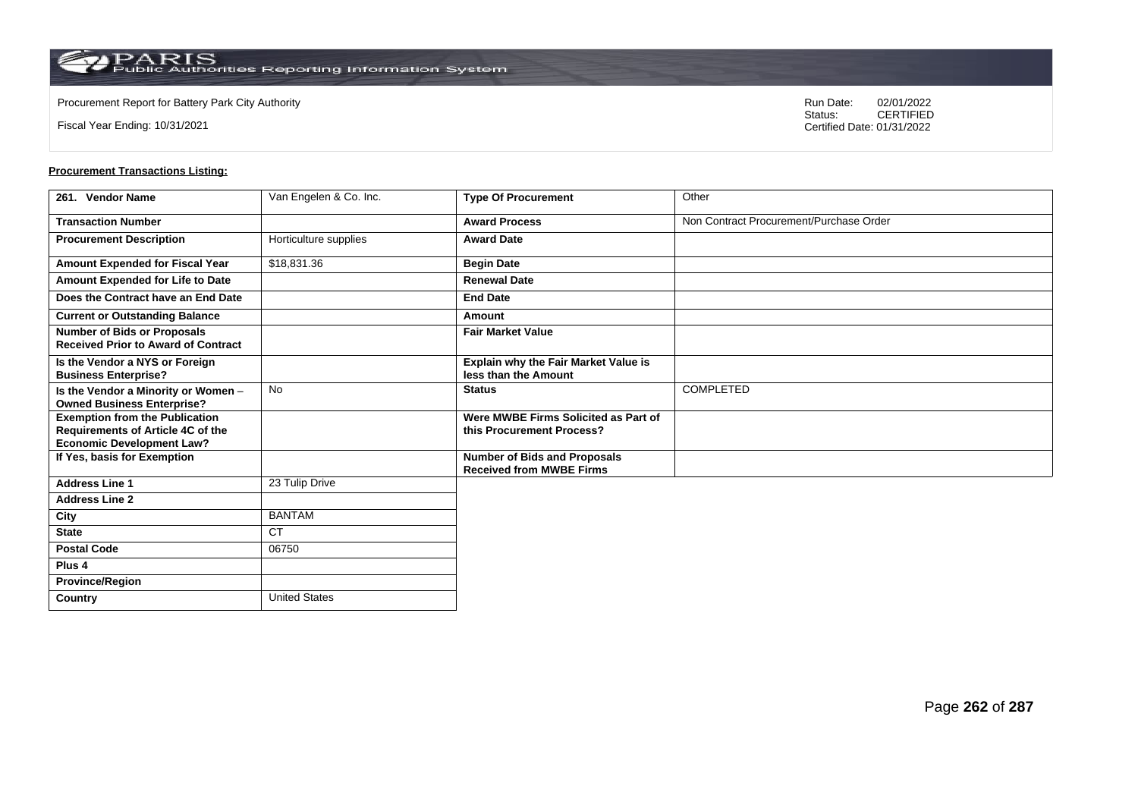**Country** United States

Fiscal Year Ending: 10/31/2021

Procurement Report for Battery Park City Authority **National State Concrete Concrete Concrete Concrete Concrete Concrete Concrete Concrete Concrete Concrete Concrete Concrete Concrete Concrete Concrete Concrete Concrete Co** CERTIFIED Certified Date: 01/31/2022

| 261. Vendor Name                                                                                                      | Van Engelen & Co. Inc. | <b>Type Of Procurement</b>                                             | Other                                   |
|-----------------------------------------------------------------------------------------------------------------------|------------------------|------------------------------------------------------------------------|-----------------------------------------|
| <b>Transaction Number</b>                                                                                             |                        | <b>Award Process</b>                                                   | Non Contract Procurement/Purchase Order |
| <b>Procurement Description</b>                                                                                        | Horticulture supplies  | <b>Award Date</b>                                                      |                                         |
| Amount Expended for Fiscal Year                                                                                       | \$18,831.36            | <b>Begin Date</b>                                                      |                                         |
| Amount Expended for Life to Date                                                                                      |                        | <b>Renewal Date</b>                                                    |                                         |
| Does the Contract have an End Date                                                                                    |                        | <b>End Date</b>                                                        |                                         |
| <b>Current or Outstanding Balance</b>                                                                                 |                        | Amount                                                                 |                                         |
| <b>Number of Bids or Proposals</b><br><b>Received Prior to Award of Contract</b>                                      |                        | <b>Fair Market Value</b>                                               |                                         |
| Is the Vendor a NYS or Foreign<br><b>Business Enterprise?</b>                                                         |                        | Explain why the Fair Market Value is<br>less than the Amount           |                                         |
| Is the Vendor a Minority or Women -<br><b>Owned Business Enterprise?</b>                                              | <b>No</b>              | <b>Status</b>                                                          | COMPLETED                               |
| <b>Exemption from the Publication</b><br><b>Requirements of Article 4C of the</b><br><b>Economic Development Law?</b> |                        | Were MWBE Firms Solicited as Part of<br>this Procurement Process?      |                                         |
| If Yes, basis for Exemption                                                                                           |                        | <b>Number of Bids and Proposals</b><br><b>Received from MWBE Firms</b> |                                         |
| <b>Address Line 1</b>                                                                                                 | 23 Tulip Drive         |                                                                        |                                         |
| <b>Address Line 2</b>                                                                                                 |                        |                                                                        |                                         |
| City                                                                                                                  | <b>BANTAM</b>          |                                                                        |                                         |
| <b>State</b>                                                                                                          | <b>CT</b>              |                                                                        |                                         |
| <b>Postal Code</b>                                                                                                    | 06750                  |                                                                        |                                         |
| Plus <sub>4</sub>                                                                                                     |                        |                                                                        |                                         |
| <b>Province/Region</b>                                                                                                |                        |                                                                        |                                         |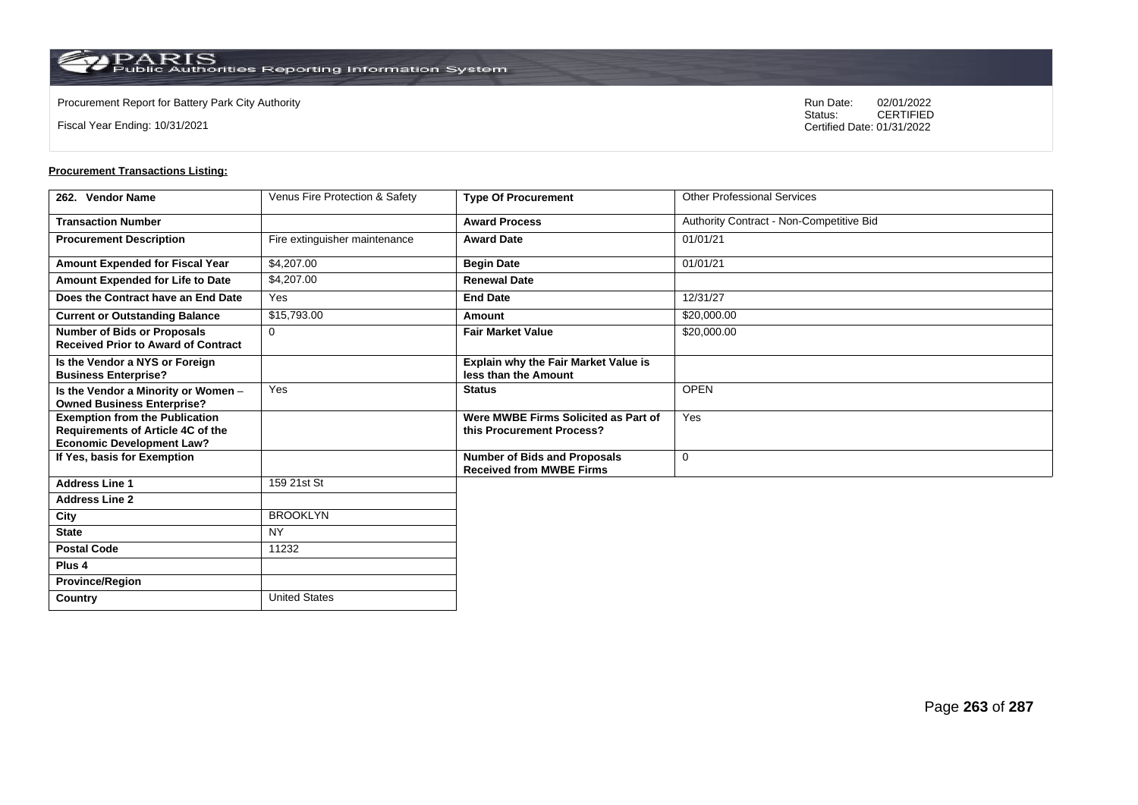**Country** United States

Fiscal Year Ending: 10/31/2021

Procurement Report for Battery Park City Authority **National State Concrete Concrete Concrete Concrete Concrete Concrete Concrete Concrete Concrete Concrete Concrete Concrete Concrete Concrete Concrete Concrete Concrete Co** CERTIFIED Certified Date: 01/31/2022

| 262. Vendor Name                                                                                               | Venus Fire Protection & Safety | <b>Type Of Procurement</b>                                             | <b>Other Professional Services</b>       |
|----------------------------------------------------------------------------------------------------------------|--------------------------------|------------------------------------------------------------------------|------------------------------------------|
| <b>Transaction Number</b>                                                                                      |                                | <b>Award Process</b>                                                   | Authority Contract - Non-Competitive Bid |
| <b>Procurement Description</b>                                                                                 | Fire extinguisher maintenance  | <b>Award Date</b>                                                      | 01/01/21                                 |
| Amount Expended for Fiscal Year                                                                                | \$4,207.00                     | <b>Begin Date</b>                                                      | 01/01/21                                 |
| Amount Expended for Life to Date                                                                               | \$4,207.00                     | <b>Renewal Date</b>                                                    |                                          |
| Does the Contract have an End Date                                                                             | Yes                            | <b>End Date</b>                                                        | 12/31/27                                 |
| <b>Current or Outstanding Balance</b>                                                                          | \$15,793.00                    | Amount                                                                 | \$20,000.00                              |
| <b>Number of Bids or Proposals</b><br><b>Received Prior to Award of Contract</b>                               | $\Omega$                       | <b>Fair Market Value</b>                                               | \$20,000.00                              |
| Is the Vendor a NYS or Foreign<br><b>Business Enterprise?</b>                                                  |                                | <b>Explain why the Fair Market Value is</b><br>less than the Amount    |                                          |
| Is the Vendor a Minority or Women -<br><b>Owned Business Enterprise?</b>                                       | Yes                            | <b>Status</b>                                                          | <b>OPEN</b>                              |
| <b>Exemption from the Publication</b><br>Requirements of Article 4C of the<br><b>Economic Development Law?</b> |                                | Were MWBE Firms Solicited as Part of<br>this Procurement Process?      | Yes                                      |
| If Yes, basis for Exemption                                                                                    |                                | <b>Number of Bids and Proposals</b><br><b>Received from MWBE Firms</b> | 0                                        |
| <b>Address Line 1</b>                                                                                          | 159 21st St                    |                                                                        |                                          |
| <b>Address Line 2</b>                                                                                          |                                |                                                                        |                                          |
| City                                                                                                           | <b>BROOKLYN</b>                |                                                                        |                                          |
| <b>State</b>                                                                                                   | <b>NY</b>                      |                                                                        |                                          |
| <b>Postal Code</b>                                                                                             | 11232                          |                                                                        |                                          |
| Plus <sub>4</sub>                                                                                              |                                |                                                                        |                                          |
| <b>Province/Region</b>                                                                                         |                                |                                                                        |                                          |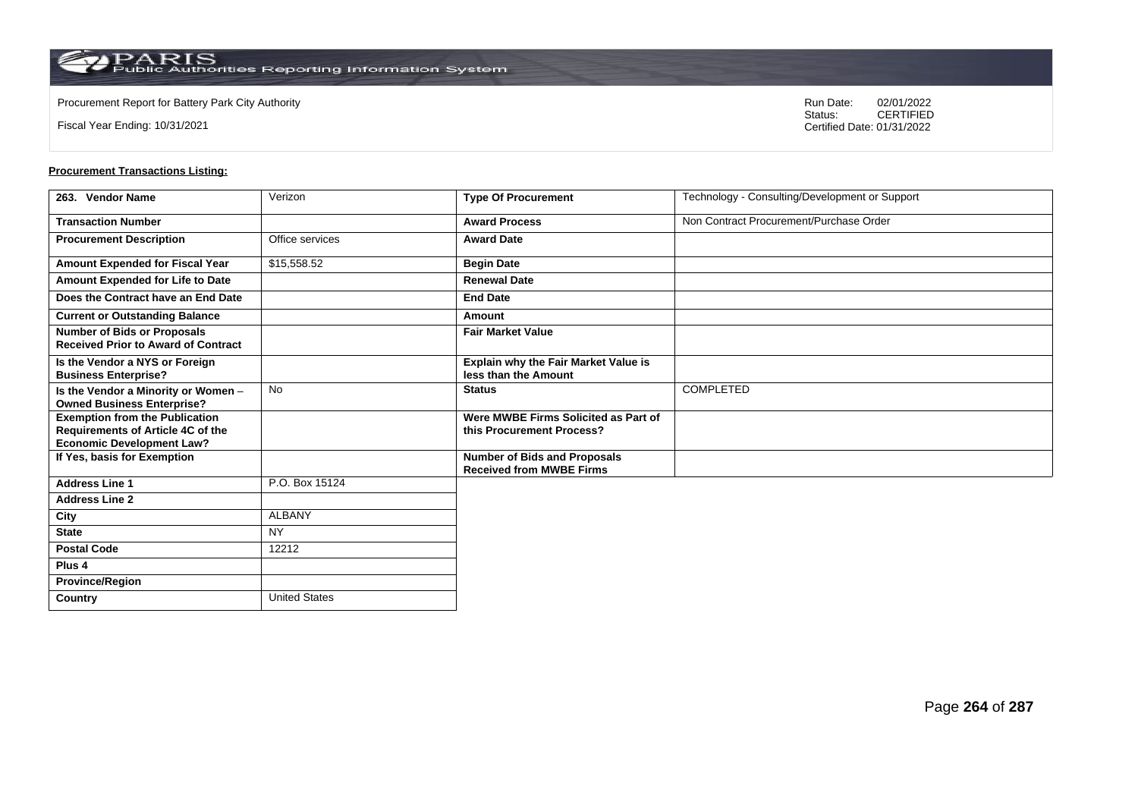**Country** United States

Fiscal Year Ending: 10/31/2021

Procurement Report for Battery Park City Authority **National State Concrete Concrete Concrete Concrete Concrete Concrete Concrete Concrete Concrete Concrete Concrete Concrete Concrete Concrete Concrete Concrete Concrete Co** CERTIFIED Certified Date: 01/31/2022

| 263. Vendor Name                                                                                                      | Verizon         | <b>Type Of Procurement</b>                                             | Technology - Consulting/Development or Support |
|-----------------------------------------------------------------------------------------------------------------------|-----------------|------------------------------------------------------------------------|------------------------------------------------|
| <b>Transaction Number</b>                                                                                             |                 | <b>Award Process</b>                                                   | Non Contract Procurement/Purchase Order        |
| <b>Procurement Description</b>                                                                                        | Office services | <b>Award Date</b>                                                      |                                                |
| <b>Amount Expended for Fiscal Year</b>                                                                                | \$15,558.52     | <b>Begin Date</b>                                                      |                                                |
| Amount Expended for Life to Date                                                                                      |                 | <b>Renewal Date</b>                                                    |                                                |
| Does the Contract have an End Date                                                                                    |                 | <b>End Date</b>                                                        |                                                |
| <b>Current or Outstanding Balance</b>                                                                                 |                 | Amount                                                                 |                                                |
| <b>Number of Bids or Proposals</b><br><b>Received Prior to Award of Contract</b>                                      |                 | <b>Fair Market Value</b>                                               |                                                |
| Is the Vendor a NYS or Foreign<br><b>Business Enterprise?</b>                                                         |                 | Explain why the Fair Market Value is<br>less than the Amount           |                                                |
| Is the Vendor a Minority or Women -<br><b>Owned Business Enterprise?</b>                                              | <b>No</b>       | <b>Status</b>                                                          | COMPLETED                                      |
| <b>Exemption from the Publication</b><br><b>Requirements of Article 4C of the</b><br><b>Economic Development Law?</b> |                 | Were MWBE Firms Solicited as Part of<br>this Procurement Process?      |                                                |
| If Yes, basis for Exemption                                                                                           |                 | <b>Number of Bids and Proposals</b><br><b>Received from MWBE Firms</b> |                                                |
| <b>Address Line 1</b>                                                                                                 | P.O. Box 15124  |                                                                        |                                                |
| <b>Address Line 2</b>                                                                                                 |                 |                                                                        |                                                |
| City                                                                                                                  | <b>ALBANY</b>   |                                                                        |                                                |
| <b>State</b>                                                                                                          | <b>NY</b>       |                                                                        |                                                |
| <b>Postal Code</b>                                                                                                    | 12212           |                                                                        |                                                |
| Plus <sub>4</sub>                                                                                                     |                 |                                                                        |                                                |
| <b>Province/Region</b>                                                                                                |                 |                                                                        |                                                |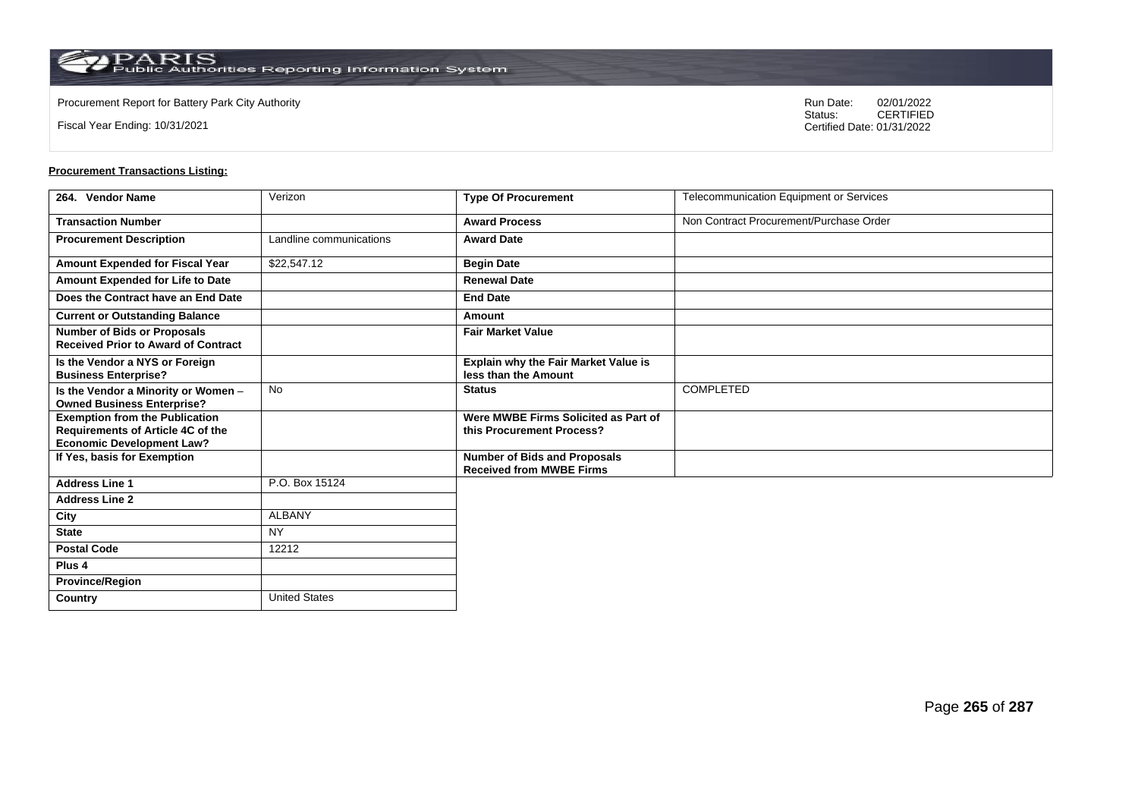**Country** United States

Fiscal Year Ending: 10/31/2021

Procurement Report for Battery Park City Authority **National State Concrete Concrete Concrete Concrete Concrete Concrete Concrete Concrete Concrete Concrete Concrete Concrete Concrete Concrete Concrete Concrete Concrete Co** CERTIFIED Certified Date: 01/31/2022

| 264. Vendor Name                                                                                               | Verizon                 | <b>Type Of Procurement</b>                                             | Telecommunication Equipment or Services |
|----------------------------------------------------------------------------------------------------------------|-------------------------|------------------------------------------------------------------------|-----------------------------------------|
| <b>Transaction Number</b>                                                                                      |                         | <b>Award Process</b>                                                   | Non Contract Procurement/Purchase Order |
| <b>Procurement Description</b>                                                                                 | Landline communications | <b>Award Date</b>                                                      |                                         |
| Amount Expended for Fiscal Year                                                                                | \$22,547.12             | <b>Begin Date</b>                                                      |                                         |
| Amount Expended for Life to Date                                                                               |                         | <b>Renewal Date</b>                                                    |                                         |
| Does the Contract have an End Date                                                                             |                         | <b>End Date</b>                                                        |                                         |
| <b>Current or Outstanding Balance</b>                                                                          |                         | Amount                                                                 |                                         |
| Number of Bids or Proposals<br><b>Received Prior to Award of Contract</b>                                      |                         | <b>Fair Market Value</b>                                               |                                         |
| Is the Vendor a NYS or Foreign<br><b>Business Enterprise?</b>                                                  |                         | Explain why the Fair Market Value is<br>less than the Amount           |                                         |
| Is the Vendor a Minority or Women -<br><b>Owned Business Enterprise?</b>                                       | No                      | <b>Status</b>                                                          | <b>COMPLETED</b>                        |
| <b>Exemption from the Publication</b><br>Requirements of Article 4C of the<br><b>Economic Development Law?</b> |                         | Were MWBE Firms Solicited as Part of<br>this Procurement Process?      |                                         |
| If Yes, basis for Exemption                                                                                    |                         | <b>Number of Bids and Proposals</b><br><b>Received from MWBE Firms</b> |                                         |
| <b>Address Line 1</b>                                                                                          | P.O. Box 15124          |                                                                        |                                         |
| <b>Address Line 2</b>                                                                                          |                         |                                                                        |                                         |
| City                                                                                                           | <b>ALBANY</b>           |                                                                        |                                         |
| <b>State</b>                                                                                                   | <b>NY</b>               |                                                                        |                                         |
| <b>Postal Code</b>                                                                                             | 12212                   |                                                                        |                                         |
| Plus <sub>4</sub>                                                                                              |                         |                                                                        |                                         |
| <b>Province/Region</b>                                                                                         |                         |                                                                        |                                         |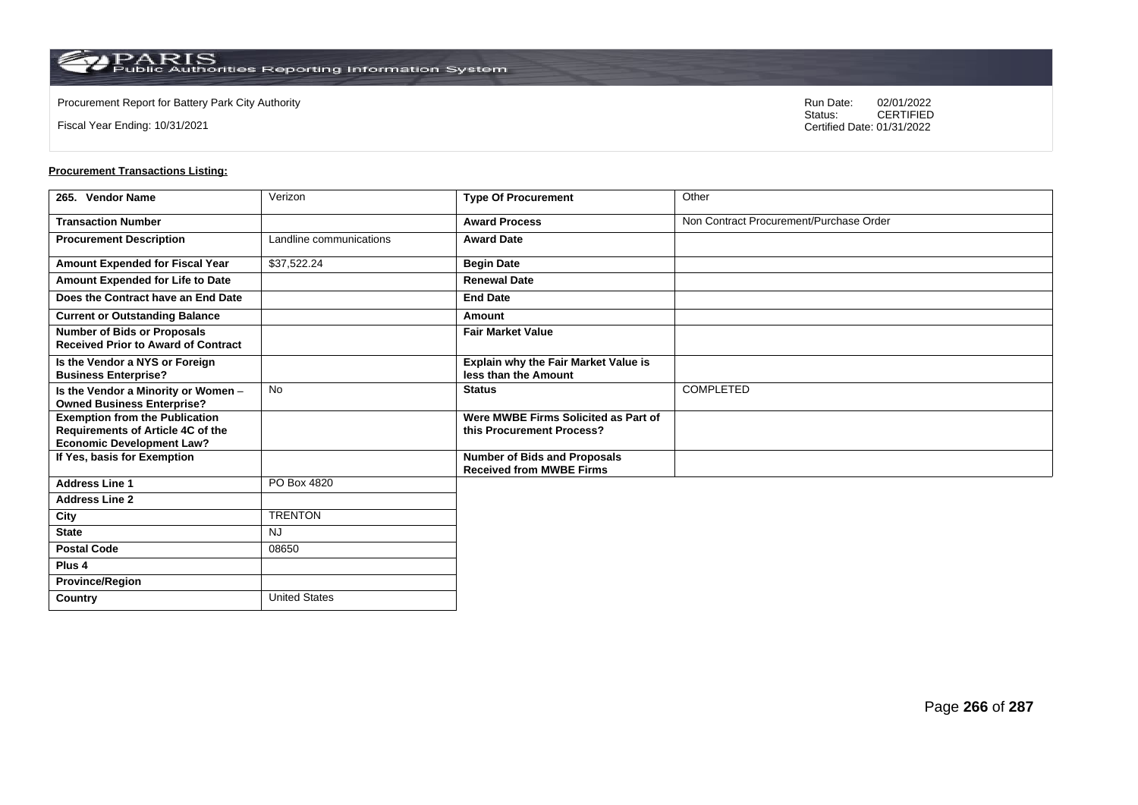**Country** United States

Fiscal Year Ending: 10/31/2021

Procurement Report for Battery Park City Authority **National State Concrete Concrete Concrete Concrete Concrete Concrete Concrete Concrete Concrete Concrete Concrete Concrete Concrete Concrete Concrete Concrete Concrete Co** CERTIFIED Certified Date: 01/31/2022

| 265. Vendor Name                                                                                                      | Verizon                 | <b>Type Of Procurement</b>                                             | Other                                   |
|-----------------------------------------------------------------------------------------------------------------------|-------------------------|------------------------------------------------------------------------|-----------------------------------------|
| <b>Transaction Number</b>                                                                                             |                         | <b>Award Process</b>                                                   | Non Contract Procurement/Purchase Order |
| <b>Procurement Description</b>                                                                                        | Landline communications | <b>Award Date</b>                                                      |                                         |
| Amount Expended for Fiscal Year                                                                                       | \$37,522.24             | <b>Begin Date</b>                                                      |                                         |
| Amount Expended for Life to Date                                                                                      |                         | <b>Renewal Date</b>                                                    |                                         |
| Does the Contract have an End Date                                                                                    |                         | <b>End Date</b>                                                        |                                         |
| <b>Current or Outstanding Balance</b>                                                                                 |                         | Amount                                                                 |                                         |
| <b>Number of Bids or Proposals</b><br><b>Received Prior to Award of Contract</b>                                      |                         | <b>Fair Market Value</b>                                               |                                         |
| Is the Vendor a NYS or Foreign<br><b>Business Enterprise?</b>                                                         |                         | Explain why the Fair Market Value is<br>less than the Amount           |                                         |
| Is the Vendor a Minority or Women -<br><b>Owned Business Enterprise?</b>                                              | <b>No</b>               | <b>Status</b>                                                          | <b>COMPLETED</b>                        |
| <b>Exemption from the Publication</b><br><b>Requirements of Article 4C of the</b><br><b>Economic Development Law?</b> |                         | Were MWBE Firms Solicited as Part of<br>this Procurement Process?      |                                         |
| If Yes, basis for Exemption                                                                                           |                         | <b>Number of Bids and Proposals</b><br><b>Received from MWBE Firms</b> |                                         |
| <b>Address Line 1</b>                                                                                                 | PO Box 4820             |                                                                        |                                         |
| <b>Address Line 2</b>                                                                                                 |                         |                                                                        |                                         |
| City                                                                                                                  | <b>TRENTON</b>          |                                                                        |                                         |
| <b>State</b>                                                                                                          | <b>NJ</b>               |                                                                        |                                         |
| <b>Postal Code</b>                                                                                                    | 08650                   |                                                                        |                                         |
| Plus <sub>4</sub>                                                                                                     |                         |                                                                        |                                         |
| <b>Province/Region</b>                                                                                                |                         |                                                                        |                                         |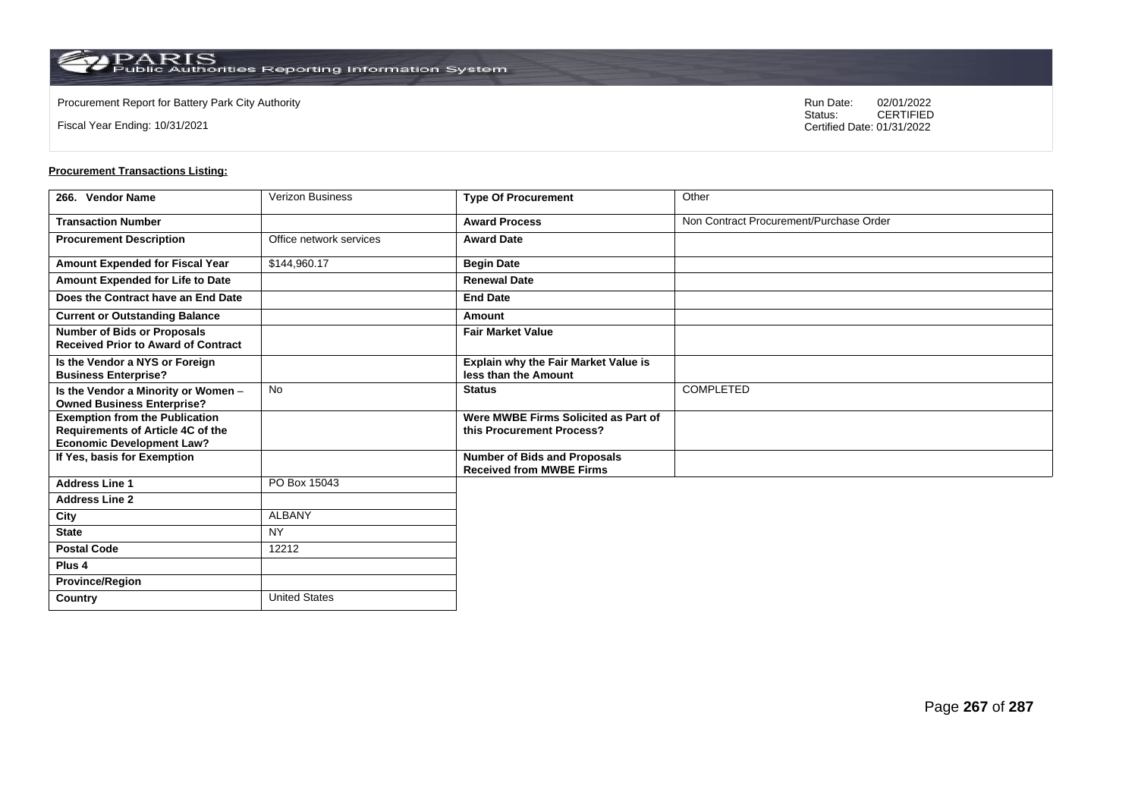**Country** United States

Fiscal Year Ending: 10/31/2021

Procurement Report for Battery Park City Authority **National State Concrete Concrete Concrete Concrete Concrete Concrete Concrete Concrete Concrete Concrete Concrete Concrete Concrete Concrete Concrete Concrete Concrete Co** CERTIFIED Certified Date: 01/31/2022

| 266. Vendor Name                                                                                               | <b>Verizon Business</b> | <b>Type Of Procurement</b>                                             | Other                                   |
|----------------------------------------------------------------------------------------------------------------|-------------------------|------------------------------------------------------------------------|-----------------------------------------|
| <b>Transaction Number</b>                                                                                      |                         | <b>Award Process</b>                                                   | Non Contract Procurement/Purchase Order |
| <b>Procurement Description</b>                                                                                 | Office network services | <b>Award Date</b>                                                      |                                         |
| Amount Expended for Fiscal Year                                                                                | \$144,960.17            | <b>Begin Date</b>                                                      |                                         |
| Amount Expended for Life to Date                                                                               |                         | <b>Renewal Date</b>                                                    |                                         |
| Does the Contract have an End Date                                                                             |                         | <b>End Date</b>                                                        |                                         |
| <b>Current or Outstanding Balance</b>                                                                          |                         | Amount                                                                 |                                         |
| <b>Number of Bids or Proposals</b><br><b>Received Prior to Award of Contract</b>                               |                         | <b>Fair Market Value</b>                                               |                                         |
| Is the Vendor a NYS or Foreign<br><b>Business Enterprise?</b>                                                  |                         | Explain why the Fair Market Value is<br>less than the Amount           |                                         |
| Is the Vendor a Minority or Women -<br><b>Owned Business Enterprise?</b>                                       | No                      | <b>Status</b>                                                          | <b>COMPLETED</b>                        |
| <b>Exemption from the Publication</b><br>Requirements of Article 4C of the<br><b>Economic Development Law?</b> |                         | Were MWBE Firms Solicited as Part of<br>this Procurement Process?      |                                         |
| If Yes, basis for Exemption                                                                                    |                         | <b>Number of Bids and Proposals</b><br><b>Received from MWBE Firms</b> |                                         |
| <b>Address Line 1</b>                                                                                          | PO Box 15043            |                                                                        |                                         |
| <b>Address Line 2</b>                                                                                          |                         |                                                                        |                                         |
| City                                                                                                           | <b>ALBANY</b>           |                                                                        |                                         |
| <b>State</b>                                                                                                   | <b>NY</b>               |                                                                        |                                         |
| <b>Postal Code</b>                                                                                             | 12212                   |                                                                        |                                         |
| Plus <sub>4</sub>                                                                                              |                         |                                                                        |                                         |
| <b>Province/Region</b>                                                                                         |                         |                                                                        |                                         |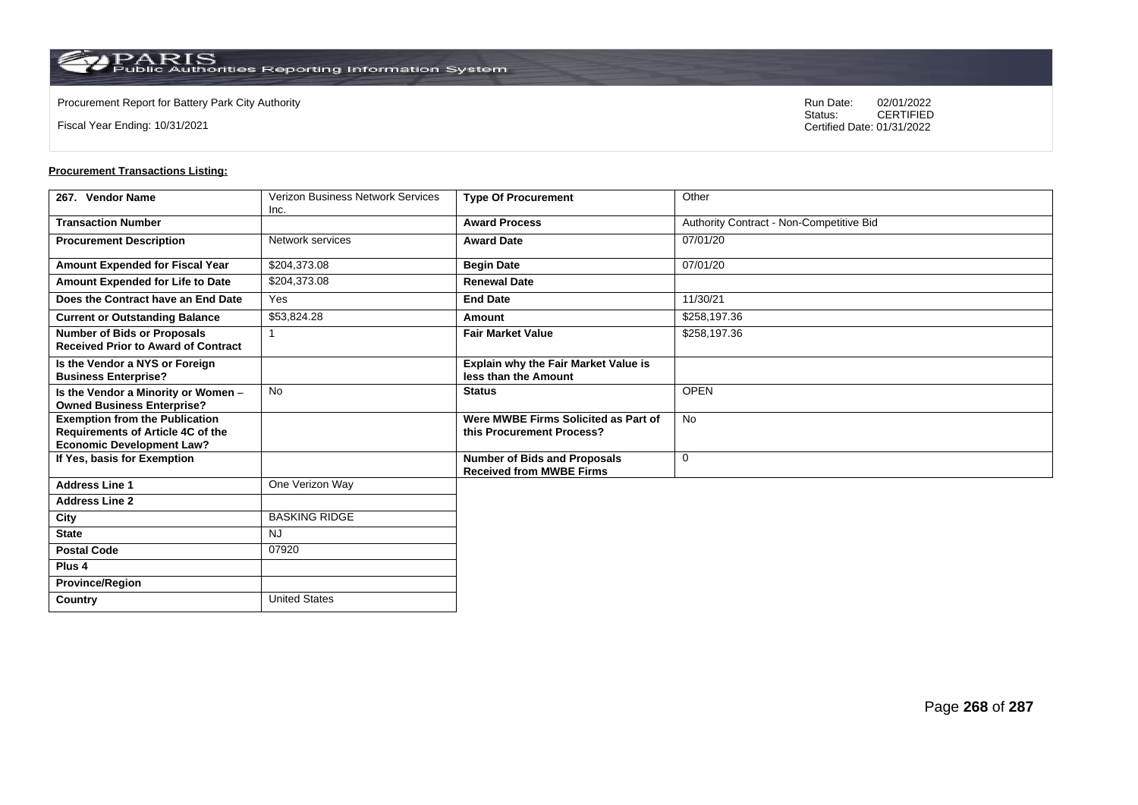**Country** United States

Fiscal Year Ending: 10/31/2021

Procurement Report for Battery Park City Authority **National State Concrete Concrete Concrete Concrete Concrete Concrete Concrete Concrete Concrete Concrete Concrete Concrete Concrete Concrete Concrete Concrete Concrete Co** CERTIFIED Certified Date: 01/31/2022

| 267. Vendor Name                                                                                               | <b>Verizon Business Network Services</b> | <b>Type Of Procurement</b>                                             | Other                                    |
|----------------------------------------------------------------------------------------------------------------|------------------------------------------|------------------------------------------------------------------------|------------------------------------------|
| <b>Transaction Number</b>                                                                                      | Inc.                                     | <b>Award Process</b>                                                   | Authority Contract - Non-Competitive Bid |
|                                                                                                                |                                          |                                                                        |                                          |
| <b>Procurement Description</b>                                                                                 | Network services                         | <b>Award Date</b>                                                      | 07/01/20                                 |
| Amount Expended for Fiscal Year                                                                                | \$204,373.08                             | <b>Begin Date</b>                                                      | 07/01/20                                 |
| Amount Expended for Life to Date                                                                               | \$204,373.08                             | <b>Renewal Date</b>                                                    |                                          |
| Does the Contract have an End Date                                                                             | Yes                                      | <b>End Date</b>                                                        | 11/30/21                                 |
| <b>Current or Outstanding Balance</b>                                                                          | \$53,824.28                              | Amount                                                                 | \$258,197.36                             |
| <b>Number of Bids or Proposals</b><br><b>Received Prior to Award of Contract</b>                               |                                          | <b>Fair Market Value</b>                                               | \$258,197.36                             |
| Is the Vendor a NYS or Foreign<br><b>Business Enterprise?</b>                                                  |                                          | <b>Explain why the Fair Market Value is</b><br>less than the Amount    |                                          |
| Is the Vendor a Minority or Women -<br><b>Owned Business Enterprise?</b>                                       | <b>No</b>                                | <b>Status</b>                                                          | <b>OPEN</b>                              |
| <b>Exemption from the Publication</b><br>Requirements of Article 4C of the<br><b>Economic Development Law?</b> |                                          | Were MWBE Firms Solicited as Part of<br>this Procurement Process?      | <b>No</b>                                |
| If Yes, basis for Exemption                                                                                    |                                          | <b>Number of Bids and Proposals</b><br><b>Received from MWBE Firms</b> | 0                                        |
| <b>Address Line 1</b>                                                                                          | One Verizon Way                          |                                                                        |                                          |
| <b>Address Line 2</b>                                                                                          |                                          |                                                                        |                                          |
| City                                                                                                           | <b>BASKING RIDGE</b>                     |                                                                        |                                          |
| <b>State</b>                                                                                                   | <b>NJ</b>                                |                                                                        |                                          |
| <b>Postal Code</b>                                                                                             | 07920                                    |                                                                        |                                          |
| Plus <sub>4</sub>                                                                                              |                                          |                                                                        |                                          |
| <b>Province/Region</b>                                                                                         |                                          |                                                                        |                                          |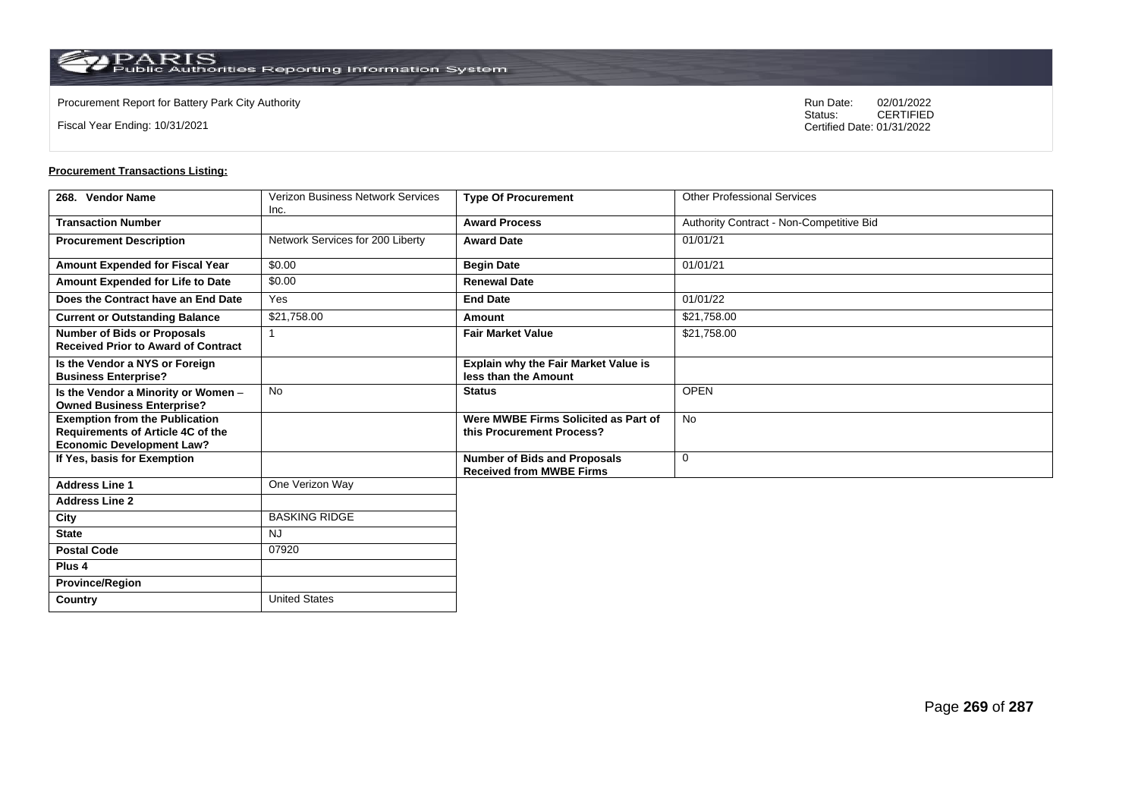$\operatorname{PARIS}_{\text{Public Authorities Reporting Information System}}$ 

**Country** United States

Fiscal Year Ending: 10/31/2021

Procurement Report for Battery Park City Authority **National State Concrete Concrete Concrete Concrete Concrete Concrete Concrete Concrete Concrete Concrete Concrete Concrete Concrete Concrete Concrete Concrete Concrete Co** CERTIFIED Certified Date: 01/31/2022

| 268. Vendor Name                                                                                                      | <b>Verizon Business Network Services</b> | <b>Type Of Procurement</b>                                             | <b>Other Professional Services</b>       |
|-----------------------------------------------------------------------------------------------------------------------|------------------------------------------|------------------------------------------------------------------------|------------------------------------------|
|                                                                                                                       | Inc.                                     |                                                                        |                                          |
| <b>Transaction Number</b>                                                                                             |                                          | <b>Award Process</b>                                                   | Authority Contract - Non-Competitive Bid |
| <b>Procurement Description</b>                                                                                        | Network Services for 200 Liberty         | <b>Award Date</b>                                                      | 01/01/21                                 |
| Amount Expended for Fiscal Year                                                                                       | \$0.00                                   | <b>Begin Date</b>                                                      | 01/01/21                                 |
| Amount Expended for Life to Date                                                                                      | \$0.00                                   | <b>Renewal Date</b>                                                    |                                          |
| Does the Contract have an End Date                                                                                    | Yes                                      | <b>End Date</b>                                                        | 01/01/22                                 |
| <b>Current or Outstanding Balance</b>                                                                                 | \$21,758.00                              | Amount                                                                 | \$21,758.00                              |
| <b>Number of Bids or Proposals</b><br><b>Received Prior to Award of Contract</b>                                      |                                          | <b>Fair Market Value</b>                                               | \$21,758.00                              |
| Is the Vendor a NYS or Foreign<br><b>Business Enterprise?</b>                                                         |                                          | <b>Explain why the Fair Market Value is</b><br>less than the Amount    |                                          |
| Is the Vendor a Minority or Women -<br><b>Owned Business Enterprise?</b>                                              | <b>No</b>                                | <b>Status</b>                                                          | <b>OPEN</b>                              |
| <b>Exemption from the Publication</b><br><b>Requirements of Article 4C of the</b><br><b>Economic Development Law?</b> |                                          | Were MWBE Firms Solicited as Part of<br>this Procurement Process?      | <b>No</b>                                |
| If Yes, basis for Exemption                                                                                           |                                          | <b>Number of Bids and Proposals</b><br><b>Received from MWBE Firms</b> | $\mathbf 0$                              |
| <b>Address Line 1</b>                                                                                                 | One Verizon Way                          |                                                                        |                                          |
| <b>Address Line 2</b>                                                                                                 |                                          |                                                                        |                                          |
| City                                                                                                                  | <b>BASKING RIDGE</b>                     |                                                                        |                                          |
| <b>State</b>                                                                                                          | NJ                                       |                                                                        |                                          |
| <b>Postal Code</b>                                                                                                    | 07920                                    |                                                                        |                                          |
| Plus <sub>4</sub>                                                                                                     |                                          |                                                                        |                                          |
| <b>Province/Region</b>                                                                                                |                                          |                                                                        |                                          |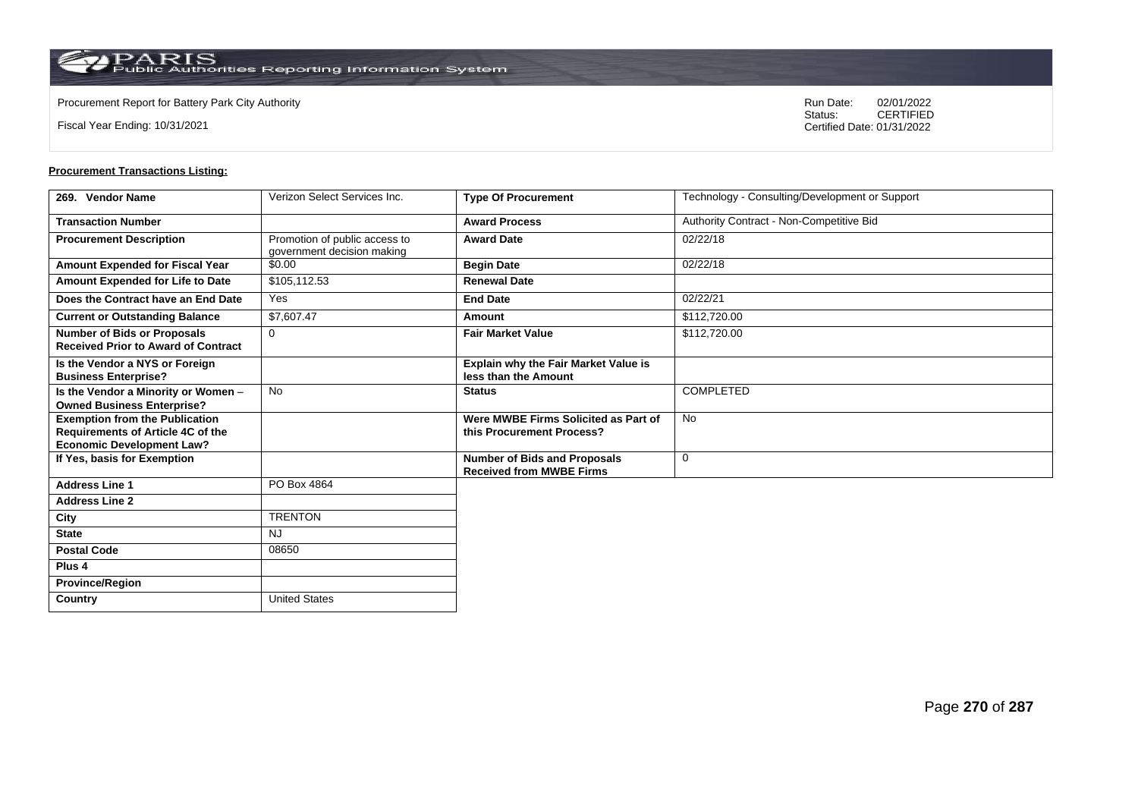$\operatorname{PARIS}_{\text{Public Authorities}\,\text{Reporting}\,\text{Information System}}$ 

**Country** United States

Fiscal Year Ending: 10/31/2021

Procurement Report for Battery Park City Authority **National State Concrete Concrete Concrete Concrete Concrete Concrete Concrete Concrete Concrete Concrete Concrete Concrete Concrete Concrete Concrete Concrete Concrete Co** CERTIFIED Certified Date: 01/31/2022

| 269. Vendor Name                                                                                                      | Verizon Select Services Inc.                                | <b>Type Of Procurement</b>                                             | Technology - Consulting/Development or Support |
|-----------------------------------------------------------------------------------------------------------------------|-------------------------------------------------------------|------------------------------------------------------------------------|------------------------------------------------|
| <b>Transaction Number</b>                                                                                             |                                                             | <b>Award Process</b>                                                   | Authority Contract - Non-Competitive Bid       |
| <b>Procurement Description</b>                                                                                        | Promotion of public access to<br>government decision making | <b>Award Date</b>                                                      | 02/22/18                                       |
| Amount Expended for Fiscal Year                                                                                       | \$0.00                                                      | <b>Begin Date</b>                                                      | 02/22/18                                       |
| Amount Expended for Life to Date                                                                                      | \$105,112.53                                                | <b>Renewal Date</b>                                                    |                                                |
| Does the Contract have an End Date                                                                                    | Yes                                                         | <b>End Date</b>                                                        | 02/22/21                                       |
| <b>Current or Outstanding Balance</b>                                                                                 | \$7,607.47                                                  | Amount                                                                 | \$112,720.00                                   |
| <b>Number of Bids or Proposals</b><br><b>Received Prior to Award of Contract</b>                                      | $\Omega$                                                    | <b>Fair Market Value</b>                                               | \$112,720.00                                   |
| Is the Vendor a NYS or Foreign<br><b>Business Enterprise?</b>                                                         |                                                             | <b>Explain why the Fair Market Value is</b><br>less than the Amount    |                                                |
| Is the Vendor a Minority or Women -<br><b>Owned Business Enterprise?</b>                                              | <b>No</b>                                                   | <b>Status</b>                                                          | <b>COMPLETED</b>                               |
| <b>Exemption from the Publication</b><br><b>Requirements of Article 4C of the</b><br><b>Economic Development Law?</b> |                                                             | Were MWBE Firms Solicited as Part of<br>this Procurement Process?      | <b>No</b>                                      |
| If Yes, basis for Exemption                                                                                           |                                                             | <b>Number of Bids and Proposals</b><br><b>Received from MWBE Firms</b> | $\mathbf 0$                                    |
| <b>Address Line 1</b>                                                                                                 | PO Box 4864                                                 |                                                                        |                                                |
| <b>Address Line 2</b>                                                                                                 |                                                             |                                                                        |                                                |
| City                                                                                                                  | <b>TRENTON</b>                                              |                                                                        |                                                |
| <b>State</b>                                                                                                          | <b>NJ</b>                                                   |                                                                        |                                                |
| <b>Postal Code</b>                                                                                                    | 08650                                                       |                                                                        |                                                |
| Plus <sub>4</sub>                                                                                                     |                                                             |                                                                        |                                                |
| <b>Province/Region</b>                                                                                                |                                                             |                                                                        |                                                |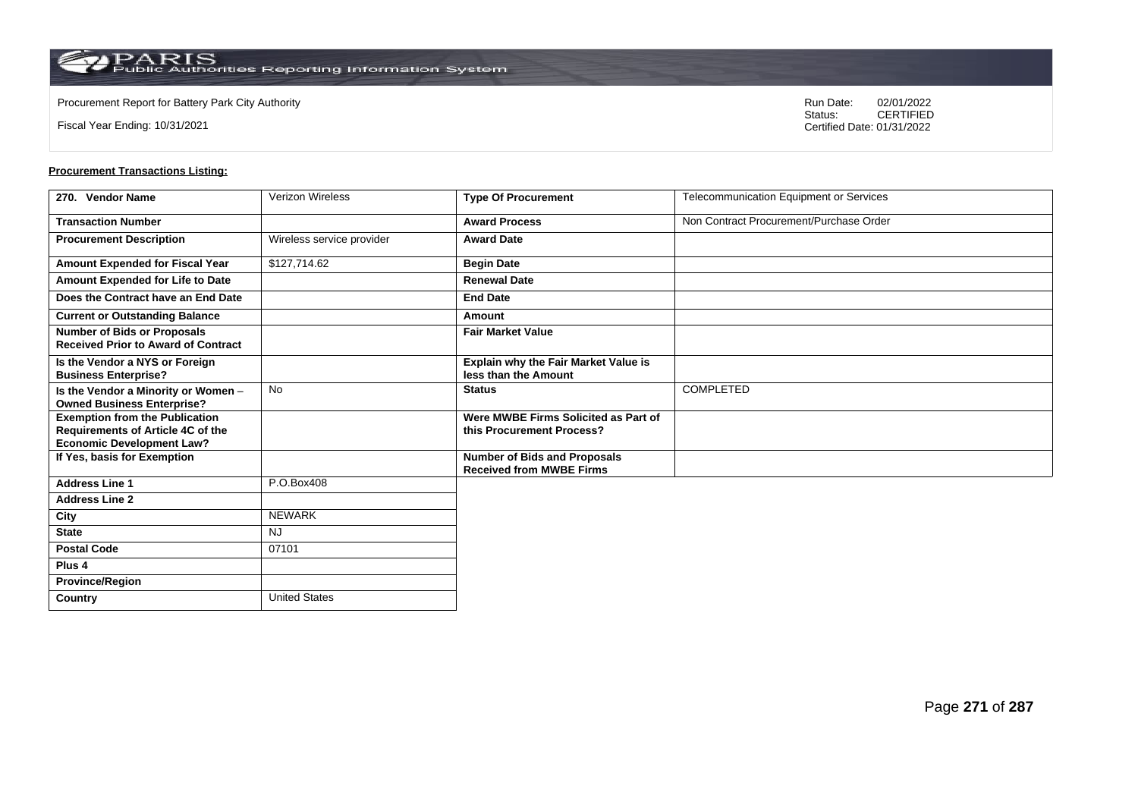**Country** United States

Fiscal Year Ending: 10/31/2021

Procurement Report for Battery Park City Authority **National State Concrete Concrete Concrete Concrete Concrete Concrete Concrete Concrete Concrete Concrete Concrete Concrete Concrete Concrete Concrete Concrete Concrete Co** CERTIFIED Certified Date: 01/31/2022

| 270. Vendor Name                                                                                                      | <b>Verizon Wireless</b>   | <b>Type Of Procurement</b>                                             | Telecommunication Equipment or Services |
|-----------------------------------------------------------------------------------------------------------------------|---------------------------|------------------------------------------------------------------------|-----------------------------------------|
| <b>Transaction Number</b>                                                                                             |                           | <b>Award Process</b>                                                   | Non Contract Procurement/Purchase Order |
| <b>Procurement Description</b>                                                                                        | Wireless service provider | <b>Award Date</b>                                                      |                                         |
| Amount Expended for Fiscal Year                                                                                       | \$127,714.62              | <b>Begin Date</b>                                                      |                                         |
| Amount Expended for Life to Date                                                                                      |                           | <b>Renewal Date</b>                                                    |                                         |
| Does the Contract have an End Date                                                                                    |                           | <b>End Date</b>                                                        |                                         |
| <b>Current or Outstanding Balance</b>                                                                                 |                           | Amount                                                                 |                                         |
| <b>Number of Bids or Proposals</b><br><b>Received Prior to Award of Contract</b>                                      |                           | <b>Fair Market Value</b>                                               |                                         |
| Is the Vendor a NYS or Foreign<br><b>Business Enterprise?</b>                                                         |                           | Explain why the Fair Market Value is<br>less than the Amount           |                                         |
| Is the Vendor a Minority or Women -<br><b>Owned Business Enterprise?</b>                                              | <b>No</b>                 | <b>Status</b>                                                          | <b>COMPLETED</b>                        |
| <b>Exemption from the Publication</b><br><b>Requirements of Article 4C of the</b><br><b>Economic Development Law?</b> |                           | Were MWBE Firms Solicited as Part of<br>this Procurement Process?      |                                         |
| If Yes, basis for Exemption                                                                                           |                           | <b>Number of Bids and Proposals</b><br><b>Received from MWBE Firms</b> |                                         |
| <b>Address Line 1</b>                                                                                                 | P.O.Box408                |                                                                        |                                         |
| <b>Address Line 2</b>                                                                                                 |                           |                                                                        |                                         |
| City                                                                                                                  | <b>NEWARK</b>             |                                                                        |                                         |
| <b>State</b>                                                                                                          | <b>NJ</b>                 |                                                                        |                                         |
| <b>Postal Code</b>                                                                                                    | 07101                     |                                                                        |                                         |
| Plus <sub>4</sub>                                                                                                     |                           |                                                                        |                                         |
| <b>Province/Region</b>                                                                                                |                           |                                                                        |                                         |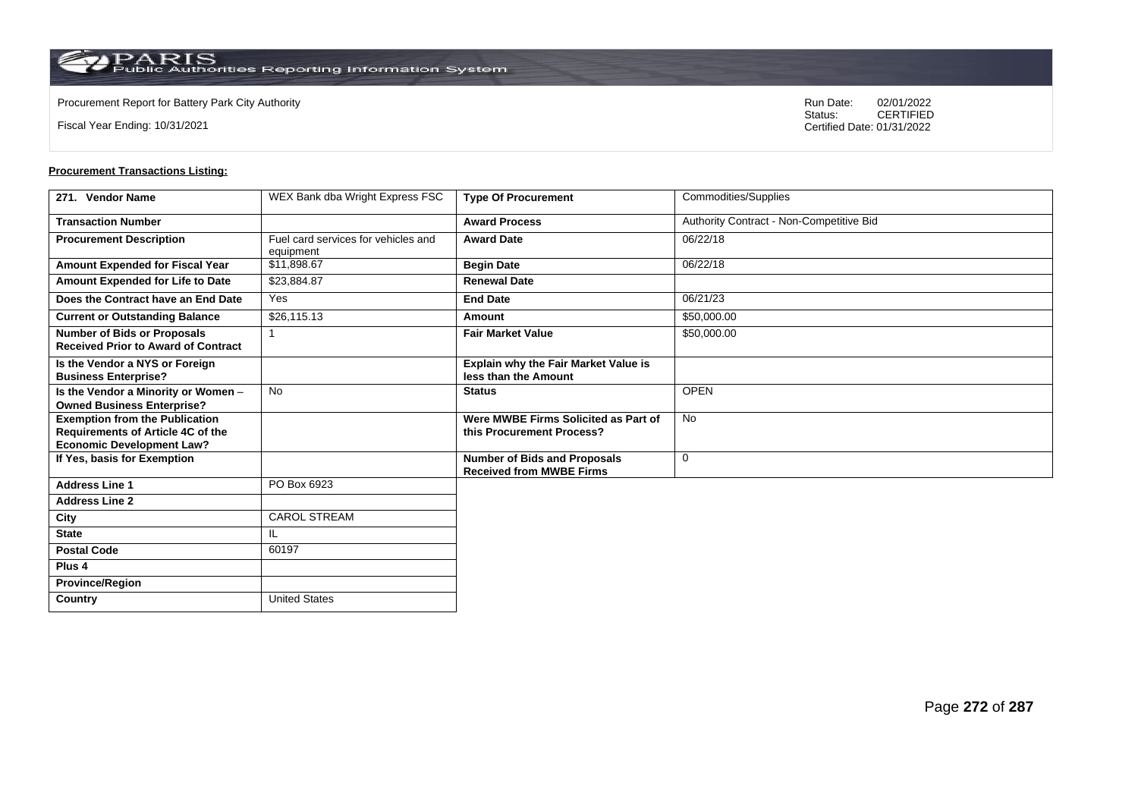**Country** United States

Fiscal Year Ending: 10/31/2021

Procurement Report for Battery Park City Authority **National State Concrete Concrete Concrete Concrete Concrete Concrete Concrete Concrete Concrete Concrete Concrete Concrete Concrete Concrete Concrete Concrete Concrete Co** CERTIFIED Certified Date: 01/31/2022

| 271. Vendor Name                                                                                               | WEX Bank dba Wright Express FSC                  | <b>Type Of Procurement</b>                                             | Commodities/Supplies                     |
|----------------------------------------------------------------------------------------------------------------|--------------------------------------------------|------------------------------------------------------------------------|------------------------------------------|
| <b>Transaction Number</b>                                                                                      |                                                  | <b>Award Process</b>                                                   | Authority Contract - Non-Competitive Bid |
| <b>Procurement Description</b>                                                                                 | Fuel card services for vehicles and<br>equipment | <b>Award Date</b>                                                      | 06/22/18                                 |
| Amount Expended for Fiscal Year                                                                                | \$11,898.67                                      | <b>Begin Date</b>                                                      | 06/22/18                                 |
| Amount Expended for Life to Date                                                                               | \$23,884.87                                      | <b>Renewal Date</b>                                                    |                                          |
| Does the Contract have an End Date                                                                             | Yes                                              | <b>End Date</b>                                                        | 06/21/23                                 |
| <b>Current or Outstanding Balance</b>                                                                          | \$26,115.13                                      | Amount                                                                 | \$50,000.00                              |
| <b>Number of Bids or Proposals</b><br><b>Received Prior to Award of Contract</b>                               |                                                  | <b>Fair Market Value</b>                                               | \$50,000.00                              |
| Is the Vendor a NYS or Foreign<br><b>Business Enterprise?</b>                                                  |                                                  | <b>Explain why the Fair Market Value is</b><br>less than the Amount    |                                          |
| Is the Vendor a Minority or Women -<br><b>Owned Business Enterprise?</b>                                       | No                                               | <b>Status</b>                                                          | <b>OPEN</b>                              |
| <b>Exemption from the Publication</b><br>Requirements of Article 4C of the<br><b>Economic Development Law?</b> |                                                  | Were MWBE Firms Solicited as Part of<br>this Procurement Process?      | <b>No</b>                                |
| If Yes, basis for Exemption                                                                                    |                                                  | <b>Number of Bids and Proposals</b><br><b>Received from MWBE Firms</b> | $\mathbf 0$                              |
| <b>Address Line 1</b>                                                                                          | PO Box 6923                                      |                                                                        |                                          |
| <b>Address Line 2</b>                                                                                          |                                                  |                                                                        |                                          |
| City                                                                                                           | <b>CAROL STREAM</b>                              |                                                                        |                                          |
| <b>State</b>                                                                                                   | IL                                               |                                                                        |                                          |
| <b>Postal Code</b>                                                                                             | 60197                                            |                                                                        |                                          |
| Plus <sub>4</sub>                                                                                              |                                                  |                                                                        |                                          |
| <b>Province/Region</b>                                                                                         |                                                  |                                                                        |                                          |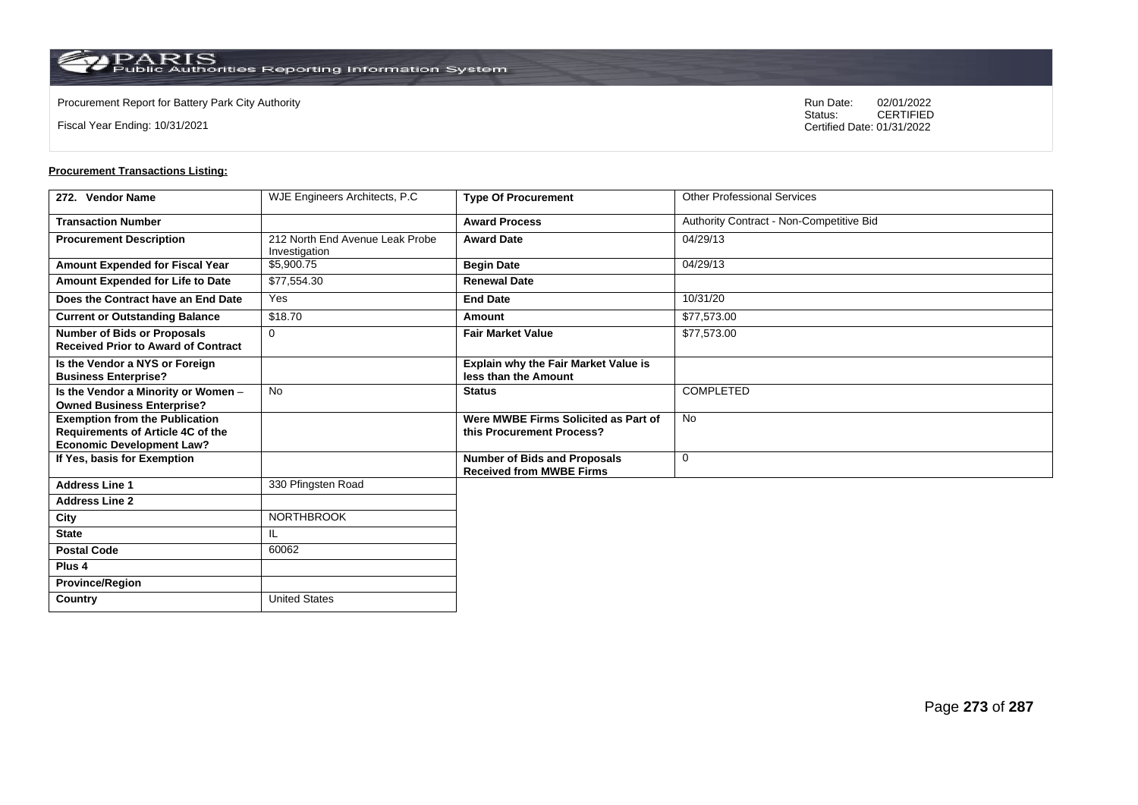$\operatorname{PARIS}_{\text{Public Authorities}\,\text{Reporting}\,\text{Information System}}$ 

**Country** United States

Fiscal Year Ending: 10/31/2021

Procurement Report for Battery Park City Authority **National State Concrete Concrete Concrete Concrete Concrete Concrete Concrete Concrete Concrete Concrete Concrete Concrete Concrete Concrete Concrete Concrete Concrete Co** CERTIFIED Certified Date: 01/31/2022

| 272. Vendor Name                                                                                               | WJE Engineers Architects, P.C.                   | <b>Type Of Procurement</b>                                             | <b>Other Professional Services</b>       |
|----------------------------------------------------------------------------------------------------------------|--------------------------------------------------|------------------------------------------------------------------------|------------------------------------------|
| <b>Transaction Number</b>                                                                                      |                                                  | <b>Award Process</b>                                                   | Authority Contract - Non-Competitive Bid |
| <b>Procurement Description</b>                                                                                 | 212 North End Avenue Leak Probe<br>Investigation | <b>Award Date</b>                                                      | 04/29/13                                 |
| Amount Expended for Fiscal Year                                                                                | \$5,900.75                                       | <b>Begin Date</b>                                                      | 04/29/13                                 |
| Amount Expended for Life to Date                                                                               | \$77,554.30                                      | <b>Renewal Date</b>                                                    |                                          |
| Does the Contract have an End Date                                                                             | Yes                                              | <b>End Date</b>                                                        | 10/31/20                                 |
| <b>Current or Outstanding Balance</b>                                                                          | \$18.70                                          | Amount                                                                 | \$77,573.00                              |
| <b>Number of Bids or Proposals</b><br><b>Received Prior to Award of Contract</b>                               | $\mathbf 0$                                      | <b>Fair Market Value</b>                                               | \$77,573.00                              |
| Is the Vendor a NYS or Foreign<br><b>Business Enterprise?</b>                                                  |                                                  | <b>Explain why the Fair Market Value is</b><br>less than the Amount    |                                          |
| Is the Vendor a Minority or Women -<br><b>Owned Business Enterprise?</b>                                       | <b>No</b>                                        | <b>Status</b>                                                          | <b>COMPLETED</b>                         |
| <b>Exemption from the Publication</b><br>Requirements of Article 4C of the<br><b>Economic Development Law?</b> |                                                  | Were MWBE Firms Solicited as Part of<br>this Procurement Process?      | <b>No</b>                                |
| If Yes, basis for Exemption                                                                                    |                                                  | <b>Number of Bids and Proposals</b><br><b>Received from MWBE Firms</b> | $\mathbf 0$                              |
| <b>Address Line 1</b>                                                                                          | 330 Pfingsten Road                               |                                                                        |                                          |
| <b>Address Line 2</b>                                                                                          |                                                  |                                                                        |                                          |
| City                                                                                                           | <b>NORTHBROOK</b>                                |                                                                        |                                          |
| <b>State</b>                                                                                                   | IL.                                              |                                                                        |                                          |
| <b>Postal Code</b>                                                                                             | 60062                                            |                                                                        |                                          |
| Plus <sub>4</sub>                                                                                              |                                                  |                                                                        |                                          |
| <b>Province/Region</b>                                                                                         |                                                  |                                                                        |                                          |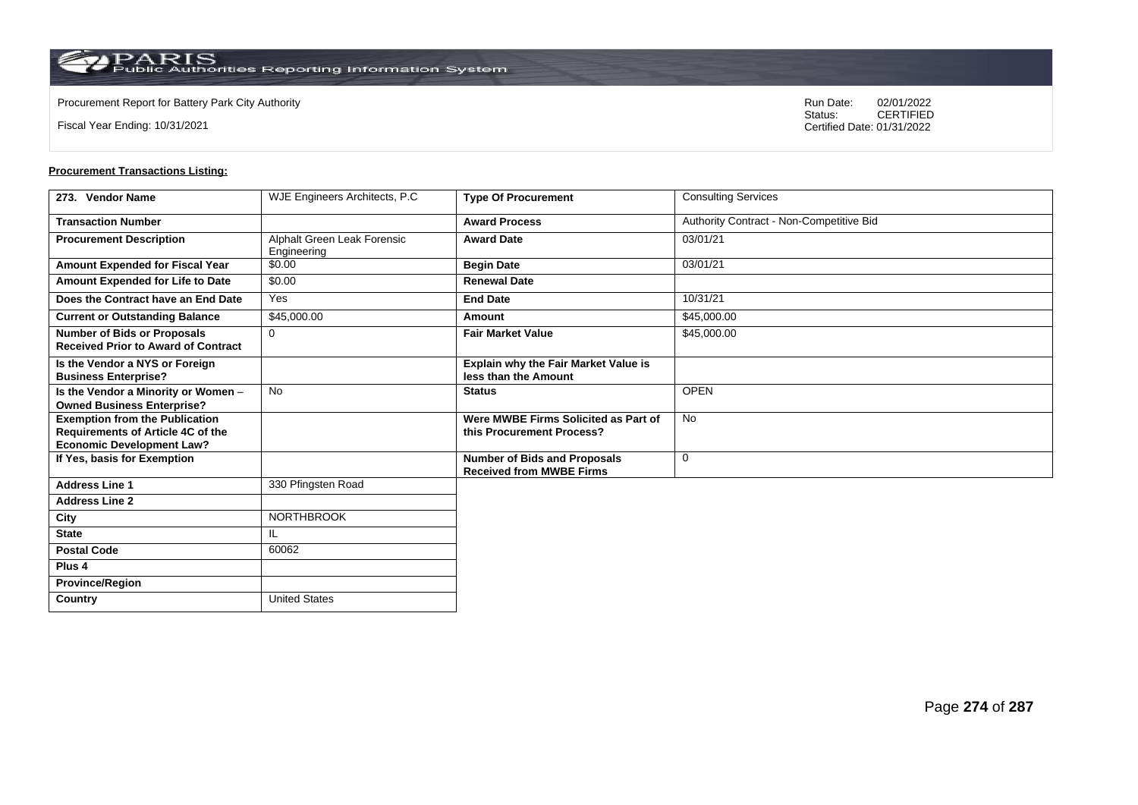$\operatorname{PARIS}_{\text{Public Authorities}\,\text{Reporting}\,\text{Information System}}$ 

**Country** United States

Fiscal Year Ending: 10/31/2021

Procurement Report for Battery Park City Authority **National State Concrete Concrete Concrete Concrete Concrete Concrete Concrete Concrete Concrete Concrete Concrete Concrete Concrete Concrete Concrete Concrete Concrete Co** CERTIFIED Certified Date: 01/31/2022

| 273. Vendor Name                                                                                                      | WJE Engineers Architects, P.C.             | <b>Type Of Procurement</b>                                             | <b>Consulting Services</b>               |
|-----------------------------------------------------------------------------------------------------------------------|--------------------------------------------|------------------------------------------------------------------------|------------------------------------------|
| <b>Transaction Number</b>                                                                                             |                                            | <b>Award Process</b>                                                   | Authority Contract - Non-Competitive Bid |
| <b>Procurement Description</b>                                                                                        | Alphalt Green Leak Forensic<br>Engineering | <b>Award Date</b>                                                      | 03/01/21                                 |
| Amount Expended for Fiscal Year                                                                                       | \$0.00                                     | <b>Begin Date</b>                                                      | 03/01/21                                 |
| Amount Expended for Life to Date                                                                                      | \$0.00                                     | <b>Renewal Date</b>                                                    |                                          |
| Does the Contract have an End Date                                                                                    | Yes                                        | <b>End Date</b>                                                        | 10/31/21                                 |
| <b>Current or Outstanding Balance</b>                                                                                 | \$45,000.00                                | Amount                                                                 | \$45,000.00                              |
| <b>Number of Bids or Proposals</b><br><b>Received Prior to Award of Contract</b>                                      | $\Omega$                                   | <b>Fair Market Value</b>                                               | \$45,000.00                              |
| Is the Vendor a NYS or Foreign<br><b>Business Enterprise?</b>                                                         |                                            | <b>Explain why the Fair Market Value is</b><br>less than the Amount    |                                          |
| Is the Vendor a Minority or Women -<br><b>Owned Business Enterprise?</b>                                              | <b>No</b>                                  | <b>Status</b>                                                          | <b>OPEN</b>                              |
| <b>Exemption from the Publication</b><br><b>Requirements of Article 4C of the</b><br><b>Economic Development Law?</b> |                                            | Were MWBE Firms Solicited as Part of<br>this Procurement Process?      | <b>No</b>                                |
| If Yes, basis for Exemption                                                                                           |                                            | <b>Number of Bids and Proposals</b><br><b>Received from MWBE Firms</b> | $\mathbf 0$                              |
| <b>Address Line 1</b>                                                                                                 | 330 Pfingsten Road                         |                                                                        |                                          |
| <b>Address Line 2</b>                                                                                                 |                                            |                                                                        |                                          |
| City                                                                                                                  | <b>NORTHBROOK</b>                          |                                                                        |                                          |
| <b>State</b>                                                                                                          | IL                                         |                                                                        |                                          |
| <b>Postal Code</b>                                                                                                    | 60062                                      |                                                                        |                                          |
| Plus <sub>4</sub>                                                                                                     |                                            |                                                                        |                                          |
| <b>Province/Region</b>                                                                                                |                                            |                                                                        |                                          |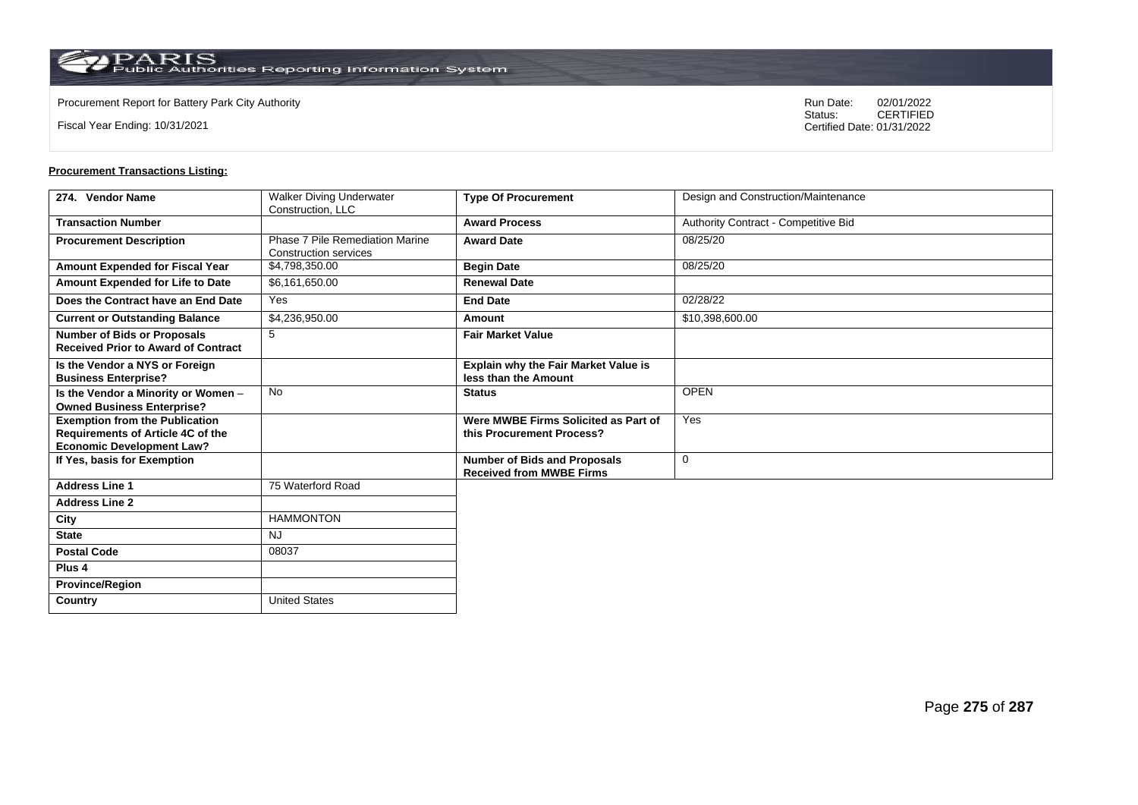$\operatorname{PARIS}_{\text{Public Authorities Reporting Information System}}$ 

Fiscal Year Ending: 10/31/2021

Procurement Report for Battery Park City Authority **National State Concrete Concrete Concrete Concrete Concrete Concrete Concrete Concrete Concrete Concrete Concrete Concrete Concrete Concrete Concrete Concrete Concrete Co** CERTIFIED Certified Date: 01/31/2022

| 274. Vendor Name                                                                                               | <b>Walker Diving Underwater</b><br>Construction, LLC            | <b>Type Of Procurement</b>                                             | Design and Construction/Maintenance  |
|----------------------------------------------------------------------------------------------------------------|-----------------------------------------------------------------|------------------------------------------------------------------------|--------------------------------------|
| <b>Transaction Number</b>                                                                                      |                                                                 | <b>Award Process</b>                                                   | Authority Contract - Competitive Bid |
| <b>Procurement Description</b>                                                                                 | Phase 7 Pile Remediation Marine<br><b>Construction services</b> | <b>Award Date</b>                                                      | 08/25/20                             |
| <b>Amount Expended for Fiscal Year</b>                                                                         | \$4,798,350.00                                                  | <b>Begin Date</b>                                                      | 08/25/20                             |
| Amount Expended for Life to Date                                                                               | \$6,161,650.00                                                  | <b>Renewal Date</b>                                                    |                                      |
| Does the Contract have an End Date                                                                             | Yes                                                             | <b>End Date</b>                                                        | 02/28/22                             |
| <b>Current or Outstanding Balance</b>                                                                          | \$4,236,950.00                                                  | Amount                                                                 | \$10,398,600.00                      |
| <b>Number of Bids or Proposals</b><br><b>Received Prior to Award of Contract</b>                               | 5                                                               | <b>Fair Market Value</b>                                               |                                      |
| Is the Vendor a NYS or Foreign<br><b>Business Enterprise?</b>                                                  |                                                                 | Explain why the Fair Market Value is<br>less than the Amount           |                                      |
| Is the Vendor a Minority or Women -<br><b>Owned Business Enterprise?</b>                                       | <b>No</b>                                                       | <b>Status</b>                                                          | <b>OPEN</b>                          |
| <b>Exemption from the Publication</b><br>Requirements of Article 4C of the<br><b>Economic Development Law?</b> |                                                                 | Were MWBE Firms Solicited as Part of<br>this Procurement Process?      | Yes                                  |
| If Yes, basis for Exemption                                                                                    |                                                                 | <b>Number of Bids and Proposals</b><br><b>Received from MWBE Firms</b> | $\mathbf 0$                          |
| <b>Address Line 1</b>                                                                                          | 75 Waterford Road                                               |                                                                        |                                      |
| <b>Address Line 2</b>                                                                                          |                                                                 |                                                                        |                                      |
| City                                                                                                           | <b>HAMMONTON</b>                                                |                                                                        |                                      |
| <b>State</b>                                                                                                   | <b>NJ</b>                                                       |                                                                        |                                      |
| <b>Postal Code</b>                                                                                             | 08037                                                           |                                                                        |                                      |
| Plus 4                                                                                                         |                                                                 |                                                                        |                                      |
| <b>Province/Region</b>                                                                                         |                                                                 |                                                                        |                                      |
| Country                                                                                                        | United States                                                   |                                                                        |                                      |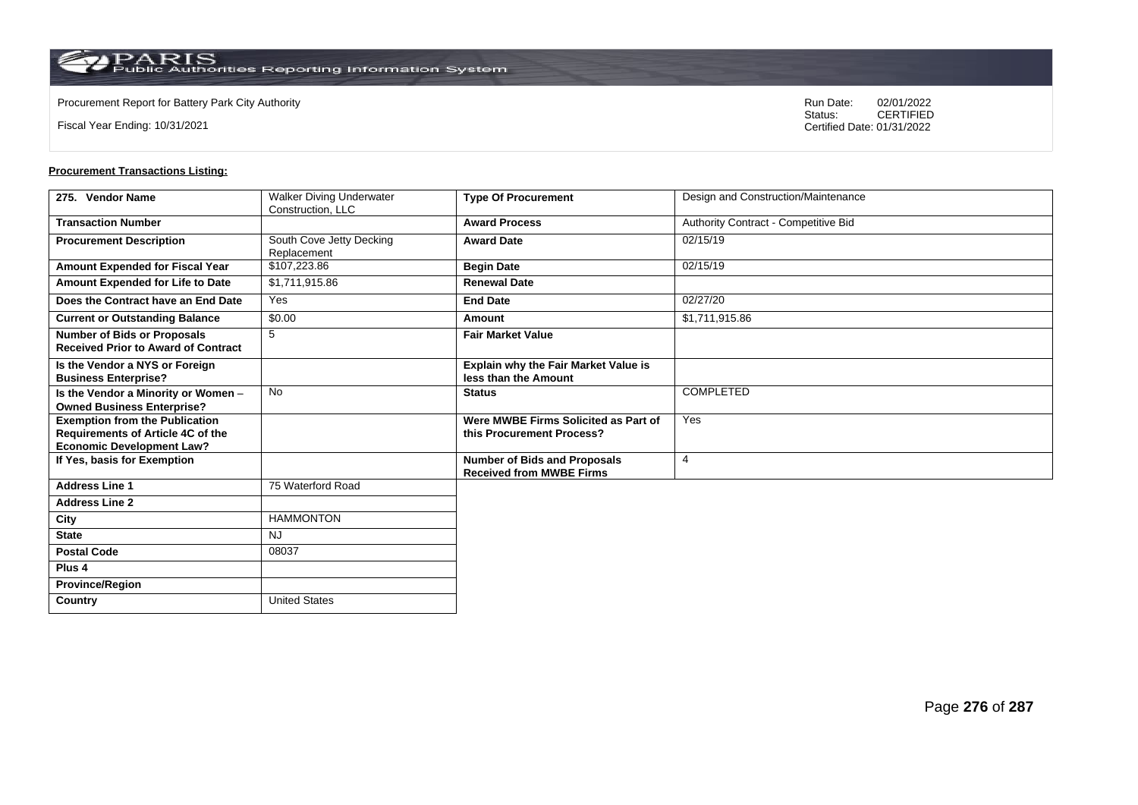$\operatorname{PARIS}_{\text{Public Authorities}\,\text{Reporting}\,\text{Information System}}$ 

Fiscal Year Ending: 10/31/2021

Procurement Report for Battery Park City Authority **National State Concrete Concrete Concrete Concrete Concrete Concrete Concrete Concrete Concrete Concrete Concrete Concrete Concrete Concrete Concrete Concrete Concrete Co** CERTIFIED Certified Date: 01/31/2022

| 275. Vendor Name                                                                                               | <b>Walker Diving Underwater</b><br>Construction, LLC | <b>Type Of Procurement</b>                                             | Design and Construction/Maintenance  |
|----------------------------------------------------------------------------------------------------------------|------------------------------------------------------|------------------------------------------------------------------------|--------------------------------------|
| <b>Transaction Number</b>                                                                                      |                                                      | <b>Award Process</b>                                                   | Authority Contract - Competitive Bid |
| <b>Procurement Description</b>                                                                                 | South Cove Jetty Decking<br>Replacement              | <b>Award Date</b>                                                      | 02/15/19                             |
| Amount Expended for Fiscal Year                                                                                | \$107,223.86                                         | <b>Begin Date</b>                                                      | 02/15/19                             |
| Amount Expended for Life to Date                                                                               | \$1,711,915.86                                       | <b>Renewal Date</b>                                                    |                                      |
| Does the Contract have an End Date                                                                             | Yes                                                  | <b>End Date</b>                                                        | 02/27/20                             |
| <b>Current or Outstanding Balance</b>                                                                          | \$0.00                                               | Amount                                                                 | \$1,711,915.86                       |
| <b>Number of Bids or Proposals</b><br><b>Received Prior to Award of Contract</b>                               | 5                                                    | <b>Fair Market Value</b>                                               |                                      |
| Is the Vendor a NYS or Foreign<br><b>Business Enterprise?</b>                                                  |                                                      | Explain why the Fair Market Value is<br>less than the Amount           |                                      |
| Is the Vendor a Minority or Women -<br><b>Owned Business Enterprise?</b>                                       | No                                                   | <b>Status</b>                                                          | COMPLETED                            |
| <b>Exemption from the Publication</b><br>Requirements of Article 4C of the<br><b>Economic Development Law?</b> |                                                      | Were MWBE Firms Solicited as Part of<br>this Procurement Process?      | Yes                                  |
| If Yes, basis for Exemption                                                                                    |                                                      | <b>Number of Bids and Proposals</b><br><b>Received from MWBE Firms</b> | $\overline{4}$                       |
| <b>Address Line 1</b>                                                                                          | 75 Waterford Road                                    |                                                                        |                                      |
| <b>Address Line 2</b>                                                                                          |                                                      |                                                                        |                                      |
| City                                                                                                           | <b>HAMMONTON</b>                                     |                                                                        |                                      |
| <b>State</b>                                                                                                   | <b>NJ</b>                                            |                                                                        |                                      |
| <b>Postal Code</b>                                                                                             | 08037                                                |                                                                        |                                      |
| Plus <sub>4</sub>                                                                                              |                                                      |                                                                        |                                      |
| <b>Province/Region</b>                                                                                         |                                                      |                                                                        |                                      |
| Country                                                                                                        | <b>United States</b>                                 |                                                                        |                                      |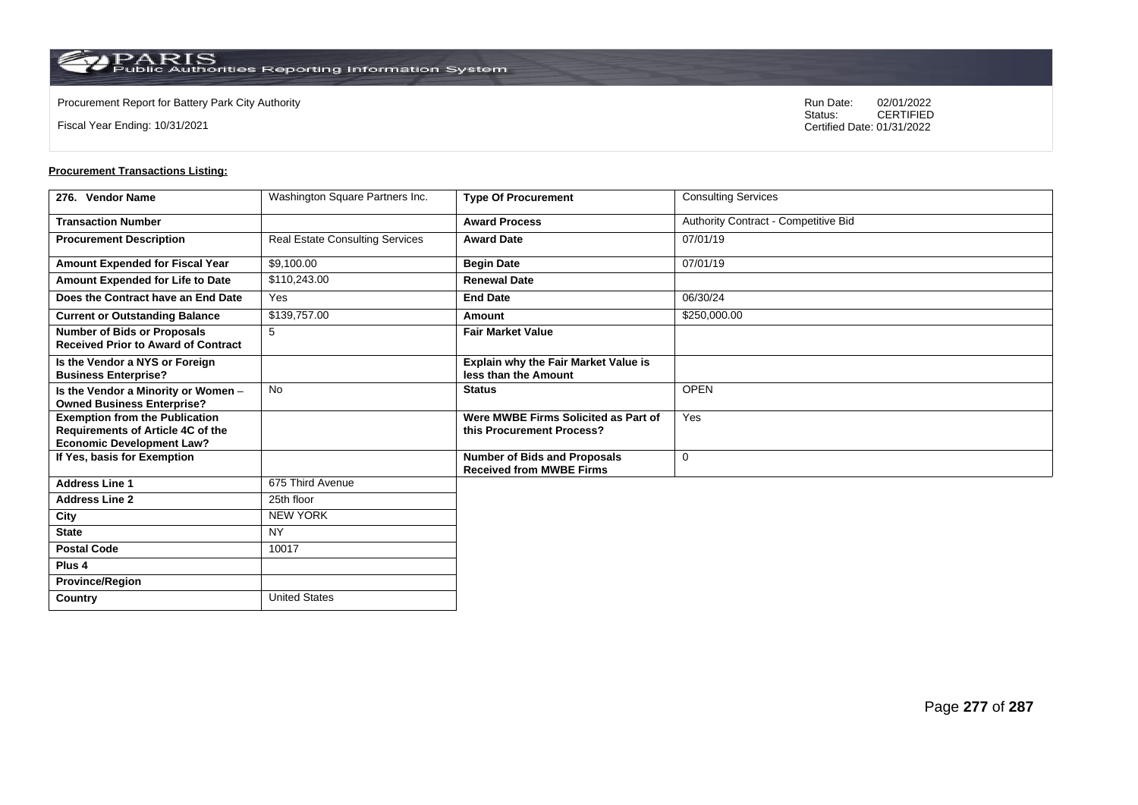**Country** United States

Fiscal Year Ending: 10/31/2021

Procurement Report for Battery Park City Authority **National State Concrete Concrete Concrete Concrete Concrete Concrete Concrete Concrete Concrete Concrete Concrete Concrete Concrete Concrete Concrete Concrete Concrete Co** CERTIFIED Certified Date: 01/31/2022

| 276. Vendor Name                                                                                               | Washington Square Partners Inc.        | <b>Type Of Procurement</b>                                          | <b>Consulting Services</b>           |
|----------------------------------------------------------------------------------------------------------------|----------------------------------------|---------------------------------------------------------------------|--------------------------------------|
| <b>Transaction Number</b>                                                                                      |                                        | <b>Award Process</b>                                                | Authority Contract - Competitive Bid |
| <b>Procurement Description</b>                                                                                 | <b>Real Estate Consulting Services</b> | <b>Award Date</b>                                                   | 07/01/19                             |
| Amount Expended for Fiscal Year                                                                                | \$9,100.00                             | <b>Begin Date</b>                                                   | 07/01/19                             |
| Amount Expended for Life to Date                                                                               | \$110,243.00                           | <b>Renewal Date</b>                                                 |                                      |
| Does the Contract have an End Date                                                                             | Yes                                    | <b>End Date</b>                                                     | 06/30/24                             |
| <b>Current or Outstanding Balance</b>                                                                          | \$139,757.00                           | Amount                                                              | \$250,000.00                         |
| <b>Number of Bids or Proposals</b><br><b>Received Prior to Award of Contract</b>                               | 5                                      | <b>Fair Market Value</b>                                            |                                      |
| Is the Vendor a NYS or Foreign<br><b>Business Enterprise?</b>                                                  |                                        | <b>Explain why the Fair Market Value is</b><br>less than the Amount |                                      |
| Is the Vendor a Minority or Women -<br><b>Owned Business Enterprise?</b>                                       | <b>No</b>                              | <b>Status</b>                                                       | <b>OPEN</b>                          |
| <b>Exemption from the Publication</b><br>Requirements of Article 4C of the<br><b>Economic Development Law?</b> |                                        | Were MWBE Firms Solicited as Part of<br>this Procurement Process?   | Yes                                  |
| If Yes, basis for Exemption                                                                                    |                                        | Number of Bids and Proposals<br><b>Received from MWBE Firms</b>     | 0                                    |
| <b>Address Line 1</b>                                                                                          | 675 Third Avenue                       |                                                                     |                                      |
| <b>Address Line 2</b>                                                                                          | 25th floor                             |                                                                     |                                      |
| City                                                                                                           | <b>NEW YORK</b>                        |                                                                     |                                      |
| <b>State</b>                                                                                                   | <b>NY</b>                              |                                                                     |                                      |
| <b>Postal Code</b>                                                                                             | 10017                                  |                                                                     |                                      |
| Plus <sub>4</sub>                                                                                              |                                        |                                                                     |                                      |
| <b>Province/Region</b>                                                                                         |                                        |                                                                     |                                      |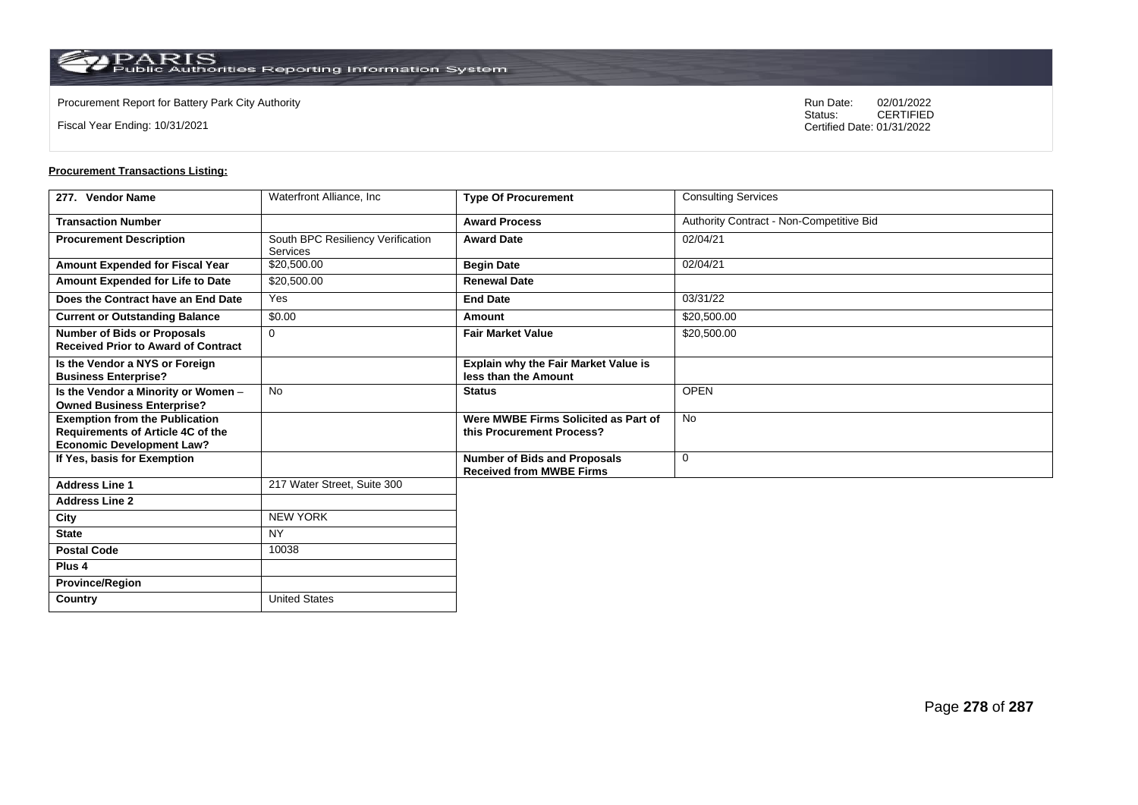**Country** United States

Fiscal Year Ending: 10/31/2021

Procurement Report for Battery Park City Authority **National State Concrete Concrete Concrete Concrete Concrete Concrete Concrete Concrete Concrete Concrete Concrete Concrete Concrete Concrete Concrete Concrete Concrete Co** CERTIFIED Certified Date: 01/31/2022

| 277. Vendor Name                                                                                                      | Waterfront Alliance, Inc.                     | <b>Type Of Procurement</b>                                             | <b>Consulting Services</b>               |
|-----------------------------------------------------------------------------------------------------------------------|-----------------------------------------------|------------------------------------------------------------------------|------------------------------------------|
| <b>Transaction Number</b>                                                                                             |                                               | <b>Award Process</b>                                                   | Authority Contract - Non-Competitive Bid |
| <b>Procurement Description</b>                                                                                        | South BPC Resiliency Verification<br>Services | <b>Award Date</b>                                                      | 02/04/21                                 |
| <b>Amount Expended for Fiscal Year</b>                                                                                | \$20,500.00                                   | <b>Begin Date</b>                                                      | 02/04/21                                 |
| Amount Expended for Life to Date                                                                                      | \$20,500.00                                   | <b>Renewal Date</b>                                                    |                                          |
| Does the Contract have an End Date                                                                                    | Yes                                           | <b>End Date</b>                                                        | 03/31/22                                 |
| <b>Current or Outstanding Balance</b>                                                                                 | \$0.00                                        | Amount                                                                 | \$20,500.00                              |
| <b>Number of Bids or Proposals</b><br><b>Received Prior to Award of Contract</b>                                      | $\mathbf 0$                                   | <b>Fair Market Value</b>                                               | \$20,500.00                              |
| Is the Vendor a NYS or Foreign<br><b>Business Enterprise?</b>                                                         |                                               | <b>Explain why the Fair Market Value is</b><br>less than the Amount    |                                          |
| Is the Vendor a Minority or Women -<br><b>Owned Business Enterprise?</b>                                              | <b>No</b>                                     | <b>Status</b>                                                          | <b>OPEN</b>                              |
| <b>Exemption from the Publication</b><br><b>Requirements of Article 4C of the</b><br><b>Economic Development Law?</b> |                                               | Were MWBE Firms Solicited as Part of<br>this Procurement Process?      | No                                       |
| If Yes, basis for Exemption                                                                                           |                                               | <b>Number of Bids and Proposals</b><br><b>Received from MWBE Firms</b> | 0                                        |
| <b>Address Line 1</b>                                                                                                 | 217 Water Street, Suite 300                   |                                                                        |                                          |
| <b>Address Line 2</b>                                                                                                 |                                               |                                                                        |                                          |
| City                                                                                                                  | <b>NEW YORK</b>                               |                                                                        |                                          |
| <b>State</b>                                                                                                          | <b>NY</b>                                     |                                                                        |                                          |
| <b>Postal Code</b>                                                                                                    | 10038                                         |                                                                        |                                          |
| Plus <sub>4</sub>                                                                                                     |                                               |                                                                        |                                          |
| <b>Province/Region</b>                                                                                                |                                               |                                                                        |                                          |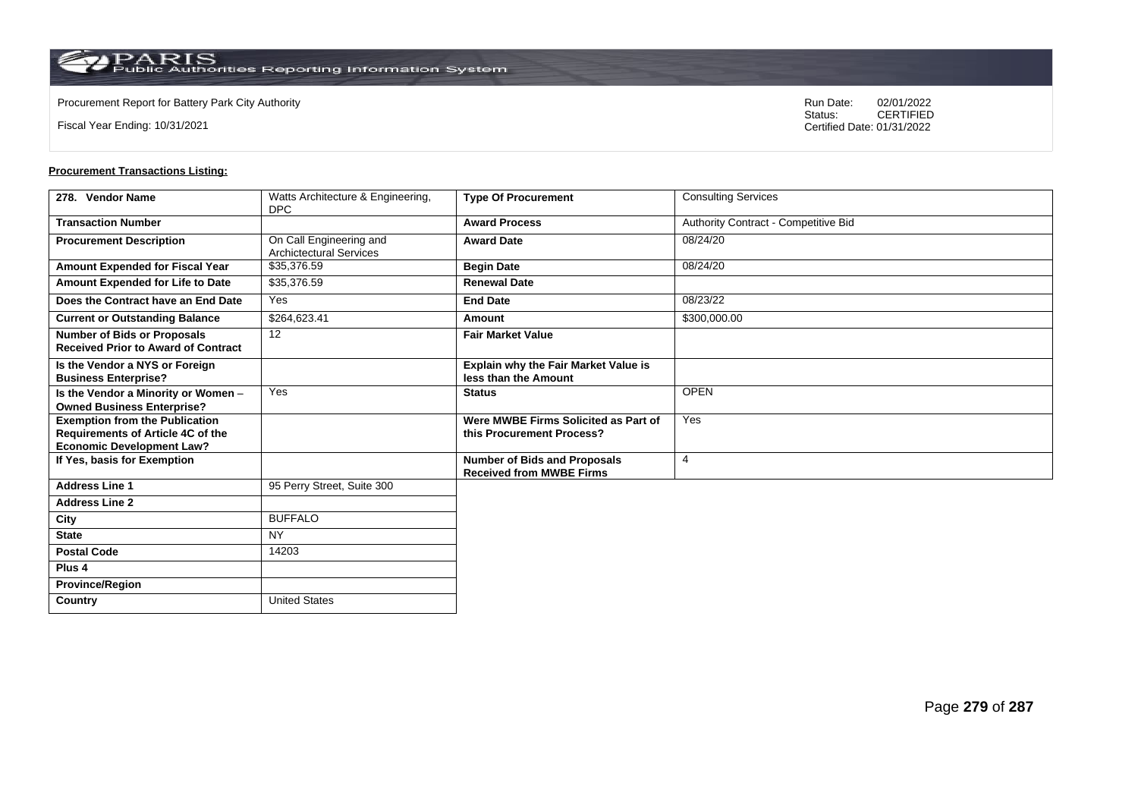$\operatorname{PARIS}_{\text{Public Authorities Reporting Information System}}$ 

**Country** United States

Fiscal Year Ending: 10/31/2021

Procurement Report for Battery Park City Authority **National State Concrete Concrete Concrete Concrete Concrete Concrete Concrete Concrete Concrete Concrete Concrete Concrete Concrete Concrete Concrete Concrete Concrete Co** CERTIFIED Certified Date: 01/31/2022

| 278. Vendor Name                                                                                                      | Watts Architecture & Engineering,<br>DPC                  | <b>Type Of Procurement</b>                                             | <b>Consulting Services</b>           |
|-----------------------------------------------------------------------------------------------------------------------|-----------------------------------------------------------|------------------------------------------------------------------------|--------------------------------------|
| <b>Transaction Number</b>                                                                                             |                                                           | <b>Award Process</b>                                                   | Authority Contract - Competitive Bid |
| <b>Procurement Description</b>                                                                                        | On Call Engineering and<br><b>Archictectural Services</b> | <b>Award Date</b>                                                      | 08/24/20                             |
| Amount Expended for Fiscal Year                                                                                       | \$35,376.59                                               | <b>Begin Date</b>                                                      | 08/24/20                             |
| Amount Expended for Life to Date                                                                                      | \$35,376.59                                               | <b>Renewal Date</b>                                                    |                                      |
| Does the Contract have an End Date                                                                                    | Yes                                                       | <b>End Date</b>                                                        | 08/23/22                             |
| <b>Current or Outstanding Balance</b>                                                                                 | \$264,623.41                                              | Amount                                                                 | \$300,000.00                         |
| <b>Number of Bids or Proposals</b><br><b>Received Prior to Award of Contract</b>                                      | 12                                                        | <b>Fair Market Value</b>                                               |                                      |
| Is the Vendor a NYS or Foreign<br><b>Business Enterprise?</b>                                                         |                                                           | <b>Explain why the Fair Market Value is</b><br>less than the Amount    |                                      |
| Is the Vendor a Minority or Women -<br><b>Owned Business Enterprise?</b>                                              | Yes                                                       | <b>Status</b>                                                          | <b>OPEN</b>                          |
| <b>Exemption from the Publication</b><br><b>Requirements of Article 4C of the</b><br><b>Economic Development Law?</b> |                                                           | Were MWBE Firms Solicited as Part of<br>this Procurement Process?      | Yes                                  |
| If Yes, basis for Exemption                                                                                           |                                                           | <b>Number of Bids and Proposals</b><br><b>Received from MWBE Firms</b> | $\overline{4}$                       |
| <b>Address Line 1</b>                                                                                                 | 95 Perry Street, Suite 300                                |                                                                        |                                      |
| <b>Address Line 2</b>                                                                                                 |                                                           |                                                                        |                                      |
| City                                                                                                                  | <b>BUFFALO</b>                                            |                                                                        |                                      |
| <b>State</b>                                                                                                          | <b>NY</b>                                                 |                                                                        |                                      |
| <b>Postal Code</b>                                                                                                    | 14203                                                     |                                                                        |                                      |
| Plus <sub>4</sub>                                                                                                     |                                                           |                                                                        |                                      |
| <b>Province/Region</b>                                                                                                |                                                           |                                                                        |                                      |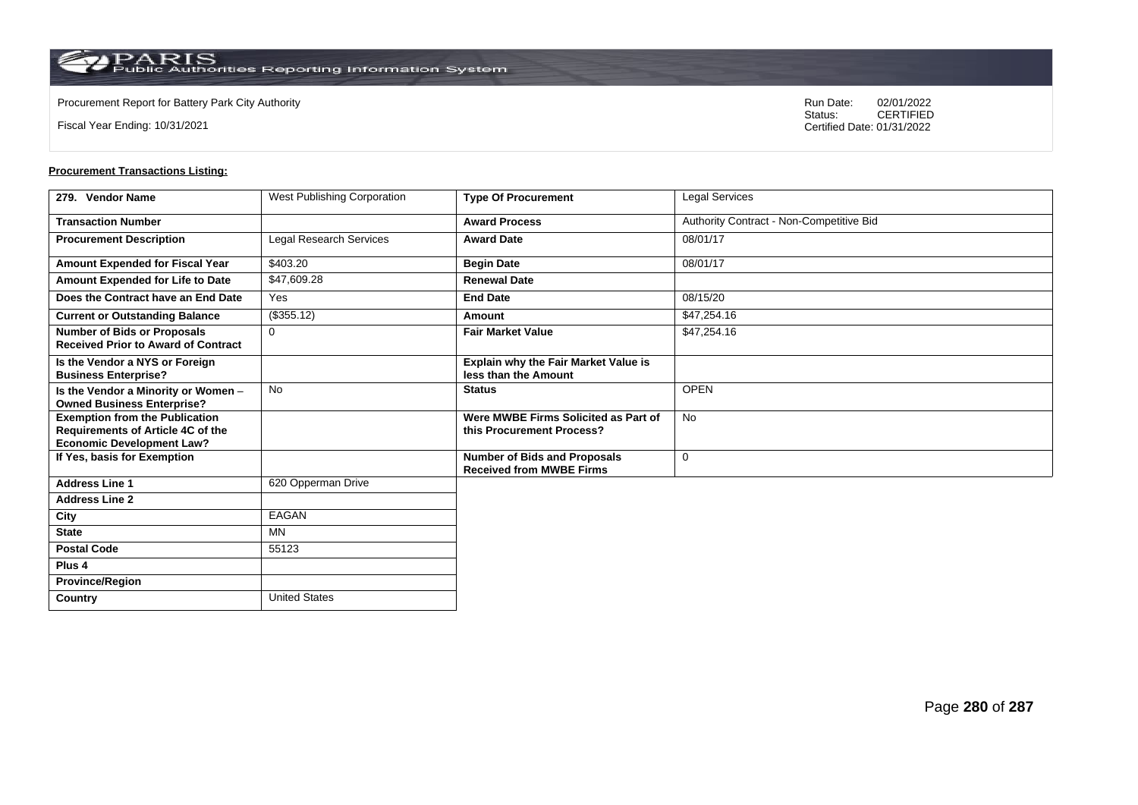**Country** United States

Fiscal Year Ending: 10/31/2021

Procurement Report for Battery Park City Authority **National State Concrete Concrete Concrete Concrete Concrete Concrete Concrete Concrete Concrete Concrete Concrete Concrete Concrete Concrete Concrete Concrete Concrete Co** CERTIFIED Certified Date: 01/31/2022

| 279. Vendor Name                                                                                               | West Publishing Corporation | <b>Type Of Procurement</b>                                             | <b>Legal Services</b>                    |
|----------------------------------------------------------------------------------------------------------------|-----------------------------|------------------------------------------------------------------------|------------------------------------------|
| <b>Transaction Number</b>                                                                                      |                             | <b>Award Process</b>                                                   | Authority Contract - Non-Competitive Bid |
| <b>Procurement Description</b>                                                                                 | Legal Research Services     | <b>Award Date</b>                                                      | 08/01/17                                 |
| Amount Expended for Fiscal Year                                                                                | \$403.20                    | <b>Begin Date</b>                                                      | 08/01/17                                 |
| Amount Expended for Life to Date                                                                               | \$47,609.28                 | <b>Renewal Date</b>                                                    |                                          |
| Does the Contract have an End Date                                                                             | Yes                         | <b>End Date</b>                                                        | 08/15/20                                 |
| <b>Current or Outstanding Balance</b>                                                                          | (\$355.12)                  | Amount                                                                 | \$47,254.16                              |
| <b>Number of Bids or Proposals</b><br><b>Received Prior to Award of Contract</b>                               | 0                           | <b>Fair Market Value</b>                                               | \$47,254.16                              |
| Is the Vendor a NYS or Foreign<br><b>Business Enterprise?</b>                                                  |                             | <b>Explain why the Fair Market Value is</b><br>less than the Amount    |                                          |
| Is the Vendor a Minority or Women -<br><b>Owned Business Enterprise?</b>                                       | No                          | <b>Status</b>                                                          | <b>OPEN</b>                              |
| <b>Exemption from the Publication</b><br>Requirements of Article 4C of the<br><b>Economic Development Law?</b> |                             | Were MWBE Firms Solicited as Part of<br>this Procurement Process?      | <b>No</b>                                |
| If Yes, basis for Exemption                                                                                    |                             | <b>Number of Bids and Proposals</b><br><b>Received from MWBE Firms</b> | $\mathbf 0$                              |
| <b>Address Line 1</b>                                                                                          | 620 Opperman Drive          |                                                                        |                                          |
| <b>Address Line 2</b>                                                                                          |                             |                                                                        |                                          |
| City                                                                                                           | EAGAN                       |                                                                        |                                          |
| <b>State</b>                                                                                                   | MN                          |                                                                        |                                          |
| <b>Postal Code</b>                                                                                             | 55123                       |                                                                        |                                          |
| Plus <sub>4</sub>                                                                                              |                             |                                                                        |                                          |
| <b>Province/Region</b>                                                                                         |                             |                                                                        |                                          |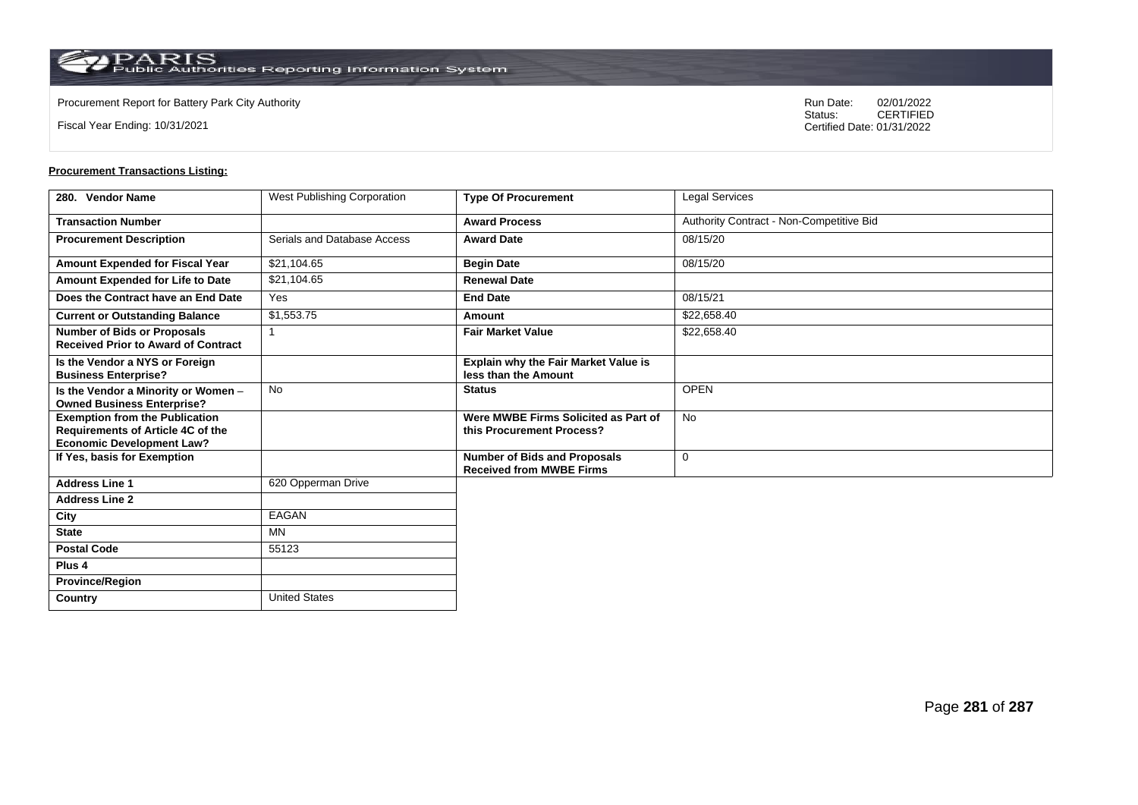**Country** United States

Fiscal Year Ending: 10/31/2021

Procurement Report for Battery Park City Authority **National State Concrete Concrete Concrete Concrete Concrete Concrete Concrete Concrete Concrete Concrete Concrete Concrete Concrete Concrete Concrete Concrete Concrete Co** CERTIFIED Certified Date: 01/31/2022

| 280. Vendor Name                                                                                               | West Publishing Corporation | <b>Type Of Procurement</b>                                             | Legal Services                           |
|----------------------------------------------------------------------------------------------------------------|-----------------------------|------------------------------------------------------------------------|------------------------------------------|
| <b>Transaction Number</b>                                                                                      |                             | <b>Award Process</b>                                                   | Authority Contract - Non-Competitive Bid |
| <b>Procurement Description</b>                                                                                 | Serials and Database Access | <b>Award Date</b>                                                      | 08/15/20                                 |
| Amount Expended for Fiscal Year                                                                                | \$21,104.65                 | <b>Begin Date</b>                                                      | 08/15/20                                 |
| Amount Expended for Life to Date                                                                               | \$21,104.65                 | <b>Renewal Date</b>                                                    |                                          |
| Does the Contract have an End Date                                                                             | Yes                         | <b>End Date</b>                                                        | 08/15/21                                 |
| <b>Current or Outstanding Balance</b>                                                                          | \$1,553.75                  | Amount                                                                 | \$22,658.40                              |
| <b>Number of Bids or Proposals</b><br><b>Received Prior to Award of Contract</b>                               | 1                           | <b>Fair Market Value</b>                                               | \$22,658.40                              |
| Is the Vendor a NYS or Foreign<br><b>Business Enterprise?</b>                                                  |                             | <b>Explain why the Fair Market Value is</b><br>less than the Amount    |                                          |
| Is the Vendor a Minority or Women -<br><b>Owned Business Enterprise?</b>                                       | <b>No</b>                   | <b>Status</b>                                                          | <b>OPEN</b>                              |
| <b>Exemption from the Publication</b><br>Requirements of Article 4C of the<br><b>Economic Development Law?</b> |                             | Were MWBE Firms Solicited as Part of<br>this Procurement Process?      | <b>No</b>                                |
| If Yes, basis for Exemption                                                                                    |                             | <b>Number of Bids and Proposals</b><br><b>Received from MWBE Firms</b> | $\mathbf 0$                              |
| <b>Address Line 1</b>                                                                                          | 620 Opperman Drive          |                                                                        |                                          |
| <b>Address Line 2</b>                                                                                          |                             |                                                                        |                                          |
| City                                                                                                           | EAGAN                       |                                                                        |                                          |
| <b>State</b>                                                                                                   | <b>MN</b>                   |                                                                        |                                          |
| <b>Postal Code</b>                                                                                             | 55123                       |                                                                        |                                          |
| Plus <sub>4</sub>                                                                                              |                             |                                                                        |                                          |
| <b>Province/Region</b>                                                                                         |                             |                                                                        |                                          |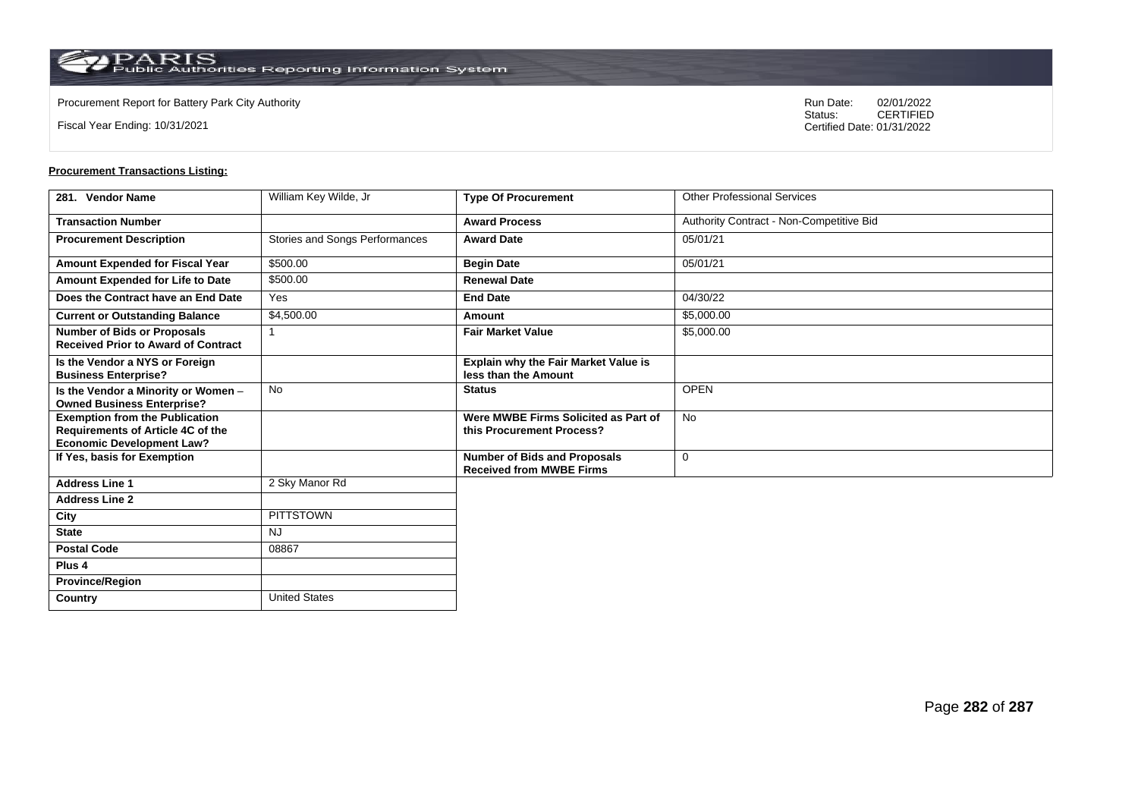**Country** United States

Fiscal Year Ending: 10/31/2021

Procurement Report for Battery Park City Authority **National State Concrete Concrete Concrete Concrete Concrete Concrete Concrete Concrete Concrete Concrete Concrete Concrete Concrete Concrete Concrete Concrete Concrete Co** CERTIFIED Certified Date: 01/31/2022

| 281. Vendor Name                                                                                               | William Key Wilde, Jr          | <b>Type Of Procurement</b>                                             | <b>Other Professional Services</b>       |
|----------------------------------------------------------------------------------------------------------------|--------------------------------|------------------------------------------------------------------------|------------------------------------------|
| <b>Transaction Number</b>                                                                                      |                                | <b>Award Process</b>                                                   | Authority Contract - Non-Competitive Bid |
| <b>Procurement Description</b>                                                                                 | Stories and Songs Performances | <b>Award Date</b>                                                      | 05/01/21                                 |
| <b>Amount Expended for Fiscal Year</b>                                                                         | \$500.00                       | <b>Begin Date</b>                                                      | 05/01/21                                 |
| Amount Expended for Life to Date                                                                               | \$500.00                       | <b>Renewal Date</b>                                                    |                                          |
| Does the Contract have an End Date                                                                             | Yes                            | <b>End Date</b>                                                        | 04/30/22                                 |
| <b>Current or Outstanding Balance</b>                                                                          | \$4,500.00                     | Amount                                                                 | \$5,000.00                               |
| <b>Number of Bids or Proposals</b><br><b>Received Prior to Award of Contract</b>                               |                                | <b>Fair Market Value</b>                                               | \$5,000.00                               |
| Is the Vendor a NYS or Foreign<br><b>Business Enterprise?</b>                                                  |                                | <b>Explain why the Fair Market Value is</b><br>less than the Amount    |                                          |
| Is the Vendor a Minority or Women -<br><b>Owned Business Enterprise?</b>                                       | No                             | <b>Status</b>                                                          | <b>OPEN</b>                              |
| <b>Exemption from the Publication</b><br>Requirements of Article 4C of the<br><b>Economic Development Law?</b> |                                | Were MWBE Firms Solicited as Part of<br>this Procurement Process?      | <b>No</b>                                |
| If Yes, basis for Exemption                                                                                    |                                | <b>Number of Bids and Proposals</b><br><b>Received from MWBE Firms</b> | $\mathbf 0$                              |
| <b>Address Line 1</b>                                                                                          | 2 Sky Manor Rd                 |                                                                        |                                          |
| <b>Address Line 2</b>                                                                                          |                                |                                                                        |                                          |
| City                                                                                                           | PITTSTOWN                      |                                                                        |                                          |
| <b>State</b>                                                                                                   | <b>NJ</b>                      |                                                                        |                                          |
| <b>Postal Code</b>                                                                                             | 08867                          |                                                                        |                                          |
| Plus <sub>4</sub>                                                                                              |                                |                                                                        |                                          |
| <b>Province/Region</b>                                                                                         |                                |                                                                        |                                          |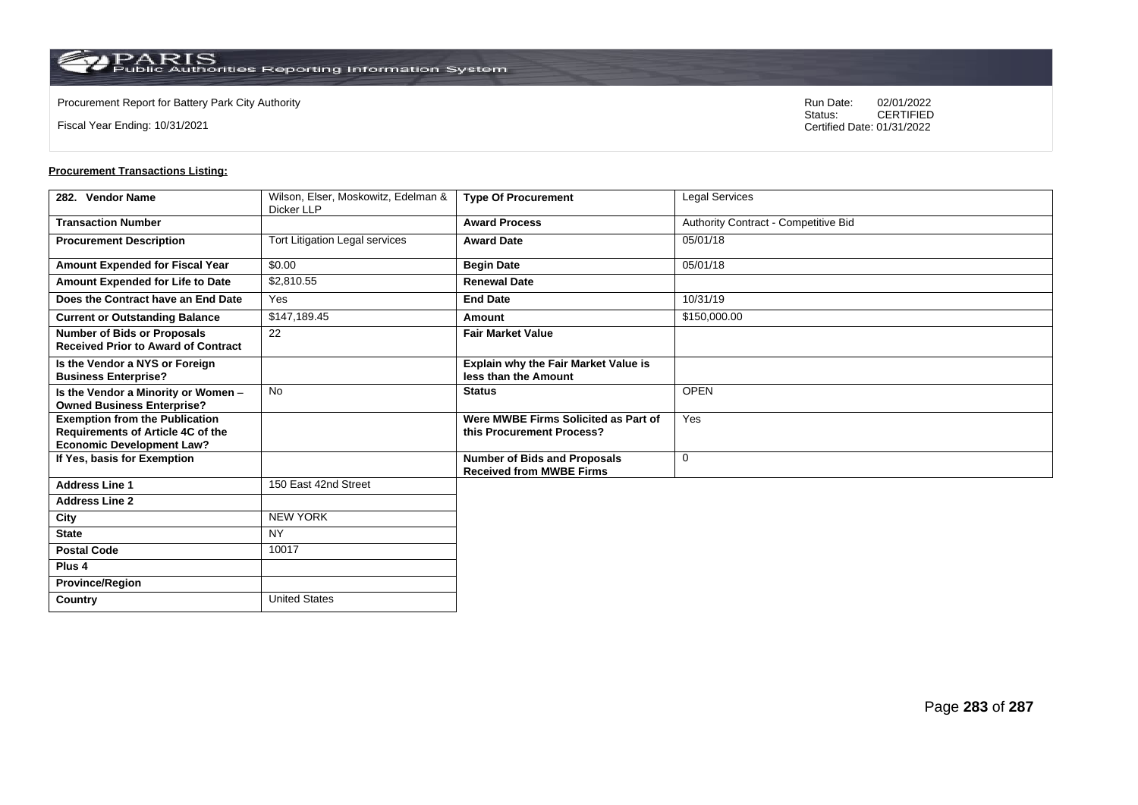Fiscal Year Ending: 10/31/2021

Procurement Report for Battery Park City Authority **National State Concrete Concrete Concrete Concrete Concrete Concrete Concrete Concrete Concrete Concrete Concrete Concrete Concrete Concrete Concrete Concrete Concrete Co** CERTIFIED Certified Date: 01/31/2022

| 282. Vendor Name                                                                                               | Wilson, Elser, Moskowitz, Edelman &<br>Dicker LLP | <b>Type Of Procurement</b>                                             | <b>Legal Services</b>                |
|----------------------------------------------------------------------------------------------------------------|---------------------------------------------------|------------------------------------------------------------------------|--------------------------------------|
| <b>Transaction Number</b>                                                                                      |                                                   | <b>Award Process</b>                                                   | Authority Contract - Competitive Bid |
| <b>Procurement Description</b>                                                                                 | Tort Litigation Legal services                    | <b>Award Date</b>                                                      | 05/01/18                             |
| <b>Amount Expended for Fiscal Year</b>                                                                         | \$0.00                                            | <b>Begin Date</b>                                                      | 05/01/18                             |
| <b>Amount Expended for Life to Date</b>                                                                        | \$2,810.55                                        | <b>Renewal Date</b>                                                    |                                      |
| Does the Contract have an End Date                                                                             | Yes                                               | <b>End Date</b>                                                        | 10/31/19                             |
| <b>Current or Outstanding Balance</b>                                                                          | \$147,189.45                                      | Amount                                                                 | \$150,000.00                         |
| <b>Number of Bids or Proposals</b><br><b>Received Prior to Award of Contract</b>                               | 22                                                | <b>Fair Market Value</b>                                               |                                      |
| Is the Vendor a NYS or Foreign<br><b>Business Enterprise?</b>                                                  |                                                   | Explain why the Fair Market Value is<br>less than the Amount           |                                      |
| Is the Vendor a Minority or Women -<br><b>Owned Business Enterprise?</b>                                       | <b>No</b>                                         | <b>Status</b>                                                          | <b>OPEN</b>                          |
| <b>Exemption from the Publication</b><br>Requirements of Article 4C of the<br><b>Economic Development Law?</b> |                                                   | Were MWBE Firms Solicited as Part of<br>this Procurement Process?      | Yes                                  |
| If Yes, basis for Exemption                                                                                    |                                                   | <b>Number of Bids and Proposals</b><br><b>Received from MWBE Firms</b> | $\Omega$                             |
| <b>Address Line 1</b>                                                                                          | 150 East 42nd Street                              |                                                                        |                                      |
| <b>Address Line 2</b>                                                                                          |                                                   |                                                                        |                                      |
| City                                                                                                           | <b>NEW YORK</b>                                   |                                                                        |                                      |
| <b>State</b>                                                                                                   | <b>NY</b>                                         |                                                                        |                                      |
| <b>Postal Code</b>                                                                                             | 10017                                             |                                                                        |                                      |
| Plus <sub>4</sub>                                                                                              |                                                   |                                                                        |                                      |
| <b>Province/Region</b>                                                                                         |                                                   |                                                                        |                                      |
| Country                                                                                                        | <b>United States</b>                              |                                                                        |                                      |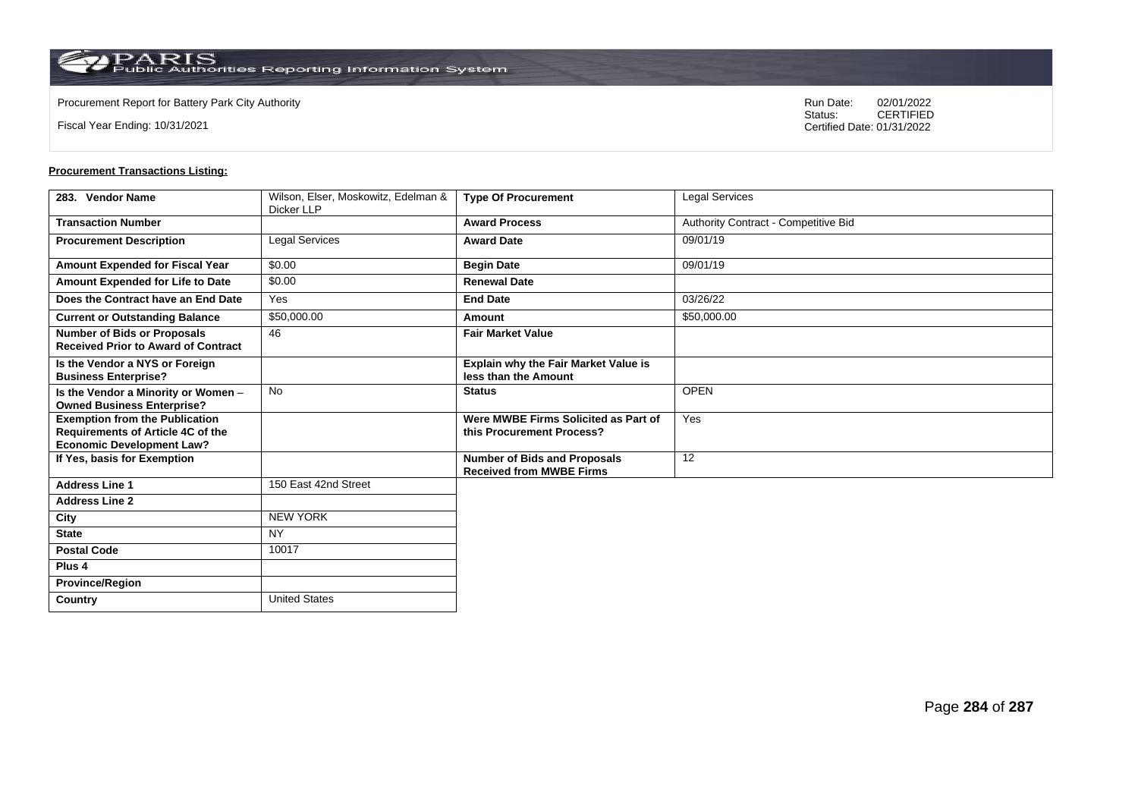Fiscal Year Ending: 10/31/2021

Procurement Report for Battery Park City Authority **National State Concrete Concrete Concrete Concrete Concrete Concrete Concrete Concrete Concrete Concrete Concrete Concrete Concrete Concrete Concrete Concrete Concrete Co** CERTIFIED Certified Date: 01/31/2022

| 283. Vendor Name                                                                                               | Wilson, Elser, Moskowitz, Edelman &<br>Dicker LLP | <b>Type Of Procurement</b>                                             | <b>Legal Services</b>                |
|----------------------------------------------------------------------------------------------------------------|---------------------------------------------------|------------------------------------------------------------------------|--------------------------------------|
| <b>Transaction Number</b>                                                                                      |                                                   | <b>Award Process</b>                                                   | Authority Contract - Competitive Bid |
| <b>Procurement Description</b>                                                                                 | <b>Legal Services</b>                             | <b>Award Date</b>                                                      | 09/01/19                             |
| <b>Amount Expended for Fiscal Year</b>                                                                         | \$0.00                                            | <b>Begin Date</b>                                                      | 09/01/19                             |
| Amount Expended for Life to Date                                                                               | \$0.00                                            | <b>Renewal Date</b>                                                    |                                      |
| Does the Contract have an End Date                                                                             | Yes                                               | <b>End Date</b>                                                        | 03/26/22                             |
| <b>Current or Outstanding Balance</b>                                                                          | \$50,000.00                                       | Amount                                                                 | \$50,000.00                          |
| <b>Number of Bids or Proposals</b><br><b>Received Prior to Award of Contract</b>                               | 46                                                | <b>Fair Market Value</b>                                               |                                      |
| Is the Vendor a NYS or Foreign<br><b>Business Enterprise?</b>                                                  |                                                   | Explain why the Fair Market Value is<br>less than the Amount           |                                      |
| Is the Vendor a Minority or Women -<br><b>Owned Business Enterprise?</b>                                       | <b>No</b>                                         | <b>Status</b>                                                          | <b>OPEN</b>                          |
| <b>Exemption from the Publication</b><br>Requirements of Article 4C of the<br><b>Economic Development Law?</b> |                                                   | Were MWBE Firms Solicited as Part of<br>this Procurement Process?      | Yes                                  |
| If Yes, basis for Exemption                                                                                    |                                                   | <b>Number of Bids and Proposals</b><br><b>Received from MWBE Firms</b> | 12                                   |
| <b>Address Line 1</b>                                                                                          | 150 East 42nd Street                              |                                                                        |                                      |
| <b>Address Line 2</b>                                                                                          |                                                   |                                                                        |                                      |
| City                                                                                                           | <b>NEW YORK</b>                                   |                                                                        |                                      |
| <b>State</b>                                                                                                   | <b>NY</b>                                         |                                                                        |                                      |
| <b>Postal Code</b>                                                                                             | 10017                                             |                                                                        |                                      |
| Plus <sub>4</sub>                                                                                              |                                                   |                                                                        |                                      |
| <b>Province/Region</b>                                                                                         |                                                   |                                                                        |                                      |
| Country                                                                                                        | <b>United States</b>                              |                                                                        |                                      |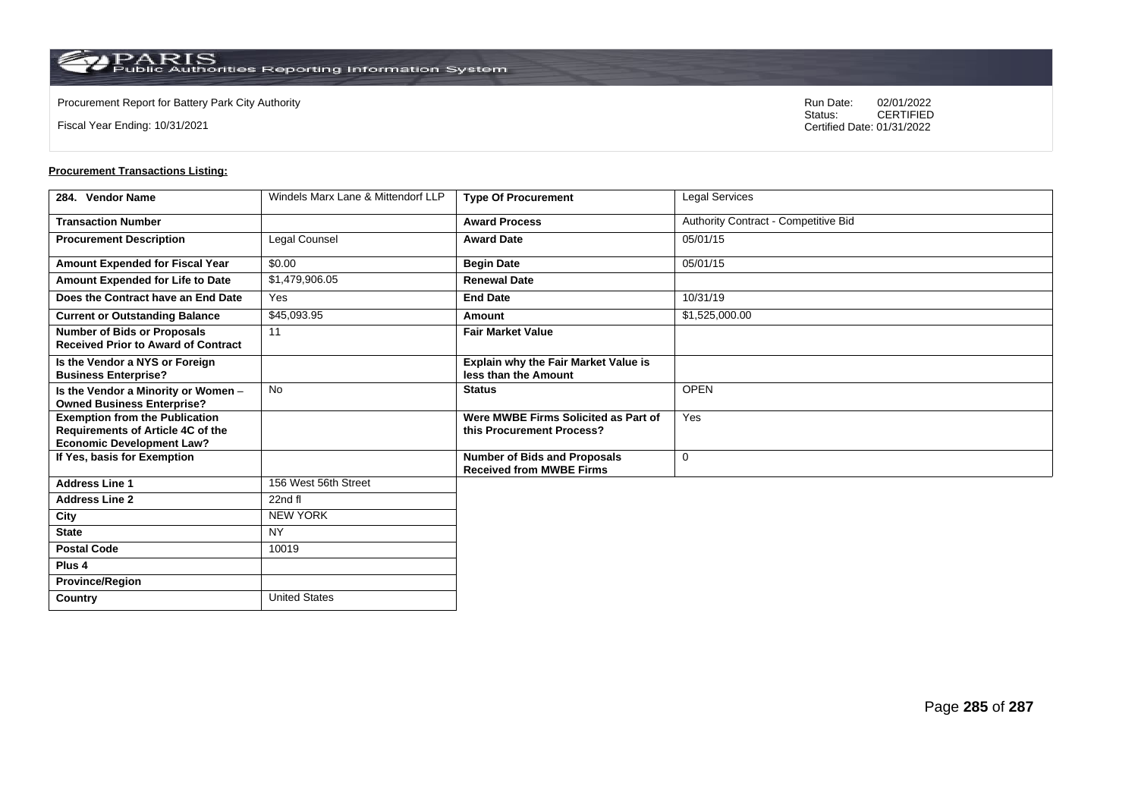**Country** United States

Fiscal Year Ending: 10/31/2021

Procurement Report for Battery Park City Authority **National State Concrete Concrete Concrete Concrete Concrete Concrete Concrete Concrete Concrete Concrete Concrete Concrete Concrete Concrete Concrete Concrete Concrete Co** CERTIFIED Certified Date: 01/31/2022

| 284. Vendor Name                                                                                               | Windels Marx Lane & Mittendorf LLP | <b>Type Of Procurement</b>                                             | Legal Services                       |
|----------------------------------------------------------------------------------------------------------------|------------------------------------|------------------------------------------------------------------------|--------------------------------------|
| <b>Transaction Number</b>                                                                                      |                                    | <b>Award Process</b>                                                   | Authority Contract - Competitive Bid |
| <b>Procurement Description</b>                                                                                 | Legal Counsel                      | <b>Award Date</b>                                                      | 05/01/15                             |
| Amount Expended for Fiscal Year                                                                                | \$0.00                             | <b>Begin Date</b>                                                      | 05/01/15                             |
| Amount Expended for Life to Date                                                                               | \$1,479,906.05                     | <b>Renewal Date</b>                                                    |                                      |
| Does the Contract have an End Date                                                                             | Yes                                | <b>End Date</b>                                                        | 10/31/19                             |
| <b>Current or Outstanding Balance</b>                                                                          | \$45,093.95                        | Amount                                                                 | \$1,525,000.00                       |
| <b>Number of Bids or Proposals</b><br><b>Received Prior to Award of Contract</b>                               | 11                                 | <b>Fair Market Value</b>                                               |                                      |
| Is the Vendor a NYS or Foreign<br><b>Business Enterprise?</b>                                                  |                                    | <b>Explain why the Fair Market Value is</b><br>less than the Amount    |                                      |
| Is the Vendor a Minority or Women -<br><b>Owned Business Enterprise?</b>                                       | <b>No</b>                          | <b>Status</b>                                                          | <b>OPEN</b>                          |
| <b>Exemption from the Publication</b><br>Requirements of Article 4C of the<br><b>Economic Development Law?</b> |                                    | Were MWBE Firms Solicited as Part of<br>this Procurement Process?      | Yes                                  |
| If Yes, basis for Exemption                                                                                    |                                    | <b>Number of Bids and Proposals</b><br><b>Received from MWBE Firms</b> | $\mathbf 0$                          |
| <b>Address Line 1</b>                                                                                          | 156 West 56th Street               |                                                                        |                                      |
| <b>Address Line 2</b>                                                                                          | 22nd fl                            |                                                                        |                                      |
| City                                                                                                           | <b>NEW YORK</b>                    |                                                                        |                                      |
| <b>State</b>                                                                                                   | <b>NY</b>                          |                                                                        |                                      |
| <b>Postal Code</b>                                                                                             | 10019                              |                                                                        |                                      |
| Plus <sub>4</sub>                                                                                              |                                    |                                                                        |                                      |
| <b>Province/Region</b>                                                                                         |                                    |                                                                        |                                      |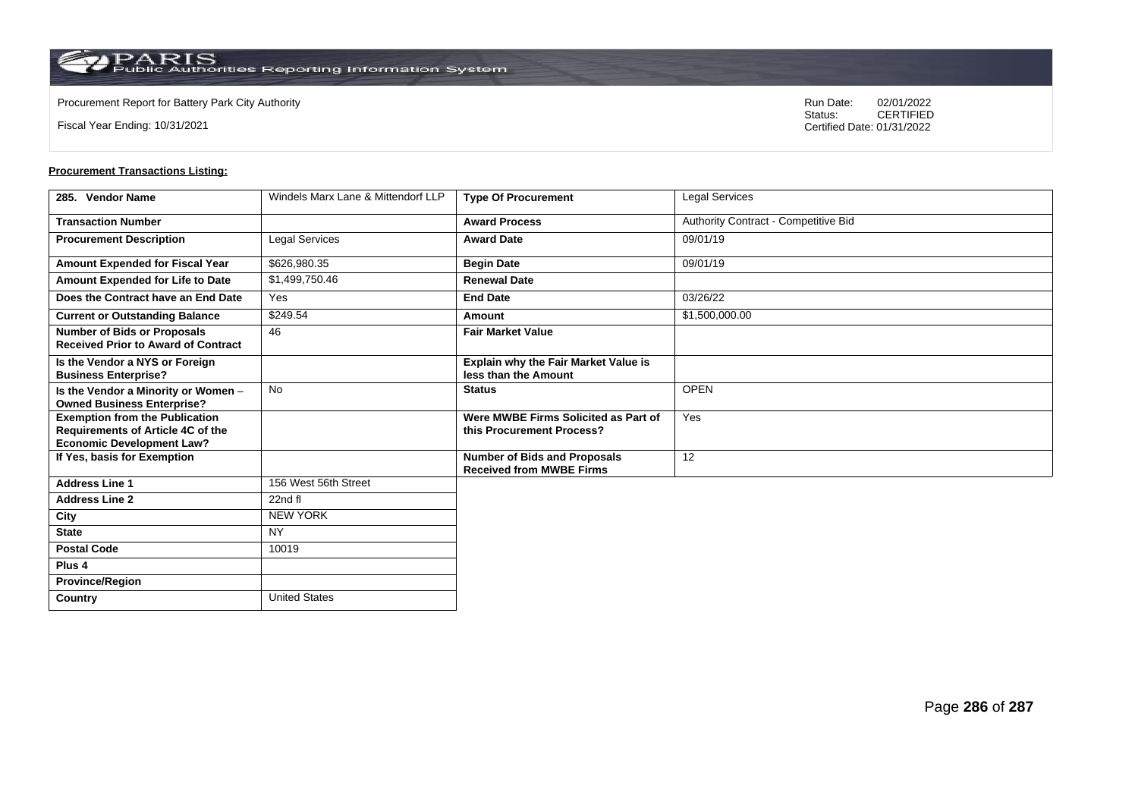**Country** United States

Fiscal Year Ending: 10/31/2021

Procurement Report for Battery Park City Authority **National State Concrete Concrete Concrete Concrete Concrete Concrete Concrete Concrete Concrete Concrete Concrete Concrete Concrete Concrete Concrete Concrete Concrete Co** CERTIFIED Certified Date: 01/31/2022

| 285. Vendor Name                                                                                               | Windels Marx Lane & Mittendorf LLP | <b>Type Of Procurement</b>                                             | Legal Services                       |
|----------------------------------------------------------------------------------------------------------------|------------------------------------|------------------------------------------------------------------------|--------------------------------------|
| <b>Transaction Number</b>                                                                                      |                                    | <b>Award Process</b>                                                   | Authority Contract - Competitive Bid |
| <b>Procurement Description</b>                                                                                 | Legal Services                     | <b>Award Date</b>                                                      | 09/01/19                             |
| Amount Expended for Fiscal Year                                                                                | \$626,980.35                       | <b>Begin Date</b>                                                      | 09/01/19                             |
| Amount Expended for Life to Date                                                                               | \$1,499,750.46                     | <b>Renewal Date</b>                                                    |                                      |
| Does the Contract have an End Date                                                                             | Yes                                | <b>End Date</b>                                                        | 03/26/22                             |
| <b>Current or Outstanding Balance</b>                                                                          | \$249.54                           | Amount                                                                 | \$1,500,000.00                       |
| <b>Number of Bids or Proposals</b><br><b>Received Prior to Award of Contract</b>                               | 46                                 | <b>Fair Market Value</b>                                               |                                      |
| Is the Vendor a NYS or Foreign<br><b>Business Enterprise?</b>                                                  |                                    | Explain why the Fair Market Value is<br>less than the Amount           |                                      |
| Is the Vendor a Minority or Women -<br><b>Owned Business Enterprise?</b>                                       | No                                 | <b>Status</b>                                                          | <b>OPEN</b>                          |
| <b>Exemption from the Publication</b><br>Requirements of Article 4C of the<br><b>Economic Development Law?</b> |                                    | Were MWBE Firms Solicited as Part of<br>this Procurement Process?      | Yes                                  |
| If Yes, basis for Exemption                                                                                    |                                    | <b>Number of Bids and Proposals</b><br><b>Received from MWBE Firms</b> | 12                                   |
| <b>Address Line 1</b>                                                                                          | 156 West 56th Street               |                                                                        |                                      |
| <b>Address Line 2</b>                                                                                          | 22nd fl                            |                                                                        |                                      |
| City                                                                                                           | <b>NEW YORK</b>                    |                                                                        |                                      |
| <b>State</b>                                                                                                   | <b>NY</b>                          |                                                                        |                                      |
| <b>Postal Code</b>                                                                                             | 10019                              |                                                                        |                                      |
| Plus <sub>4</sub>                                                                                              |                                    |                                                                        |                                      |
| <b>Province/Region</b>                                                                                         |                                    |                                                                        |                                      |